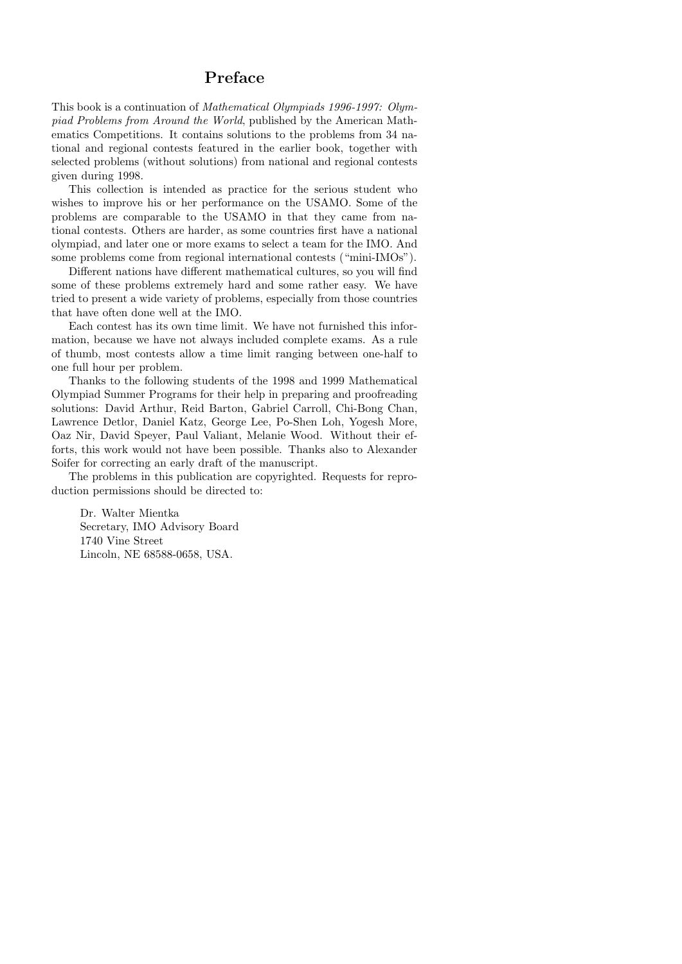# Preface

This book is a continuation of Mathematical Olympiads 1996-1997: Olympiad Problems from Around the World, published by the American Mathematics Competitions. It contains solutions to the problems from 34 national and regional contests featured in the earlier book, together with selected problems (without solutions) from national and regional contests given during 1998.

This collection is intended as practice for the serious student who wishes to improve his or her performance on the USAMO. Some of the problems are comparable to the USAMO in that they came from national contests. Others are harder, as some countries first have a national olympiad, and later one or more exams to select a team for the IMO. And some problems come from regional international contests ("mini-IMOs").

Different nations have different mathematical cultures, so you will find some of these problems extremely hard and some rather easy. We have tried to present a wide variety of problems, especially from those countries that have often done well at the IMO.

Each contest has its own time limit. We have not furnished this information, because we have not always included complete exams. As a rule of thumb, most contests allow a time limit ranging between one-half to one full hour per problem.

Thanks to the following students of the 1998 and 1999 Mathematical Olympiad Summer Programs for their help in preparing and proofreading solutions: David Arthur, Reid Barton, Gabriel Carroll, Chi-Bong Chan, Lawrence Detlor, Daniel Katz, George Lee, Po-Shen Loh, Yogesh More, Oaz Nir, David Speyer, Paul Valiant, Melanie Wood. Without their efforts, this work would not have been possible. Thanks also to Alexander Soifer for correcting an early draft of the manuscript.

The problems in this publication are copyrighted. Requests for reproduction permissions should be directed to:

Dr. Walter Mientka Secretary, IMO Advisory Board 1740 Vine Street Lincoln, NE 68588-0658, USA.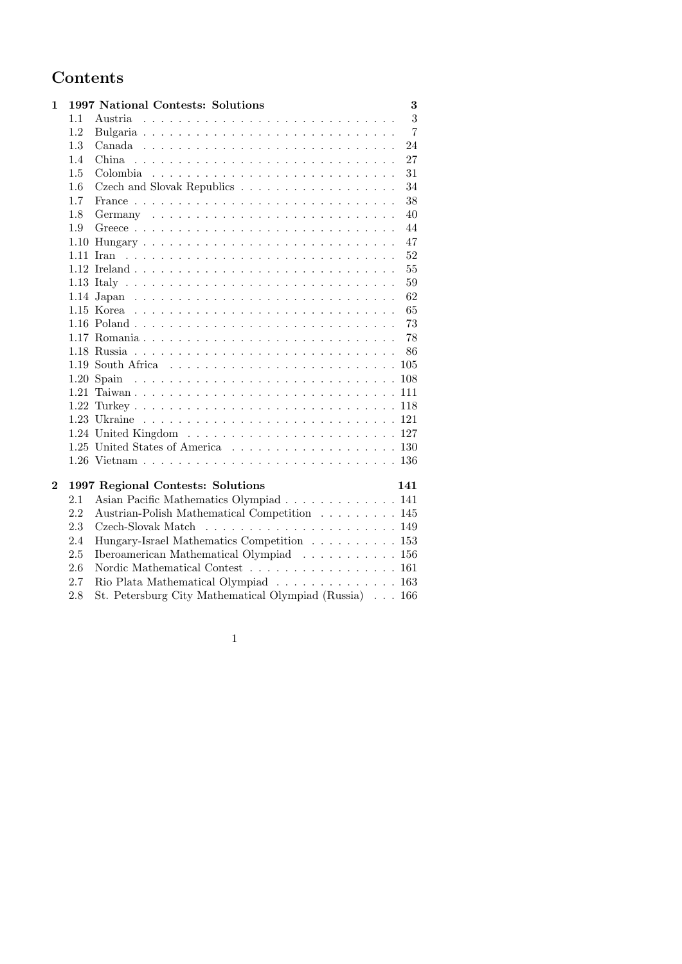# Contents

| $\mathbf 1$             |      | 1997 National Contests: Solutions<br>$\bf{3}$                                                |  |  |  |  |  |
|-------------------------|------|----------------------------------------------------------------------------------------------|--|--|--|--|--|
|                         | 1.1  | 3<br>Austria                                                                                 |  |  |  |  |  |
|                         | 1.2  | $\overline{7}$                                                                               |  |  |  |  |  |
|                         | 1.3  | 24                                                                                           |  |  |  |  |  |
|                         | 1.4  | 27                                                                                           |  |  |  |  |  |
|                         | 1.5  | 31                                                                                           |  |  |  |  |  |
|                         | 1.6  | 34                                                                                           |  |  |  |  |  |
|                         | 1.7  | 38                                                                                           |  |  |  |  |  |
|                         | 1.8  | 40                                                                                           |  |  |  |  |  |
|                         | 1.9  | 44                                                                                           |  |  |  |  |  |
|                         | 1.10 | 47                                                                                           |  |  |  |  |  |
|                         |      | 52<br>1.11 Iran                                                                              |  |  |  |  |  |
|                         |      | 55                                                                                           |  |  |  |  |  |
|                         |      | 59                                                                                           |  |  |  |  |  |
|                         |      | 62                                                                                           |  |  |  |  |  |
|                         |      | 65                                                                                           |  |  |  |  |  |
|                         |      | 73                                                                                           |  |  |  |  |  |
|                         |      | 78                                                                                           |  |  |  |  |  |
|                         |      | 86                                                                                           |  |  |  |  |  |
|                         |      | 105                                                                                          |  |  |  |  |  |
|                         |      |                                                                                              |  |  |  |  |  |
|                         |      |                                                                                              |  |  |  |  |  |
|                         |      |                                                                                              |  |  |  |  |  |
|                         |      |                                                                                              |  |  |  |  |  |
|                         |      |                                                                                              |  |  |  |  |  |
|                         |      |                                                                                              |  |  |  |  |  |
|                         |      |                                                                                              |  |  |  |  |  |
| $\overline{\mathbf{2}}$ |      | 1997 Regional Contests: Solutions<br>141                                                     |  |  |  |  |  |
|                         | 2.1  | Asian Pacific Mathematics Olympiad 141                                                       |  |  |  |  |  |
|                         | 2.2  | Austrian-Polish Mathematical Competition 145                                                 |  |  |  |  |  |
|                         | 2.3  | Czech-Slovak Match                                                                           |  |  |  |  |  |
|                         |      | Hungary-Israel Mathematics Competition 153<br>2.4<br>Iberoamerican Mathematical Olympiad 156 |  |  |  |  |  |
|                         | 2.5  |                                                                                              |  |  |  |  |  |
|                         | 2.6  | Nordic Mathematical Contest $\ldots \ldots \ldots \ldots \ldots \ldots 161$                  |  |  |  |  |  |
|                         | 2.7  | Rio Plata Mathematical Olympiad 163                                                          |  |  |  |  |  |
|                         | 2.8  | St. Petersburg City Mathematical Olympiad (Russia) 166                                       |  |  |  |  |  |
|                         |      |                                                                                              |  |  |  |  |  |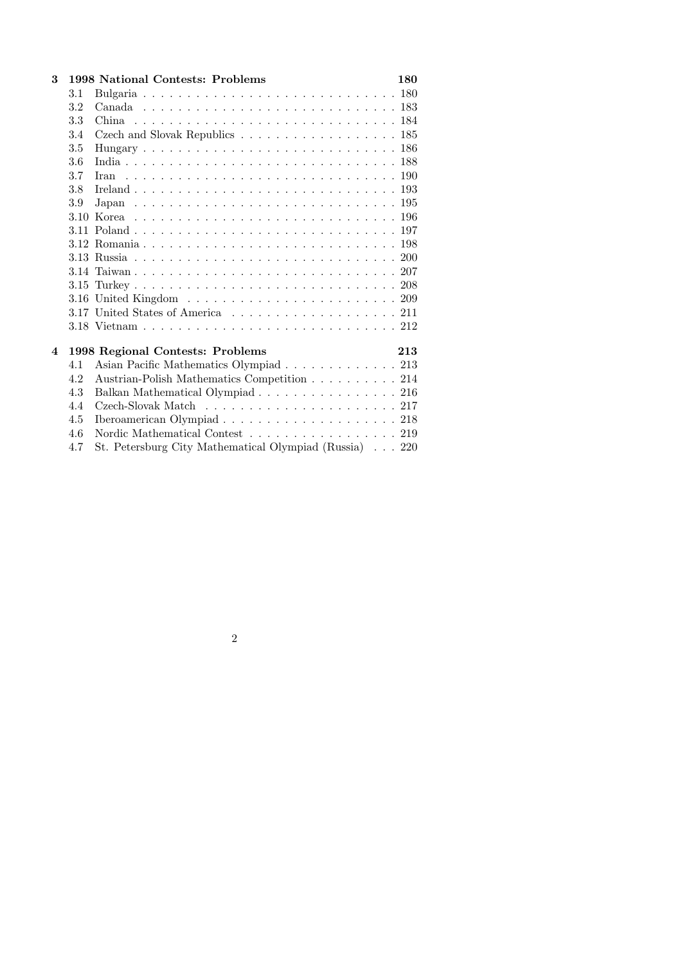| 3 |     | 1998 National Contests: Problems                       | 180 |
|---|-----|--------------------------------------------------------|-----|
|   | 3.1 |                                                        |     |
|   | 3.2 |                                                        |     |
|   | 3.3 |                                                        |     |
|   | 3.4 | Czech and Slovak Republics 185                         |     |
|   | 3.5 |                                                        |     |
|   | 3.6 |                                                        |     |
|   | 3.7 |                                                        |     |
|   | 3.8 |                                                        |     |
|   | 3.9 |                                                        |     |
|   |     |                                                        |     |
|   |     |                                                        |     |
|   |     |                                                        |     |
|   |     |                                                        |     |
|   |     |                                                        |     |
|   |     |                                                        |     |
|   |     |                                                        |     |
|   |     |                                                        |     |
|   |     |                                                        |     |
| 4 |     | 1998 Regional Contests: Problems                       | 213 |
|   | 4.1 | Asian Pacific Mathematics Olympiad 213                 |     |
|   | 4.2 | Austrian-Polish Mathematics Competition 214            |     |
|   | 4.3 | Balkan Mathematical Olympiad 216                       |     |
|   | 4.4 |                                                        |     |
|   | 4.5 |                                                        |     |
|   | 4.6 | Nordic Mathematical Contest 219                        |     |
|   | 4.7 | St. Petersburg City Mathematical Olympiad (Russia) 220 |     |
|   |     |                                                        |     |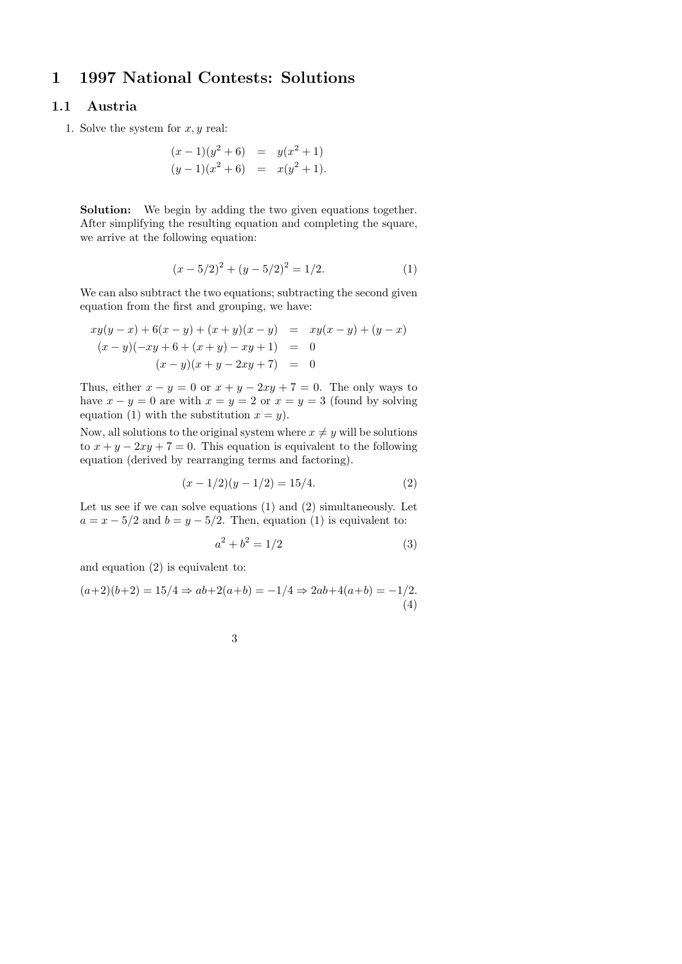# 1 1997 National Contests: Solutions

# 1.1 Austria

1. Solve the system for  $x, y$  real:

$$
(x-1)(y2+6) = y(x2+1)
$$
  
\n
$$
(y-1)(x2+6) = x(y2+1).
$$

Solution: We begin by adding the two given equations together. After simplifying the resulting equation and completing the square, we arrive at the following equation:

$$
(x - 5/2)^2 + (y - 5/2)^2 = 1/2.
$$
 (1)

We can also subtract the two equations; subtracting the second given equation from the first and grouping, we have:

$$
xy(y-x) + 6(x - y) + (x + y)(x - y) = xy(x - y) + (y - x)
$$
  
(x - y)(-xy + 6 + (x + y) - xy + 1) = 0  
(x - y)(x + y - 2xy + 7) = 0

Thus, either  $x - y = 0$  or  $x + y - 2xy + 7 = 0$ . The only ways to have  $x - y = 0$  are with  $x = y = 2$  or  $x = y = 3$  (found by solving equation (1) with the substitution  $x = y$ ).

Now, all solutions to the original system where  $x \neq y$  will be solutions to  $x + y - 2xy + 7 = 0$ . This equation is equivalent to the following equation (derived by rearranging terms and factoring).

$$
(x - 1/2)(y - 1/2) = 15/4.
$$
 (2)

Let us see if we can solve equations (1) and (2) simultaneously. Let  $a = x - 5/2$  and  $b = y - 5/2$ . Then, equation (1) is equivalent to:

$$
a^2 + b^2 = 1/2 \tag{3}
$$

and equation (2) is equivalent to:

$$
(a+2)(b+2) = 15/4 \Rightarrow ab+2(a+b) = -1/4 \Rightarrow 2ab+4(a+b) = -1/2.
$$
\n(4)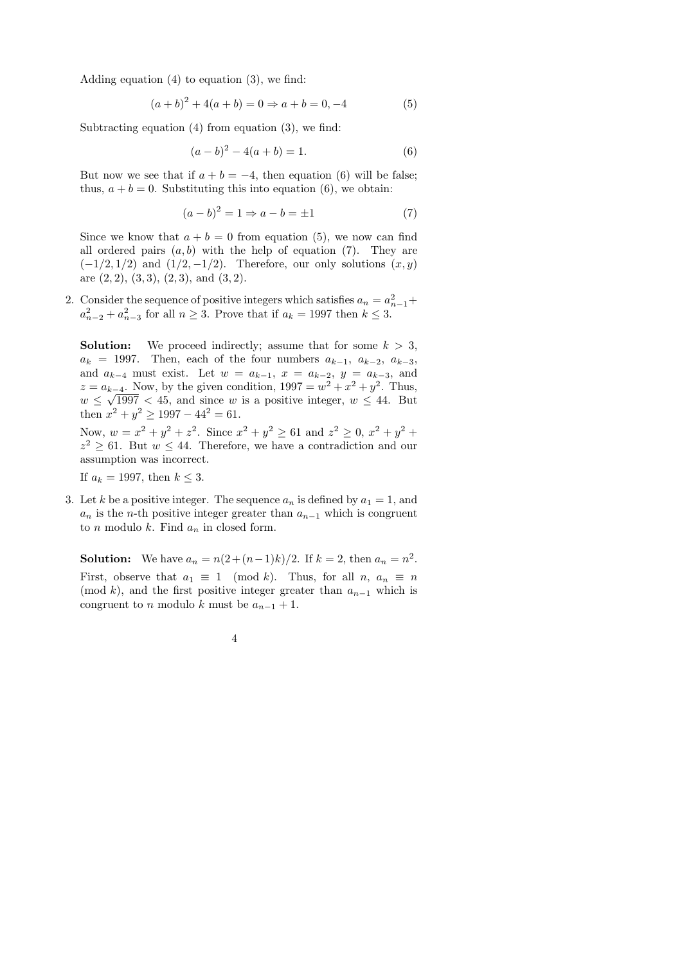Adding equation (4) to equation (3), we find:

$$
(a+b)^2 + 4(a+b) = 0 \Rightarrow a+b = 0, -4
$$
 (5)

Subtracting equation  $(4)$  from equation  $(3)$ , we find:

$$
(a-b)^2 - 4(a+b) = 1.
$$
 (6)

But now we see that if  $a + b = -4$ , then equation (6) will be false; thus,  $a + b = 0$ . Substituting this into equation (6), we obtain:

$$
(a-b)^2 = 1 \Rightarrow a-b = \pm 1 \tag{7}
$$

Since we know that  $a + b = 0$  from equation (5), we now can find all ordered pairs  $(a, b)$  with the help of equation (7). They are  $(-1/2, 1/2)$  and  $(1/2, -1/2)$ . Therefore, our only solutions  $(x, y)$ are  $(2, 2), (3, 3), (2, 3),$  and  $(3, 2)$ .

2. Consider the sequence of positive integers which satisfies  $a_n = a_{n-1}^2 +$  $a_{n-2}^2 + a_{n-3}^2$  for all  $n \ge 3$ . Prove that if  $a_k = 1997$  then  $k \le 3$ .

**Solution:** We proceed indirectly; assume that for some  $k > 3$ ,  $a_k = 1997$ . Then, each of the four numbers  $a_{k-1}$ ,  $a_{k-2}$ ,  $a_{k-3}$ , and  $a_{k-4}$  must exist. Let  $w = a_{k-1}$ ,  $x = a_{k-2}$ ,  $y = a_{k-3}$ , and  $z = a_{k-4}$ . Now, by the given condition, 1997 =  $w^2 + x^2 + y^2$ . Thus,  $w \leq \sqrt{1997} < 45$ , and since w is a positive integer,  $w \leq 44$ . But then  $x^2 + y^2 \ge 1997 - 44^2 = 61$ .

Now,  $w = x^2 + y^2 + z^2$ . Since  $x^2 + y^2 \ge 61$  and  $z^2 \ge 0$ ,  $x^2 + y^2 + z^2$ .  $z^2 \geq 61$ . But  $w \leq 44$ . Therefore, we have a contradiction and our assumption was incorrect.

If  $a_k = 1997$ , then  $k \leq 3$ .

3. Let k be a positive integer. The sequence  $a_n$  is defined by  $a_1 = 1$ , and  $a_n$  is the *n*-th positive integer greater than  $a_{n-1}$  which is congruent to *n* modulo *k*. Find  $a_n$  in closed form.

**Solution:** We have  $a_n = n(2 + (n-1)k)/2$ . If  $k = 2$ , then  $a_n = n^2$ . First, observe that  $a_1 \equiv 1 \pmod{k}$ . Thus, for all  $n, a_n \equiv n$ (mod k), and the first positive integer greater than  $a_{n-1}$  which is congruent to *n* modulo k must be  $a_{n-1} + 1$ .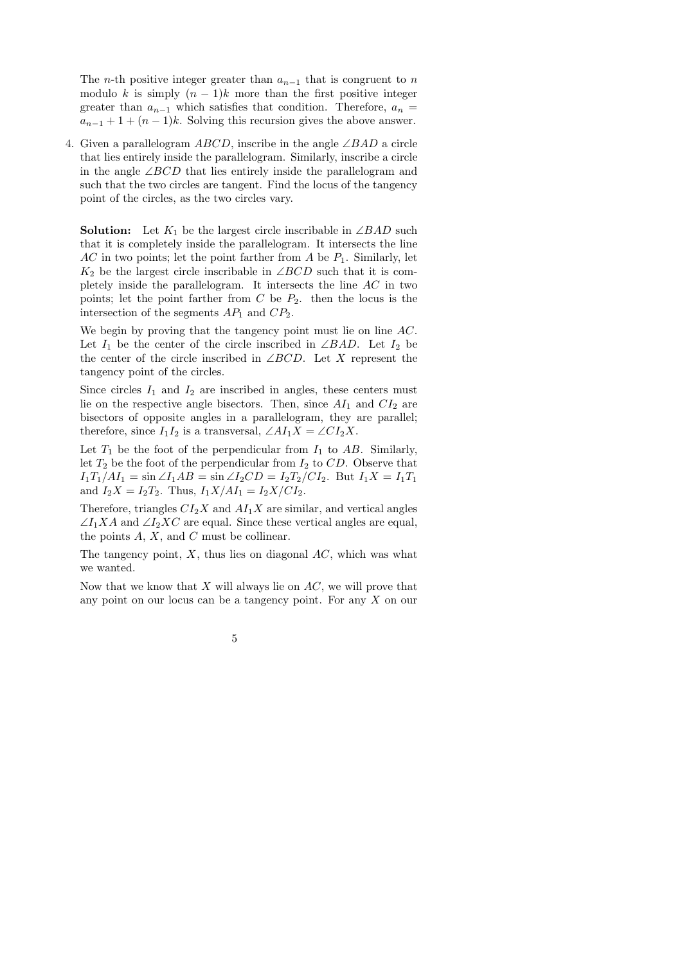The *n*-th positive integer greater than  $a_{n-1}$  that is congruent to *n* modulo k is simply  $(n - 1)k$  more than the first positive integer greater than  $a_{n-1}$  which satisfies that condition. Therefore,  $a_n =$  $a_{n-1} + 1 + (n-1)k$ . Solving this recursion gives the above answer.

4. Given a parallelogram  $ABCD$ , inscribe in the angle  $\angle BAD$  a circle that lies entirely inside the parallelogram. Similarly, inscribe a circle in the angle  $\angle BCD$  that lies entirely inside the parallelogram and such that the two circles are tangent. Find the locus of the tangency point of the circles, as the two circles vary.

**Solution:** Let  $K_1$  be the largest circle inscribable in ∠BAD such that it is completely inside the parallelogram. It intersects the line  $AC$  in two points; let the point farther from A be  $P_1$ . Similarly, let  $K_2$  be the largest circle inscribable in ∠BCD such that it is completely inside the parallelogram. It intersects the line AC in two points; let the point farther from  $C$  be  $P_2$ , then the locus is the intersection of the segments  $AP_1$  and  $CP_2$ .

We begin by proving that the tangency point must lie on line AC. Let  $I_1$  be the center of the circle inscribed in ∠BAD. Let  $I_2$  be the center of the circle inscribed in  $\angle BCD$ . Let X represent the tangency point of the circles.

Since circles  $I_1$  and  $I_2$  are inscribed in angles, these centers must lie on the respective angle bisectors. Then, since  $AI_1$  and  $CI_2$  are bisectors of opposite angles in a parallelogram, they are parallel; therefore, since  $I_1I_2$  is a transversal,  $\angle AI_1X = \angle CI_2X$ .

Let  $T_1$  be the foot of the perpendicular from  $I_1$  to  $AB$ . Similarly, let  $T_2$  be the foot of the perpendicular from  $I_2$  to  $CD$ . Observe that  $I_1T_1/AI_1 = \sin \angle I_1AB = \sin \angle I_2CD = I_2T_2/CI_2$ . But  $I_1X = I_1T_1$ and  $I_2X = I_2T_2$ . Thus,  $I_1X/AI_1 = I_2X/CI_2$ .

Therefore, triangles  $CI_2X$  and  $AI_1X$  are similar, and vertical angles  $\angle I_1 X A$  and  $\angle I_2 X C$  are equal. Since these vertical angles are equal, the points  $A, X$ , and  $C$  must be collinear.

The tangency point,  $X$ , thus lies on diagonal  $AC$ , which was what we wanted.

Now that we know that  $X$  will always lie on  $AC$ , we will prove that any point on our locus can be a tangency point. For any  $X$  on our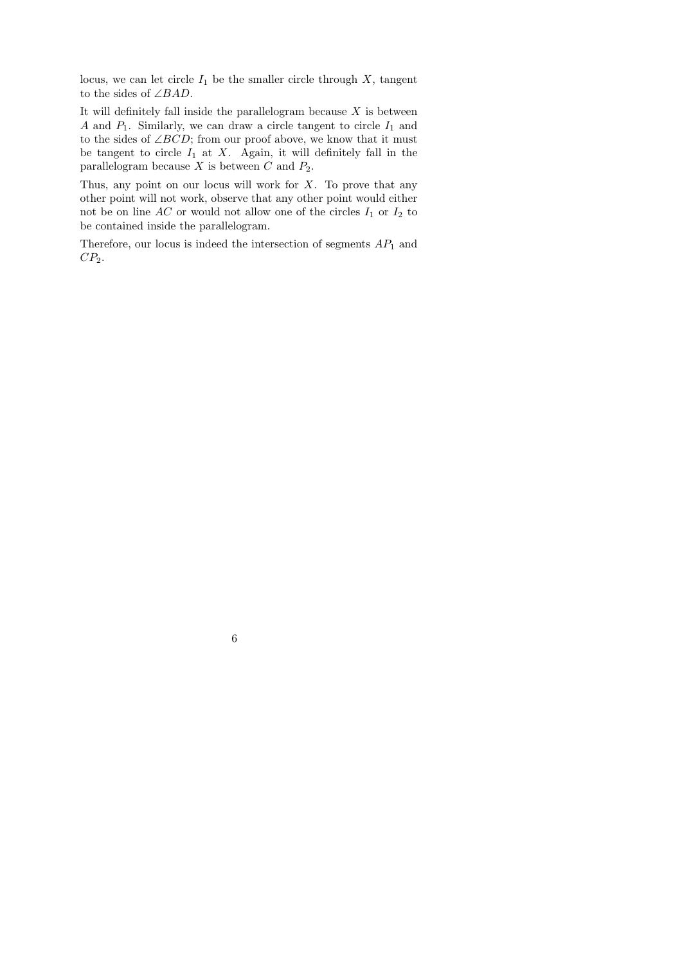locus, we can let circle  $I_1$  be the smaller circle through  $X$ , tangent to the sides of  $\angle BAD$ .

It will definitely fall inside the parallelogram because  $X$  is between A and  $P_1$ . Similarly, we can draw a circle tangent to circle  $I_1$  and to the sides of  $\angle BCD$ ; from our proof above, we know that it must be tangent to circle  $I_1$  at  $X$ . Again, it will definitely fall in the parallelogram because  $X$  is between  $C$  and  $P_2$ .

Thus, any point on our locus will work for  $X$ . To prove that any other point will not work, observe that any other point would either not be on line  $AC$  or would not allow one of the circles  $I_1$  or  $I_2$  to be contained inside the parallelogram.

Therefore, our locus is indeed the intersection of segments  $AP_1$  and  ${\cal CP}_2.$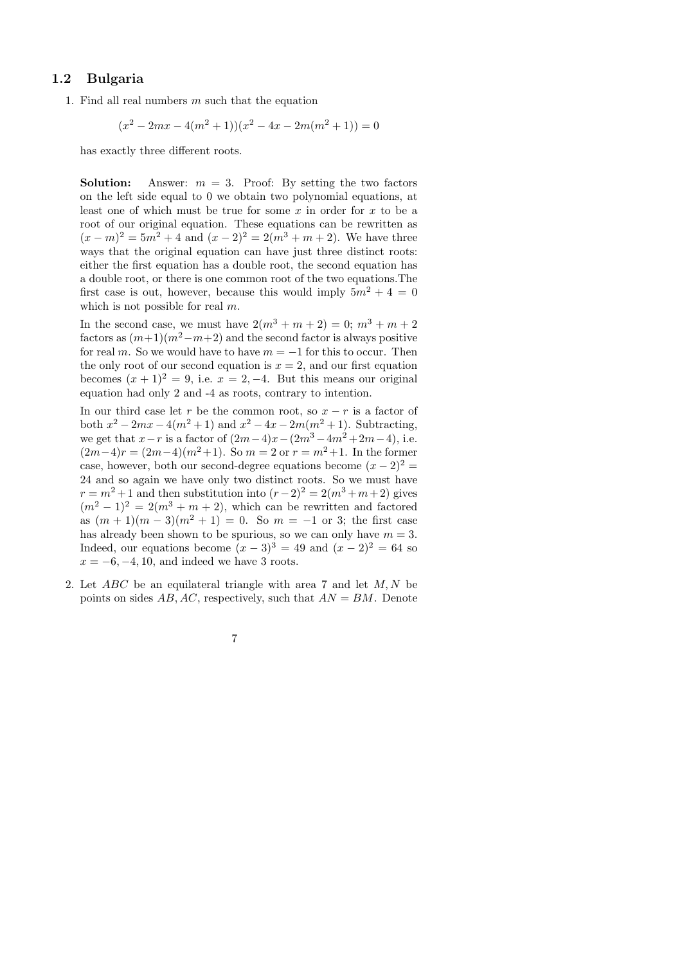### 1.2 Bulgaria

1. Find all real numbers  $m$  such that the equation

$$
(x^{2} - 2mx - 4(m^{2} + 1))(x^{2} - 4x - 2m(m^{2} + 1)) = 0
$$

has exactly three different roots.

**Solution:** Answer:  $m = 3$ . Proof: By setting the two factors on the left side equal to 0 we obtain two polynomial equations, at least one of which must be true for some  $x$  in order for  $x$  to be a root of our original equation. These equations can be rewritten as  $(x-m)^2 = 5m^2 + 4$  and  $(x-2)^2 = 2(m^3 + m + 2)$ . We have three ways that the original equation can have just three distinct roots: either the first equation has a double root, the second equation has a double root, or there is one common root of the two equations.The first case is out, however, because this would imply  $5m^2 + 4 = 0$ which is not possible for real  $m$ .

In the second case, we must have  $2(m^3 + m + 2) = 0$ ;  $m^3 + m + 2$ factors as  $(m+1)(m^2-m+2)$  and the second factor is always positive for real m. So we would have to have  $m = -1$  for this to occur. Then the only root of our second equation is  $x = 2$ , and our first equation becomes  $(x + 1)^2 = 9$ , i.e.  $x = 2, -4$ . But this means our original equation had only 2 and -4 as roots, contrary to intention.

In our third case let r be the common root, so  $x - r$  is a factor of both  $x^2 - 2mx - 4(m^2 + 1)$  and  $x^2 - 4x - 2m(m^2 + 1)$ . Subtracting, we get that  $x-r$  is a factor of  $(2m-4)x-(2m^3-4m^2+2m-4)$ , i.e.  $(2m-4)r = (2m-4)(m^2+1)$ . So  $m = 2$  or  $r = m^2+1$ . In the former case, however, both our second-degree equations become  $(x - 2)^2$  = 24 and so again we have only two distinct roots. So we must have  $r = m^2 + 1$  and then substitution into  $(r-2)^2 = 2(m^3 + m + 2)$  gives  $(m^{2} - 1)^{2} = 2(m^{3} + m + 2)$ , which can be rewritten and factored as  $(m + 1)(m - 3)(m^{2} + 1) = 0$ . So  $m = -1$  or 3; the first case has already been shown to be spurious, so we can only have  $m = 3$ . Indeed, our equations become  $(x-3)^3 = 49$  and  $(x-2)^2 = 64$  so  $x = -6, -4, 10,$  and indeed we have 3 roots.

2. Let  $ABC$  be an equilateral triangle with area 7 and let  $M, N$  be points on sides AB, AC, respectively, such that  $AN = BM$ . Denote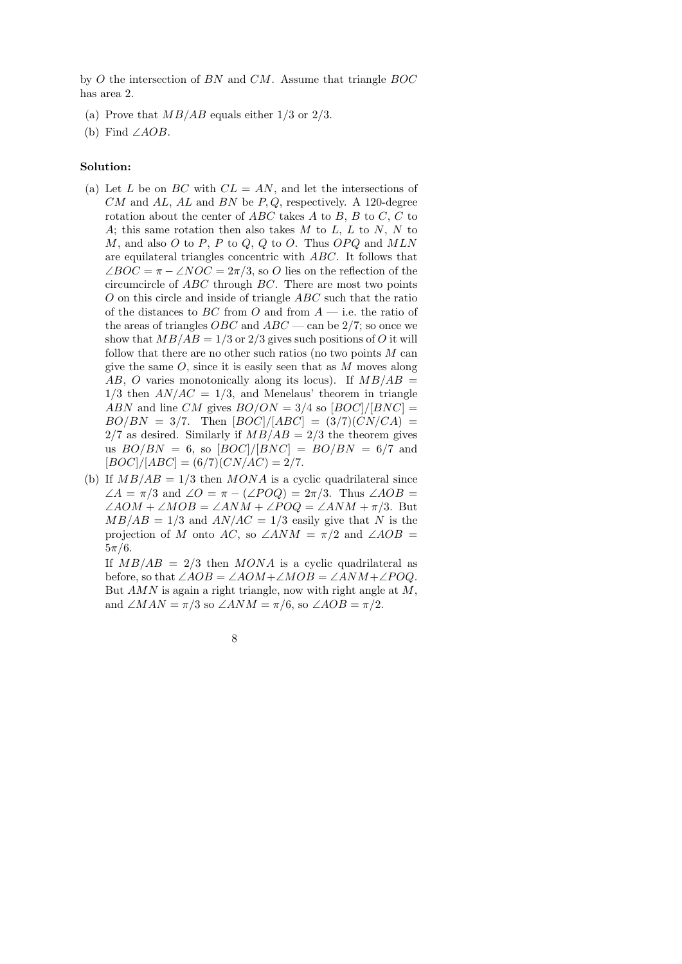by O the intersection of BN and CM. Assume that triangle BOC has area 2.

- (a) Prove that  $MB/AB$  equals either 1/3 or 2/3.
- (b) Find ∠AOB.

#### Solution:

- (a) Let L be on BC with  $CL = AN$ , and let the intersections of  $CM$  and  $AL$ ,  $AL$  and  $BN$  be  $P$ ,  $Q$ , respectively. A 120-degree rotation about the center of  $ABC$  takes  $A$  to  $B$ ,  $B$  to  $C$ ,  $C$  to A; this same rotation then also takes  $M$  to  $L$ ,  $L$  to  $N$ ,  $N$  to  $M$ , and also  $O$  to  $P$ ,  $P$  to  $Q$ ,  $Q$  to  $O$ . Thus  $OPQ$  and  $MLN$ are equilateral triangles concentric with ABC. It follows that  $\angle BOC = \pi - \angle NOC = 2\pi/3$ , so O lies on the reflection of the circumcircle of ABC through BC. There are most two points O on this circle and inside of triangle ABC such that the ratio of the distances to  $BC$  from O and from  $A$  — i.e. the ratio of the areas of triangles  $OBC$  and  $ABC$  — can be 2/7; so once we show that  $MB/AB = 1/3$  or 2/3 gives such positions of O it will follow that there are no other such ratios (no two points  $M$  can give the same  $O$ , since it is easily seen that as  $M$  moves along AB, O varies monotonically along its locus). If  $MB/AB =$  $1/3$  then  $AN/AC = 1/3$ , and Menelaus' theorem in triangle ABN and line CM gives  $BO/ON = 3/4$  so  $[BOC]/[BNC] =$  $BO/BN = 3/7$ . Then  $[BOC]/[ABC] = (3/7)(CN/CA)$  $2/7$  as desired. Similarly if  $MB/AB = 2/3$  the theorem gives us  $BO/BN = 6$ , so  $[BOC]/[BNC] = BO/BN = 6/7$  and  $[BOC]/[ABC] = (6/7)(CN/AC) = 2/7.$
- (b) If  $MB/AB = 1/3$  then MONA is a cyclic quadrilateral since  $\angle A = \pi/3$  and  $\angle O = \pi - (\angle POQ) = 2\pi/3$ . Thus  $\angle AOB =$  $\angle AOM + \angle MOB = \angle ANM + \angle POQ = \angle ANM + \pi/3$ . But  $MB/AB = 1/3$  and  $AN/AC = 1/3$  easily give that N is the projection of M onto AC, so  $\angle ANM = \pi/2$  and  $\angle AOB =$  $5\pi/6$ .

If  $MB/AB = 2/3$  then MONA is a cyclic quadrilateral as before, so that  $\angle AOB = \angle AOM + \angle MOB = \angle ANM + \angle POQ$ . But  $AMN$  is again a right triangle, now with right angle at  $M$ , and  $\angle MAN = \pi/3$  so  $\angle ANN = \pi/6$ , so  $\angle AOB = \pi/2$ .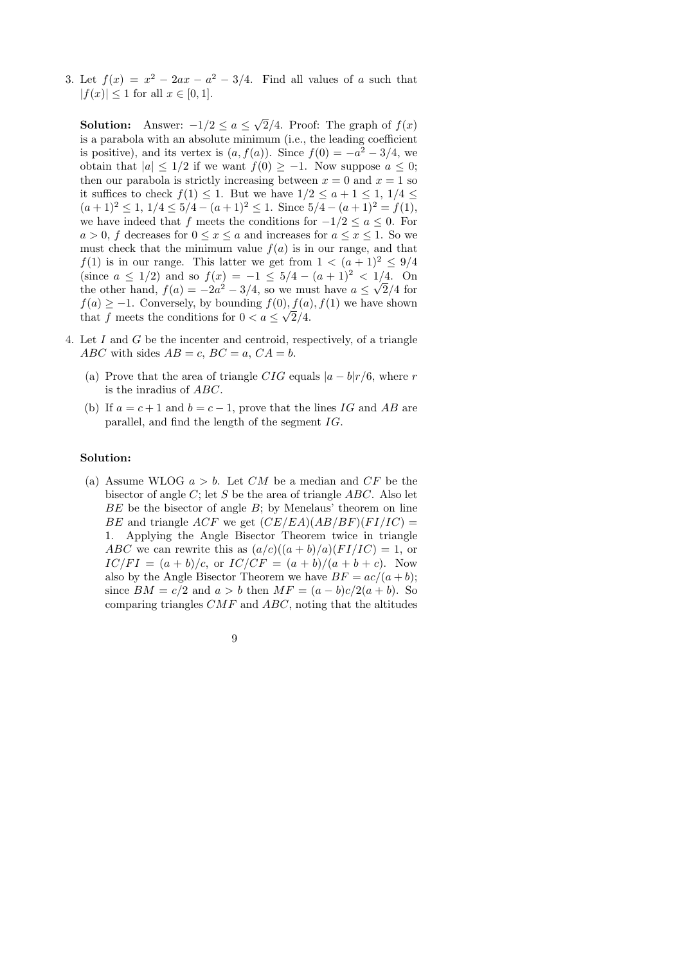3. Let  $f(x) = x^2 - 2ax - a^2 - 3/4$ . Find all values of a such that  $|f(x)| \le 1$  for all  $x \in [0,1]$ .

Solution: Answer:  $-1/2 \le a \le$ √ 2/4. Proof: The graph of  $f(x)$ is a parabola with an absolute minimum (i.e., the leading coefficient is positive), and its vertex is  $(a, f(a))$ . Since  $f(0) = -a^2 - 3/4$ , we obtain that  $|a| \leq 1/2$  if we want  $f(0) \geq -1$ . Now suppose  $a \leq 0$ ; then our parabola is strictly increasing between  $x = 0$  and  $x = 1$  so it suffices to check  $f(1) \leq 1$ . But we have  $1/2 \leq a+1 \leq 1$ ,  $1/4 \leq$  $(a+1)^2 \leq 1, 1/4 \leq 5/4 - (a+1)^2 \leq 1.$  Since  $5/4 - (a+1)^2 = f(1)$ , we have indeed that f meets the conditions for  $-1/2 < a < 0$ . For  $a > 0$ , f decreases for  $0 \le x \le a$  and increases for  $a \le x \le 1$ . So we must check that the minimum value  $f(a)$  is in our range, and that  $f(1)$  is in our range. This latter we get from  $1 < (a+1)^2 \leq 9/4$ (since  $a \leq 1/2$ ) and so  $f(x) = -1 \leq 5/4 - (a+1)^2 < 1/4$ . On the other hand,  $f(a) = -2a^2 - 3/4$ , so we must have  $a \leq$  $_{1/}$  $2/4$  for  $f(a) \geq -1$ . Conversely, by bounding  $f(0), f(a), f(1)$  we have shown that f meets the conditions for  $0 < a \leq \sqrt{2}/4$ .

- 4. Let I and G be the incenter and centroid, respectively, of a triangle ABC with sides  $AB = c$ ,  $BC = a$ ,  $CA = b$ .
	- (a) Prove that the area of triangle CIG equals  $|a b|r/6$ , where r is the inradius of ABC.
	- (b) If  $a = c + 1$  and  $b = c 1$ , prove that the lines IG and AB are parallel, and find the length of the segment IG.

#### Solution:

(a) Assume WLOG  $a > b$ . Let CM be a median and CF be the bisector of angle  $C$ ; let S be the area of triangle  $ABC$ . Also let  $BE$  be the bisector of angle  $B$ ; by Menelaus' theorem on line BE and triangle ACF we get  $(CE/EA)(AB/BF)(FI/IC)$ 1. Applying the Angle Bisector Theorem twice in triangle ABC we can rewrite this as  $(a/c)((a + b)/a)(FI/IC) = 1$ , or  $IC/FI = (a + b)/c$ , or  $IC/CF = (a + b)/(a + b + c)$ . Now also by the Angle Bisector Theorem we have  $BF = ac/(a + b)$ ; since  $BM = c/2$  and  $a > b$  then  $MF = (a - b)c/2(a + b)$ . So comparing triangles  $CMF$  and  $ABC$ , noting that the altitudes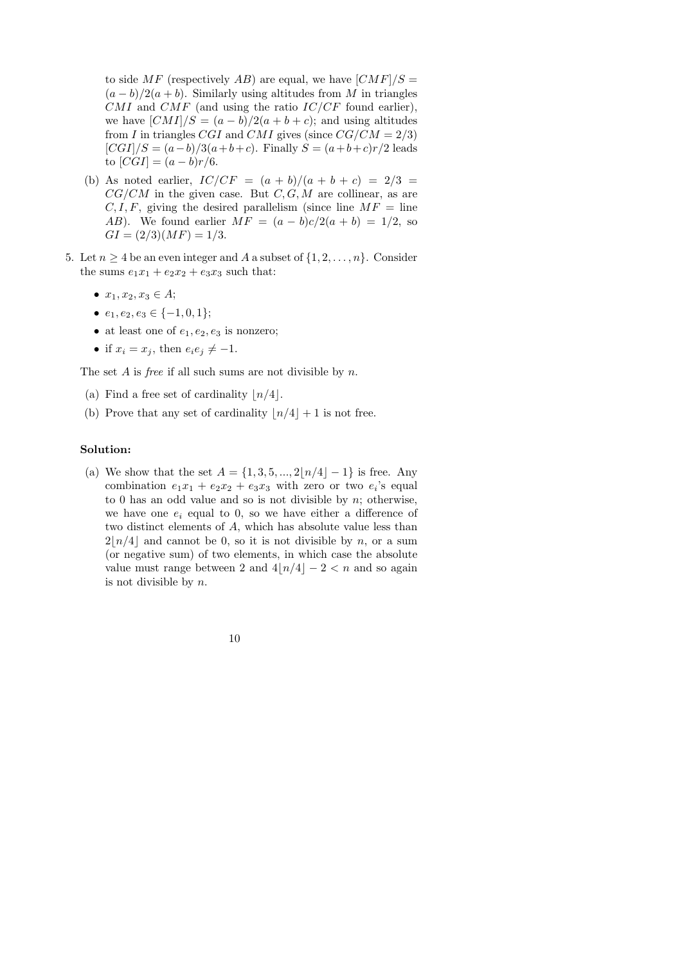to side MF (respectively AB) are equal, we have  $[CMF]/S =$  $(a - b)/2(a + b)$ . Similarly using altitudes from M in triangles  $CMI$  and  $CMF$  (and using the ratio  $IC/CF$  found earlier), we have  $\left[\frac{CMI}{S}\right] = \frac{(a-b)}{2(a+b+c)}$ ; and using altitudes from I in triangles CGI and CMI gives (since  $CG/CM = 2/3$ )  $[CGI]/S = (a - b)/3(a + b + c)$ . Finally  $S = (a + b + c)r/2$  leads to  $[CGI] = (a - b)r/6$ .

- (b) As noted earlier,  $IC/CF = (a + b)/(a + b + c) = 2/3$  $CG/CM$  in the given case. But  $C, G, M$  are collinear, as are  $C, I, F$ , giving the desired parallelism (since line  $MF =$  line AB). We found earlier  $MF = (a - b)c/2(a + b) = 1/2$ , so  $GI = (2/3)(MF) = 1/3.$
- 5. Let  $n \geq 4$  be an even integer and A a subset of  $\{1, 2, \ldots, n\}$ . Consider the sums  $e_1x_1 + e_2x_2 + e_3x_3$  such that:
	- $x_1, x_2, x_3 \in A;$
	- $e_1, e_2, e_3 \in \{-1, 0, 1\};$
	- at least one of  $e_1, e_2, e_3$  is nonzero;
	- if  $x_i = x_j$ , then  $e_i e_j \neq -1$ .

The set  $A$  is *free* if all such sums are not divisible by  $n$ .

- (a) Find a free set of cardinality  $\lfloor n/4 \rfloor$ .
- (b) Prove that any set of cardinality  $\vert n/4 \vert + 1$  is not free.

#### Solution:

(a) We show that the set  $A = \{1, 3, 5, ..., 2|n/4 - 1\}$  is free. Any combination  $e_1x_1 + e_2x_2 + e_3x_3$  with zero or two  $e_i$ 's equal to 0 has an odd value and so is not divisible by  $n$ ; otherwise, we have one  $e_i$  equal to 0, so we have either a difference of two distinct elements of A, which has absolute value less than  $2|n/4|$  and cannot be 0, so it is not divisible by n, or a sum (or negative sum) of two elements, in which case the absolute value must range between 2 and  $4|n/4| - 2 < n$  and so again is not divisible by  $n$ .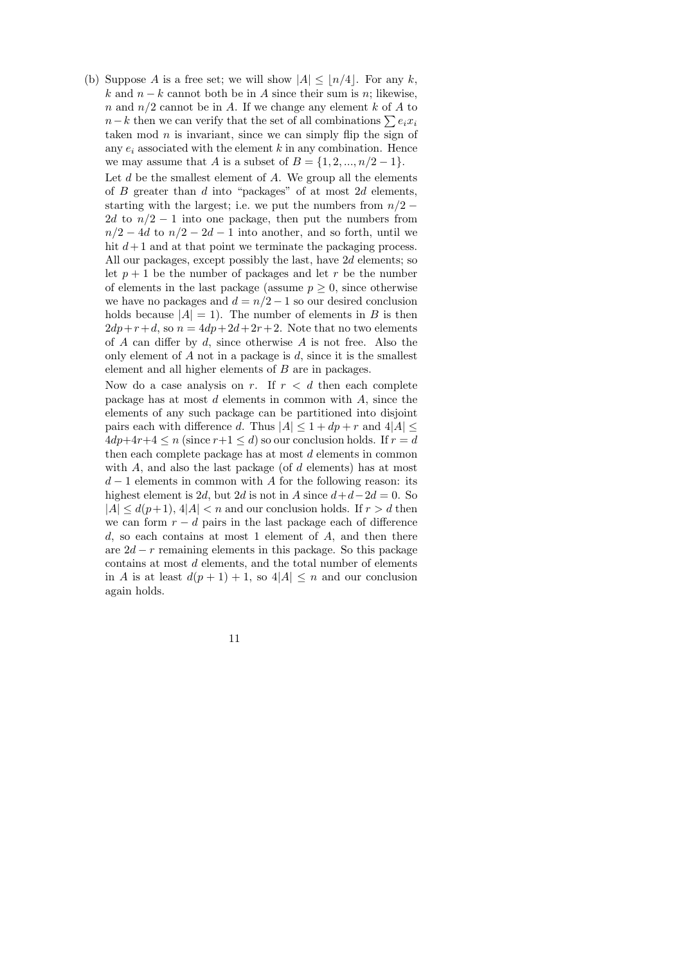(b) Suppose A is a free set; we will show  $|A| \leq |n/4|$ . For any k, k and  $n - k$  cannot both be in A since their sum is n; likewise, n and  $n/2$  cannot be in A. If we change any element k of A to  $n-k$  then we can verify that the set of all combinations  $\sum e_i x_i$ taken mod  $n$  is invariant, since we can simply flip the sign of any  $e_i$  associated with the element k in any combination. Hence we may assume that A is a subset of  $B = \{1, 2, ..., n/2 - 1\}.$ 

Let  $d$  be the smallest element of  $A$ . We group all the elements of  $B$  greater than  $d$  into "packages" of at most  $2d$  elements, starting with the largest; i.e. we put the numbers from  $n/2 -$ 2d to  $n/2 - 1$  into one package, then put the numbers from  $n/2 - 4d$  to  $n/2 - 2d - 1$  into another, and so forth, until we hit  $d+1$  and at that point we terminate the packaging process. All our packages, except possibly the last, have 2d elements; so let  $p + 1$  be the number of packages and let r be the number of elements in the last package (assume  $p \geq 0$ , since otherwise we have no packages and  $d = n/2 - 1$  so our desired conclusion holds because  $|A| = 1$ . The number of elements in B is then  $2dp+r+d$ , so  $n = 4dp+2d+2r+2$ . Note that no two elements of  $A$  can differ by  $d$ , since otherwise  $A$  is not free. Also the only element of  $A$  not in a package is  $d$ , since it is the smallest element and all higher elements of B are in packages.

Now do a case analysis on r. If  $r < d$  then each complete package has at most  $d$  elements in common with  $A$ , since the elements of any such package can be partitioned into disjoint pairs each with difference d. Thus  $|A| \leq 1 + dp + r$  and  $4|A| \leq$  $4dp+4r+4 \le n$  (since  $r+1 \le d$ ) so our conclusion holds. If  $r = d$ then each complete package has at most  $d$  elements in common with  $A$ , and also the last package (of  $d$  elements) has at most  $d-1$  elements in common with A for the following reason: its highest element is 2d, but 2d is not in A since  $d+d-2d = 0$ . So  $|A| \leq d(p+1), 4|A| < n$  and our conclusion holds. If  $r > d$  then we can form  $r - d$  pairs in the last package each of difference d, so each contains at most 1 element of A, and then there are  $2d - r$  remaining elements in this package. So this package contains at most d elements, and the total number of elements in A is at least  $d(p+1)+1$ , so  $4|A| \leq n$  and our conclusion again holds.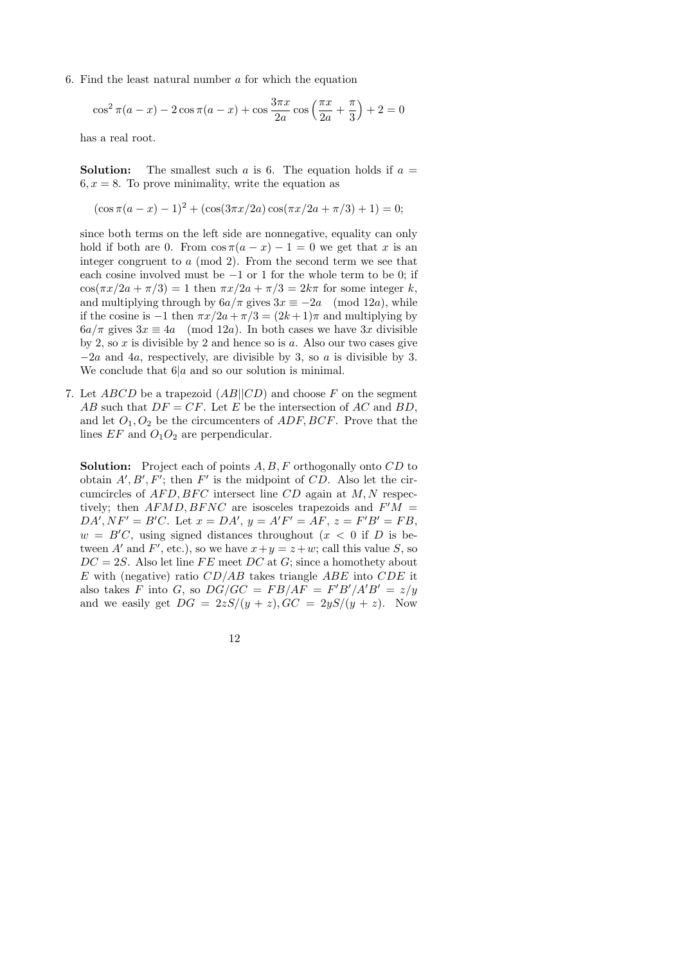6. Find the least natural number a for which the equation

$$
\cos^2 \pi (a - x) - 2\cos \pi (a - x) + \cos \frac{3\pi x}{2a} \cos \left(\frac{\pi x}{2a} + \frac{\pi}{3}\right) + 2 = 0
$$

has a real root.

**Solution:** The smallest such a is 6. The equation holds if  $a =$  $6, x = 8$ . To prove minimality, write the equation as

$$
(\cos \pi(a - x) - 1)^2 + (\cos(3\pi x/2a)\cos(\pi x/2a + \pi/3) + 1) = 0;
$$

since both terms on the left side are nonnegative, equality can only hold if both are 0. From  $\cos \pi(a-x) - 1 = 0$  we get that x is an integer congruent to a (mod 2). From the second term we see that each cosine involved must be −1 or 1 for the whole term to be 0; if  $\cos(\pi x/2a + \pi/3) = 1$  then  $\pi x/2a + \pi/3 = 2k\pi$  for some integer k, and multiplying through by  $6a/\pi$  gives  $3x \equiv -2a \pmod{12a}$ , while if the cosine is  $-1$  then  $\pi x/2a + \pi/3 = (2k+1)\pi$  and multiplying by  $6a/\pi$  gives  $3x \equiv 4a \pmod{12a}$ . In both cases we have  $3x$  divisible by 2, so  $x$  is divisible by 2 and hence so is  $a$ . Also our two cases give  $-2a$  and 4a, respectively, are divisible by 3, so a is divisible by 3. We conclude that  $6|a$  and so our solution is minimal.

7. Let  $ABCD$  be a trapezoid  $(AB||CD)$  and choose F on the segment AB such that  $DF = CF$ . Let E be the intersection of AC and BD, and let  $O_1, O_2$  be the circumcenters of  $ADF, BCF$ . Prove that the lines  $EF$  and  $O_1O_2$  are perpendicular.

**Solution:** Project each of points  $A, B, F$  orthogonally onto  $CD$  to obtain  $A', B', F'$ ; then F' is the midpoint of  $\overline{CD}$ . Also let the circumcircles of  $AFD, BFC$  intersect line  $CD$  again at  $M, N$  respectively; then  $AFMD, BFNC$  are isosceles trapezoids and  $F'M =$  $DA', NF' = B'C.$  Let  $x = DA', y = A'F' = AF, z = F'B' = FB,$  $w = B'C$ , using signed distances throughout  $(x < 0$  if D is between A' and F', etc.), so we have  $x+y=z+w$ ; call this value S, so  $DC = 2S$ . Also let line FE meet DC at G; since a homothety about  $E$  with (negative) ratio  $CD/AB$  takes triangle  $ABE$  into  $CDE$  it also takes F into G, so  $DG/GC = FB/AF = F'B'A'B' = z/y$ and we easily get  $DG = 2zS/(y + z)$ ,  $GC = 2yS/(y + z)$ . Now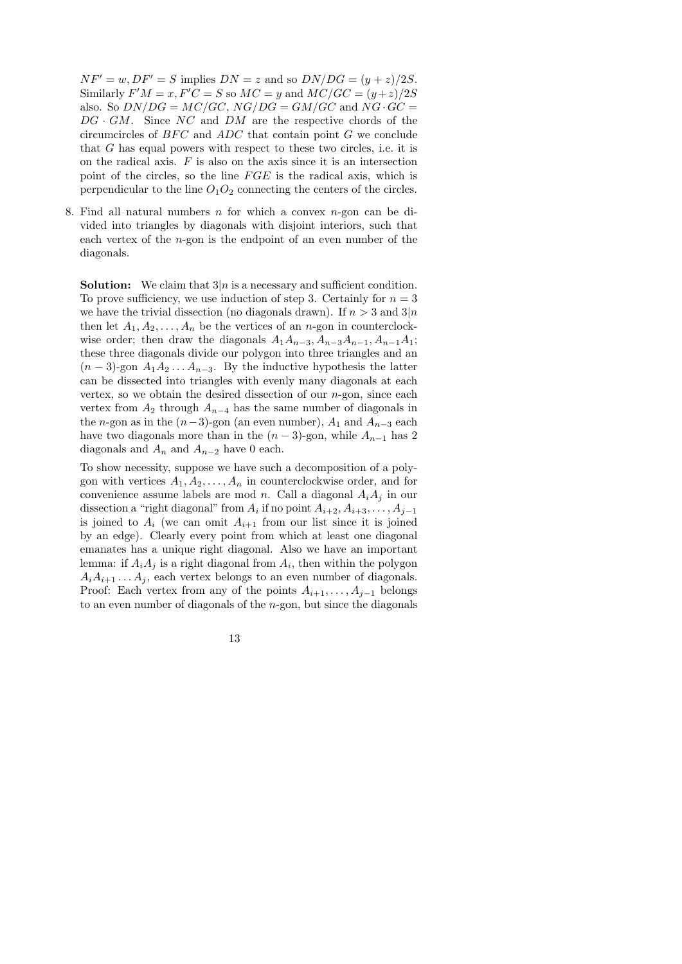$NF' = w, DF' = S$  implies  $DN = z$  and so  $DN/DG = (y + z)/2S$ . Similarly  $F'M = x, F'C = S$  so  $MC = y$  and  $MC/GC = (y+z)/2S$ also. So  $DN/DG = MC/GC$ ,  $NG/DG = GM/GC$  and  $NG \cdot GC =$  $DG \cdot GM$ . Since NC and DM are the respective chords of the circumcircles of  $BFC$  and  $ADC$  that contain point  $G$  we conclude that G has equal powers with respect to these two circles, i.e. it is on the radical axis.  $F$  is also on the axis since it is an intersection point of the circles, so the line  $FGE$  is the radical axis, which is perpendicular to the line  $O_1O_2$  connecting the centers of the circles.

8. Find all natural numbers n for which a convex  $n$ -gon can be divided into triangles by diagonals with disjoint interiors, such that each vertex of the  $n$ -gon is the endpoint of an even number of the diagonals.

**Solution:** We claim that  $3|n$  is a necessary and sufficient condition. To prove sufficiency, we use induction of step 3. Certainly for  $n = 3$ we have the trivial dissection (no diagonals drawn). If  $n > 3$  and  $3|n$ then let  $A_1, A_2, \ldots, A_n$  be the vertices of an *n*-gon in counterclockwise order; then draw the diagonals  $A_1A_{n-3}, A_{n-3}A_{n-1}, A_{n-1}A_1;$ these three diagonals divide our polygon into three triangles and an  $(n-3)$ -gon  $A_1A_2...A_{n-3}$ . By the inductive hypothesis the latter can be dissected into triangles with evenly many diagonals at each vertex, so we obtain the desired dissection of our  $n$ -gon, since each vertex from  $A_2$  through  $A_{n-4}$  has the same number of diagonals in the n-gon as in the  $(n-3)$ -gon (an even number),  $A_1$  and  $A_{n-3}$  each have two diagonals more than in the  $(n-3)$ -gon, while  $A_{n-1}$  has 2 diagonals and  $A_n$  and  $A_{n-2}$  have 0 each.

To show necessity, suppose we have such a decomposition of a polygon with vertices  $A_1, A_2, \ldots, A_n$  in counterclockwise order, and for convenience assume labels are mod n. Call a diagonal  $A_i A_j$  in our dissection a "right diagonal" from  $A_i$  if no point  $A_{i+2}, A_{i+3}, \ldots, A_{j-1}$ is joined to  $A_i$  (we can omit  $A_{i+1}$  from our list since it is joined by an edge). Clearly every point from which at least one diagonal emanates has a unique right diagonal. Also we have an important lemma: if  $A_i A_j$  is a right diagonal from  $A_i$ , then within the polygon  $A_iA_{i+1} \ldots A_j$ , each vertex belongs to an even number of diagonals. Proof: Each vertex from any of the points  $A_{i+1}, \ldots, A_{i-1}$  belongs to an even number of diagonals of the  $n$ -gon, but since the diagonals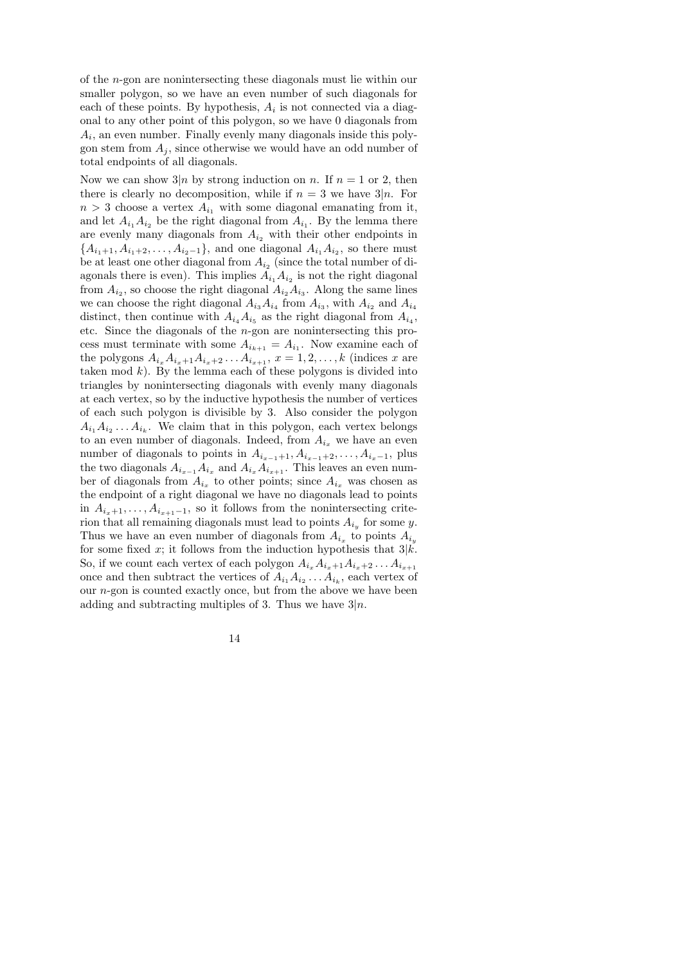of the n-gon are nonintersecting these diagonals must lie within our smaller polygon, so we have an even number of such diagonals for each of these points. By hypothesis,  $A_i$  is not connected via a diagonal to any other point of this polygon, so we have 0 diagonals from  $A_i$ , an even number. Finally evenly many diagonals inside this polygon stem from  $A_i$ , since otherwise we would have an odd number of total endpoints of all diagonals.

Now we can show  $3|n$  by strong induction on n. If  $n = 1$  or 2, then there is clearly no decomposition, while if  $n = 3$  we have  $3|n$ . For  $n > 3$  choose a vertex  $A_{i_1}$  with some diagonal emanating from it, and let  $A_{i_1}A_{i_2}$  be the right diagonal from  $A_{i_1}$ . By the lemma there are evenly many diagonals from  $A_{i_2}$  with their other endpoints in  ${A_{i_1+1}, A_{i_1+2}, \ldots, A_{i_2-1}}$ , and one diagonal  $A_{i_1}A_{i_2}$ , so there must be at least one other diagonal from  $A_{i_2}$  (since the total number of diagonals there is even). This implies  $A_{i_1} A_{i_2}$  is not the right diagonal from  $A_{i_2}$ , so choose the right diagonal  $A_{i_2}A_{i_3}$ . Along the same lines we can choose the right diagonal  $A_{i_3}A_{i_4}$  from  $A_{i_3}$ , with  $A_{i_2}$  and  $A_{i_4}$ distinct, then continue with  $A_{i_4}A_{i_5}$  as the right diagonal from  $A_{i_4}$ , etc. Since the diagonals of the n-gon are nonintersecting this process must terminate with some  $A_{i_{k+1}} = A_{i_1}$ . Now examine each of the polygons  $A_{i_x}A_{i_x+1}A_{i_x+2}...A_{i_{x+1}}$ ,  $x = 1, 2, ..., k$  (indices x are taken mod  $k$ ). By the lemma each of these polygons is divided into triangles by nonintersecting diagonals with evenly many diagonals at each vertex, so by the inductive hypothesis the number of vertices of each such polygon is divisible by 3. Also consider the polygon  $A_{i_1}A_{i_2}\ldots A_{i_k}$ . We claim that in this polygon, each vertex belongs to an even number of diagonals. Indeed, from  $A_{i_x}$  we have an even number of diagonals to points in  $A_{i_{x-1}+1}, A_{i_{x-1}+2}, \ldots, A_{i_{x}-1}$ , plus the two diagonals  $A_{i_{x-1}}A_{i_x}$  and  $A_{i_x}A_{i_{x+1}}$ . This leaves an even number of diagonals from  $A_{i_x}$  to other points; since  $A_{i_x}$  was chosen as the endpoint of a right diagonal we have no diagonals lead to points in  $A_{i_x+1}, \ldots, A_{i_{x+1}-1}$ , so it follows from the nonintersecting criterion that all remaining diagonals must lead to points  $A_{i_y}$  for some y. Thus we have an even number of diagonals from  $A_{i_x}$  to points  $A_{i_y}$ for some fixed x; it follows from the induction hypothesis that  $3|k$ . So, if we count each vertex of each polygon  $A_{i_x}A_{i_x+1}A_{i_x+2}\ldots A_{i_{x+1}}$ once and then subtract the vertices of  $A_{i_1}A_{i_2}\ldots A_{i_k}$ , each vertex of our  $n$ -gon is counted exactly once, but from the above we have been adding and subtracting multiples of 3. Thus we have  $3|n$ .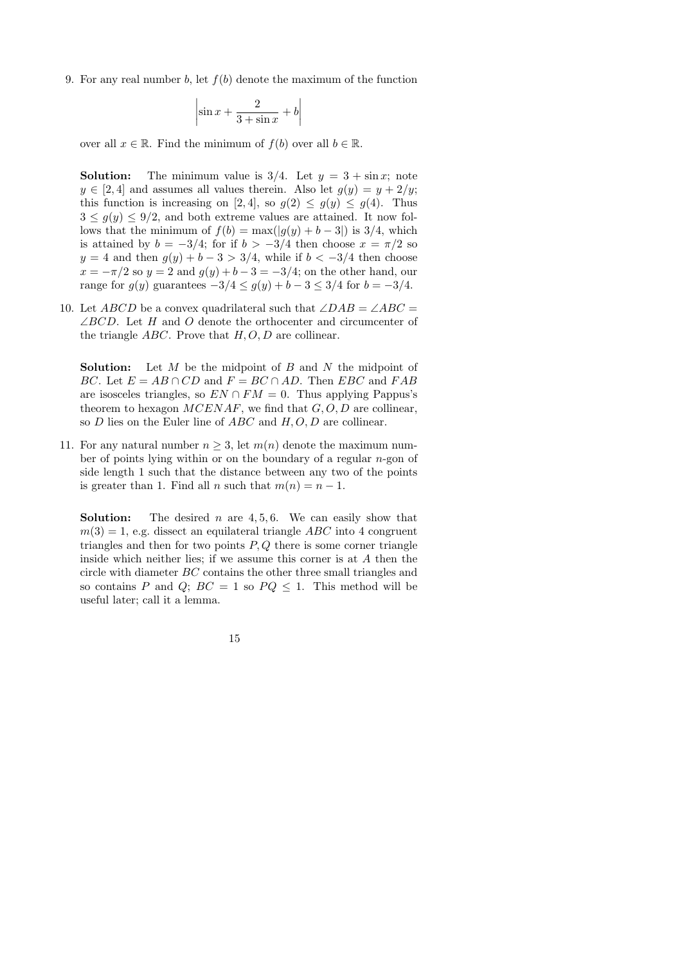9. For any real number b, let  $f(b)$  denote the maximum of the function

$$
\left|\sin x + \frac{2}{3+\sin x} + b\right|
$$

over all  $x \in \mathbb{R}$ . Find the minimum of  $f(b)$  over all  $b \in \mathbb{R}$ .

**Solution:** The minimum value is  $3/4$ . Let  $y = 3 + \sin x$ ; note  $y \in [2, 4]$  and assumes all values therein. Also let  $g(y) = y + 2/y$ ; this function is increasing on [2, 4], so  $g(2) \le g(y) \le g(4)$ . Thus  $3 \leq g(y) \leq 9/2$ , and both extreme values are attained. It now follows that the minimum of  $f(b) = \max(|g(y) + b - 3|)$  is 3/4, which is attained by  $b = -3/4$ ; for if  $b > -3/4$  then choose  $x = \pi/2$  so  $y = 4$  and then  $g(y) + b - 3 > 3/4$ , while if  $b < -3/4$  then choose  $x = -\pi/2$  so  $y = 2$  and  $g(y) + b - 3 = -3/4$ ; on the other hand, our range for  $g(y)$  guarantees  $-3/4 \le g(y) + b - 3 \le 3/4$  for  $b = -3/4$ .

10. Let ABCD be a convex quadrilateral such that  $\angle DAB = \angle ABC =$  $\angle BCD$ . Let H and O denote the orthocenter and circumcenter of the triangle  $ABC$ . Prove that  $H, O, D$  are collinear.

**Solution:** Let  $M$  be the midpoint of  $B$  and  $N$  the midpoint of *BC*. Let  $E = AB \cap CD$  and  $F = BC \cap AD$ . Then *EBC* and *FAB* are isosceles triangles, so  $EN \cap FM = 0$ . Thus applying Pappus's theorem to hexagon  $MCENAF$ , we find that  $G, O, D$  are collinear, so D lies on the Euler line of ABC and H, O, D are collinear.

11. For any natural number  $n \geq 3$ , let  $m(n)$  denote the maximum number of points lying within or on the boundary of a regular n-gon of side length 1 such that the distance between any two of the points is greater than 1. Find all n such that  $m(n) = n - 1$ .

**Solution:** The desired *n* are  $4, 5, 6$ . We can easily show that  $m(3) = 1$ , e.g. dissect an equilateral triangle ABC into 4 congruent triangles and then for two points  $P, Q$  there is some corner triangle inside which neither lies; if we assume this corner is at  $A$  then the circle with diameter BC contains the other three small triangles and so contains P and Q;  $BC = 1$  so  $PQ \le 1$ . This method will be useful later; call it a lemma.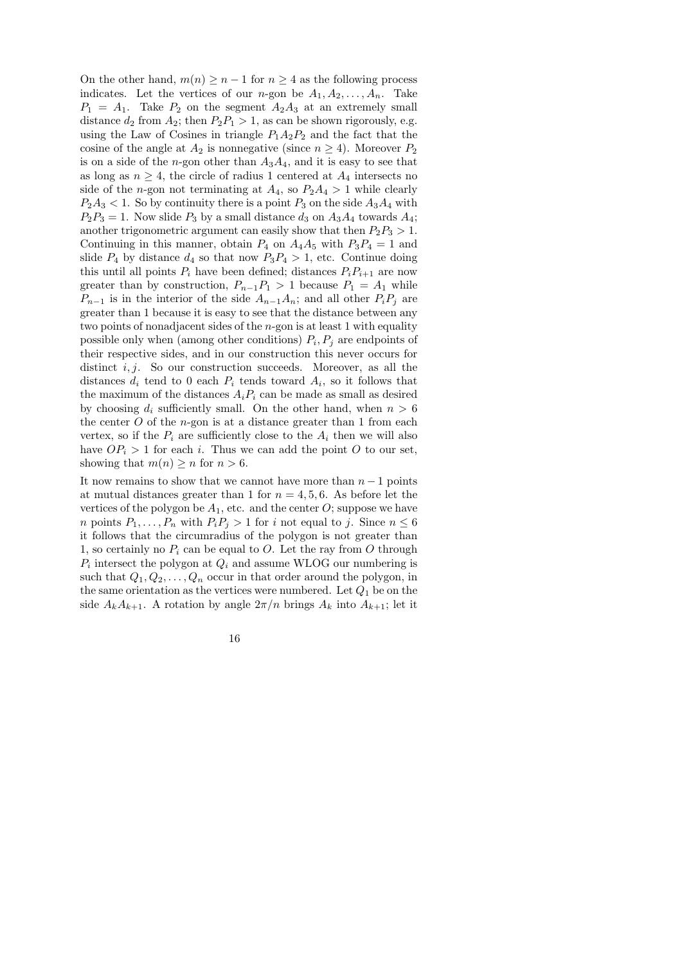On the other hand,  $m(n) \geq n-1$  for  $n \geq 4$  as the following process indicates. Let the vertices of our *n*-gon be  $A_1, A_2, \ldots, A_n$ . Take  $P_1 = A_1$ . Take  $P_2$  on the segment  $A_2A_3$  at an extremely small distance  $d_2$  from  $A_2$ ; then  $P_2P_1 > 1$ , as can be shown rigorously, e.g. using the Law of Cosines in triangle  $P_1A_2P_2$  and the fact that the cosine of the angle at  $A_2$  is nonnegative (since  $n \geq 4$ ). Moreover  $P_2$ is on a side of the *n*-gon other than  $A_3A_4$ , and it is easy to see that as long as  $n \geq 4$ , the circle of radius 1 centered at  $A_4$  intersects no side of the *n*-gon not terminating at  $A_4$ , so  $P_2A_4 > 1$  while clearly  $P_2A_3 < 1$ . So by continuity there is a point  $P_3$  on the side  $A_3A_4$  with  $P_2P_3 = 1$ . Now slide  $P_3$  by a small distance  $d_3$  on  $A_3A_4$  towards  $A_4$ ; another trigonometric argument can easily show that then  $P_2P_3 > 1$ . Continuing in this manner, obtain  $P_4$  on  $A_4A_5$  with  $P_3P_4 = 1$  and slide  $P_4$  by distance  $d_4$  so that now  $P_3P_4 > 1$ , etc. Continue doing this until all points  $P_i$  have been defined; distances  $P_i P_{i+1}$  are now greater than by construction,  $P_{n-1}P_1 > 1$  because  $P_1 = A_1$  while  $P_{n-1}$  is in the interior of the side  $A_{n-1}A_n$ ; and all other  $P_iP_j$  are greater than 1 because it is easy to see that the distance between any two points of nonadjacent sides of the n-gon is at least 1 with equality possible only when (among other conditions)  $P_i, P_j$  are endpoints of their respective sides, and in our construction this never occurs for distinct  $i, j$ . So our construction succeeds. Moreover, as all the distances  $d_i$  tend to 0 each  $P_i$  tends toward  $A_i$ , so it follows that the maximum of the distances  $A_iP_i$  can be made as small as desired by choosing  $d_i$  sufficiently small. On the other hand, when  $n > 6$ the center  $O$  of the *n*-gon is at a distance greater than 1 from each vertex, so if the  $P_i$  are sufficiently close to the  $A_i$  then we will also have  $OP_i > 1$  for each i. Thus we can add the point O to our set, showing that  $m(n) \geq n$  for  $n > 6$ .

It now remains to show that we cannot have more than  $n-1$  points at mutual distances greater than 1 for  $n = 4, 5, 6$ . As before let the vertices of the polygon be  $A_1$ , etc. and the center O; suppose we have *n* points  $P_1, \ldots, P_n$  with  $P_i P_j > 1$  for *i* not equal to *j*. Since  $n \leq 6$ it follows that the circumradius of the polygon is not greater than 1, so certainly no  $P_i$  can be equal to O. Let the ray from O through  $P_i$  intersect the polygon at  $Q_i$  and assume WLOG our numbering is such that  $Q_1, Q_2, \ldots, Q_n$  occur in that order around the polygon, in the same orientation as the vertices were numbered. Let  $Q_1$  be on the side  $A_k A_{k+1}$ . A rotation by angle  $2\pi/n$  brings  $A_k$  into  $A_{k+1}$ ; let it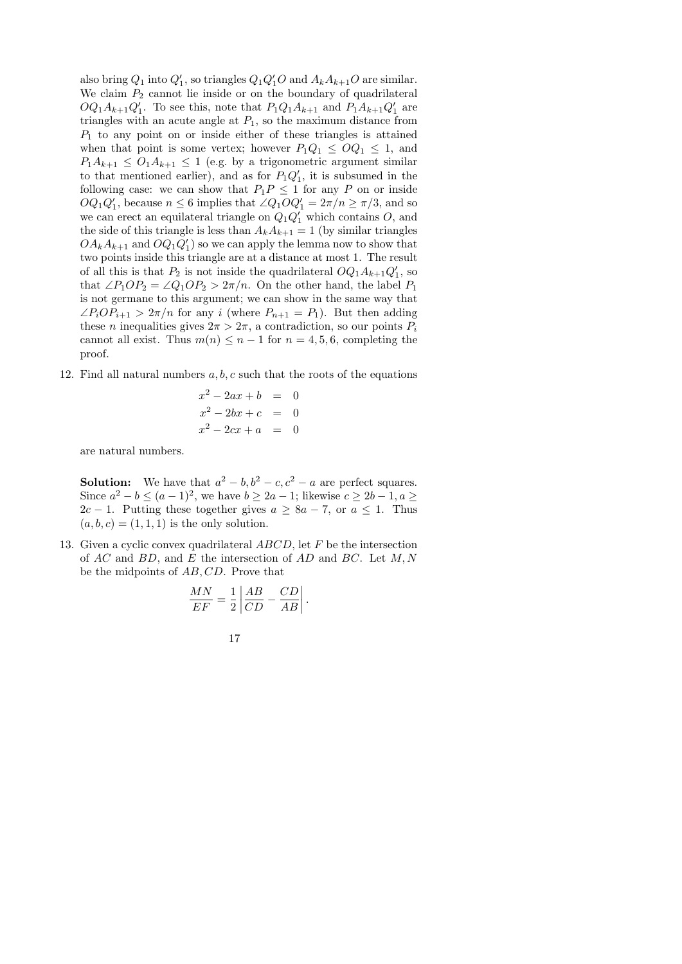also bring  $Q_1$  into  $Q'_1$ , so triangles  $Q_1Q'_1O$  and  $A_kA_{k+1}O$  are similar. We claim  $P_2$  cannot lie inside or on the boundary of quadrilateral  $OQ_1A_{k+1}Q_1'$ . To see this, note that  $P_1Q_1A_{k+1}$  and  $P_1A_{k+1}Q_1'$  are triangles with an acute angle at  $P_1$ , so the maximum distance from  $P_1$  to any point on or inside either of these triangles is attained when that point is some vertex; however  $P_1Q_1 \leq OQ_1 \leq 1$ , and  $P_1A_{k+1} \leq O_1A_{k+1} \leq 1$  (e.g. by a trigonometric argument similar to that mentioned earlier), and as for  $P_1Q'_1$ , it is subsumed in the following case: we can show that  $P_1P \leq 1$  for any P on or inside  $OQ_1Q'_1$ , because  $n \leq 6$  implies that  $\angle Q_1OQ'_1 = 2\pi/n \geq \pi/3$ , and so we can erect an equilateral triangle on  $Q_1Q'_1$  which contains O, and the side of this triangle is less than  $A_k A_{k+1} = 1$  (by similar triangles  $OA_kA_{k+1}$  and  $OQ_1Q'_1$  so we can apply the lemma now to show that two points inside this triangle are at a distance at most 1. The result of all this is that  $P_2$  is not inside the quadrilateral  $OQ_1A_{k+1}Q'_1$ , so that  $\angle P_1OP_2 = \angle Q_1OP_2 > 2\pi/n$ . On the other hand, the label  $P_1$ is not germane to this argument; we can show in the same way that  $\angle P_iOP_{i+1} > 2\pi/n$  for any i (where  $P_{n+1} = P_1$ ). But then adding these *n* inequalities gives  $2\pi > 2\pi$ , a contradiction, so our points  $P_i$ cannot all exist. Thus  $m(n) \leq n-1$  for  $n = 4, 5, 6$ , completing the proof.

12. Find all natural numbers  $a, b, c$  such that the roots of the equations

$$
x^{2} - 2ax + b = 0
$$
  

$$
x^{2} - 2bx + c = 0
$$
  

$$
x^{2} - 2cx + a = 0
$$

are natural numbers.

**Solution:** We have that  $a^2 - b$ ,  $b^2 - c$ ,  $c^2 - a$  are perfect squares. Since  $a^2 - b \le (a-1)^2$ , we have  $b \ge 2a - 1$ ; likewise  $c \ge 2b - 1$ ,  $a \ge$  $2c - 1$ . Putting these together gives  $a \ge 8a - 7$ , or  $a \le 1$ . Thus  $(a, b, c) = (1, 1, 1)$  is the only solution.

13. Given a cyclic convex quadrilateral  $ABCD$ , let F be the intersection of  $AC$  and  $BD$ , and  $E$  the intersection of  $AD$  and  $BC$ . Let  $M, N$ be the midpoints of AB, CD. Prove that

$$
\frac{MN}{EF} = \frac{1}{2} \left| \frac{AB}{CD} - \frac{CD}{AB} \right|
$$

.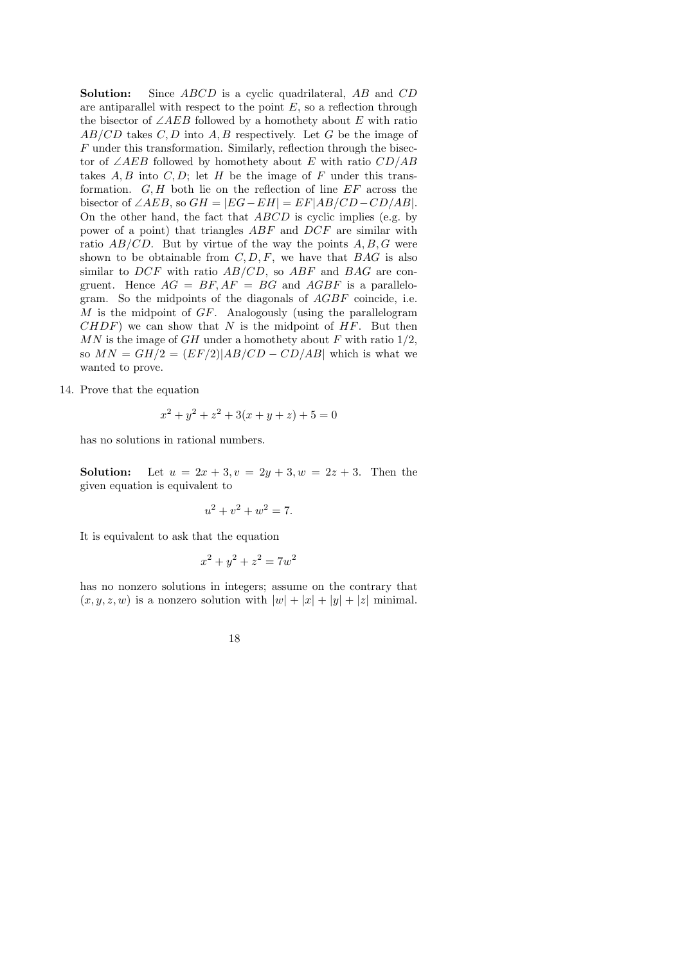Solution: Since *ABCD* is a cyclic quadrilateral, *AB* and *CD* are antiparallel with respect to the point  $E$ , so a reflection through the bisector of  $\angle AEB$  followed by a homothety about E with ratio  $AB/CD$  takes C, D into A, B respectively. Let G be the image of  $F$  under this transformation. Similarly, reflection through the bisector of  $\angle AEB$  followed by homothety about E with ratio  $CD/AB$ takes  $A, B$  into  $C, D$ ; let H be the image of F under this transformation.  $G, H$  both lie on the reflection of line  $EF$  across the bisector of ∠AEB, so  $GH = |EG - EH| = EF|AB/CD - CD/AB|$ . On the other hand, the fact that ABCD is cyclic implies (e.g. by power of a point) that triangles ABF and DCF are similar with ratio  $AB/CD$ . But by virtue of the way the points  $A, B, G$  were shown to be obtainable from  $C, D, F$ , we have that  $BAG$  is also similar to DCF with ratio  $AB/CD$ , so  $ABF$  and  $BAG$  are congruent. Hence  $AG = BF, AF = BG$  and  $AGBF$  is a parallelogram. So the midpoints of the diagonals of AGBF coincide, i.e.  $M$  is the midpoint of  $GF$ . Analogously (using the parallelogram  $CHDF$ ) we can show that N is the midpoint of HF. But then  $MN$  is the image of  $GH$  under a homothety about F with ratio  $1/2$ , so  $MN = GH/2 = (EF/2)|AB/CD - CD/AB|$  which is what we wanted to prove.

14. Prove that the equation

$$
x^2 + y^2 + z^2 + 3(x + y + z) + 5 = 0
$$

has no solutions in rational numbers.

**Solution:** Let  $u = 2x + 3, v = 2y + 3, w = 2z + 3$ . Then the given equation is equivalent to

$$
u^2 + v^2 + w^2 = 7.
$$

It is equivalent to ask that the equation

$$
x^2 + y^2 + z^2 = 7w^2
$$

has no nonzero solutions in integers; assume on the contrary that  $(x, y, z, w)$  is a nonzero solution with  $|w| + |x| + |y| + |z|$  minimal.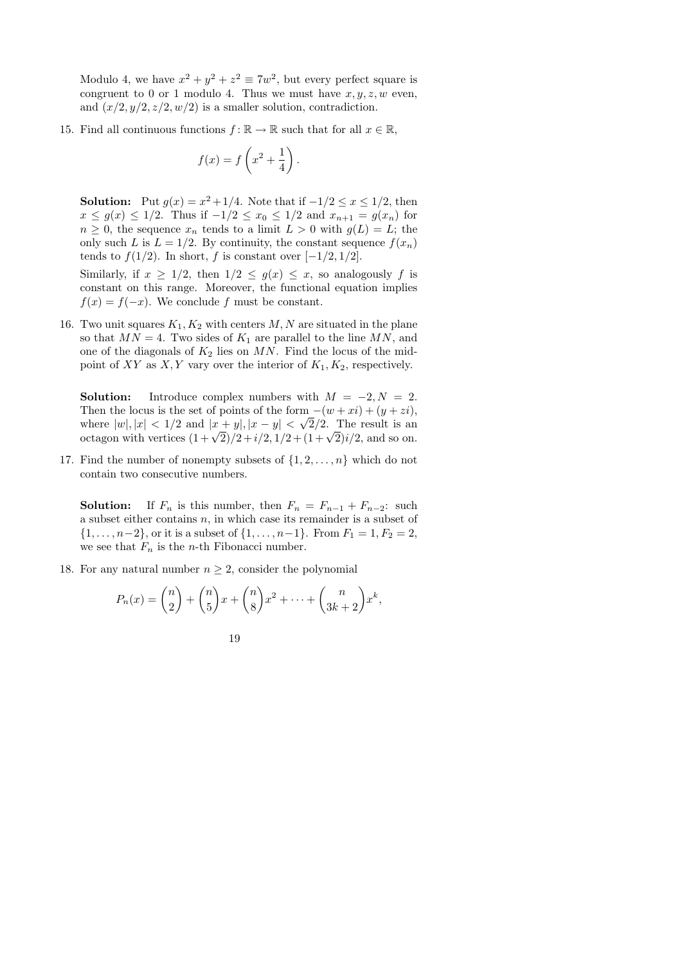Modulo 4, we have  $x^2 + y^2 + z^2 \equiv 7w^2$ , but every perfect square is congruent to 0 or 1 modulo 4. Thus we must have  $x, y, z, w$  even, and  $(x/2, y/2, z/2, w/2)$  is a smaller solution, contradiction.

15. Find all continuous functions  $f : \mathbb{R} \to \mathbb{R}$  such that for all  $x \in \mathbb{R}$ ,

$$
f(x) = f\left(x^2 + \frac{1}{4}\right).
$$

**Solution:** Put  $g(x) = x^2 + 1/4$ . Note that if  $-1/2 \le x \le 1/2$ , then  $x \le g(x) \le 1/2$ . Thus if  $-1/2 \le x_0 \le 1/2$  and  $x_{n+1} = g(x_n)$  for  $n \geq 0$ , the sequence  $x_n$  tends to a limit  $L > 0$  with  $g(L) = L$ ; the only such L is  $L = 1/2$ . By continuity, the constant sequence  $f(x_n)$ tends to  $f(1/2)$ . In short, f is constant over  $[-1/2, 1/2]$ .

Similarly, if  $x \geq 1/2$ , then  $1/2 \leq g(x) \leq x$ , so analogously f is constant on this range. Moreover, the functional equation implies  $f(x) = f(-x)$ . We conclude f must be constant.

16. Two unit squares  $K_1, K_2$  with centers M, N are situated in the plane so that  $MN = 4$ . Two sides of  $K_1$  are parallel to the line MN, and one of the diagonals of  $K_2$  lies on  $MN$ . Find the locus of the midpoint of XY as X, Y vary over the interior of  $K_1, K_2$ , respectively.

**Solution:** Introduce complex numbers with  $M = -2, N = 2$ . Then the locus is the set of points of the form  $-(w + xi) + (y + zi)$ , where  $|w|, |x| < 1/2$  and  $|x + y|, |x - y| < \sqrt{2}/2$ . The result is an where  $|w|, |x| < 1/2$  and  $|x + y|, |x - y| < \sqrt{2}/2$ . The result is an octagon with vertices  $(1 + \sqrt{2})/2 + i/2, 1/2 + (1 + \sqrt{2})i/2$ , and so on.

17. Find the number of nonempty subsets of  $\{1, 2, \ldots, n\}$  which do not contain two consecutive numbers.

**Solution:** If  $F_n$  is this number, then  $F_n = F_{n-1} + F_{n-2}$ : such a subset either contains  $n$ , in which case its remainder is a subset of  $\{1, \ldots, n-2\}$ , or it is a subset of  $\{1, \ldots, n-1\}$ . From  $F_1 = 1, F_2 = 2$ , we see that  $F_n$  is the *n*-th Fibonacci number.

18. For any natural number  $n \geq 2$ , consider the polynomial

$$
P_n(x) = {n \choose 2} + {n \choose 5}x + {n \choose 8}x^2 + \dots + {n \choose 3k+2}x^k,
$$

| ٠<br>۰,<br>× |  |
|--------------|--|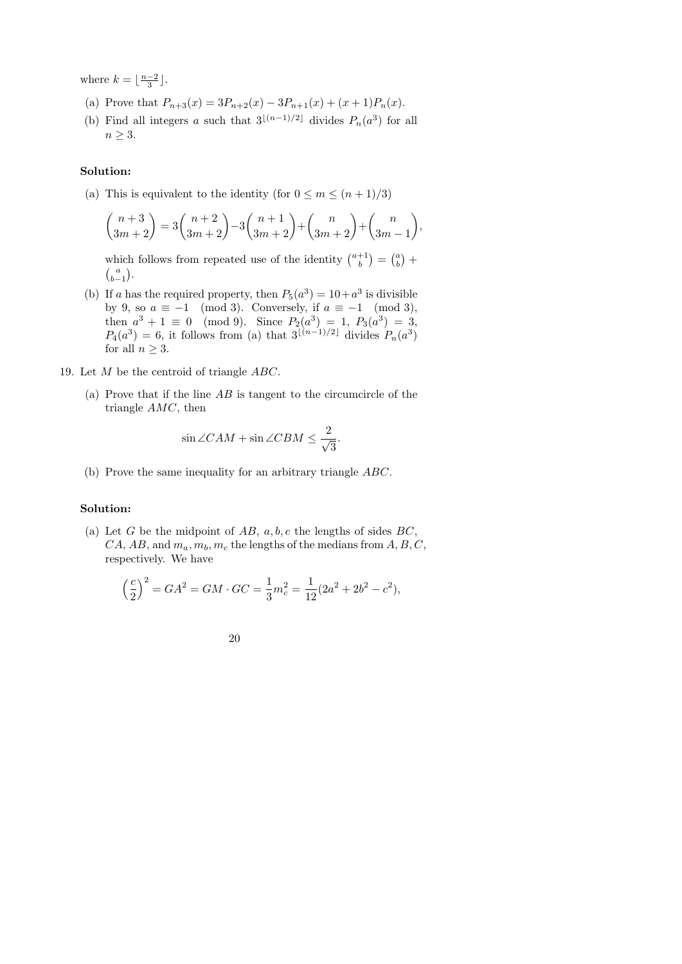where  $k = \lfloor \frac{n-2}{3} \rfloor$ .

- (a) Prove that  $P_{n+3}(x) = 3P_{n+2}(x) 3P_{n+1}(x) + (x+1)P_n(x)$ .
- (b) Find all integers a such that  $3^{\lfloor (n-1)/2 \rfloor}$  divides  $P_n(a^3)$  for all  $n \geq 3$ .

### Solution:

(a) This is equivalent to the identity (for  $0 \le m \le (n+1)/3$ )

$$
\binom{n+3}{3m+2} = 3\binom{n+2}{3m+2} - 3\binom{n+1}{3m+2} + \binom{n}{3m+2} + \binom{n}{3m-1},
$$

which follows from repeated use of the identity  $\binom{a+1}{b} = \binom{a}{b}$  $\binom{a}{b-1}$ .

- (b) If a has the required property, then  $P_5(a^3) = 10 + a^3$  is divisible by 9, so  $a \equiv -1 \pmod{3}$ . Conversely, if  $a \equiv -1 \pmod{3}$ , then  $a^3 + 1 \equiv 0 \pmod{9}$ . Since  $P_2(a^3) = 1$ ,  $P_3(a^3) = 3$ ,  $P_4(a^3) = 6$ , it follows from (a) that  $3^{\lfloor (n-1)/2 \rfloor}$  divides  $P_n(a^3)$ for all  $n \geq 3$ .
- 19. Let  $M$  be the centroid of triangle  $ABC$ .
	- (a) Prove that if the line  $AB$  is tangent to the circumcircle of the triangle AMC, then

$$
\sin \angle CAM + \sin \angle CBM \le \frac{2}{\sqrt{3}}.
$$

(b) Prove the same inequality for an arbitrary triangle ABC.

#### Solution:

(a) Let G be the midpoint of  $AB$ ,  $a, b, c$  the lengths of sides  $BC$ ,  $CA, AB, \text{ and } m_a, m_b, m_c$  the lengths of the medians from  $A, B, C$ , respectively. We have

$$
\left(\frac{c}{2}\right)^2 = GA^2 = GM \cdot GC = \frac{1}{3}m_c^2 = \frac{1}{12}(2a^2 + 2b^2 - c^2),
$$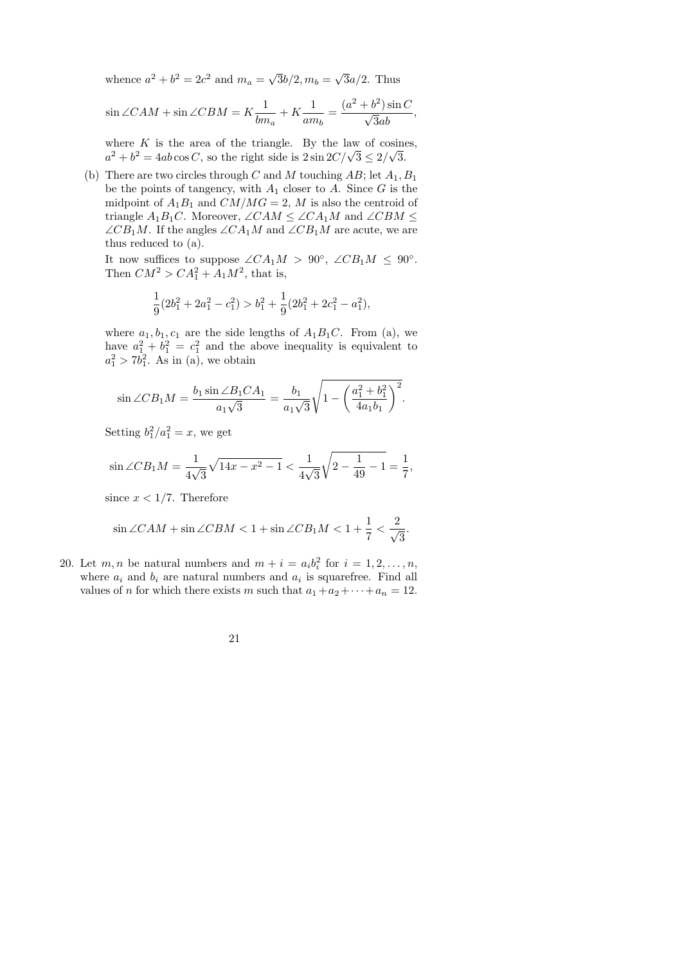whence  $a^2 + b^2 = 2c^2$  and  $m_a =$  $3b/2, m_b =$  $3a/2$ . Thus

$$
\sin \angle CAM + \sin \angle CBM = K \frac{1}{bm_a} + K \frac{1}{am_b} = \frac{(a^2 + b^2)\sin C}{\sqrt{3}ab},
$$

where  $K$  is the area of the triangle. By the law of cosines, where K is the area of the triangle. By the law of cosine  $a^2 + b^2 = 4ab \cos C$ , so the right side is  $2 \sin 2C/\sqrt{3} \leq 2/\sqrt{3}$ .

(b) There are two circles through C and M touching  $AB$ ; let  $A_1, B_1$ be the points of tangency, with  $A_1$  closer to A. Since G is the midpoint of  $A_1B_1$  and  $CM/MG = 2$ , M is also the centroid of triangle  $A_1B_1C$ . Moreover,  $\angle CAM \leq \angle CA_1M$  and  $\angle CBM \leq$  $\angle CB_1M$ . If the angles  $\angle CA_1M$  and  $\angle CB_1M$  are acute, we are thus reduced to (a).

It now suffices to suppose  $\angle CA_1M > 90^\circ$ ,  $\angle CB_1M \leq 90^\circ$ . Then  $CM^2 > CA_1^2 + A_1M^2$ , that is,

$$
\frac{1}{9}(2b_1^2 + 2a_1^2 - c_1^2) > b_1^2 + \frac{1}{9}(2b_1^2 + 2c_1^2 - a_1^2),
$$

where  $a_1, b_1, c_1$  are the side lengths of  $A_1B_1C$ . From (a), we have  $a_1^2 + b_1^2 = c_1^2$  and the above inequality is equivalent to  $a_1^2 > 7b_1^2$ . As in (a), we obtain

$$
\sin \angle CB_1 M = \frac{b_1 \sin \angle B_1 CA_1}{a_1 \sqrt{3}} = \frac{b_1}{a_1 \sqrt{3}} \sqrt{1 - \left(\frac{a_1^2 + b_1^2}{4a_1 b_1}\right)^2}.
$$

Setting  $b_1^2/a_1^2 = x$ , we get

$$
\sin \angle CB_1 M = \frac{1}{4\sqrt{3}}\sqrt{14x - x^2 - 1} < \frac{1}{4\sqrt{3}}\sqrt{2 - \frac{1}{49} - 1} = \frac{1}{7},
$$

since  $x < 1/7$ . Therefore

$$
\sin \angle CAM + \sin \angle CBM < 1 + \sin \angle CB_1M < 1 + \frac{1}{7} < \frac{2}{\sqrt{3}}.
$$

20. Let  $m, n$  be natural numbers and  $m + i = a_i b_i^2$  for  $i = 1, 2, ..., n$ , where  $a_i$  and  $b_i$  are natural numbers and  $a_i$  is squarefree. Find all values of *n* for which there exists *m* such that  $a_1 + a_2 + \cdots + a_n = 12$ .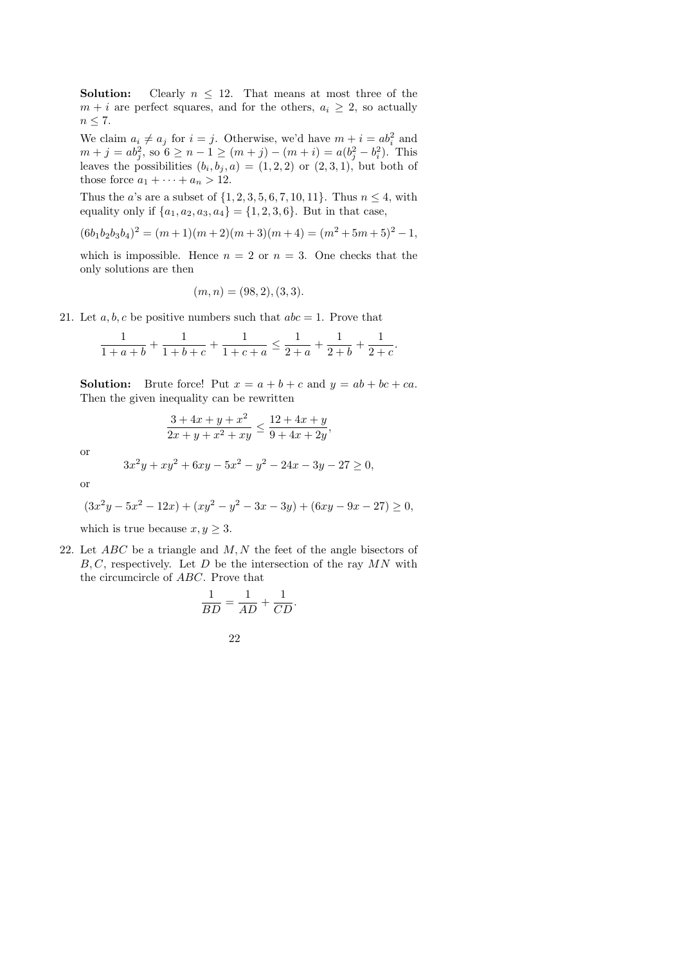**Solution:** Clearly  $n \leq 12$ . That means at most three of the  $m + i$  are perfect squares, and for the others,  $a_i \geq 2$ , so actually  $n \leq 7$ .

We claim  $a_i \neq a_j$  for  $i = j$ . Otherwise, we'd have  $m + i = ab_i^2$  and  $m + j = ab_j^2$ , so  $6 \ge n - 1 \ge (m + j) - (m + i) = a(b_j^2 - b_i^2)$ . This leaves the possibilities  $(b_i, b_j, a) = (1, 2, 2)$  or  $(2, 3, 1)$ , but both of those force  $a_1 + \cdots + a_n > 12$ .

Thus the *a*'s are a subset of  $\{1, 2, 3, 5, 6, 7, 10, 11\}$ . Thus  $n \leq 4$ , with equality only if  $\{a_1, a_2, a_3, a_4\} = \{1, 2, 3, 6\}$ . But in that case,

 $(6b_1b_2b_3b_4)^2 = (m+1)(m+2)(m+3)(m+4) = (m^2+5m+5)^2 - 1,$ 

which is impossible. Hence  $n = 2$  or  $n = 3$ . One checks that the only solutions are then

$$
(m, n) = (98, 2), (3, 3).
$$

21. Let  $a, b, c$  be positive numbers such that  $abc = 1$ . Prove that

$$
\frac{1}{1+a+b} + \frac{1}{1+b+c} + \frac{1}{1+c+a} \le \frac{1}{2+a} + \frac{1}{2+b} + \frac{1}{2+c}.
$$

**Solution:** Brute force! Put  $x = a + b + c$  and  $y = ab + bc + ca$ . Then the given inequality can be rewritten

$$
\frac{3+4x+y+x^2}{2x+y+x^2+xy} \le \frac{12+4x+y}{9+4x+2y},
$$

or

$$
3x^2y + xy^2 + 6xy - 5x^2 - y^2 - 24x - 3y - 27 \ge 0,
$$

or

$$
(3x2y - 5x2 - 12x) + (xy2 - y2 - 3x - 3y) + (6xy - 9x - 27) \ge 0,
$$

which is true because  $x, y \geq 3$ .

22. Let  $ABC$  be a triangle and  $M, N$  the feet of the angle bisectors of  $B, C$ , respectively. Let D be the intersection of the ray  $MN$  with the circumcircle of ABC. Prove that

$$
\frac{1}{BD} = \frac{1}{AD} + \frac{1}{CD}.
$$

$$
22\quad
$$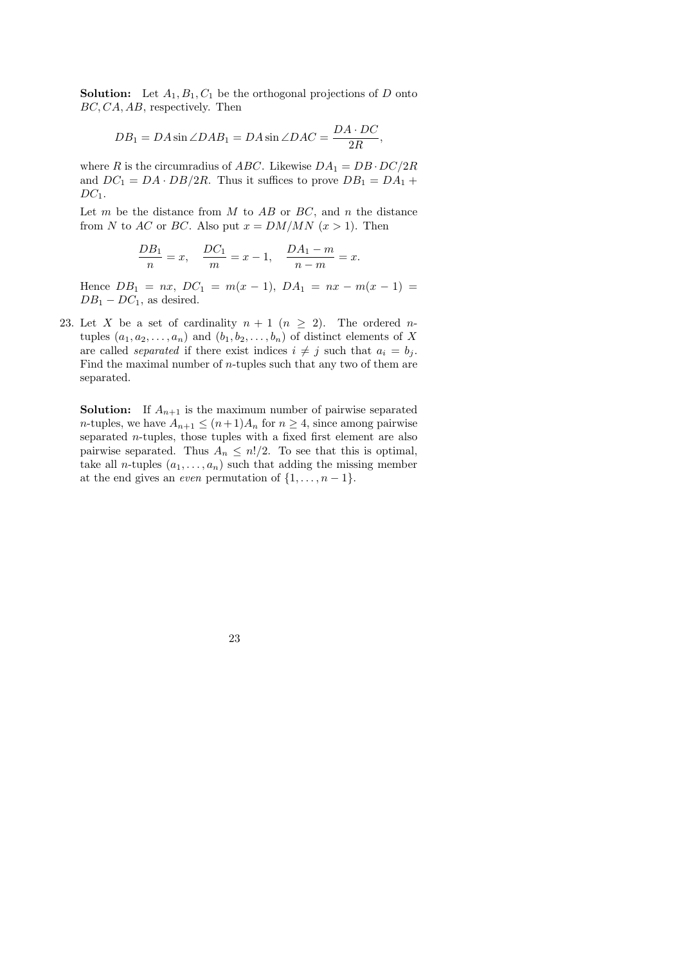**Solution:** Let  $A_1, B_1, C_1$  be the orthogonal projections of D onto BC, CA, AB, respectively. Then

$$
DB_1 = DA \sin \angle DAB_1 = DA \sin \angle DAC = \frac{DA \cdot DC}{2R},
$$

where R is the circumradius of ABC. Likewise  $DA_1 = DB \cdot DC/2R$ and  $DC_1 = DA \cdot DB/2R$ . Thus it suffices to prove  $DB_1 = DA_1 +$  $DC_1$ .

Let m be the distance from  $M$  to  $AB$  or  $BC$ , and n the distance from N to AC or BC. Also put  $x = DM/MN$   $(x > 1)$ . Then

$$
\frac{DB_1}{n} = x, \quad \frac{DC_1}{m} = x - 1, \quad \frac{DA_1 - m}{n - m} = x.
$$

Hence  $DB_1 = nx$ ,  $DC_1 = m(x - 1)$ ,  $DA_1 = nx - m(x - 1)$  $DB_1 - DC_1$ , as desired.

23. Let X be a set of cardinality  $n + 1$   $(n \geq 2)$ . The ordered ntuples  $(a_1, a_2, \ldots, a_n)$  and  $(b_1, b_2, \ldots, b_n)$  of distinct elements of X are called *separated* if there exist indices  $i \neq j$  such that  $a_i = b_j$ . Find the maximal number of  $n$ -tuples such that any two of them are separated.

**Solution:** If  $A_{n+1}$  is the maximum number of pairwise separated *n*-tuples, we have  $A_{n+1} \leq (n+1)A_n$  for  $n \geq 4$ , since among pairwise separated  $n$ -tuples, those tuples with a fixed first element are also pairwise separated. Thus  $A_n \leq n!/2$ . To see that this is optimal, take all *n*-tuples  $(a_1, \ldots, a_n)$  such that adding the missing member at the end gives an *even* permutation of  $\{1, \ldots, n-1\}$ .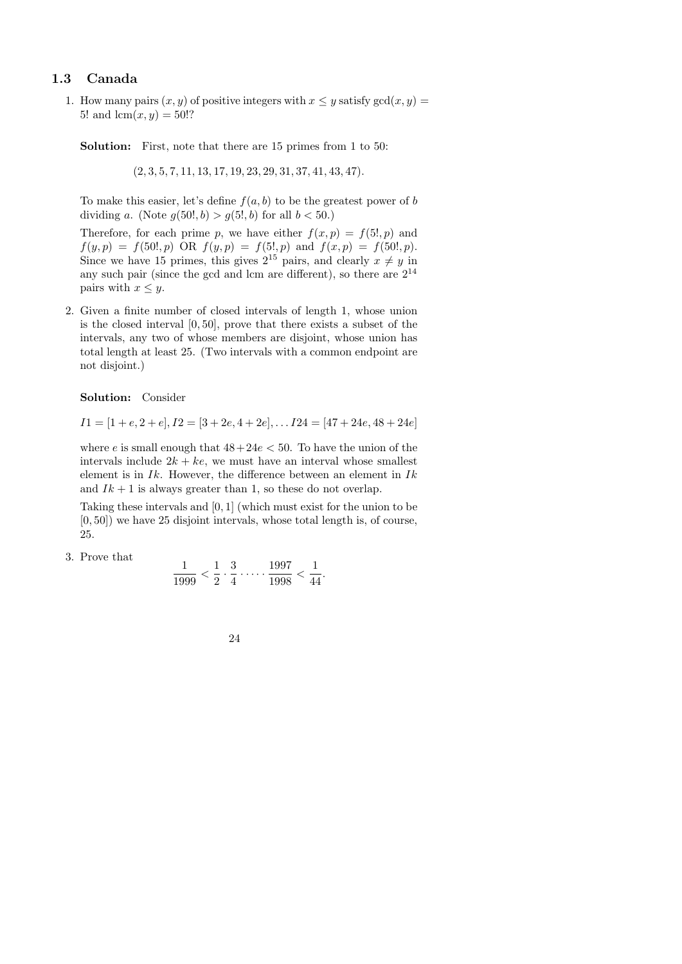### 1.3 Canada

1. How many pairs  $(x, y)$  of positive integers with  $x \leq y$  satisfy  $gcd(x, y) =$ 5! and  $lcm(x, y) = 50$ !?

Solution: First, note that there are 15 primes from 1 to 50:

(2, 3, 5, 7, 11, 13, 17, 19, 23, 29, 31, 37, 41, 43, 47).

To make this easier, let's define  $f(a, b)$  to be the greatest power of b dividing a. (Note  $g(50!, b) > g(5!, b)$  for all  $b < 50$ .)

Therefore, for each prime p, we have either  $f(x, p) = f(5!)$  and  $f(y, p) = f(50!, p) \text{ OR } f(y, p) = f(5!, p) \text{ and } f(x, p) = f(50!, p).$ Since we have 15 primes, this gives  $2^{15}$  pairs, and clearly  $x \neq y$  in any such pair (since the gcd and lcm are different), so there are  $2^{14}$ pairs with  $x \leq y$ .

2. Given a finite number of closed intervals of length 1, whose union is the closed interval [0, 50], prove that there exists a subset of the intervals, any two of whose members are disjoint, whose union has total length at least 25. (Two intervals with a common endpoint are not disjoint.)

Solution: Consider

 $I1 = [1 + e, 2 + e], I2 = [3 + 2e, 4 + 2e], \ldots I24 = [47 + 24e, 48 + 24e]$ 

where e is small enough that  $48 + 24e < 50$ . To have the union of the intervals include  $2k + ke$ , we must have an interval whose smallest element is in  $Ik.$  However, the difference between an element in  $Ik$ and  $Ik + 1$  is always greater than 1, so these do not overlap.

Taking these intervals and [0, 1] (which must exist for the union to be  $[0, 50]$ ) we have 25 disjoint intervals, whose total length is, of course, 25.

3. Prove that

$$
\frac{1}{1999} < \frac{1}{2} \cdot \frac{3}{4} \cdot \dots \cdot \frac{1997}{1998} < \frac{1}{44}.
$$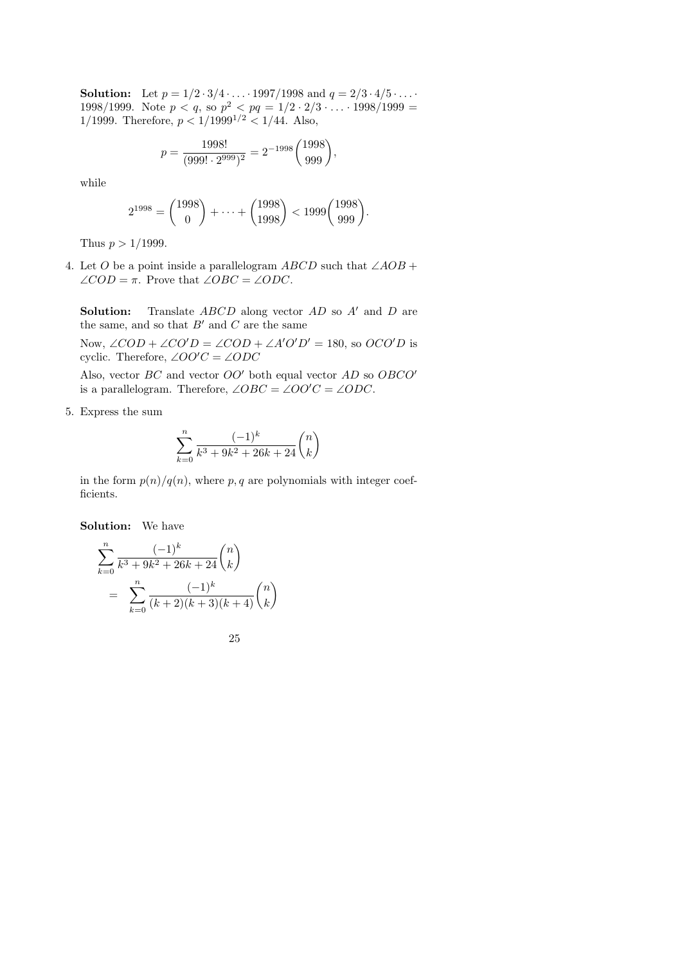**Solution:** Let  $p = 1/2 \cdot 3/4 \cdot ... \cdot 1997/1998$  and  $q = 2/3 \cdot 4/5 \cdot ... \cdot$ 1998/1999. Note  $p < q$ , so  $p^2 < pq = 1/2 \cdot 2/3 \cdot \ldots \cdot 1998/1999 =$ 1/1999. Therefore,  $p < 1/1999^{1/2} < 1/44$ . Also,

$$
p = \frac{1998!}{(999! \cdot 2^{999})^2} = 2^{-1998} \binom{1998}{999},
$$

while

$$
2^{1998} = {1998 \choose 0} + \dots + {1998 \choose 1998} < 1999 {1998 \choose 999}.
$$

Thus  $p > 1/1999$ .

4. Let O be a point inside a parallelogram  $ABCD$  such that  $\angle AOB$  +  $\angle COD = \pi$ . Prove that  $\angle OBC = \angle ODC$ .

**Solution:** Translate  $ABCD$  along vector  $AD$  so  $A'$  and  $D$  are the same, and so that  $B'$  and  $C$  are the same

Now,  $\angle COD + \angle CO'D = \angle COD + \angle A'O'D' = 180$ , so  $OCO'D$  is cyclic. Therefore,  $\angle OO'C = \angle ODC$ 

Also, vector  $BC$  and vector  $OO'$  both equal vector  $AD$  so  $OBCO'$ is a parallelogram. Therefore,  $\angle OBC = \angle OO'C = \angle ODC$ .

5. Express the sum

$$
\sum_{k=0}^{n} \frac{(-1)^k}{k^3 + 9k^2 + 26k + 24} \binom{n}{k}
$$

in the form  $p(n)/q(n)$ , where p, q are polynomials with integer coefficients.

# Solution: We have

$$
\sum_{k=0}^{n} \frac{(-1)^k}{k^3 + 9k^2 + 26k + 24} \binom{n}{k}
$$
  
= 
$$
\sum_{k=0}^{n} \frac{(-1)^k}{(k+2)(k+3)(k+4)} \binom{n}{k}
$$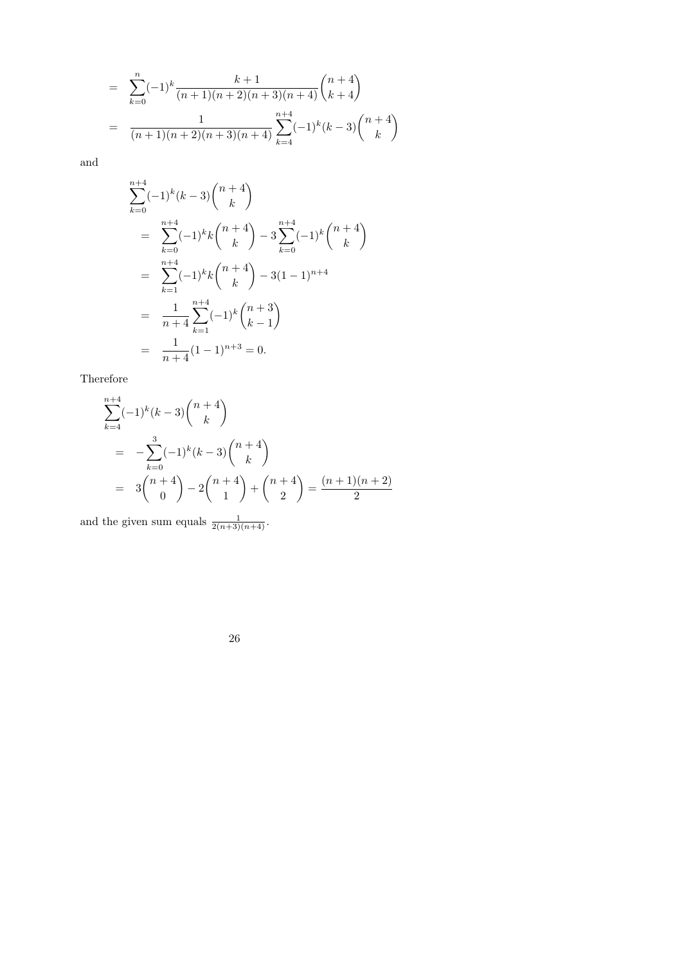$$
= \sum_{k=0}^{n} (-1)^k \frac{k+1}{(n+1)(n+2)(n+3)(n+4)} {n+4 \choose k+4}
$$

$$
= \frac{1}{(n+1)(n+2)(n+3)(n+4)} \sum_{k=4}^{n+4} (-1)^k (k-3) {n+4 \choose k}
$$

and

$$
\sum_{k=0}^{n+4} (-1)^k (k-3) \binom{n+4}{k} \n= \sum_{k=0}^{n+4} (-1)^k k \binom{n+4}{k} - 3 \sum_{k=0}^{n+4} (-1)^k \binom{n+4}{k} \n= \sum_{k=1}^{n+4} (-1)^k k \binom{n+4}{k} - 3(1-1)^{n+4} \n= \frac{1}{n+4} \sum_{k=1}^{n+4} (-1)^k \binom{n+3}{k-1} \n= \frac{1}{n+4} (1-1)^{n+3} = 0.
$$

Therefore

$$
\sum_{k=4}^{n+4} (-1)^k (k-3) \binom{n+4}{k} \n= -\sum_{k=0}^3 (-1)^k (k-3) \binom{n+4}{k} \n= 3 \binom{n+4}{0} - 2 \binom{n+4}{1} + \binom{n+4}{2} = \frac{(n+1)(n+2)}{2}
$$

and the given sum equals  $\frac{1}{2(n+3)(n+4)}$ .

$$
-26\,
$$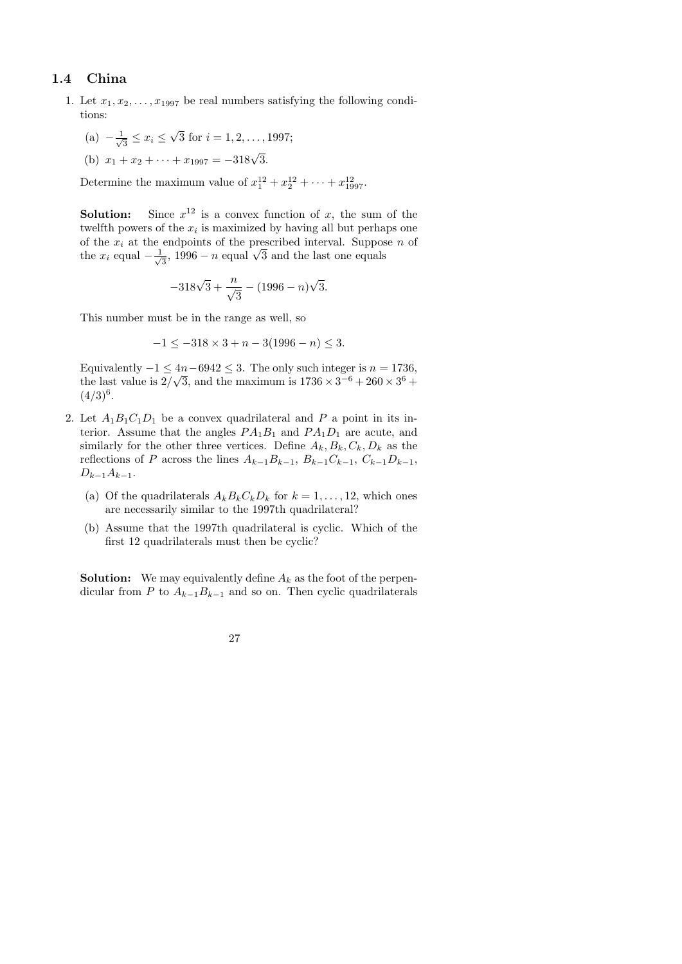# 1.4 China

1. Let  $x_1, x_2, \ldots, x_{1997}$  be real numbers satisfying the following conditions:

(a) 
$$
-\frac{1}{\sqrt{3}} \le x_i \le \sqrt{3}
$$
 for  $i = 1, 2, ..., 1997$ ;  
(b)  $x_1 + x_2 + \cdots + x_{1997} = -318\sqrt{3}$ .

Determine the maximum value of  $x_1^{12} + x_2^{12} + \cdots + x_{1997}^{12}$ .

Solution: Since  $x^{12}$  is a convex function of x, the sum of the twelfth powers of the  $x_i$  is maximized by having all but perhaps one of the  $x_i$  at the endpoints of the prescribed interval. Suppose  $n$  of the  $x_i$  equal  $-\frac{1}{\sqrt{2}}$ endpoints of the prescribed interval. Suppose  $\frac{1}{3}$ , 1996 – *n* equal  $\sqrt{3}$  and the last one equals

$$
-318\sqrt{3} + \frac{n}{\sqrt{3}} - (1996 - n)\sqrt{3}.
$$

This number must be in the range as well, so

$$
-1 \le -318 \times 3 + n - 3(1996 - n) \le 3.
$$

Equivalently  $-1 \le 4n - 6942 \le 3$ . The only such integer is  $n = 1736$ , the last value is  $2/\sqrt{3}$ , and the maximum is  $1736 \times 3^{-6} + 260 \times 3^{6} +$  $(4/3)^6$ .

- 2. Let  $A_1B_1C_1D_1$  be a convex quadrilateral and P a point in its interior. Assume that the angles  $PA_1B_1$  and  $PA_1D_1$  are acute, and similarly for the other three vertices. Define  $A_k, B_k, C_k, D_k$  as the reflections of P across the lines  $A_{k-1}B_{k-1}$ ,  $B_{k-1}C_{k-1}$ ,  $C_{k-1}D_{k-1}$ ,  $D_{k-1}A_{k-1}$ .
	- (a) Of the quadrilaterals  $A_k B_k C_k D_k$  for  $k = 1, \ldots, 12$ , which ones are necessarily similar to the 1997th quadrilateral?
	- (b) Assume that the 1997th quadrilateral is cyclic. Which of the first 12 quadrilaterals must then be cyclic?

**Solution:** We may equivalently define  $A_k$  as the foot of the perpendicular from P to  $A_{k-1}B_{k-1}$  and so on. Then cyclic quadrilaterals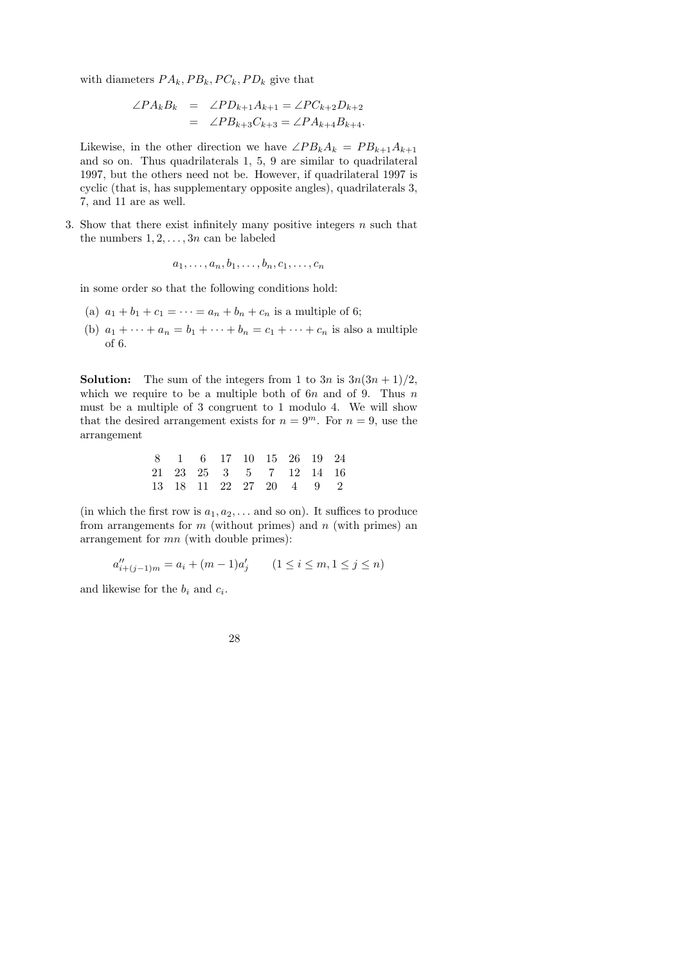with diameters  $PA_k, PB_k, PC_k, PD_k$  give that

$$
\angle PA_kB_k = \angle PD_{k+1}A_{k+1} = \angle PC_{k+2}D_{k+2}
$$

$$
= \angle PB_{k+3}C_{k+3} = \angle PA_{k+4}B_{k+4}.
$$

Likewise, in the other direction we have  $\angle PB_kA_k = PB_{k+1}A_{k+1}$ and so on. Thus quadrilaterals 1, 5, 9 are similar to quadrilateral 1997, but the others need not be. However, if quadrilateral 1997 is cyclic (that is, has supplementary opposite angles), quadrilaterals 3, 7, and 11 are as well.

3. Show that there exist infinitely many positive integers  $n$  such that the numbers  $1, 2, \ldots, 3n$  can be labeled

$$
a_1,\ldots,a_n,b_1,\ldots,b_n,c_1,\ldots,c_n
$$

in some order so that the following conditions hold:

- (a)  $a_1 + b_1 + c_1 = \cdots = a_n + b_n + c_n$  is a multiple of 6;
- (b)  $a_1 + \cdots + a_n = b_1 + \cdots + b_n = c_1 + \cdots + c_n$  is also a multiple of 6.

**Solution:** The sum of the integers from 1 to  $3n$  is  $3n(3n+1)/2$ , which we require to be a multiple both of  $6n$  and of 9. Thus n must be a multiple of 3 congruent to 1 modulo 4. We will show that the desired arrangement exists for  $n = 9^m$ . For  $n = 9$ , use the arrangement

| 8 1 6 17 10 15 26 19 24 |  |  |  |  |
|-------------------------|--|--|--|--|
| 21 23 25 3 5 7 12 14 16 |  |  |  |  |
| 13 18 11 22 27 20 4 9 2 |  |  |  |  |

(in which the first row is  $a_1, a_2, \ldots$  and so on). It suffices to produce from arrangements for  $m$  (without primes) and  $n$  (with primes) and arrangement for mn (with double primes):

$$
a''_{i+(j-1)m} = a_i + (m-1)a'_j \qquad (1 \le i \le m, 1 \le j \le n)
$$

and likewise for the  $b_i$  and  $c_i$ .

28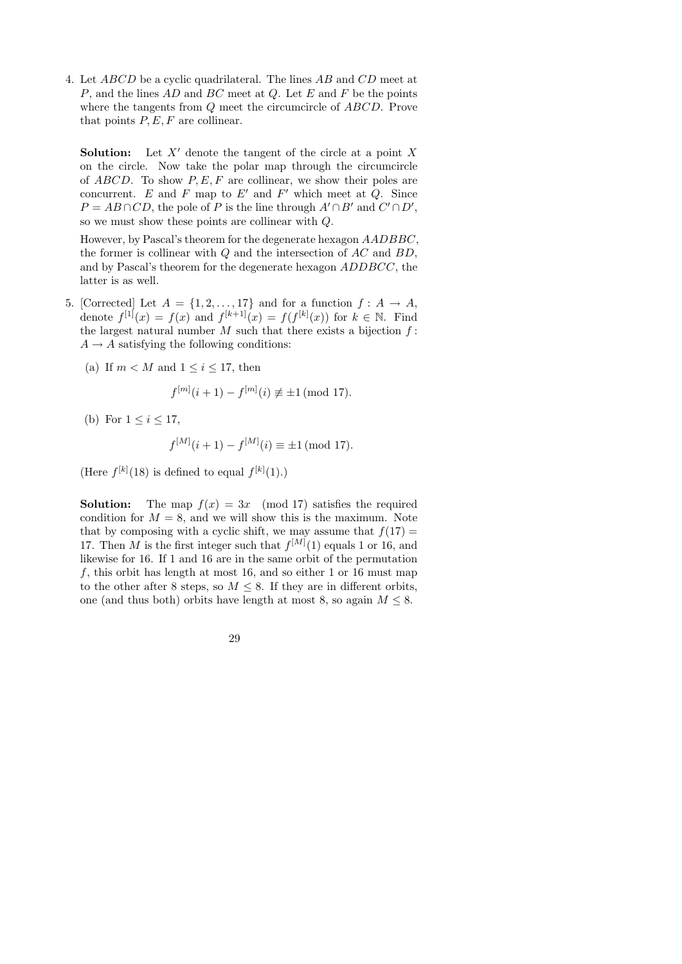4. Let ABCD be a cyclic quadrilateral. The lines AB and CD meet at P, and the lines  $AD$  and  $BC$  meet at Q. Let E and F be the points where the tangents from  $Q$  meet the circumcircle of ABCD. Prove that points  $P, E, F$  are collinear.

**Solution:** Let  $X'$  denote the tangent of the circle at a point X on the circle. Now take the polar map through the circumcircle of  $ABCD$ . To show  $P, E, F$  are collinear, we show their poles are concurrent. E and F map to E' and F' which meet at  $Q$ . Since  $P = AB \cap CD$ , the pole of P is the line through  $A' \cap B'$  and  $C' \cap D'$ , so we must show these points are collinear with Q.

However, by Pascal's theorem for the degenerate hexagon AADBBC, the former is collinear with Q and the intersection of AC and BD, and by Pascal's theorem for the degenerate hexagon ADDBCC, the latter is as well.

- 5. [Corrected] Let  $A = \{1, 2, ..., 17\}$  and for a function  $f : A \rightarrow A$ , denote  $f^{[1]}(x) = f(x)$  and  $f^{[k+1]}(x) = f(f^{[k]}(x))$  for  $k \in \mathbb{N}$ . Find the largest natural number  $M$  such that there exists a bijection  $f$ :  $A \rightarrow A$  satisfying the following conditions:
	- (a) If  $m < M$  and  $1 \leq i \leq 17$ , then

$$
f^{[m]}(i+1) - f^{[m]}(i) \not\equiv \pm 1 \pmod{17}.
$$

(b) For  $1 \le i \le 17$ ,

$$
f^{[M]}(i+1) - f^{[M]}(i) \equiv \pm 1 \pmod{17}.
$$

(Here  $f^{[k]}(18)$  is defined to equal  $f^{[k]}(1)$ .)

**Solution:** The map  $f(x) = 3x \pmod{17}$  satisfies the required condition for  $M = 8$ , and we will show this is the maximum. Note that by composing with a cyclic shift, we may assume that  $f(17) =$ 17. Then M is the first integer such that  $f^{[M]}(1)$  equals 1 or 16, and likewise for 16. If 1 and 16 are in the same orbit of the permutation f, this orbit has length at most 16, and so either 1 or 16 must map to the other after 8 steps, so  $M \leq 8$ . If they are in different orbits, one (and thus both) orbits have length at most 8, so again  $M \leq 8$ .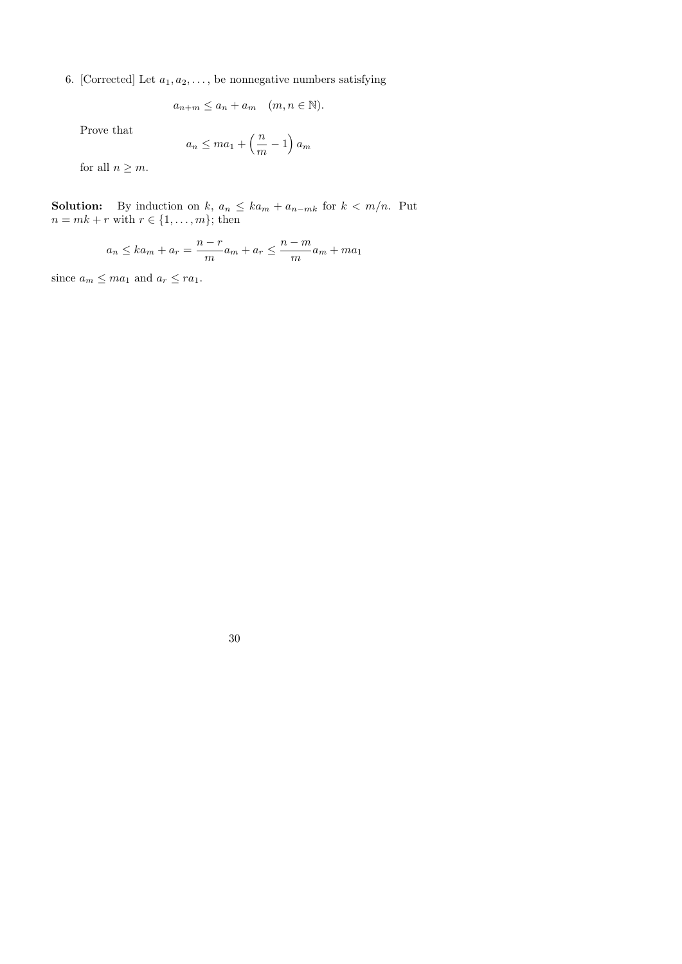6. [Corrected] Let  $a_1, a_2, \ldots$ , be nonnegative numbers satisfying

$$
a_{n+m} \le a_n + a_m \quad (m, n \in \mathbb{N}).
$$

Prove that

$$
a_n \leq ma_1 + \left(\frac{n}{m} - 1\right)a_m
$$

for all  $n\geq m.$ 

**Solution:** By induction on k,  $a_n \le ka_m + a_{n-mk}$  for  $k < m/n$ . Put  $n = mk + r$  with  $r \in \{1, \ldots, m\}$ ; then

$$
a_n \le ka_m + a_r = \frac{n-r}{m}a_m + a_r \le \frac{n-m}{m}a_m + ma_1
$$

since  $a_m \leq ma_1$  and  $a_r \leq ra_1$ .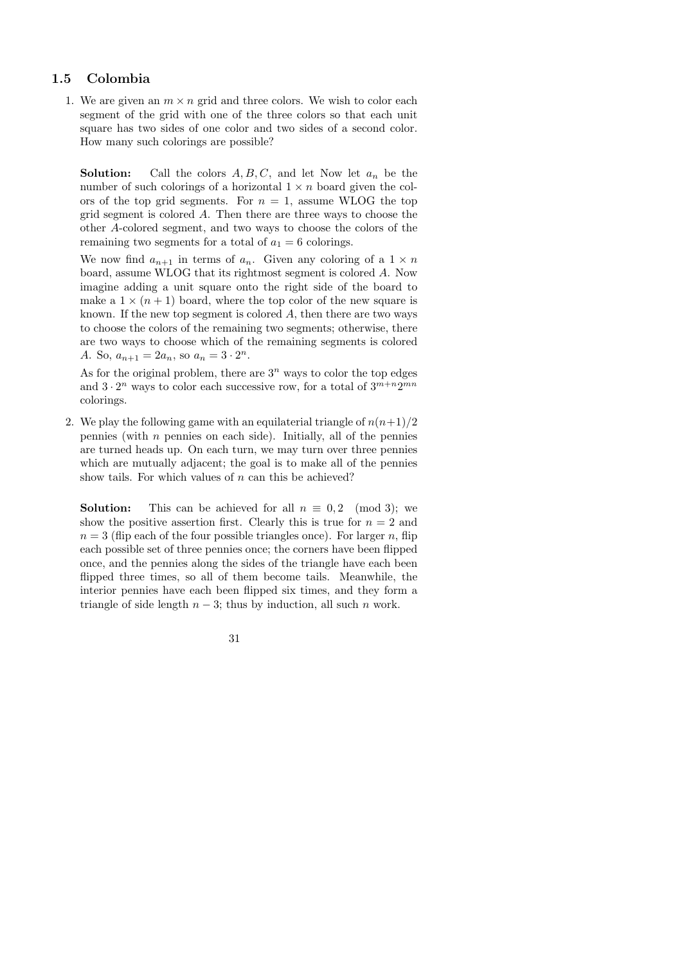# 1.5 Colombia

1. We are given an  $m \times n$  grid and three colors. We wish to color each segment of the grid with one of the three colors so that each unit square has two sides of one color and two sides of a second color. How many such colorings are possible?

**Solution:** Call the colors  $A, B, C$ , and let Now let  $a_n$  be the number of such colorings of a horizontal  $1 \times n$  board given the colors of the top grid segments. For  $n = 1$ , assume WLOG the top grid segment is colored A. Then there are three ways to choose the other A-colored segment, and two ways to choose the colors of the remaining two segments for a total of  $a_1 = 6$  colorings.

We now find  $a_{n+1}$  in terms of  $a_n$ . Given any coloring of a  $1 \times n$ board, assume WLOG that its rightmost segment is colored A. Now imagine adding a unit square onto the right side of the board to make a  $1 \times (n+1)$  board, where the top color of the new square is known. If the new top segment is colored A, then there are two ways to choose the colors of the remaining two segments; otherwise, there are two ways to choose which of the remaining segments is colored A. So,  $a_{n+1} = 2a_n$ , so  $a_n = 3 \cdot 2^n$ .

As for the original problem, there are  $3<sup>n</sup>$  ways to color the top edges and  $3 \cdot 2^n$  ways to color each successive row, for a total of  $3^{m+n}2^{mn}$ colorings.

2. We play the following game with an equilaterial triangle of  $n(n+1)/2$ pennies (with  $n$  pennies on each side). Initially, all of the pennies are turned heads up. On each turn, we may turn over three pennies which are mutually adjacent; the goal is to make all of the pennies show tails. For which values of  $n$  can this be achieved?

**Solution:** This can be achieved for all  $n \equiv 0, 2 \pmod{3}$ ; we show the positive assertion first. Clearly this is true for  $n = 2$  and  $n = 3$  (flip each of the four possible triangles once). For larger n, flip each possible set of three pennies once; the corners have been flipped once, and the pennies along the sides of the triangle have each been flipped three times, so all of them become tails. Meanwhile, the interior pennies have each been flipped six times, and they form a triangle of side length  $n-3$ ; thus by induction, all such n work.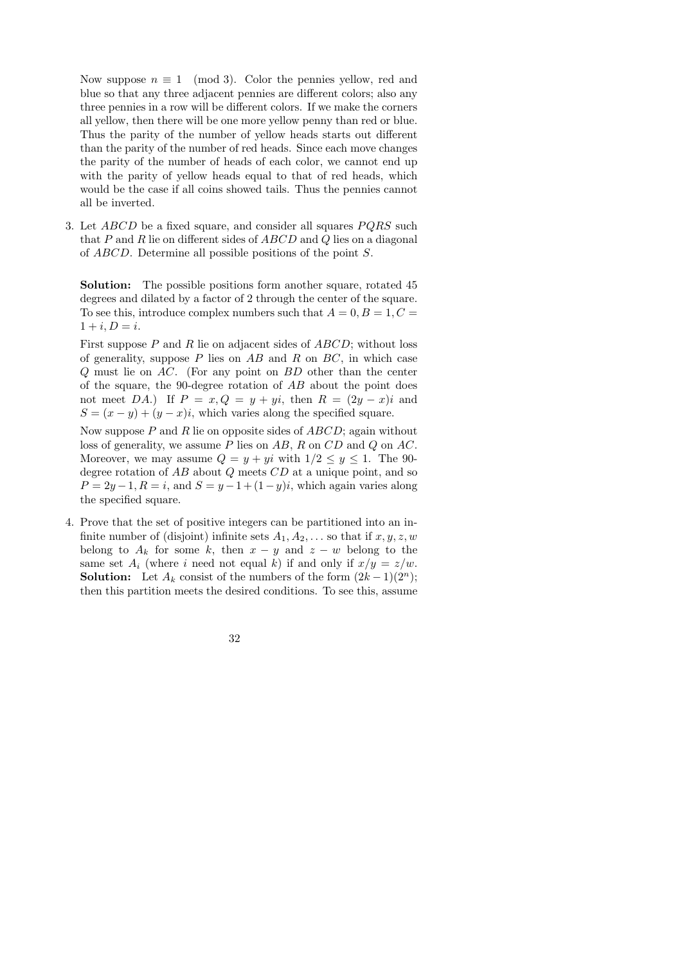Now suppose  $n \equiv 1 \pmod{3}$ . Color the pennies yellow, red and blue so that any three adjacent pennies are different colors; also any three pennies in a row will be different colors. If we make the corners all yellow, then there will be one more yellow penny than red or blue. Thus the parity of the number of yellow heads starts out different than the parity of the number of red heads. Since each move changes the parity of the number of heads of each color, we cannot end up with the parity of yellow heads equal to that of red heads, which would be the case if all coins showed tails. Thus the pennies cannot all be inverted.

3. Let  $ABCD$  be a fixed square, and consider all squares  $PQRS$  such that  $P$  and  $R$  lie on different sides of  $ABCD$  and  $Q$  lies on a diagonal of ABCD. Determine all possible positions of the point S.

Solution: The possible positions form another square, rotated 45 degrees and dilated by a factor of 2 through the center of the square. To see this, introduce complex numbers such that  $A = 0, B = 1, C =$  $1 + i$ ,  $D = i$ .

First suppose  $P$  and  $R$  lie on adjacent sides of  $ABCD$ ; without loss of generality, suppose  $P$  lies on  $AB$  and  $R$  on  $BC$ , in which case Q must lie on AC. (For any point on BD other than the center of the square, the 90-degree rotation of AB about the point does not meet DA.) If  $P = x, Q = y + yi$ , then  $R = (2y - x)i$  and  $S = (x - y) + (y - x)i$ , which varies along the specified square.

Now suppose  $P$  and  $R$  lie on opposite sides of  $ABCD$ ; again without loss of generality, we assume P lies on AB, R on CD and Q on AC. Moreover, we may assume  $Q = y + yi$  with  $1/2 \le y \le 1$ . The 90degree rotation of AB about Q meets CD at a unique point, and so  $P = 2y - 1, R = i$ , and  $S = y - 1 + (1 - y)i$ , which again varies along the specified square.

4. Prove that the set of positive integers can be partitioned into an infinite number of (disjoint) infinite sets  $A_1, A_2, \ldots$  so that if  $x, y, z, w$ belong to  $A_k$  for some k, then  $x - y$  and  $z - w$  belong to the same set  $A_i$  (where i need not equal k) if and only if  $x/y = z/w$ . **Solution:** Let  $A_k$  consist of the numbers of the form  $(2k-1)(2^n)$ ; then this partition meets the desired conditions. To see this, assume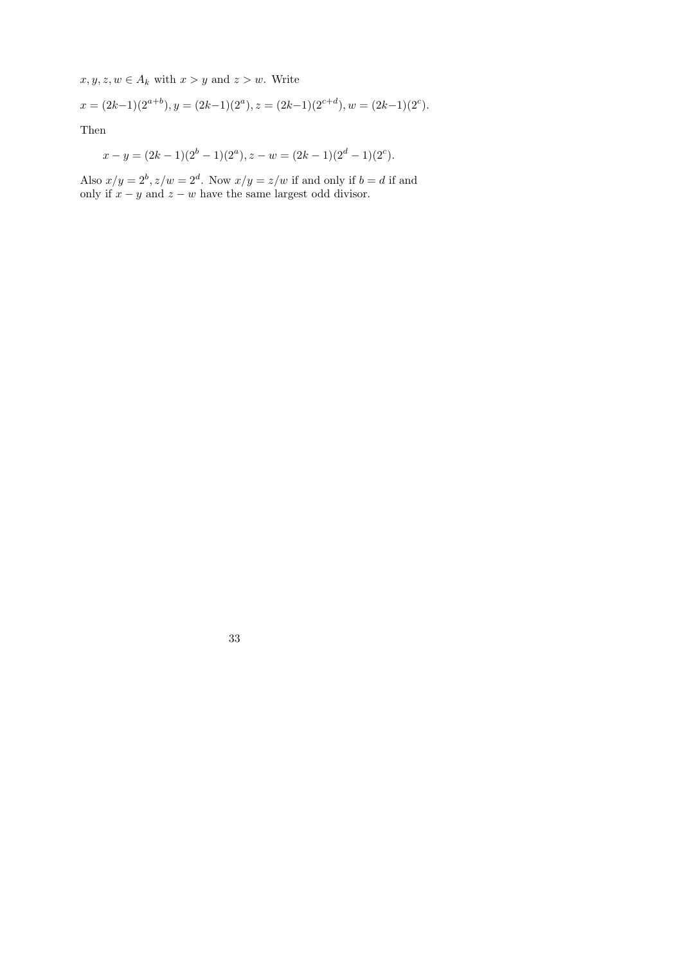$x, y, z, w \in A_k$  with  $x > y$  and  $z > w$ . Write

$$
x = (2k-1)(2^{a+b}), y = (2k-1)(2^a), z = (2k-1)(2^{c+d}), w = (2k-1)(2^c).
$$

Then

$$
x - y = (2k - 1)(2b - 1)(2a), z - w = (2k - 1)(2d - 1)(2c).
$$

Also  $x/y = 2<sup>b</sup>$ ,  $z/w = 2<sup>d</sup>$ . Now  $x/y = z/w$  if and only if  $b = d$  if and only if  $x - y$  and  $z - w$  have the same largest odd divisor.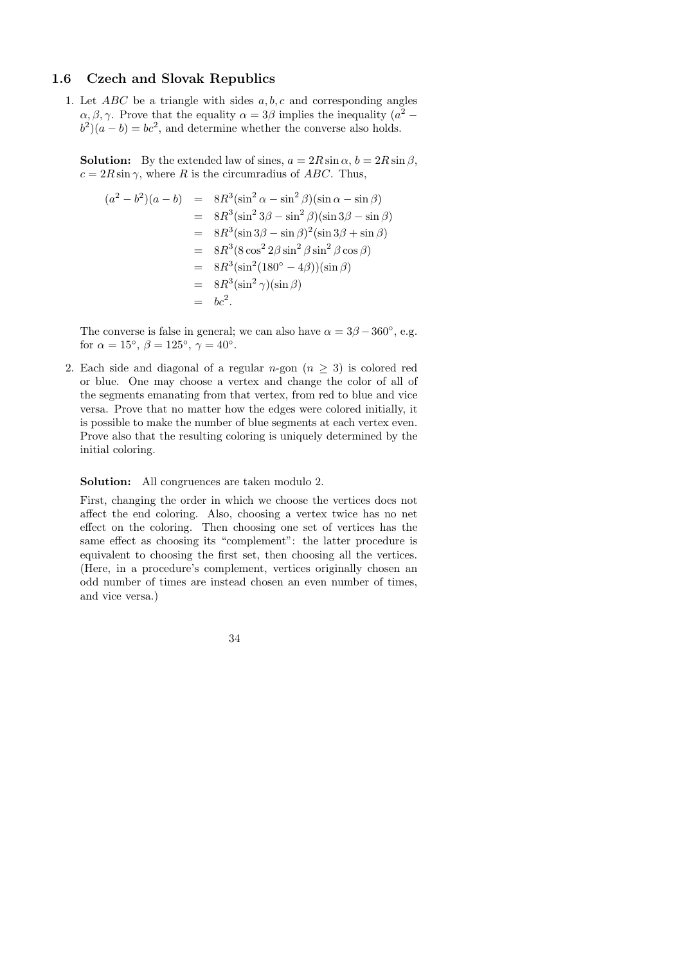#### 1.6 Czech and Slovak Republics

1. Let  $ABC$  be a triangle with sides  $a, b, c$  and corresponding angles  $\alpha, \beta, \gamma$ . Prove that the equality  $\alpha = 3\beta$  implies the inequality  $(a^2$  $b^2$ )( $a - b$ ) =  $bc^2$ , and determine whether the converse also holds.

**Solution:** By the extended law of sines,  $a = 2R \sin \alpha$ ,  $b = 2R \sin \beta$ ,  $c = 2R \sin \gamma$ , where R is the circumradius of ABC. Thus,

$$
(a2 - b2)(a - b) = 8R3(sin2 \alpha - sin2 \beta)(sin \alpha - sin \beta)
$$
  
\n
$$
= 8R3(sin2 3\beta - sin2 \beta)(sin 3\beta - sin \beta)
$$
  
\n
$$
= 8R3(sin 3\beta - sin \beta)2(sin 3\beta + sin \beta)
$$
  
\n
$$
= 8R3(8 cos2 2\beta sin2 \beta sin2 \beta cos \beta)
$$
  
\n
$$
= 8R3(sin2(180° - 4\beta))(sin \beta)
$$
  
\n
$$
= 8R3(sin2 \gamma)(sin \beta)
$$
  
\n
$$
= bc2.
$$

The converse is false in general; we can also have  $\alpha = 3\beta - 360^{\circ}$ , e.g. for  $\alpha = 15^{\circ}, \beta = 125^{\circ}, \gamma = 40^{\circ}.$ 

2. Each side and diagonal of a regular n-gon  $(n \geq 3)$  is colored red or blue. One may choose a vertex and change the color of all of the segments emanating from that vertex, from red to blue and vice versa. Prove that no matter how the edges were colored initially, it is possible to make the number of blue segments at each vertex even. Prove also that the resulting coloring is uniquely determined by the initial coloring.

#### Solution: All congruences are taken modulo 2.

First, changing the order in which we choose the vertices does not affect the end coloring. Also, choosing a vertex twice has no net effect on the coloring. Then choosing one set of vertices has the same effect as choosing its "complement": the latter procedure is equivalent to choosing the first set, then choosing all the vertices. (Here, in a procedure's complement, vertices originally chosen an odd number of times are instead chosen an even number of times, and vice versa.)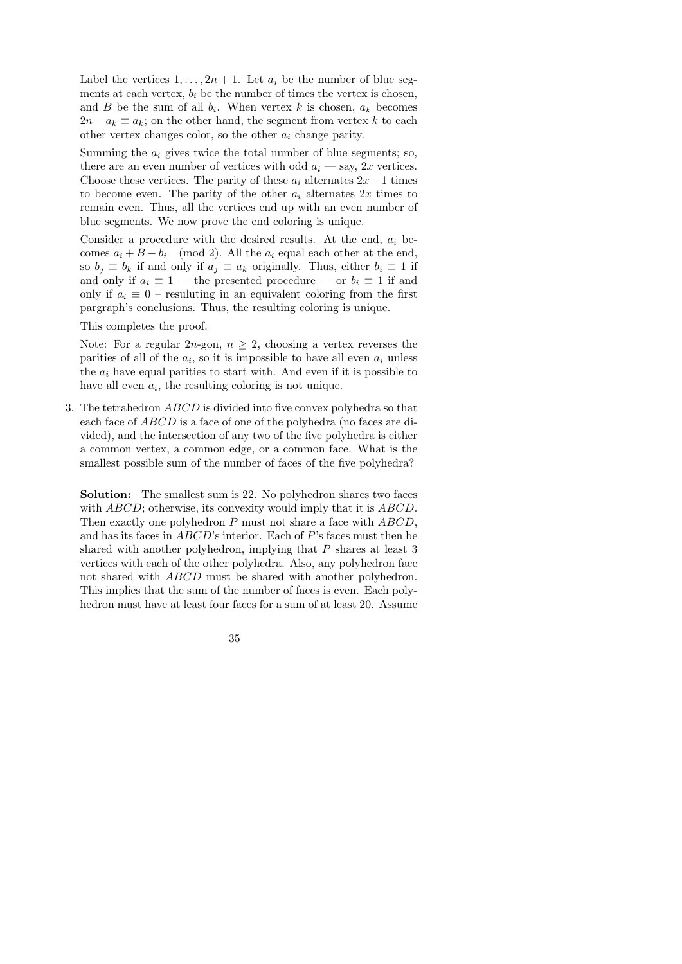Label the vertices  $1, \ldots, 2n+1$ . Let  $a_i$  be the number of blue segments at each vertex,  $b_i$  be the number of times the vertex is chosen, and  $B$  be the sum of all  $b_i$ . When vertex  $k$  is chosen,  $a_k$  becomes  $2n - a_k \equiv a_k$ ; on the other hand, the segment from vertex k to each other vertex changes color, so the other  $a_i$  change parity.

Summing the  $a_i$  gives twice the total number of blue segments; so, there are an even number of vertices with odd  $a_i$  — say, 2x vertices. Choose these vertices. The parity of these  $a_i$  alternates  $2x-1$  times to become even. The parity of the other  $a_i$  alternates  $2x$  times to remain even. Thus, all the vertices end up with an even number of blue segments. We now prove the end coloring is unique.

Consider a procedure with the desired results. At the end,  $a_i$  becomes  $a_i + B - b_i \pmod{2}$ . All the  $a_i$  equal each other at the end, so  $b_j \equiv b_k$  if and only if  $a_j \equiv a_k$  originally. Thus, either  $b_i \equiv 1$  if and only if  $a_i \equiv 1$  — the presented procedure — or  $b_i \equiv 1$  if and only if  $a_i \equiv 0$  – resuluting in an equivalent coloring from the first pargraph's conclusions. Thus, the resulting coloring is unique.

This completes the proof.

Note: For a regular  $2n$ -gon,  $n \geq 2$ , choosing a vertex reverses the parities of all of the  $a_i$ , so it is impossible to have all even  $a_i$  unless the  $a_i$  have equal parities to start with. And even if it is possible to have all even  $a_i$ , the resulting coloring is not unique.

3. The tetrahedron ABCD is divided into five convex polyhedra so that each face of ABCD is a face of one of the polyhedra (no faces are divided), and the intersection of any two of the five polyhedra is either a common vertex, a common edge, or a common face. What is the smallest possible sum of the number of faces of the five polyhedra?

Solution: The smallest sum is 22. No polyhedron shares two faces with ABCD; otherwise, its convexity would imply that it is ABCD. Then exactly one polyhedron P must not share a face with ABCD, and has its faces in ABCD's interior. Each of P's faces must then be shared with another polyhedron, implying that P shares at least 3 vertices with each of the other polyhedra. Also, any polyhedron face not shared with ABCD must be shared with another polyhedron. This implies that the sum of the number of faces is even. Each polyhedron must have at least four faces for a sum of at least 20. Assume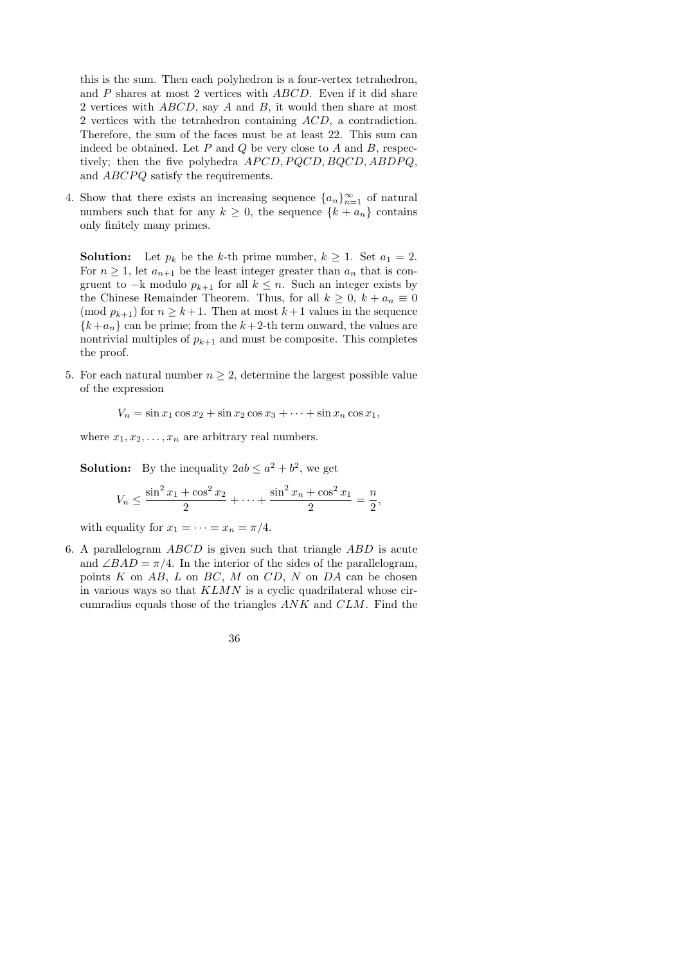this is the sum. Then each polyhedron is a four-vertex tetrahedron, and P shares at most 2 vertices with ABCD. Even if it did share 2 vertices with ABCD, say A and B, it would then share at most 2 vertices with the tetrahedron containing ACD, a contradiction. Therefore, the sum of the faces must be at least 22. This sum can indeed be obtained. Let  $P$  and  $Q$  be very close to  $A$  and  $B$ , respectively; then the five polyhedra  $APCD, PQCD, BQCD, ABDPQ$ , and *ABCPQ* satisfy the requirements.

4. Show that there exists an increasing sequence  $\{a_n\}_{n=1}^{\infty}$  of natural numbers such that for any  $k \geq 0$ , the sequence  $\{k + a_n\}$  contains only finitely many primes.

**Solution:** Let  $p_k$  be the k-th prime number,  $k \geq 1$ . Set  $a_1 = 2$ . For  $n \geq 1$ , let  $a_{n+1}$  be the least integer greater than  $a_n$  that is congruent to  $-k$  modulo  $p_{k+1}$  for all  $k \leq n$ . Such an integer exists by the Chinese Remainder Theorem. Thus, for all  $k \geq 0$ ,  $k + a_n \equiv 0$ (mod  $p_{k+1}$ ) for  $n \geq k+1$ . Then at most  $k+1$  values in the sequence  ${k+a_n}$  can be prime; from the  $k+2$ -th term onward, the values are nontrivial multiples of  $p_{k+1}$  and must be composite. This completes the proof.

5. For each natural number  $n \geq 2$ , determine the largest possible value of the expression

 $V_n = \sin x_1 \cos x_2 + \sin x_2 \cos x_3 + \cdots + \sin x_n \cos x_1$ 

where  $x_1, x_2, \ldots, x_n$  are arbitrary real numbers.

**Solution:** By the inequality  $2ab \le a^2 + b^2$ , we get

$$
V_n \le \frac{\sin^2 x_1 + \cos^2 x_2}{2} + \dots + \frac{\sin^2 x_n + \cos^2 x_1}{2} = \frac{n}{2},
$$

with equality for  $x_1 = \cdots = x_n = \pi/4$ .

6. A parallelogram ABCD is given such that triangle ABD is acute and  $\angle BAD = \pi/4$ . In the interior of the sides of the parallelogram, points  $K$  on  $AB$ ,  $L$  on  $BC$ ,  $M$  on  $CD$ ,  $N$  on  $DA$  can be chosen in various ways so that  $KLMN$  is a cyclic quadrilateral whose circumradius equals those of the triangles ANK and CLM. Find the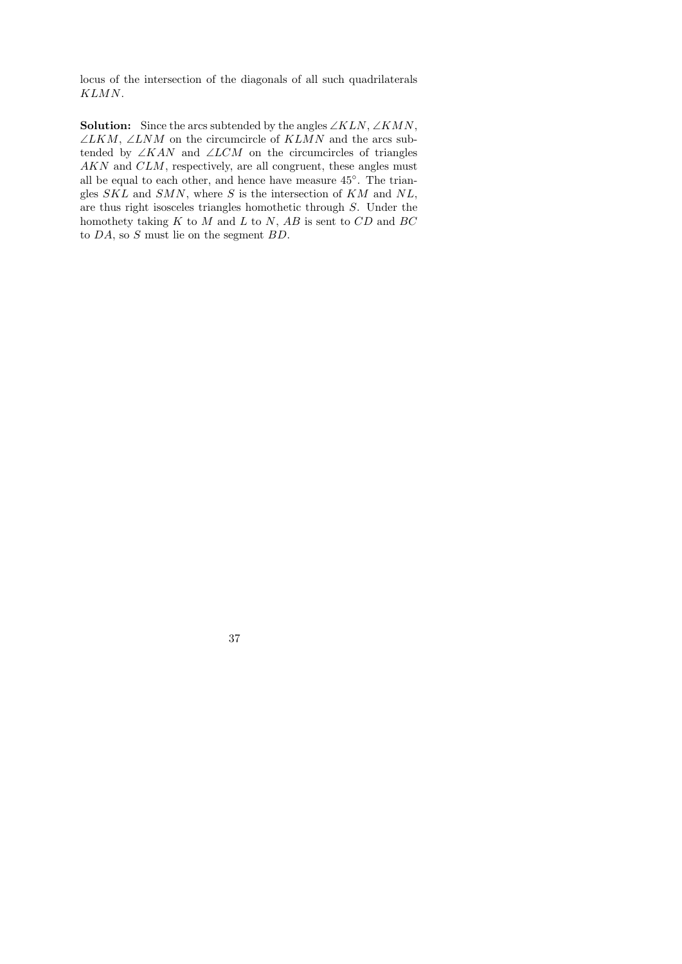locus of the intersection of the diagonals of all such quadrilaterals KLMN.

**Solution:** Since the arcs subtended by the angles  $\angle KLN$ ,  $\angle KMN$ ,  $\angle LKM$ ,  $\angle LNM$  on the circumcircle of  $KLMN$  and the arcs subtended by ∠KAN and ∠LCM on the circumcircles of triangles AKN and CLM, respectively, are all congruent, these angles must all be equal to each other, and hence have measure 45◦ . The triangles  $SKL$  and  $SMN$ , where S is the intersection of KM and NL, are thus right isosceles triangles homothetic through S. Under the homothety taking  $K$  to  $M$  and  $L$  to  $N$ ,  $AB$  is sent to  $CD$  and  $BC$ to DA, so S must lie on the segment BD.

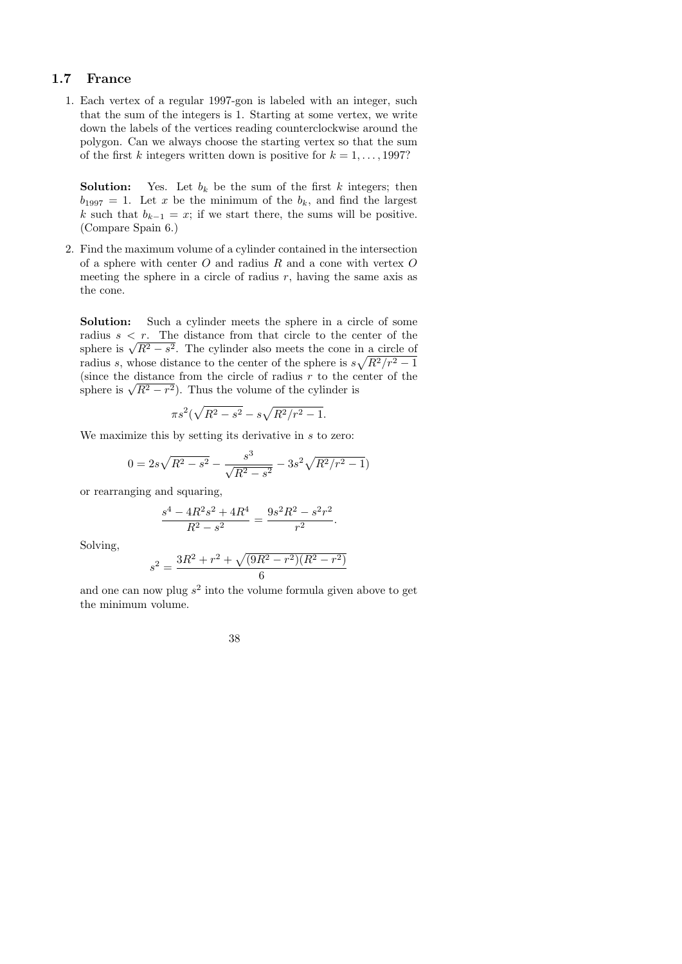# 1.7 France

1. Each vertex of a regular 1997-gon is labeled with an integer, such that the sum of the integers is 1. Starting at some vertex, we write down the labels of the vertices reading counterclockwise around the polygon. Can we always choose the starting vertex so that the sum of the first k integers written down is positive for  $k = 1, \ldots, 1997$ ?

**Solution:** Yes. Let  $b_k$  be the sum of the first k integers; then  $b_{1997} = 1$ . Let x be the minimum of the  $b_k$ , and find the largest k such that  $b_{k-1} = x$ ; if we start there, the sums will be positive. (Compare Spain 6.)

2. Find the maximum volume of a cylinder contained in the intersection of a sphere with center  $O$  and radius  $R$  and a cone with vertex  $O$ meeting the sphere in a circle of radius  $r$ , having the same axis as the cone.

Solution: Such a cylinder meets the sphere in a circle of some radius  $s < r$ . The distance from that circle to the center of the sphere is  $\sqrt{R^2 - s^2}$ . The cylinder also meets the cone in a circle of radius s, whose distance to the center of the sphere is  $s\sqrt{R^2/r^2-1}$ (since the distance from the circle of radius  $r$  to the center of the (since the distance from the circle of radius r to the c<br>sphere is  $\sqrt{R^2-r^2}$ ). Thus the volume of the cylinder is

$$
\pi s^2(\sqrt{R^2 - s^2} - s\sqrt{R^2/r^2 - 1}.
$$

We maximize this by setting its derivative in s to zero:

$$
0 = 2s\sqrt{R^2 - s^2} - \frac{s^3}{\sqrt{R^2 - s^2}} - 3s^2\sqrt{R^2/r^2 - 1}
$$

or rearranging and squaring,

$$
\frac{s^4 - 4R^2s^2 + 4R^4}{R^2 - s^2} = \frac{9s^2R^2 - s^2r^2}{r^2}.
$$

Solving,

$$
s^2 = \frac{3R^2 + r^2 + \sqrt{(9R^2 - r^2)(R^2 - r^2)}}{6}
$$

and one can now plug  $s^2$  into the volume formula given above to get the minimum volume.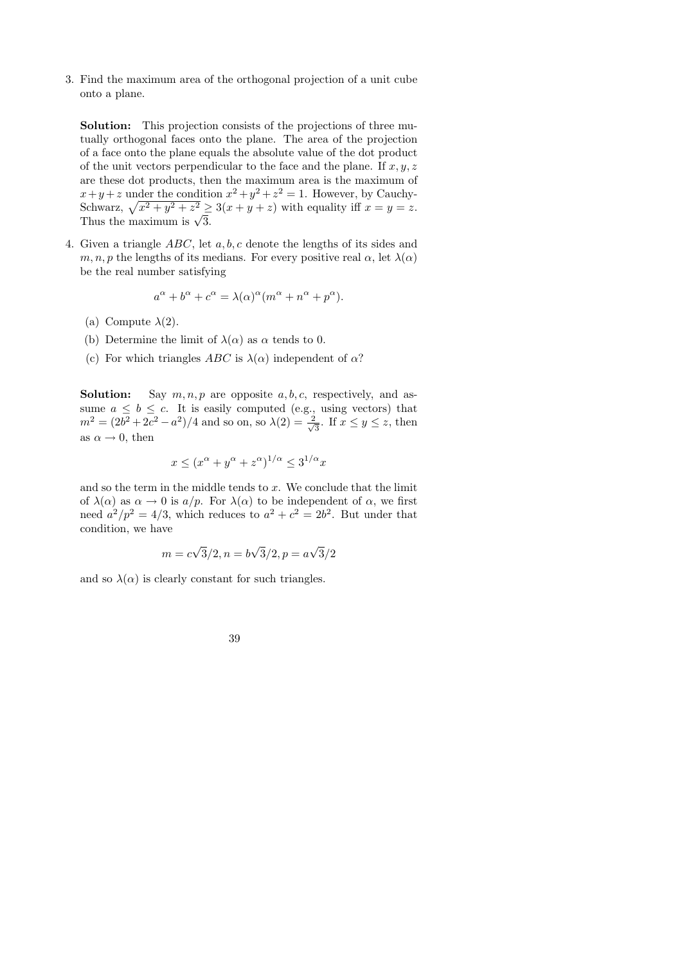3. Find the maximum area of the orthogonal projection of a unit cube onto a plane.

Solution: This projection consists of the projections of three mutually orthogonal faces onto the plane. The area of the projection of a face onto the plane equals the absolute value of the dot product of the unit vectors perpendicular to the face and the plane. If  $x, y, z$ are these dot products, then the maximum area is the maximum of  $x+y+z$  under the condition  $x^2+y^2+z^2=1$ . However, by Cauchy-Schwarz,  $\sqrt{x^2 + y^2 + z^2} \ge 3(x + y + z)$  with equality iff  $x = y = z$ . Schwarz,  $\sqrt{x^2 + y^2 + z^2} \ge$ <br>Thus the maximum is  $\sqrt{3}$ .

4. Given a triangle ABC, let a, b, c denote the lengths of its sides and  $m, n, p$  the lengths of its medians. For every positive real  $\alpha$ , let  $\lambda(\alpha)$ be the real number satisfying

$$
a^{\alpha} + b^{\alpha} + c^{\alpha} = \lambda(\alpha)^{\alpha} (m^{\alpha} + n^{\alpha} + p^{\alpha}).
$$

- (a) Compute  $\lambda(2)$ .
- (b) Determine the limit of  $\lambda(\alpha)$  as  $\alpha$  tends to 0.
- (c) For which triangles ABC is  $\lambda(\alpha)$  independent of  $\alpha$ ?

**Solution:** Say  $m, n, p$  are opposite  $a, b, c$ , respectively, and assume  $a \leq b \leq c$ . It is easily computed (e.g., using vectors) that  $m^2 = (2b^2 + 2c^2 - a^2)/4$  and so on, so  $\lambda(2) = \frac{2}{\lambda}$  $\frac{2}{3}$ . If  $x \leq y \leq z$ , then as  $\alpha \to 0$ , then

$$
x \le (x^{\alpha} + y^{\alpha} + z^{\alpha})^{1/\alpha} \le 3^{1/\alpha}x
$$

and so the term in the middle tends to  $x$ . We conclude that the limit of  $\lambda(\alpha)$  as  $\alpha \to 0$  is  $a/p$ . For  $\lambda(\alpha)$  to be independent of  $\alpha$ , we first need  $a^2/p^2 = 4/3$ , which reduces to  $a^2 + c^2 = 2b^2$ . But under that condition, we have

$$
m = c\sqrt{3}/2, n = b\sqrt{3}/2, p = a\sqrt{3}/2
$$

and so  $\lambda(\alpha)$  is clearly constant for such triangles.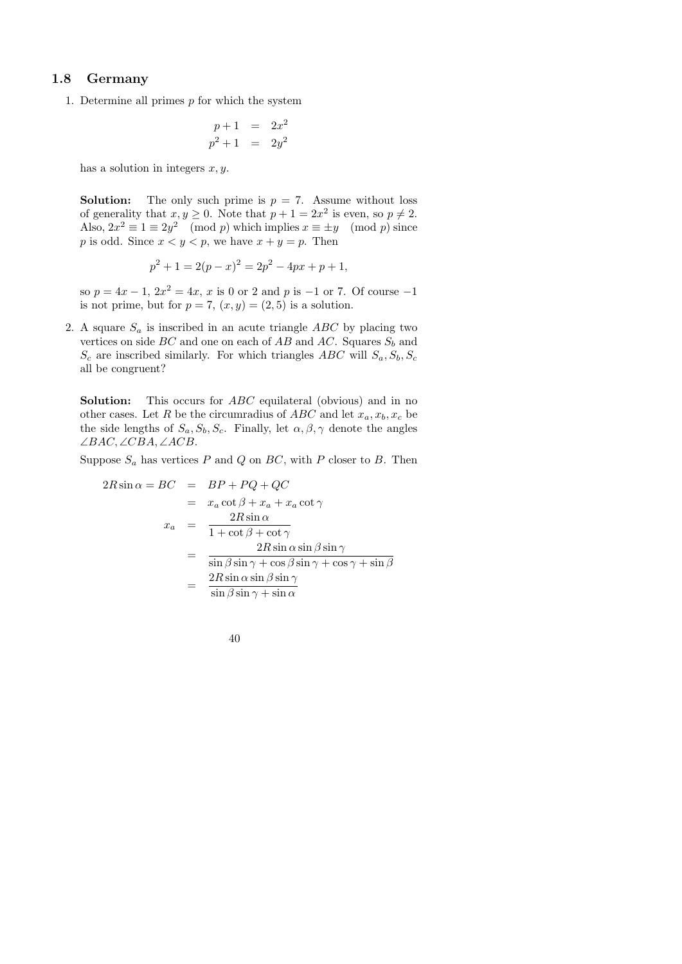# 1.8 Germany

1. Determine all primes  $p$  for which the system

$$
p+1 = 2x^2
$$
  

$$
p^2 + 1 = 2y^2
$$

has a solution in integers  $x, y$ .

**Solution:** The only such prime is  $p = 7$ . Assume without loss of generality that  $x, y \ge 0$ . Note that  $p + 1 = 2x^2$  is even, so  $p \ne 2$ . Also,  $2x^2 \equiv 1 \equiv 2y^2 \pmod{p}$  which implies  $x \equiv \pm y \pmod{p}$  since p is odd. Since  $x < y < p$ , we have  $x + y = p$ . Then

$$
p^2 + 1 = 2(p - x)^2 = 2p^2 - 4px + p + 1,
$$

so  $p = 4x - 1$ ,  $2x^2 = 4x$ , x is 0 or 2 and p is -1 or 7. Of course -1 is not prime, but for  $p = 7$ ,  $(x, y) = (2, 5)$  is a solution.

2. A square  $S_a$  is inscribed in an acute triangle ABC by placing two vertices on side  $BC$  and one on each of  $AB$  and  $AC$ . Squares  $S_b$  and  $S_c$  are inscribed similarly. For which triangles ABC will  $S_a$ ,  $S_b$ ,  $S_c$ all be congruent?

Solution: This occurs for *ABC* equilateral (obvious) and in no other cases. Let R be the circumradius of ABC and let  $x_a, x_b, x_c$  be the side lengths of  $S_a$ ,  $S_b$ ,  $S_c$ . Finally, let  $\alpha$ ,  $\beta$ ,  $\gamma$  denote the angles ∠BAC, ∠CBA, ∠ACB.

Suppose  $S_a$  has vertices P and Q on BC, with P closer to B. Then

$$
2R\sin\alpha = BC = BP + PQ + QC
$$
  
=  $x_a \cot\beta + x_a + x_a \cot\gamma$   

$$
x_a = \frac{2R\sin\alpha}{1 + \cot\beta + \cot\gamma}
$$
  
= 
$$
\frac{2R\sin\alpha\sin\beta\sin\gamma}{\sin\beta\sin\gamma + \cos\beta\sin\gamma + \cos\gamma + \sin\beta}
$$
  
= 
$$
\frac{2R\sin\alpha\sin\beta\sin\gamma}{\sin\beta\sin\gamma + \sin\alpha}
$$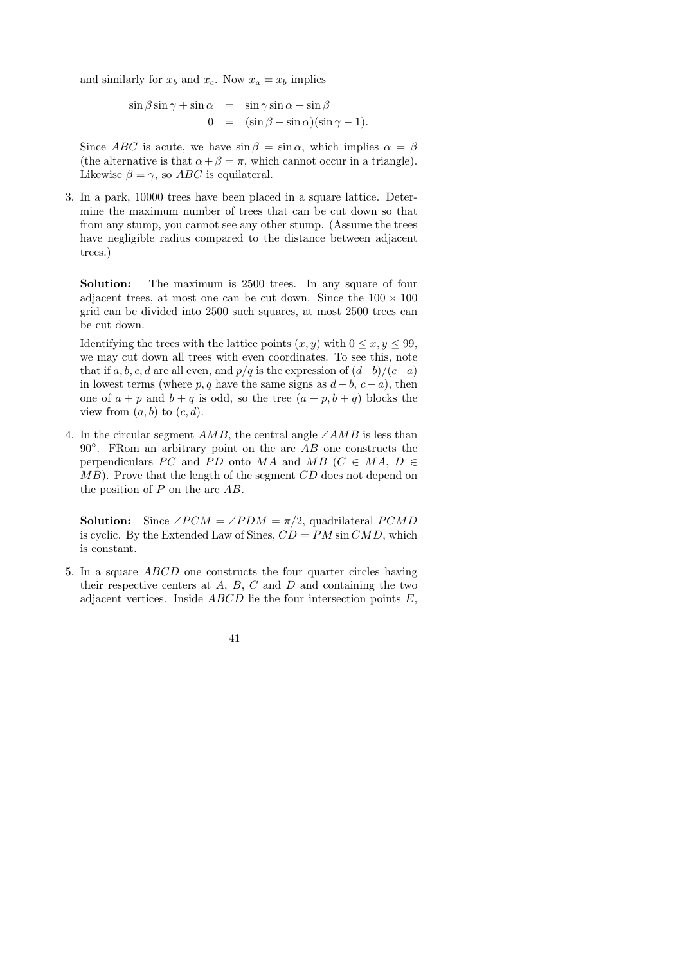and similarly for  $x_b$  and  $x_c$ . Now  $x_a = x_b$  implies

$$
\sin \beta \sin \gamma + \sin \alpha = \sin \gamma \sin \alpha + \sin \beta
$$
  

$$
0 = (\sin \beta - \sin \alpha)(\sin \gamma - 1).
$$

Since ABC is acute, we have  $\sin \beta = \sin \alpha$ , which implies  $\alpha = \beta$ (the alternative is that  $\alpha + \beta = \pi$ , which cannot occur in a triangle). Likewise  $\beta = \gamma$ , so ABC is equilateral.

3. In a park, 10000 trees have been placed in a square lattice. Determine the maximum number of trees that can be cut down so that from any stump, you cannot see any other stump. (Assume the trees have negligible radius compared to the distance between adjacent trees.)

Solution: The maximum is 2500 trees. In any square of four adjacent trees, at most one can be cut down. Since the  $100 \times 100$ grid can be divided into 2500 such squares, at most 2500 trees can be cut down.

Identifying the trees with the lattice points  $(x, y)$  with  $0 \le x, y \le 99$ , we may cut down all trees with even coordinates. To see this, note that if a, b, c, d are all even, and  $p/q$  is the expression of  $(d-b)/(c-a)$ in lowest terms (where p, q have the same signs as  $d - b$ ,  $c - a$ ), then one of  $a + p$  and  $b + q$  is odd, so the tree  $(a + p, b + q)$  blocks the view from  $(a, b)$  to  $(c, d)$ .

4. In the circular segment  $AMB$ , the central angle  $\angle AMB$  is less than  $90^\circ$ . FRom an arbitrary point on the arc  $AB$  one constructs the perpendiculars PC and PD onto MA and MB ( $C \in MA$ ,  $D \in$ MB). Prove that the length of the segment CD does not depend on the position of P on the arc AB.

**Solution:** Since  $\angle PCM = \angle PDM = \pi/2$ , quadrilateral PCMD is cyclic. By the Extended Law of Sines,  $CD = PM \sin CMD$ , which is constant.

5. In a square ABCD one constructs the four quarter circles having their respective centers at  $A, B, C$  and  $D$  and containing the two adjacent vertices. Inside  $ABCD$  lie the four intersection points  $E$ ,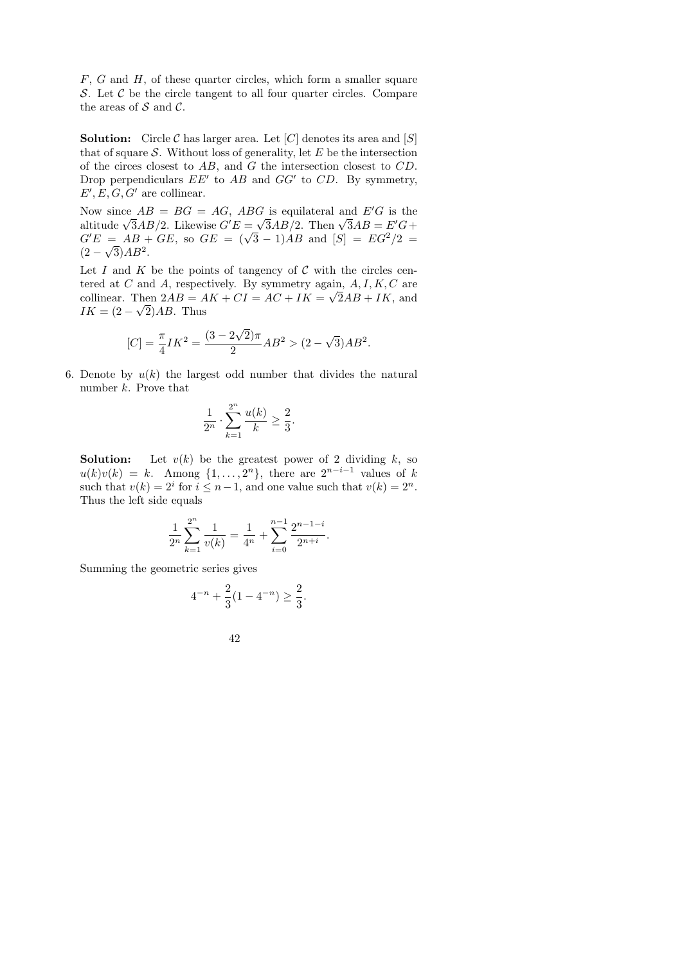F, G and H, of these quarter circles, which form a smaller square S. Let  $\mathcal C$  be the circle tangent to all four quarter circles. Compare the areas of  $\mathcal S$  and  $\mathcal C.$ 

**Solution:** Circle  $C$  has larger area. Let  $[C]$  denotes its area and  $[S]$ that of square  $S$ . Without loss of generality, let  $E$  be the intersection of the circes closest to AB, and G the intersection closest to CD. Drop perpendiculars  $EE'$  to  $AB$  and  $GG'$  to  $CD$ . By symmetry,  $E', E, G, G'$  are collinear.

Now since  $AB = BG = AG$ ,  $ABG$  is equilateral and  $E'G$  is the Now since  $AB = BG = AG$ ,  $ABG$  is equilateral and  $E'G$  is the altitude  $\sqrt{3}AB/2$ . Likewise  $G'E = \sqrt{3}AB/2$ . Then  $\sqrt{3}AB = E'G +$ altitude  $\sqrt{3AB/2}$ . Likewise  $G'E = \sqrt{3AB/2}$ . Then  $\sqrt{3AB} = E'G + G'E = AB + GE$ , so  $GE = (\sqrt{3} - 1)AB$  and  $[S] = EG^2/2 =$  $(2-\sqrt{3})AB^2$ .

Let I and K be the points of tangency of C with the circles centered at C and A, respectively. By symmetry again,  $A, I, K, C$  are collinear. Then  $2AB = AK + CI = AC + IK = \sqrt{2AB + IK}$ , and  $IK = (2 - \sqrt{2})AB$ . Thus

$$
[C] = \frac{\pi}{4}IK^2 = \frac{(3 - 2\sqrt{2})\pi}{2}AB^2 > (2 - \sqrt{3})AB^2.
$$

6. Denote by  $u(k)$  the largest odd number that divides the natural number k. Prove that

$$
\frac{1}{2^n} \cdot \sum_{k=1}^{2^n} \frac{u(k)}{k} \ge \frac{2}{3}.
$$

**Solution:** Let  $v(k)$  be the greatest power of 2 dividing k, so  $u(k)v(k) = k$ . Among  $\{1, \ldots, 2<sup>n</sup>\}$ , there are  $2^{n-i-1}$  values of k such that  $v(k) = 2^i$  for  $i \leq n-1$ , and one value such that  $v(k) = 2^n$ . Thus the left side equals

$$
\frac{1}{2^n} \sum_{k=1}^{2^n} \frac{1}{v(k)} = \frac{1}{4^n} + \sum_{i=0}^{n-1} \frac{2^{n-1-i}}{2^{n+i}}.
$$

Summing the geometric series gives

$$
4^{-n} + \frac{2}{3}(1 - 4^{-n}) \ge \frac{2}{3}.
$$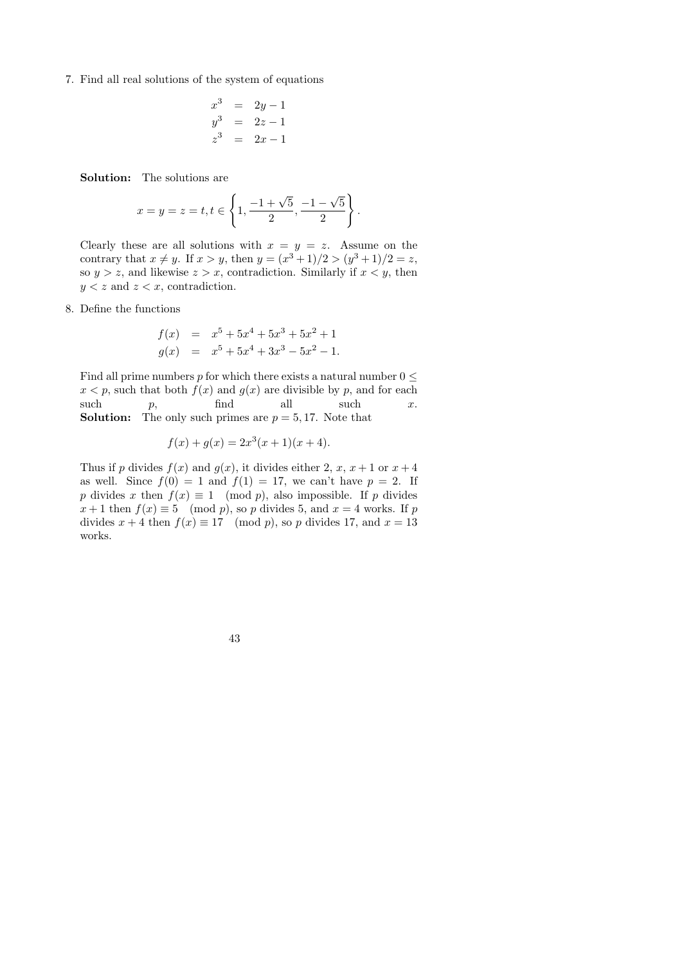7. Find all real solutions of the system of equations

$$
x^{3} = 2y - 1
$$
  
\n
$$
y^{3} = 2z - 1
$$
  
\n
$$
z^{3} = 2x - 1
$$

Solution: The solutions are

$$
x = y = z = t, t \in \left\{1, \frac{-1 + \sqrt{5}}{2}, \frac{-1 - \sqrt{5}}{2}\right\}.
$$

Clearly these are all solutions with  $x = y = z$ . Assume on the contrary that  $x \neq y$ . If  $x > y$ , then  $y = (x^3 + 1)/2 > (y^3 + 1)/2 = z$ , so  $y > z$ , and likewise  $z > x$ , contradiction. Similarly if  $x < y$ , then  $y < z$  and  $z < x$ , contradiction.

8. Define the functions

$$
f(x) = x^5 + 5x^4 + 5x^3 + 5x^2 + 1
$$
  
\n
$$
g(x) = x^5 + 5x^4 + 3x^3 - 5x^2 - 1.
$$

Find all prime numbers p for which there exists a natural number  $0 \leq$  $x < p$ , such that both  $f(x)$  and  $g(x)$  are divisible by p, and for each such  $p$ , find all such  $x$ . **Solution:** The only such primes are  $p = 5, 17$ . Note that

$$
f(x) + g(x) = 2x^3(x+1)(x+4).
$$

Thus if p divides  $f(x)$  and  $g(x)$ , it divides either 2, x, x + 1 or x + 4 as well. Since  $f(0) = 1$  and  $f(1) = 17$ , we can't have  $p = 2$ . If p divides x then  $f(x) \equiv 1 \pmod{p}$ , also impossible. If p divides  $x+1$  then  $f(x) \equiv 5 \pmod{p}$ , so p divides 5, and  $x = 4$  works. If p divides  $x + 4$  then  $f(x) \equiv 17 \pmod{p}$ , so p divides 17, and  $x = 13$ works.

| I             |
|---------------|
| ٦<br>M.<br>۰. |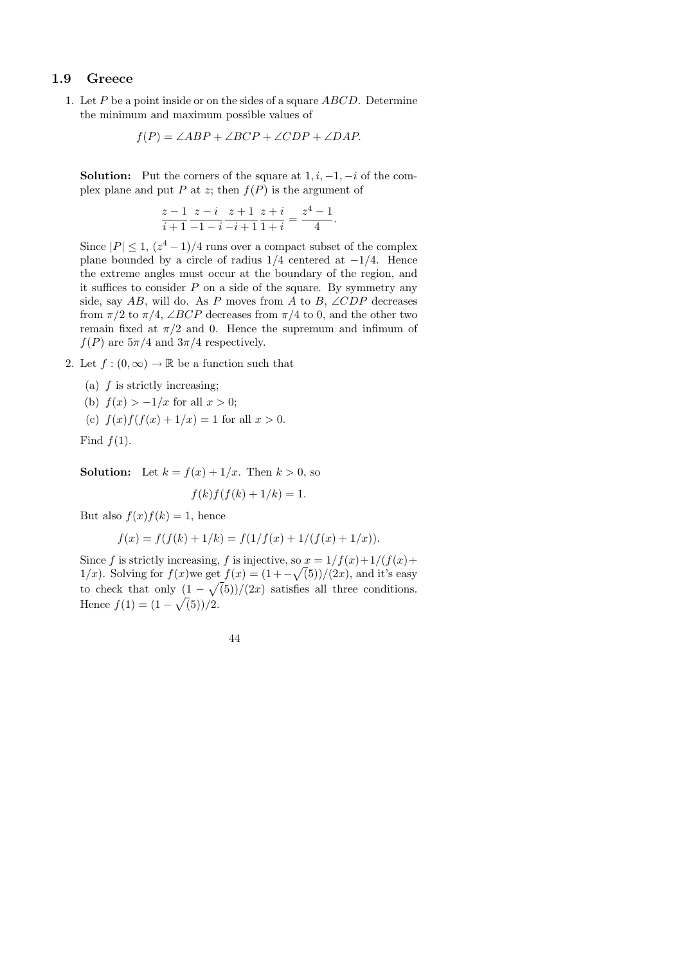# 1.9 Greece

1. Let  $P$  be a point inside or on the sides of a square  $ABCD$ . Determine the minimum and maximum possible values of

$$
f(P) = \angle ABP + \angle BCP + \angle CDP + \angle DAP.
$$

**Solution:** Put the corners of the square at  $1, i, -1, -i$  of the complex plane and put P at z; then  $f(P)$  is the argument of

$$
\frac{z-1}{i+1} \frac{z-i}{-1-i} \frac{z+1}{-i+1} \frac{z+i}{1+i} = \frac{z^4-1}{4}.
$$

Since  $|P| \leq 1$ ,  $(z^4 - 1)/4$  runs over a compact subset of the complex plane bounded by a circle of radius  $1/4$  centered at  $-1/4$ . Hence the extreme angles must occur at the boundary of the region, and it suffices to consider  $P$  on a side of the square. By symmetry any side, say AB, will do. As P moves from A to B,  $\angle CDP$  decreases from  $\pi/2$  to  $\pi/4$ ,  $\angle BCP$  decreases from  $\pi/4$  to 0, and the other two remain fixed at  $\pi/2$  and 0. Hence the supremum and infimum of  $f(P)$  are  $5\pi/4$  and  $3\pi/4$  respectively.

- 2. Let  $f:(0,\infty)\to\mathbb{R}$  be a function such that
	- (a)  $f$  is strictly increasing;
	- (b)  $f(x) > -1/x$  for all  $x > 0$ ;
	- (c)  $f(x)f(f(x) + 1/x) = 1$  for all  $x > 0$ .

Find  $f(1)$ .

**Solution:** Let  $k = f(x) + 1/x$ . Then  $k > 0$ , so

$$
f(k)f(f(k) + 1/k) = 1.
$$

But also  $f(x)f(k) = 1$ , hence

$$
f(x) = f(f(k) + 1/k) = f(1/f(x) + 1/(f(x) + 1/x)).
$$

Since f is strictly increasing, f is injective, so  $x = 1/f(x) + 1/(f(x)) + 1$ 1/x). Solving for  $f(x)$  we get  $f(x) = (1 - \sqrt{5})/(2x)$ , and it's easy to check that only  $(1 - \sqrt{5}))/(2x)$  satisfies all three conditions. Hence  $f(1) = (1 - \sqrt{5})/2$ .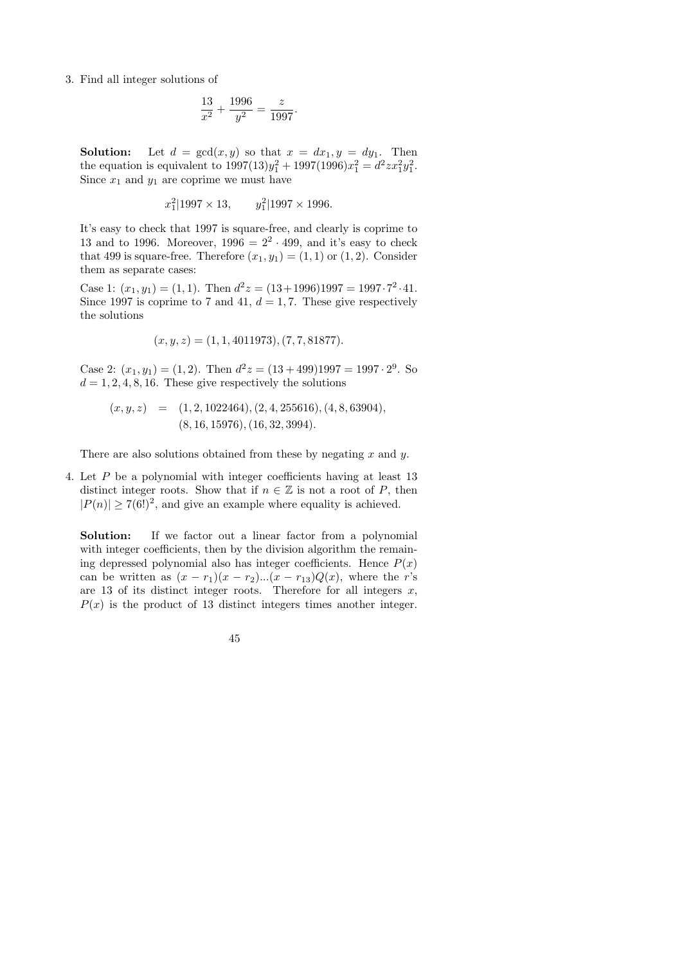3. Find all integer solutions of

$$
\frac{13}{x^2} + \frac{1996}{y^2} = \frac{z}{1997}.
$$

**Solution:** Let  $d = \gcd(x, y)$  so that  $x = dx_1, y = dy_1$ . Then the equation is equivalent to  $1997(13)y_1^2 + 1997(1996)x_1^2 = d^2zx_1^2y_1^2$ . Since  $x_1$  and  $y_1$  are coprime we must have

$$
x_1^2|1997 \times 13, \qquad y_1^2|1997 \times 1996.
$$

It's easy to check that 1997 is square-free, and clearly is coprime to 13 and to 1996. Moreover,  $1996 = 2^2 \cdot 499$ , and it's easy to check that 499 is square-free. Therefore  $(x_1, y_1) = (1, 1)$  or  $(1, 2)$ . Consider them as separate cases:

Case 1:  $(x_1, y_1) = (1, 1)$ . Then  $d^2z = (13 + 1996)1997 = 1997 \cdot 7^2 \cdot 41$ . Since 1997 is coprime to 7 and 41,  $d = 1, 7$ . These give respectively the solutions

$$
(x, y, z) = (1, 1, 4011973), (7, 7, 81877).
$$

Case 2:  $(x_1, y_1) = (1, 2)$ . Then  $d^2z = (13 + 499)1997 = 1997 \cdot 2^9$ . So  $d = 1, 2, 4, 8, 16$ . These give respectively the solutions

$$
(x, y, z)
$$
 = (1, 2, 1022464), (2, 4, 255616), (4, 8, 63904),  
(8, 16, 15976), (16, 32, 3994).

There are also solutions obtained from these by negating  $x$  and  $y$ .

4. Let P be a polynomial with integer coefficients having at least 13 distinct integer roots. Show that if  $n \in \mathbb{Z}$  is not a root of P, then  $|P(n)| \geq 7(6!)^2$ , and give an example where equality is achieved.

Solution: If we factor out a linear factor from a polynomial with integer coefficients, then by the division algorithm the remaining depressed polynomial also has integer coefficients. Hence  $P(x)$ can be written as  $(x - r_1)(x - r_2)...(x - r_{13})Q(x)$ , where the r's are 13 of its distinct integer roots. Therefore for all integers  $x$ ,  $P(x)$  is the product of 13 distinct integers times another integer.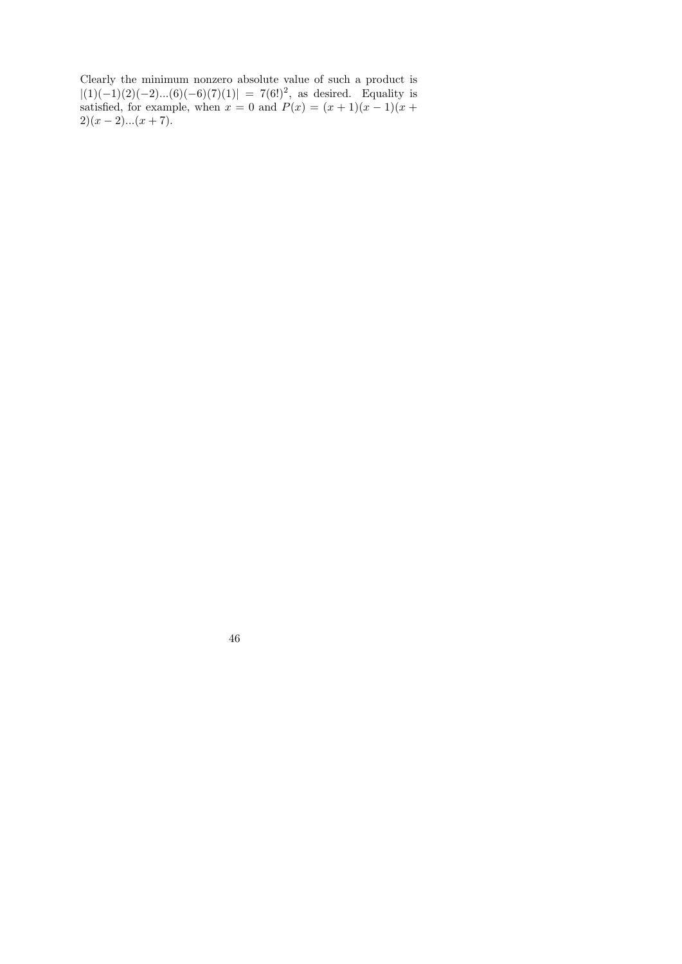Clearly the minimum nonzero absolute value of such a product is  $|(1)(-1)(2)(-2)...(6)(-6)(7)(1)| = 7(6!)^2$ , as desired. Equality is satisfied, for example, when  $x = 0$  and  $P(x) = (x + 1)(x - 1)(x + 1)$  $2)(x-2)...(x+7).$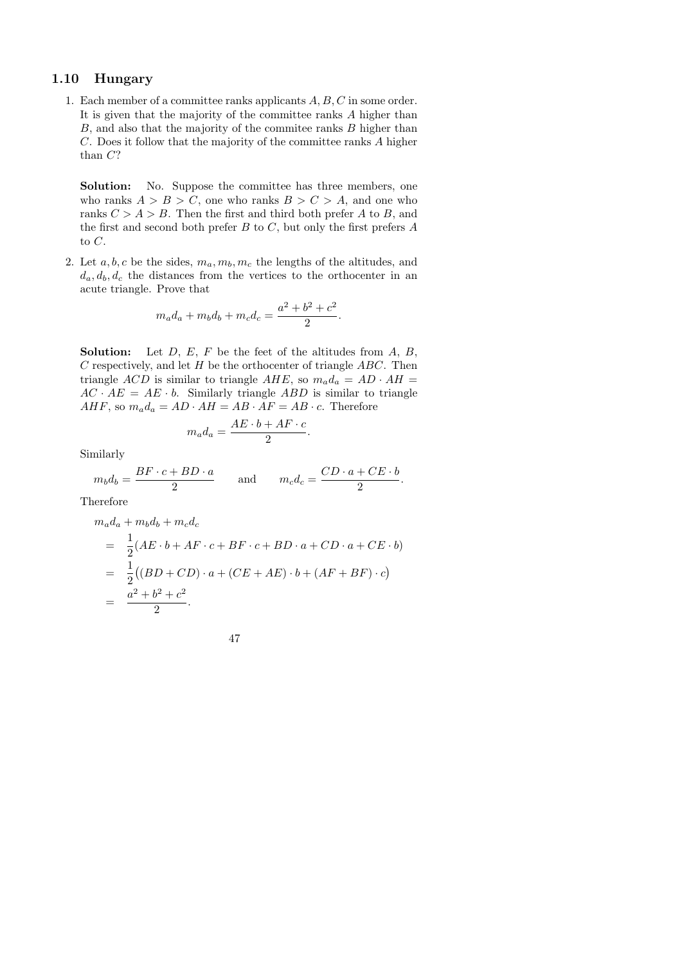# 1.10 Hungary

1. Each member of a committee ranks applicants  $A, B, C$  in some order. It is given that the majority of the committee ranks A higher than B, and also that the majority of the commitee ranks B higher than C. Does it follow that the majority of the committee ranks A higher than C?

Solution: No. Suppose the committee has three members, one who ranks  $A > B > C$ , one who ranks  $B > C > A$ , and one who ranks  $C > A > B$ . Then the first and third both prefer A to B, and the first and second both prefer  $B$  to  $C$ , but only the first prefers  $A$ to C.

2. Let  $a, b, c$  be the sides,  $m_a, m_b, m_c$  the lengths of the altitudes, and  $d_a, d_b, d_c$  the distances from the vertices to the orthocenter in an acute triangle. Prove that

$$
m_a d_a + m_b d_b + m_c d_c = \frac{a^2 + b^2 + c^2}{2}.
$$

**Solution:** Let  $D$ ,  $E$ ,  $F$  be the feet of the altitudes from  $A$ ,  $B$ ,  $C$  respectively, and let  $H$  be the orthocenter of triangle  $ABC$ . Then triangle ACD is similar to triangle AHE, so  $m_a d_a = AD \cdot AH =$  $AC \cdot AE = AE \cdot b$ . Similarly triangle ABD is similar to triangle  $AHF$ , so  $m_a d_a = AD \cdot AH = AB \cdot AF = AB \cdot c$ . Therefore

$$
m_a d_a = \frac{AE \cdot b + AF \cdot c}{2}.
$$

Similarly

$$
m_b d_b = \frac{BF \cdot c + BD \cdot a}{2}
$$
 and  $m_c d_c = \frac{CD \cdot a + CE \cdot b}{2}$ .

Therefore

 $m_a d_a + m_b d_b + m_c d_c$ 

$$
= \frac{1}{2}(AE \cdot b + AF \cdot c + BF \cdot c + BD \cdot a + CD \cdot a + CE \cdot b)
$$
  
= 
$$
\frac{1}{2}((BD + CD) \cdot a + (CE + AE) \cdot b + (AF + BF) \cdot c)
$$
  
= 
$$
\frac{a^2 + b^2 + c^2}{2}.
$$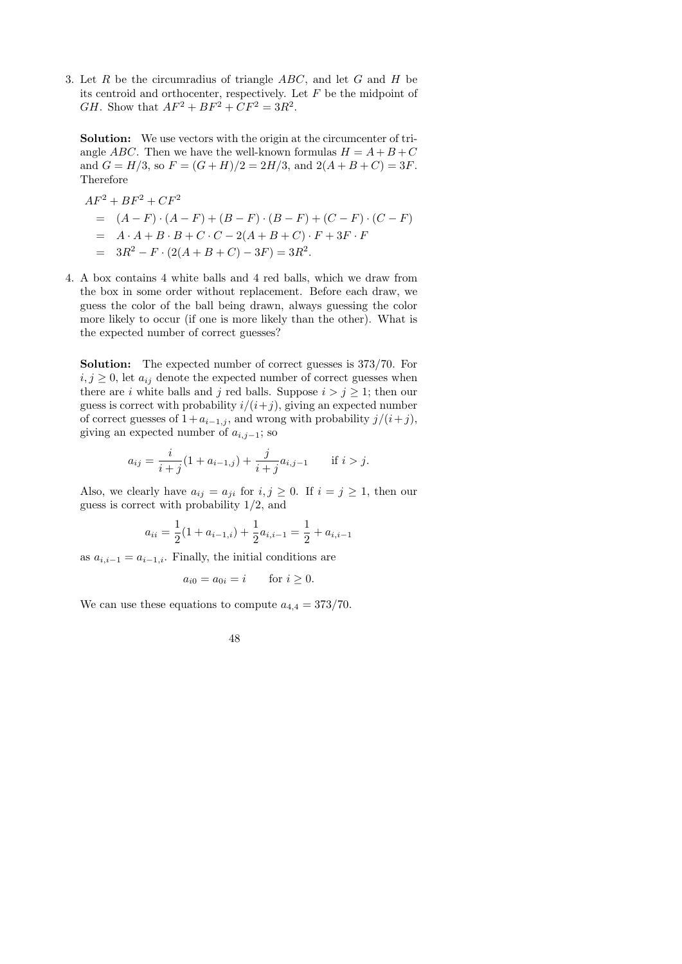3. Let  $R$  be the circumradius of triangle  $ABC$ , and let  $G$  and  $H$  be its centroid and orthocenter, respectively. Let  $F$  be the midpoint of *GH*. Show that  $AF^2 + BF^2 + CF^2 = 3R^2$ .

Solution: We use vectors with the origin at the circumcenter of triangle ABC. Then we have the well-known formulas  $H = A + B + C$ and  $G = H/3$ , so  $F = (G + H)/2 = 2H/3$ , and  $2(A + B + C) = 3F$ . Therefore

$$
AF^{2} + BF^{2} + CF^{2}
$$
  
=  $(A - F) \cdot (A - F) + (B - F) \cdot (B - F) + (C - F) \cdot (C - F)$   
=  $A \cdot A + B \cdot B + C \cdot C - 2(A + B + C) \cdot F + 3F \cdot F$   
=  $3R^{2} - F \cdot (2(A + B + C) - 3F) = 3R^{2}$ .

4. A box contains 4 white balls and 4 red balls, which we draw from the box in some order without replacement. Before each draw, we guess the color of the ball being drawn, always guessing the color more likely to occur (if one is more likely than the other). What is the expected number of correct guesses?

Solution: The expected number of correct guesses is 373/70. For  $i, j \geq 0$ , let  $a_{ij}$  denote the expected number of correct guesses when there are i white balls and j red balls. Suppose  $i > j \geq 1$ ; then our guess is correct with probability  $i/(i+j)$ , giving an expected number of correct guesses of  $1 + a_{i-1,j}$ , and wrong with probability  $j/(i+j)$ , giving an expected number of  $a_{i,j-1}$ ; so

$$
a_{ij} = \frac{i}{i+j}(1 + a_{i-1,j}) + \frac{j}{i+j}a_{i,j-1} \quad \text{if } i > j.
$$

Also, we clearly have  $a_{ij} = a_{ji}$  for  $i, j \ge 0$ . If  $i = j \ge 1$ , then our guess is correct with probability  $1/2$ , and

$$
a_{ii} = \frac{1}{2}(1 + a_{i-1,i}) + \frac{1}{2}a_{i,i-1} = \frac{1}{2} + a_{i,i-1}
$$

as  $a_{i,i-1} = a_{i-1,i}$ . Finally, the initial conditions are

$$
a_{i0} = a_{0i} = i \qquad \text{for } i \ge 0.
$$

We can use these equations to compute  $a_{4,4} = 373/70$ .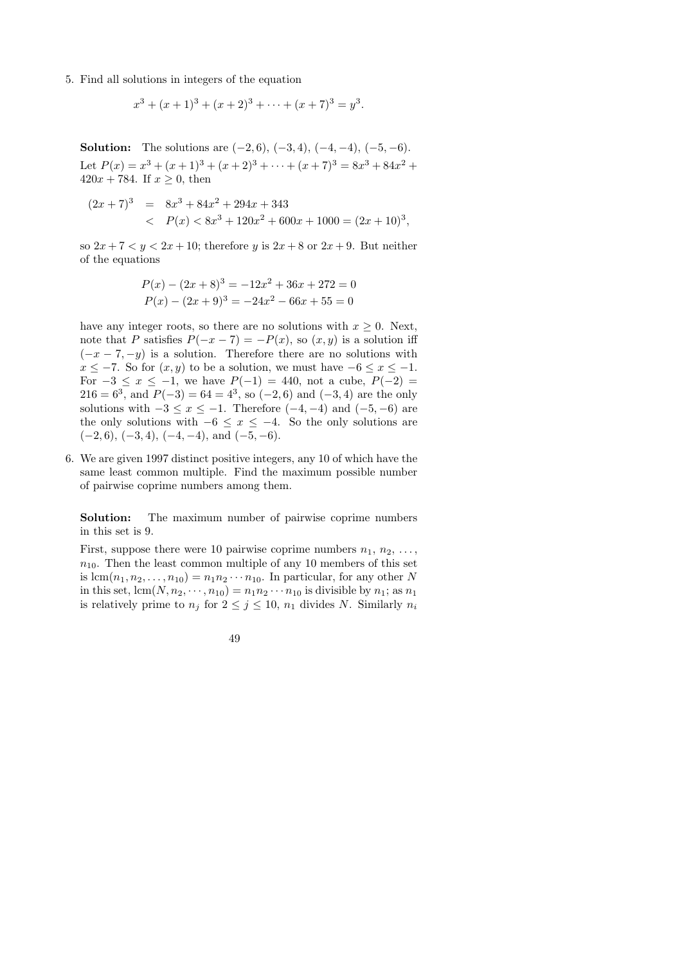5. Find all solutions in integers of the equation

$$
x^{3} + (x+1)^{3} + (x+2)^{3} + \cdots + (x+7)^{3} = y^{3}.
$$

**Solution:** The solutions are  $(-2, 6)$ ,  $(-3, 4)$ ,  $(-4, -4)$ ,  $(-5, -6)$ . Let  $P(x) = x^3 + (x+1)^3 + (x+2)^3 + \cdots + (x+7)^3 = 8x^3 + 84x^2 +$  $420x + 784$ . If  $x > 0$ , then

$$
(2x+7)3 = 8x3 + 84x2 + 294x + 343
$$
  
< 
$$
P(x) < 8x3 + 120x2 + 600x + 1000 = (2x+10)3,
$$

so  $2x + 7 < y < 2x + 10$ ; therefore y is  $2x + 8$  or  $2x + 9$ . But neither of the equations

$$
P(x) - (2x + 8)^3 = -12x^2 + 36x + 272 = 0
$$
  

$$
P(x) - (2x + 9)^3 = -24x^2 - 66x + 55 = 0
$$

have any integer roots, so there are no solutions with  $x \geq 0$ . Next, note that P satisfies  $P(-x-7) = -P(x)$ , so  $(x, y)$  is a solution iff  $(-x - 7, -y)$  is a solution. Therefore there are no solutions with  $x \leq -7$ . So for  $(x, y)$  to be a solution, we must have  $-6 \leq x \leq -1$ . For  $-3 \le x \le -1$ , we have  $P(-1) = 440$ , not a cube,  $P(-2) =$  $216 = 6^3$ , and  $P(-3) = 64 = 4^3$ , so  $(-2, 6)$  and  $(-3, 4)$  are the only solutions with  $-3 \le x \le -1$ . Therefore  $(-4, -4)$  and  $(-5, -6)$  are the only solutions with  $-6 \le x \le -4$ . So the only solutions are  $(-2, 6), (-3, 4), (-4, -4), \text{ and } (-5, -6).$ 

6. We are given 1997 distinct positive integers, any 10 of which have the same least common multiple. Find the maximum possible number of pairwise coprime numbers among them.

Solution: The maximum number of pairwise coprime numbers in this set is 9.

First, suppose there were 10 pairwise coprime numbers  $n_1, n_2, \ldots$ ,  $n_{10}$ . Then the least common multiple of any 10 members of this set is  $lcm(n_1, n_2, \ldots, n_{10}) = n_1 n_2 \cdots n_{10}$ . In particular, for any other N in this set,  $lcm(N, n_2, \dots, n_{10}) = n_1 n_2 \dots n_{10}$  is divisible by  $n_1$ ; as  $n_1$ is relatively prime to  $n_i$  for  $2 \leq j \leq 10$ ,  $n_1$  divides N. Similarly  $n_i$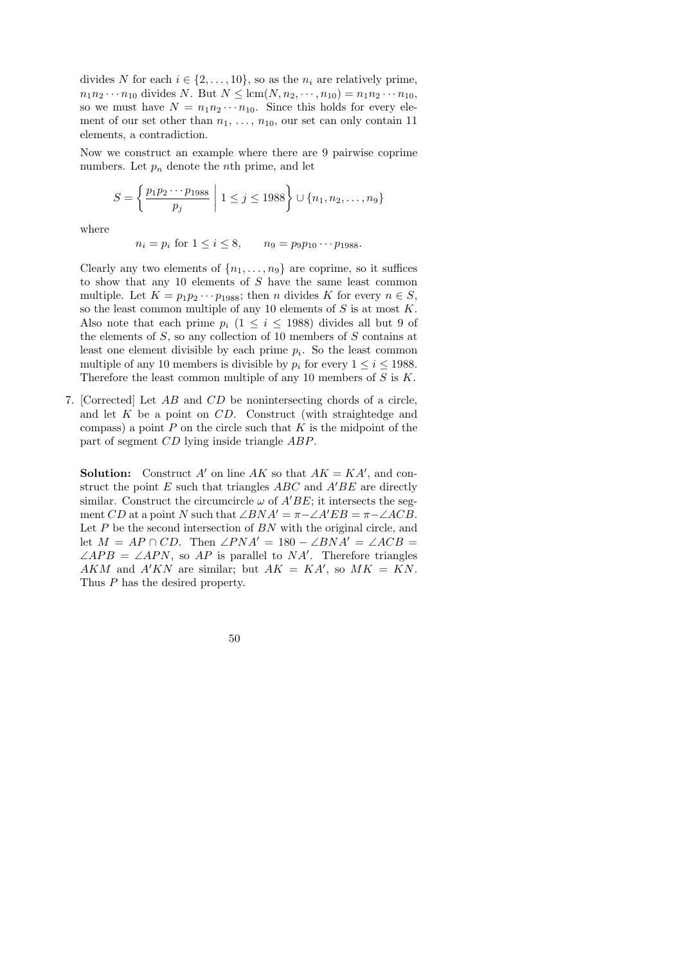divides N for each  $i \in \{2, \ldots, 10\}$ , so as the  $n_i$  are relatively prime,  $n_1 n_2 \cdots n_{10}$  divides N. But  $N \leq \text{lcm}(N, n_2, \cdots, n_{10}) = n_1 n_2 \cdots n_{10}$ , so we must have  $N = n_1 n_2 \cdots n_{10}$ . Since this holds for every element of our set other than  $n_1, \ldots, n_{10}$ , our set can only contain 11 elements, a contradiction.

Now we construct an example where there are 9 pairwise coprime numbers. Let  $p_n$  denote the *n*th prime, and let

$$
S = \left\{ \frac{p_1 p_2 \cdots p_{1988}}{p_j} \middle| 1 \leq j \leq 1988 \right\} \cup \{n_1, n_2, \ldots, n_9\}
$$

where

 $n_i = p_i$  for  $1 \le i \le 8$ ,  $n_9 = p_9p_{10} \cdots p_{1988}$ .

Clearly any two elements of  $\{n_1, \ldots, n_9\}$  are coprime, so it suffices to show that any  $10$  elements of  $S$  have the same least common multiple. Let  $K = p_1 p_2 \cdots p_{1988}$ ; then *n* divides K for every  $n \in S$ , so the least common multiple of any 10 elements of  $S$  is at most  $K$ . Also note that each prime  $p_i$  ( $1 \leq i \leq 1988$ ) divides all but 9 of the elements of  $S$ , so any collection of 10 members of  $S$  contains at least one element divisible by each prime  $p_i$ . So the least common multiple of any 10 members is divisible by  $p_i$  for every  $1 \leq i \leq 1988$ . Therefore the least common multiple of any 10 members of  $S$  is  $K$ .

7. [Corrected] Let AB and CD be nonintersecting chords of a circle, and let K be a point on CD. Construct (with straightedge and compass) a point  $P$  on the circle such that  $K$  is the midpoint of the part of segment CD lying inside triangle ABP.

**Solution:** Construct A' on line AK so that  $AK = KA'$ , and construct the point  $E$  such that triangles  $ABC$  and  $A'BE$  are directly similar. Construct the circumcircle  $\omega$  of  $A'BE$ ; it intersects the segment CD at a point N such that  $\angle BNA' = \pi - \angle A'EB = \pi - \angle ACB$ . Let  $P$  be the second intersection of  $BN$  with the original circle, and let  $M = AP \cap CD$ . Then ∠ $PNA' = 180 - \angle BNA' = \angle ACB$  $\angle APB = \angle APN$ , so AP is parallel to NA'. Therefore triangles AKM and A'KN are similar; but  $AK = KA'$ , so  $MK = KN$ . Thus P has the desired property.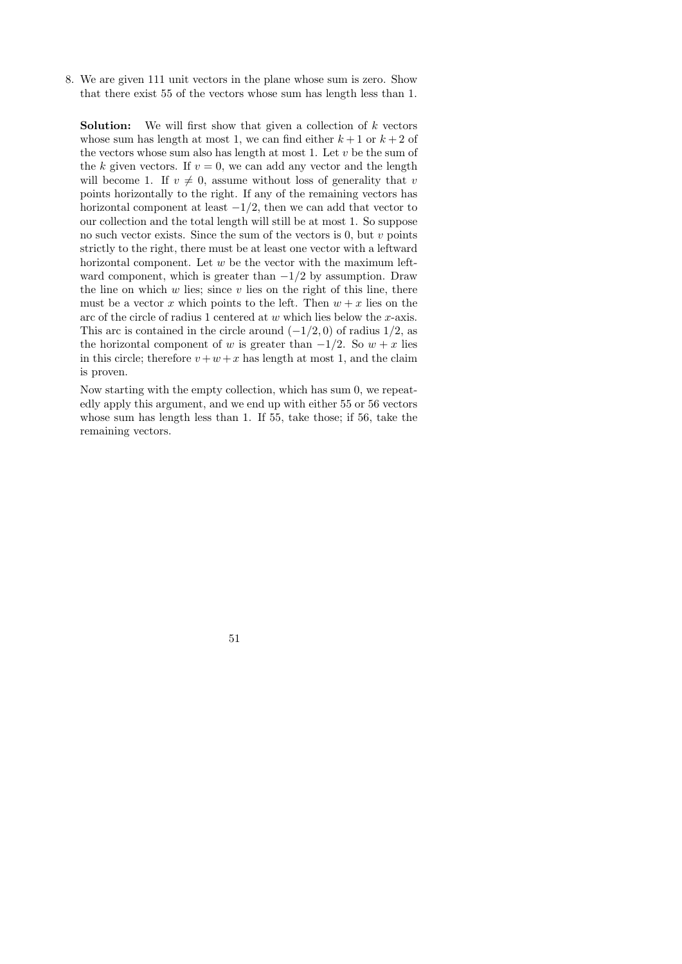8. We are given 111 unit vectors in the plane whose sum is zero. Show that there exist 55 of the vectors whose sum has length less than 1.

**Solution:** We will first show that given a collection of  $k$  vectors whose sum has length at most 1, we can find either  $k + 1$  or  $k + 2$  of the vectors whose sum also has length at most 1. Let  $v$  be the sum of the k given vectors. If  $v = 0$ , we can add any vector and the length will become 1. If  $v \neq 0$ , assume without loss of generality that v points horizontally to the right. If any of the remaining vectors has horizontal component at least  $-1/2$ , then we can add that vector to our collection and the total length will still be at most 1. So suppose no such vector exists. Since the sum of the vectors is 0, but  $v$  points strictly to the right, there must be at least one vector with a leftward horizontal component. Let  $w$  be the vector with the maximum leftward component, which is greater than  $-1/2$  by assumption. Draw the line on which  $w$  lies; since  $v$  lies on the right of this line, there must be a vector x which points to the left. Then  $w + x$  lies on the arc of the circle of radius 1 centered at  $w$  which lies below the  $x$ -axis. This arc is contained in the circle around  $(-1/2, 0)$  of radius 1/2, as the horizontal component of w is greater than  $-1/2$ . So  $w + x$  lies in this circle; therefore  $v + w + x$  has length at most 1, and the claim is proven.

Now starting with the empty collection, which has sum 0, we repeatedly apply this argument, and we end up with either 55 or 56 vectors whose sum has length less than 1. If 55, take those; if 56, take the remaining vectors.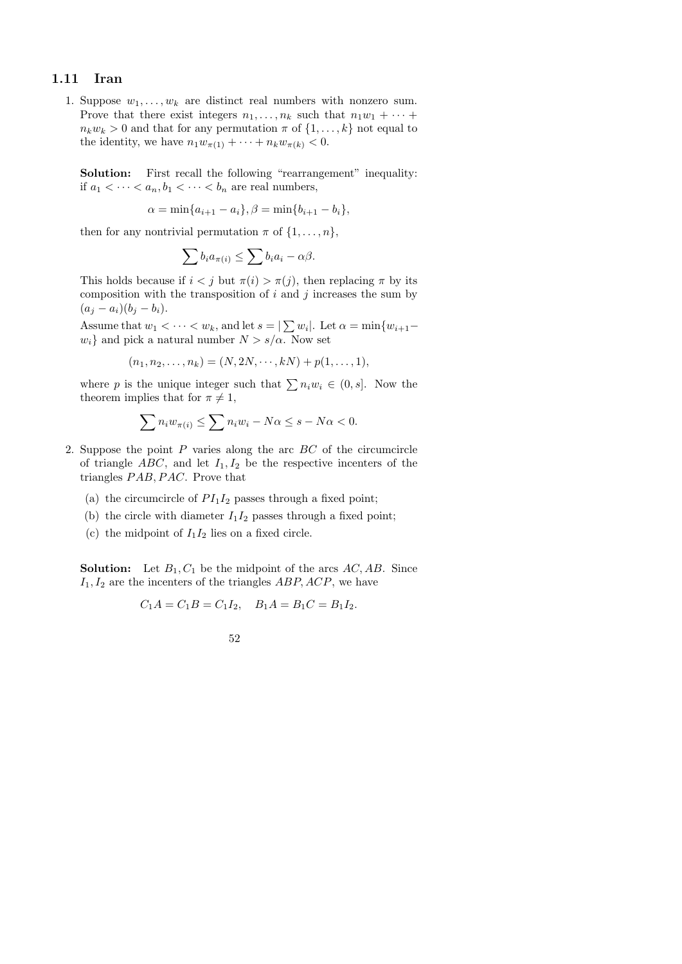# 1.11 Iran

1. Suppose  $w_1, \ldots, w_k$  are distinct real numbers with nonzero sum. Prove that there exist integers  $n_1, \ldots, n_k$  such that  $n_1w_1 + \cdots$  $n_k w_k > 0$  and that for any permutation  $\pi$  of  $\{1, \ldots, k\}$  not equal to the identity, we have  $n_1w_{\pi(1)} + \cdots + n_kw_{\pi(k)} < 0$ .

Solution: First recall the following "rearrangement" inequality: if  $a_1 < \cdots < a_n, b_1 < \cdots < b_n$  are real numbers,

$$
\alpha = \min\{a_{i+1} - a_i\}, \beta = \min\{b_{i+1} - b_i\},\
$$

then for any nontrivial permutation  $\pi$  of  $\{1, \ldots, n\}$ ,

$$
\sum b_i a_{\pi(i)} \leq \sum b_i a_i - \alpha \beta.
$$

This holds because if  $i < j$  but  $\pi(i) > \pi(j)$ , then replacing  $\pi$  by its composition with the transposition of  $i$  and  $j$  increases the sum by  $(a_i - a_i)(b_i - b_i).$ 

Assume that  $w_1 < \cdots < w_k$ , and let  $s = |\sum w_i|$ . Let  $\alpha = \min\{w_{i+1} - \sum w_i\}$ .  $w_i$  and pick a natural number  $N > s/\alpha$ . Now set

$$
(n_1, n_2, \ldots, n_k) = (N, 2N, \cdots, kN) + p(1, \ldots, 1),
$$

where p is the unique integer such that  $\sum n_i w_i \in (0, s]$ . Now the theorem implies that for  $\pi \neq 1$ ,

$$
\sum n_i w_{\pi(i)} \le \sum n_i w_i - N\alpha \le s - N\alpha < 0.
$$

- 2. Suppose the point  $P$  varies along the arc  $BC$  of the circumcircle of triangle  $ABC$ , and let  $I_1, I_2$  be the respective incenters of the triangles  $PAB, PAC$ . Prove that
	- (a) the circumcircle of  $PI_1I_2$  passes through a fixed point;
	- (b) the circle with diameter  $I_1I_2$  passes through a fixed point;
	- (c) the midpoint of  $I_1I_2$  lies on a fixed circle.

**Solution:** Let  $B_1, C_1$  be the midpoint of the arcs  $AC, AB$ . Since  $I_1, I_2$  are the incenters of the triangles  $ABP, ACP$ , we have

$$
C_1A = C_1B = C_1I_2
$$
,  $B_1A = B_1C = B_1I_2$ .

$$
52\,
$$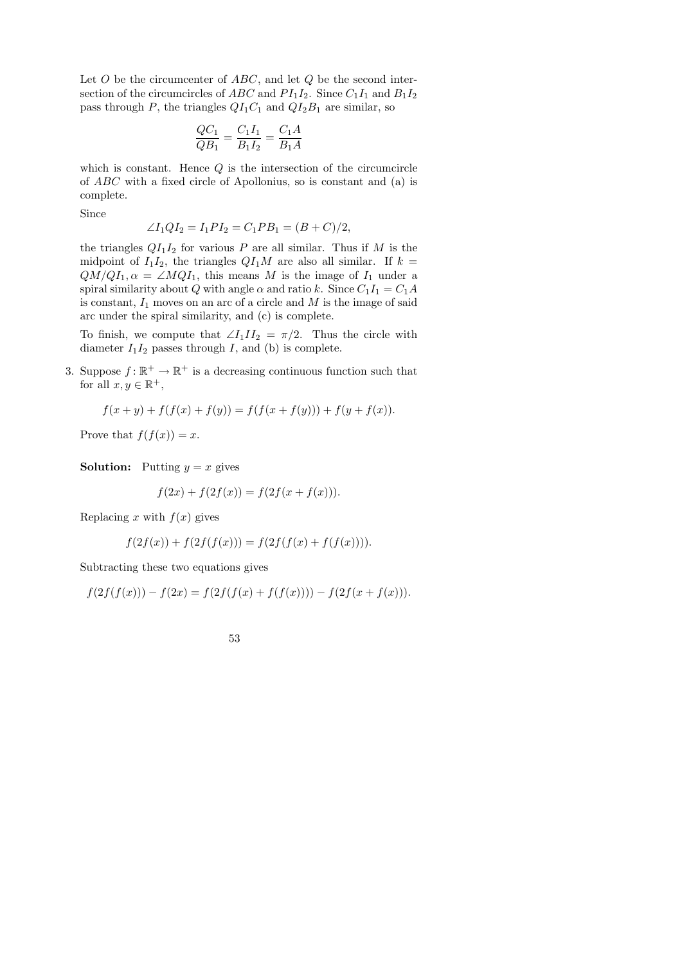Let  $O$  be the circumcenter of  $ABC$ , and let  $Q$  be the second intersection of the circumcircles of ABC and  $PI_1I_2$ . Since  $C_1I_1$  and  $B_1I_2$ pass through P, the triangles  $QI_1C_1$  and  $QI_2B_1$  are similar, so

$$
\frac{QC_1}{QB_1} = \frac{C_1 I_1}{B_1 I_2} = \frac{C_1 A}{B_1 A}
$$

which is constant. Hence  $Q$  is the intersection of the circumcircle of ABC with a fixed circle of Apollonius, so is constant and (a) is complete.

Since

$$
\angle I_1 Q I_2 = I_1 P I_2 = C_1 P B_1 = (B + C)/2,
$$

the triangles  $QI_1I_2$  for various P are all similar. Thus if M is the midpoint of  $I_1I_2$ , the triangles  $QI_1M$  are also all similar. If  $k =$  $QM/QI_1, \alpha = \angle MQI_1$ , this means M is the image of  $I_1$  under a spiral similarity about Q with angle  $\alpha$  and ratio k. Since  $C_1I_1 = C_1A$ is constant,  $I_1$  moves on an arc of a circle and  $M$  is the image of said arc under the spiral similarity, and (c) is complete.

To finish, we compute that  $\angle I_1 I I_2 = \pi/2$ . Thus the circle with diameter  $I_1I_2$  passes through I, and (b) is complete.

3. Suppose  $f: \mathbb{R}^+ \to \mathbb{R}^+$  is a decreasing continuous function such that for all  $x, y \in \mathbb{R}^+,$ 

$$
f(x + y) + f(f(x) + f(y)) = f(f(x + f(y))) + f(y + f(x)).
$$

Prove that  $f(f(x)) = x$ .

**Solution:** Putting  $y = x$  gives

$$
f(2x) + f(2f(x)) = f(2f(x + f(x))).
$$

Replacing x with  $f(x)$  gives

$$
f(2f(x)) + f(2f(f(x))) = f(2f(f(x) + f(f(x))))
$$

Subtracting these two equations gives

$$
f(2f(f(x)))-f(2x) = f(2f(f(x) + f(f(x)))) - f(2f(x + f(x))).
$$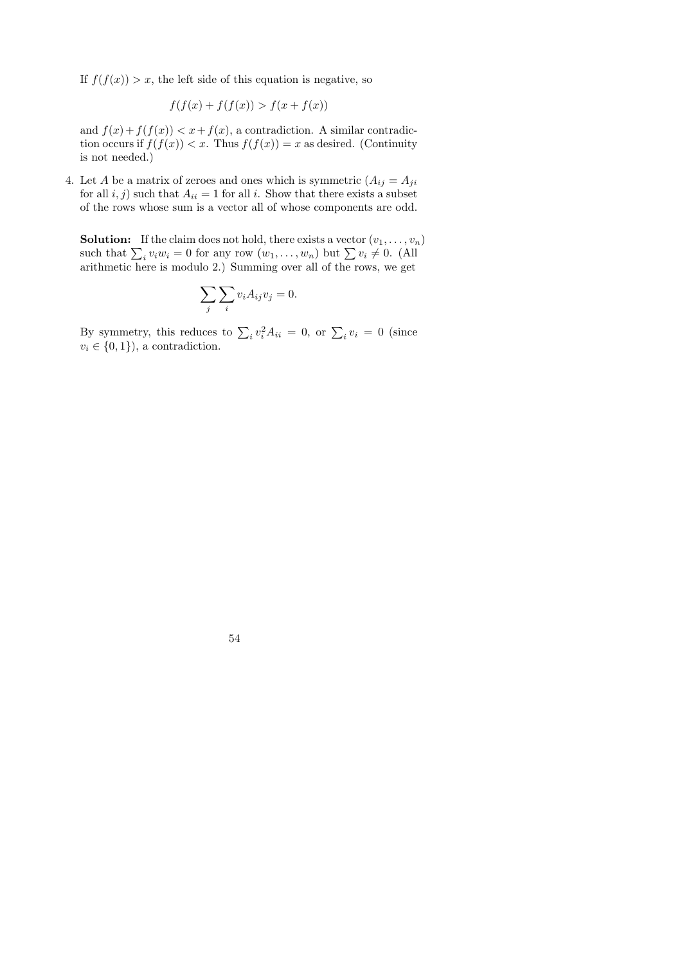If  $f(f(x)) > x$ , the left side of this equation is negative, so

$$
f(f(x) + f(f(x))) > f(x + f(x))
$$

and  $f(x) + f(f(x)) < x + f(x)$ , a contradiction. A similar contradiction occurs if  $f(f(x)) < x$ . Thus  $f(f(x)) = x$  as desired. (Continuity is not needed.)

4. Let A be a matrix of zeroes and ones which is symmetric  $(A_{ij} = A_{ji})$ for all  $i, j$ ) such that  $A_{ii} = 1$  for all i. Show that there exists a subset of the rows whose sum is a vector all of whose components are odd.

**Solution:** If the claim does not hold, there exists a vector  $(v_1, \ldots, v_n)$ such that  $\sum_i v_i w_i = 0$  for any row  $(w_1, \ldots, w_n)$  but  $\sum v_i \neq 0$ . (All arithmetic here is modulo 2.) Summing over all of the rows, we get

$$
\sum_{j} \sum_{i} v_i A_{ij} v_j = 0.
$$

By symmetry, this reduces to  $\sum_i v_i^2 A_{ii} = 0$ , or  $\sum_i v_i = 0$  (since  $v_i \in \{0, 1\}$ , a contradiction.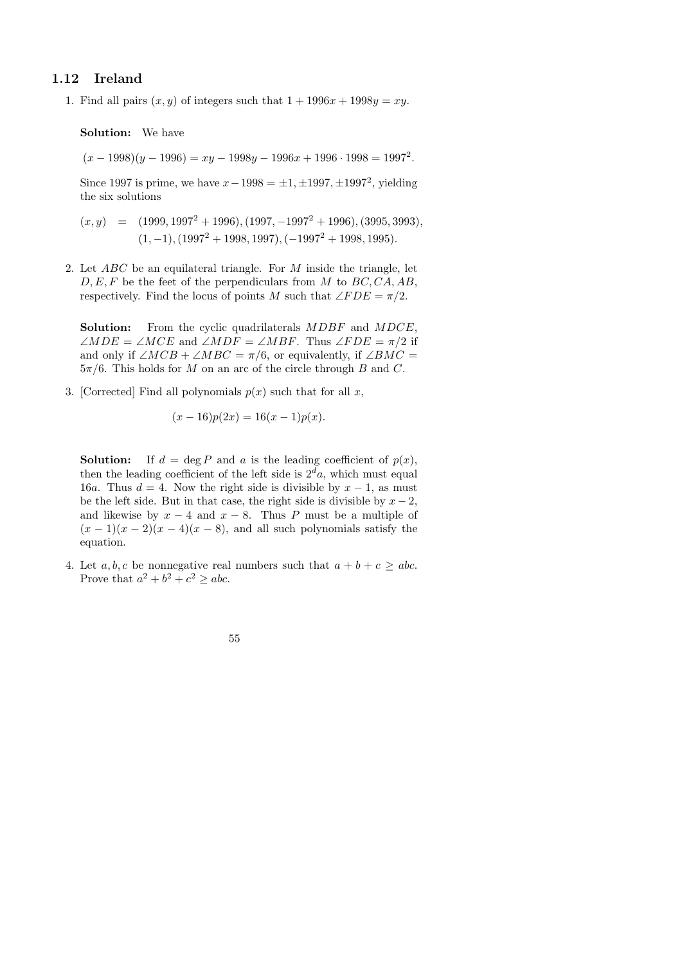#### 1.12 Ireland

1. Find all pairs  $(x, y)$  of integers such that  $1 + 1996x + 1998y = xy$ .

Solution: We have

 $(x - 1998)(y - 1996) = xy - 1998y - 1996x + 1996 \cdot 1998 = 1997^2$ .

Since 1997 is prime, we have  $x - 1998 = \pm 1, \pm 1997, \pm 1997^2$ , yielding the six solutions

$$
(x,y) = (1999, 1997^2 + 1996), (1997, -1997^2 + 1996), (3995, 3993),(1,-1), (1997^2 + 1998, 1997), (-1997^2 + 1998, 1995).
$$

2. Let  $ABC$  be an equilateral triangle. For  $M$  inside the triangle, let  $D, E, F$  be the feet of the perpendiculars from M to  $BC, CA, AB$ , respectively. Find the locus of points M such that  $\angle FDE = \pi/2$ .

Solution: From the cyclic quadrilaterals MDBF and MDCE,  $\angle MDE = \angle MCE$  and  $\angle MDF = \angle MBF$ . Thus  $\angle FDE = \pi/2$  if and only if  $\angle MCB + \angle MBC = \pi/6$ , or equivalently, if  $\angle BMC =$  $5\pi/6$ . This holds for M on an arc of the circle through B and C.

3. [Corrected] Find all polynomials  $p(x)$  such that for all x,

$$
(x-16)p(2x) = 16(x - 1)p(x).
$$

**Solution:** If  $d = \deg P$  and a is the leading coefficient of  $p(x)$ , then the leading coefficient of the left side is  $2^d a$ , which must equal 16a. Thus  $d = 4$ . Now the right side is divisible by  $x - 1$ , as must be the left side. But in that case, the right side is divisible by  $x - 2$ , and likewise by  $x - 4$  and  $x - 8$ . Thus P must be a multiple of  $(x-1)(x-2)(x-4)(x-8)$ , and all such polynomials satisfy the equation.

4. Let  $a, b, c$  be nonnegative real numbers such that  $a + b + c \ge abc$ . Prove that  $a^2 + b^2 + c^2 \ge abc$ .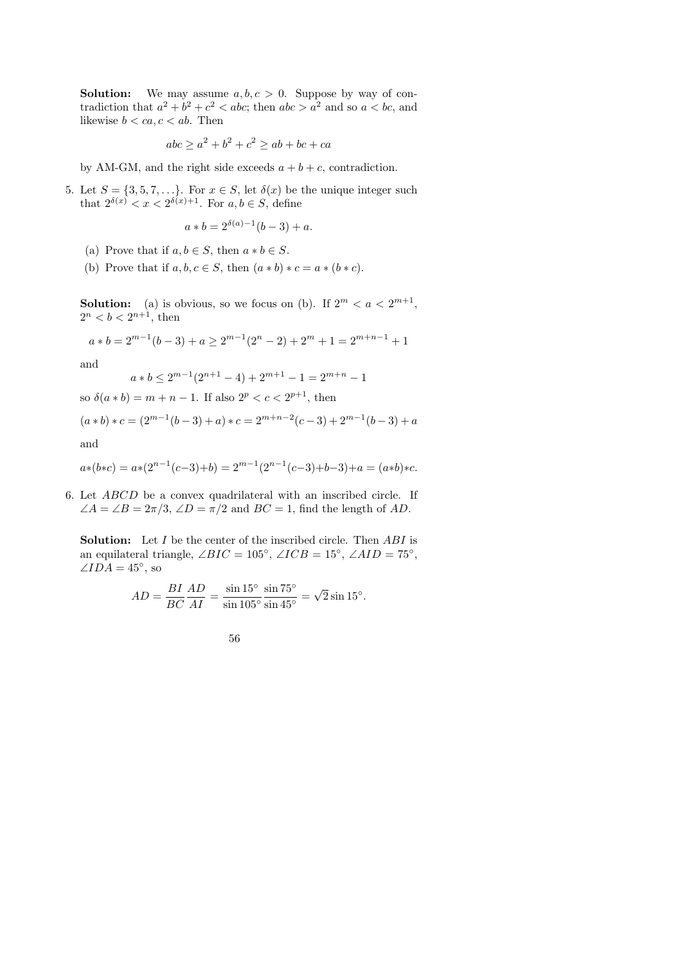**Solution:** We may assume  $a, b, c > 0$ . Suppose by way of contradiction that  $a^2 + b^2 + c^2 < abc$ ; then  $abc > a^2$  and so  $a < bc$ , and likewise  $b < ca, c < ab$ . Then

$$
abc \ge a^2 + b^2 + c^2 \ge ab + bc + ca
$$

by AM-GM, and the right side exceeds  $a + b + c$ , contradiction.

5. Let  $S = \{3, 5, 7, \ldots\}$ . For  $x \in S$ , let  $\delta(x)$  be the unique integer such that  $2^{\delta(x)} < x < 2^{\delta(x)+1}$ . For  $a, b \in S$ , define

$$
a * b = 2^{\delta(a) - 1}(b - 3) + a.
$$

- (a) Prove that if  $a, b \in S$ , then  $a * b \in S$ .
- (b) Prove that if  $a, b, c \in S$ , then  $(a * b) * c = a * (b * c)$ .

**Solution:** (a) is obvious, so we focus on (b). If  $2^m < a < 2^{m+1}$ ,  $2^n < b < 2^{n+1}$ , then

$$
a * b = 2^{m-1}(b-3) + a \ge 2^{m-1}(2^n - 2) + 2^m + 1 = 2^{m+n-1} + 1
$$

and

$$
a * b \le 2^{m-1}(2^{n+1} - 4) + 2^{m+1} - 1 = 2^{m+n} - 1
$$

so  $\delta(a * b) = m + n - 1$ . If also  $2^p < c < 2^{p+1}$ , then

$$
(a * b) * c = (2m-1(b-3) + a) * c = 2m+n-2(c-3) + 2m-1(b-3) + a
$$

and

$$
a*(b*c) = a*(2^{n-1}(c-3)+b) = 2^{m-1}(2^{n-1}(c-3)+b-3)+a = (a*b)*c.
$$

6. Let ABCD be a convex quadrilateral with an inscribed circle. If  $\angle A = \angle B = 2\pi/3$ ,  $\angle D = \pi/2$  and  $BC = 1$ , find the length of AD.

Solution: Let I be the center of the inscribed circle. Then ABI is an equilateral triangle,  $\angle BIC = 105^\circ$ ,  $\angle ICB = 15^\circ$ ,  $\angle AID = 75^\circ$ ,  $\angle IDA = 45^\circ$ , so

$$
AD = \frac{BI}{BC} \frac{AD}{AI} = \frac{\sin 15^{\circ}}{\sin 105^{\circ}} \frac{\sin 75^{\circ}}{\sin 45^{\circ}} = \sqrt{2} \sin 15^{\circ}.
$$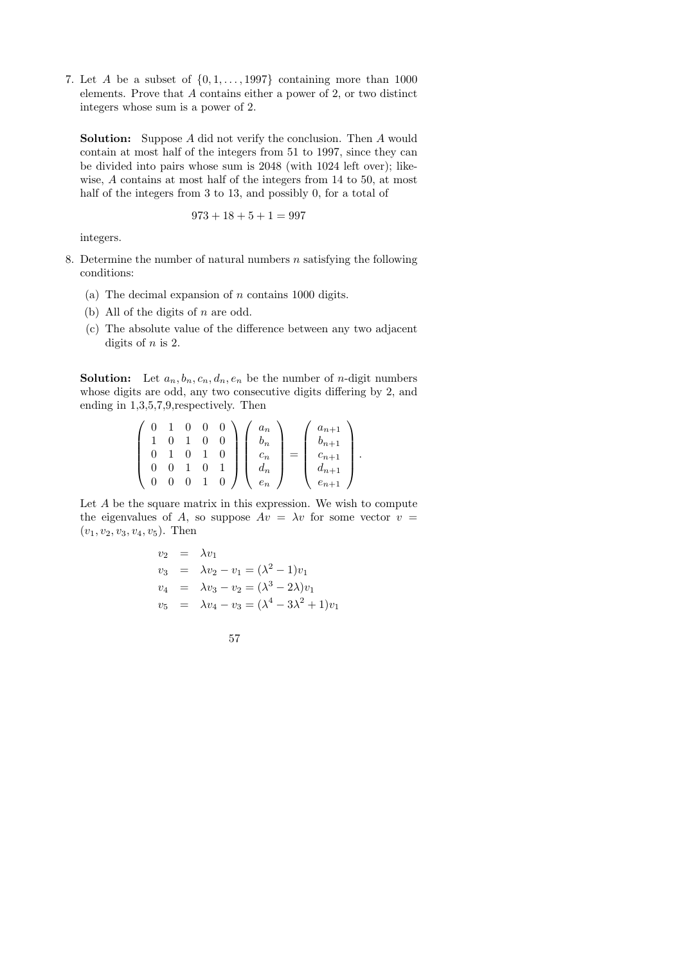7. Let A be a subset of  $\{0, 1, \ldots, 1997\}$  containing more than 1000 elements. Prove that A contains either a power of 2, or two distinct integers whose sum is a power of 2.

Solution: Suppose A did not verify the conclusion. Then A would contain at most half of the integers from 51 to 1997, since they can be divided into pairs whose sum is 2048 (with 1024 left over); likewise, A contains at most half of the integers from 14 to 50, at most half of the integers from 3 to 13, and possibly 0, for a total of

$$
973+18+5+1=997\\
$$

integers.

- 8. Determine the number of natural numbers  $n$  satisfying the following conditions:
	- (a) The decimal expansion of  $n$  contains 1000 digits.
	- (b) All of the digits of  $n$  are odd.
	- (c) The absolute value of the difference between any two adjacent digits of  $n$  is 2.

**Solution:** Let  $a_n, b_n, c_n, d_n, e_n$  be the number of *n*-digit numbers whose digits are odd, any two consecutive digits differing by 2, and ending in 1,3,5,7,9,respectively. Then

$$
\left(\begin{array}{cccc} 0 & 1 & 0 & 0 & 0 \\ 1 & 0 & 1 & 0 & 0 \\ 0 & 1 & 0 & 1 & 0 \\ 0 & 0 & 1 & 0 & 1 \\ 0 & 0 & 0 & 1 & 0 \end{array}\right) \left(\begin{array}{c} a_n \\ b_n \\ c_n \\ d_n \\ e_n \end{array}\right) = \left(\begin{array}{c} a_{n+1} \\ b_{n+1} \\ c_{n+1} \\ d_{n+1} \\ e_{n+1} \end{array}\right).
$$

Let A be the square matrix in this expression. We wish to compute the eigenvalues of A, so suppose  $Av = \lambda v$  for some vector  $v =$  $(v_1, v_2, v_3, v_4, v_5)$ . Then

$$
v_2 = \lambda v_1
$$
  
\n
$$
v_3 = \lambda v_2 - v_1 = (\lambda^2 - 1)v_1
$$
  
\n
$$
v_4 = \lambda v_3 - v_2 = (\lambda^3 - 2\lambda)v_1
$$
  
\n
$$
v_5 = \lambda v_4 - v_3 = (\lambda^4 - 3\lambda^2 + 1)v_1
$$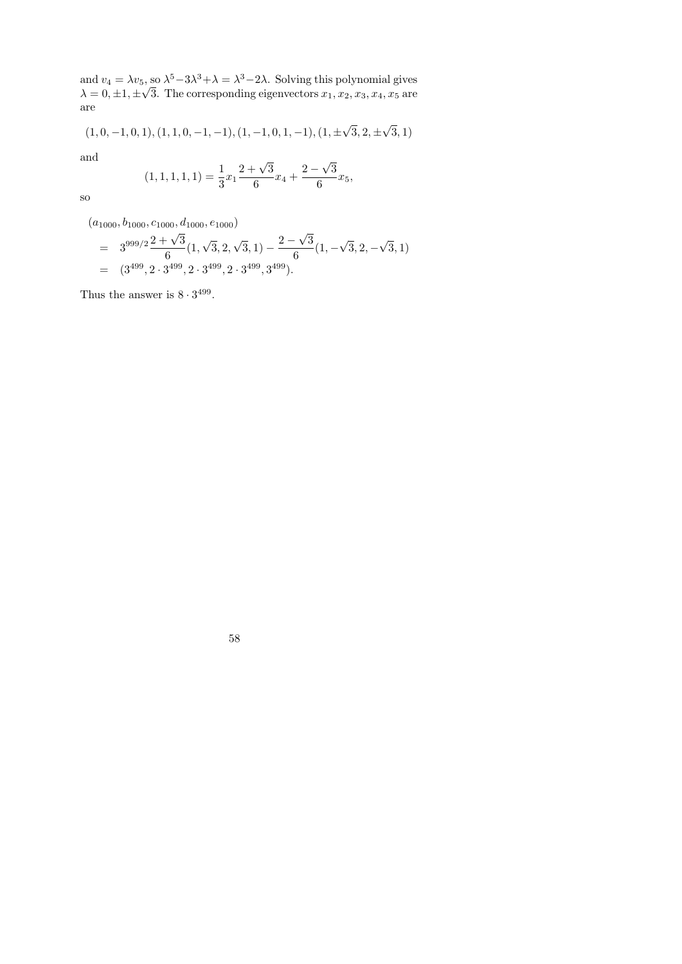and  $v_4 = \lambda v_5$ , so  $\lambda^5 - 3\lambda^3 + \lambda = \lambda^3 - 2\lambda$ . Solving this polynomial gives  $\lambda = 0, \pm 1, \pm$ √ 3. The corresponding eigenvectors  $x_1, x_2, x_3, x_4, x_5$  are are

$$
(1,0,-1,0,1), (1,1,0,-1,-1), (1,-1,0,1,-1), (1,\pm\sqrt{3},2,\pm\sqrt{3},1)
$$

and

$$
(1, 1, 1, 1, 1) = \frac{1}{3}x_1 \frac{2 + \sqrt{3}}{6}x_4 + \frac{2 - \sqrt{3}}{6}x_5,
$$

so

$$
(a_{1000}, b_{1000}, c_{1000}, d_{1000}, e_{1000})
$$
  
=  $3^{999/2} \frac{2 + \sqrt{3}}{6} (1, \sqrt{3}, 2, \sqrt{3}, 1) - \frac{2 - \sqrt{3}}{6} (1, -\sqrt{3}, 2, -\sqrt{3}, 1)$   
=  $(3^{499}, 2 \cdot 3^{499}, 2 \cdot 3^{499}, 2 \cdot 3^{499}, 3^{499}).$ 

Thus the answer is  $8 \cdot 3^{499}$ .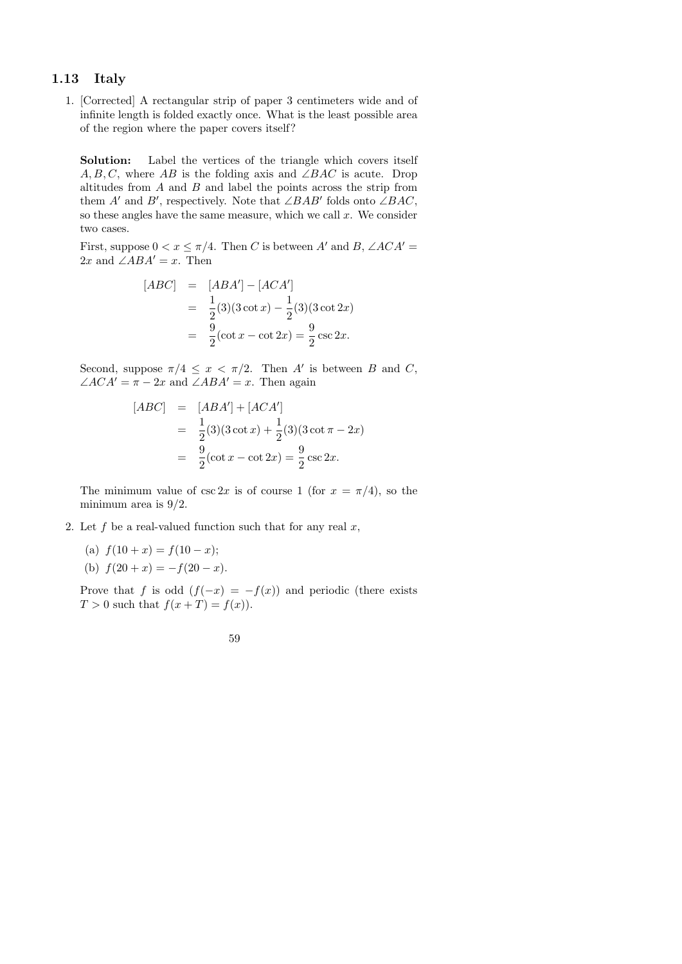# 1.13 Italy

1. [Corrected] A rectangular strip of paper 3 centimeters wide and of infinite length is folded exactly once. What is the least possible area of the region where the paper covers itself?

Solution: Label the vertices of the triangle which covers itself  $A, B, C$ , where AB is the folding axis and ∠BAC is acute. Drop altitudes from  $A$  and  $B$  and label the points across the strip from them  $A'$  and  $B'$ , respectively. Note that ∠BAB' folds onto ∠BAC, so these angles have the same measure, which we call  $x$ . We consider two cases.

First, suppose  $0 < x \leq \pi/4$ . Then C is between A' and B,  $\angle ACA' =$ 2x and ∠ABA' = x. Then

$$
[ABC] = [ABA'] - [ACA']
$$
  
=  $\frac{1}{2}(3)(3 \cot x) - \frac{1}{2}(3)(3 \cot 2x)$   
=  $\frac{9}{2}(\cot x - \cot 2x) = \frac{9}{2}\csc 2x.$ 

Second, suppose  $\pi/4 \leq x < \pi/2$ . Then A' is between B and C,  $\angle ACA' = \pi - 2x$  and  $\angle ABA' = x$ . Then again

$$
[ABC] = [ABA'] + [ACA']
$$
  
=  $\frac{1}{2}(3)(3 \cot x) + \frac{1}{2}(3)(3 \cot \pi - 2x)$   
=  $\frac{9}{2}(\cot x - \cot 2x) = \frac{9}{2}\csc 2x.$ 

The minimum value of  $\csc 2x$  is of course 1 (for  $x = \pi/4$ ), so the minimum area is 9/2.

- 2. Let  $f$  be a real-valued function such that for any real  $x$ ,
	- (a)  $f(10 + x) = f(10 x);$ (b)  $f(20 + x) = -f(20 - x)$ .

Prove that f is odd  $(f(-x) = -f(x))$  and periodic (there exists  $T > 0$  such that  $f(x+T) = f(x)$ .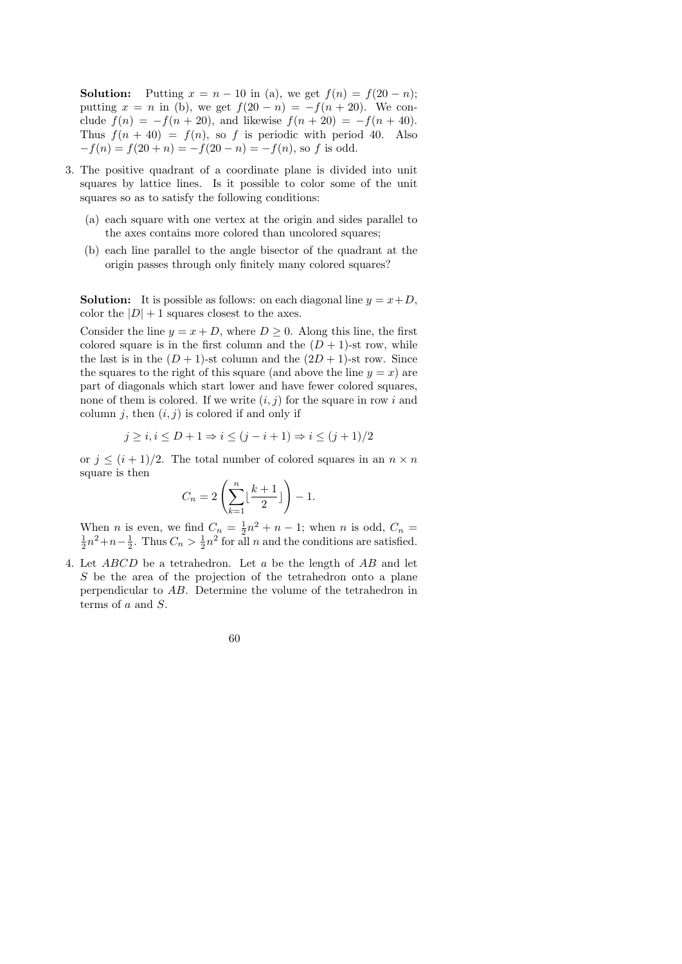**Solution:** Putting  $x = n - 10$  in (a), we get  $f(n) = f(20 - n)$ ; putting  $x = n$  in (b), we get  $f(20 - n) = -f(n + 20)$ . We conclude  $f(n) = -f(n + 20)$ , and likewise  $f(n + 20) = -f(n + 40)$ . Thus  $f(n + 40) = f(n)$ , so f is periodic with period 40. Also  $-f(n) = f(20 + n) = -f(20 - n) = -f(n)$ , so f is odd.

- 3. The positive quadrant of a coordinate plane is divided into unit squares by lattice lines. Is it possible to color some of the unit squares so as to satisfy the following conditions:
	- (a) each square with one vertex at the origin and sides parallel to the axes contains more colored than uncolored squares;
	- (b) each line parallel to the angle bisector of the quadrant at the origin passes through only finitely many colored squares?

**Solution:** It is possible as follows: on each diagonal line  $y = x + D$ , color the  $|D|+1$  squares closest to the axes.

Consider the line  $y = x + D$ , where  $D \ge 0$ . Along this line, the first colored square is in the first column and the  $(D + 1)$ -st row, while the last is in the  $(D + 1)$ -st column and the  $(2D + 1)$ -st row. Since the squares to the right of this square (and above the line  $y = x$ ) are part of diagonals which start lower and have fewer colored squares, none of them is colored. If we write  $(i, j)$  for the square in row i and column  $j$ , then  $(i, j)$  is colored if and only if

$$
j \ge i, i \le D + 1 \Rightarrow i \le (j - i + 1) \Rightarrow i \le (j + 1)/2
$$

or  $j \leq (i+1)/2$ . The total number of colored squares in an  $n \times n$ square is then

$$
C_n = 2\left(\sum_{k=1}^n \lfloor \frac{k+1}{2} \rfloor\right) - 1.
$$

When *n* is even, we find  $C_n = \frac{1}{2}n^2 + n - 1$ ; when *n* is odd,  $C_n = \frac{1}{2}n^2 + n - \frac{1}{2}$ . Thus  $C_n > \frac{1}{2}n^2$  for all *n* and the conditions are satisfied.

4. Let ABCD be a tetrahedron. Let a be the length of AB and let S be the area of the projection of the tetrahedron onto a plane perpendicular to AB. Determine the volume of the tetrahedron in terms of a and S.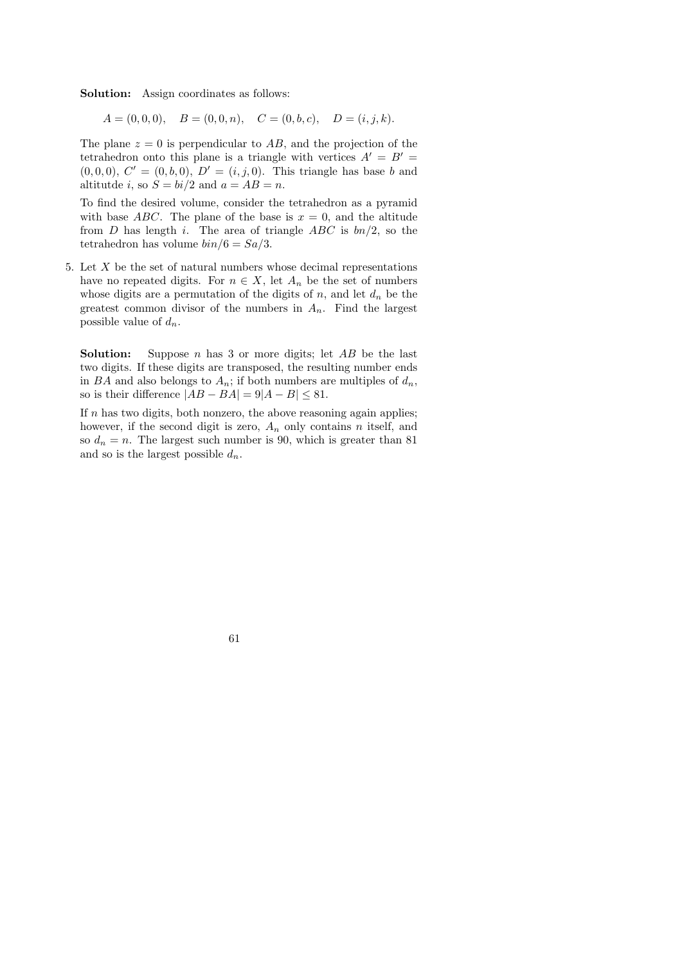Solution: Assign coordinates as follows:

 $A = (0, 0, 0), \quad B = (0, 0, n), \quad C = (0, b, c), \quad D = (i, j, k).$ 

The plane  $z = 0$  is perpendicular to AB, and the projection of the tetrahedron onto this plane is a triangle with vertices  $A' = B' =$  $(0,0,0), C' = (0,b,0), D' = (i, j, 0).$  This triangle has base b and altitutde i, so  $S = bi/2$  and  $a = AB = n$ .

To find the desired volume, consider the tetrahedron as a pyramid with base ABC. The plane of the base is  $x = 0$ , and the altitude from  $D$  has length i. The area of triangle  $ABC$  is  $bn/2$ , so the tetrahedron has volume  $bin/6 = Sa/3$ .

5. Let  $X$  be the set of natural numbers whose decimal representations have no repeated digits. For  $n \in X$ , let  $A_n$  be the set of numbers whose digits are a permutation of the digits of  $n$ , and let  $d_n$  be the greatest common divisor of the numbers in  $A_n$ . Find the largest possible value of  $d_n$ .

**Solution:** Suppose *n* has 3 or more digits; let  $AB$  be the last two digits. If these digits are transposed, the resulting number ends in BA and also belongs to  $A_n$ ; if both numbers are multiples of  $d_n$ , so is their difference  $|AB - BA| = 9|A - B| \leq 81$ .

If  $n$  has two digits, both nonzero, the above reasoning again applies; however, if the second digit is zero,  $A_n$  only contains n itself, and so  $d_n = n$ . The largest such number is 90, which is greater than 81 and so is the largest possible  $d_n$ .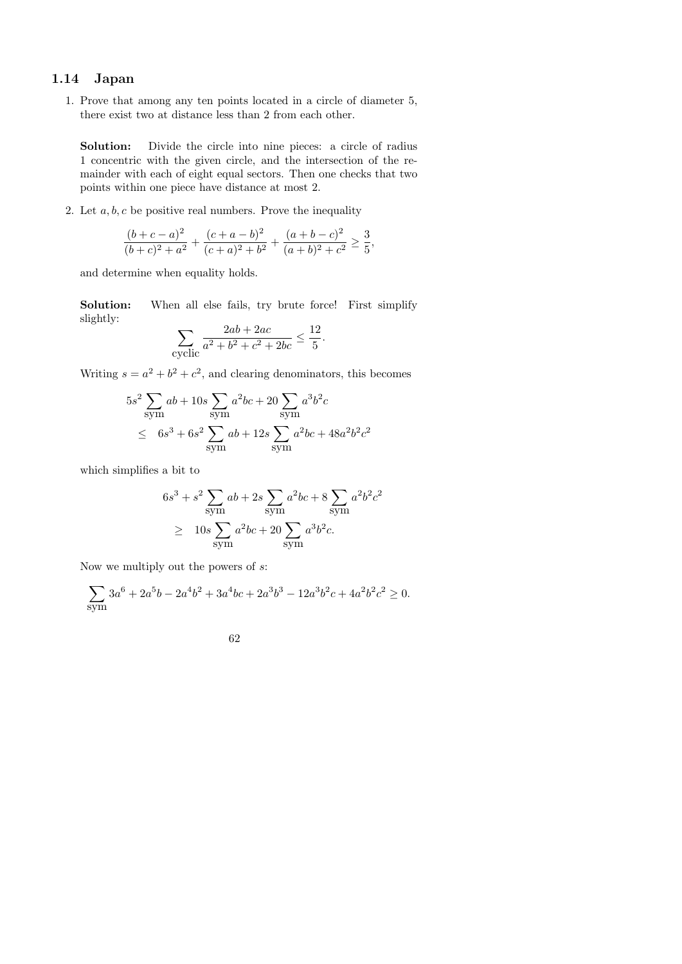## 1.14 Japan

1. Prove that among any ten points located in a circle of diameter 5, there exist two at distance less than 2 from each other.

Solution: Divide the circle into nine pieces: a circle of radius 1 concentric with the given circle, and the intersection of the remainder with each of eight equal sectors. Then one checks that two points within one piece have distance at most 2.

2. Let  $a, b, c$  be positive real numbers. Prove the inequality

$$
\frac{(b+c-a)^2}{(b+c)^2+a^2} + \frac{(c+a-b)^2}{(c+a)^2+b^2} + \frac{(a+b-c)^2}{(a+b)^2+c^2} \ge \frac{3}{5},
$$

and determine when equality holds.

Solution: When all else fails, try brute force! First simplify slightly:

$$
\sum_{\text{cyclic}} \frac{2ab + 2ac}{a^2 + b^2 + c^2 + 2bc} \le \frac{12}{5}.
$$

Writing  $s = a^2 + b^2 + c^2$ , and clearing denominators, this becomes

$$
5s2 \sum_{sym} ab + 10s \sum_{sym} a2bc + 20 \sum_{sym} a3b2c
$$
  
  $\leq 6s3 + 6s2 \sum_{sym} ab + 12s \sum_{sym} a2bc + 48a2b2c2$ 

which simplifies a bit to

$$
6s3 + s2 \sum_{\text{sym}} ab + 2s \sum_{\text{sym}} a2bc + 8 \sum_{\text{sym}} a2b2c2
$$
  
\n $\geq 10s \sum_{\text{sym}} a2bc + 20 \sum_{\text{sym}} a3b2c.$ 

Now we multiply out the powers of  $s$ :

 $\sum$ sym  $3a^6 + 2a^5b - 2a^4b^2 + 3a^4bc + 2a^3b^3 - 12a^3b^2c + 4a^2b^2c^2 \ge 0.$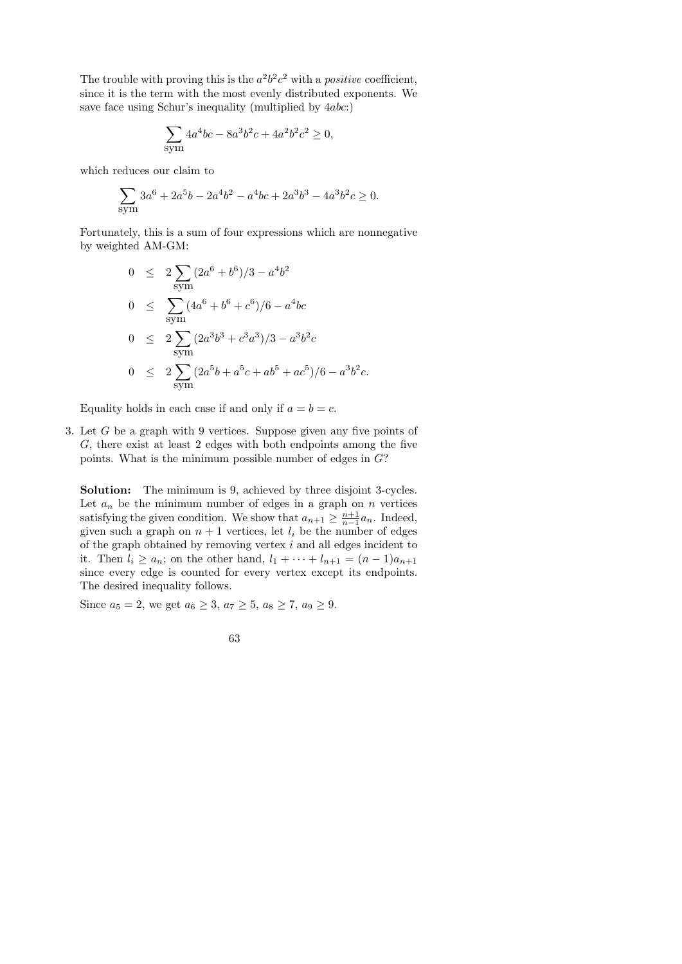The trouble with proving this is the  $a^2b^2c^2$  with a *positive* coefficient, since it is the term with the most evenly distributed exponents. We save face using Schur's inequality (multiplied by 4abc:)

$$
\sum_{\text{sym}}4a^4bc - 8a^3b^2c + 4a^2b^2c^2 \ge 0,
$$

which reduces our claim to

$$
\sum_{\text{sym}} 3a^6 + 2a^5b - 2a^4b^2 - a^4bc + 2a^3b^3 - 4a^3b^2c \ge 0.
$$

Fortunately, this is a sum of four expressions which are nonnegative by weighted AM-GM:

$$
0 \leq 2 \sum_{\text{sym}} (2a^6 + b^6)/3 - a^4b^2
$$
  
\n
$$
0 \leq \sum_{\text{sym}} (4a^6 + b^6 + c^6)/6 - a^4bc
$$
  
\n
$$
0 \leq 2 \sum_{\text{sym}} (2a^3b^3 + c^3a^3)/3 - a^3b^2c
$$
  
\n
$$
0 \leq 2 \sum_{\text{sym}} (2a^5b + a^5c + ab^5 + ac^5)/6 - a^3b^2c.
$$

Equality holds in each case if and only if  $a = b = c$ .

3. Let G be a graph with 9 vertices. Suppose given any five points of G, there exist at least 2 edges with both endpoints among the five points. What is the minimum possible number of edges in  $G$ ?

Solution: The minimum is 9, achieved by three disjoint 3-cycles. Let  $a_n$  be the minimum number of edges in a graph on n vertices satisfying the given condition. We show that  $a_{n+1} \geq \frac{n+1}{n-1} a_n$ . Indeed, given such a graph on  $n + 1$  vertices, let  $l_i$  be the number of edges of the graph obtained by removing vertex  $i$  and all edges incident to it. Then  $l_i \ge a_n$ ; on the other hand,  $l_1 + \cdots + l_{n+1} = (n-1)a_{n+1}$ since every edge is counted for every vertex except its endpoints. The desired inequality follows.

Since  $a_5 = 2$ , we get  $a_6 \geq 3$ ,  $a_7 \geq 5$ ,  $a_8 \geq 7$ ,  $a_9 \geq 9$ .

63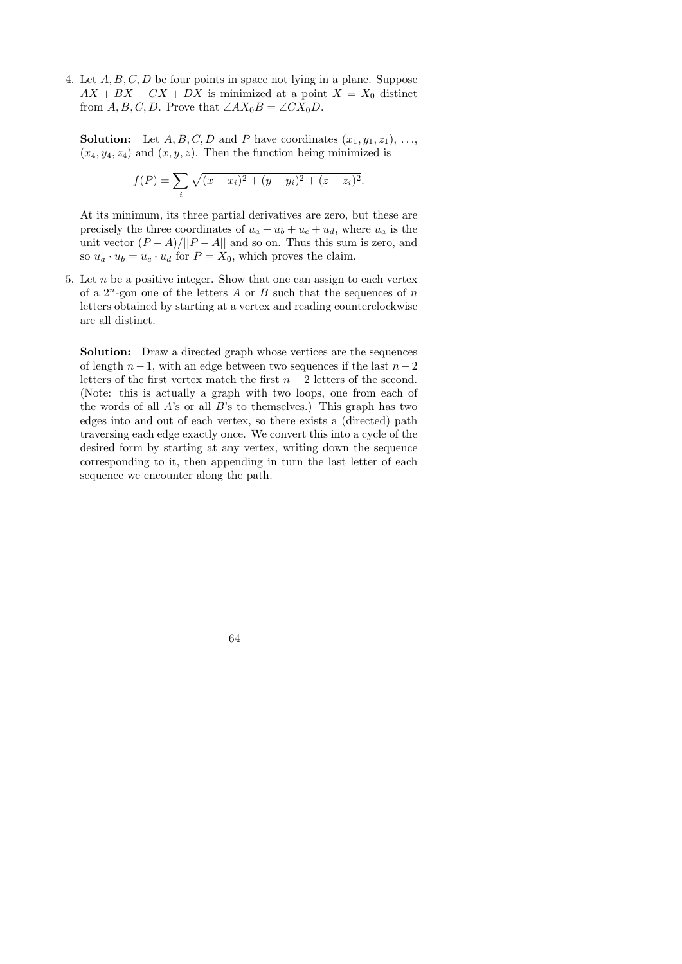4. Let A, B, C, D be four points in space not lying in a plane. Suppose  $AX + BX + CX + DX$  is minimized at a point  $X = X_0$  distinct from  $A, B, C, D$ . Prove that  $\angle AX_0B = \angle CX_0D$ .

**Solution:** Let  $A, B, C, D$  and P have coordinates  $(x_1, y_1, z_1), \ldots$  $(x_4, y_4, z_4)$  and  $(x, y, z)$ . Then the function being minimized is

$$
f(P) = \sum_{i} \sqrt{(x - x_i)^2 + (y - y_i)^2 + (z - z_i)^2}.
$$

At its minimum, its three partial derivatives are zero, but these are precisely the three coordinates of  $u_a + u_b + u_c + u_d$ , where  $u_a$  is the unit vector  $(P - A)/||P - A||$  and so on. Thus this sum is zero, and so  $u_a \cdot u_b = u_c \cdot u_d$  for  $P = X_0$ , which proves the claim.

5. Let  $n$  be a positive integer. Show that one can assign to each vertex of a  $2^n$ -gon one of the letters A or B such that the sequences of n letters obtained by starting at a vertex and reading counterclockwise are all distinct.

Solution: Draw a directed graph whose vertices are the sequences of length  $n-1$ , with an edge between two sequences if the last  $n-2$ letters of the first vertex match the first  $n-2$  letters of the second. (Note: this is actually a graph with two loops, one from each of the words of all  $A$ 's or all  $B$ 's to themselves.) This graph has two edges into and out of each vertex, so there exists a (directed) path traversing each edge exactly once. We convert this into a cycle of the desired form by starting at any vertex, writing down the sequence corresponding to it, then appending in turn the last letter of each sequence we encounter along the path.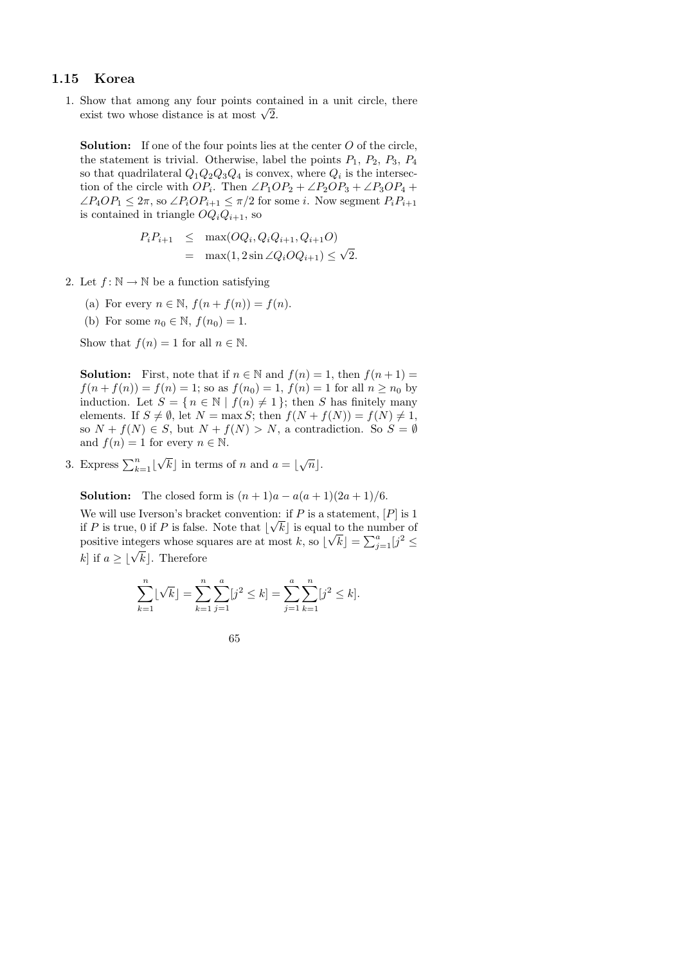# 1.15 Korea

1. Show that among any four points contained in a unit circle, there Show that among any four points contexist two whose distance is at most  $\sqrt{2}$ .

**Solution:** If one of the four points lies at the center  $O$  of the circle, the statement is trivial. Otherwise, label the points  $P_1$ ,  $P_2$ ,  $P_3$ ,  $P_4$ so that quadrilateral  $Q_1Q_2Q_3Q_4$  is convex, where  $Q_i$  is the intersection of the circle with  $OP_i$ . Then  $\angle P_1OP_2 + \angle P_2OP_3 + \angle P_3OP_4 +$  $\angle P_4OP_1 \leq 2\pi$ , so  $\angle P_iOP_{i+1} \leq \pi/2$  for some *i*. Now segment  $P_iP_{i+1}$ is contained in triangle  $OQ_iQ_{i+1}$ , so

$$
P_i P_{i+1} \leq \max(OQ_i, Q_i Q_{i+1}, Q_{i+1} O)
$$
  
= 
$$
\max(1, 2 \sin \angle Q_i O Q_{i+1}) \leq \sqrt{2}.
$$

- 2. Let  $f: \mathbb{N} \to \mathbb{N}$  be a function satisfying
	- (a) For every  $n \in \mathbb{N}$ ,  $f(n+f(n)) = f(n)$ .
	- (b) For some  $n_0 \in \mathbb{N}$ ,  $f(n_0) = 1$ .

Show that  $f(n) = 1$  for all  $n \in \mathbb{N}$ .

**Solution:** First, note that if  $n \in \mathbb{N}$  and  $f(n) = 1$ , then  $f(n+1) =$  $f(n + f(n)) = f(n) = 1$ ; so as  $f(n_0) = 1$ ,  $f(n) = 1$  for all  $n \ge n_0$  by induction. Let  $S = \{ n \in \mathbb{N} \mid f(n) \neq 1 \}$ ; then S has finitely many elements. If  $S \neq \emptyset$ , let  $N = \max S$ ; then  $f(N + f(N)) = f(N) \neq 1$ , so  $N + f(N) \in S$ , but  $N + f(N) > N$ , a contradiction. So  $S = \emptyset$ and  $f(n) = 1$  for every  $n \in \mathbb{N}$ .

3. Express  $\sum_{k=1}^{n}$  $\overline{k}$  in terms of n and  $a = \lfloor \sqrt{n} \rfloor$ .

## **Solution:** The closed form is  $(n+1)a - a(a+1)(2a+1)/6$ .

We will use Iverson's bracket convention: if  $P$  is a statement,  $[P]$  is 1 if P is true, 0 if P is false. Note that  $\lfloor \sqrt{k} \rfloor$  is equal to the number of positive integers whose squares are at most k, so  $\lfloor \sqrt{k} \rfloor = \sum_{j=1}^a [j^2] \leq$ positive integers whose sq<br>k| if  $a \ge |\sqrt{k}|$ . Therefore

$$
\sum_{k=1}^{n} \lfloor \sqrt{k} \rfloor = \sum_{k=1}^{n} \sum_{j=1}^{a} [j^2 \le k] = \sum_{j=1}^{a} \sum_{k=1}^{n} [j^2 \le k].
$$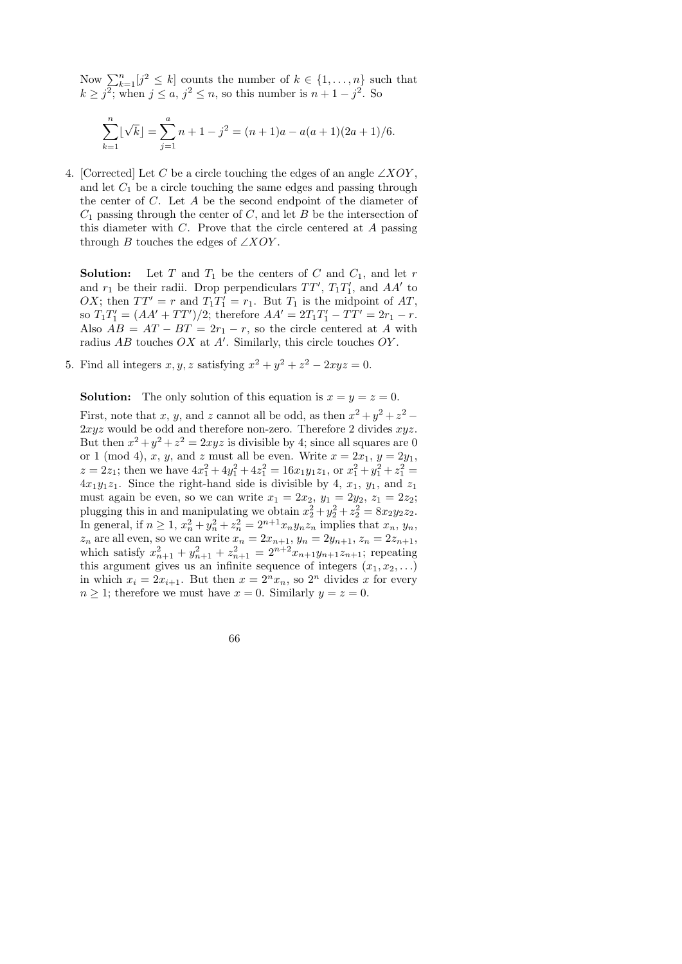Now  $\sum_{k=1}^{n} [j^2 \leq k]$  counts the number of  $k \in \{1, \ldots, n\}$  such that  $k \geq j^2$ ; when  $j \leq a, j^2 \leq n$ , so this number is  $n+1-j^2$ . So

$$
\sum_{k=1}^{n} \lfloor \sqrt{k} \rfloor = \sum_{j=1}^{a} n + 1 - j^2 = (n+1)a - a(a+1)(2a+1)/6.
$$

4. [Corrected] Let C be a circle touching the edges of an angle  $\angle XOY$ . and let  $C_1$  be a circle touching the same edges and passing through the center of C. Let A be the second endpoint of the diameter of  $C_1$  passing through the center of C, and let B be the intersection of this diameter with C. Prove that the circle centered at A passing through B touches the edges of  $\angle XOY$ .

**Solution:** Let T and  $T_1$  be the centers of C and  $C_1$ , and let r and  $r_1$  be their radii. Drop perpendiculars  $TT'$ ,  $T_1T_1'$ , and  $AA'$  to OX; then  $TT' = r$  and  $T_1T_1' = r_1$ . But  $T_1$  is the midpoint of AT, so  $T_1 T_1' = (AA' + TT')/2$ ; therefore  $AA' = 2T_1T_1' - T\dot{T}' = 2r_1 - r$ . Also  $AB = AT - BT = 2r_1 - r$ , so the circle centered at A with radius  $AB$  touches  $OX$  at  $A'$ . Similarly, this circle touches  $OY$ .

5. Find all integers  $x, y, z$  satisfying  $x^2 + y^2 + z^2 - 2xyz = 0$ .

**Solution:** The only solution of this equation is  $x = y = z = 0$ . First, note that x, y, and z cannot all be odd, as then  $x^2 + y^2 + z^2$  $2xyz$  would be odd and therefore non-zero. Therefore 2 divides  $xyz$ . But then  $x^2 + y^2 + z^2 = 2xyz$  is divisible by 4; since all squares are 0 or 1 (mod 4), x, y, and z must all be even. Write  $x = 2x_1$ ,  $y = 2y_1$ ,  $z = 2z_1$ ; then we have  $4x_1^2 + 4y_1^2 + 4z_1^2 = 16x_1y_1z_1$ , or  $x_1^2 + y_1^2 + z_1^2 =$  $4x_1y_1z_1$ . Since the right-hand side is divisible by 4,  $x_1$ ,  $y_1$ , and  $z_1$ must again be even, so we can write  $x_1 = 2x_2, y_1 = 2y_2, z_1 = 2z_2;$ plugging this in and manipulating we obtain  $x_2^2 + y_2^2 + z_2^2 = 8x_2y_2z_2$ . In general, if  $n \geq 1$ ,  $x_n^2 + y_n^2 + z_n^2 = 2^{n+1} x_n y_n z_n$  implies that  $x_n$ ,  $y_n$ ,  $z_n$  are all even, so we can write  $x_n = 2x_{n+1}, y_n = 2y_{n+1}, z_n = 2z_{n+1}$ , which satisfy  $x_{n+1}^2 + y_{n+1}^2 + z_{n+1}^2 = 2^{n+2}x_{n+1}y_{n+1}z_{n+1}$ ; repeating this argument gives us an infinite sequence of integers  $(x_1, x_2, \ldots)$ in which  $x_i = 2x_{i+1}$ . But then  $x = 2^n x_n$ , so  $2^n$  divides x for every  $n \geq 1$ ; therefore we must have  $x = 0$ . Similarly  $y = z = 0$ .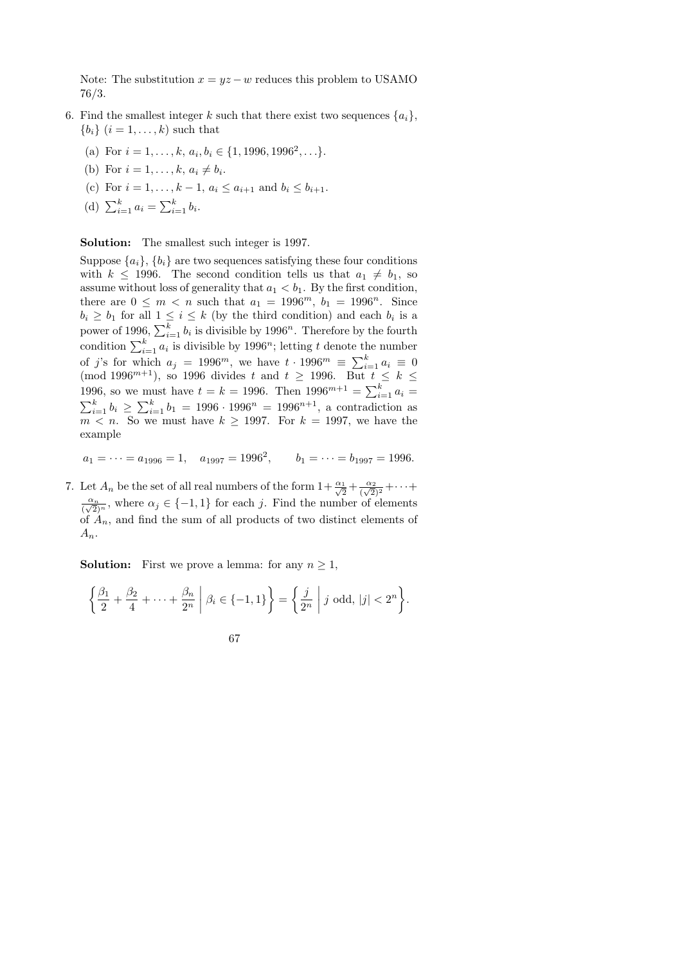Note: The substitution  $x = yz - w$  reduces this problem to USAMO 76/3.

- 6. Find the smallest integer k such that there exist two sequences  $\{a_i\}$ ,  ${b_i}$   $(i = 1, \ldots, k)$  such that
	- (a) For  $i = 1, ..., k, a_i, b_i \in \{1, 1996, 1996^2, ...\}$ .
	- (b) For  $i = 1, \ldots, k, a_i \neq b_i$ .
	- (c) For  $i = 1, ..., k 1, a_i \le a_{i+1}$  and  $b_i \le b_{i+1}$ .
	- (d)  $\sum_{i=1}^{k} a_i = \sum_{i=1}^{k} b_i$ .

Solution: The smallest such integer is 1997.

Suppose  $\{a_i\}$ ,  $\{b_i\}$  are two sequences satisfying these four conditions with  $k \leq 1996$ . The second condition tells us that  $a_1 \neq b_1$ , so assume without loss of generality that  $a_1 < b_1$ . By the first condition, there are  $0 \leq m < n$  such that  $a_1 = 1996^m$ ,  $b_1 = 1996^n$ . Since  $b_i \geq b_1$  for all  $1 \leq i \leq k$  (by the third condition) and each  $b_i$  is a power of 1996,  $\sum_{i=1}^{k} b_i$  is divisible by 1996<sup>n</sup>. Therefore by the fourth condition  $\sum_{i=1}^{k} a_i$  is divisible by 1996<sup>n</sup>; letting t denote the number of j's for which  $a_j = 1996^m$ , we have  $t \cdot 1996^m \equiv \sum_{i=1}^k a_i \equiv 0$ (mod 1996<sup>m+1</sup>), so 1996 divides t and  $t \ge 1996$ . But  $t \le k \le$ 1996, so we must have  $t = k = 1996$ . Then  $1996^{m+1} = \sum_{i=1}^{k} a_i =$  $\sum_{i=1}^{k} b_i \geq \sum_{i=1}^{k} b_i = 1996 \cdot 1996^n = 1996^{n+1}$ , a contradiction as  $m < n$ . So we must have  $k \ge 1997$ . For  $k = 1997$ , we have the example

$$
a_1 = \cdots = a_{1996} = 1
$$
,  $a_{1997} = 1996^2$ ,  $b_1 = \cdots = b_{1997} = 1996$ .

7. Let  $A_n$  be the set of all real numbers of the form  $1+\frac{\alpha_1}{\sqrt{2}}+\frac{\alpha_2}{(\sqrt{2})^2}+\cdots+$  $\frac{\alpha_n}{\alpha_1}$  where  $\alpha_i \in \{-1, 1\}$  for each i Find the number.  $\frac{\alpha_n}{(\sqrt{2})^n}$ , where  $\alpha_j \in \{-1,1\}$  for each j. Find the number of elements of  $A_n$ , and find the sum of all products of two distinct elements of  $A_n$ .

**Solution:** First we prove a lemma: for any  $n \geq 1$ ,

$$
\left\{\frac{\beta_1}{2}+\frac{\beta_2}{4}+\cdots+\frac{\beta_n}{2^n}\;\middle|\;\beta_i\in\{-1,1\}\right\}=\left\{\frac{j}{2^n}\;\middle|\;j\text{ odd},\,|j|<2^n\right\}.
$$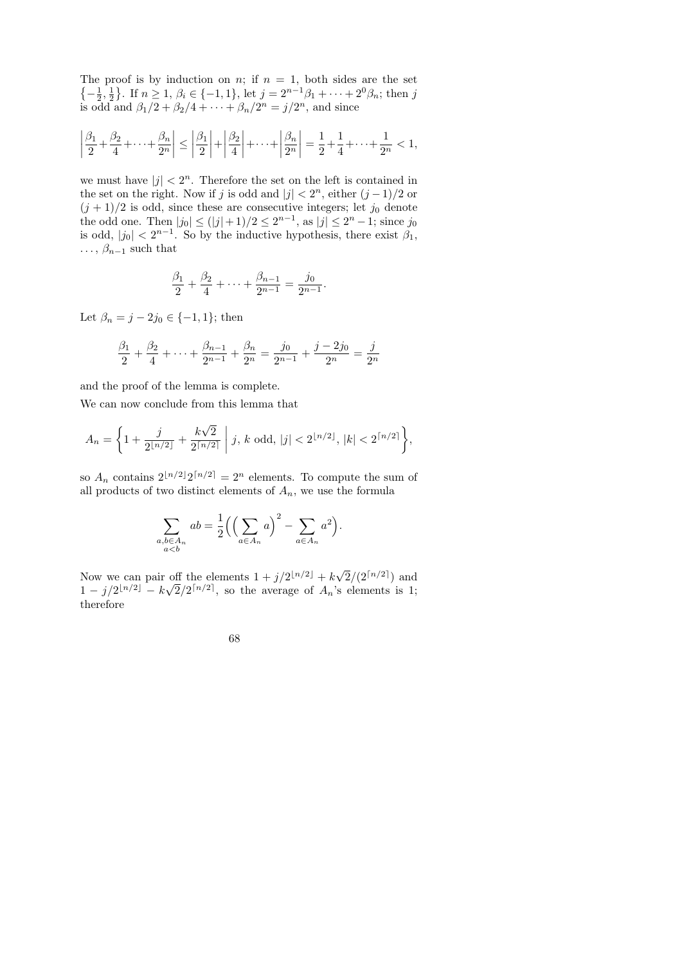The proof is by induction on n; if  $n = 1$ , both sides are the set  $\{-\frac{1}{2}, \frac{1}{2}\}.$  If  $n \geq 1, \beta_i \in \{-1, 1\}$ , let  $j = 2^{n-1}\beta_1 + \cdots + 2^0\beta_n$ ; then j is odd and  $\beta_1/2 + \beta_2/4 + \cdots + \beta_n/2^n = j/2^n$ , and since

$$
\left|\frac{\beta_1}{2} + \frac{\beta_2}{4} + \dots + \frac{\beta_n}{2^n}\right| \le \left|\frac{\beta_1}{2}\right| + \left|\frac{\beta_2}{4}\right| + \dots + \left|\frac{\beta_n}{2^n}\right| = \frac{1}{2} + \frac{1}{4} + \dots + \frac{1}{2^n} < 1,
$$

we must have  $|j| < 2<sup>n</sup>$ . Therefore the set on the left is contained in the set on the right. Now if j is odd and  $|j| < 2<sup>n</sup>$ , either  $(j-1)/2$  or  $(j+1)/2$  is odd, since these are consecutive integers; let  $j_0$  denote the odd one. Then  $|j_0| \le (|j|+1)/2 \le 2^{n-1}$ , as  $|j| \le 2^n - 1$ ; since  $j_0$ is odd,  $|j_0| < 2^{n-1}$ . So by the inductive hypothesis, there exist  $\beta_1$ ,  $\ldots, \beta_{n-1}$  such that

$$
\frac{\beta_1}{2} + \frac{\beta_2}{4} + \dots + \frac{\beta_{n-1}}{2^{n-1}} = \frac{j_0}{2^{n-1}}.
$$

Let  $\beta_n = j - 2j_0 \in \{-1, 1\}$ ; then

$$
\frac{\beta_1}{2} + \frac{\beta_2}{4} + \dots + \frac{\beta_{n-1}}{2^{n-1}} + \frac{\beta_n}{2^n} = \frac{j_0}{2^{n-1}} + \frac{j - 2j_0}{2^n} = \frac{j}{2^n}
$$

and the proof of the lemma is complete.

We can now conclude from this lemma that

$$
A_n = \left\{ 1 + \frac{j}{2^{\lfloor n/2 \rfloor}} + \frac{k\sqrt{2}}{2^{\lceil n/2 \rceil}} \; \middle| \; j, \, k \text{ odd}, \, |j| < 2^{\lfloor n/2 \rfloor}, \, |k| < 2^{\lceil n/2 \rceil} \right\},
$$

so  $A_n$  contains  $2^{\lfloor n/2 \rfloor} 2^{\lceil n/2 \rceil} = 2^n$  elements. To compute the sum of all products of two distinct elements of  $A_n$ , we use the formula

$$
\sum_{\substack{a,b\in A_n\\a
$$

Now we can pair off the elements  $1 + j/2^{\lfloor n/2 \rfloor} + k\sqrt{2}/(2^{\lceil n/2 \rceil})$  and  $1 - j/2^{\lfloor n/2 \rfloor} - k\sqrt{2}/2^{\lceil n/2 \rceil}$ , so the average of  $A_n$ 's elements is 1; therefore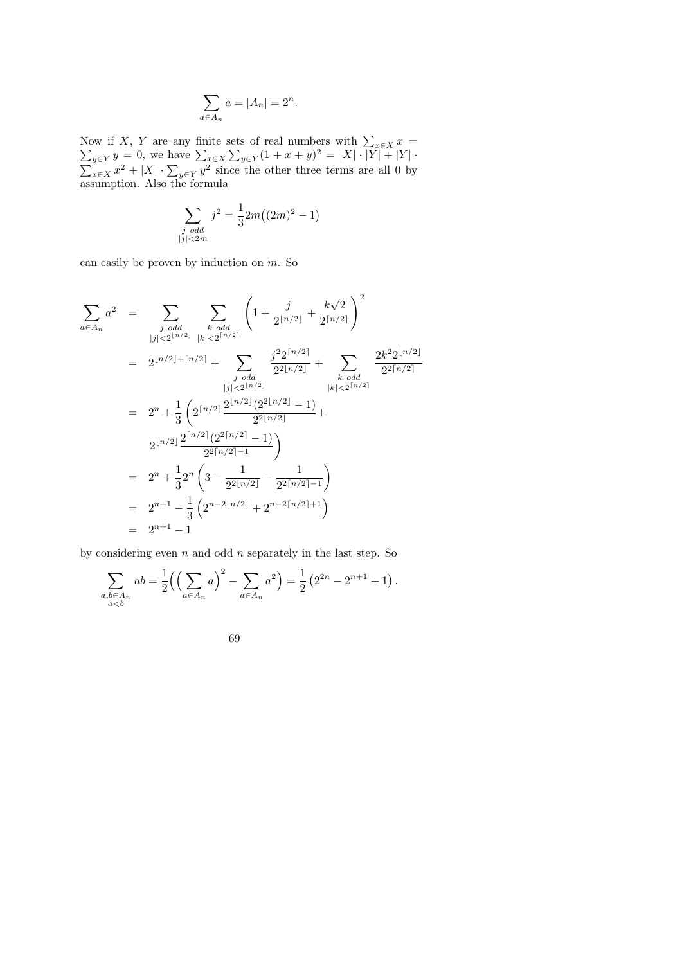$$
\sum_{a \in A_n} a = |A_n| = 2^n.
$$

Now if X, Y are any finite sets of real numbers with  $\sum_{x \in X} x =$ <br> $\sum_{y \in Y} y = 0$ , we have  $\sum_{x \in X} \sum_{y \in Y} (1 + x + y)^2 = |X| \cdot |Y| + |Y|$ .  $\sum_{x\in X} x^2 + |X| \cdot \sum_{y\in Y} y^2$  since the other three terms are all 0 by assumption. Also the formula

$$
\sum_{\substack{j \text{ odd} \\ |j| < 2m}} j^2 = \frac{1}{3} 2m \big( (2m)^2 - 1 \big)
$$

can easily be proven by induction on m. So

$$
\sum_{a \in A_n} a^2 = \sum_{\substack{j \text{ odd} \\ |j| < 2^{\lfloor n/2 \rfloor} \\ |k| < 2^{\lceil n/2 \rceil}}} \sum_{\substack{k \text{ odd} \\ |k| < 2^{\lceil n/2 \rceil}}} \left( 1 + \frac{j}{2^{\lfloor n/2 \rfloor}} + \frac{k\sqrt{2}}{2^{\lceil n/2 \rceil}} \right)^2
$$
\n
$$
= 2^{\lfloor n/2 \rfloor + \lceil n/2 \rceil} + \sum_{\substack{j \text{ odd} \\ |j| < 2^{\lfloor n/2 \rfloor}}} \frac{j^2 2^{\lceil n/2 \rceil}}{2^{2\lfloor n/2 \rfloor}} + \sum_{\substack{k \text{ odd} \\ |k| < 2^{\lceil n/2 \rceil}}} \frac{2k^2 2^{\lfloor n/2 \rfloor}}{2^{2\lceil n/2 \rceil}}
$$
\n
$$
= 2^n + \frac{1}{3} \left( 2^{\lceil n/2 \rceil} \frac{2^{\lfloor n/2 \rfloor} (2^{2\lfloor n/2 \rfloor} - 1)}{2^{2\lfloor n/2 \rfloor}} + \frac{2^{\lfloor n/2 \rfloor} 2^{\lceil n/2 \rceil}}{2^{2\lceil n/2 \rceil - 1}} \right)
$$
\n
$$
= 2^n + \frac{1}{3} 2^n \left( 3 - \frac{1}{2^{2\lfloor n/2 \rfloor}} - \frac{1}{2^{2\lceil n/2 \rceil - 1}} \right)
$$
\n
$$
= 2^{n+1} - \frac{1}{3} \left( 2^{n-2\lfloor n/2 \rfloor} + 2^{n-2\lceil n/2 \rceil + 1} \right)
$$
\n
$$
= 2^{n+1} - 1
$$

by considering even  $n$  and odd  $n$  separately in the last step. So

$$
\sum_{\substack{a,b\in A_n\\a
$$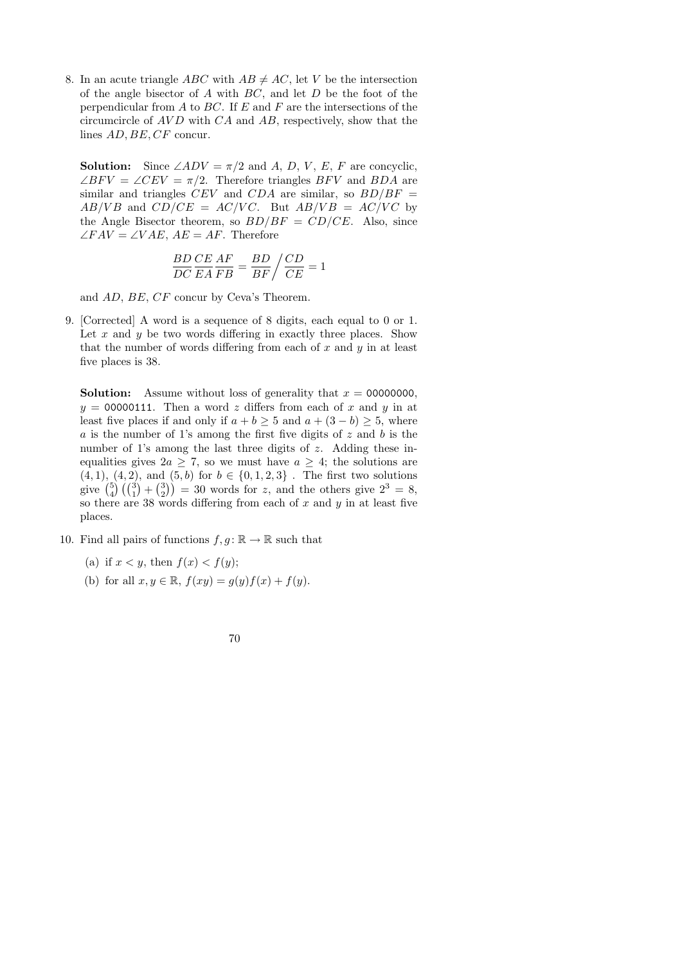8. In an acute triangle ABC with  $AB \neq AC$ , let V be the intersection of the angle bisector of  $A$  with  $BC$ , and let  $D$  be the foot of the perpendicular from  $A$  to  $BC$ . If  $E$  and  $F$  are the intersections of the circumcircle of  $AVD$  with  $CA$  and  $AB$ , respectively, show that the lines AD, BE, CF concur.

**Solution:** Since  $\angle ADV = \pi/2$  and A, D, V, E, F are concyclic,  $\angle BFV = \angle CEV = \pi/2$ . Therefore triangles BFV and BDA are similar and triangles CEV and CDA are similar, so  $BD/BF =$  $AB/VB$  and  $CD/CE = AC/VC$ . But  $AB/VB = AC/VC$  by the Angle Bisector theorem, so  $BD/BF = CD/CE$ . Also, since  $\angle FAV = \angle VAE$ ,  $AE = AF$ . Therefore

$$
\frac{BD \; CE \; AF}{DC \; EA \; FB} = \frac{BD}{BF} \bigg/ \frac{CD}{CE} = 1
$$

and AD, BE, CF concur by Ceva's Theorem.

9. [Corrected] A word is a sequence of 8 digits, each equal to 0 or 1. Let  $x$  and  $y$  be two words differing in exactly three places. Show that the number of words differing from each of  $x$  and  $y$  in at least five places is 38.

**Solution:** Assume without loss of generality that  $x = 00000000$ ,  $y = 00000111$ . Then a word z differs from each of x and y in at least five places if and only if  $a + b > 5$  and  $a + (3 - b) > 5$ , where a is the number of 1's among the first five digits of  $z$  and  $b$  is the number of 1's among the last three digits of z. Adding these inequalities gives  $2a \ge 7$ , so we must have  $a \ge 4$ ; the solutions are  $(4, 1), (4, 2), \text{ and } (5, b) \text{ for } b \in \{0, 1, 2, 3\}$ . The first two solutions give  $\binom{5}{4}$   $\binom{3}{1} + \binom{3}{2} = 30$  words for z, and the others give  $2^3 = 8$ , so there are 38 words differing from each of x and y in at least five places.

- 10. Find all pairs of functions  $f, g : \mathbb{R} \to \mathbb{R}$  such that
	- (a) if  $x < y$ , then  $f(x) < f(y)$ ;
	- (b) for all  $x, y \in \mathbb{R}$ ,  $f(xy) = g(y)f(x) + f(y)$ .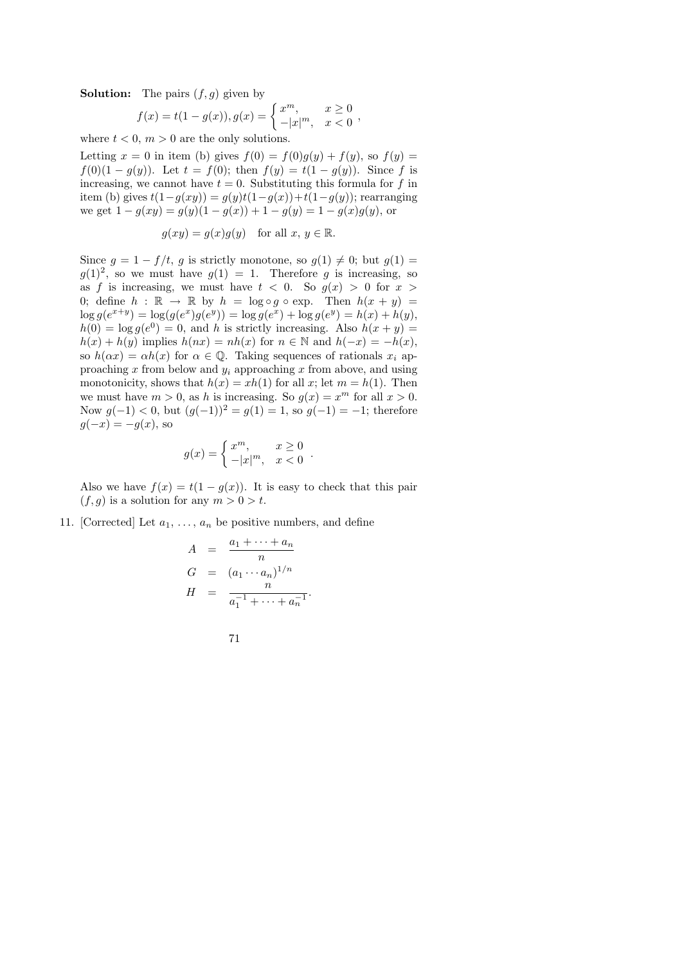**Solution:** The pairs  $(f, g)$  given by

$$
f(x) = t(1 - g(x)), g(x) = \begin{cases} x^m, & x \ge 0 \\ -|x|^m, & x < 0 \end{cases}
$$

where  $t < 0$ ,  $m > 0$  are the only solutions.

Letting  $x = 0$  in item (b) gives  $f(0) = f(0)g(y) + f(y)$ , so  $f(y) =$  $f(0)(1 - g(y))$ . Let  $t = f(0)$ ; then  $f(y) = t(1 - g(y))$ . Since f is increasing, we cannot have  $t = 0$ . Substituting this formula for f in item (b) gives  $t(1-g(xy)) = g(y)t(1-g(x)) + t(1-g(y))$ ; rearranging we get  $1 - g(xy) = g(y)(1 - g(x)) + 1 - g(y) = 1 - g(x)g(y)$ , or

$$
g(xy) = g(x)g(y) \text{ for all } x, y \in \mathbb{R}.
$$

Since  $g = 1 - f/t$ , g is strictly monotone, so  $g(1) \neq 0$ ; but  $g(1) =$  $g(1)^2$ , so we must have  $g(1) = 1$ . Therefore g is increasing, so as f is increasing, we must have  $t < 0$ . So  $g(x) > 0$  for  $x >$ 0; define  $h : \mathbb{R} \to \mathbb{R}$  by  $h = \log \circ g \circ \exp$ . Then  $h(x + y) =$  $\log g(e^{x+y}) = \log(g(e^x)g(e^y)) = \log g(e^x) + \log g(e^y) = h(x) + h(y),$  $h(0) = \log g(e^{0}) = 0$ , and h is strictly increasing. Also  $h(x + y) =$  $h(x) + h(y)$  implies  $h(nx) = nh(x)$  for  $n \in \mathbb{N}$  and  $h(-x) = -h(x)$ , so  $h(\alpha x) = \alpha h(x)$  for  $\alpha \in \mathbb{Q}$ . Taking sequences of rationals  $x_i$  approaching x from below and  $y_i$  approaching x from above, and using monotonicity, shows that  $h(x) = xh(1)$  for all x; let  $m = h(1)$ . Then we must have  $m > 0$ , as h is increasing. So  $g(x) = x^m$  for all  $x > 0$ . Now  $g(-1) < 0$ , but  $(g(-1))^{2} = g(1) = 1$ , so  $g(-1) = -1$ ; therefore  $q(-x) = -q(x)$ , so

$$
g(x)=\left\{\begin{matrix} x^m,&x\geq 0\\ -|x|^m,&x<0\end{matrix}\right..
$$

Also we have  $f(x) = t(1 - q(x))$ . It is easy to check that this pair  $(f, q)$  is a solution for any  $m > 0 > t$ .

11. [Corrected] Let  $a_1, \ldots, a_n$  be positive numbers, and define

$$
A = \frac{a_1 + \dots + a_n}{n}
$$
  
\n
$$
G = (a_1 \cdots a_n)^{1/n}
$$
  
\n
$$
H = \frac{n}{a_1^{-1} + \dots + a_n^{-1}}.
$$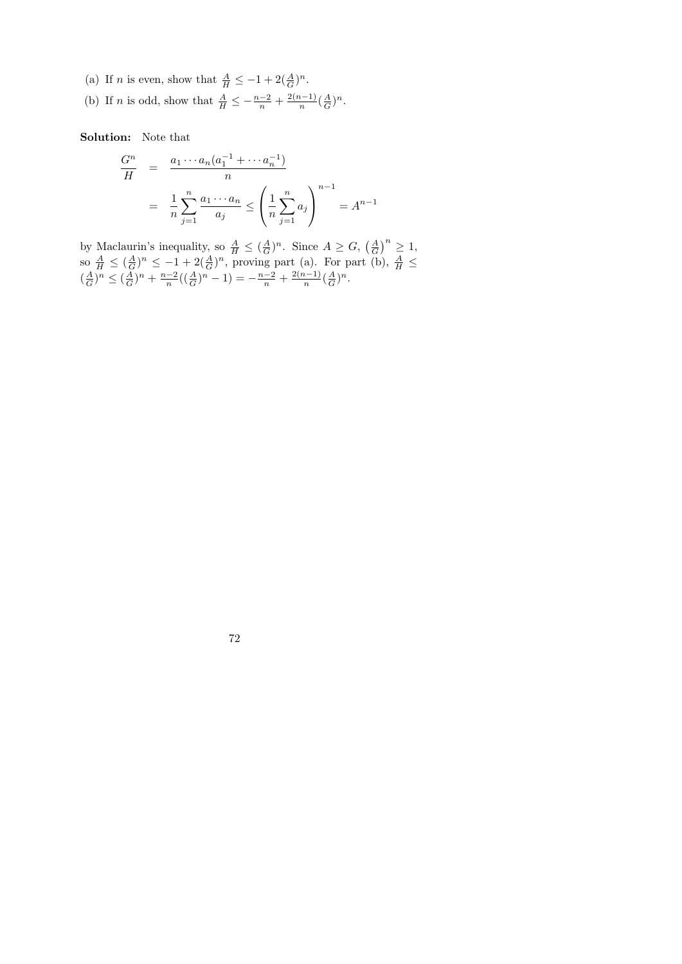- (a) If *n* is even, show that  $\frac{A}{H} \leq -1 + 2(\frac{A}{G})^n$ .
- (b) If *n* is odd, show that  $\frac{A}{H} \leq -\frac{n-2}{n} + \frac{2(n-1)}{n}$  $\frac{n-1}{n}(\frac{A}{G})^n$ .

Solution: Note that

$$
\frac{G^n}{H} = \frac{a_1 \cdots a_n (a_1^{-1} + \cdots a_n^{-1})}{n}
$$
\n
$$
= \frac{1}{n} \sum_{j=1}^n \frac{a_1 \cdots a_n}{a_j} \le \left(\frac{1}{n} \sum_{j=1}^n a_j\right)^{n-1} = A^{n-1}
$$

by Maclaurin's inequality, so  $\frac{A}{H} \leq (\frac{A}{G})^n$ . Since  $A \geq G$ ,  $(\frac{A}{G})^n \geq 1$ , so  $\frac{A}{H} \leq (\frac{A}{G})^n \leq -1 + 2(\frac{A}{G})^n$ , proving part (a). For part (b),  $\frac{A}{H} \leq$  $\left(\frac{A}{G}\right)^n \leq \left(\frac{A}{G}\right)^n + \frac{n-2}{n} \left(\left(\frac{A}{G}\right)^n - 1\right) = -\frac{n-2}{n} + \frac{2(n-1)}{n}$  $\frac{n-1}{n}(\frac{A}{G})^n$ .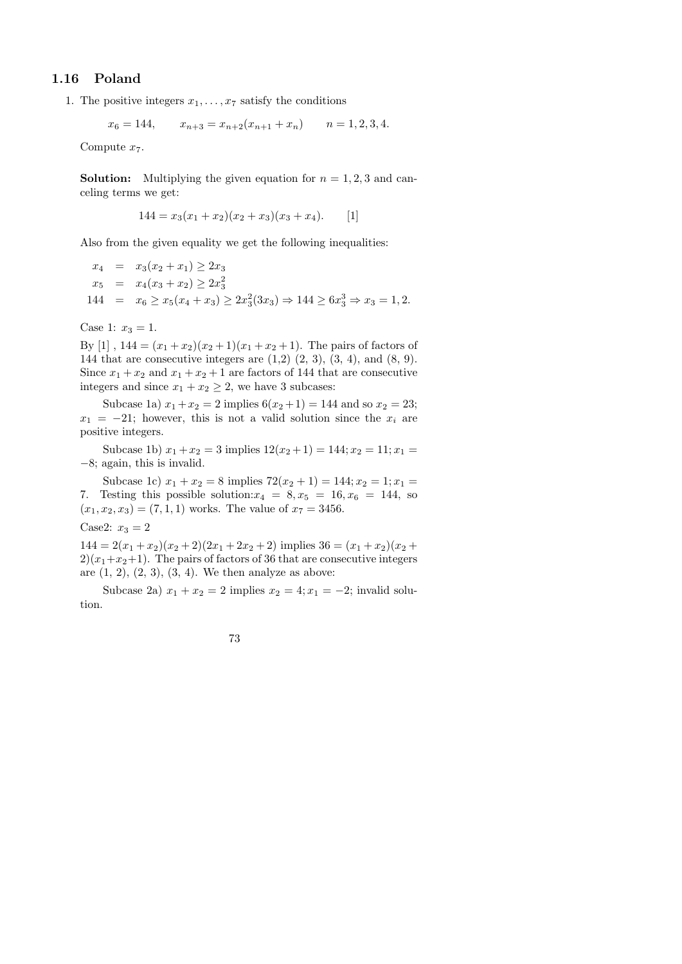# 1.16 Poland

1. The positive integers  $x_1, \ldots, x_7$  satisfy the conditions

$$
x_6 = 144
$$
,  $x_{n+3} = x_{n+2}(x_{n+1} + x_n)$   $n = 1, 2, 3, 4$ .

Compute  $x_7$ .

**Solution:** Multiplying the given equation for  $n = 1, 2, 3$  and canceling terms we get:

$$
144 = x_3(x_1 + x_2)(x_2 + x_3)(x_3 + x_4). \qquad [1]
$$

Also from the given equality we get the following inequalities:

$$
x_4 = x_3(x_2 + x_1) \ge 2x_3
$$
  
\n
$$
x_5 = x_4(x_3 + x_2) \ge 2x_3^2
$$
  
\n
$$
144 = x_6 \ge x_5(x_4 + x_3) \ge 2x_3^2(3x_3) \Rightarrow 144 \ge 6x_3^3 \Rightarrow x_3 = 1, 2.
$$

Case 1:  $x_3 = 1$ .

By [1],  $144 = (x_1 + x_2)(x_2 + 1)(x_1 + x_2 + 1)$ . The pairs of factors of 144 that are consecutive integers are  $(1,2)$   $(2, 3)$ ,  $(3, 4)$ , and  $(8, 9)$ . Since  $x_1 + x_2$  and  $x_1 + x_2 + 1$  are factors of 144 that are consecutive integers and since  $x_1 + x_2 \geq 2$ , we have 3 subcases:

Subcase 1a)  $x_1 + x_2 = 2$  implies  $6(x_2 + 1) = 144$  and so  $x_2 = 23$ ;  $x_1 = -21$ ; however, this is not a valid solution since the  $x_i$  are positive integers.

Subcase 1b)  $x_1 + x_2 = 3$  implies  $12(x_2 + 1) = 144$ ;  $x_2 = 11$ ;  $x_1 =$ −8; again, this is invalid.

Subcase 1c)  $x_1 + x_2 = 8$  implies  $72(x_2 + 1) = 144$ ;  $x_2 = 1$ ;  $x_1 =$ 7. Testing this possible solution: $x_4 = 8, x_5 = 16, x_6 = 144$ , so  $(x_1, x_2, x_3) = (7, 1, 1)$  works. The value of  $x_7 = 3456$ .

Case2:  $x_3 = 2$ 

 $144 = 2(x_1 + x_2)(x_2 + 2)(2x_1 + 2x_2 + 2)$  implies  $36 = (x_1 + x_2)(x_2 +$  $2(x_1+x_2+1)$ . The pairs of factors of 36 that are consecutive integers are  $(1, 2), (2, 3), (3, 4)$ . We then analyze as above:

Subcase 2a)  $x_1 + x_2 = 2$  implies  $x_2 = 4$ ;  $x_1 = -2$ ; invalid solution.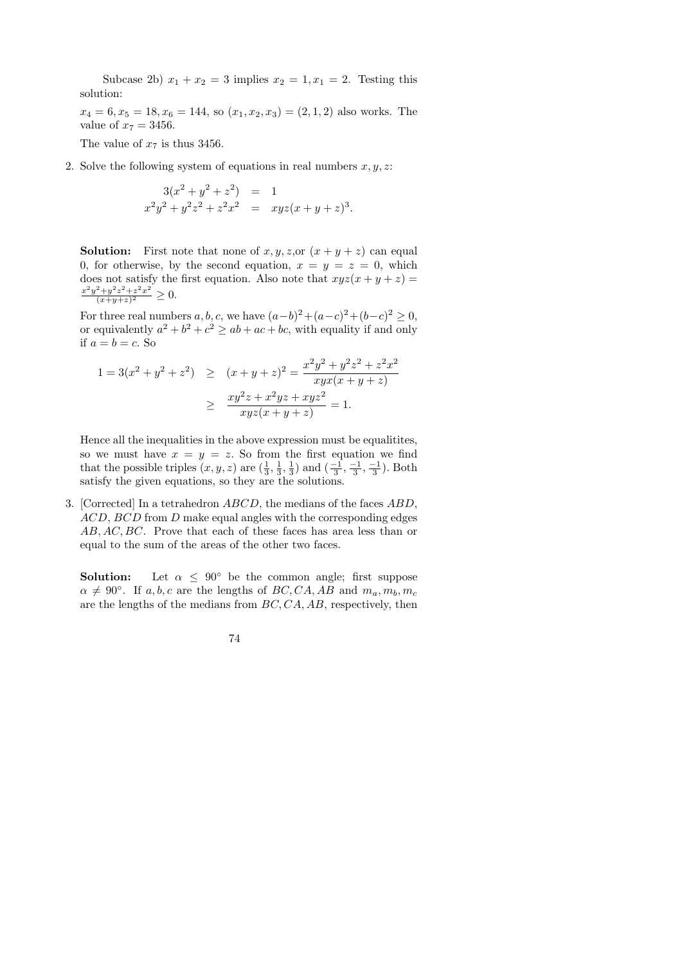Subcase 2b)  $x_1 + x_2 = 3$  implies  $x_2 = 1, x_1 = 2$ . Testing this solution:

 $x_4 = 6, x_5 = 18, x_6 = 144,$  so  $(x_1, x_2, x_3) = (2, 1, 2)$  also works. The value of  $x_7 = 3456$ .

The value of  $x_7$  is thus 3456.

2. Solve the following system of equations in real numbers  $x, y, z$ :

$$
3(x2 + y2 + z2) = 1
$$
  

$$
x2y2 + y2z2 + z2x2 = xyz(x + y + z)3.
$$

**Solution:** First note that none of x, y, z, or  $(x + y + z)$  can equal 0, for otherwise, by the second equation,  $x = y = z = 0$ , which does not satisfy the first equation. Also note that  $xyz(x+y+z) =$  $x^2y^2+y^2z^2+z^2x^2$  $\frac{z+y^2z^2+z^2x^2}{(x+y+z)^2} \geq 0.$ 

For three real numbers  $a, b, c$ , we have  $(a-b)^2 + (a-c)^2 + (b-c)^2 \ge 0$ , or equivalently  $a^2 + b^2 + c^2 \ge ab + ac + bc$ , with equality if and only if  $a = b = c$ . So

$$
1 = 3(x^{2} + y^{2} + z^{2}) \ge (x + y + z)^{2} = \frac{x^{2}y^{2} + y^{2}z^{2} + z^{2}x^{2}}{xyx(x + y + z)}
$$

$$
\ge \frac{xy^{2}z + x^{2}yz + xyz^{2}}{xyz(x + y + z)} = 1.
$$

Hence all the inequalities in the above expression must be equalitites, so we must have  $x = y = z$ . So from the first equation we find that the possible triples  $(x, y, z)$  are  $(\frac{1}{3}, \frac{1}{3}, \frac{1}{3})$  and  $(\frac{-1}{3}, \frac{-1}{3}, \frac{-1}{3})$ . Both satisfy the given equations, so they are the solutions.

3. [Corrected] In a tetrahedron ABCD, the medians of the faces ABD, ACD, BCD from D make equal angles with the corresponding edges AB, AC, BC. Prove that each of these faces has area less than or equal to the sum of the areas of the other two faces.

**Solution:** Let  $\alpha \leq 90^{\circ}$  be the common angle; first suppose  $\alpha \neq 90^{\circ}$ . If a, b, c are the lengths of BC, CA, AB and  $m_a$ ,  $m_b$ ,  $m_c$ are the lengths of the medians from BC, CA, AB, respectively, then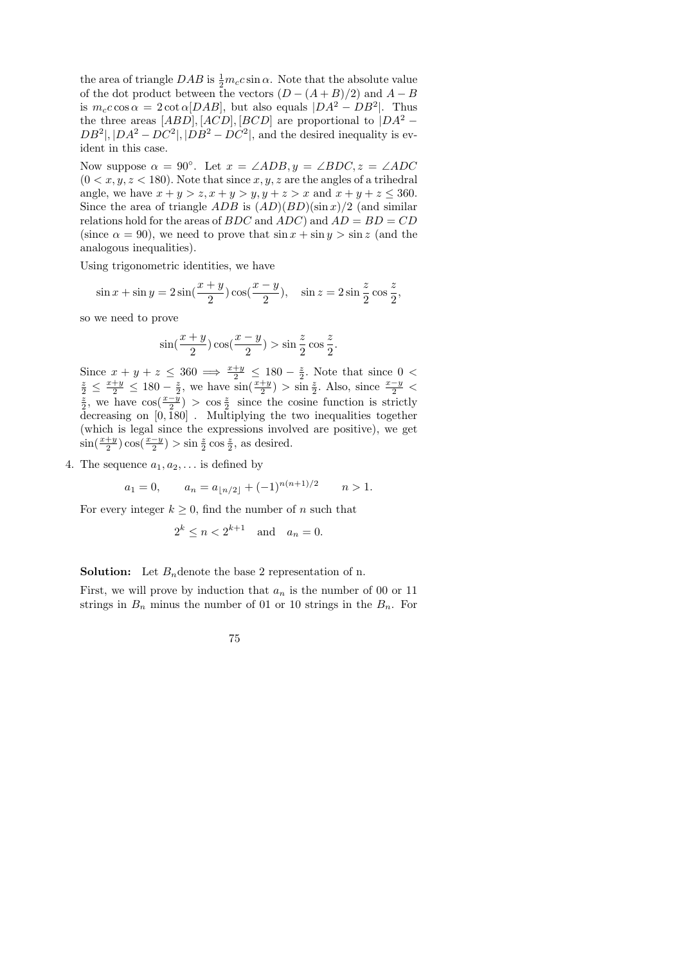the area of triangle  $DAB$  is  $\frac{1}{2}m_c c \sin \alpha$ . Note that the absolute value of the dot product between the vectors  $(D - (A + B)/2)$  and  $A - B$ is  $m_c c \cos \alpha = 2 \cot \alpha [DAB]$ , but also equals  $|DA^2 - DB^2|$ . Thus the three areas  $[ABD], [ACD], [BCD]$  are proportional to  $|DA^2 DB^2$ ,  $|DA^2 - DC^2|$ ,  $|DB^2 - DC^2|$ , and the desired inequality is evident in this case.

Now suppose  $\alpha = 90^{\circ}$ . Let  $x = \angle ADB$ ,  $y = \angle BDC$ ,  $z = \angle ADC$  $(0 < x, y, z < 180)$ . Note that since x, y, z are the angles of a trihedral angle, we have  $x + y > z, x + y > y, y + z > x$  and  $x + y + z \le 360$ . Since the area of triangle  $ADB$  is  $(AD)(BD)(\sin x)/2$  (and similar relations hold for the areas of  $BDC$  and  $ADC$ ) and  $AD = BD = CD$ (since  $\alpha = 90$ ), we need to prove that  $\sin x + \sin y > \sin z$  (and the analogous inequalities).

Using trigonometric identities, we have

$$
\sin x + \sin y = 2\sin(\frac{x+y}{2})\cos(\frac{x-y}{2}), \quad \sin z = 2\sin\frac{z}{2}\cos\frac{z}{2},
$$

so we need to prove

$$
\sin(\frac{x+y}{2})\cos(\frac{x-y}{2}) > \sin\frac{z}{2}\cos\frac{z}{2}.
$$

Since  $x + y + z \leq 360 \implies \frac{x+y}{2} \leq 180 - \frac{z}{2}$ . Note that since 0 <  $\frac{z}{2} \leq \frac{x+y}{2} \leq 180 - \frac{z}{2}$ , we have  $\sin(\frac{x+y}{2}) > \sin \frac{z}{2}$ . Also, since  $\frac{x-y}{2} < \frac{z}{2}$ , we have  $\cos(\frac{x-y}{2}) > \cos \frac{z}{2}$  since the cosine function is strictly decreasing on [0, 180] . Multiplying the two inequalities together (which is legal since the expressions involved are positive), we get  $\sin(\frac{x+y}{2})\cos(\frac{x-y}{2})$  >  $\sin \frac{z}{2} \cos \frac{z}{2}$ , as desired.

4. The sequence  $a_1, a_2, \ldots$  is defined by

$$
a_1 = 0
$$
,  $a_n = a_{\lfloor n/2 \rfloor} + (-1)^{n(n+1)/2}$   $n > 1$ .

For every integer  $k \geq 0$ , find the number of n such that

$$
2^k \le n < 2^{k+1} \quad \text{and} \quad a_n = 0.
$$

**Solution:** Let  $B_n$  denote the base 2 representation of n.

First, we will prove by induction that  $a_n$  is the number of 00 or 11 strings in  $B_n$  minus the number of 01 or 10 strings in the  $B_n$ . For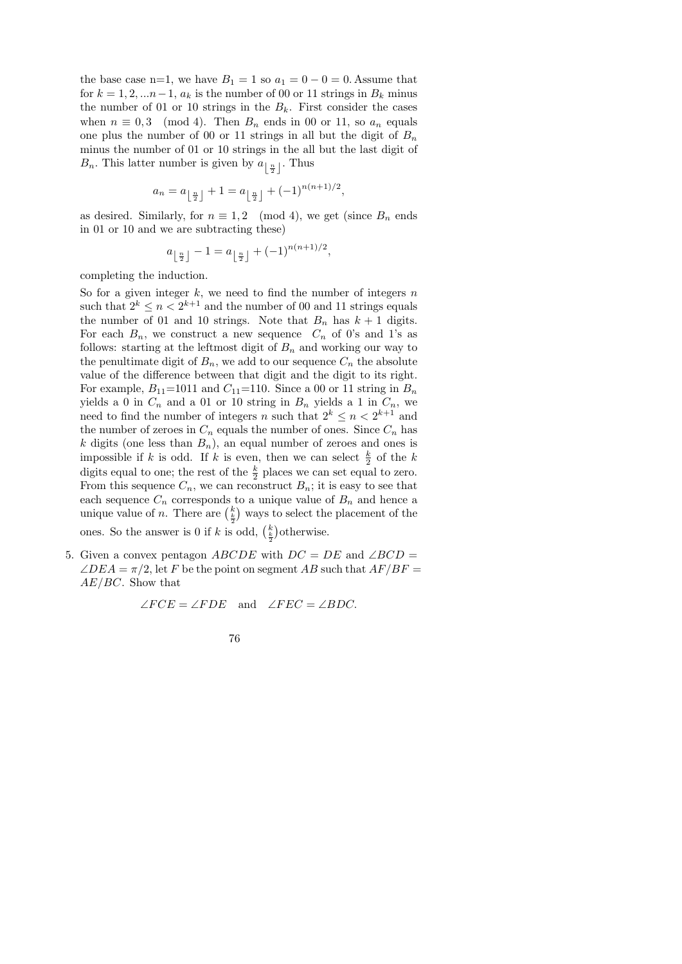the base case n=1, we have  $B_1 = 1$  so  $a_1 = 0 - 0 = 0$ . Assume that for  $k = 1, 2, \ldots n-1$ ,  $a_k$  is the number of 00 or 11 strings in  $B_k$  minus the number of 01 or 10 strings in the  $B_k$ . First consider the cases when  $n \equiv 0, 3 \pmod{4}$ . Then  $B_n$  ends in 00 or 11, so  $a_n$  equals one plus the number of 00 or 11 strings in all but the digit of  $B_n$ minus the number of 01 or 10 strings in the all but the last digit of  $B_n$ . This latter number is given by  $a_{\lfloor \frac{n}{2} \rfloor}$ . Thus

$$
a_n = a_{\left\lfloor \frac{n}{2} \right\rfloor} + 1 = a_{\left\lfloor \frac{n}{2} \right\rfloor} + (-1)^{n(n+1)/2},
$$

as desired. Similarly, for  $n \equiv 1, 2 \pmod{4}$ , we get (since  $B_n$  ends in 01 or 10 and we are subtracting these)

$$
a_{\lfloor \frac{n}{2} \rfloor} - 1 = a_{\lfloor \frac{n}{2} \rfloor} + (-1)^{n(n+1)/2},
$$

completing the induction.

So for a given integer  $k$ , we need to find the number of integers  $n$ such that  $2^k \leq n < 2^{k+1}$  and the number of 00 and 11 strings equals the number of 01 and 10 strings. Note that  $B_n$  has  $k+1$  digits. For each  $B_n$ , we construct a new sequence  $C_n$  of 0's and 1's as follows: starting at the leftmost digit of  $B_n$  and working our way to the penultimate digit of  $B_n$ , we add to our sequence  $C_n$  the absolute value of the difference between that digit and the digit to its right. For example,  $B_{11}=1011$  and  $C_{11}=110$ . Since a 00 or 11 string in  $B_n$ yields a 0 in  $C_n$  and a 01 or 10 string in  $B_n$  yields a 1 in  $C_n$ , we need to find the number of integers n such that  $2^k \leq n < 2^{k+1}$  and the number of zeroes in  $C_n$  equals the number of ones. Since  $C_n$  has k digits (one less than  $B_n$ ), an equal number of zeroes and ones is impossible if k is odd. If k is even, then we can select  $\frac{k}{2}$  of the k digits equal to one; the rest of the  $\frac{k}{2}$  places we can set equal to zero. From this sequence  $C_n$ , we can reconstruct  $B_n$ ; it is easy to see that each sequence  $C_n$  corresponds to a unique value of  $B_n$  and hence a unique value of *n*. There are  $\binom{k}{\frac{k}{2}}$  ways to select the placement of the ones. So the answer is 0 if k is odd,  $\binom{k}{\frac{k}{2}}$ otherwise.

5. Given a convex pentagon ABCDE with  $DC = DE$  and  $\angle BCD =$  $\angle DEA = \pi/2$ , let F be the point on segment AB such that  $AF/BF =$ AE/BC. Show that

$$
\angle FCE = \angle FDE
$$
 and  $\angle FEC = \angle BDC$ .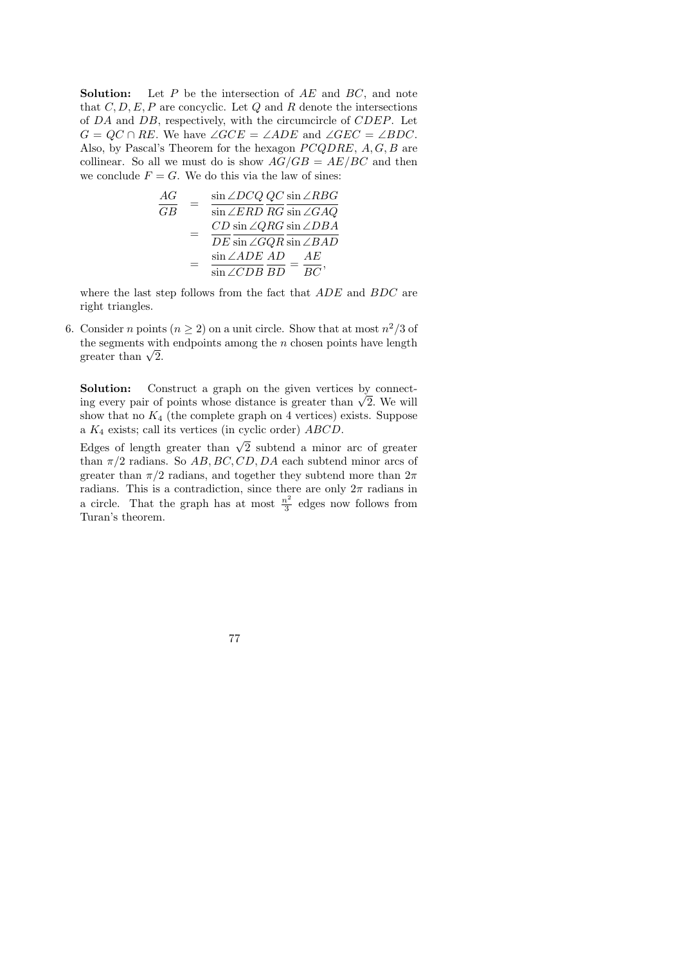**Solution:** Let  $P$  be the intersection of  $AE$  and  $BC$ , and note that  $C, D, E, P$  are concyclic. Let  $Q$  and  $R$  denote the intersections of DA and DB, respectively, with the circumcircle of CDEP. Let  $G = QC \cap RE$ . We have ∠ $GCE = \angle ADE$  and ∠ $GEC = \angle BDC$ . Also, by Pascal's Theorem for the hexagon  $PCQDRE$ ,  $A, G, B$  are collinear. So all we must do is show  $AG/GB = AE/BC$  and then we conclude  $F = G$ . We do this via the law of sines:

$$
\frac{AG}{GB} = \frac{\sin \angle DCQ}{\sin \angle ERD} \frac{QC}{RG} \frac{\sin \angle RBG}{\sin \angle GAQ}
$$

$$
= \frac{CD \sin \angle QRG}{DE \sin \angle GQR} \frac{\sin \angle DBA}{\sin \angle BAD}
$$

$$
= \frac{\sin \angle ADE}{\sin \angle CDB} \frac{AE}{BD} = \frac{AE}{BC},
$$

where the last step follows from the fact that  $ADE$  and  $BDC$  are right triangles.

6. Consider *n* points ( $n \ge 2$ ) on a unit circle. Show that at most  $n^2/3$  of the segments with endpoints among the  $n$  chosen points have length the segments wit<br>greater than  $\sqrt{2}$ .

Solution: Construct a graph on the given vertices by connect-**Solution:** Construct a graph on the given vertices by connecting every pair of points whose distance is greater than  $\sqrt{2}$ . We will show that no  $K_4$  (the complete graph on 4 vertices) exists. Suppose a  $K_4$  exists; call its vertices (in cyclic order)  $ABCD$ .

Edges of length greater than  $\sqrt{2}$  subtend a minor arc of greater than  $\pi/2$  radians. So AB, BC, CD, DA each subtend minor arcs of greater than  $\pi/2$  radians, and together they subtend more than  $2\pi$ radians. This is a contradiction, since there are only  $2\pi$  radians in a circle. That the graph has at most  $\frac{n^2}{3}$  $\frac{v^2}{3}$  edges now follows from Turan's theorem.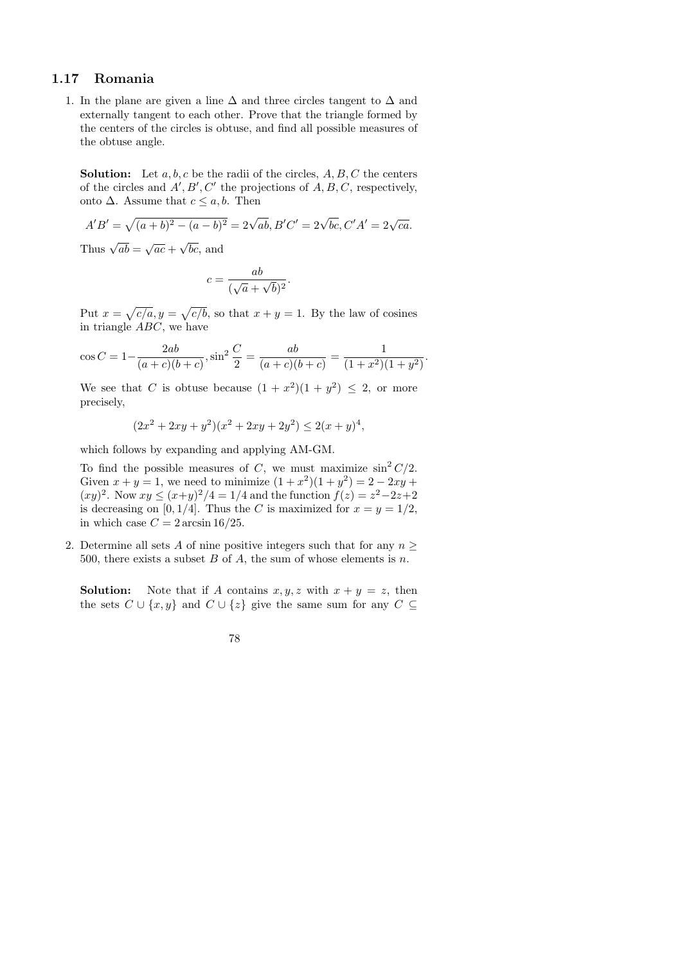# 1.17 Romania

1. In the plane are given a line  $\Delta$  and three circles tangent to  $\Delta$  and externally tangent to each other. Prove that the triangle formed by the centers of the circles is obtuse, and find all possible measures of the obtuse angle.

**Solution:** Let  $a, b, c$  be the radii of the circles,  $A, B, C$  the centers of the circles and  $A', B', C'$  the projections of  $A, B, C$ , respectively, onto Δ. Assume that  $c ≤ a, b$ . Then

$$
A'B' = \sqrt{(a+b)^2 - (a-b)^2} = 2\sqrt{ab}, B'C' = 2\sqrt{bc}, C'A' = 2\sqrt{ca}.
$$
  
Thus  $\sqrt{ab} = \sqrt{ac} + \sqrt{bc}$ , and

$$
c = \frac{ab}{(\sqrt{a} + \sqrt{b})^2}.
$$

Put  $x = \sqrt{c/a}$ ,  $y = \sqrt{c/b}$ , so that  $x + y = 1$ . By the law of cosines in triangle ABC, we have

$$
\cos C = 1 - \frac{2ab}{(a+c)(b+c)}, \sin^2 \frac{C}{2} = \frac{ab}{(a+c)(b+c)} = \frac{1}{(1+x^2)(1+y^2)}.
$$

We see that C is obtuse because  $(1+x^2)(1+y^2) \leq 2$ , or more precisely,

$$
(2x2 + 2xy + y2)(x2 + 2xy + 2y2) \le 2(x + y)4,
$$

which follows by expanding and applying AM-GM.

To find the possible measures of C, we must maximize  $\sin^2 C/2$ . Given  $x + y = 1$ , we need to minimize  $(1 + x^2)(1 + y^2) = 2 - 2xy +$  $(xy)^2$ . Now  $xy \le (x+y)^2/4 = 1/4$  and the function  $f(z) = z^2 - 2z + 2$ is decreasing on [0, 1/4]. Thus the C is maximized for  $x = y = 1/2$ , in which case  $C = 2 \arcsin 16/25$ .

2. Determine all sets A of nine positive integers such that for any  $n \geq$ 500, there exists a subset B of A, the sum of whose elements is n.

**Solution:** Note that if A contains  $x, y, z$  with  $x + y = z$ , then the sets  $C \cup \{x, y\}$  and  $C \cup \{z\}$  give the same sum for any  $C \subseteq$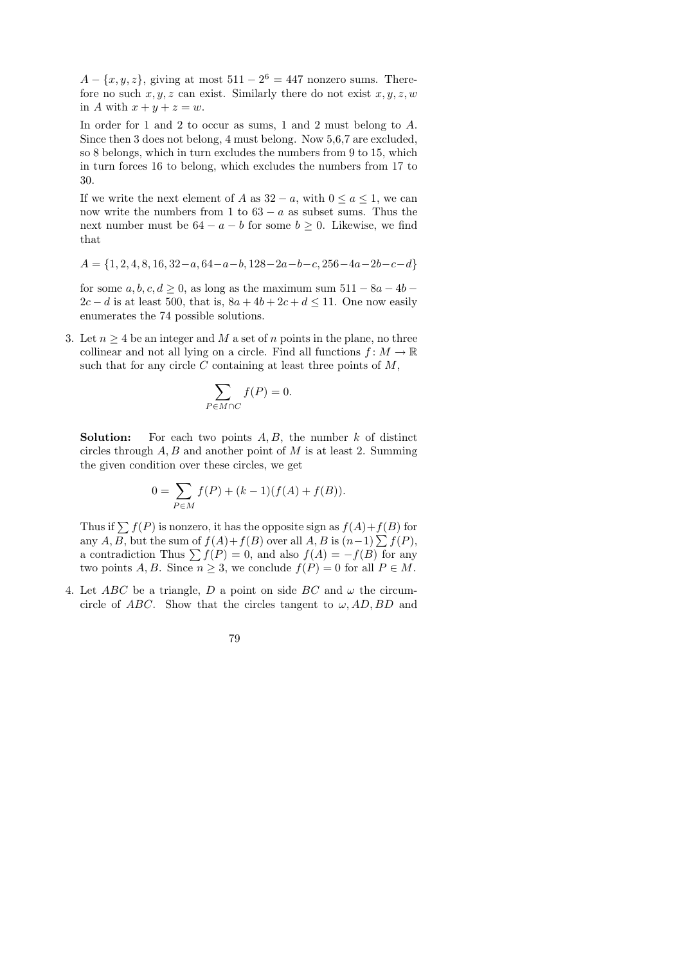$A - \{x, y, z\}$ , giving at most  $511 - 2^6 = 447$  nonzero sums. Therefore no such  $x, y, z$  can exist. Similarly there do not exist  $x, y, z, w$ in A with  $x + y + z = w$ .

In order for 1 and 2 to occur as sums, 1 and 2 must belong to A. Since then 3 does not belong, 4 must belong. Now 5,6,7 are excluded, so 8 belongs, which in turn excludes the numbers from 9 to 15, which in turn forces 16 to belong, which excludes the numbers from 17 to 30.

If we write the next element of A as  $32 - a$ , with  $0 \le a \le 1$ , we can now write the numbers from 1 to  $63 - a$  as subset sums. Thus the next number must be  $64 - a - b$  for some  $b \ge 0$ . Likewise, we find that

$$
A = \{1, 2, 4, 8, 16, 32 - a, 64 - a - b, 128 - 2a - b - c, 256 - 4a - 2b - c - d\}
$$

for some  $a, b, c, d \geq 0$ , as long as the maximum sum  $511 - 8a - 4b$  $2c - d$  is at least 500, that is,  $8a + 4b + 2c + d \le 11$ . One now easily enumerates the 74 possible solutions.

3. Let  $n \geq 4$  be an integer and M a set of n points in the plane, no three collinear and not all lying on a circle. Find all functions  $f: M \to \mathbb{R}$ such that for any circle  $C$  containing at least three points of  $M$ ,

$$
\sum_{P \in M \cap C} f(P) = 0.
$$

**Solution:** For each two points  $A, B$ , the number  $k$  of distinct circles through  $A, B$  and another point of  $M$  is at least 2. Summing the given condition over these circles, we get

$$
0 = \sum_{P \in M} f(P) + (k - 1)(f(A) + f(B)).
$$

Thus if  $\sum f(P)$  is nonzero, it has the opposite sign as  $f(A)+f(B)$  for any A, B, but the sum of  $f(A)+f(B)$  over all  $A, B$  is  $(n-1)\sum f(P)$ , a contradiction Thus  $\sum f(P) = 0$ , and also  $f(A) = -f(B)$  for any two points A, B. Since  $n \geq 3$ , we conclude  $f(P) = 0$  for all  $P \in M$ .

4. Let ABC be a triangle, D a point on side BC and  $\omega$  the circumcircle of ABC. Show that the circles tangent to  $\omega$ , AD, BD and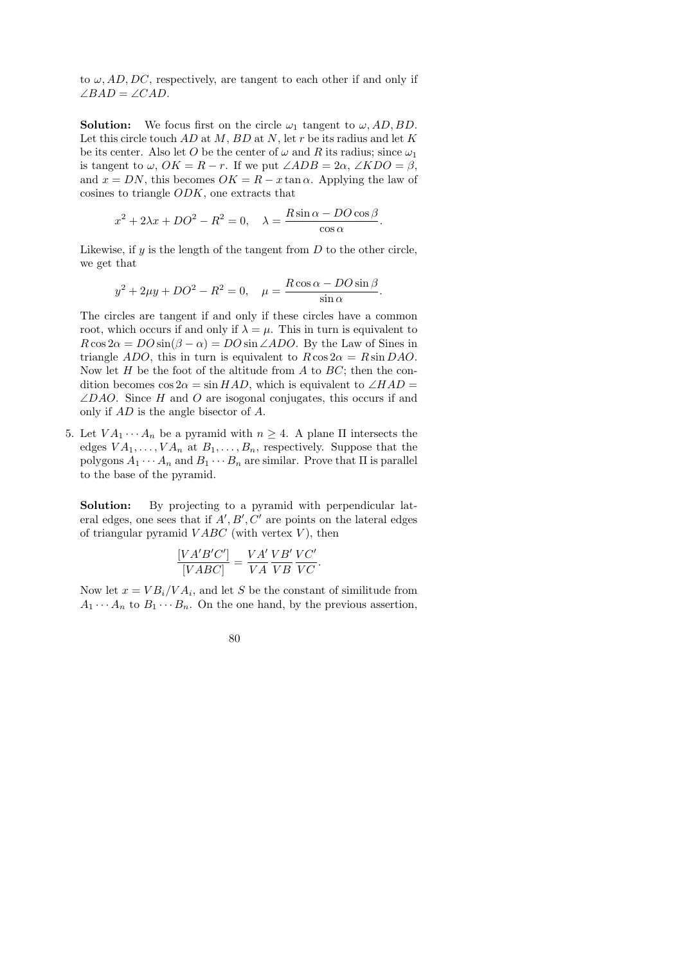to  $\omega$ , AD, DC, respectively, are tangent to each other if and only if  $\angle BAD = \angle CAD$ .

**Solution:** We focus first on the circle  $\omega_1$  tangent to  $\omega$ , AD, BD. Let this circle touch  $AD$  at  $M$ ,  $BD$  at  $N$ , let  $r$  be its radius and let  $K$ be its center. Also let O be the center of  $\omega$  and R its radius; since  $\omega_1$ is tangent to  $\omega$ ,  $OK = R - r$ . If we put  $\angle ADB = 2\alpha$ ,  $\angle KDO = \beta$ , and  $x = DN$ , this becomes  $OK = R - x \tan \alpha$ . Applying the law of cosines to triangle ODK, one extracts that

$$
x^{2} + 2\lambda x + DO^{2} - R^{2} = 0, \quad \lambda = \frac{R\sin\alpha - DO\cos\beta}{\cos\alpha}.
$$

Likewise, if  $y$  is the length of the tangent from  $D$  to the other circle, we get that

$$
y^2 + 2\mu y + DO^2 - R^2 = 0, \quad \mu = \frac{R\cos\alpha - DO\sin\beta}{\sin\alpha}.
$$

The circles are tangent if and only if these circles have a common root, which occurs if and only if  $\lambda = \mu$ . This in turn is equivalent to  $R \cos 2\alpha = DO \sin(\beta - \alpha) = DO \sin \angle ADO$ . By the Law of Sines in triangle ADO, this in turn is equivalent to  $R \cos 2\alpha = R \sin D A O$ . Now let  $H$  be the foot of the altitude from  $A$  to  $BC$ ; then the condition becomes  $\cos 2\alpha = \sin HAD$ , which is equivalent to ∠HAD =  $\angle DAO$ . Since H and O are isogonal conjugates, this occurs if and only if AD is the angle bisector of A.

5. Let  $VA_1 \cdots A_n$  be a pyramid with  $n \geq 4$ . A plane  $\Pi$  intersects the edges  $VA_1, \ldots, VA_n$  at  $B_1, \ldots, B_n$ , respectively. Suppose that the polygons  $A_1 \cdots A_n$  and  $B_1 \cdots B_n$  are similar. Prove that  $\Pi$  is parallel to the base of the pyramid.

Solution: By projecting to a pyramid with perpendicular lateral edges, one sees that if  $A', B', C'$  are points on the lateral edges of triangular pyramid  $VABC$  (with vertex  $V$ ), then

$$
\frac{[VA'B'C']}{[VABC]} = \frac{VA'}{VA} \frac{VB'}{VB} \frac{VC'}{VC'}.
$$

Now let  $x = VB_i/VA_i$ , and let S be the constant of similitude from  $A_1 \cdots A_n$  to  $B_1 \cdots B_n$ . On the one hand, by the previous assertion,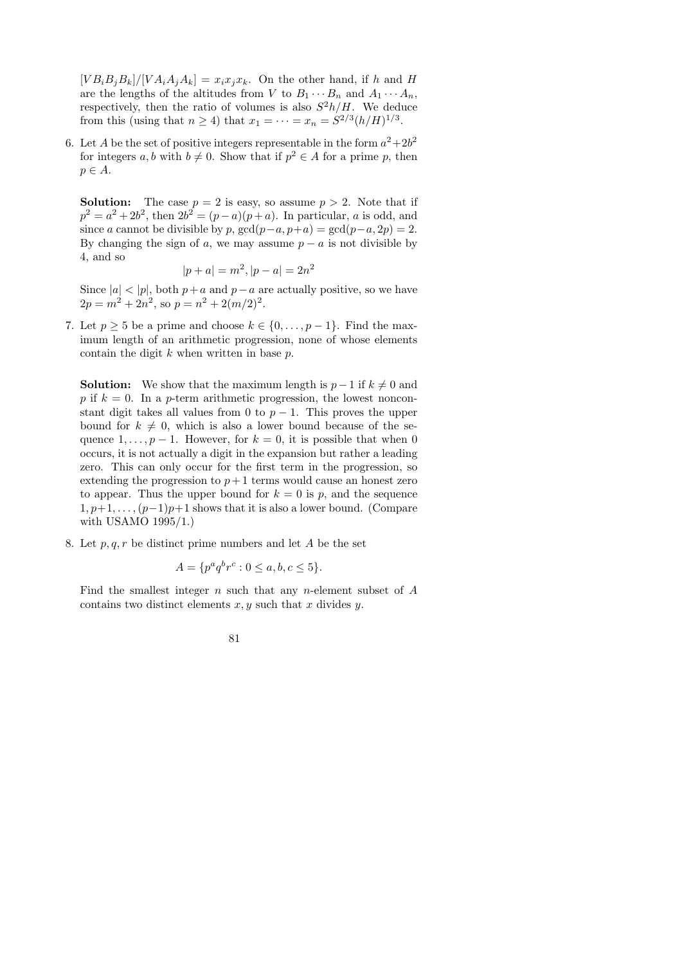$[VB_iB_jB_k]/[VA_iA_jA_k] = x_ix_jx_k$ . On the other hand, if h and H are the lengths of the altitudes from V to  $B_1 \cdots B_n$  and  $A_1 \cdots A_n$ , respectively, then the ratio of volumes is also  $S^2 h/H$ . We deduce from this (using that  $n \ge 4$ ) that  $x_1 = \cdots = x_n = S^{2/3} (h/H)^{1/3}$ .

6. Let A be the set of positive integers representable in the form  $a^2+2b^2$ for integers a, b with  $b \neq 0$ . Show that if  $p^2 \in A$  for a prime p, then  $p \in A$ .

**Solution:** The case  $p = 2$  is easy, so assume  $p > 2$ . Note that if  $p^2 = a^2 + 2b^2$ , then  $2b^2 = (p - a)(p + a)$ . In particular, a is odd, and since a cannot be divisible by p,  $gcd(p-a, p+a) = gcd(p-a, 2p) = 2$ . By changing the sign of a, we may assume  $p - a$  is not divisible by 4, and so

$$
|p + a| = m^2, |p - a| = 2n^2
$$

Since  $|a| < |p|$ , both  $p+a$  and  $p-a$  are actually positive, so we have  $2p = m^2 + 2n^2$ , so  $p = n^2 + 2(m/2)^2$ .

7. Let  $p \geq 5$  be a prime and choose  $k \in \{0, \ldots, p-1\}$ . Find the maximum length of an arithmetic progression, none of whose elements contain the digit  $k$  when written in base  $p$ .

**Solution:** We show that the maximum length is  $p-1$  if  $k \neq 0$  and p if  $k = 0$ . In a p-term arithmetic progression, the lowest nonconstant digit takes all values from 0 to  $p-1$ . This proves the upper bound for  $k \neq 0$ , which is also a lower bound because of the sequence  $1, \ldots, p-1$ . However, for  $k = 0$ , it is possible that when 0 occurs, it is not actually a digit in the expansion but rather a leading zero. This can only occur for the first term in the progression, so extending the progression to  $p+1$  terms would cause an honest zero to appear. Thus the upper bound for  $k = 0$  is p, and the sequence  $1, p+1, \ldots, (p-1)p+1$  shows that it is also a lower bound. (Compare with USAMO 1995/1.)

8. Let  $p, q, r$  be distinct prime numbers and let A be the set

$$
A = \{ p^a q^b r^c : 0 \le a, b, c \le 5 \}.
$$

Find the smallest integer  $n$  such that any n-element subset of  $A$ contains two distinct elements  $x, y$  such that x divides y.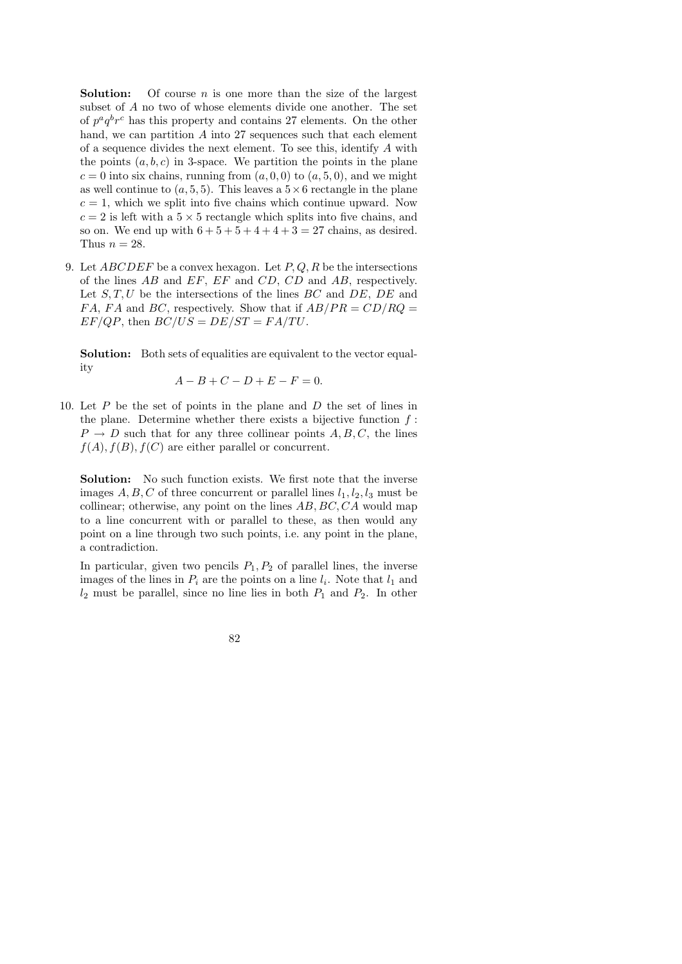**Solution:** Of course  $n$  is one more than the size of the largest subset of A no two of whose elements divide one another. The set of  $p^a q^b r^c$  has this property and contains 27 elements. On the other hand, we can partition A into 27 sequences such that each element of a sequence divides the next element. To see this, identify A with the points  $(a, b, c)$  in 3-space. We partition the points in the plane  $c = 0$  into six chains, running from  $(a, 0, 0)$  to  $(a, 5, 0)$ , and we might as well continue to  $(a, 5, 5)$ . This leaves a  $5 \times 6$  rectangle in the plane  $c = 1$ , which we split into five chains which continue upward. Now  $c = 2$  is left with a  $5 \times 5$  rectangle which splits into five chains, and so on. We end up with  $6 + 5 + 5 + 4 + 4 + 3 = 27$  chains, as desired. Thus  $n = 28$ .

9. Let  $ABCDEF$  be a convex hexagon. Let  $P, Q, R$  be the intersections of the lines AB and EF, EF and CD, CD and AB, respectively. Let  $S, T, U$  be the intersections of the lines  $BC$  and  $DE$ ,  $DE$  and FA, FA and BC, respectively. Show that if  $AB/PR = CD/RO$  =  $EF/QP$ , then  $BC/US = DE/ST = FA/TU$ .

Solution: Both sets of equalities are equivalent to the vector equality

$$
A - B + C - D + E - F = 0.
$$

10. Let  $P$  be the set of points in the plane and  $D$  the set of lines in the plane. Determine whether there exists a bijective function  $f$ :  $P \rightarrow D$  such that for any three collinear points A, B, C, the lines  $f(A), f(B), f(C)$  are either parallel or concurrent.

Solution: No such function exists. We first note that the inverse images  $A, B, C$  of three concurrent or parallel lines  $l_1, l_2, l_3$  must be collinear; otherwise, any point on the lines  $AB, BC, CA$  would map to a line concurrent with or parallel to these, as then would any point on a line through two such points, i.e. any point in the plane, a contradiction.

In particular, given two pencils  $P_1, P_2$  of parallel lines, the inverse images of the lines in  $P_i$  are the points on a line  $l_i$ . Note that  $l_1$  and  $l_2$  must be parallel, since no line lies in both  $P_1$  and  $P_2$ . In other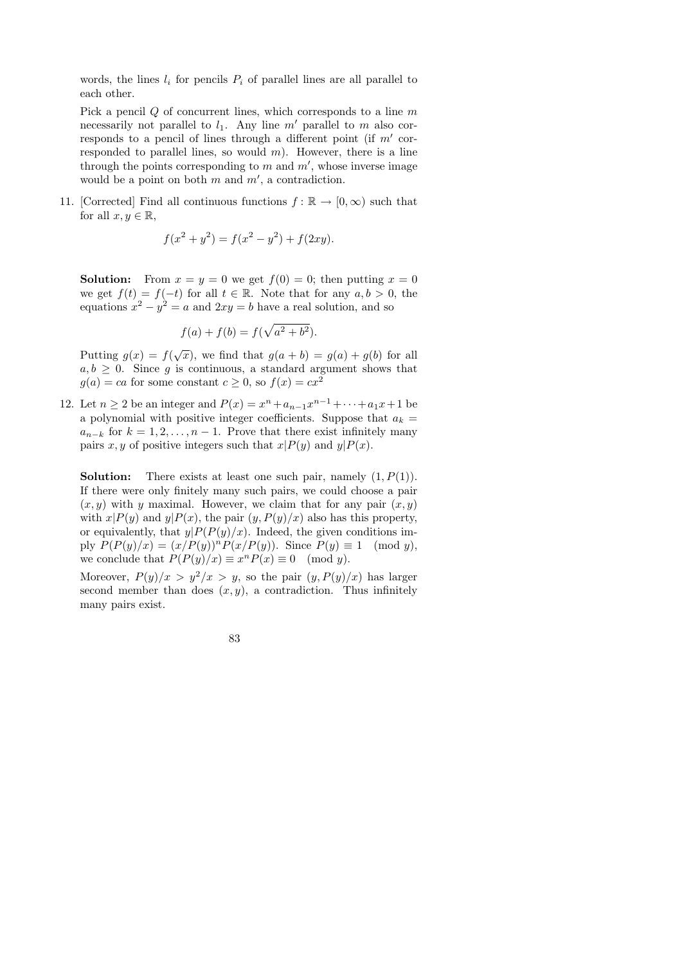words, the lines  $l_i$  for pencils  $P_i$  of parallel lines are all parallel to each other.

Pick a pencil  $Q$  of concurrent lines, which corresponds to a line  $m$ necessarily not parallel to  $l_1$ . Any line m' parallel to m also corresponds to a pencil of lines through a different point (if  $m'$  corresponded to parallel lines, so would  $m$ ). However, there is a line through the points corresponding to  $m$  and  $m'$ , whose inverse image would be a point on both  $m$  and  $m'$ , a contradiction.

11. [Corrected] Find all continuous functions  $f : \mathbb{R} \to [0, \infty)$  such that for all  $x, y \in \mathbb{R}$ ,

$$
f(x^{2} + y^{2}) = f(x^{2} - y^{2}) + f(2xy).
$$

**Solution:** From  $x = y = 0$  we get  $f(0) = 0$ ; then putting  $x = 0$ we get  $f(t) = f(-t)$  for all  $t \in \mathbb{R}$ . Note that for any  $a, b > 0$ , the equations  $x^2 - y^2 = a$  and  $2xy = b$  have a real solution, and so

$$
f(a) + f(b) = f(\sqrt{a^2 + b^2}).
$$

Putting  $g(x) = f(\sqrt{x})$ , we find that  $g(a + b) = g(a) + g(b)$  for all  $a, b \geq 0$ . Since g is continuous, a standard argument shows that  $g(a) = ca$  for some constant  $c \geq 0$ , so  $f(x) = cx^2$ 

12. Let  $n \ge 2$  be an integer and  $P(x) = x^n + a_{n-1}x^{n-1} + \cdots + a_1x + 1$  be a polynomial with positive integer coefficients. Suppose that  $a_k =$  $a_{n-k}$  for  $k = 1, 2, ..., n-1$ . Prove that there exist infinitely many pairs x, y of positive integers such that  $x|P(y)$  and  $y|P(x)$ .

**Solution:** There exists at least one such pair, namely  $(1, P(1))$ . If there were only finitely many such pairs, we could choose a pair  $(x, y)$  with y maximal. However, we claim that for any pair  $(x, y)$ with  $x|P(y)$  and  $y|P(x)$ , the pair  $(y, P(y)/x)$  also has this property, or equivalently, that  $y|P(P(y)/x)$ . Indeed, the given conditions imply  $P(P(y)/x) = (x/P(y))^n P(x/P(y))$ . Since  $P(y) \equiv 1 \pmod{y}$ , we conclude that  $P(P(y)/x) \equiv x^n P(x) \equiv 0 \pmod{y}$ .

Moreover,  $P(y)/x > y^2/x > y$ , so the pair  $(y, P(y)/x)$  has larger second member than does  $(x, y)$ , a contradiction. Thus infinitely many pairs exist.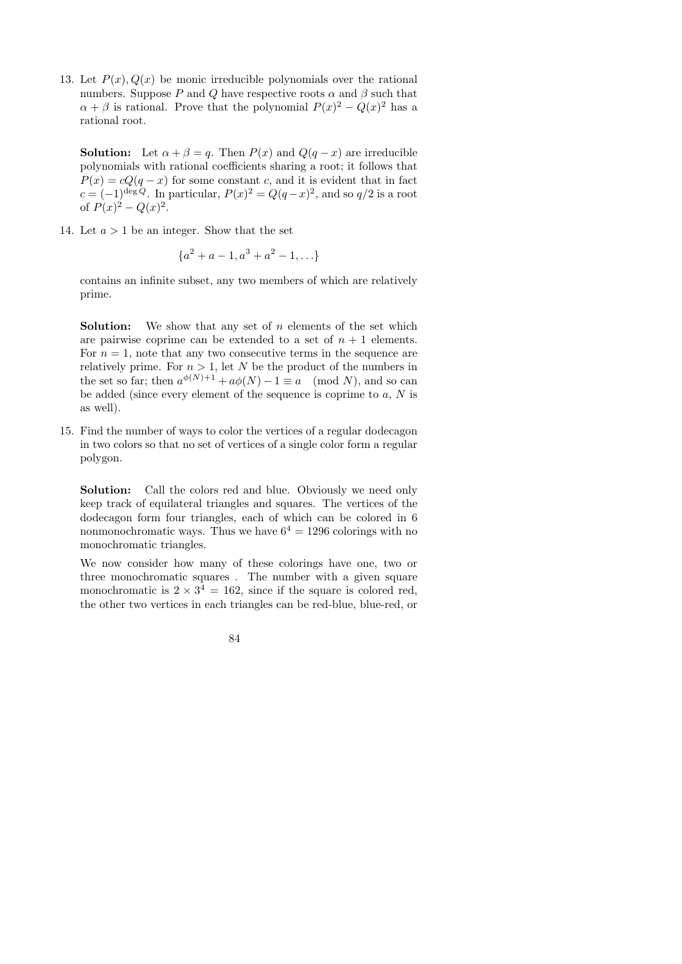13. Let  $P(x)$ ,  $Q(x)$  be monic irreducible polynomials over the rational numbers. Suppose P and Q have respective roots  $\alpha$  and  $\beta$  such that  $\alpha + \beta$  is rational. Prove that the polynomial  $P(x)^2 - Q(x)^2$  has a rational root.

**Solution:** Let  $\alpha + \beta = q$ . Then  $P(x)$  and  $Q(q - x)$  are irreducible polynomials with rational coefficients sharing a root; it follows that  $P(x) = cQ(q - x)$  for some constant c, and it is evident that in fact  $c = (-1)^{\deg Q}$ . In particular,  $P(x)^2 = Q(q-x)^2$ , and so  $q/2$  is a root of  $P(x)^2 - Q(x)^2$ .

14. Let  $a > 1$  be an integer. Show that the set

$$
\{a^2 + a - 1, a^3 + a^2 - 1, \ldots\}
$$

contains an infinite subset, any two members of which are relatively prime.

**Solution:** We show that any set of  $n$  elements of the set which are pairwise coprime can be extended to a set of  $n + 1$  elements. For  $n = 1$ , note that any two consecutive terms in the sequence are relatively prime. For  $n > 1$ , let N be the product of the numbers in the set so far; then  $a^{\phi(N)+1} + a\phi(N) - 1 \equiv a \pmod{N}$ , and so can be added (since every element of the sequence is coprime to  $a, N$  is as well).

15. Find the number of ways to color the vertices of a regular dodecagon in two colors so that no set of vertices of a single color form a regular polygon.

Solution: Call the colors red and blue. Obviously we need only keep track of equilateral triangles and squares. The vertices of the dodecagon form four triangles, each of which can be colored in 6 nonmonochromatic ways. Thus we have  $6^4 = 1296$  colorings with no monochromatic triangles.

We now consider how many of these colorings have one, two or three monochromatic squares . The number with a given square monochromatic is  $2 \times 3^4 = 162$ , since if the square is colored red, the other two vertices in each triangles can be red-blue, blue-red, or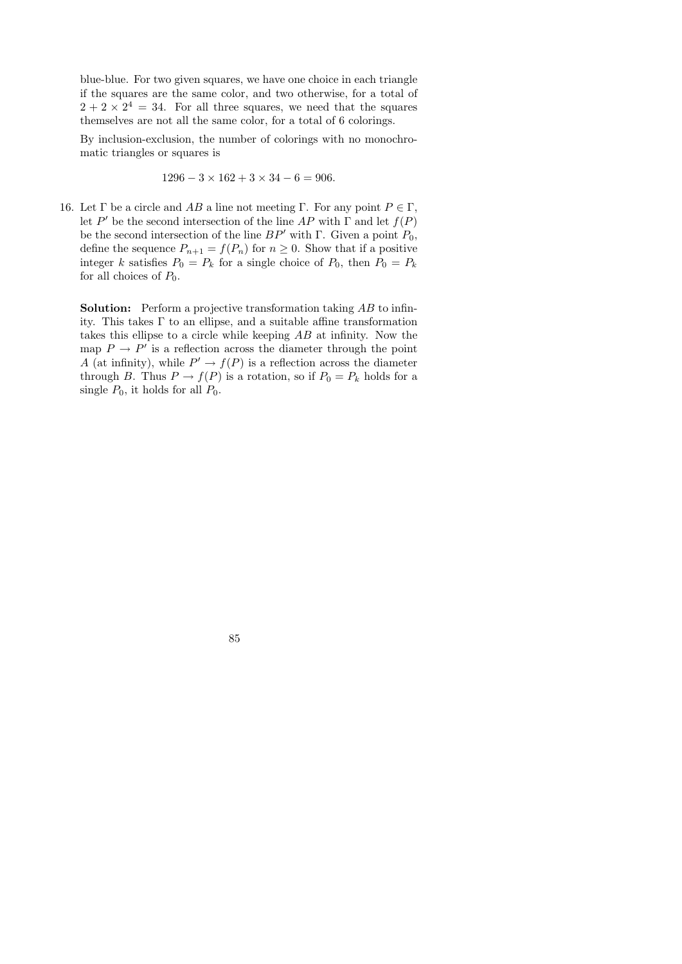blue-blue. For two given squares, we have one choice in each triangle if the squares are the same color, and two otherwise, for a total of  $2 + 2 \times 2^4 = 34$ . For all three squares, we need that the squares themselves are not all the same color, for a total of 6 colorings.

By inclusion-exclusion, the number of colorings with no monochromatic triangles or squares is

$$
1296 - 3 \times 162 + 3 \times 34 - 6 = 906.
$$

16. Let  $\Gamma$  be a circle and AB a line not meeting  $\Gamma$ . For any point  $P \in \Gamma$ , let P' be the second intersection of the line AP with  $\Gamma$  and let  $f(P)$ be the second intersection of the line  $BP'$  with Γ. Given a point  $P_0$ , define the sequence  $P_{n+1} = f(P_n)$  for  $n \geq 0$ . Show that if a positive integer k satisfies  $P_0 = P_k$  for a single choice of  $P_0$ , then  $P_0 = P_k$ for all choices of  $P_0$ .

Solution: Perform a projective transformation taking AB to infinity. This takes Γ to an ellipse, and a suitable affine transformation takes this ellipse to a circle while keeping AB at infinity. Now the map  $P \to P'$  is a reflection across the diameter through the point A (at infinity), while  $P' \to f(P)$  is a reflection across the diameter through B. Thus  $P \to f(P)$  is a rotation, so if  $P_0 = P_k$  holds for a single  $P_0$ , it holds for all  $P_0$ .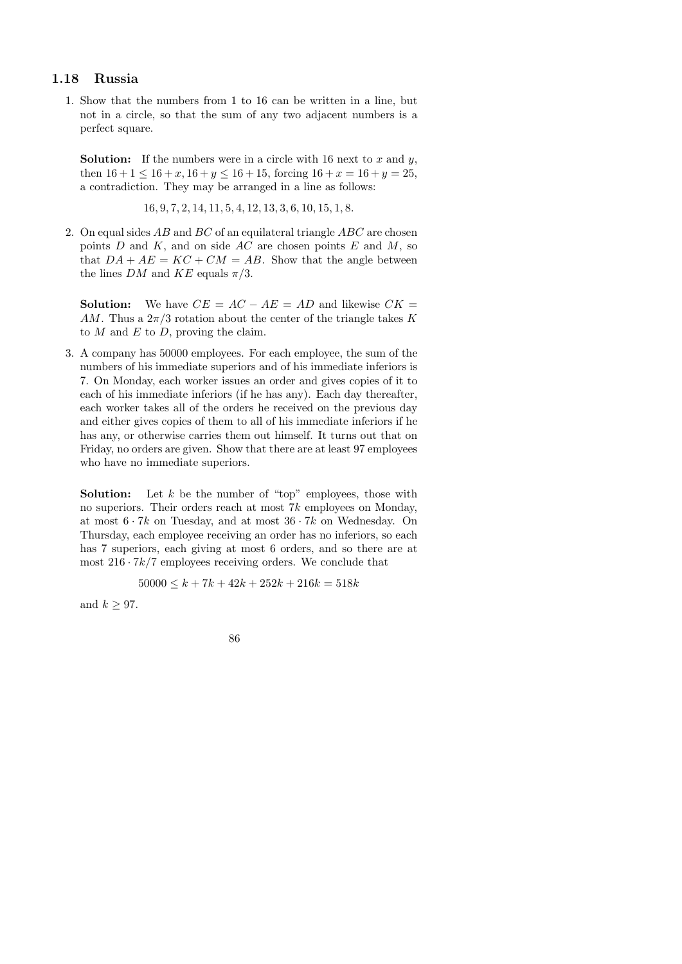# 1.18 Russia

1. Show that the numbers from 1 to 16 can be written in a line, but not in a circle, so that the sum of any two adjacent numbers is a perfect square.

**Solution:** If the numbers were in a circle with 16 next to  $x$  and  $y$ , then  $16 + 1 \le 16 + x$ ,  $16 + y \le 16 + 15$ , forcing  $16 + x = 16 + y = 25$ , a contradiction. They may be arranged in a line as follows:

$$
16, 9, 7, 2, 14, 11, 5, 4, 12, 13, 3, 6, 10, 15, 1, 8.
$$

2. On equal sides  $AB$  and  $BC$  of an equilateral triangle  $ABC$  are chosen points  $D$  and  $K$ , and on side  $AC$  are chosen points  $E$  and  $M$ , so that  $DA + AE = KC + CM = AB$ . Show that the angle between the lines DM and KE equals  $\pi/3$ .

**Solution:** We have  $CE = AC - AE = AD$  and likewise  $CK =$ AM. Thus a  $2\pi/3$  rotation about the center of the triangle takes K to  $M$  and  $E$  to  $D$ , proving the claim.

3. A company has 50000 employees. For each employee, the sum of the numbers of his immediate superiors and of his immediate inferiors is 7. On Monday, each worker issues an order and gives copies of it to each of his immediate inferiors (if he has any). Each day thereafter, each worker takes all of the orders he received on the previous day and either gives copies of them to all of his immediate inferiors if he has any, or otherwise carries them out himself. It turns out that on Friday, no orders are given. Show that there are at least 97 employees who have no immediate superiors.

**Solution:** Let  $k$  be the number of "top" employees, those with no superiors. Their orders reach at most  $7k$  employees on Monday, at most  $6 \cdot 7k$  on Tuesday, and at most  $36 \cdot 7k$  on Wednesday. On Thursday, each employee receiving an order has no inferiors, so each has 7 superiors, each giving at most 6 orders, and so there are at most  $216 \cdot 7k/7$  employees receiving orders. We conclude that

$$
50000 \le k + 7k + 42k + 252k + 216k = 518k
$$

and  $k \geq 97$ .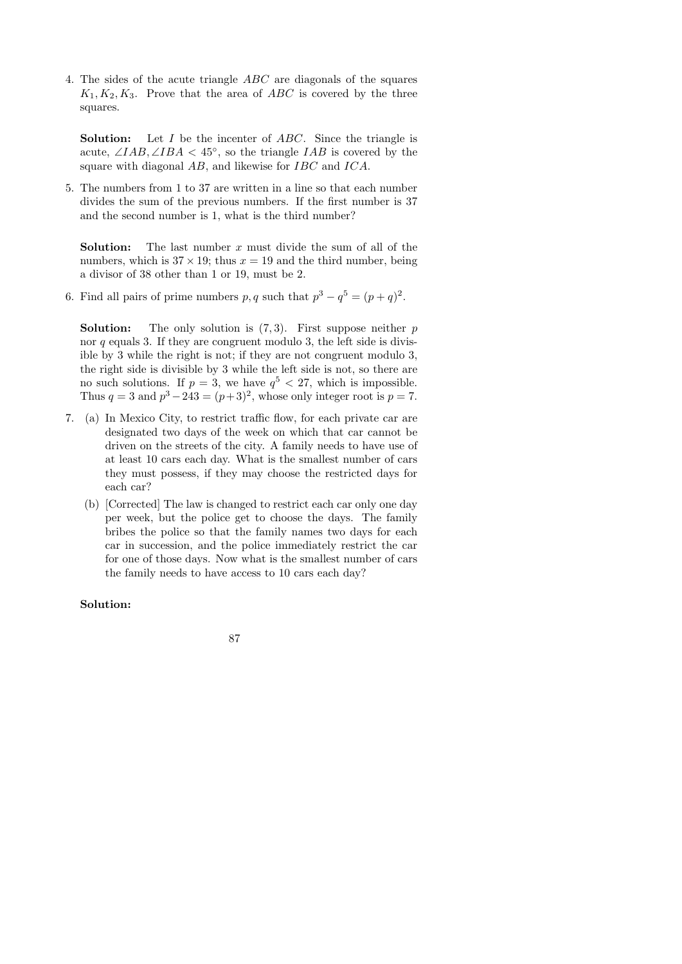4. The sides of the acute triangle ABC are diagonals of the squares  $K_1, K_2, K_3$ . Prove that the area of ABC is covered by the three squares.

**Solution:** Let  $I$  be the incenter of  $ABC$ . Since the triangle is acute,  $\angle IAB, \angle IBA < 45^{\circ}$ , so the triangle  $IAB$  is covered by the square with diagonal AB, and likewise for IBC and ICA.

5. The numbers from 1 to 37 are written in a line so that each number divides the sum of the previous numbers. If the first number is 37 and the second number is 1, what is the third number?

**Solution:** The last number  $x$  must divide the sum of all of the numbers, which is  $37 \times 19$ ; thus  $x = 19$  and the third number, being a divisor of 38 other than 1 or 19, must be 2.

6. Find all pairs of prime numbers p, q such that  $p^3 - q^5 = (p+q)^2$ .

**Solution:** The only solution is  $(7, 3)$ . First suppose neither p nor  $q$  equals 3. If they are congruent modulo 3, the left side is divisible by 3 while the right is not; if they are not congruent modulo 3, the right side is divisible by 3 while the left side is not, so there are no such solutions. If  $p = 3$ , we have  $q^5 < 27$ , which is impossible. Thus  $q = 3$  and  $p^3 - 243 = (p+3)^2$ , whose only integer root is  $p = 7$ .

- 7. (a) In Mexico City, to restrict traffic flow, for each private car are designated two days of the week on which that car cannot be driven on the streets of the city. A family needs to have use of at least 10 cars each day. What is the smallest number of cars they must possess, if they may choose the restricted days for each car?
	- (b) [Corrected] The law is changed to restrict each car only one day per week, but the police get to choose the days. The family bribes the police so that the family names two days for each car in succession, and the police immediately restrict the car for one of those days. Now what is the smallest number of cars the family needs to have access to 10 cars each day?

#### Solution: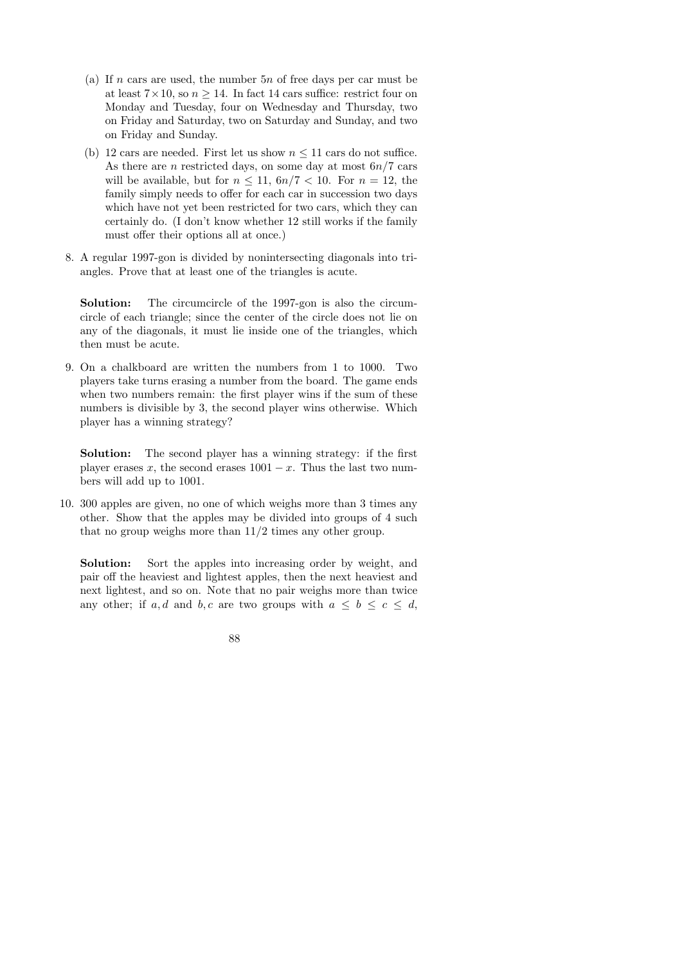- (a) If n cars are used, the number  $5n$  of free days per car must be at least  $7 \times 10$ , so  $n \geq 14$ . In fact 14 cars suffice: restrict four on Monday and Tuesday, four on Wednesday and Thursday, two on Friday and Saturday, two on Saturday and Sunday, and two on Friday and Sunday.
- (b) 12 cars are needed. First let us show  $n \leq 11$  cars do not suffice. As there are *n* restricted days, on some day at most  $6n/7$  cars will be available, but for  $n \leq 11$ ,  $6n/7 < 10$ . For  $n = 12$ , the family simply needs to offer for each car in succession two days which have not yet been restricted for two cars, which they can certainly do. (I don't know whether 12 still works if the family must offer their options all at once.)
- 8. A regular 1997-gon is divided by nonintersecting diagonals into triangles. Prove that at least one of the triangles is acute.

**Solution:** The circumcircle of the 1997-gon is also the circumcircle of each triangle; since the center of the circle does not lie on any of the diagonals, it must lie inside one of the triangles, which then must be acute.

9. On a chalkboard are written the numbers from 1 to 1000. Two players take turns erasing a number from the board. The game ends when two numbers remain: the first player wins if the sum of these numbers is divisible by 3, the second player wins otherwise. Which player has a winning strategy?

Solution: The second player has a winning strategy: if the first player erases x, the second erases  $1001 - x$ . Thus the last two numbers will add up to 1001.

10. 300 apples are given, no one of which weighs more than 3 times any other. Show that the apples may be divided into groups of 4 such that no group weighs more than 11/2 times any other group.

Solution: Sort the apples into increasing order by weight, and pair off the heaviest and lightest apples, then the next heaviest and next lightest, and so on. Note that no pair weighs more than twice any other; if a, d and b, c are two groups with  $a \leq b \leq c \leq d$ ,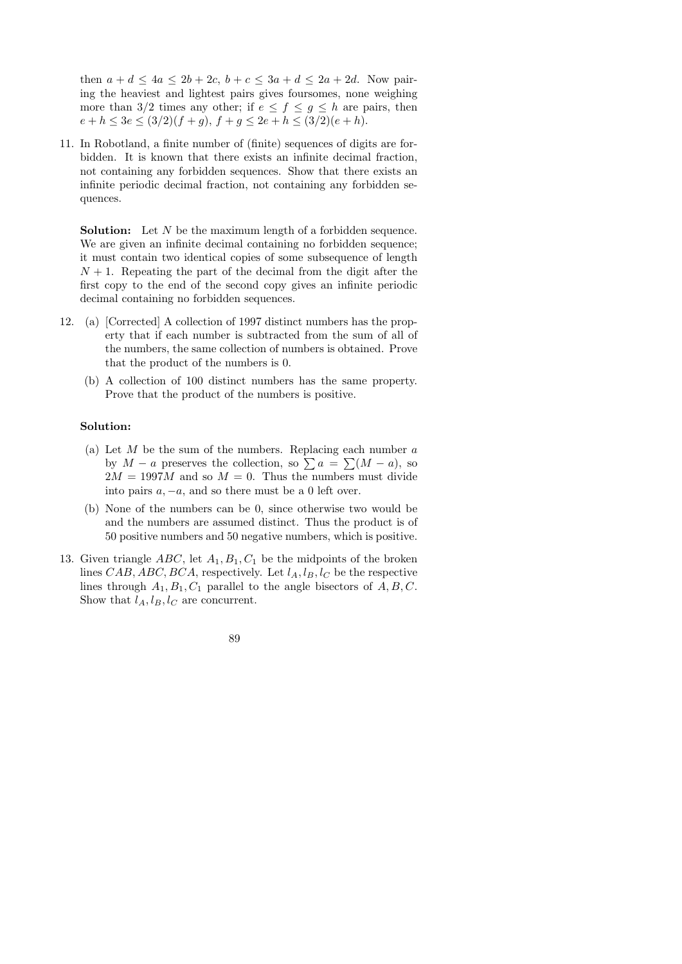then  $a + d < 4a < 2b + 2c$ ,  $b + c < 3a + d < 2a + 2d$ . Now pairing the heaviest and lightest pairs gives foursomes, none weighing more than 3/2 times any other; if  $e \le f \le g \le h$  are pairs, then  $e + h \leq 3e \leq (3/2)(f + g), f + g \leq 2e + h \leq (3/2)(e + h).$ 

11. In Robotland, a finite number of (finite) sequences of digits are forbidden. It is known that there exists an infinite decimal fraction, not containing any forbidden sequences. Show that there exists an infinite periodic decimal fraction, not containing any forbidden sequences.

**Solution:** Let N be the maximum length of a forbidden sequence. We are given an infinite decimal containing no forbidden sequence; it must contain two identical copies of some subsequence of length  $N + 1$ . Repeating the part of the decimal from the digit after the first copy to the end of the second copy gives an infinite periodic decimal containing no forbidden sequences.

- 12. (a) [Corrected] A collection of 1997 distinct numbers has the property that if each number is subtracted from the sum of all of the numbers, the same collection of numbers is obtained. Prove that the product of the numbers is 0.
	- (b) A collection of 100 distinct numbers has the same property. Prove that the product of the numbers is positive.

#### Solution:

- (a) Let  $M$  be the sum of the numbers. Replacing each number  $a$ by  $M - a$  preserves the collection, so  $\sum a = \sum (M - a)$ , so  $2M = 1997M$  and so  $M = 0$ . Thus the numbers must divide into pairs  $a, -a$ , and so there must be a 0 left over.
- (b) None of the numbers can be 0, since otherwise two would be and the numbers are assumed distinct. Thus the product is of 50 positive numbers and 50 negative numbers, which is positive.
- 13. Given triangle  $ABC$ , let  $A_1, B_1, C_1$  be the midpoints of the broken lines CAB, ABC, BCA, respectively. Let  $l_A, l_B, l_C$  be the respective lines through  $A_1, B_1, C_1$  parallel to the angle bisectors of  $A, B, C$ . Show that  $l_A, l_B, l_C$  are concurrent.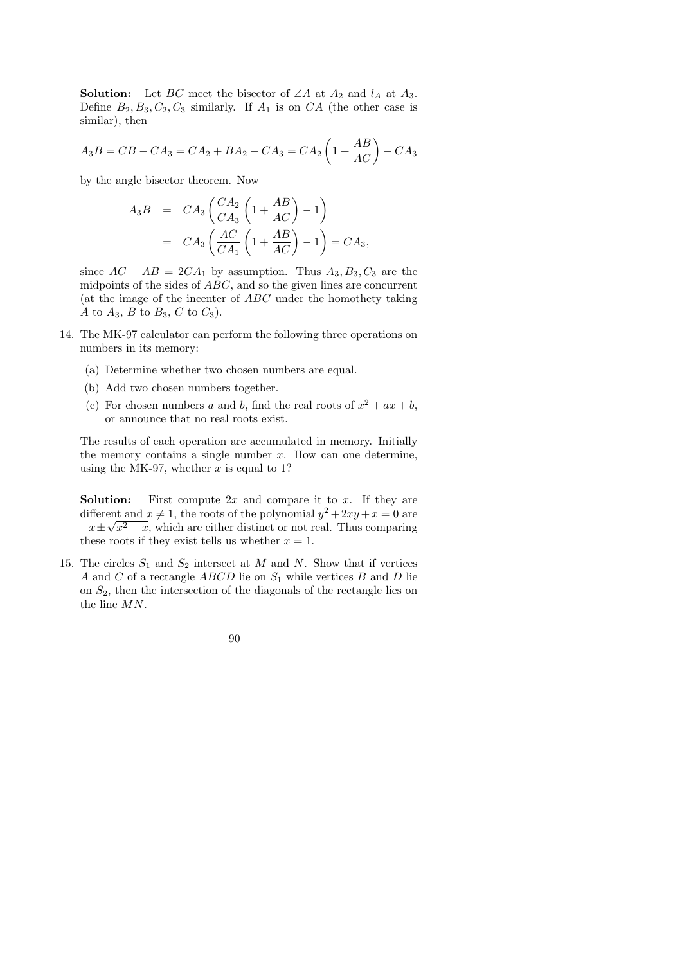**Solution:** Let *BC* meet the bisector of  $\angle A$  at  $A_2$  and  $l_A$  at  $A_3$ . Define  $B_2, B_3, C_2, C_3$  similarly. If  $A_1$  is on  $CA$  (the other case is similar), then

$$
A_3B = CB - CA_3 = CA_2 + BA_2 - CA_3 = CA_2 \left(1 + \frac{AB}{AC}\right) - CA_3
$$

by the angle bisector theorem. Now

$$
A_3B = CA_3 \left(\frac{CA_2}{CA_3} \left(1 + \frac{AB}{AC}\right) - 1\right)
$$
  
=  $CA_3 \left(\frac{AC}{CA_1} \left(1 + \frac{AB}{AC}\right) - 1\right) = CA_3$ ,

since  $AC + AB = 2CA_1$  by assumption. Thus  $A_3, B_3, C_3$  are the midpoints of the sides of ABC, and so the given lines are concurrent (at the image of the incenter of ABC under the homothety taking A to  $A_3$ , B to  $B_3$ , C to  $C_3$ ).

- 14. The MK-97 calculator can perform the following three operations on numbers in its memory:
	- (a) Determine whether two chosen numbers are equal.
	- (b) Add two chosen numbers together.
	- (c) For chosen numbers a and b, find the real roots of  $x^2 + ax + b$ , or announce that no real roots exist.

The results of each operation are accumulated in memory. Initially the memory contains a single number  $x$ . How can one determine, using the MK-97, whether  $x$  is equal to 1?

**Solution:** First compute  $2x$  and compare it to x. If they are different and  $x \neq 1$ , the roots of the polynomial  $y^2 + 2xy + x = 0$  are  $-x \pm \sqrt{x^2 - x}$ , which are either distinct or not real. Thus comparing these roots if they exist tells us whether  $x = 1$ .

15. The circles  $S_1$  and  $S_2$  intersect at M and N. Show that if vertices A and C of a rectangle  $ABCD$  lie on  $S_1$  while vertices B and D lie on  $S_2$ , then the intersection of the diagonals of the rectangle lies on the line MN.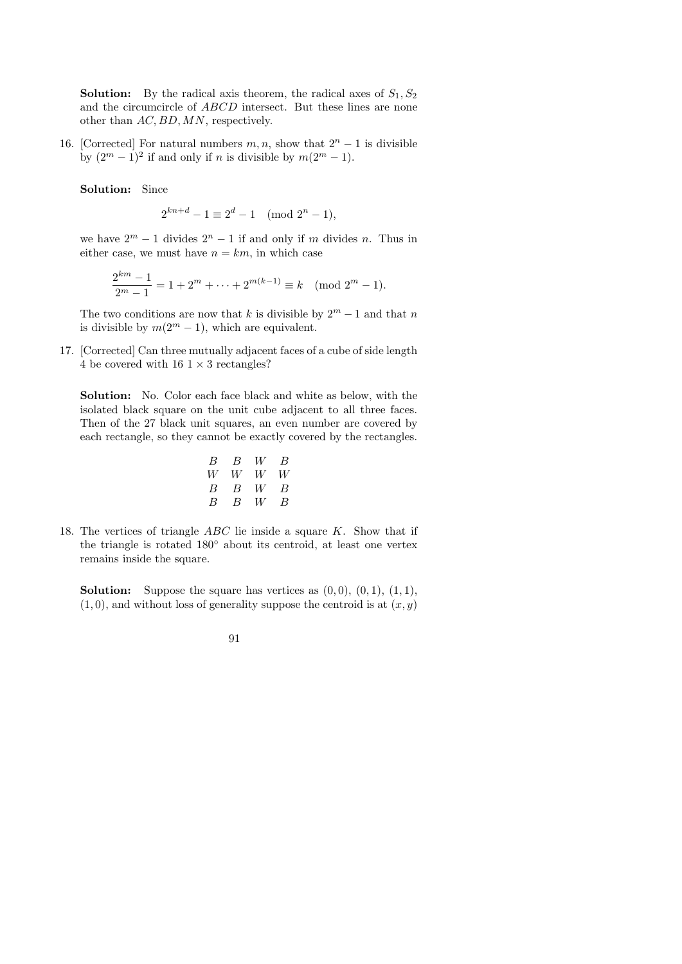**Solution:** By the radical axis theorem, the radical axes of  $S_1, S_2$ and the circumcircle of ABCD intersect. But these lines are none other than AC, BD, MN, respectively.

16. [Corrected] For natural numbers  $m, n$ , show that  $2<sup>n</sup> - 1$  is divisible by  $(2^m - 1)^2$  if and only if n is divisible by  $m(2^m - 1)$ .

Solution: Since

 $2^{kn+d} - 1 \equiv 2^d - 1 \pmod{2^n - 1}$ 

we have  $2^m - 1$  divides  $2^n - 1$  if and only if m divides n. Thus in either case, we must have  $n = km$ , in which case

$$
\frac{2^{km}-1}{2^m-1} = 1 + 2^m + \dots + 2^{m(k-1)} \equiv k \pmod{2^m-1}.
$$

The two conditions are now that k is divisible by  $2^m - 1$  and that n is divisible by  $m(2^m - 1)$ , which are equivalent.

17. [Corrected] Can three mutually adjacent faces of a cube of side length 4 be covered with  $16 \text{ 1} \times 3$  rectangles?

Solution: No. Color each face black and white as below, with the isolated black square on the unit cube adjacent to all three faces. Then of the 27 black unit squares, an even number are covered by each rectangle, so they cannot be exactly covered by the rectangles.

| В | В | W | В |
|---|---|---|---|
| W | W | W | W |
| В | В | W | В |
| В | В | W | В |

18. The vertices of triangle  $ABC$  lie inside a square  $K$ . Show that if the triangle is rotated 180◦ about its centroid, at least one vertex remains inside the square.

**Solution:** Suppose the square has vertices as  $(0, 0)$ ,  $(0, 1)$ ,  $(1, 1)$ ,  $(1, 0)$ , and without loss of generality suppose the centroid is at  $(x, y)$ 

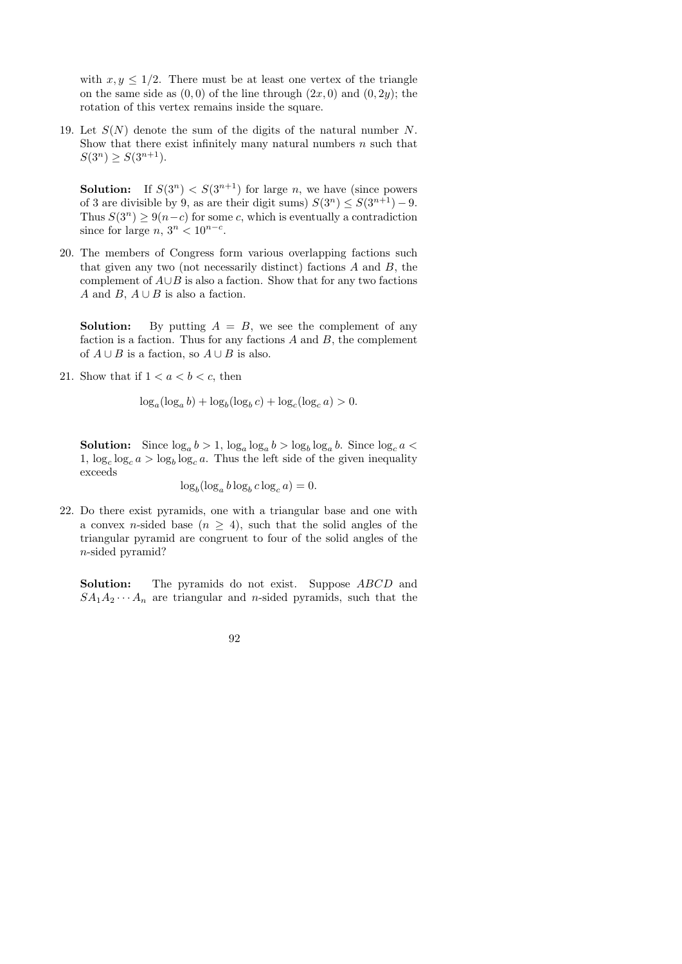with  $x, y \leq 1/2$ . There must be at least one vertex of the triangle on the same side as  $(0, 0)$  of the line through  $(2x, 0)$  and  $(0, 2y)$ ; the rotation of this vertex remains inside the square.

19. Let  $S(N)$  denote the sum of the digits of the natural number N. Show that there exist infinitely many natural numbers  $n$  such that  $S(3^n) > S(3^{n+1}).$ 

**Solution:** If  $S(3^n) < S(3^{n+1})$  for large *n*, we have (since powers of 3 are divisible by 9, as are their digit sums)  $S(3^n) \leq S(3^{n+1}) - 9$ . Thus  $S(3^n) \ge 9(n-c)$  for some c, which is eventually a contradiction since for large  $n, 3^n < 10^{n-c}$ .

20. The members of Congress form various overlapping factions such that given any two (not necessarily distinct) factions  $A$  and  $B$ , the complement of  $A \cup B$  is also a faction. Show that for any two factions A and B,  $A \cup B$  is also a faction.

**Solution:** By putting  $A = B$ , we see the complement of any faction is a faction. Thus for any factions  $A$  and  $B$ , the complement of  $A \cup B$  is a faction, so  $A \cup B$  is also.

21. Show that if  $1 < a < b < c$ , then

$$
\log_a(\log_a b) + \log_b(\log_b c) + \log_c(\log_c a) > 0.
$$

**Solution:** Since  $\log_a b > 1$ ,  $\log_a \log_a b > \log_b \log_a b$ . Since  $\log_c a <$ 1,  $\log_c \log_c a > \log_b \log_c a$ . Thus the left side of the given inequality exceeds

 $\log_b(\log_a b \log_b c \log_c a) = 0.$ 

22. Do there exist pyramids, one with a triangular base and one with a convex *n*-sided base  $(n \geq 4)$ , such that the solid angles of the triangular pyramid are congruent to four of the solid angles of the n-sided pyramid?

Solution: The pyramids do not exist. Suppose ABCD and  $SA_1A_2 \cdots A_n$  are triangular and *n*-sided pyramids, such that the

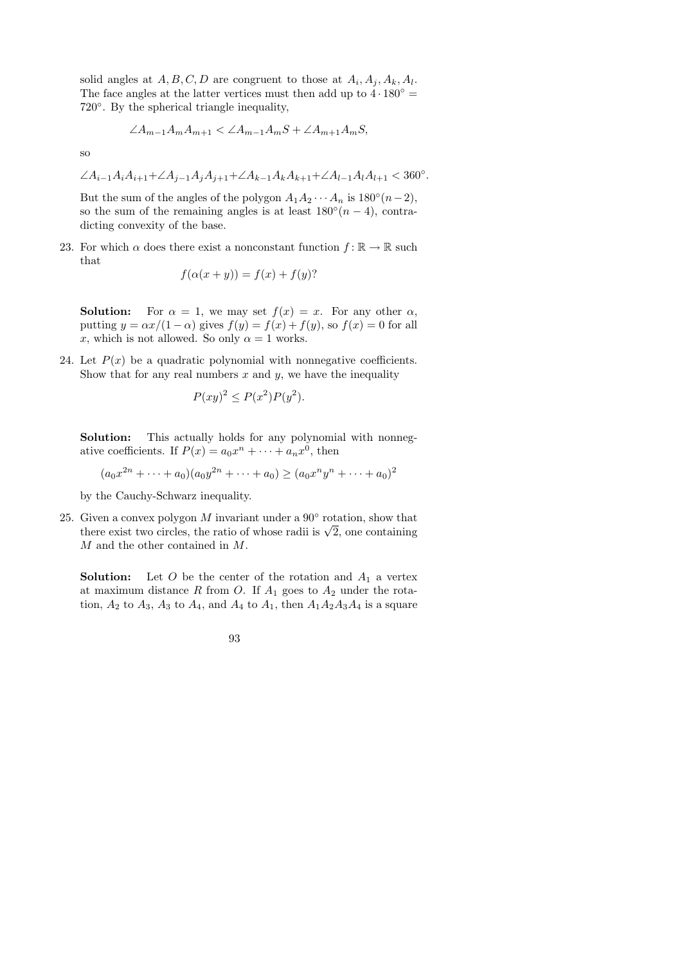solid angles at  $A, B, C, D$  are congruent to those at  $A_i, A_j, A_k, A_l$ . The face angles at the latter vertices must then add up to  $4 \cdot 180^\circ =$ 720◦ . By the spherical triangle inequality,

$$
\angle A_{m-1}A_mA_{m+1} < \angle A_{m-1}A_m S + \angle A_{m+1}A_m S,
$$

so

$$
\angle A_{i-1}A_iA_{i+1} + \angle A_{j-1}A_jA_{j+1} + \angle A_{k-1}A_kA_{k+1} + \angle A_{l-1}A_lA_{l+1} < 360^\circ.
$$

But the sum of the angles of the polygon  $A_1 A_2 \cdots A_n$  is  $180^\circ (n-2)$ , so the sum of the remaining angles is at least  $180°(n-4)$ , contradicting convexity of the base.

23. For which  $\alpha$  does there exist a nonconstant function  $f : \mathbb{R} \to \mathbb{R}$  such that

$$
f(\alpha(x+y)) = f(x) + f(y)?
$$

**Solution:** For  $\alpha = 1$ , we may set  $f(x) = x$ . For any other  $\alpha$ , putting  $y = \alpha x/(1 - \alpha)$  gives  $f(y) = f(x) + f(y)$ , so  $f(x) = 0$  for all x, which is not allowed. So only  $\alpha = 1$  works.

24. Let  $P(x)$  be a quadratic polynomial with nonnegative coefficients. Show that for any real numbers  $x$  and  $y$ , we have the inequality

$$
P(xy)^2 \le P(x^2)P(y^2).
$$

Solution: This actually holds for any polynomial with nonnegative coefficients. If  $P(x) = a_0 x^n + \dots + a_n x^0$ , then

$$
(a_0x^{2n} + \dots + a_0)(a_0y^{2n} + \dots + a_0) \ge (a_0x^ny^n + \dots + a_0)^2
$$

by the Cauchy-Schwarz inequality.

25. Given a convex polygon  $M$  invariant under a  $90^{\circ}$  rotation, show that Given a convex polygon M invariant under a 90° rotation, show that there exist two circles, the ratio of whose radii is  $\sqrt{2}$ , one containing M and the other contained in M.

**Solution:** Let O be the center of the rotation and  $A_1$  a vertex at maximum distance R from O. If  $A_1$  goes to  $A_2$  under the rotation,  $A_2$  to  $A_3$ ,  $A_3$  to  $A_4$ , and  $A_4$  to  $A_1$ , then  $A_1A_2A_3A_4$  is a square

$$
93\,
$$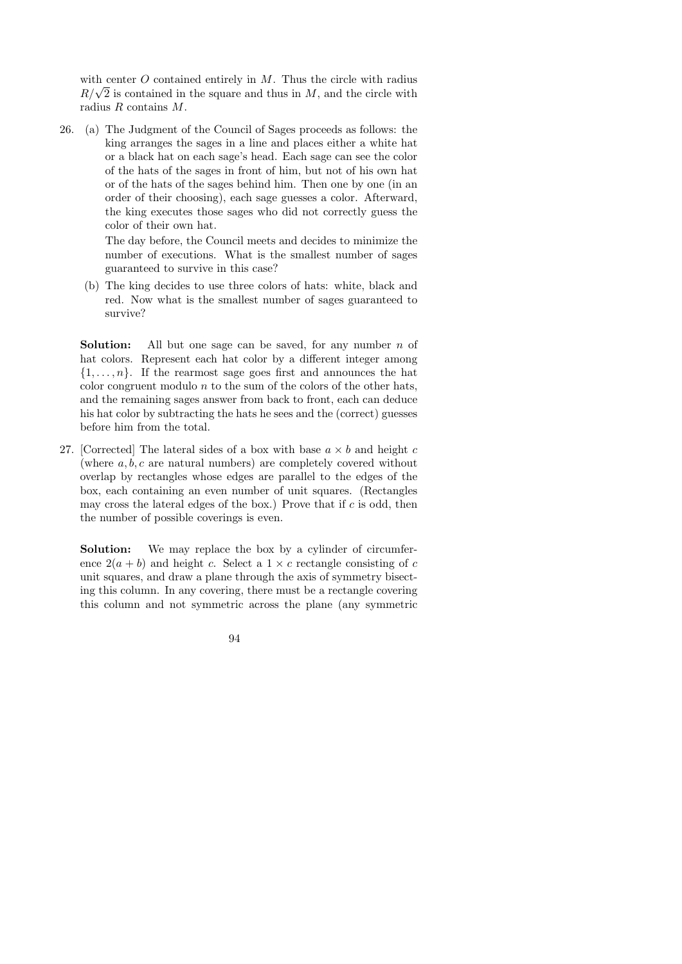with center  $O$  contained entirely in  $M$ . Thus the circle with radius with center O contained entirely in M. Thus the circle with radius  $R/\sqrt{2}$  is contained in the square and thus in M, and the circle with radius R contains M.

26. (a) The Judgment of the Council of Sages proceeds as follows: the king arranges the sages in a line and places either a white hat or a black hat on each sage's head. Each sage can see the color of the hats of the sages in front of him, but not of his own hat or of the hats of the sages behind him. Then one by one (in an order of their choosing), each sage guesses a color. Afterward, the king executes those sages who did not correctly guess the color of their own hat.

> The day before, the Council meets and decides to minimize the number of executions. What is the smallest number of sages guaranteed to survive in this case?

(b) The king decides to use three colors of hats: white, black and red. Now what is the smallest number of sages guaranteed to survive?

**Solution:** All but one sage can be saved, for any number  $n$  of hat colors. Represent each hat color by a different integer among  $\{1, \ldots, n\}$ . If the rearmost sage goes first and announces the hat color congruent modulo  $n$  to the sum of the colors of the other hats, and the remaining sages answer from back to front, each can deduce his hat color by subtracting the hats he sees and the (correct) guesses before him from the total.

27. [Corrected] The lateral sides of a box with base  $a \times b$  and height c (where  $a, b, c$  are natural numbers) are completely covered without overlap by rectangles whose edges are parallel to the edges of the box, each containing an even number of unit squares. (Rectangles may cross the lateral edges of the box.) Prove that if  $c$  is odd, then the number of possible coverings is even.

Solution: We may replace the box by a cylinder of circumference  $2(a + b)$  and height c. Select a  $1 \times c$  rectangle consisting of c unit squares, and draw a plane through the axis of symmetry bisecting this column. In any covering, there must be a rectangle covering this column and not symmetric across the plane (any symmetric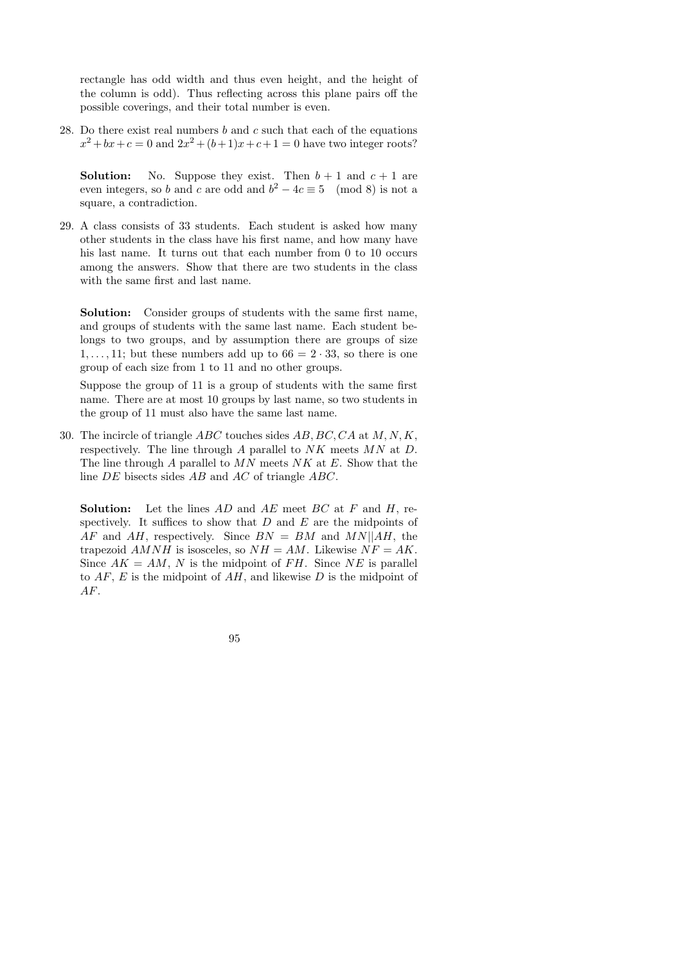rectangle has odd width and thus even height, and the height of the column is odd). Thus reflecting across this plane pairs off the possible coverings, and their total number is even.

28. Do there exist real numbers  $b$  and  $c$  such that each of the equations  $x^2 + bx + c = 0$  and  $2x^2 + (b+1)x + c + 1 = 0$  have two integer roots?

**Solution:** No. Suppose they exist. Then  $b + 1$  and  $c + 1$  are even integers, so b and c are odd and  $b^2 - 4c \equiv 5 \pmod{8}$  is not a square, a contradiction.

29. A class consists of 33 students. Each student is asked how many other students in the class have his first name, and how many have his last name. It turns out that each number from 0 to 10 occurs among the answers. Show that there are two students in the class with the same first and last name.

Solution: Consider groups of students with the same first name, and groups of students with the same last name. Each student belongs to two groups, and by assumption there are groups of size 1, ..., 11; but these numbers add up to  $66 = 2 \cdot 33$ , so there is one group of each size from 1 to 11 and no other groups.

Suppose the group of 11 is a group of students with the same first name. There are at most 10 groups by last name, so two students in the group of 11 must also have the same last name.

30. The incircle of triangle  $ABC$  touches sides  $AB, BC, CA$  at  $M, N, K$ , respectively. The line through A parallel to NK meets MN at D. The line through A parallel to  $MN$  meets  $NK$  at E. Show that the line DE bisects sides AB and AC of triangle ABC.

**Solution:** Let the lines  $AD$  and  $AE$  meet  $BC$  at  $F$  and  $H$ , respectively. It suffices to show that  $D$  and  $E$  are the midpoints of AF and AH, respectively. Since  $BN = BM$  and  $MN||AH$ , the trapezoid  $AMNH$  is isosceles, so  $NH = AM$ . Likewise  $NF = AK$ . Since  $AK = AM$ , N is the midpoint of FH. Since NE is parallel to  $AF$ , E is the midpoint of  $AH$ , and likewise D is the midpoint of AF.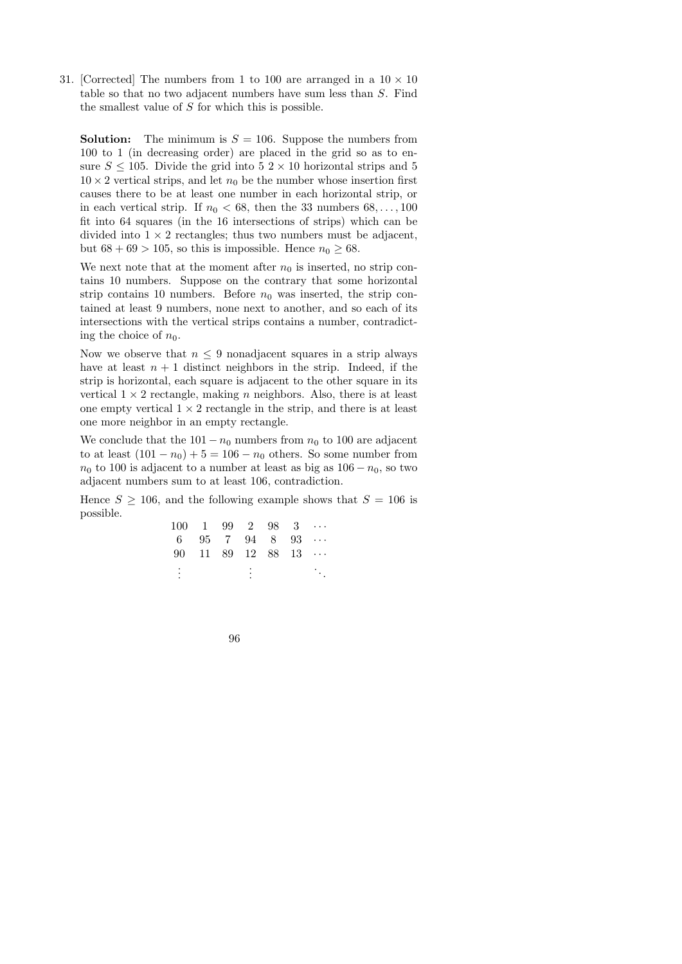31. [Corrected] The numbers from 1 to 100 are arranged in a  $10 \times 10$ table so that no two adjacent numbers have sum less than S. Find the smallest value of  $S$  for which this is possible.

**Solution:** The minimum is  $S = 106$ . Suppose the numbers from 100 to 1 (in decreasing order) are placed in the grid so as to ensure  $S \leq 105$ . Divide the grid into  $5.2 \times 10$  horizontal strips and 5  $10 \times 2$  vertical strips, and let  $n_0$  be the number whose insertion first causes there to be at least one number in each horizontal strip, or in each vertical strip. If  $n_0 < 68$ , then the 33 numbers 68, ..., 100 fit into 64 squares (in the 16 intersections of strips) which can be divided into  $1 \times 2$  rectangles; thus two numbers must be adjacent, but  $68 + 69 > 105$ , so this is impossible. Hence  $n_0 \geq 68$ .

We next note that at the moment after  $n_0$  is inserted, no strip contains 10 numbers. Suppose on the contrary that some horizontal strip contains 10 numbers. Before  $n_0$  was inserted, the strip contained at least 9 numbers, none next to another, and so each of its intersections with the vertical strips contains a number, contradicting the choice of  $n_0$ .

Now we observe that  $n \leq 9$  nonadjacent squares in a strip always have at least  $n + 1$  distinct neighbors in the strip. Indeed, if the strip is horizontal, each square is adjacent to the other square in its vertical  $1 \times 2$  rectangle, making *n* neighbors. Also, there is at least one empty vertical  $1 \times 2$  rectangle in the strip, and there is at least one more neighbor in an empty rectangle.

We conclude that the  $101 - n_0$  numbers from  $n_0$  to 100 are adjacent to at least  $(101 - n_0) + 5 = 106 - n_0$  others. So some number from  $n_0$  to 100 is adjacent to a number at least as big as 106 −  $n_0$ , so two adjacent numbers sum to at least 106, contradiction.

Hence  $S > 106$ , and the following example shows that  $S = 106$  is possible.

| $100 \quad 1 \quad 99 \quad 2 \quad 98 \quad 3 \quad \cdots$   |  |  |                                          |
|----------------------------------------------------------------|--|--|------------------------------------------|
| 6 95 7 94 8 93                                                 |  |  |                                          |
| $90 \quad 11 \quad 89 \quad 12 \quad 88 \quad 13 \quad \cdots$ |  |  |                                          |
|                                                                |  |  | $\mathcal{O}(\mathcal{E}_{\mathcal{E}})$ |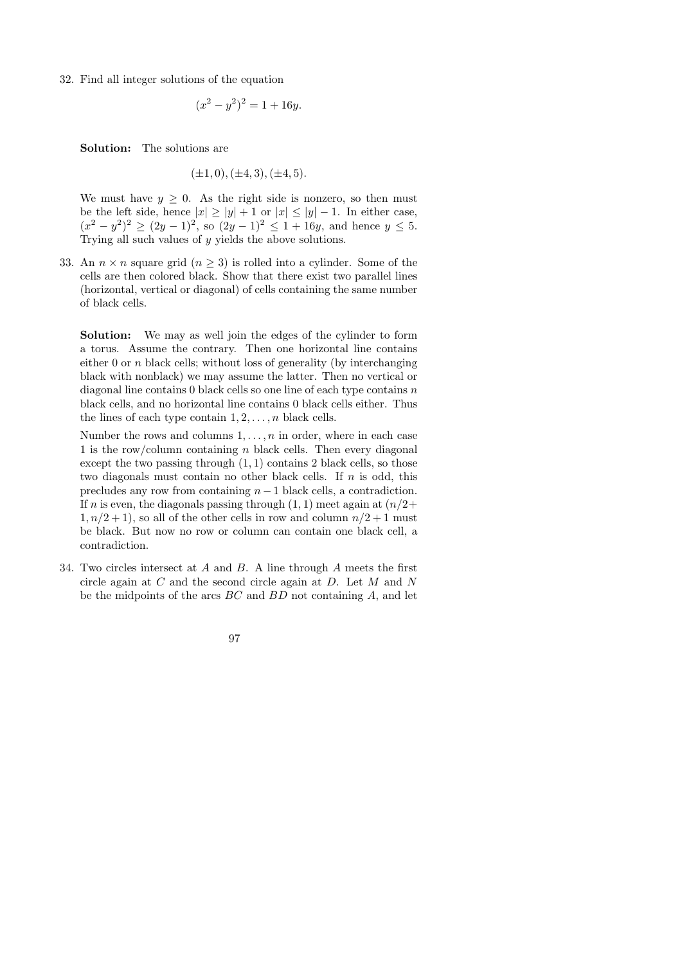32. Find all integer solutions of the equation

$$
(x^2 - y^2)^2 = 1 + 16y.
$$

Solution: The solutions are

$$
(\pm 1, 0), (\pm 4, 3), (\pm 4, 5).
$$

We must have  $y \geq 0$ . As the right side is nonzero, so then must be the left side, hence  $|x| \ge |y| + 1$  or  $|x| \le |y| - 1$ . In either case,  $(x^{2}-y^{2})^{2} \geq (2y-1)^{2}$ , so  $(2y-1)^{2} \leq 1+16y$ , and hence  $y \leq 5$ . Trying all such values of y yields the above solutions.

33. An  $n \times n$  square grid  $(n \geq 3)$  is rolled into a cylinder. Some of the cells are then colored black. Show that there exist two parallel lines (horizontal, vertical or diagonal) of cells containing the same number of black cells.

Solution: We may as well join the edges of the cylinder to form a torus. Assume the contrary. Then one horizontal line contains either  $0$  or  $n$  black cells; without loss of generality (by interchanging black with nonblack) we may assume the latter. Then no vertical or diagonal line contains  $0$  black cells so one line of each type contains  $n$ black cells, and no horizontal line contains 0 black cells either. Thus the lines of each type contain  $1, 2, \ldots, n$  black cells.

Number the rows and columns  $1, \ldots, n$  in order, where in each case 1 is the row/column containing *n* black cells. Then every diagonal except the two passing through  $(1, 1)$  contains 2 black cells, so those two diagonals must contain no other black cells. If  $n$  is odd, this precludes any row from containing  $n-1$  black cells, a contradiction. If n is even, the diagonals passing through  $(1, 1)$  meet again at  $(n/2+)$  $1, n/2 + 1$ , so all of the other cells in row and column  $n/2 + 1$  must be black. But now no row or column can contain one black cell, a contradiction.

34. Two circles intersect at  $A$  and  $B$ . A line through  $A$  meets the first circle again at C and the second circle again at D. Let M and N be the midpoints of the arcs  $BC$  and  $BD$  not containing  $A$ , and let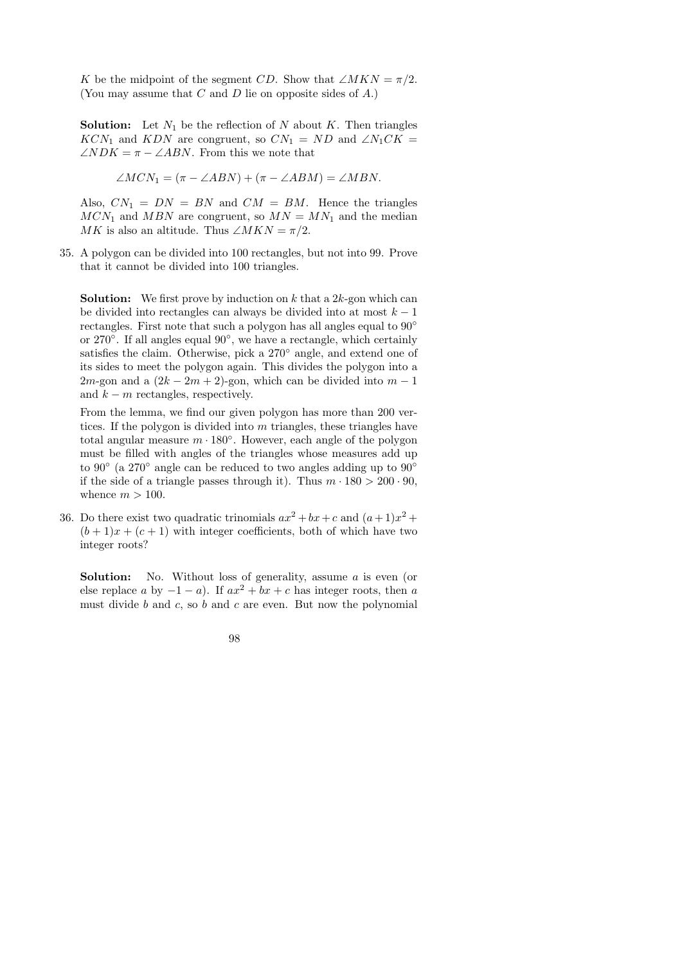K be the midpoint of the segment CD. Show that  $\angle MKN = \pi/2$ . (You may assume that  $C$  and  $D$  lie on opposite sides of  $A$ .)

**Solution:** Let  $N_1$  be the reflection of N about K. Then triangles  $KCN_1$  and  $KDN$  are congruent, so  $CN_1 = ND$  and  $\angle N_1CK =$  $\angle NDK = \pi - \angle ABN$ . From this we note that

$$
\angle MCN_1 = (\pi - \angle ABN) + (\pi - \angle ABM) = \angle MBN.
$$

Also,  $CN_1 = DN = BN$  and  $CM = BM$ . Hence the triangles  $MCN_1$  and  $MBN$  are congruent, so  $MN = MN_1$  and the median MK is also an altitude. Thus  $\angle MKN = \pi/2$ .

35. A polygon can be divided into 100 rectangles, but not into 99. Prove that it cannot be divided into 100 triangles.

**Solution:** We first prove by induction on k that a  $2k$ -gon which can be divided into rectangles can always be divided into at most  $k - 1$ rectangles. First note that such a polygon has all angles equal to 90◦ or 270◦ . If all angles equal 90◦ , we have a rectangle, which certainly satisfies the claim. Otherwise, pick a 270<sup>°</sup> angle, and extend one of its sides to meet the polygon again. This divides the polygon into a 2m-gon and a  $(2k - 2m + 2)$ -gon, which can be divided into  $m - 1$ and  $k - m$  rectangles, respectively.

From the lemma, we find our given polygon has more than 200 vertices. If the polygon is divided into m triangles, these triangles have total angular measure  $m \cdot 180^\circ$ . However, each angle of the polygon must be filled with angles of the triangles whose measures add up to 90<sup>°</sup> (a 270<sup>°</sup> angle can be reduced to two angles adding up to 90<sup>°</sup> if the side of a triangle passes through it). Thus  $m \cdot 180 > 200 \cdot 90$ , whence  $m > 100$ .

36. Do there exist two quadratic trinomials  $ax^2 + bx + c$  and  $(a+1)x^2 +$  $(b+1)x + (c+1)$  with integer coefficients, both of which have two integer roots?

Solution: No. Without loss of generality, assume a is even (or else replace a by  $-1 - a$ ). If  $ax^2 + bx + c$  has integer roots, then a must divide  $b$  and  $c$ , so  $b$  and  $c$  are even. But now the polynomial

98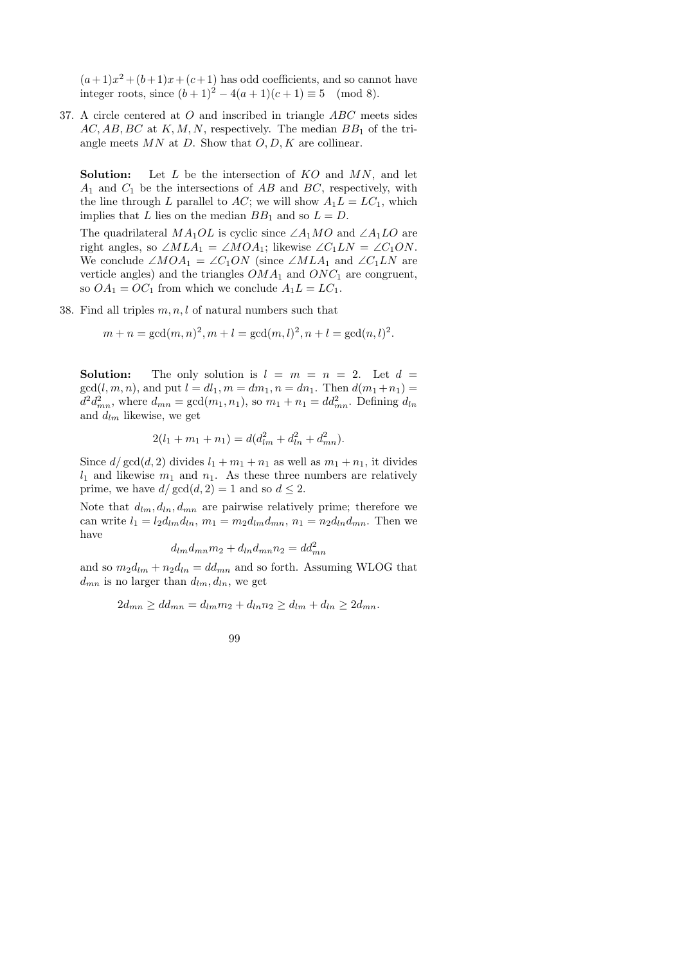$(a+1)x^2 + (b+1)x + (c+1)$  has odd coefficients, and so cannot have integer roots, since  $(b+1)^2 - 4(a+1)(c+1) \equiv 5 \pmod{8}$ .

37. A circle centered at O and inscribed in triangle ABC meets sides  $AC, AB, BC$  at  $K, M, N$ , respectively. The median  $BB<sub>1</sub>$  of the triangle meets  $MN$  at  $D$ . Show that  $O, D, K$  are collinear.

**Solution:** Let  $L$  be the intersection of  $KO$  and  $MN$ , and let  $A_1$  and  $C_1$  be the intersections of  $AB$  and  $BC$ , respectively, with the line through L parallel to AC; we will show  $A_1L = LC_1$ , which implies that L lies on the median  $BB_1$  and so  $L = D$ .

The quadrilateral  $MA_1OL$  is cyclic since  $\angle A_1MO$  and  $\angle A_1LO$  are right angles, so ∠MLA<sub>1</sub> = ∠MOA<sub>1</sub>; likewise ∠C<sub>1</sub>LN = ∠C<sub>1</sub>ON. We conclude  $\angle MOA_1 = \angle C_1ON$  (since  $\angle MLA_1$  and  $\angle C_1LN$  are verticle angles) and the triangles  $OMA_1$  and  $ONC_1$  are congruent, so  $OA_1 = OC_1$  from which we conclude  $A_1L = LC_1$ .

38. Find all triples  $m, n, l$  of natural numbers such that

$$
m + n = \gcd(m, n)^2, m + l = \gcd(m, l)^2, n + l = \gcd(n, l)^2.
$$

**Solution:** The only solution is  $l = m = n = 2$ . Let  $d =$  $gcd(l, m, n)$ , and put  $l = dl_1, m = dm_1, n = dn_1$ . Then  $d(m_1 + n_1)$  $d^2 d_{mn}^2$ , where  $d_{mn} = \gcd(m_1, n_1)$ , so  $m_1 + n_1 = dd_{mn}^2$ . Defining  $d_{ln}$ and  $d_{lm}$  likewise, we get

$$
2(l_1 + m_1 + n_1) = d(d_{lm}^2 + d_{ln}^2 + d_{mn}^2).
$$

Since  $d/\gcd(d, 2)$  divides  $l_1 + m_1 + n_1$  as well as  $m_1 + n_1$ , it divides  $l_1$  and likewise  $m_1$  and  $n_1$ . As these three numbers are relatively prime, we have  $d/gcd(d, 2) = 1$  and so  $d \leq 2$ .

Note that  $d_{lm}, d_{lm}, d_{mn}$  are pairwise relatively prime; therefore we can write  $l_1 = l_2 d_{lm} d_{ln}$ ,  $m_1 = m_2 d_{lm} d_{mn}$ ,  $n_1 = n_2 d_{ln} d_{mn}$ . Then we have

$$
d_{lm}d_{mn}m_2 + d_{ln}d_{mn}n_2 = dd_{mn}^2
$$

and so  $m_2d_{lm} + n_2d_{ln} = dd_{mn}$  and so forth. Assuming WLOG that  $d_{mn}$  is no larger than  $d_{lm}, d_{ln}$ , we get

$$
2d_{mn} \ge dd_{mn} = d_{lm}m_2 + d_{ln}n_2 \ge d_{lm} + d_{ln} \ge 2d_{mn}.
$$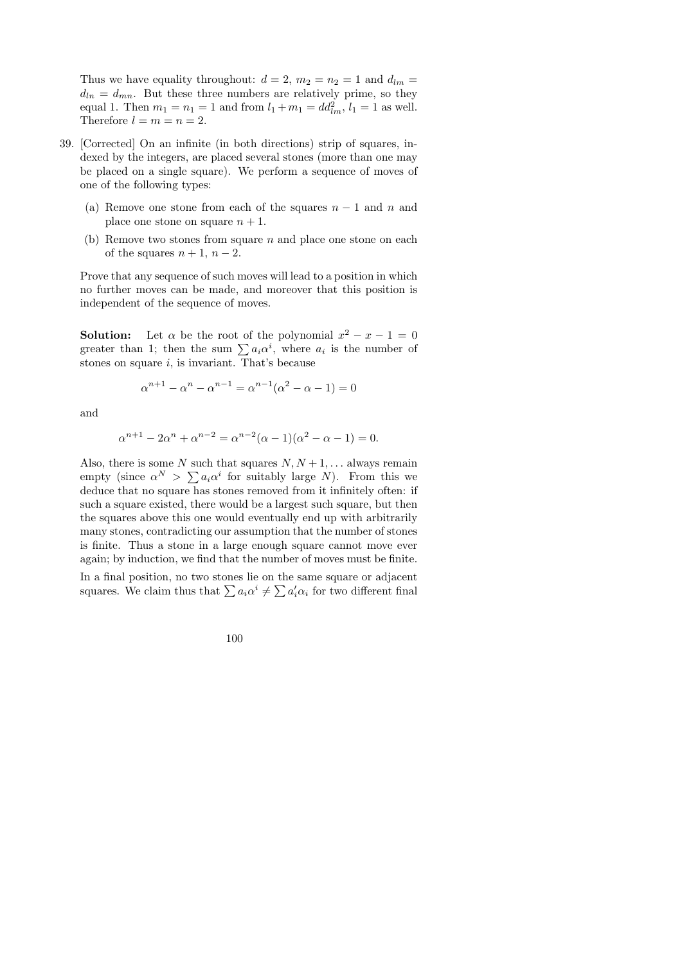Thus we have equality throughout:  $d = 2$ ,  $m_2 = n_2 = 1$  and  $d_{lm} =$  $d_{ln} = d_{mn}$ . But these three numbers are relatively prime, so they equal 1. Then  $m_1 = n_1 = 1$  and from  $l_1 + m_1 = dd_{lm}^2$ ,  $l_1 = 1$  as well. Therefore  $l = m = n = 2$ .

- 39. [Corrected] On an infinite (in both directions) strip of squares, indexed by the integers, are placed several stones (more than one may be placed on a single square). We perform a sequence of moves of one of the following types:
	- (a) Remove one stone from each of the squares  $n-1$  and n and place one stone on square  $n + 1$ .
	- (b) Remove two stones from square  $n$  and place one stone on each of the squares  $n + 1$ ,  $n - 2$ .

Prove that any sequence of such moves will lead to a position in which no further moves can be made, and moreover that this position is independent of the sequence of moves.

**Solution:** Let  $\alpha$  be the root of the polynomial  $x^2 - x - 1 = 0$ greater than 1; then the sum  $\sum a_i \alpha^i$ , where  $a_i$  is the number of stones on square  $i$ , is invariant. That's because

$$
\alpha^{n+1} - \alpha^n - \alpha^{n-1} = \alpha^{n-1}(\alpha^2 - \alpha - 1) = 0
$$

and

$$
\alpha^{n+1} - 2\alpha^{n} + \alpha^{n-2} = \alpha^{n-2}(\alpha - 1)(\alpha^{2} - \alpha - 1) = 0.
$$

Also, there is some N such that squares  $N, N+1, \ldots$  always remain empty (since  $\alpha^N > \sum a_i \alpha^i$  for suitably large N). From this we deduce that no square has stones removed from it infinitely often: if such a square existed, there would be a largest such square, but then the squares above this one would eventually end up with arbitrarily many stones, contradicting our assumption that the number of stones is finite. Thus a stone in a large enough square cannot move ever again; by induction, we find that the number of moves must be finite.

In a final position, no two stones lie on the same square or adjacent squares. We claim thus that  $\sum a_i \alpha^i \neq \sum a'_i \alpha_i$  for two different final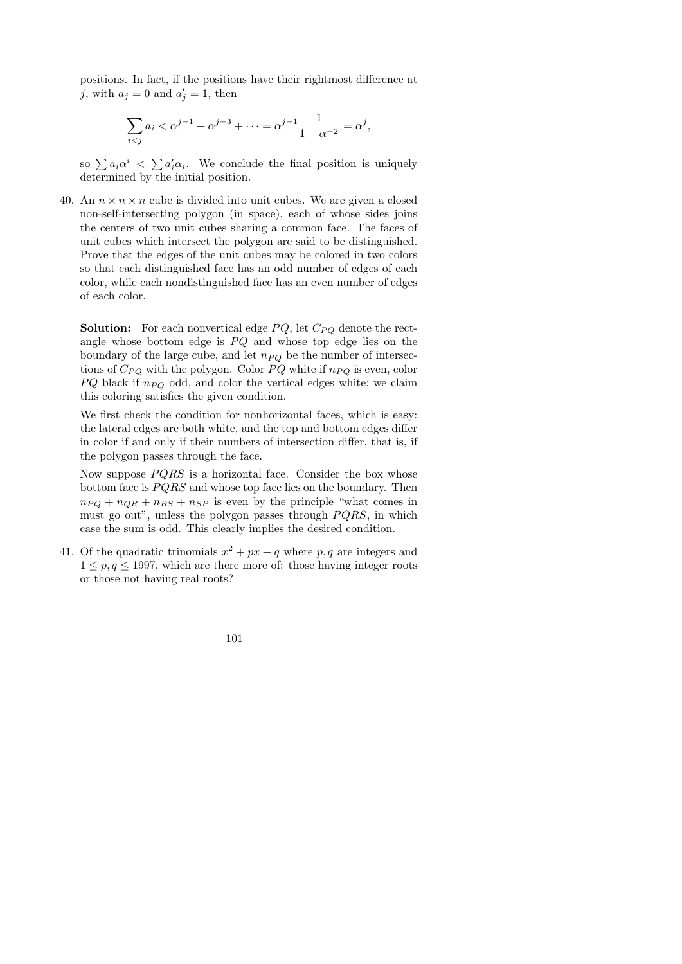positions. In fact, if the positions have their rightmost difference at j, with  $a_j = 0$  and  $a'_j = 1$ , then

$$
\sum_{i < j} a_i < \alpha^{j-1} + \alpha^{j-3} + \dots = \alpha^{j-1} \frac{1}{1 - \alpha^{-2}} = \alpha^j,
$$

so  $\sum a_i \alpha^i < \sum a_i^i \alpha_i$ . We conclude the final position is uniquely determined by the initial position.

40. An  $n \times n \times n$  cube is divided into unit cubes. We are given a closed non-self-intersecting polygon (in space), each of whose sides joins the centers of two unit cubes sharing a common face. The faces of unit cubes which intersect the polygon are said to be distinguished. Prove that the edges of the unit cubes may be colored in two colors so that each distinguished face has an odd number of edges of each color, while each nondistinguished face has an even number of edges of each color.

**Solution:** For each nonvertical edge  $PQ$ , let  $C_{PO}$  denote the rectangle whose bottom edge is  $PQ$  and whose top edge lies on the boundary of the large cube, and let  $n_{PO}$  be the number of intersections of  $C_{PO}$  with the polygon. Color  $PQ$  white if  $n_{PO}$  is even, color  $PQ$  black if  $n_{PO}$  odd, and color the vertical edges white; we claim this coloring satisfies the given condition.

We first check the condition for nonhorizontal faces, which is easy: the lateral edges are both white, and the top and bottom edges differ in color if and only if their numbers of intersection differ, that is, if the polygon passes through the face.

Now suppose  $PQRS$  is a horizontal face. Consider the box whose bottom face is  $PQRS$  and whose top face lies on the boundary. Then  $n_{PQ} + n_{QR} + n_{RS} + n_{SP}$  is even by the principle "what comes in must go out", unless the polygon passes through  $PQRS$ , in which case the sum is odd. This clearly implies the desired condition.

41. Of the quadratic trinomials  $x^2 + px + q$  where p, q are integers and  $1 \leq p, q \leq 1997$ , which are there more of: those having integer roots or those not having real roots?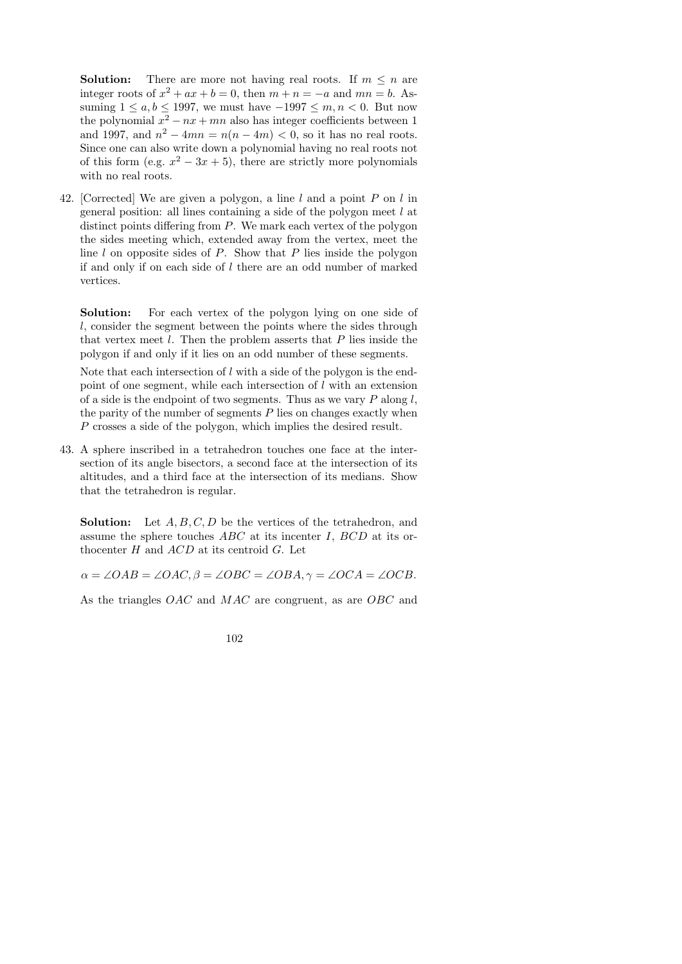**Solution:** There are more not having real roots. If  $m \leq n$  are integer roots of  $x^2 + ax + b = 0$ , then  $m + n = -a$  and  $mn = b$ . Assuming  $1 \le a, b \le 1997$ , we must have  $-1997 \le m, n < 0$ . But now the polynomial  $x^2 - nx + mn$  also has integer coefficients between 1 and 1997, and  $n^2 - 4mn = n(n - 4m) < 0$ , so it has no real roots. Since one can also write down a polynomial having no real roots not of this form (e.g.  $x^2 - 3x + 5$ ), there are strictly more polynomials with no real roots.

42. [Corrected] We are given a polygon, a line  $l$  and a point  $P$  on  $l$  in general position: all lines containing a side of the polygon meet l at distinct points differing from P. We mark each vertex of the polygon the sides meeting which, extended away from the vertex, meet the line  $l$  on opposite sides of  $P$ . Show that  $P$  lies inside the polygon if and only if on each side of l there are an odd number of marked vertices.

Solution: For each vertex of the polygon lying on one side of l, consider the segment between the points where the sides through that vertex meet  $l$ . Then the problem asserts that  $P$  lies inside the polygon if and only if it lies on an odd number of these segments.

Note that each intersection of  $l$  with a side of the polygon is the endpoint of one segment, while each intersection of l with an extension of a side is the endpoint of two segments. Thus as we vary  $P$  along  $l$ , the parity of the number of segments  $P$  lies on changes exactly when P crosses a side of the polygon, which implies the desired result.

43. A sphere inscribed in a tetrahedron touches one face at the intersection of its angle bisectors, a second face at the intersection of its altitudes, and a third face at the intersection of its medians. Show that the tetrahedron is regular.

**Solution:** Let  $A, B, C, D$  be the vertices of the tetrahedron, and assume the sphere touches ABC at its incenter I, BCD at its orthocenter  $H$  and  $ACD$  at its centroid  $G$ . Let

 $\alpha = \angle OAB = \angle OAC$ ,  $\beta = \angle OBC = \angle OBA$ ,  $\gamma = \angle OCA = \angle OCB$ .

As the triangles *OAC* and *MAC* are congruent, as are *OBC* and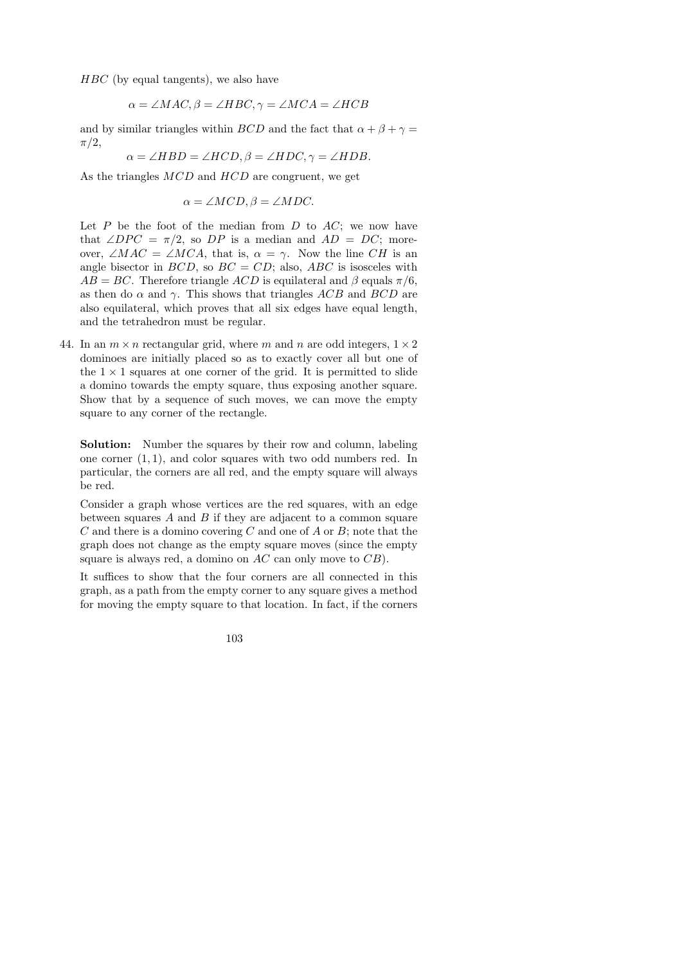$HBC$  (by equal tangents), we also have

$$
\alpha = \angle MAC, \beta = \angle HBC, \gamma = \angle MCA = \angle HCB
$$

and by similar triangles within BCD and the fact that  $\alpha + \beta + \gamma =$  $\pi/2$ ,

$$
\alpha = \angle HBD = \angle HCD, \beta = \angle HDC, \gamma = \angle HDB.
$$

As the triangles  $MCD$  and  $HCD$  are congruent, we get

$$
\alpha = \angle MCD, \beta = \angle MDC.
$$

Let  $P$  be the foot of the median from  $D$  to  $AC$ ; we now have that ∠DPC =  $\pi/2$ , so DP is a median and  $AD = DC$ ; moreover,  $\angle MAC = \angle MCA$ , that is,  $\alpha = \gamma$ . Now the line CH is an angle bisector in  $BCD$ , so  $BC = CD$ ; also,  $ABC$  is isosceles with  $AB = BC$ . Therefore triangle  $ACD$  is equilateral and  $\beta$  equals  $\pi/6$ , as then do  $\alpha$  and  $\gamma$ . This shows that triangles ACB and BCD are also equilateral, which proves that all six edges have equal length, and the tetrahedron must be regular.

44. In an  $m \times n$  rectangular grid, where m and n are odd integers,  $1 \times 2$ dominoes are initially placed so as to exactly cover all but one of the  $1 \times 1$  squares at one corner of the grid. It is permitted to slide a domino towards the empty square, thus exposing another square. Show that by a sequence of such moves, we can move the empty square to any corner of the rectangle.

Solution: Number the squares by their row and column, labeling one corner (1, 1), and color squares with two odd numbers red. In particular, the corners are all red, and the empty square will always be red.

Consider a graph whose vertices are the red squares, with an edge between squares  $A$  and  $B$  if they are adjacent to a common square  $C$  and there is a domino covering  $C$  and one of  $A$  or  $B$ ; note that the graph does not change as the empty square moves (since the empty square is always red, a domino on  $AC$  can only move to  $CB$ ).

It suffices to show that the four corners are all connected in this graph, as a path from the empty corner to any square gives a method for moving the empty square to that location. In fact, if the corners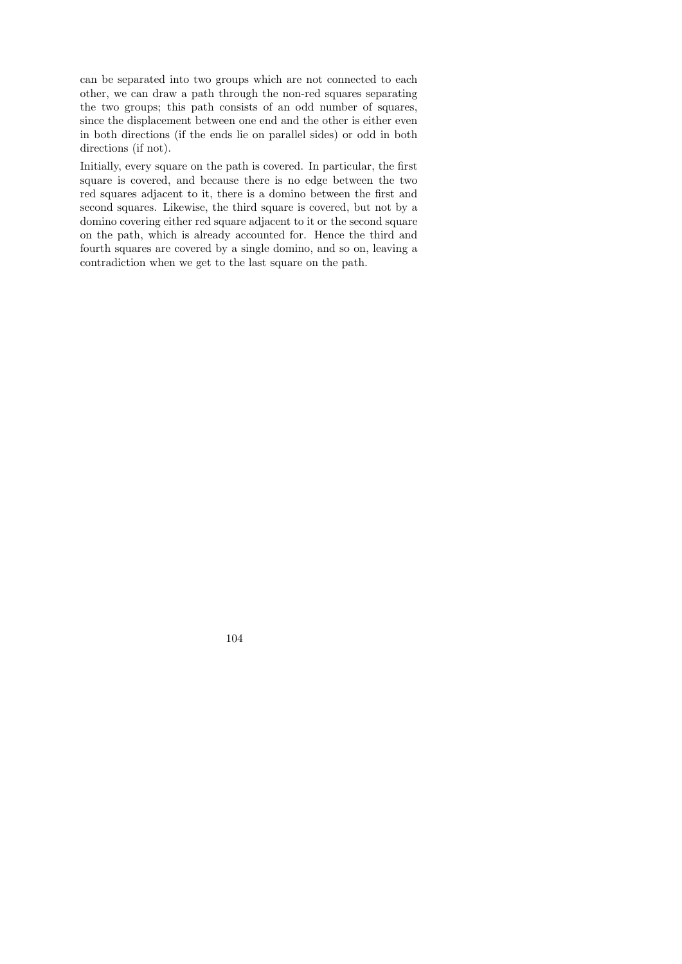can be separated into two groups which are not connected to each other, we can draw a path through the non-red squares separating the two groups; this path consists of an odd number of squares, since the displacement between one end and the other is either even in both directions (if the ends lie on parallel sides) or odd in both directions (if not).

Initially, every square on the path is covered. In particular, the first square is covered, and because there is no edge between the two red squares adjacent to it, there is a domino between the first and second squares. Likewise, the third square is covered, but not by a domino covering either red square adjacent to it or the second square on the path, which is already accounted for. Hence the third and fourth squares are covered by a single domino, and so on, leaving a contradiction when we get to the last square on the path.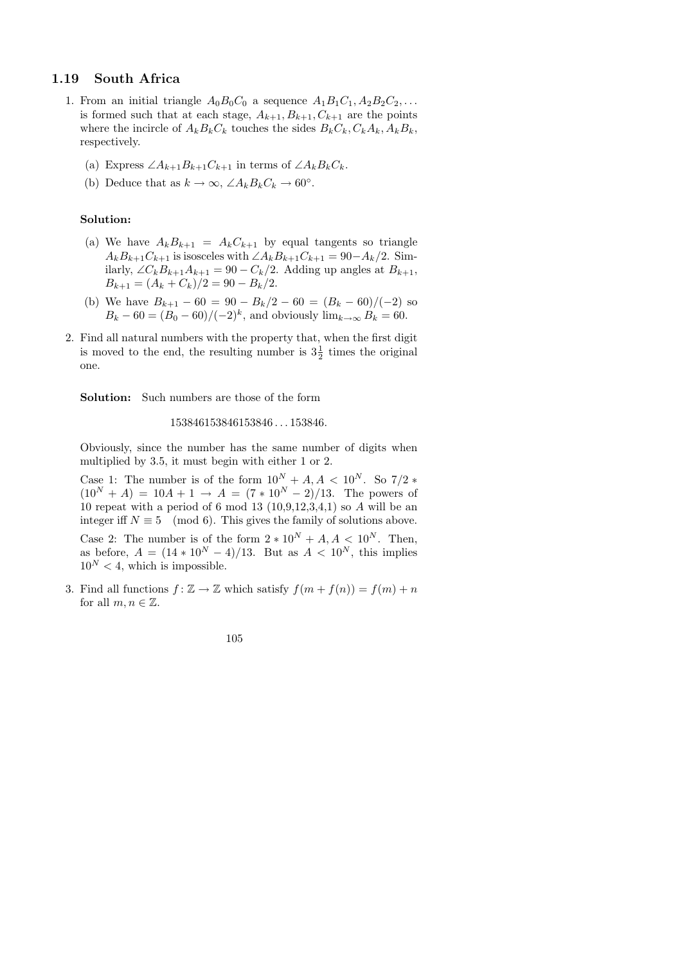### 1.19 South Africa

- 1. From an initial triangle  $A_0B_0C_0$  a sequence  $A_1B_1C_1, A_2B_2C_2, \ldots$ is formed such that at each stage,  $A_{k+1}, B_{k+1}, C_{k+1}$  are the points where the incircle of  $A_k B_k C_k$  touches the sides  $B_k C_k$ ,  $C_k A_k$ ,  $A_k B_k$ , respectively.
	- (a) Express  $\angle A_{k+1}B_{k+1}C_{k+1}$  in terms of  $\angle A_kB_kC_k$ .
	- (b) Deduce that as  $k \to \infty$ ,  $\angle A_k B_k C_k \to 60^\circ$ .

# Solution:

- (a) We have  $A_kB_{k+1} = A_kC_{k+1}$  by equal tangents so triangle  $A_kB_{k+1}C_{k+1}$  is isosceles with  $\angle A_kB_{k+1}C_{k+1} = 90 - A_k/2$ . Similarly,  $\angle C_k B_{k+1} A_{k+1} = 90 - C_k/2$ . Adding up angles at  $B_{k+1}$ ,  $B_{k+1} = (A_k + C_k)/2 = 90 - B_k/2.$
- (b) We have  $B_{k+1} 60 = 90 B_k/2 60 = (B_k 60)/(-2)$  so  $B_k - 60 = (B_0 - 60)/(-2)^k$ , and obviously  $\lim_{k \to \infty} B_k = 60$ .
- 2. Find all natural numbers with the property that, when the first digit is moved to the end, the resulting number is  $3\frac{1}{2}$  times the original one.

Solution: Such numbers are those of the form

#### 153846153846153846 . . . 153846.

Obviously, since the number has the same number of digits when multiplied by 3.5, it must begin with either 1 or 2.

Case 1: The number is of the form  $10^N + A$ ,  $A < 10^N$ . So  $7/2$  \*  $(10^N + A) = 10A + 1 \rightarrow A = (7 * 10^N - 2)/13$ . The powers of 10 repeat with a period of 6 mod 13  $(10,9,12,3,4,1)$  so A will be an integer iff  $N \equiv 5 \pmod{6}$ . This gives the family of solutions above. Case 2: The number is of the form  $2 * 10^N + A$ ,  $A < 10^N$ . Then, as before,  $A = (14 * 10^N - 4)/13$ . But as  $A < 10^N$ , this implies  $10^N < 4$ , which is impossible.

3. Find all functions  $f : \mathbb{Z} \to \mathbb{Z}$  which satisfy  $f(m + f(n)) = f(m) + n$ for all  $m, n \in \mathbb{Z}$ .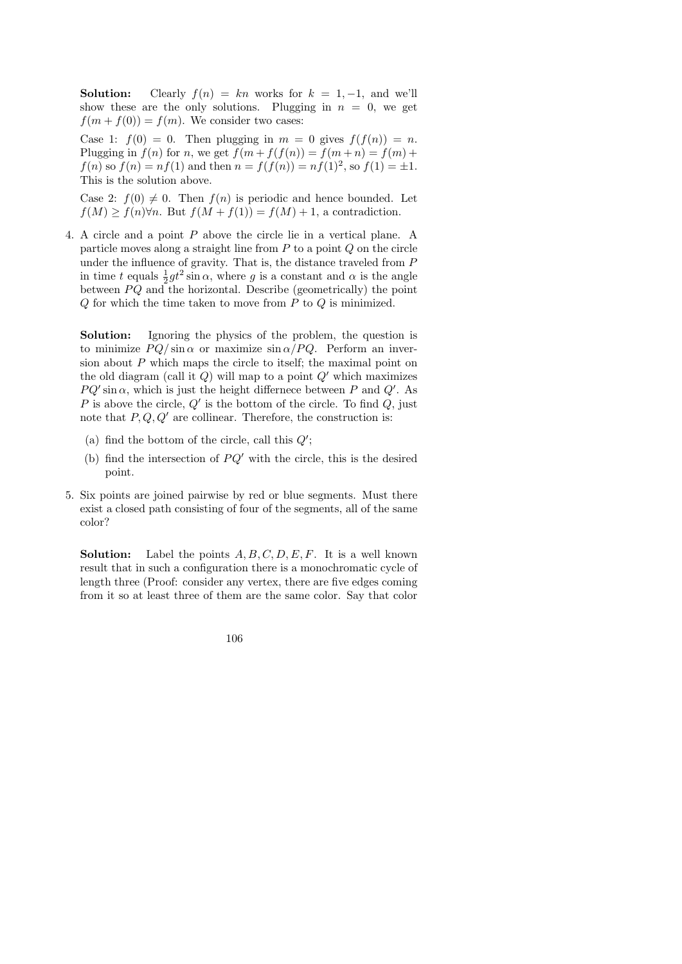**Solution:** Clearly  $f(n) = kn$  works for  $k = 1, -1$ , and we'll show these are the only solutions. Plugging in  $n = 0$ , we get  $f(m + f(0)) = f(m)$ . We consider two cases:

Case 1:  $f(0) = 0$ . Then plugging in  $m = 0$  gives  $f(f(n)) = n$ . Plugging in  $f(n)$  for n, we get  $f(m + f(f(n)) = f(m+n) = f(m) +$  $f(n)$  so  $f(n) = nf(1)$  and then  $n = f(f(n)) = nf(1)^2$ , so  $f(1) = \pm 1$ . This is the solution above.

Case 2:  $f(0) \neq 0$ . Then  $f(n)$  is periodic and hence bounded. Let  $f(M) > f(n) \forall n$ . But  $f(M + f(1)) = f(M) + 1$ , a contradiction.

4. A circle and a point P above the circle lie in a vertical plane. A particle moves along a straight line from  $P$  to a point  $Q$  on the circle under the influence of gravity. That is, the distance traveled from P in time t equals  $\frac{1}{2}gt^2 \sin \alpha$ , where g is a constant and  $\alpha$  is the angle between  $PQ$  and the horizontal. Describe (geometrically) the point  $Q$  for which the time taken to move from  $P$  to  $Q$  is minimized.

Solution: Ignoring the physics of the problem, the question is to minimize  $PQ/\sin \alpha$  or maximize  $\sin \alpha / PQ$ . Perform an inversion about  $P$  which maps the circle to itself; the maximal point on the old diagram (call it  $Q$ ) will map to a point  $Q'$  which maximizes  $PQ' \sin \alpha$ , which is just the height differnece between P and Q'. As P is above the circle,  $Q'$  is the bottom of the circle. To find  $Q$ , just note that  $P, Q, Q'$  are collinear. Therefore, the construction is:

- (a) find the bottom of the circle, call this  $Q'$ ;
- (b) find the intersection of  $PQ'$  with the circle, this is the desired point.
- 5. Six points are joined pairwise by red or blue segments. Must there exist a closed path consisting of four of the segments, all of the same color?

**Solution:** Label the points  $A, B, C, D, E, F$ . It is a well known result that in such a configuration there is a monochromatic cycle of length three (Proof: consider any vertex, there are five edges coming from it so at least three of them are the same color. Say that color

$$
106\,
$$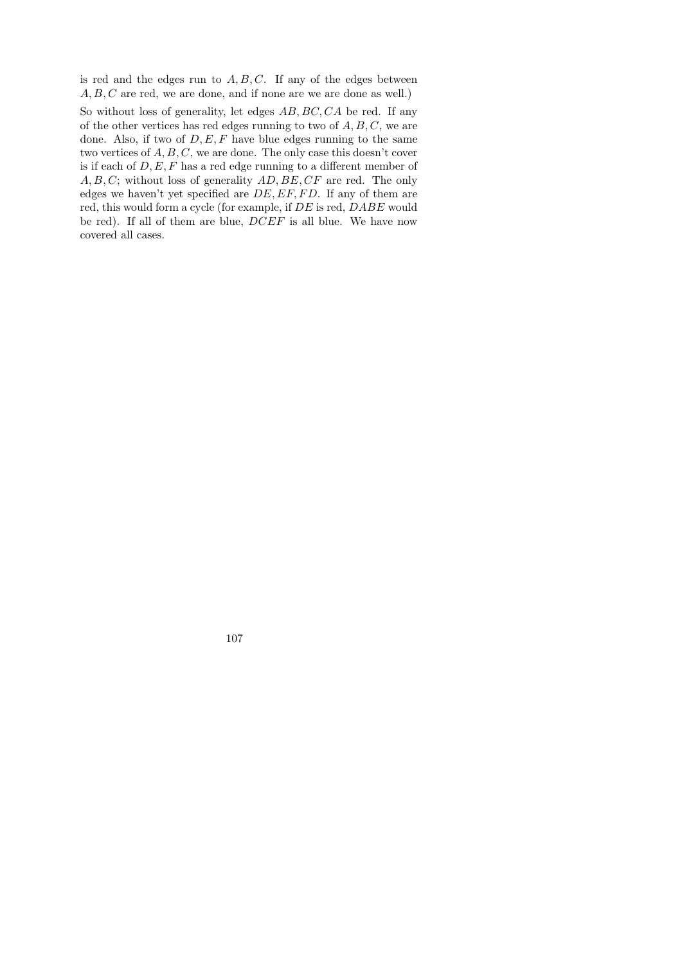is red and the edges run to  $A, B, C$ . If any of the edges between  $A, B, C$  are red, we are done, and if none are we are done as well.)

So without loss of generality, let edges  $AB, BC, CA$  be red. If any of the other vertices has red edges running to two of  $A, B, C$ , we are done. Also, if two of  $D, E, F$  have blue edges running to the same two vertices of  $A, B, C$ , we are done. The only case this doesn't cover is if each of  $D, E, F$  has a red edge running to a different member of  $A, B, C$ ; without loss of generality  $AD, BE, CF$  are red. The only edges we haven't yet specified are  $DE, EF, FD$ . If any of them are red, this would form a cycle (for example, if DE is red, DABE would be red). If all of them are blue, DCEF is all blue. We have now covered all cases.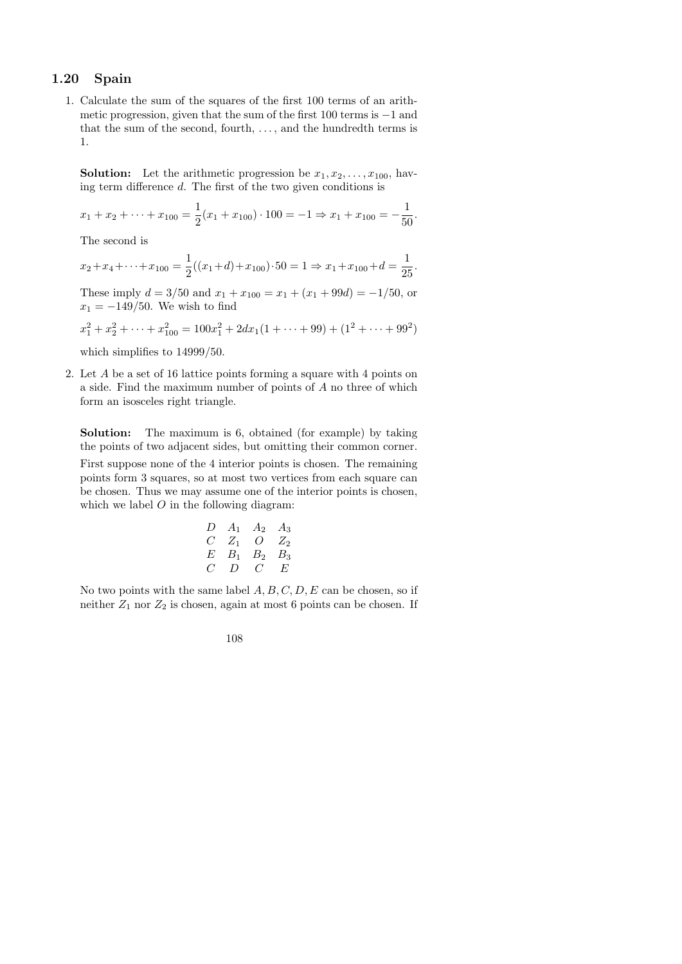## 1.20 Spain

1. Calculate the sum of the squares of the first 100 terms of an arithmetic progression, given that the sum of the first 100 terms is −1 and that the sum of the second, fourth,  $\dots$ , and the hundredth terms is 1.

**Solution:** Let the arithmetic progression be  $x_1, x_2, \ldots, x_{100}$ , having term difference d. The first of the two given conditions is

$$
x_1 + x_2 + \dots + x_{100} = \frac{1}{2}(x_1 + x_{100}) \cdot 100 = -1 \Rightarrow x_1 + x_{100} = -\frac{1}{50}.
$$

The second is

$$
x_2 + x_4 + \dots + x_{100} = \frac{1}{2}((x_1 + d) + x_{100}) \cdot 50 = 1 \Rightarrow x_1 + x_{100} + d = \frac{1}{25}.
$$

These imply  $d = 3/50$  and  $x_1 + x_{100} = x_1 + (x_1 + 99d) = -1/50$ , or  $x_1 = -149/50$ . We wish to find

$$
x_1^2 + x_2^2 + \dots + x_{100}^2 = 100x_1^2 + 2dx_1(1 + \dots + 99) + (1^2 + \dots + 99^2)
$$

which simplifies to 14999/50.

2. Let A be a set of 16 lattice points forming a square with 4 points on a side. Find the maximum number of points of A no three of which form an isosceles right triangle.

Solution: The maximum is 6, obtained (for example) by taking the points of two adjacent sides, but omitting their common corner.

First suppose none of the 4 interior points is chosen. The remaining points form 3 squares, so at most two vertices from each square can be chosen. Thus we may assume one of the interior points is chosen, which we label  $O$  in the following diagram:

$$
\begin{array}{cccc}\nD & A_1 & A_2 & A_3 \\
C & Z_1 & O & Z_2 \\
E & B_1 & B_2 & B_3 \\
C & D & C & E\n\end{array}
$$

No two points with the same label  $A, B, C, D, E$  can be chosen, so if neither  $Z_1$  nor  $Z_2$  is chosen, again at most 6 points can be chosen. If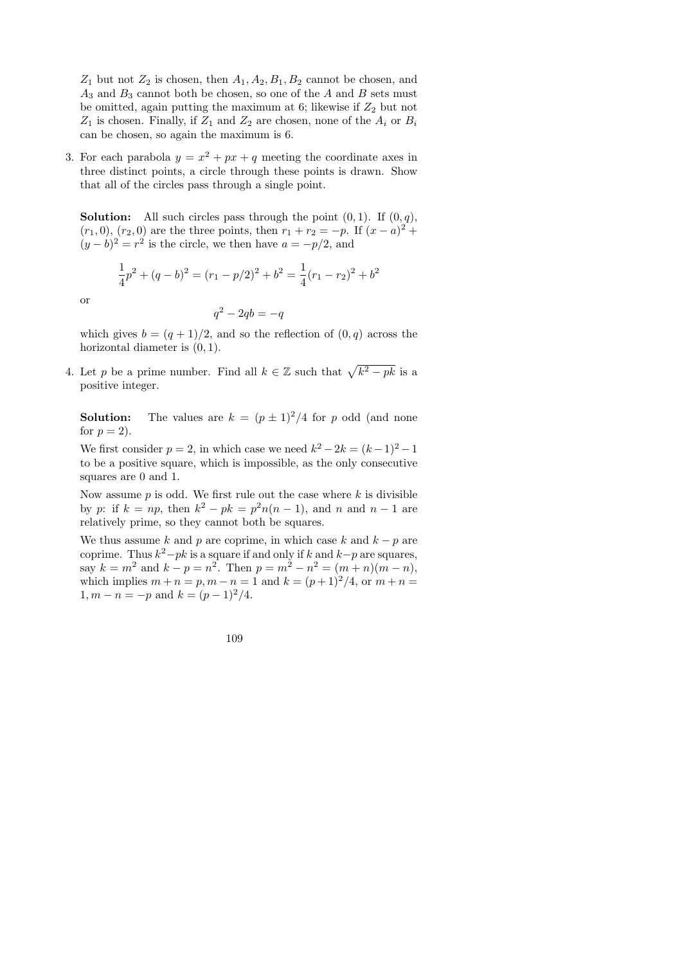$Z_1$  but not  $Z_2$  is chosen, then  $A_1, A_2, B_1, B_2$  cannot be chosen, and  $A_3$  and  $B_3$  cannot both be chosen, so one of the A and B sets must be omitted, again putting the maximum at 6; likewise if  $Z_2$  but not  $Z_1$  is chosen. Finally, if  $Z_1$  and  $Z_2$  are chosen, none of the  $A_i$  or  $B_i$ can be chosen, so again the maximum is 6.

3. For each parabola  $y = x^2 + px + q$  meeting the coordinate axes in three distinct points, a circle through these points is drawn. Show that all of the circles pass through a single point.

**Solution:** All such circles pass through the point  $(0, 1)$ . If  $(0, q)$ ,  $(r_1, 0), (r_2, 0)$  are the three points, then  $r_1 + r_2 = -p$ . If  $(x - a)^2 + p$  $(y - b)^2 = r^2$  is the circle, we then have  $a = -p/2$ , and

$$
\frac{1}{4}p^2 + (q - b)^2 = (r_1 - p/2)^2 + b^2 = \frac{1}{4}(r_1 - r_2)^2 + b^2
$$

or

$$
q^2 - 2qb = -q
$$

which gives  $b = (q + 1)/2$ , and so the reflection of  $(0, q)$  across the horizontal diameter is  $(0, 1)$ .

4. Let p be a prime number. Find all  $k \in \mathbb{Z}$  such that  $\sqrt{k^2 - pk}$  is a positive integer.

**Solution:** The values are  $k = (p \pm 1)^2/4$  for p odd (and none for  $p = 2$ ).

We first consider  $p = 2$ , in which case we need  $k^2 - 2k = (k-1)^2 - 1$ to be a positive square, which is impossible, as the only consecutive squares are 0 and 1.

Now assume  $p$  is odd. We first rule out the case where  $k$  is divisible by p: if  $k = np$ , then  $k^2 - pk = p^2n(n-1)$ , and n and  $n-1$  are relatively prime, so they cannot both be squares.

We thus assume k and p are coprime, in which case k and  $k - p$  are coprime. Thus  $k^2-pk$  is a square if and only if k and  $k-p$  are squares, say  $k = m^2$  and  $k - p = n^2$ . Then  $p = m^2 - n^2 = (m + n)(m - n)$ , which implies  $m + n = p, m - n = 1$  and  $k = (p + 1)^2/4$ , or  $m + n =$  $1, m - n = -p$  and  $k = (p - 1)^2/4$ .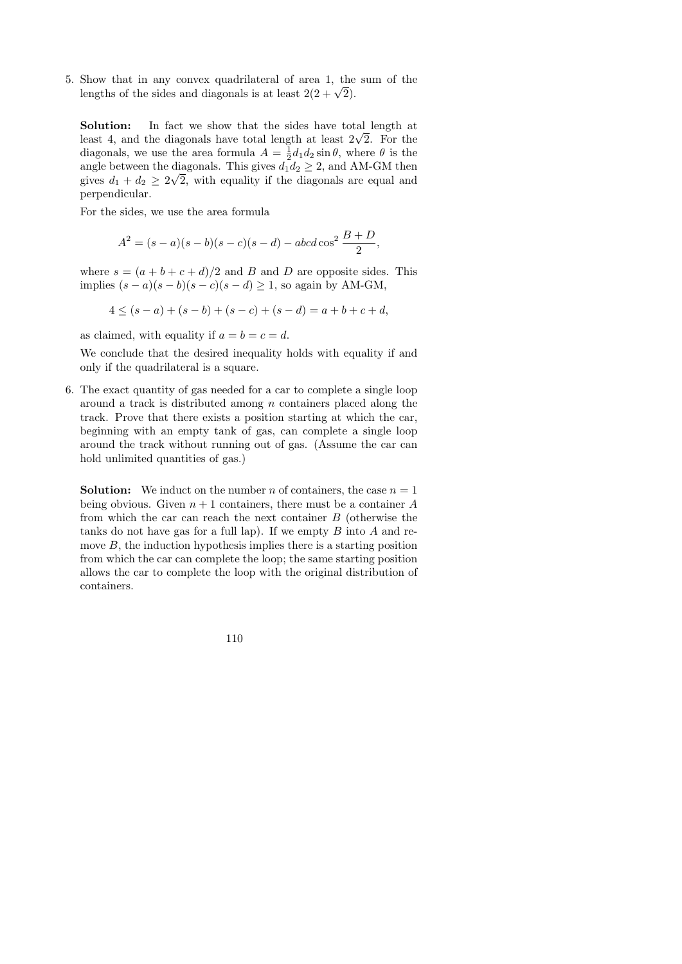5. Show that in any convex quadrilateral of area 1, the sum of the Show that in any convex quadrilateral of area 1, the lengths of the sides and diagonals is at least  $2(2+\sqrt{2})$ .

Solution: In fact we show that the sides have total length at **Solution:** In fact we show that the sides have total length at least  $4$ , and the diagonals have total length at least  $2\sqrt{2}$ . For the diagonals, we use the area formula  $A = \frac{1}{2}d_1d_2\sin\theta$ , where  $\theta$  is the angle between the diagonals. This gives  $d_1 d_2 \geq 2$ , and AM-GM then gives  $d_1 + d_2 \geq 2\sqrt{2}$ , with equality if the diagonals are equal and perpendicular.

For the sides, we use the area formula

$$
A^{2} = (s - a)(s - b)(s - c)(s - d) - abcd \cos^{2} \frac{B + D}{2},
$$

where  $s = (a + b + c + d)/2$  and B and D are opposite sides. This implies  $(s-a)(s-b)(s-c)(s-d) \geq 1$ , so again by AM-GM,

$$
4 \le (s-a) + (s-b) + (s-c) + (s-d) = a+b+c+d,
$$

as claimed, with equality if  $a = b = c = d$ .

We conclude that the desired inequality holds with equality if and only if the quadrilateral is a square.

6. The exact quantity of gas needed for a car to complete a single loop around a track is distributed among n containers placed along the track. Prove that there exists a position starting at which the car, beginning with an empty tank of gas, can complete a single loop around the track without running out of gas. (Assume the car can hold unlimited quantities of gas.)

**Solution:** We induct on the number n of containers, the case  $n = 1$ being obvious. Given  $n+1$  containers, there must be a container A from which the car can reach the next container  $B$  (otherwise the tanks do not have gas for a full lap). If we empty  $B$  into  $A$  and remove  $B$ , the induction hypothesis implies there is a starting position from which the car can complete the loop; the same starting position allows the car to complete the loop with the original distribution of containers.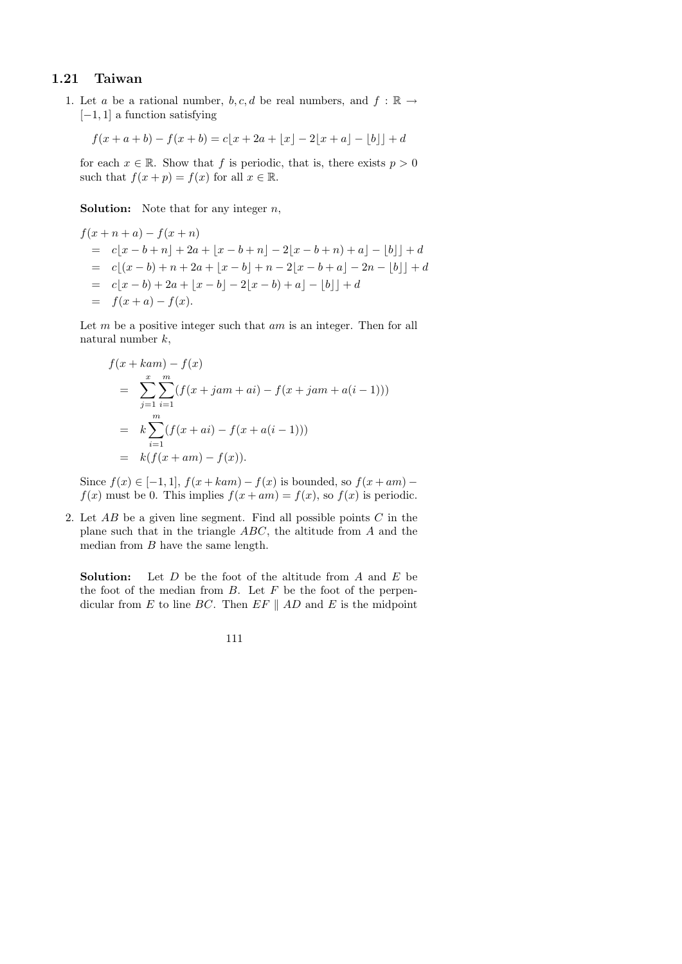## 1.21 Taiwan

1. Let a be a rational number, b, c, d be real numbers, and  $f : \mathbb{R} \to$  $[-1, 1]$  a function satisfying

$$
f(x + a + b) - f(x + b) = c[x + 2a + [x] - 2[x + a] - [b]] + d
$$

for each  $x \in \mathbb{R}$ . Show that f is periodic, that is, there exists  $p > 0$ such that  $f(x + p) = f(x)$  for all  $x \in \mathbb{R}$ .

**Solution:** Note that for any integer  $n$ ,

$$
f(x + n + a) - f(x + n)
$$
  
=  $c[x - b + n] + 2a + [x - b + n] - 2[x - b + n] + a] - [b] + d$   
=  $c[(x - b) + n + 2a + [x - b] + n - 2[x - b + a] - 2n - [b]] + d$   
=  $c[x - b) + 2a + [x - b] - 2[x - b) + a] - [b] + d$   
=  $f(x + a) - f(x)$ .

Let  $m$  be a positive integer such that  $am$  is an integer. Then for all natural number  $k$ ,

$$
f(x + kam) - f(x)
$$
  
= 
$$
\sum_{j=1}^{x} \sum_{i=1}^{m} (f(x + jam + ai) - f(x + jam + a(i - 1)))
$$
  
= 
$$
k \sum_{i=1}^{m} (f(x + ai) - f(x + a(i - 1)))
$$
  
= 
$$
k(f(x + am) - f(x)).
$$

Since  $f(x) \in [-1, 1]$ ,  $f(x + kam) - f(x)$  is bounded, so  $f(x + am)$  $f(x)$  must be 0. This implies  $f(x + am) = f(x)$ , so  $f(x)$  is periodic.

2. Let  $AB$  be a given line segment. Find all possible points  $C$  in the plane such that in the triangle ABC, the altitude from A and the median from  $B$  have the same length.

**Solution:** Let  $D$  be the foot of the altitude from  $A$  and  $E$  be the foot of the median from  $B$ . Let  $F$  be the foot of the perpendicular from  $E$  to line  $BC$ . Then  $EF \parallel AD$  and  $E$  is the midpoint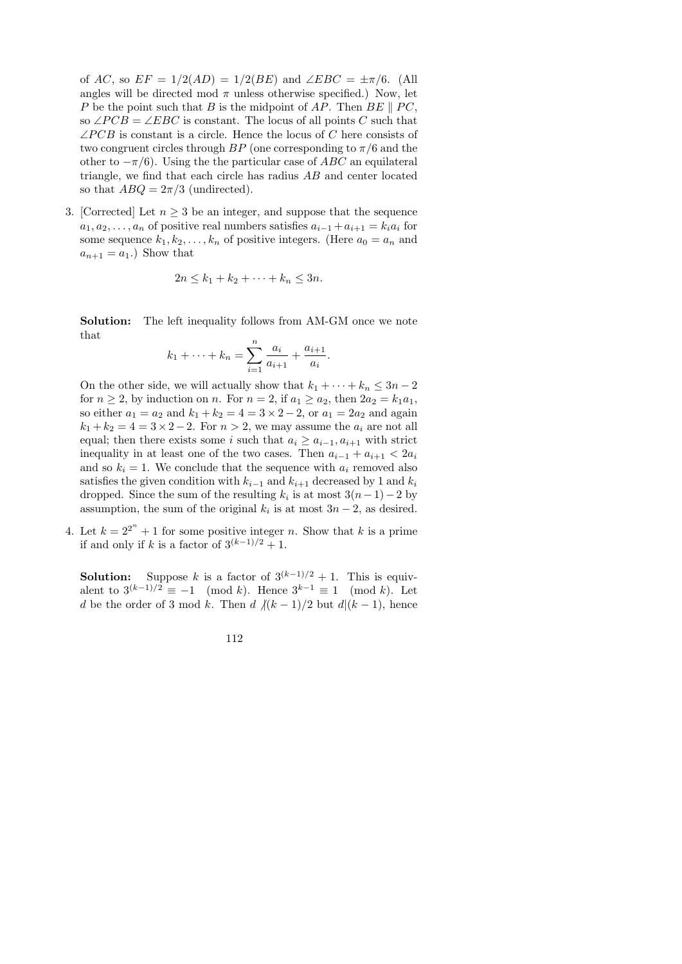of AC, so  $EF = 1/2(AD) = 1/2(BE)$  and  $\angle EBC = \pm \pi/6$ . (All angles will be directed mod  $\pi$  unless otherwise specified.) Now, let P be the point such that B is the midpoint of AP. Then  $BE \parallel PC$ , so ∠PCB = ∠EBC is constant. The locus of all points C such that  $\angle PCB$  is constant is a circle. Hence the locus of C here consists of two congruent circles through  $BP$  (one corresponding to  $\pi/6$  and the other to  $-\pi/6$ ). Using the the particular case of ABC an equilateral triangle, we find that each circle has radius AB and center located so that  $ABQ = 2\pi/3$  (undirected).

3. [Corrected] Let  $n \geq 3$  be an integer, and suppose that the sequence  $a_1, a_2, \ldots, a_n$  of positive real numbers satisfies  $a_{i-1} + a_{i+1} = k_i a_i$  for some sequence  $k_1, k_2, \ldots, k_n$  of positive integers. (Here  $a_0 = a_n$  and  $a_{n+1} = a_1$ .) Show that

$$
2n \leq k_1 + k_2 + \cdots + k_n \leq 3n.
$$

Solution: The left inequality follows from AM-GM once we note that

$$
k_1 + \dots + k_n = \sum_{i=1}^n \frac{a_i}{a_{i+1}} + \frac{a_{i+1}}{a_i}.
$$

On the other side, we will actually show that  $k_1 + \cdots + k_n \leq 3n - 2$ for  $n \geq 2$ , by induction on n. For  $n = 2$ , if  $a_1 \geq a_2$ , then  $2a_2 = k_1a_1$ , so either  $a_1 = a_2$  and  $k_1 + k_2 = 4 = 3 \times 2 - 2$ , or  $a_1 = 2a_2$  and again  $k_1 + k_2 = 4 = 3 \times 2 - 2$ . For  $n > 2$ , we may assume the  $a_i$  are not all equal; then there exists some i such that  $a_i \ge a_{i-1}, a_{i+1}$  with strict inequality in at least one of the two cases. Then  $a_{i-1} + a_{i+1} < 2a_i$ and so  $k_i = 1$ . We conclude that the sequence with  $a_i$  removed also satisfies the given condition with  $k_{i-1}$  and  $k_{i+1}$  decreased by 1 and  $k_i$ dropped. Since the sum of the resulting  $k_i$  is at most  $3(n-1)-2$  by assumption, the sum of the original  $k_i$  is at most  $3n-2$ , as desired.

4. Let  $k = 2^{2^n} + 1$  for some positive integer *n*. Show that *k* is a prime if and only if k is a factor of  $3^{(k-1)/2} + 1$ .

**Solution:** Suppose k is a factor of  $3^{(k-1)/2} + 1$ . This is equivalent to  $3^{(k-1)/2} \equiv -1 \pmod{k}$ . Hence  $3^{k-1} \equiv 1 \pmod{k}$ . Let d be the order of 3 mod k. Then d  $\sqrt{(k-1)/2}$  but  $d|(k-1)$ , hence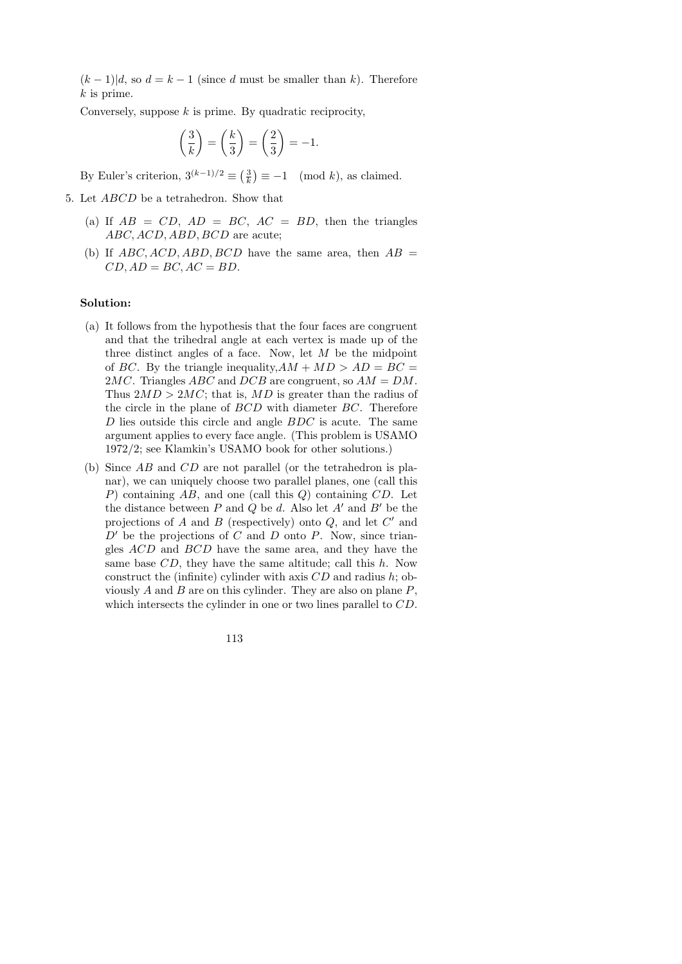$(k-1)|d$ , so  $d = k-1$  (since d must be smaller than k). Therefore  $k$  is prime.

Conversely, suppose  $k$  is prime. By quadratic reciprocity,

$$
\left(\frac{3}{k}\right) = \left(\frac{k}{3}\right) = \left(\frac{2}{3}\right) = -1.
$$

By Euler's criterion,  $3^{(k-1)/2} \equiv \left(\frac{3}{k}\right) \equiv -1 \pmod{k}$ , as claimed.

#### 5. Let ABCD be a tetrahedron. Show that

- (a) If  $AB = CD$ ,  $AD = BC$ ,  $AC = BD$ , then the triangles ABC, ACD, ABD, BCD are acute;
- (b) If  $ABC, ACD, ABD, BCD$  have the same area, then  $AB =$  $CD, AD = BC, AC = BD.$

#### Solution:

- (a) It follows from the hypothesis that the four faces are congruent and that the trihedral angle at each vertex is made up of the three distinct angles of a face. Now, let  $M$  be the midpoint of BC. By the triangle inequality,  $AM + MD > AD = BC$ 2MC. Triangles ABC and DCB are congruent, so  $AM = DM$ . Thus  $2MD > 2MC$ ; that is, MD is greater than the radius of the circle in the plane of BCD with diameter BC. Therefore  $D$  lies outside this circle and angle  $BDC$  is acute. The same argument applies to every face angle. (This problem is USAMO 1972/2; see Klamkin's USAMO book for other solutions.)
- (b) Since AB and CD are not parallel (or the tetrahedron is planar), we can uniquely choose two parallel planes, one (call this  $P$ ) containing  $AB$ , and one (call this  $Q$ ) containing  $CD$ . Let the distance between  $P$  and  $Q$  be  $d$ . Also let  $A'$  and  $B'$  be the projections of  $A$  and  $B$  (respectively) onto  $Q$ , and let  $C'$  and  $D'$  be the projections of C and D onto P. Now, since triangles ACD and BCD have the same area, and they have the same base  $CD$ , they have the same altitude; call this  $h$ . Now construct the (infinite) cylinder with axis  $CD$  and radius h; obviously  $A$  and  $B$  are on this cylinder. They are also on plane  $P$ . which intersects the cylinder in one or two lines parallel to CD.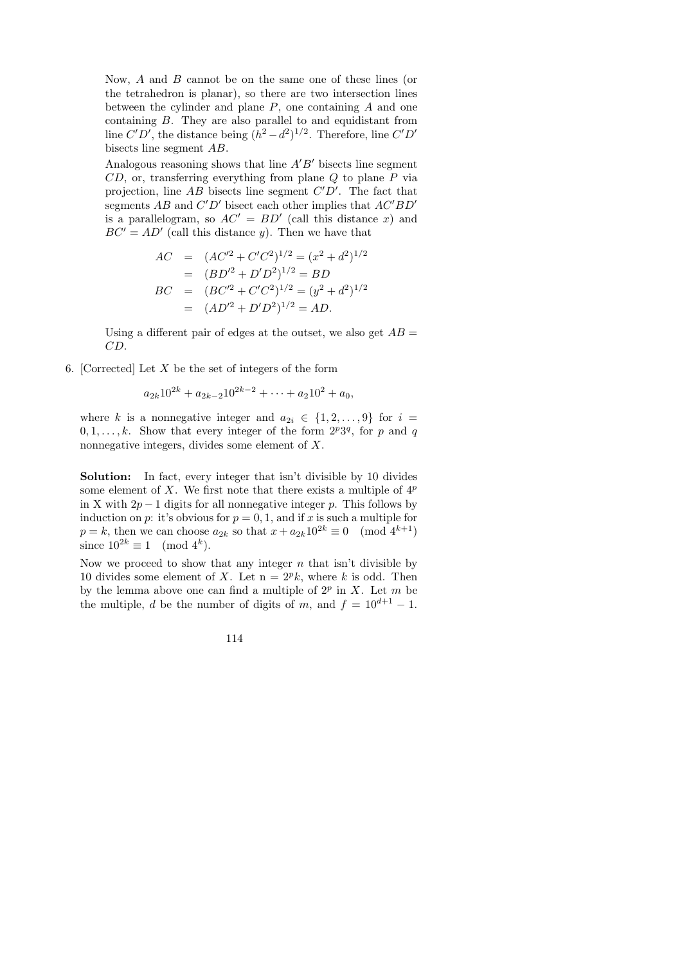Now, A and B cannot be on the same one of these lines (or the tetrahedron is planar), so there are two intersection lines between the cylinder and plane  $P$ , one containing  $A$  and one containing B. They are also parallel to and equidistant from line C'D', the distance being  $(h^2 - d^2)^{1/2}$ . Therefore, line C'D' bisects line segment AB.

Analogous reasoning shows that line  $A'B'$  bisects line segment  $CD$ , or, transferring everything from plane  $Q$  to plane  $P$  via projection, line  $\overrightarrow{AB}$  bisects line segment  $C'D'$ . The fact that segments  $\overline{AB}$  and  $C'D'$  bisect each other implies that  $\overline{AC'BD'}$ is a parallelogram, so  $AC' = BD'$  (call this distance x) and  $BC' = AD'$  (call this distance y). Then we have that

$$
AC = (AC'^2 + C'C^2)^{1/2} = (x^2 + d^2)^{1/2}
$$
  
= 
$$
(BD'^2 + D'D^2)^{1/2} = BD
$$
  

$$
BC = (BC'^2 + C'C^2)^{1/2} = (y^2 + d^2)^{1/2}
$$
  
= 
$$
(AD'^2 + D'D^2)^{1/2} = AD.
$$

Using a different pair of edges at the outset, we also get  $AB =$ CD.

6. [Corrected] Let  $X$  be the set of integers of the form

$$
a_{2k}10^{2k} + a_{2k-2}10^{2k-2} + \cdots + a_210^2 + a_0,
$$

where k is a nonnegative integer and  $a_{2i} \in \{1, 2, ..., 9\}$  for  $i =$  $0, 1, \ldots, k$ . Show that every integer of the form  $2^p 3^q$ , for p and q nonnegative integers, divides some element of X.

Solution: In fact, every integer that isn't divisible by 10 divides some element of X. We first note that there exists a multiple of  $4^p$ in X with  $2p - 1$  digits for all nonnegative integer p. This follows by induction on p: it's obvious for  $p = 0, 1$ , and if x is such a multiple for  $p = k$ , then we can choose  $a_{2k}$  so that  $x + a_{2k}10^{2k} \equiv 0 \pmod{4^{k+1}}$ since  $10^{2k} \equiv 1 \pmod{4^k}$ .

Now we proceed to show that any integer  $n$  that isn't divisible by 10 divides some element of X. Let  $n = 2^p k$ , where k is odd. Then by the lemma above one can find a multiple of  $2^p$  in X. Let m be the multiple, d be the number of digits of m, and  $f = 10^{d+1} - 1$ .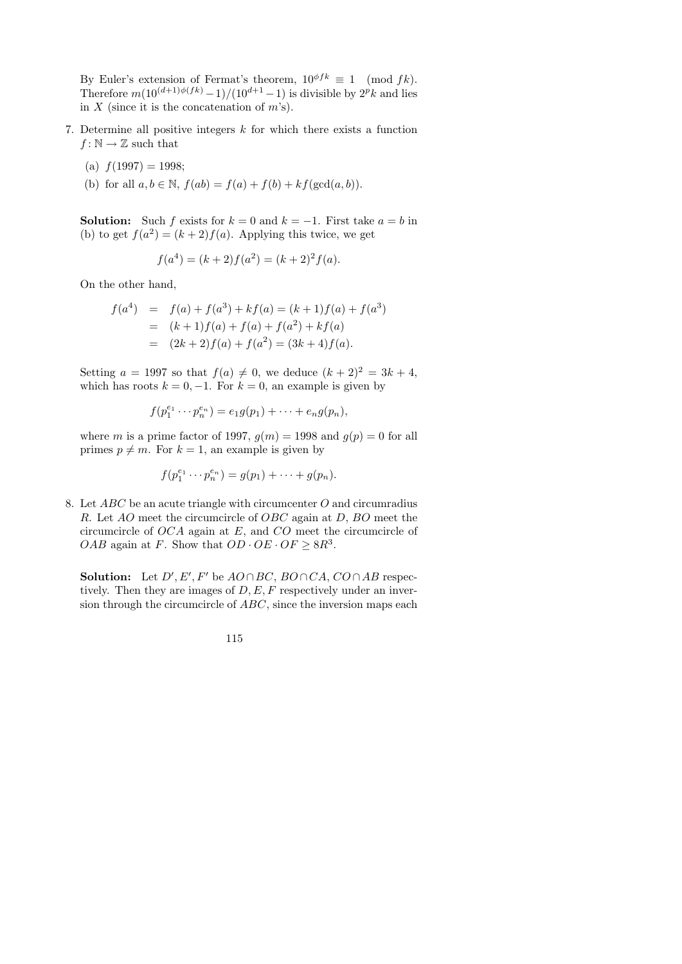By Euler's extension of Fermat's theorem,  $10^{\phi f k} \equiv 1 \pmod{fk}$ . Therefore  $m(10^{(d+1)\phi(fk)}-1)/(10^{d+1}-1)$  is divisible by  $2^p k$  and lies in  $X$  (since it is the concatenation of  $m$ 's).

- 7. Determine all positive integers  $k$  for which there exists a function  $f: \mathbb{N} \to \mathbb{Z}$  such that
	- (a)  $f(1997) = 1998$ ;
	- (b) for all  $a, b \in \mathbb{N}$ ,  $f(ab) = f(a) + f(b) + kf(\text{gcd}(a, b)).$

**Solution:** Such f exists for  $k = 0$  and  $k = -1$ . First take  $a = b$  in (b) to get  $f(a^2) = (k+2)f(a)$ . Applying this twice, we get

$$
f(a4) = (k+2)f(a2) = (k+2)2f(a).
$$

On the other hand,

$$
f(a4) = f(a) + f(a3) + kf(a) = (k+1)f(a) + f(a3)
$$
  
= (k+1)f(a) + f(a) + f(a<sup>2</sup>) + kf(a)  
= (2k+2)f(a) + f(a<sup>2</sup>) = (3k+4)f(a).

Setting  $a = 1997$  so that  $f(a) \neq 0$ , we deduce  $(k + 2)^2 = 3k + 4$ , which has roots  $k = 0, -1$ . For  $k = 0$ , an example is given by

$$
f(p_1^{e_1} \cdots p_n^{e_n}) = e_1 g(p_1) + \cdots + e_n g(p_n),
$$

where m is a prime factor of 1997,  $q(m) = 1998$  and  $q(p) = 0$  for all primes  $p \neq m$ . For  $k = 1$ , an example is given by

$$
f(p_1^{e_1}\cdots p_n^{e_n})=g(p_1)+\cdots+g(p_n).
$$

8. Let  $ABC$  be an acute triangle with circumcenter  $O$  and circumradius R. Let AO meet the circumcircle of OBC again at D, BO meet the circumcircle of OCA again at E, and CO meet the circumcircle of *OAB* again at *F*. Show that  $OD \cdot OE \cdot OF \geq 8R^3$ .

**Solution:** Let  $D', E', F'$  be  $AO \cap BC$ ,  $BO \cap CA$ ,  $CO \cap AB$  respectively. Then they are images of  $D, E, F$  respectively under an inversion through the circumcircle of ABC, since the inversion maps each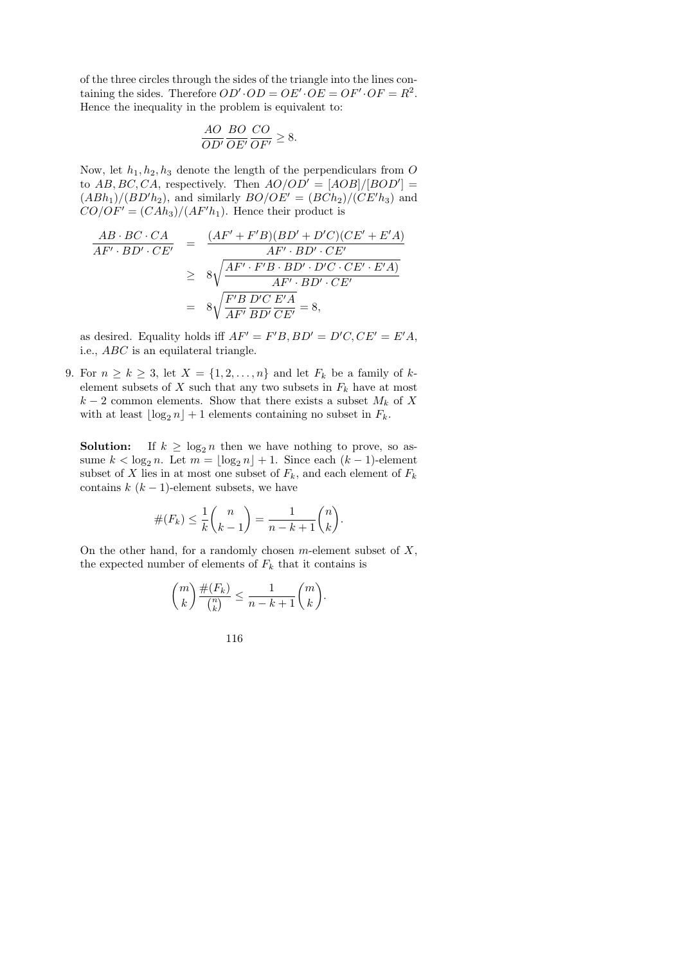of the three circles through the sides of the triangle into the lines containing the sides. Therefore  $OD' \cdot OD = OE' \cdot OE = OF' \cdot OF = R^2$ . Hence the inequality in the problem is equivalent to:

$$
\frac{AO}{OD'}\frac{BO}{OE'}\frac{CO}{OF'} \ge 8.
$$

Now, let  $h_1, h_2, h_3$  denote the length of the perpendiculars from O to  $\overrightarrow{AB}, \overrightarrow{BC}, \overrightarrow{CA}$ , respectively. Then  $\overrightarrow{AO}/\overrightarrow{OD'} = [\overrightarrow{AOB}]/[\overrightarrow{BOD'}] =$  $(ABh_1)/(BD'h_2)$ , and similarly  $BO/OE' = (BCh_2)/(CE'h_3)$  and  $CO/OF' = (CAh<sub>3</sub>)/(AF'h<sub>1</sub>)$ . Hence their product is

$$
\frac{AB \cdot BC \cdot CA}{AF' \cdot BD' \cdot CE'} = \frac{(AF' + F'B)(BD' + D'C)(CE' + E'A)}{AF' \cdot BD' \cdot CE'}
$$

$$
\geq 8\sqrt{\frac{AF' \cdot F'B \cdot BD' \cdot D'C \cdot CE' \cdot E'A}{AF' \cdot BD' \cdot CE'}}
$$

$$
= 8\sqrt{\frac{F'B \cdot D'C \cdot E'A}{AF' \cdot BD' \cdot CE'}} = 8,
$$

as desired. Equality holds iff  $AF' = F'B$ ,  $BD' = D'C$ ,  $CE' = E'A$ , i.e., ABC is an equilateral triangle.

9. For  $n \geq k \geq 3$ , let  $X = \{1, 2, \ldots, n\}$  and let  $F_k$  be a family of kelement subsets of  $X$  such that any two subsets in  $F_k$  have at most  $k-2$  common elements. Show that there exists a subset  $M_k$  of X with at least  $\lfloor \log_2 n \rfloor + 1$  elements containing no subset in  $F_k$ .

**Solution:** If  $k \ge \log_2 n$  then we have nothing to prove, so assume  $k < \log_2 n$ . Let  $m = \lfloor \log_2 n \rfloor + 1$ . Since each  $(k - 1)$ -element subset of X lies in at most one subset of  $F_k$ , and each element of  $F_k$ contains  $k (k-1)$ -element subsets, we have

$$
#(F_k) \le \frac{1}{k} {n \choose k-1} = \frac{1}{n-k+1} {n \choose k}.
$$

On the other hand, for a randomly chosen  $m$ -element subset of  $X$ , the expected number of elements of  $F_k$  that it contains is

$$
\binom{m}{k} \frac{\#(F_k)}{\binom{n}{k}} \leq \frac{1}{n-k+1} \binom{m}{k}.
$$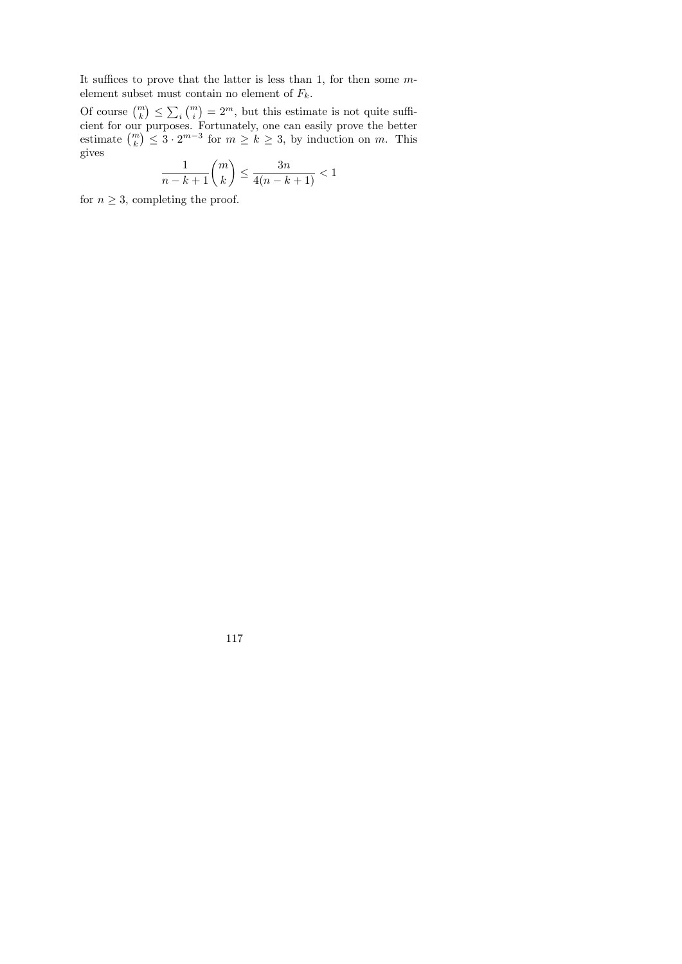It suffices to prove that the latter is less than 1, for then some  $m$ element subset must contain no element of  $F_k$ .

Of course  $\binom{m}{k} \leq \sum_i \binom{m}{i} = 2^m$ , but this estimate is not quite sufficient for our purposes. Fortunately, one can easily prove the better estimate  $\binom{m}{k} \leq 3 \cdot 2^{m-3}$  for  $m \geq k \geq 3$ , by induction on m. This gives

$$
\frac{1}{n-k+1} \binom{m}{k} \le \frac{3n}{4(n-k+1)} < 1
$$

for  $n \geq 3$ , completing the proof.

117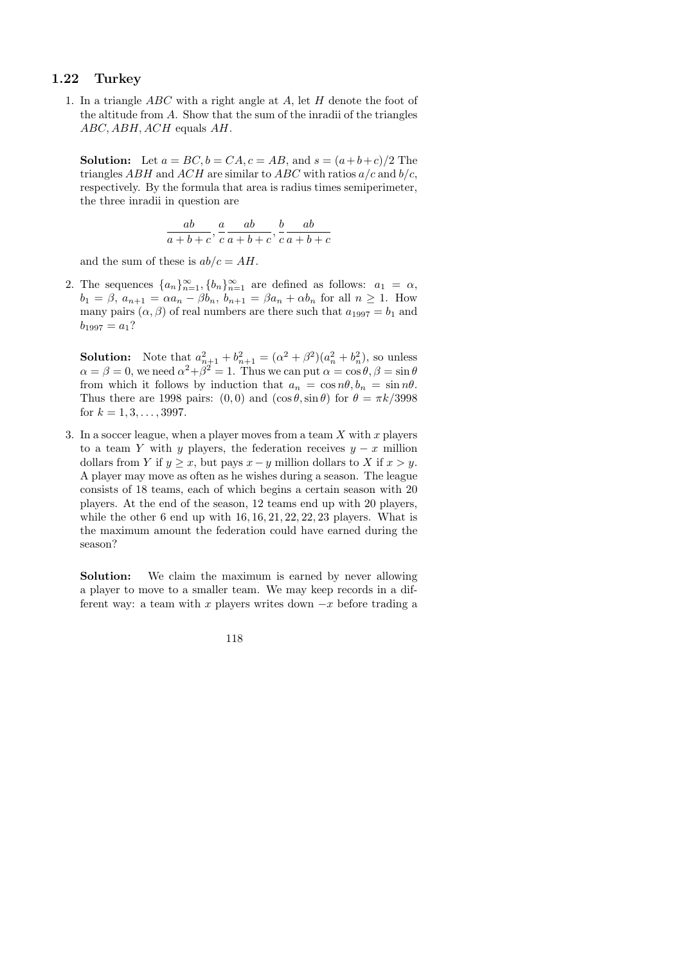#### 1.22 Turkey

1. In a triangle ABC with a right angle at A, let H denote the foot of the altitude from A. Show that the sum of the inradii of the triangles ABC, ABH, ACH equals AH.

**Solution:** Let  $a = BC$ ,  $b = CA$ ,  $c = AB$ , and  $s = (a+b+c)/2$  The triangles  $ABH$  and  $ACH$  are similar to  $ABC$  with ratios  $a/c$  and  $b/c$ , respectively. By the formula that area is radius times semiperimeter, the three inradii in question are

$$
\frac{ab}{a+b+c}, \frac{a}{c}\frac{ab}{a+b+c}, \frac{b}{c}\frac{ab}{a+b+c}
$$

and the sum of these is  $ab/c = AH$ .

2. The sequences  ${a_n}_{n=1}^{\infty}, {b_n}_{n=1}^{\infty}$  are defined as follows:  $a_1 = \alpha$ ,  $b_1 = \beta$ ,  $a_{n+1} = \alpha a_n - \beta b_n$ ,  $b_{n+1} = \beta a_n + \alpha b_n$  for all  $n \ge 1$ . How many pairs  $(\alpha, \beta)$  of real numbers are there such that  $a_{1997} = b_1$  and  $b_{1997} = a_1?$ 

**Solution:** Note that  $a_{n+1}^2 + b_{n+1}^2 = (\alpha^2 + \beta^2)(a_n^2 + b_n^2)$ , so unless  $\alpha = \beta = 0$ , we need  $\alpha^2 + \beta^2 = 1$ . Thus we can put  $\alpha = \cos \theta, \beta = \sin \theta$ from which it follows by induction that  $a_n = \cos n\theta, b_n = \sin n\theta$ . Thus there are 1998 pairs:  $(0,0)$  and  $(\cos \theta, \sin \theta)$  for  $\theta = \pi k/3998$ for  $k = 1, 3, \ldots, 3997$ .

3. In a soccer league, when a player moves from a team  $X$  with  $x$  players to a team Y with y players, the federation receives  $y - x$  million dollars from Y if  $y \geq x$ , but pays  $x - y$  million dollars to X if  $x > y$ . A player may move as often as he wishes during a season. The league consists of 18 teams, each of which begins a certain season with 20 players. At the end of the season, 12 teams end up with 20 players, while the other 6 end up with  $16, 16, 21, 22, 22, 23$  players. What is the maximum amount the federation could have earned during the season?

Solution: We claim the maximum is earned by never allowing a player to move to a smaller team. We may keep records in a different way: a team with x players writes down  $-x$  before trading a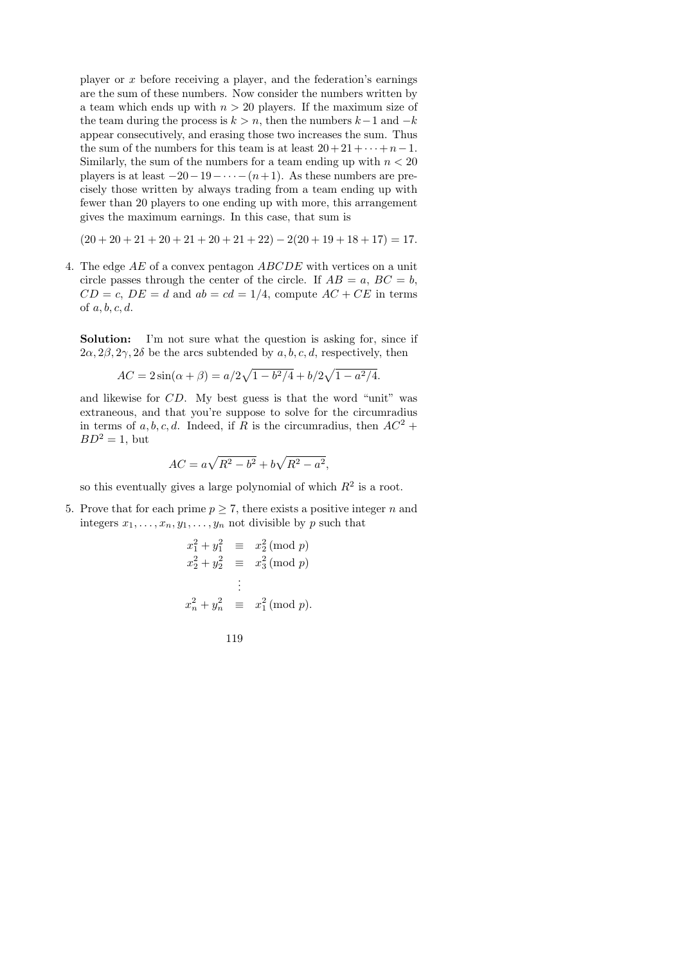player or  $x$  before receiving a player, and the federation's earnings are the sum of these numbers. Now consider the numbers written by a team which ends up with  $n > 20$  players. If the maximum size of the team during the process is  $k > n$ , then the numbers  $k-1$  and  $-k$ appear consecutively, and erasing those two increases the sum. Thus the sum of the numbers for this team is at least  $20 + 21 + \cdots + n-1$ . Similarly, the sum of the numbers for a team ending up with  $n < 20$ players is at least  $-20-19-\cdots-(n+1)$ . As these numbers are precisely those written by always trading from a team ending up with fewer than 20 players to one ending up with more, this arrangement gives the maximum earnings. In this case, that sum is

$$
(20 + 20 + 21 + 20 + 21 + 20 + 21 + 22) - 2(20 + 19 + 18 + 17) = 17.
$$

4. The edge AE of a convex pentagon ABCDE with vertices on a unit circle passes through the center of the circle. If  $AB = a$ ,  $BC = b$ ,  $CD = c$ ,  $DE = d$  and  $ab = cd = 1/4$ , compute  $AC + CE$  in terms of  $a, b, c, d$ .

Solution: I'm not sure what the question is asking for, since if  $2\alpha$ ,  $2\beta$ ,  $2\gamma$ ,  $2\delta$  be the arcs subtended by a, b, c, d, respectively, then

$$
AC = 2\sin(\alpha + \beta) = a/2\sqrt{1 - b^2/4} + b/2\sqrt{1 - a^2/4}.
$$

and likewise for CD. My best guess is that the word "unit" was extraneous, and that you're suppose to solve for the circumradius in terms of a, b, c, d. Indeed, if R is the circumradius, then  $AC^2$  +  $BD^2 = 1$ , but

$$
AC = a\sqrt{R^2 - b^2} + b\sqrt{R^2 - a^2},
$$

so this eventually gives a large polynomial of which  $R^2$  is a root.

5. Prove that for each prime  $p \geq 7$ , there exists a positive integer n and integers  $x_1, \ldots, x_n, y_1, \ldots, y_n$  not divisible by p such that

$$
x_1^2 + y_1^2 \equiv x_2^2 \pmod{p}
$$
  
\n
$$
x_2^2 + y_2^2 \equiv x_3^2 \pmod{p}
$$
  
\n
$$
\vdots
$$
  
\n
$$
x_n^2 + y_n^2 \equiv x_1^2 \pmod{p}.
$$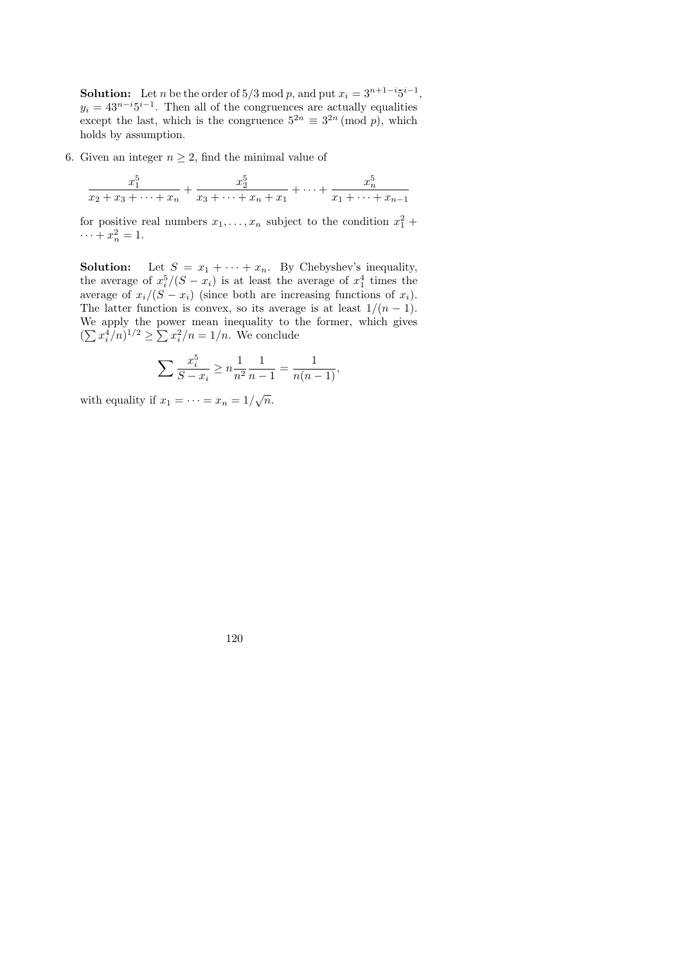**Solution:** Let *n* be the order of 5/3 mod *p*, and put  $x_i = 3^{n+1-i}5^{i-1}$ ,  $y_i = 43^{n-i}5^{i-1}$ . Then all of the congruences are actually equalities except the last, which is the congruence  $5^{2n} \equiv 3^{2n} \pmod{p}$ , which holds by assumption.

6. Given an integer  $n \geq 2$ , find the minimal value of

$$
\frac{x_1^5}{x_2 + x_3 + \dots + x_n} + \frac{x_2^5}{x_3 + \dots + x_n + x_1} + \dots + \frac{x_n^5}{x_1 + \dots + x_{n-1}}
$$

for positive real numbers  $x_1, \ldots, x_n$  subject to the condition  $x_1^2 +$  $\cdots + x_n^2 = 1.$ 

**Solution:** Let  $S = x_1 + \cdots + x_n$ . By Chebyshev's inequality, the average of  $x_i^5/(S-x_i)$  is at least the average of  $x_1^4$  times the average of  $x_i/(S - x_i)$  (since both are increasing functions of  $x_i$ ). The latter function is convex, so its average is at least  $1/(n-1)$ . We apply the power mean inequality to the former, which gives  $(\sum x_i^4/n)^{1/2} \ge \sum x_i^2/n = 1/n$ . We conclude

$$
\sum \frac{x_i^5}{S - x_i} \ge n \frac{1}{n^2} \frac{1}{n - 1} = \frac{1}{n(n - 1)},
$$

with equality if  $x_1 = \cdots = x_n = 1/\sqrt{2}$  $\overline{n}$ .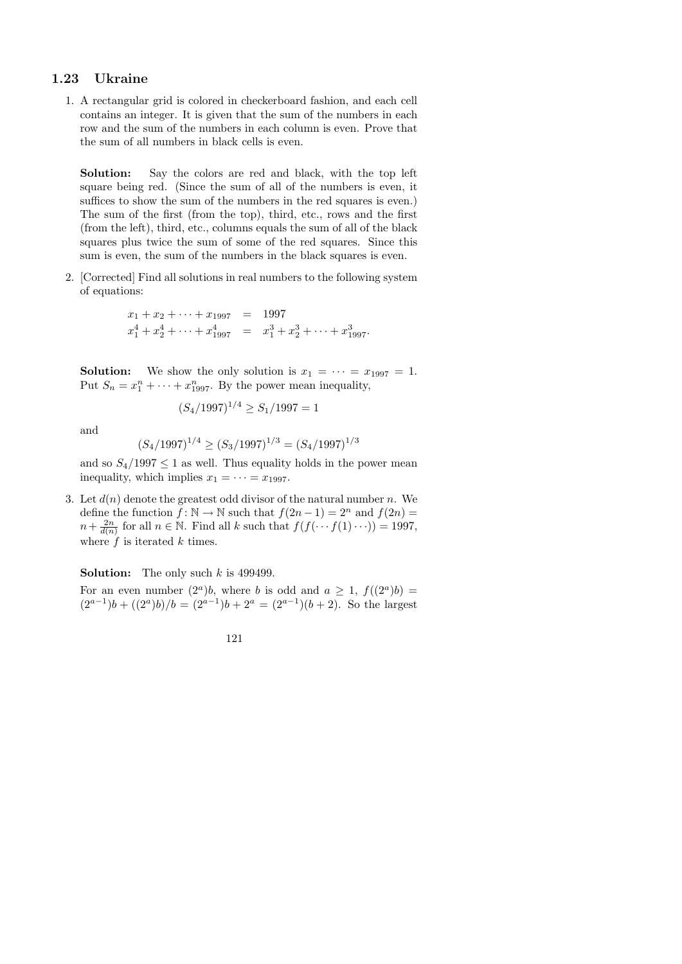### 1.23 Ukraine

1. A rectangular grid is colored in checkerboard fashion, and each cell contains an integer. It is given that the sum of the numbers in each row and the sum of the numbers in each column is even. Prove that the sum of all numbers in black cells is even.

Solution: Say the colors are red and black, with the top left square being red. (Since the sum of all of the numbers is even, it suffices to show the sum of the numbers in the red squares is even.) The sum of the first (from the top), third, etc., rows and the first (from the left), third, etc., columns equals the sum of all of the black squares plus twice the sum of some of the red squares. Since this sum is even, the sum of the numbers in the black squares is even.

2. [Corrected] Find all solutions in real numbers to the following system of equations:

$$
x_1 + x_2 + \dots + x_{1997} = 1997
$$
  

$$
x_1^4 + x_2^4 + \dots + x_{1997}^4 = x_1^3 + x_2^3 + \dots + x_{1997}^3.
$$

**Solution:** We show the only solution is  $x_1 = \cdots = x_{1997} = 1$ . Put  $S_n = x_1^n + \cdots + x_{1997}^n$ . By the power mean inequality,

$$
(S_4/1997)^{1/4} \ge S_1/1997 = 1
$$

and

$$
(S_4/1997)^{1/4} \ge (S_3/1997)^{1/3} = (S_4/1997)^{1/3}
$$

and so  $S_4/1997 \leq 1$  as well. Thus equality holds in the power mean inequality, which implies  $x_1 = \cdots = x_{1997}$ .

3. Let  $d(n)$  denote the greatest odd divisor of the natural number n. We define the function  $f : \mathbb{N} \to \mathbb{N}$  such that  $f(2n-1) = 2^n$  and  $f(2n) =$  $n + \frac{2n}{d(n)}$  for all  $n \in \mathbb{N}$ . Find all k such that  $f(f(\cdots f(1) \cdots)) = 1997$ , where  $f$  is iterated  $k$  times.

**Solution:** The only such  $k$  is 499499.

For an even number  $(2^a)b$ , where b is odd and  $a \ge 1$ ,  $f((2^a)b) =$  $(2^{a-1})b + ((2^a)b)/b = (2^{a-1})b + 2^a = (2^{a-1})(b+2)$ . So the largest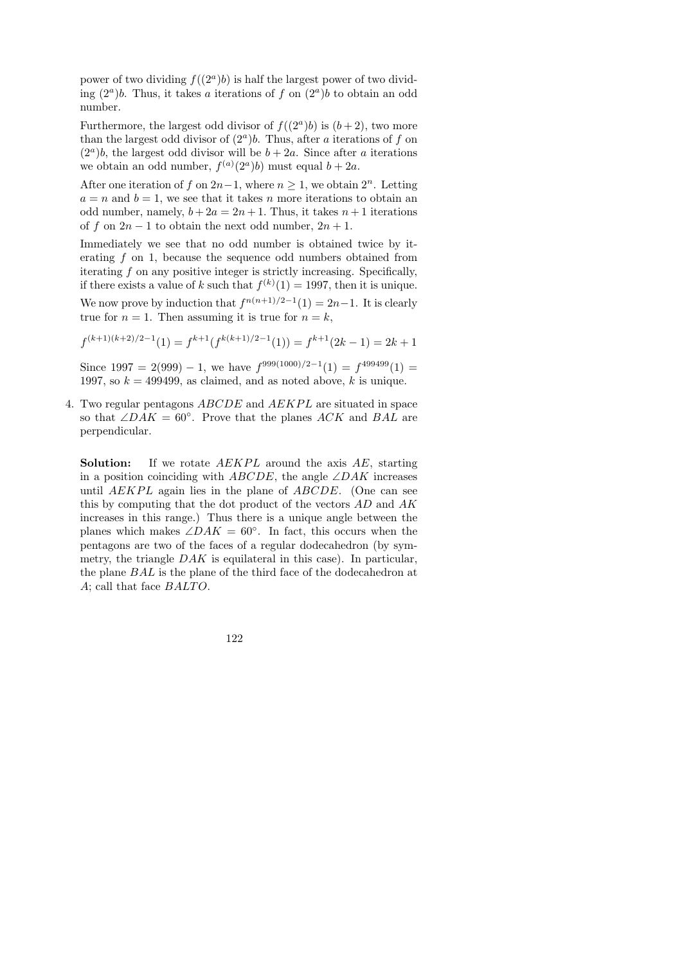power of two dividing  $f((2<sup>a</sup>)b)$  is half the largest power of two dividing  $(2<sup>a</sup>)b$ . Thus, it takes a iterations of f on  $(2<sup>a</sup>)b$  to obtain an odd number.

Furthermore, the largest odd divisor of  $f((2<sup>a</sup>)b)$  is  $(b+2)$ , two more than the largest odd divisor of  $(2<sup>a</sup>)b$ . Thus, after a iterations of f on  $(2<sup>a</sup>)b$ , the largest odd divisor will be  $b + 2a$ . Since after a iterations we obtain an odd number,  $f^{(a)}(2^a)$ b) must equal  $b + 2a$ .

After one iteration of f on  $2n-1$ , where  $n \geq 1$ , we obtain  $2<sup>n</sup>$ . Letting  $a = n$  and  $b = 1$ , we see that it takes n more iterations to obtain an odd number, namely,  $b + 2a = 2n + 1$ . Thus, it takes  $n + 1$  iterations of f on  $2n-1$  to obtain the next odd number,  $2n+1$ .

Immediately we see that no odd number is obtained twice by iterating  $f$  on 1, because the sequence odd numbers obtained from iterating  $f$  on any positive integer is strictly increasing. Specifically, if there exists a value of k such that  $f^{(k)}(1) = 1997$ , then it is unique. We now prove by induction that  $f^{n(n+1)/2-1}(1) = 2n-1$ . It is clearly true for  $n = 1$ . Then assuming it is true for  $n = k$ ,

 $f^{(k+1)(k+2)/2-1}(1) = f^{k+1}(f^{k(k+1)/2-1}(1)) = f^{k+1}(2k-1) = 2k+1$ 

Since  $1997 = 2(999) - 1$ , we have  $f^{999(1000)/2-1}(1) = f^{499499}(1) =$ 1997, so  $k = 499499$ , as claimed, and as noted above, k is unique.

4. Two regular pentagons ABCDE and AEKPL are situated in space so that  $\angle DAK = 60^{\circ}$ . Prove that the planes ACK and BAL are perpendicular.

**Solution:** If we rotate  $A\ EKPL$  around the axis  $AE$ , starting in a position coinciding with  $ABCDE$ , the angle ∠DAK increases until  $AEKPL$  again lies in the plane of  $ABCDE$ . (One can see this by computing that the dot product of the vectors AD and AK increases in this range.) Thus there is a unique angle between the planes which makes  $\angle DAK = 60^\circ$ . In fact, this occurs when the pentagons are two of the faces of a regular dodecahedron (by symmetry, the triangle  $DAK$  is equilateral in this case). In particular, the plane BAL is the plane of the third face of the dodecahedron at A; call that face  $BALTO$ .

$$
122\,
$$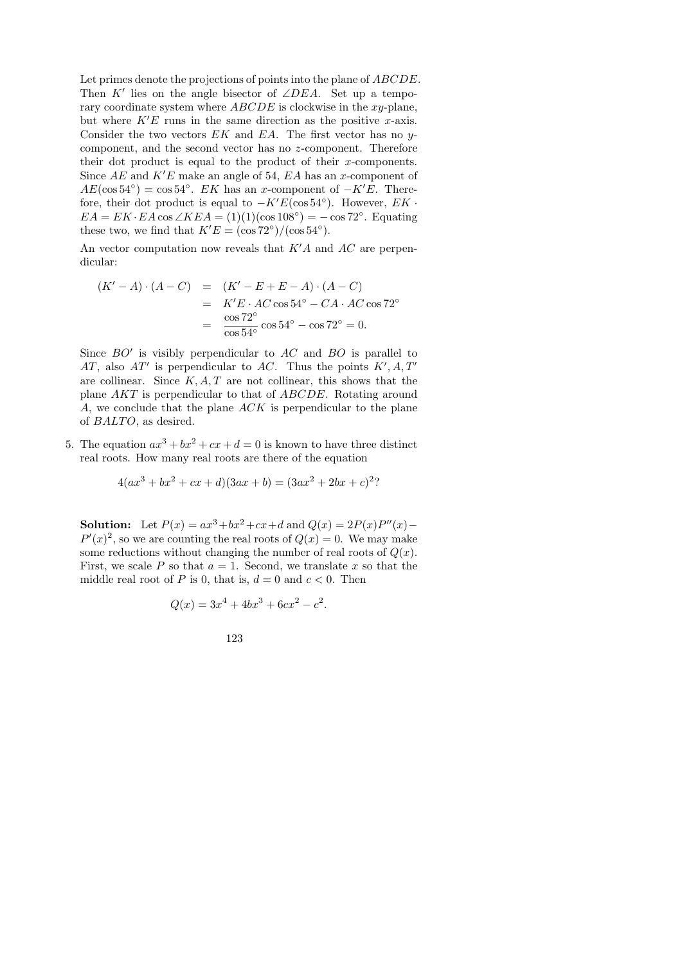Let primes denote the projections of points into the plane of ABCDE. Then K' lies on the angle bisector of ∠DEA. Set up a temporary coordinate system where ABCDE is clockwise in the xy-plane, but where  $K'E$  runs in the same direction as the positive x-axis. Consider the two vectors  $EK$  and  $EA$ . The first vector has no ycomponent, and the second vector has no z-component. Therefore their dot product is equal to the product of their  $x$ -components. Since  $AE$  and  $K'E$  make an angle of 54,  $EA$  has an x-component of  $AE(\cos 54^\circ) = \cos 54^\circ$ . *EK* has an x-component of  $-K'E$ . Therefore, their dot product is equal to  $-K'E(\cos 54°)$ . However,  $EK \cdot$  $EA = EK \cdot EA \cos \angle KEA = (1)(1)(\cos 108^\circ) = -\cos 72^\circ$ . Equating these two, we find that  $K'E = (\cos 72^{\circ})/(\cos 54^{\circ}).$ 

An vector computation now reveals that  $K'A$  and  $AC$  are perpendicular:

$$
(K' - A) \cdot (A - C) = (K' - E + E - A) \cdot (A - C)
$$
  
=  $K' E \cdot AC \cos 54^\circ - CA \cdot AC \cos 72^\circ$   
=  $\frac{\cos 72^\circ}{\cos 54^\circ} \cos 54^\circ - \cos 72^\circ = 0.$ 

Since  $BO'$  is visibly perpendicular to  $AC$  and  $BO$  is parallel to AT, also AT' is perpendicular to AC. Thus the points  $K', A, T'$ are collinear. Since  $K, A, T$  are not collinear, this shows that the plane AKT is perpendicular to that of ABCDE. Rotating around A, we conclude that the plane ACK is perpendicular to the plane of  $BALTO$ , as desired.

5. The equation  $ax^3 + bx^2 + cx + d = 0$  is known to have three distinct real roots. How many real roots are there of the equation

$$
4(ax^3 + bx^2 + cx + d)(3ax + b) = (3ax^2 + 2bx + c)^2?
$$

**Solution:** Let  $P(x) = ax^3 + bx^2 + cx + d$  and  $Q(x) = 2P(x)P''(x) P'(x)^2$ , so we are counting the real roots of  $Q(x) = 0$ . We may make some reductions without changing the number of real roots of  $Q(x)$ . First, we scale P so that  $a = 1$ . Second, we translate x so that the middle real root of  $P$  is 0, that is,  $d = 0$  and  $c < 0$ . Then

$$
Q(x) = 3x^4 + 4bx^3 + 6cx^2 - c^2.
$$

$$
123\,
$$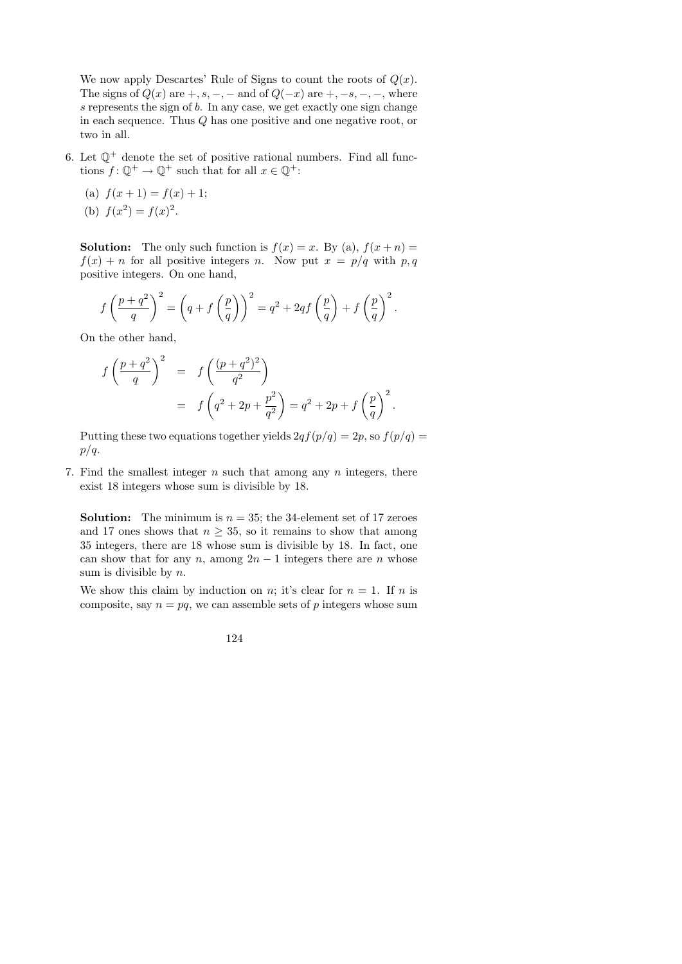We now apply Descartes' Rule of Signs to count the roots of  $Q(x)$ . The signs of  $Q(x)$  are  $+, s, -, -$  and of  $Q(-x)$  are  $+, -s, -, -$ , where  $s$  represents the sign of  $b$ . In any case, we get exactly one sign change in each sequence. Thus Q has one positive and one negative root, or two in all.

- 6. Let  $\mathbb{Q}^+$  denote the set of positive rational numbers. Find all functions  $f: \mathbb{Q}^+ \to \mathbb{Q}^+$  such that for all  $x \in \mathbb{Q}^+$ :
	- (a)  $f(x+1) = f(x) + 1;$
	- (b)  $f(x^2) = f(x)^2$ .

**Solution:** The only such function is  $f(x) = x$ . By (a),  $f(x+n) =$  $f(x) + n$  for all positive integers n. Now put  $x = p/q$  with p, q positive integers. On one hand,

$$
f\left(\frac{p+q^2}{q}\right)^2 = \left(q+f\left(\frac{p}{q}\right)\right)^2 = q^2 + 2qf\left(\frac{p}{q}\right) + f\left(\frac{p}{q}\right)^2.
$$

On the other hand,

$$
f\left(\frac{p+q^2}{q}\right)^2 = f\left(\frac{(p+q^2)^2}{q^2}\right)
$$
  
=  $f\left(q^2+2p+\frac{p^2}{q^2}\right) = q^2+2p+f\left(\frac{p}{q}\right)^2$ .

Putting these two equations together yields  $2qf(p/q) = 2p$ , so  $f(p/q) =$  $p/q$ .

7. Find the smallest integer  $n$  such that among any  $n$  integers, there exist 18 integers whose sum is divisible by 18.

**Solution:** The minimum is  $n = 35$ ; the 34-element set of 17 zeroes and 17 ones shows that  $n \geq 35$ , so it remains to show that among 35 integers, there are 18 whose sum is divisible by 18. In fact, one can show that for any n, among  $2n-1$  integers there are n whose sum is divisible by  $n$ .

We show this claim by induction on n; it's clear for  $n = 1$ . If n is composite, say  $n = pq$ , we can assemble sets of p integers whose sum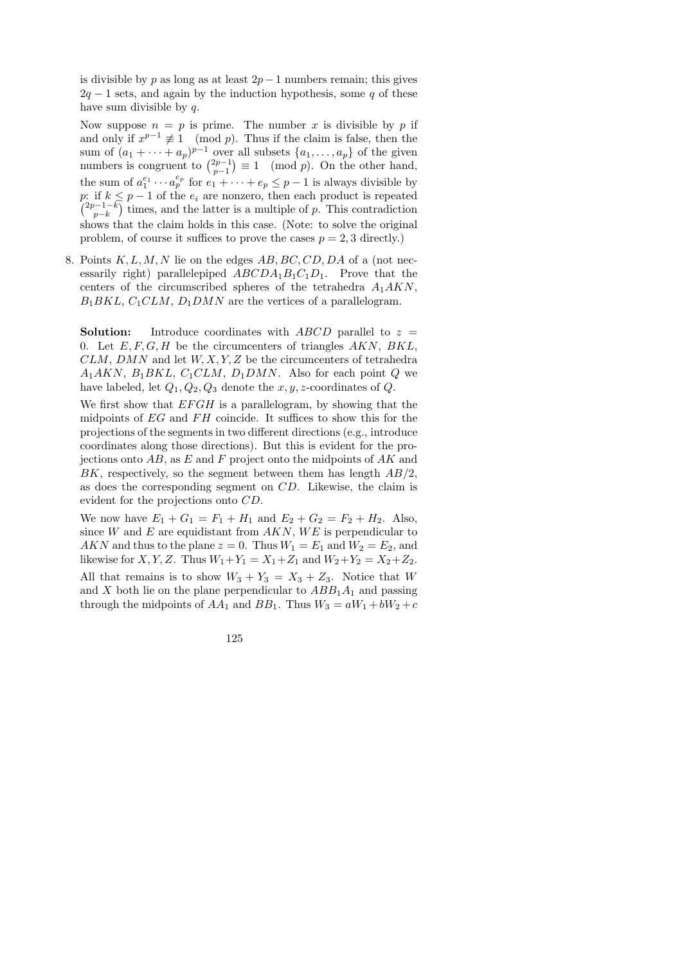is divisible by p as long as at least  $2p-1$  numbers remain; this gives  $2q - 1$  sets, and again by the induction hypothesis, some q of these have sum divisible by  $q$ .

Now suppose  $n = p$  is prime. The number x is divisible by p if and only if  $x^{p-1} \not\equiv 1 \pmod{p}$ . Thus if the claim is false, then the sum of  $(a_1 + \cdots + a_p)^{p-1}$  over all subsets  $\{a_1, \ldots, a_p\}$  of the given numbers is congruent to  $\binom{2p-1}{p-1} \equiv 1 \pmod{p}$ . On the other hand, the sum of  $a_1^{e_1} \cdots a_p^{e_p}$  for  $e_1 + \cdots + e_p \leq p-1$  is always divisible by p: if  $k \leq p-1$  of the  $e_i$  are nonzero, then each product is repeated  $\left(\begin{matrix}2p-1-k\\p-k\end{matrix}\right)$  times, and the latter is a multiple of p. This contradiction shows that the claim holds in this case. (Note: to solve the original problem, of course it suffices to prove the cases  $p = 2, 3$  directly.)

8. Points  $K, L, M, N$  lie on the edges  $AB, BC, CD, DA$  of a (not necessarily right) parallelepiped  $ABCDA_1B_1C_1D_1$ . Prove that the centers of the circumscribed spheres of the tetrahedra  $A_1AKN$ ,  $B_1BKL$ ,  $C_1CLM$ ,  $D_1DMN$  are the vertices of a parallelogram.

**Solution:** Introduce coordinates with  $ABCD$  parallel to  $z =$ 0. Let  $E, F, G, H$  be the circumcenters of triangles  $AKN$ ,  $BKL$ ,  $CLM$ ,  $DMN$  and let  $W, X, Y, Z$  be the circumcenters of tetrahedra  $A_1AKN$ ,  $B_1BKL$ ,  $C_1CLM$ ,  $D_1DMN$ . Also for each point Q we have labeled, let  $Q_1, Q_2, Q_3$  denote the x, y, z-coordinates of Q.

We first show that  $EFGH$  is a parallelogram, by showing that the midpoints of  $EG$  and  $FH$  coincide. It suffices to show this for the projections of the segments in two different directions (e.g., introduce coordinates along those directions). But this is evident for the projections onto  $AB$ , as E and F project onto the midpoints of AK and  $BK$ , respectively, so the segment between them has length  $AB/2$ , as does the corresponding segment on CD. Likewise, the claim is evident for the projections onto CD.

We now have  $E_1 + G_1 = F_1 + H_1$  and  $E_2 + G_2 = F_2 + H_2$ . Also, since  $W$  and  $E$  are equidistant from  $AKN$ ,  $WE$  is perpendicular to AKN and thus to the plane  $z = 0$ . Thus  $W_1 = E_1$  and  $W_2 = E_2$ , and likewise for X, Y, Z. Thus  $W_1 + Y_1 = X_1 + Z_1$  and  $W_2 + Y_2 = X_2 + Z_2$ . All that remains is to show  $W_3 + Y_3 = X_3 + Z_3$ . Notice that W and X both lie on the plane perpendicular to  $ABB_1A_1$  and passing through the midpoints of  $AA_1$  and  $BB_1$ . Thus  $W_3 = aW_1 + bW_2 + c$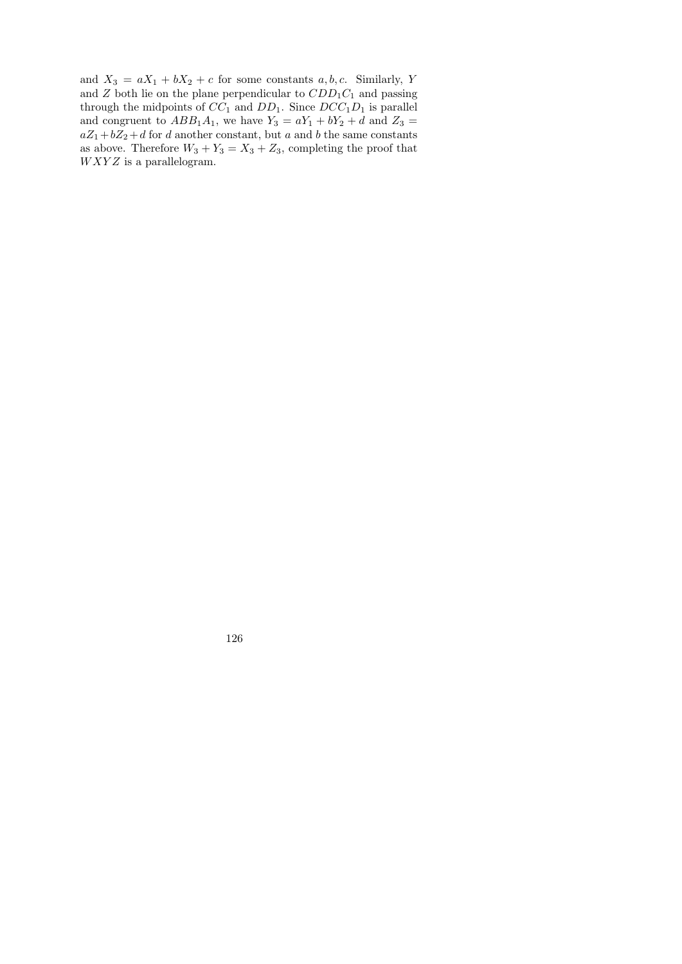and  $X_3 = aX_1 + bX_2 + c$  for some constants  $a, b, c$ . Similarly, Y and  $Z$  both lie on the plane perpendicular to  $CDD_1C_1$  and passing through the midpoints of  $CC_1$  and  $DD_1$ . Since  $DCC_1D_1$  is parallel and congruent to  $ABB_1A_1$ , we have  $Y_3 = aY_1 + bY_2 + d$  and  $Z_3 =$  $aZ_1 + bZ_2 + d$  for d another constant, but a and b the same constants as above. Therefore  $W_3 + Y_3 = X_3 + Z_3$ , completing the proof that  $WXYZ$  is a parallelogram.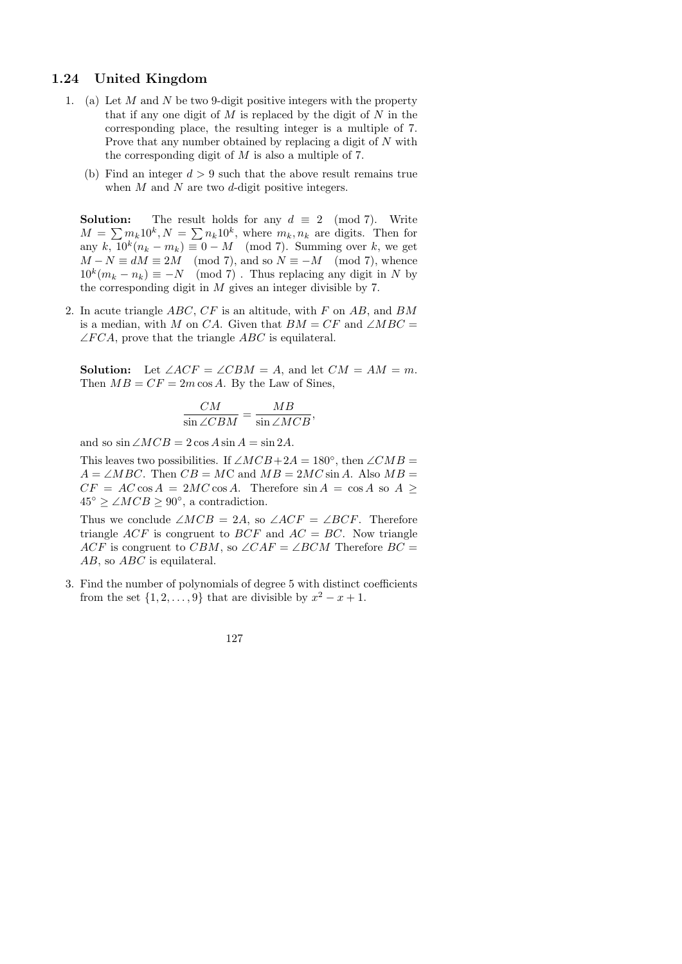### 1.24 United Kingdom

- 1. (a) Let  $M$  and  $N$  be two 9-digit positive integers with the property that if any one digit of  $M$  is replaced by the digit of  $N$  in the corresponding place, the resulting integer is a multiple of 7. Prove that any number obtained by replacing a digit of N with the corresponding digit of  $M$  is also a multiple of 7.
	- (b) Find an integer  $d > 9$  such that the above result remains true when  $M$  and  $N$  are two  $d$ -digit positive integers.

**Solution:** The result holds for any  $d \equiv 2 \pmod{7}$ . Write  $M = \sum_{k=1}^{\infty} m_k 10^k$ , where  $m_k, n_k$  are digits. Then for any  $k, 10^k(n_k - m_k) \equiv 0 - M \pmod{7}$ . Summing over k, we get  $M - N \equiv dM \equiv 2M \pmod{7}$ , and so  $N \equiv -M \pmod{7}$ , whence  $10^k(m_k - n_k) \equiv -N \pmod{7}$ . Thus replacing any digit in N by the corresponding digit in  $M$  gives an integer divisible by 7.

2. In acute triangle  $ABC$ ,  $CF$  is an altitude, with  $F$  on  $AB$ , and  $BM$ is a median, with M on CA. Given that  $BM = CF$  and  $\angle MBC =$  $\angle FCA$ , prove that the triangle ABC is equilateral.

**Solution:** Let  $\angle ACF = \angle CBM = A$ , and let  $CM = AM = m$ . Then  $MB = CF = 2m \cos A$ . By the Law of Sines,

$$
\frac{CM}{\sin \angle CBM} = \frac{MB}{\sin \angle MCB},
$$

and so  $\sin \angle MCB = 2 \cos A \sin A = \sin 2A$ .

This leaves two possibilities. If  $\angle MCB + 2A = 180^\circ$ , then  $\angle CMB =$  $A = \angle MBC$ . Then  $CB = MC$  and  $MB = 2MC \sin A$ . Also  $MB =$  $CF = AC \cos A = 2MC \cos A$ . Therefore  $\sin A = \cos A$  so  $A \ge$  $45^{\circ} \geq \angle MCB \geq 90^{\circ}$ , a contradiction.

Thus we conclude  $\angle MCB = 2A$ , so  $\angle ACF = \angle BCF$ . Therefore triangle ACF is congruent to BCF and  $AC = BC$ . Now triangle ACF is congruent to CBM, so  $\angle CAF = \angle BCM$  Therefore BC = AB, so ABC is equilateral.

3. Find the number of polynomials of degree 5 with distinct coefficients from the set  $\{1, 2, \ldots, 9\}$  that are divisible by  $x^2 - x + 1$ .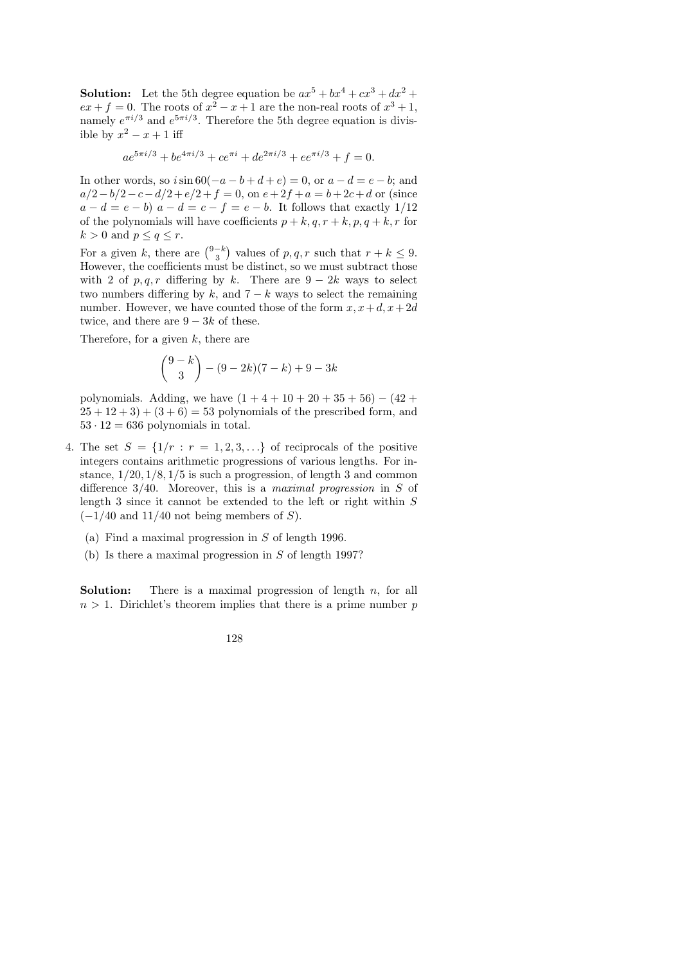**Solution:** Let the 5th degree equation be  $ax^5 + bx^4 + cx^3 + dx^2 +$  $ex + f = 0$ . The roots of  $x^2 - x + 1$  are the non-real roots of  $x^3 + 1$ , namely  $e^{\pi i/3}$  and  $e^{5\pi i/3}$ . Therefore the 5th degree equation is divisible by  $x^2 - x + 1$  iff

$$
ae^{5\pi i/3} + be^{4\pi i/3} + ce^{\pi i} + de^{2\pi i/3} + ee^{\pi i/3} + f = 0.
$$

In other words, so  $i \sin 60(-a - b + d + e) = 0$ , or  $a - d = e - b$ ; and  $a/2-b/2-c-d/2+e/2+f=0$ , on  $e+2f+a=b+2c+d$  or (since  $a - d = e - b$ )  $a - d = c - f = e - b$ . It follows that exactly 1/12 of the polynomials will have coefficients  $p + k, q, r + k, p, q + k, r$  for  $k > 0$  and  $p \leq q \leq r$ .

For a given k, there are  $\binom{9-k}{3}$  values of p, q, r such that  $r + k \leq 9$ . However, the coefficients must be distinct, so we must subtract those with 2 of  $p, q, r$  differing by k. There are  $9 - 2k$  ways to select two numbers differing by k, and  $7 - k$  ways to select the remaining number. However, we have counted those of the form  $x, x+d, x+2d$ twice, and there are  $9 - 3k$  of these.

Therefore, for a given  $k$ , there are

$$
\binom{9-k}{3} - (9-2k)(7-k) + 9 - 3k
$$

polynomials. Adding, we have  $(1 + 4 + 10 + 20 + 35 + 56) - (42 +$  $25 + 12 + 3 + (3 + 6) = 53$  polynomials of the prescribed form, and  $53 \cdot 12 = 636$  polynomials in total.

- 4. The set  $S = \{1/r : r = 1, 2, 3, \ldots\}$  of reciprocals of the positive integers contains arithmetic progressions of various lengths. For instance,  $1/20$ ,  $1/8$ ,  $1/5$  is such a progression, of length 3 and common difference  $3/40$ . Moreover, this is a *maximal progression* in S of length 3 since it cannot be extended to the left or right within S  $(-1/40$  and  $11/40$  not being members of S).
	- (a) Find a maximal progression in S of length 1996.
	- (b) Is there a maximal progression in S of length 1997?

**Solution:** There is a maximal progression of length  $n$ , for all  $n > 1$ . Dirichlet's theorem implies that there is a prime number p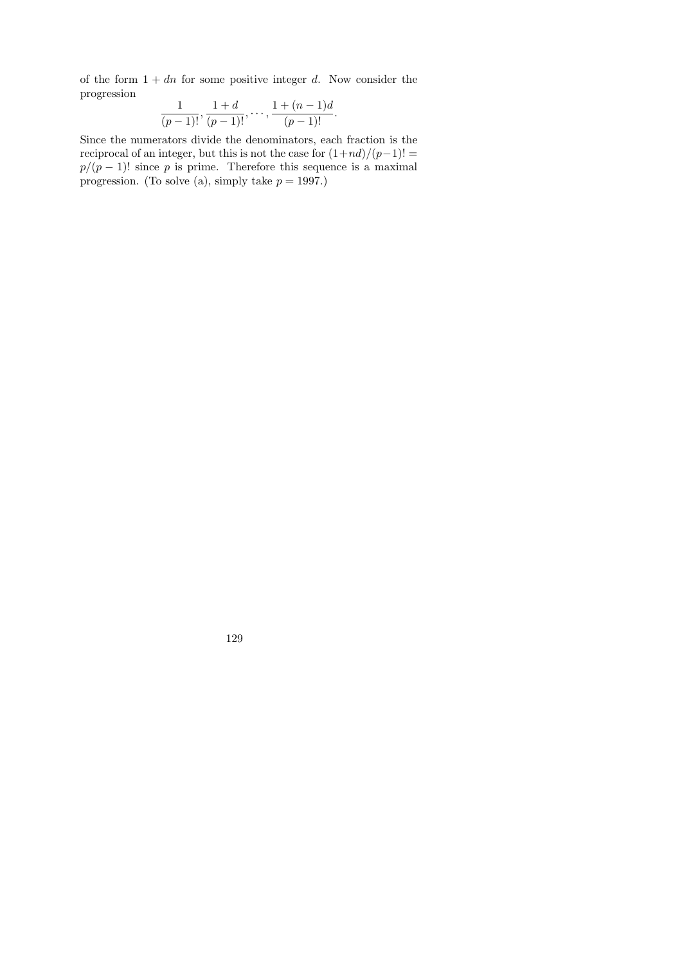of the form  $1 + dn$  for some positive integer d. Now consider the progression

$$
\frac{1}{(p-1)!}, \frac{1+d}{(p-1)!}, \dots, \frac{1+(n-1)d}{(p-1)!}.
$$

Since the numerators divide the denominators, each fraction is the reciprocal of an integer, but this is not the case for  $(1+nd)/(p-1)!$  =  $p/(p-1)!$  since p is prime. Therefore this sequence is a maximal progression. (To solve (a), simply take  $p = 1997$ .)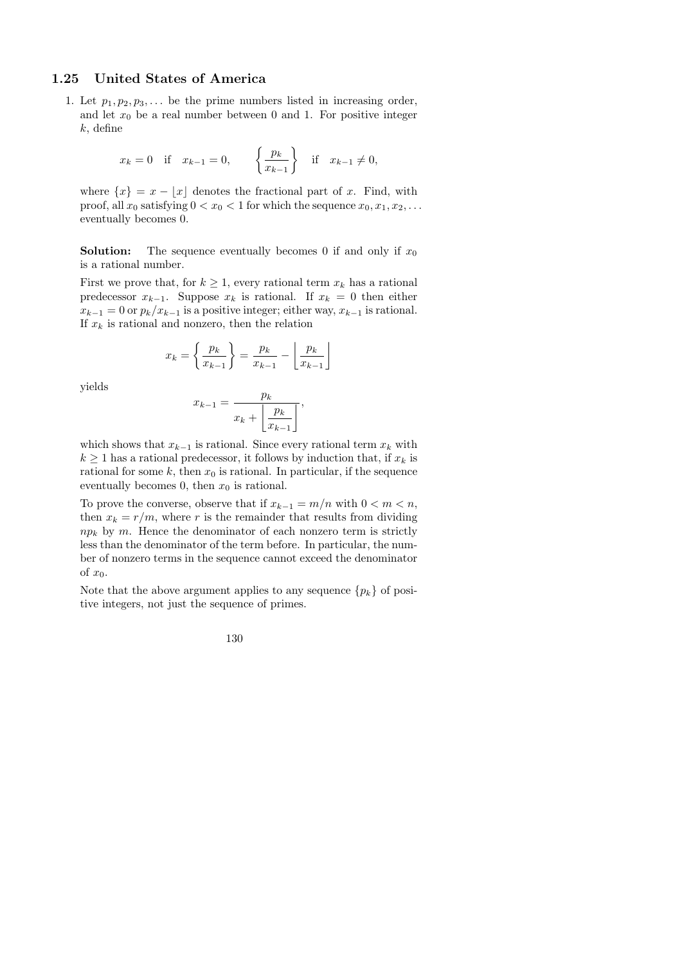## 1.25 United States of America

1. Let  $p_1, p_2, p_3, \ldots$  be the prime numbers listed in increasing order, and let  $x_0$  be a real number between 0 and 1. For positive integer  $k$ , define

$$
x_k = 0
$$
 if  $x_{k-1} = 0$ ,  $\left\{\frac{p_k}{x_{k-1}}\right\}$  if  $x_{k-1} \neq 0$ ,

where  $\{x\} = x - |x|$  denotes the fractional part of x. Find, with proof, all  $x_0$  satisfying  $0 < x_0 < 1$  for which the sequence  $x_0, x_1, x_2, \ldots$ eventually becomes 0.

**Solution:** The sequence eventually becomes 0 if and only if  $x_0$ is a rational number.

First we prove that, for  $k \geq 1$ , every rational term  $x_k$  has a rational predecessor  $x_{k-1}$ . Suppose  $x_k$  is rational. If  $x_k = 0$  then either  $x_{k-1} = 0$  or  $p_k/x_{k-1}$  is a positive integer; either way,  $x_{k-1}$  is rational. If  $x_k$  is rational and nonzero, then the relation

$$
x_k = \left\{ \frac{p_k}{x_{k-1}} \right\} = \frac{p_k}{x_{k-1}} - \left\lfloor \frac{p_k}{x_{k-1}} \right\rfloor
$$

yields

$$
x_{k-1} = \frac{p_k}{x_k + \left\lfloor \frac{p_k}{x_{k-1}} \right\rfloor},
$$

which shows that  $x_{k-1}$  is rational. Since every rational term  $x_k$  with  $k \geq 1$  has a rational predecessor, it follows by induction that, if  $x_k$  is rational for some k, then  $x_0$  is rational. In particular, if the sequence eventually becomes 0, then  $x_0$  is rational.

To prove the converse, observe that if  $x_{k-1} = m/n$  with  $0 < m < n$ , then  $x_k = r/m$ , where r is the remainder that results from dividing  $np_k$  by m. Hence the denominator of each nonzero term is strictly less than the denominator of the term before. In particular, the number of nonzero terms in the sequence cannot exceed the denominator of  $x_0$ .

Note that the above argument applies to any sequence  $\{p_k\}$  of positive integers, not just the sequence of primes.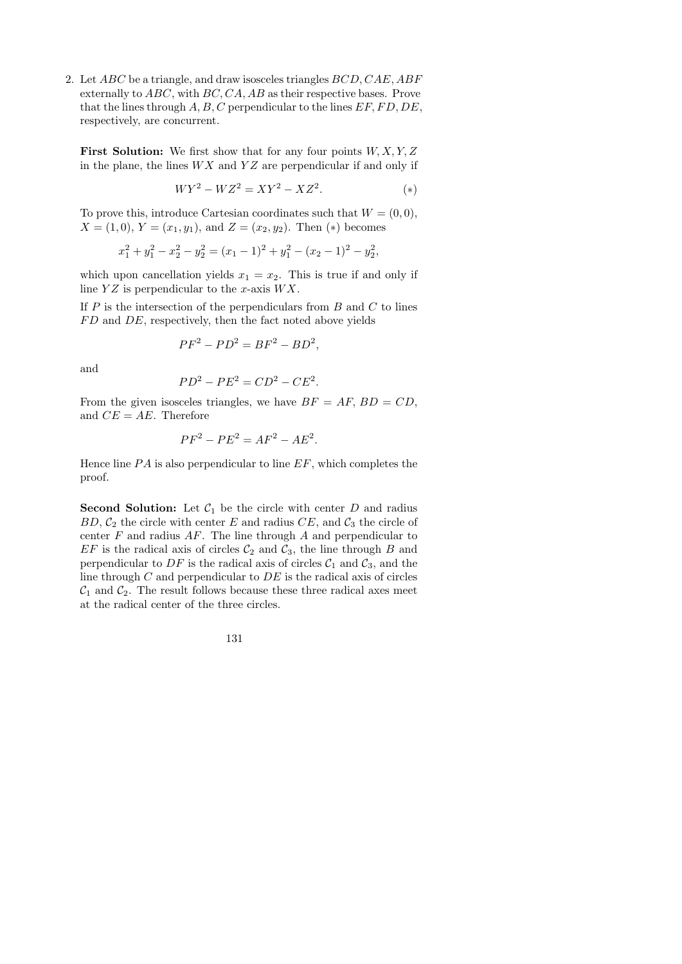2. Let  $ABC$  be a triangle, and draw isosceles triangles  $BCD, CAE, ABF$ externally to ABC, with BC, CA, AB as their respective bases. Prove that the lines through  $A, B, C$  perpendicular to the lines  $EF, FD, DE$ , respectively, are concurrent.

**First Solution:** We first show that for any four points  $W, X, Y, Z$ in the plane, the lines  $WX$  and  $YZ$  are perpendicular if and only if

$$
WY^2 - WZ^2 = XY^2 - XZ^2.
$$
 (\*)

To prove this, introduce Cartesian coordinates such that  $W = (0, 0)$ ,  $X = (1, 0), Y = (x_1, y_1),$  and  $Z = (x_2, y_2)$ . Then  $(*)$  becomes

$$
x_1^2 + y_1^2 - x_2^2 - y_2^2 = (x_1 - 1)^2 + y_1^2 - (x_2 - 1)^2 - y_2^2,
$$

which upon cancellation yields  $x_1 = x_2$ . This is true if and only if line  $YZ$  is perpendicular to the x-axis  $WX$ .

If  $P$  is the intersection of the perpendiculars from  $B$  and  $C$  to lines  $FD$  and  $DE$ , respectively, then the fact noted above yields

$$
PF^2 - PD^2 = BF^2 - BD^2,
$$

and

$$
PD^2 - PE^2 = CD^2 - CE^2.
$$

From the given isosceles triangles, we have  $BF = AF$ ,  $BD = CD$ , and  $CE = AE$ . Therefore

$$
PF^2 - PE^2 = AF^2 - AE^2.
$$

Hence line  $PA$  is also perpendicular to line  $EF$ , which completes the proof.

**Second Solution:** Let  $C_1$  be the circle with center D and radius BD,  $C_2$  the circle with center E and radius CE, and  $C_3$  the circle of center  $F$  and radius  $AF$ . The line through  $A$  and perpendicular to  $EF$  is the radical axis of circles  $C_2$  and  $C_3$ , the line through B and perpendicular to DF is the radical axis of circles  $C_1$  and  $C_3$ , and the line through  $C$  and perpendicular to  $DE$  is the radical axis of circles  $C_1$  and  $C_2$ . The result follows because these three radical axes meet at the radical center of the three circles.

$$
131\,
$$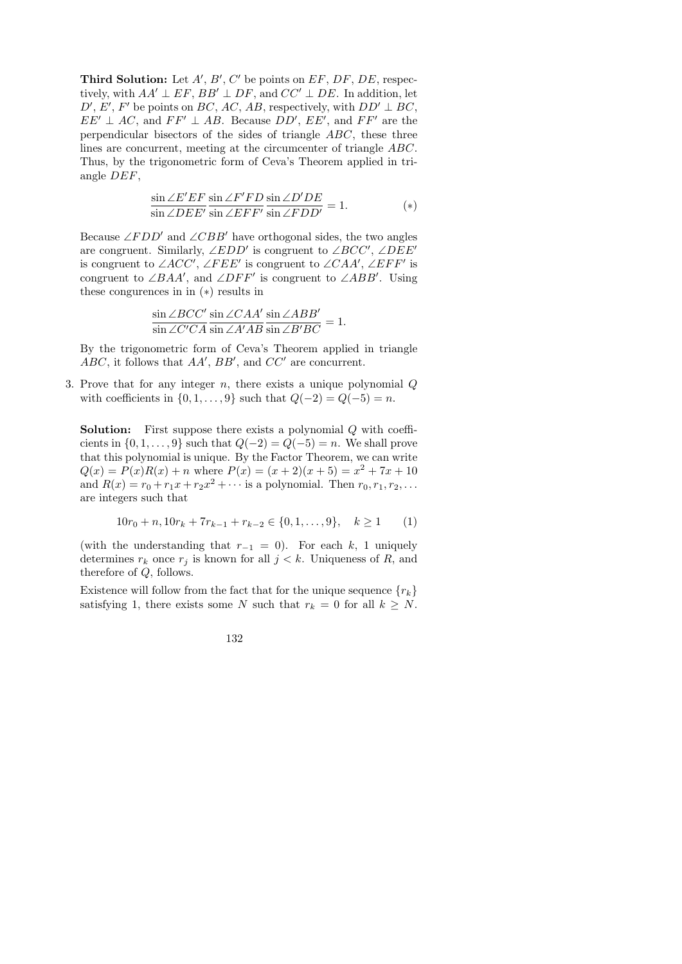Third Solution: Let  $A', B', C'$  be points on  $EF, DF, DE$ , respectively, with  $AA' \perp EF$ ,  $BB' \perp DF$ , and  $CC' \perp DE$ . In addition, let D', E', F' be points on BC, AC, AB, respectively, with  $DD' \perp BC$ ,  $EE' \perp AC$ , and  $FF' \perp AB$ . Because  $DD'$ ,  $EE'$ , and  $FF'$  are the perpendicular bisectors of the sides of triangle ABC, these three lines are concurrent, meeting at the circumcenter of triangle ABC. Thus, by the trigonometric form of Ceva's Theorem applied in triangle DEF,

$$
\frac{\sin \angle E'EF}{\sin \angle DEF' \sin \angle E'F'} \frac{\sin \angle D'DE}{\sin \angle E'F'} = 1.
$$
 (\*)

Because  $\angle FDD'$  and  $\angle CBB'$  have orthogonal sides, the two angles are congruent. Similarly,  $\angle EDD'$  is congruent to  $\angle BCC'$ ,  $\angle DEE'$ is congruent to ∠ACC', ∠FEE' is congruent to ∠CAA', ∠EFF' is congruent to ∠BAA', and ∠DFF' is congruent to ∠ABB'. Using these congurences in in (∗) results in

$$
\frac{\sin \angle BCC'}{\sin \angle C'A} \frac{\sin \angle CAA'}{\sin \angle A'B} \frac{\sin \angle ABB'}{\sin \angle B'BC} = 1.
$$

By the trigonometric form of Ceva's Theorem applied in triangle  $\overrightarrow{ABC}$ , it follows that  $AA'$ ,  $BB'$ , and  $CC'$  are concurrent.

3. Prove that for any integer  $n$ , there exists a unique polynomial  $Q$ with coefficients in  $\{0, 1, \ldots, 9\}$  such that  $Q(-2) = Q(-5) = n$ .

Solution: First suppose there exists a polynomial Q with coefficients in  $\{0, 1, \ldots, 9\}$  such that  $Q(-2) = Q(-5) = n$ . We shall prove that this polynomial is unique. By the Factor Theorem, we can write  $Q(x) = P(x)R(x) + n$  where  $P(x) = (x+2)(x+5) = x^2 + 7x + 10$ and  $R(x) = r_0 + r_1 x + r_2 x^2 + \cdots$  is a polynomial. Then  $r_0, r_1, r_2, \ldots$ are integers such that

$$
10r_0 + n, 10r_k + 7r_{k-1} + r_{k-2} \in \{0, 1, \dots, 9\}, \quad k \ge 1 \tag{1}
$$

(with the understanding that  $r_{-1} = 0$ ). For each k, 1 uniquely determines  $r_k$  once  $r_j$  is known for all  $j < k$ . Uniqueness of R, and therefore of Q, follows.

Existence will follow from the fact that for the unique sequence  ${r_k}$ satisfying 1, there exists some N such that  $r_k = 0$  for all  $k \geq N$ .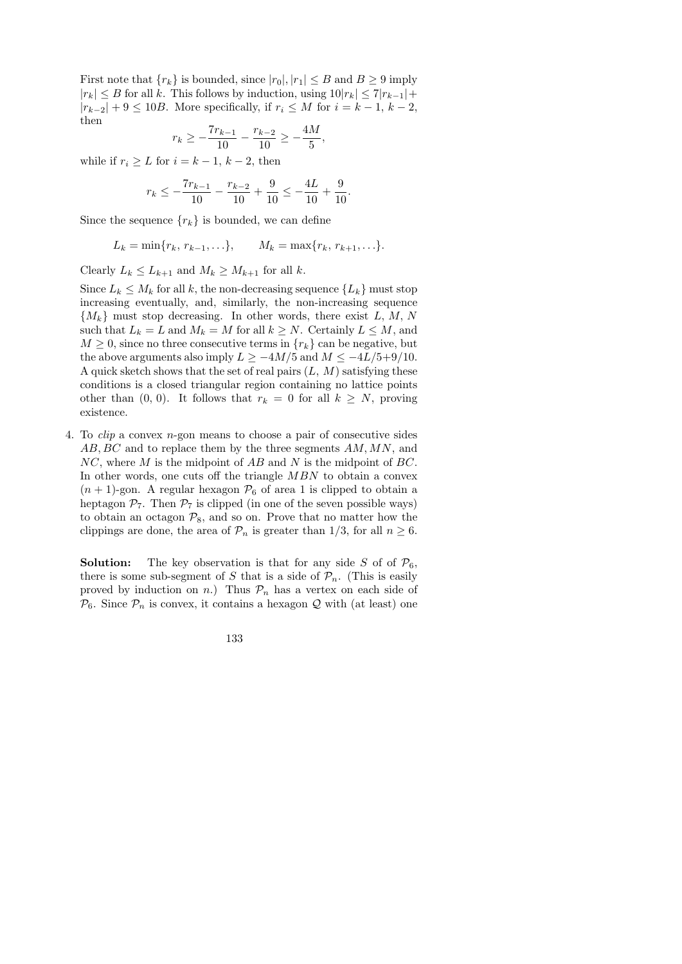First note that  $\{r_k\}$  is bounded, since  $|r_0|, |r_1| \leq B$  and  $B \geq 9$  imply  $|r_k| \leq B$  for all k. This follows by induction, using  $10|r_k| \leq 7|r_{k-1}|+$  $|r_{k-2}|+9 \leq 10B$ . More specifically, if  $r_i \leq M$  for  $i = k-1, k-2$ , then

$$
r_k \ge -\frac{7r_{k-1}}{10} - \frac{r_{k-2}}{10} \ge -\frac{4M}{5},
$$

while if  $r_i \geq L$  for  $i = k - 1, k - 2$ , then

$$
r_k \le -\frac{7r_{k-1}}{10} - \frac{r_{k-2}}{10} + \frac{9}{10} \le -\frac{4L}{10} + \frac{9}{10}
$$

.

Since the sequence  $\{r_k\}$  is bounded, we can define

$$
L_k = \min\{r_k, r_{k-1},...\}, \qquad M_k = \max\{r_k, r_{k+1},...\}.
$$

Clearly  $L_k \leq L_{k+1}$  and  $M_k \geq M_{k+1}$  for all k.

Since  $L_k \leq M_k$  for all k, the non-decreasing sequence  $\{L_k\}$  must stop increasing eventually, and, similarly, the non-increasing sequence  ${M_k}$  must stop decreasing. In other words, there exist L, M, N such that  $L_k = L$  and  $M_k = M$  for all  $k \geq N$ . Certainly  $L \leq M$ , and  $M \geq 0$ , since no three consecutive terms in  $\{r_k\}$  can be negative, but the above arguments also imply  $L \ge -4M/5$  and  $M \le -4L/5+9/10$ . A quick sketch shows that the set of real pairs  $(L, M)$  satisfying these conditions is a closed triangular region containing no lattice points other than  $(0, 0)$ . It follows that  $r_k = 0$  for all  $k \geq N$ , proving existence.

4. To  $\text{clip}$  a convex *n*-gon means to choose a pair of consecutive sides AB, BC and to replace them by the three segments AM, MN, and  $NC$ , where M is the midpoint of AB and N is the midpoint of BC. In other words, one cuts off the triangle MBN to obtain a convex  $(n + 1)$ -gon. A regular hexagon  $P_6$  of area 1 is clipped to obtain a heptagon  $P_7$ . Then  $P_7$  is clipped (in one of the seven possible ways) to obtain an octagon  $P_8$ , and so on. Prove that no matter how the clippings are done, the area of  $\mathcal{P}_n$  is greater than 1/3, for all  $n \geq 6$ .

**Solution:** The key observation is that for any side S of of  $\mathcal{P}_6$ , there is some sub-segment of S that is a side of  $\mathcal{P}_n$ . (This is easily proved by induction on  $n$ .) Thus  $\mathcal{P}_n$  has a vertex on each side of  $P_6$ . Since  $P_n$  is convex, it contains a hexagon Q with (at least) one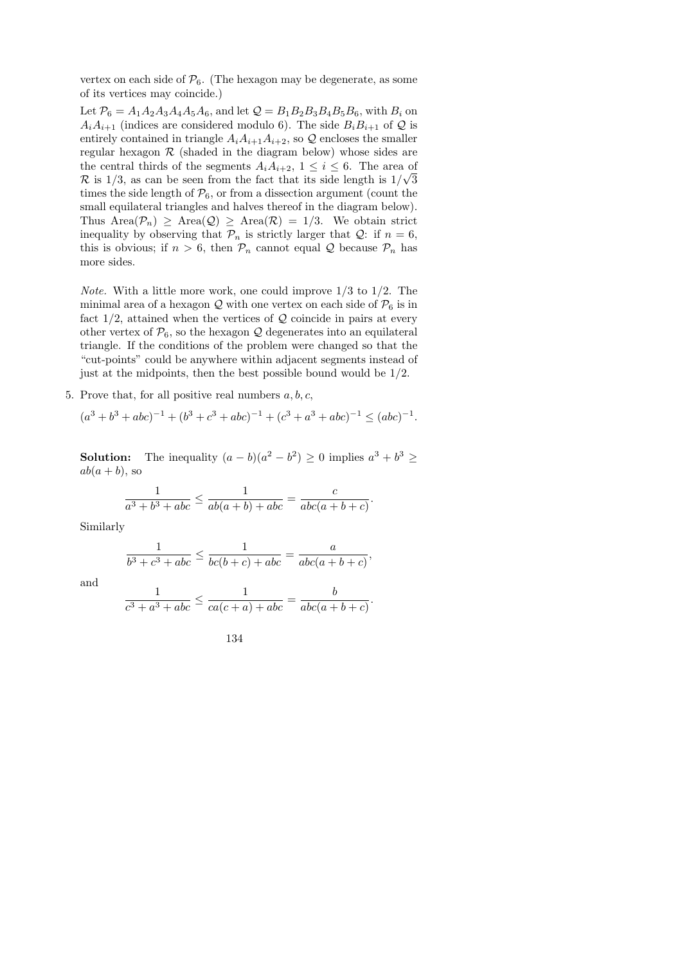vertex on each side of  $P_6$ . (The hexagon may be degenerate, as some of its vertices may coincide.)

Let  $P_6 = A_1 A_2 A_3 A_4 A_5 A_6$ , and let  $Q = B_1 B_2 B_3 B_4 B_5 B_6$ , with  $B_i$  on  $A_iA_{i+1}$  (indices are considered modulo 6). The side  $B_iB_{i+1}$  of Q is entirely contained in triangle  $A_iA_{i+1}A_{i+2}$ , so  $\mathcal Q$  encloses the smaller regular hexagon  $\mathcal R$  (shaded in the diagram below) whose sides are the central thirds of the segments  $A_i A_{i+2}$ ,  $1 \leq i \leq 6$ . The area of R is  $1/3$ , as can be seen from the fact that its side length is  $1/\sqrt{3}$ times the side length of  $P_6$ , or from a dissection argument (count the small equilateral triangles and halves thereof in the diagram below). Thus Area $(\mathcal{P}_n) \geq \text{Area}(\mathcal{Q}) \geq \text{Area}(\mathcal{R}) = 1/3$ . We obtain strict inequality by observing that  $\mathcal{P}_n$  is strictly larger that  $\mathcal{Q}$ : if  $n = 6$ , this is obvious; if  $n > 6$ , then  $P_n$  cannot equal Q because  $P_n$  has more sides.

*Note.* With a little more work, one could improve  $1/3$  to  $1/2$ . The minimal area of a hexagon  $\mathcal Q$  with one vertex on each side of  $\mathcal P_6$  is in fact  $1/2$ , attained when the vertices of  $Q$  coincide in pairs at every other vertex of  $P_6$ , so the hexagon Q degenerates into an equilateral triangle. If the conditions of the problem were changed so that the "cut-points" could be anywhere within adjacent segments instead of just at the midpoints, then the best possible bound would be 1/2.

5. Prove that, for all positive real numbers  $a, b, c$ ,

$$
(a3 + b3 + abc)-1 + (b3 + c3 + abc)-1 + (c3 + a3 + abc)-1 \leq (abc)-1.
$$

**Solution:** The inequality  $(a - b)(a^2 - b^2) \ge 0$  implies  $a^3 + b^3 \ge 0$  $ab(a + b)$ , so

$$
\frac{1}{a^3+b^3+abc} \le \frac{1}{ab(a+b)+abc} = \frac{c}{abc(a+b+c)}.
$$

Similarly

$$
\frac{1}{b^3 + c^3 + abc} \le \frac{1}{bc(b + c) + abc} = \frac{a}{abc(a + b + c)},
$$

and

$$
\frac{1}{c^3 + a^3 + abc} \le \frac{1}{ca(c + a) + abc} = \frac{b}{abc(a + b + c)}.
$$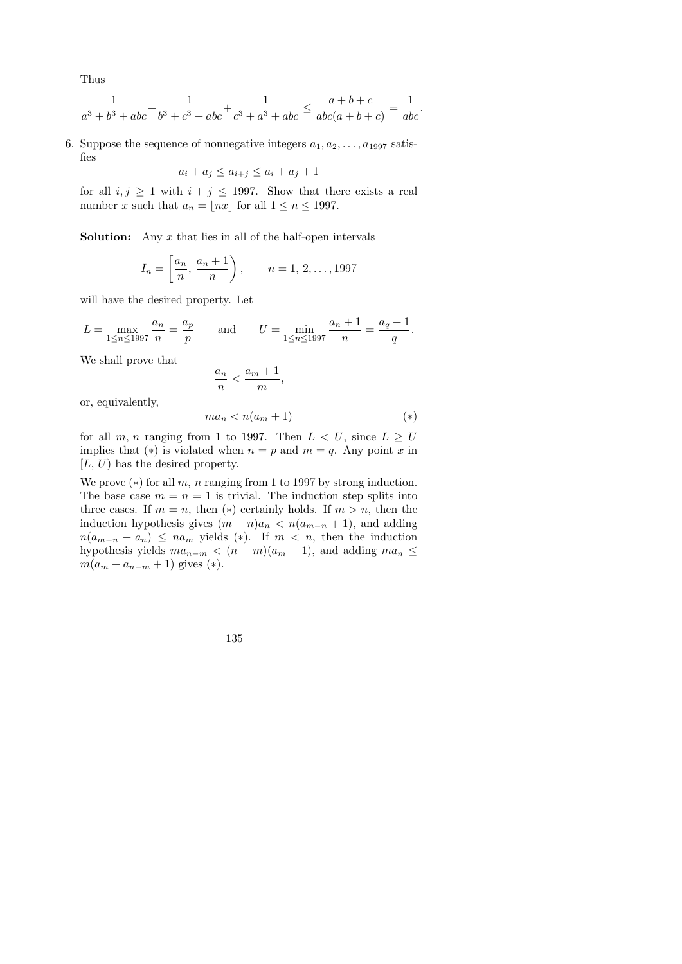Thus

$$
\frac{1}{a^3 + b^3 + abc} + \frac{1}{b^3 + c^3 + abc} + \frac{1}{c^3 + a^3 + abc} \le \frac{a + b + c}{abc(a + b + c)} = \frac{1}{abc}.
$$

6. Suppose the sequence of nonnegative integers  $a_1, a_2, \ldots, a_{1997}$  satisfies

$$
a_i + a_j \le a_{i+j} \le a_i + a_j + 1
$$

for all  $i, j \geq 1$  with  $i + j \leq 1997$ . Show that there exists a real number x such that  $a_n = \lfloor nx \rfloor$  for all  $1 \le n \le 1997$ .

**Solution:** Any  $x$  that lies in all of the half-open intervals

$$
I_n = \left[\frac{a_n}{n}, \frac{a_n+1}{n}\right), \qquad n = 1, 2, ..., 1997
$$

will have the desired property. Let

$$
L = \max_{1 \le n \le 1997} \frac{a_n}{n} = \frac{a_p}{p} \quad \text{and} \quad U = \min_{1 \le n \le 1997} \frac{a_n + 1}{n} = \frac{a_q + 1}{q}.
$$

We shall prove that

$$
\frac{a_n}{n} < \frac{a_m+1}{m},
$$

or, equivalently,

$$
ma_n < n(a_m + 1) \tag{*}
$$

for all m, n ranging from 1 to 1997. Then  $L < U$ , since  $L \geq U$ implies that  $(*)$  is violated when  $n = p$  and  $m = q$ . Any point x in  $[L, U]$  has the desired property.

We prove  $(*)$  for all m, n ranging from 1 to 1997 by strong induction. The base case  $m = n = 1$  is trivial. The induction step splits into three cases. If  $m = n$ , then  $(*)$  certainly holds. If  $m > n$ , then the induction hypothesis gives  $(m - n)a_n < n(a_{m-n} + 1)$ , and adding  $n(a_{m-n} + a_n) \leq na_m$  yields (\*). If  $m < n$ , then the induction hypothesis yields  $ma_{n-m} < (n-m)(a_m+1)$ , and adding  $ma_n \leq$  $m(a_m + a_{n-m} + 1)$  gives (\*).

| I<br>۰                   |  |
|--------------------------|--|
| ۰.<br>۰.<br>×<br>۰.<br>٠ |  |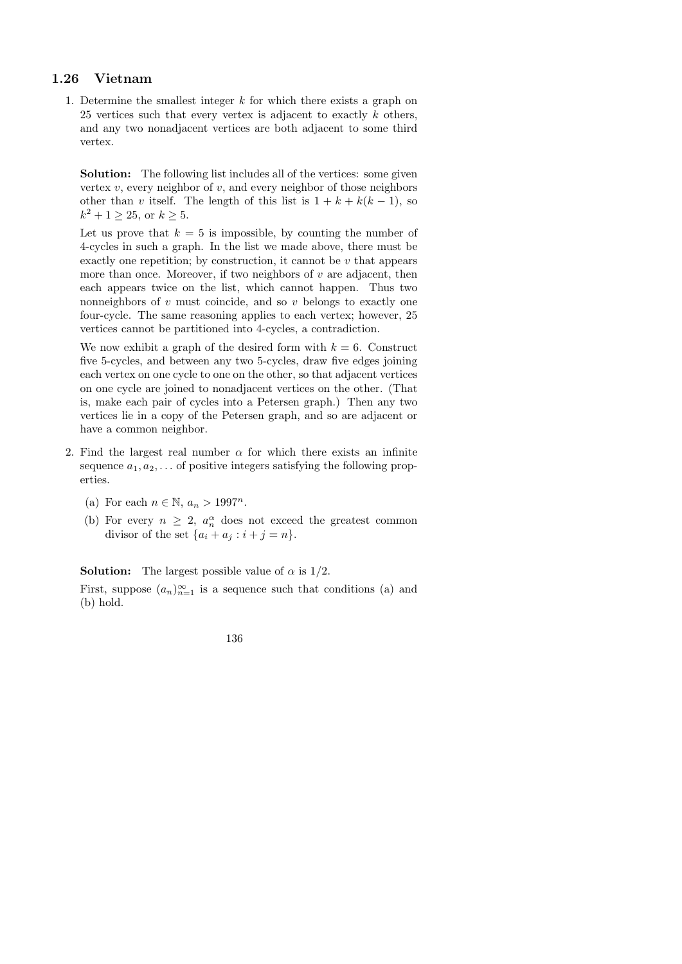### 1.26 Vietnam

1. Determine the smallest integer  $k$  for which there exists a graph on 25 vertices such that every vertex is adjacent to exactly  $k$  others, and any two nonadjacent vertices are both adjacent to some third vertex.

Solution: The following list includes all of the vertices: some given vertex  $v$ , every neighbor of  $v$ , and every neighbor of those neighbors other than v itself. The length of this list is  $1 + k + k(k - 1)$ , so  $k^2 + 1 \ge 25$ , or  $k \ge 5$ .

Let us prove that  $k = 5$  is impossible, by counting the number of 4-cycles in such a graph. In the list we made above, there must be exactly one repetition; by construction, it cannot be  $v$  that appears more than once. Moreover, if two neighbors of  $v$  are adjacent, then each appears twice on the list, which cannot happen. Thus two nonneighbors of  $v$  must coincide, and so  $v$  belongs to exactly one four-cycle. The same reasoning applies to each vertex; however, 25 vertices cannot be partitioned into 4-cycles, a contradiction.

We now exhibit a graph of the desired form with  $k = 6$ . Construct five 5-cycles, and between any two 5-cycles, draw five edges joining each vertex on one cycle to one on the other, so that adjacent vertices on one cycle are joined to nonadjacent vertices on the other. (That is, make each pair of cycles into a Petersen graph.) Then any two vertices lie in a copy of the Petersen graph, and so are adjacent or have a common neighbor.

- 2. Find the largest real number  $\alpha$  for which there exists an infinite sequence  $a_1, a_2, \ldots$  of positive integers satisfying the following properties.
	- (a) For each  $n \in \mathbb{N}$ ,  $a_n > 1997^n$ .
	- (b) For every  $n \geq 2$ ,  $a_n^{\alpha}$  does not exceed the greatest common divisor of the set  $\{a_i + a_j : i + j = n\}.$

**Solution:** The largest possible value of  $\alpha$  is 1/2.

First, suppose  $(a_n)_{n=1}^{\infty}$  is a sequence such that conditions (a) and (b) hold.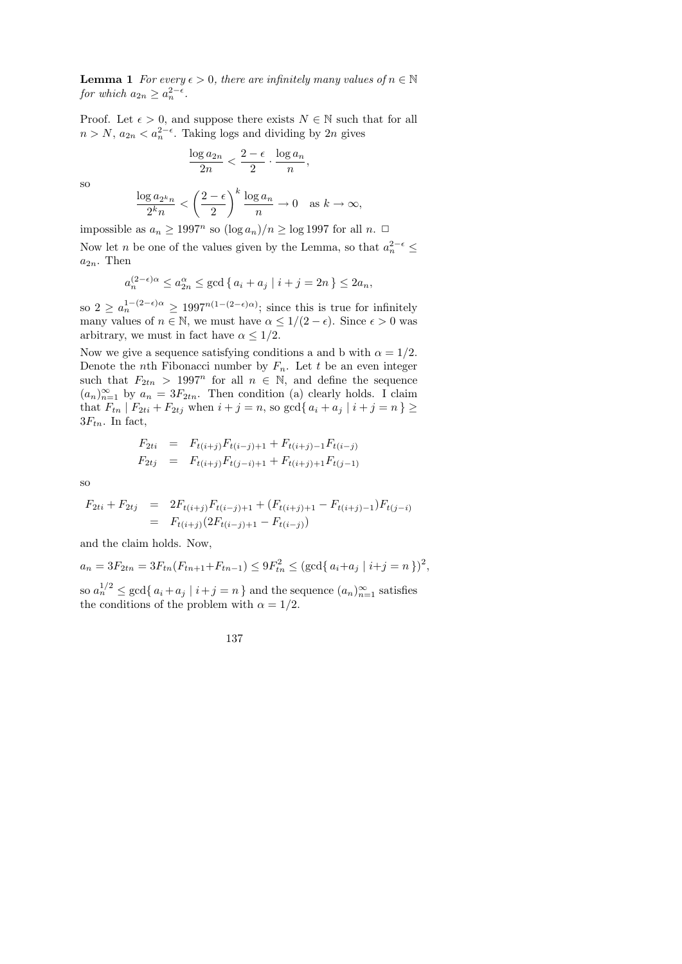**Lemma 1** For every  $\epsilon > 0$ , there are infinitely many values of  $n \in \mathbb{N}$ for which  $a_{2n} \geq a_n^{2-\epsilon}$ .

Proof. Let  $\epsilon > 0$ , and suppose there exists  $N \in \mathbb{N}$  such that for all  $n > N$ ,  $a_{2n} < a_n^{2-\epsilon}$ . Taking logs and dividing by 2n gives

$$
\frac{\log a_{2n}}{2n} < \frac{2-\epsilon}{2} \cdot \frac{\log a_n}{n},
$$

so

$$
\frac{\log a_{2^k n}}{2^k n} < \left(\frac{2-\epsilon}{2}\right)^k \frac{\log a_n}{n} \to 0 \quad \text{as } k \to \infty,
$$

impossible as  $a_n \geq 1997^n$  so  $(\log a_n)/n \geq \log 1997$  for all  $n. \square$ Now let *n* be one of the values given by the Lemma, so that  $a_n^{2-\epsilon} \leq$  $a_{2n}$ . Then

$$
a_n^{(2-\epsilon)\alpha} \le a_{2n}^{\alpha} \le \gcd\{a_i + a_j \mid i + j = 2n\} \le 2a_n
$$

so  $2 \geq a_n^{1-(2-\epsilon)\alpha} \geq 1997^{n(1-(2-\epsilon)\alpha)}$ ; since this is true for infinitely many values of  $n \in \mathbb{N}$ , we must have  $\alpha \leq 1/(2 - \epsilon)$ . Since  $\epsilon > 0$  was arbitrary, we must in fact have  $\alpha \leq 1/2$ .

Now we give a sequence satisfying conditions a and b with  $\alpha = 1/2$ . Denote the *n*th Fibonacci number by  $F_n$ . Let t be an even integer such that  $F_{2tn} > 1997^n$  for all  $n \in \mathbb{N}$ , and define the sequence  $(a_n)_{n=1}^{\infty}$  by  $a_n = 3F_{2tn}$ . Then condition (a) clearly holds. I claim that  $F_{tn} | F_{2ti} + F_{2tj}$  when  $i + j = n$ , so  $gcd{a_i + a_j | i + j = n} \ge$  $3F_{tn}$ . In fact,

$$
F_{2ti} = F_{t(i+j)}F_{t(i-j)+1} + F_{t(i+j)-1}F_{t(i-j)}
$$
  
\n
$$
F_{2tj} = F_{t(i+j)}F_{t(j-i)+1} + F_{t(i+j)+1}F_{t(j-1)}
$$

so

$$
F_{2ti} + F_{2tj} = 2F_{t(i+j)}F_{t(i-j)+1} + (F_{t(i+j)+1} - F_{t(i+j)-1})F_{t(j-i)}
$$
  
=  $F_{t(i+j)}(2F_{t(i-j)+1} - F_{t(i-j)})$ 

and the claim holds. Now,

 $a_n = 3F_{2tn} = 3F_{tn}(F_{tn+1}+F_{tn-1}) \le 9F_{tn}^2 \le (\gcd\{a_i+a_j \mid i+j=n\})^2,$ 

so  $a_n^{1/2} \le \text{gcd}\{a_i + a_j \mid i + j = n\}$  and the sequence  $(a_n)_{n=1}^{\infty}$  satisfies the conditions of the problem with  $\alpha = 1/2$ .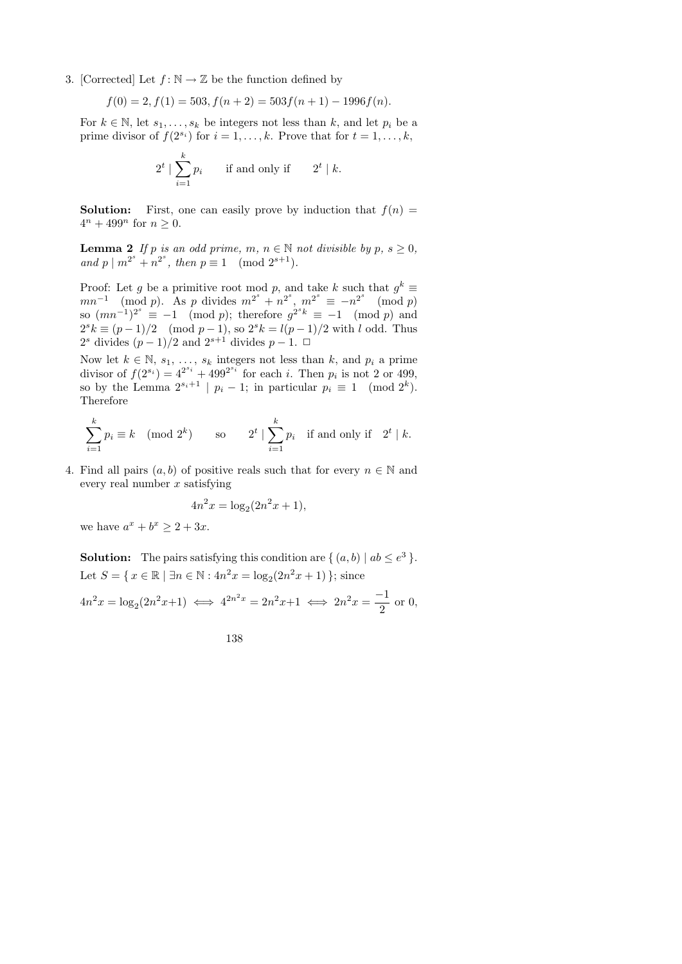3. [Corrected] Let  $f : \mathbb{N} \to \mathbb{Z}$  be the function defined by

$$
f(0) = 2, f(1) = 503, f(n+2) = 503f(n+1) - 1996f(n).
$$

For  $k \in \mathbb{N}$ , let  $s_1, \ldots, s_k$  be integers not less than k, and let  $p_i$  be a prime divisor of  $f(2^{s_i})$  for  $i = 1, ..., k$ . Prove that for  $t = 1, ..., k$ ,

$$
2^t \mid \sum_{i=1}^k p_i \qquad \text{if and only if} \qquad 2^t \mid k.
$$

**Solution:** First, one can easily prove by induction that  $f(n) =$  $4^n + 499^n$  for  $n \ge 0$ .

**Lemma 2** If p is an odd prime,  $m, n \in \mathbb{N}$  not divisible by p,  $s \geq 0$ , and  $p \mid m^{2^s} + n^{2^s}$ , then  $p \equiv 1 \pmod{2^{s+1}}$ .

Proof: Let g be a primitive root mod p, and take k such that  $g^k \equiv$  $mn^{-1}$  (mod p). As p divides  $m^{2^s} + n^{2^s}$ ,  $m^{2^s} \equiv -n^{2^s}$  (mod p) so  $(mn^{-1})^{2^s} \equiv -1 \pmod{p}$ ; therefore  $g^{2^s k} \equiv -1 \pmod{p}$  and  $2^{s}k \equiv (p-1)/2 \pmod{p-1}$ , so  $2^{s}k = l(p-1)/2$  with l odd. Thus 2<sup>*s*</sup> divides  $(p-1)/2$  and  $2^{s+1}$  divides  $p-1$ . □

Now let  $k \in \mathbb{N}$ ,  $s_1, \ldots, s_k$  integers not less than k, and  $p_i$  a prime divisor of  $f(2^{s_i}) = 4^{2^{s_i}} + 499^{2^{s_i}}$  for each *i*. Then  $p_i$  is not 2 or 499, so by the Lemma  $2^{s_i+1} \mid p_i-1$ ; in particular  $p_i \equiv 1 \pmod{2^k}$ . Therefore

$$
\sum_{i=1}^{k} p_i \equiv k \pmod{2^k} \qquad \text{so} \qquad 2^t \mid \sum_{i=1}^{k} p_i \quad \text{if and only if} \quad 2^t \mid k.
$$

4. Find all pairs  $(a, b)$  of positive reals such that for every  $n \in \mathbb{N}$  and every real number  $x$  satisfying

$$
4n^2x = \log_2(2n^2x + 1),
$$

we have  $a^x + b^x \ge 2 + 3x$ .

**Solution:** The pairs satisfying this condition are  $\{(a, b) | ab \le e^3\}$ . Let  $S = \{ x \in \mathbb{R} \mid \exists n \in \mathbb{N} : 4n^2x = \log_2(2n^2x + 1) \};\text{ since }$  $4n^2x = \log_2(2n^2x+1) \iff 4^{2n^2x} = 2n^2x+1 \iff 2n^2x = \frac{-1}{2}$  $\frac{1}{2}$  or 0,

$$
138 \\
$$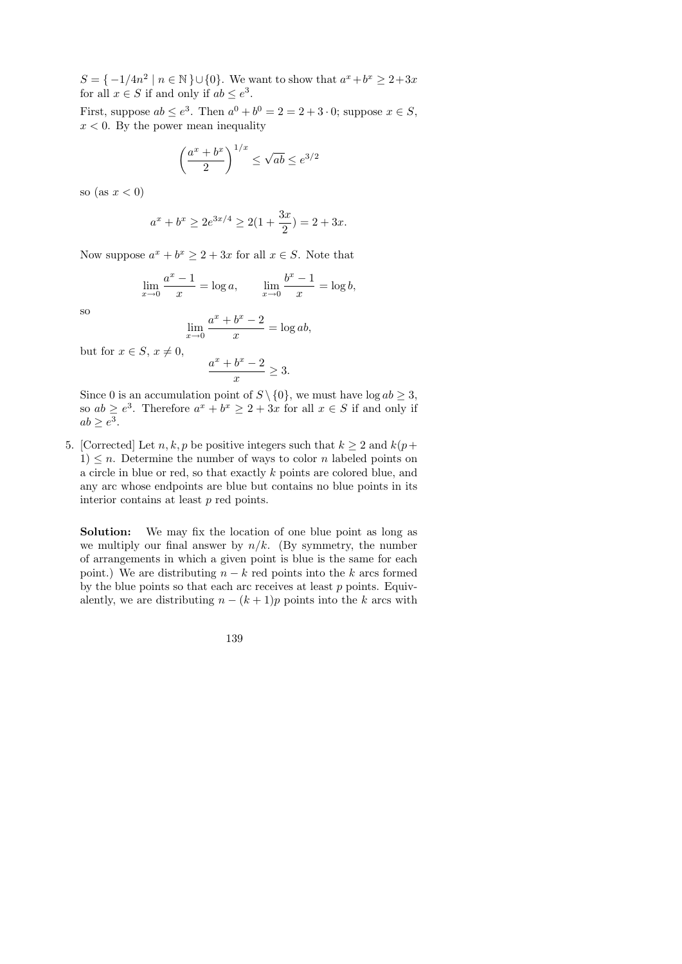$S = \{-1/4n^2 \mid n \in \mathbb{N}\} \cup \{0\}.$  We want to show that  $a^x + b^x \ge 2 + 3x$ for all  $x \in S$  if and only if  $ab \leq e^3$ .

First, suppose  $ab \le e^3$ . Then  $a^0 + b^0 = 2 = 2 + 3 \cdot 0$ ; suppose  $x \in S$ ,  $x < 0$ . By the power mean inequality

$$
\left(\frac{a^x + b^x}{2}\right)^{1/x} \le \sqrt{ab} \le e^{3/2}
$$

so (as  $x < 0$ )

but for  $x \in S$ ,  $x \neq 0$ ,

$$
a^x + b^x \ge 2e^{3x/4} \ge 2(1 + \frac{3x}{2}) = 2 + 3x.
$$

Now suppose  $a^x + b^x \ge 2 + 3x$  for all  $x \in S$ . Note that

$$
\lim_{x \to 0} \frac{a^x - 1}{x} = \log a, \qquad \lim_{x \to 0} \frac{b^x - 1}{x} = \log b,
$$

so

$$
\lim_{x \to 0} \frac{a^x + b^x - 2}{x} = \log ab,
$$

$$
\frac{a^x + b^x - 2}{x} \ge 3.
$$

Since 0 is an accumulation point of  $S \setminus \{0\}$ , we must have  $\log ab \geq 3$ , so  $ab \geq e^3$ . Therefore  $a^x + b^x \geq 2 + 3x$  for all  $x \in S$  if and only if  $ab \geq e^3$ .

5. [Corrected] Let  $n, k, p$  be positive integers such that  $k \geq 2$  and  $k(p+1)$  $1) \leq n$ . Determine the number of ways to color n labeled points on a circle in blue or red, so that exactly k points are colored blue, and any arc whose endpoints are blue but contains no blue points in its interior contains at least p red points.

Solution: We may fix the location of one blue point as long as we multiply our final answer by  $n/k$ . (By symmetry, the number of arrangements in which a given point is blue is the same for each point.) We are distributing  $n - k$  red points into the k arcs formed by the blue points so that each arc receives at least  $p$  points. Equivalently, we are distributing  $n - (k + 1)p$  points into the k arcs with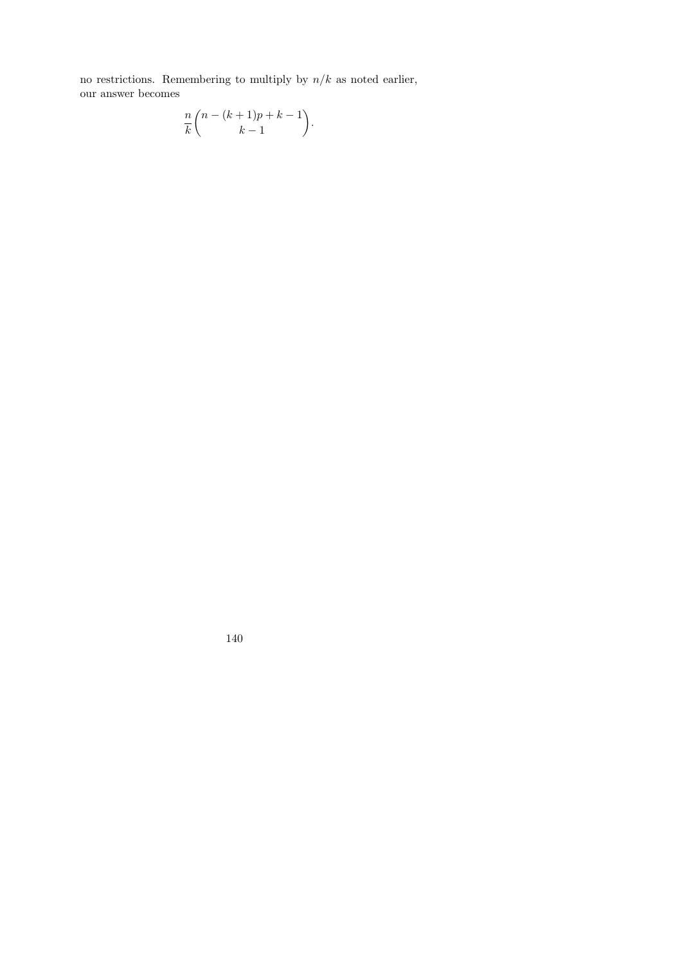no restrictions. Remembering to multiply by  $n/k$  as noted earlier, our answer becomes

$$
\frac{n}{k}\binom{n-(k+1)p+k-1}{k-1}.
$$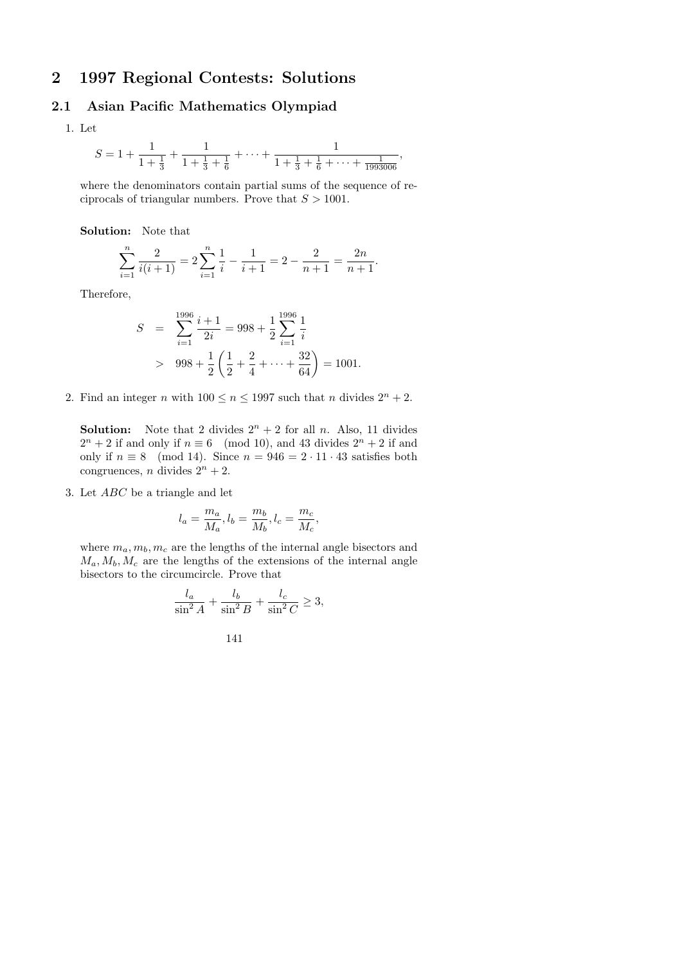# 2 1997 Regional Contests: Solutions

## 2.1 Asian Pacific Mathematics Olympiad

1. Let

$$
S = 1 + \frac{1}{1 + \frac{1}{3}} + \frac{1}{1 + \frac{1}{3} + \frac{1}{6}} + \dots + \frac{1}{1 + \frac{1}{3} + \frac{1}{6} + \dots + \frac{1}{1993006}},
$$

where the denominators contain partial sums of the sequence of reciprocals of triangular numbers. Prove that  $S > 1001$ .

Solution: Note that

$$
\sum_{i=1}^{n} \frac{2}{i(i+1)} = 2\sum_{i=1}^{n} \frac{1}{i} - \frac{1}{i+1} = 2 - \frac{2}{n+1} = \frac{2n}{n+1}.
$$

Therefore,

$$
S = \sum_{i=1}^{1996} \frac{i+1}{2i} = 998 + \frac{1}{2} \sum_{i=1}^{1996} \frac{1}{i}
$$
  
> 998 +  $\frac{1}{2} \left( \frac{1}{2} + \frac{2}{4} + \dots + \frac{32}{64} \right) = 1001.$ 

2. Find an integer n with  $100 \le n \le 1997$  such that n divides  $2^n + 2$ .

**Solution:** Note that 2 divides  $2^n + 2$  for all n. Also, 11 divides  $2^{n} + 2$  if and only if  $n \equiv 6 \pmod{10}$ , and 43 divides  $2^{n} + 2$  if and only if  $n \equiv 8 \pmod{14}$ . Since  $n = 946 = 2 \cdot 11 \cdot 43$  satisfies both congruences, *n* divides  $2^n + 2$ .

3. Let ABC be a triangle and let

$$
l_a=\frac{m_a}{M_a}, l_b=\frac{m_b}{M_b}, l_c=\frac{m_c}{M_c},
$$

where  $m_a, m_b, m_c$  are the lengths of the internal angle bisectors and  $M_a, M_b, M_c$  are the lengths of the extensions of the internal angle bisectors to the circumcircle. Prove that

$$
\frac{l_a}{\sin^2 A} + \frac{l_b}{\sin^2 B} + \frac{l_c}{\sin^2 C} \ge 3,
$$
  
141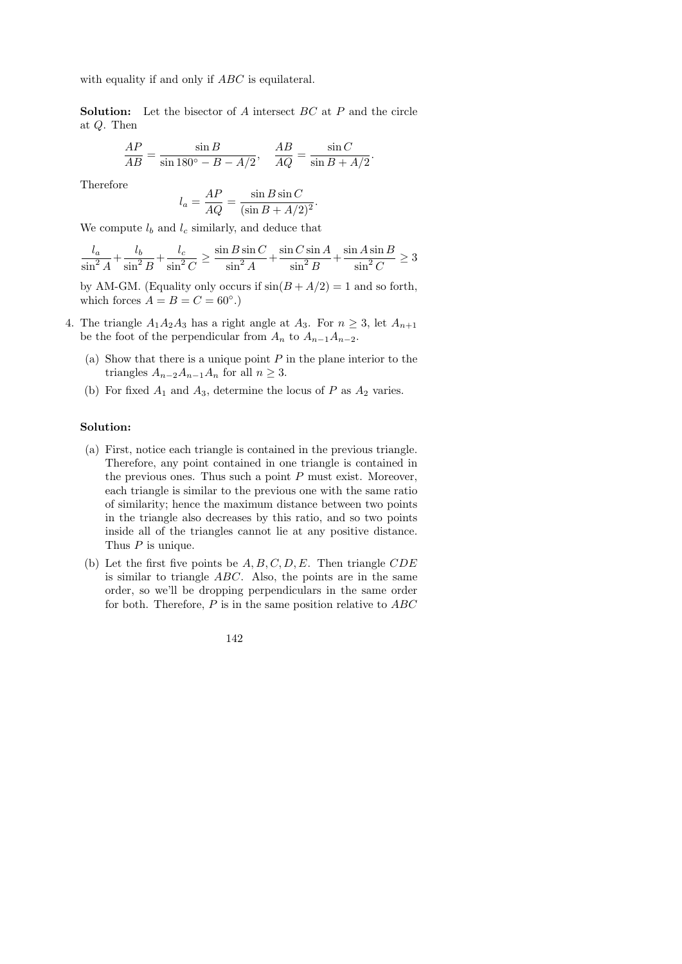with equality if and only if  $ABC$  is equilateral.

**Solution:** Let the bisector of  $A$  intersect  $BC$  at  $P$  and the circle at Q. Then

$$
\frac{AP}{AB} = \frac{\sin B}{\sin 180^\circ - B - A/2}, \quad \frac{AB}{AQ} = \frac{\sin C}{\sin B + A/2}.
$$

Therefore

$$
l_a = \frac{AP}{AQ} = \frac{\sin B \sin C}{(\sin B + A/2)^2}.
$$

We compute  $l_b$  and  $l_c$  similarly, and deduce that

$$
\frac{l_a}{\sin^2 A} + \frac{l_b}{\sin^2 B} + \frac{l_c}{\sin^2 C} \ge \frac{\sin B \sin C}{\sin^2 A} + \frac{\sin C \sin A}{\sin^2 B} + \frac{\sin A \sin B}{\sin^2 C} \ge 3
$$

by AM-GM. (Equality only occurs if  $sin(B + A/2) = 1$  and so forth, which forces  $A = B = C = 60^{\circ}$ .

- 4. The triangle  $A_1A_2A_3$  has a right angle at  $A_3$ . For  $n \geq 3$ , let  $A_{n+1}$ be the foot of the perpendicular from  $A_n$  to  $A_{n-1}A_{n-2}$ .
	- (a) Show that there is a unique point  $P$  in the plane interior to the triangles  $A_{n-2}A_{n-1}A_n$  for all  $n \geq 3$ .
	- (b) For fixed  $A_1$  and  $A_3$ , determine the locus of P as  $A_2$  varies.

#### Solution:

- (a) First, notice each triangle is contained in the previous triangle. Therefore, any point contained in one triangle is contained in the previous ones. Thus such a point  $P$  must exist. Moreover, each triangle is similar to the previous one with the same ratio of similarity; hence the maximum distance between two points in the triangle also decreases by this ratio, and so two points inside all of the triangles cannot lie at any positive distance. Thus  $P$  is unique.
- (b) Let the first five points be  $A, B, C, D, E$ . Then triangle  $CDE$ is similar to triangle ABC. Also, the points are in the same order, so we'll be dropping perpendiculars in the same order for both. Therefore,  $P$  is in the same position relative to  $ABC$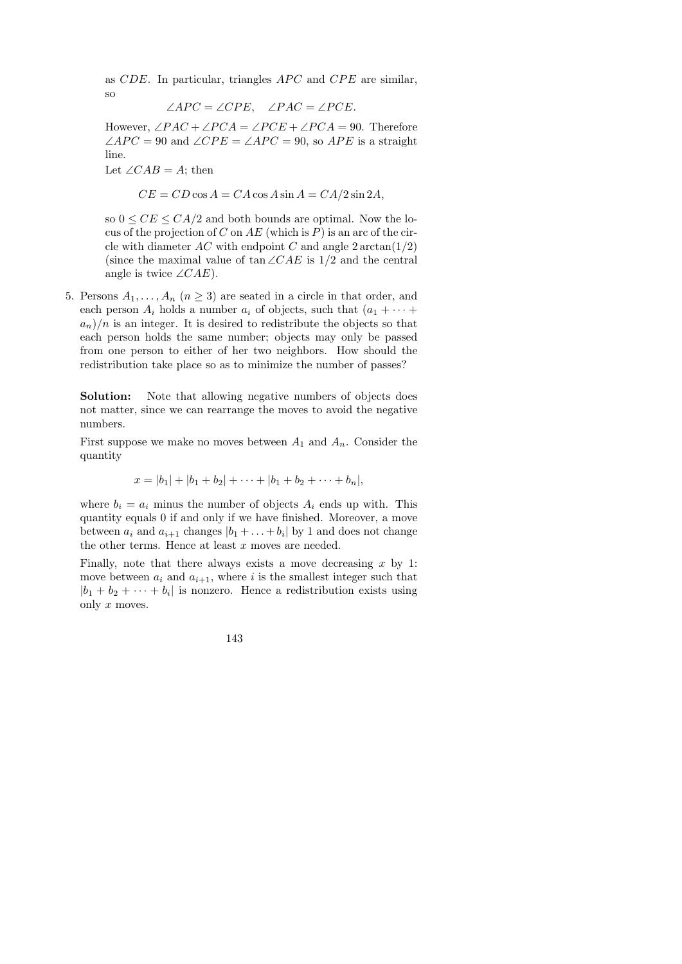as  $CDE$ . In particular, triangles  $APC$  and  $CPE$  are similar, so

$$
\angle APC = \angle CPE, \quad \angle PAC = \angle PCE.
$$

However,  $\angle PAC + \angle PCA = \angle PCE + \angle PCA = 90$ . Therefore  $\angle APC = 90$  and  $\angle CPE = \angle APC = 90$ , so  $APE$  is a straight line.

Let  $\angle CAB = A$ ; then

 $CE = CD \cos A = CA \cos A \sin A = CA/2 \sin 2A$ ,

so  $0 \leq CE \leq CA/2$  and both bounds are optimal. Now the locus of the projection of C on  $AE$  (which is P) is an arc of the circle with diameter  $AC$  with endpoint C and angle  $2 \arctan(1/2)$ (since the maximal value of tan ∠CAE is  $1/2$  and the central angle is twice  $\angle CAE$ .

5. Persons  $A_1, \ldots, A_n$   $(n \geq 3)$  are seated in a circle in that order, and each person  $A_i$  holds a number  $a_i$  of objects, such that  $(a_1 + \cdots + a_n)$  $a_n$ /n is an integer. It is desired to redistribute the objects so that each person holds the same number; objects may only be passed from one person to either of her two neighbors. How should the redistribution take place so as to minimize the number of passes?

Solution: Note that allowing negative numbers of objects does not matter, since we can rearrange the moves to avoid the negative numbers.

First suppose we make no moves between  $A_1$  and  $A_n$ . Consider the quantity

$$
x = |b_1| + |b_1 + b_2| + \cdots + |b_1 + b_2 + \cdots + b_n|,
$$

where  $b_i = a_i$  minus the number of objects  $A_i$  ends up with. This quantity equals 0 if and only if we have finished. Moreover, a move between  $a_i$  and  $a_{i+1}$  changes  $|b_1 + \ldots + b_i|$  by 1 and does not change the other terms. Hence at least  $x$  moves are needed.

Finally, note that there always exists a move decreasing  $x$  by 1: move between  $a_i$  and  $a_{i+1}$ , where i is the smallest integer such that  $|b_1 + b_2 + \cdots + b_i|$  is nonzero. Hence a redistribution exists using only x moves.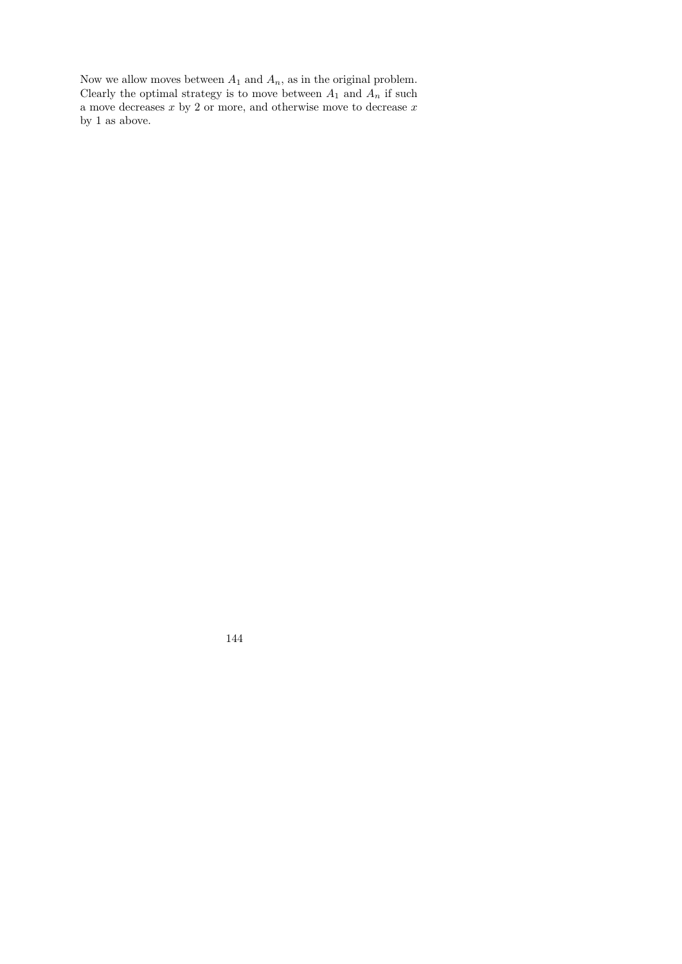Now we allow moves between  $A_1$  and  $A_n$ , as in the original problem. Clearly the optimal strategy is to move between  $A_1$  and  $A_n$  if such a move decreases  $x$  by 2 or more, and otherwise move to decrease  $x$ by 1 as above.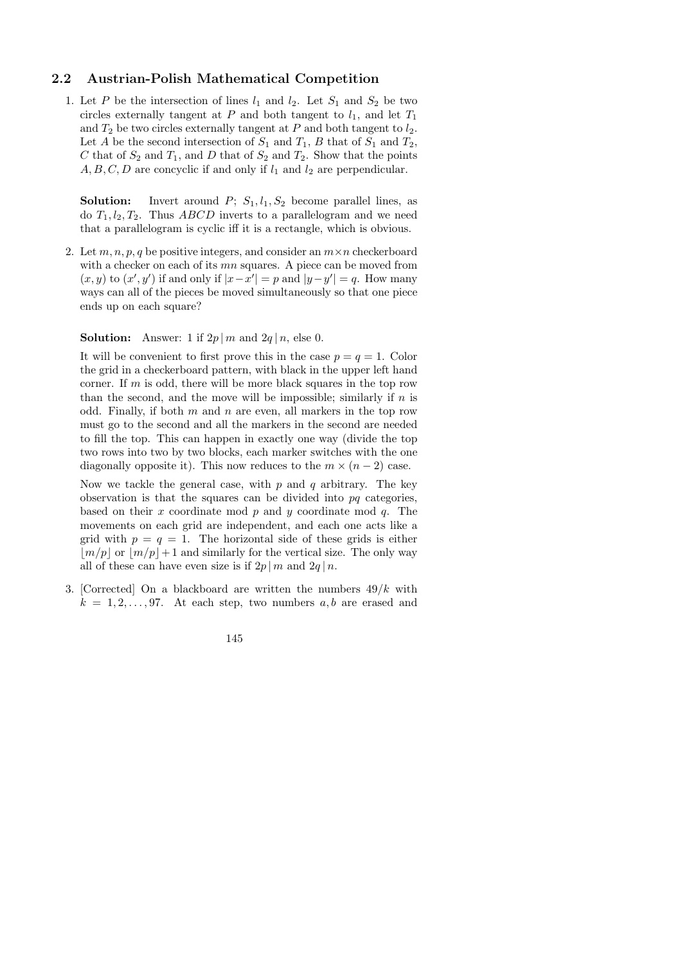## 2.2 Austrian-Polish Mathematical Competition

1. Let P be the intersection of lines  $l_1$  and  $l_2$ . Let  $S_1$  and  $S_2$  be two circles externally tangent at  $P$  and both tangent to  $l_1$ , and let  $T_1$ and  $T_2$  be two circles externally tangent at P and both tangent to  $l_2$ . Let A be the second intersection of  $S_1$  and  $T_1$ , B that of  $S_1$  and  $T_2$ , C that of  $S_2$  and  $T_1$ , and D that of  $S_2$  and  $T_2$ . Show that the points  $A, B, C, D$  are concyclic if and only if  $l_1$  and  $l_2$  are perpendicular.

**Solution:** Invert around  $P$ ;  $S_1, l_1, S_2$  become parallel lines, as do  $T_1, l_2, T_2$ . Thus *ABCD* inverts to a parallelogram and we need that a parallelogram is cyclic iff it is a rectangle, which is obvious.

2. Let  $m, n, p, q$  be positive integers, and consider an  $m \times n$  checkerboard with a checker on each of its mn squares. A piece can be moved from  $(x, y)$  to  $(x', y')$  if and only if  $|x-x'| = p$  and  $|y-y'| = q$ . How many ways can all of the pieces be moved simultaneously so that one piece ends up on each square?

**Solution:** Answer: 1 if  $2p \mid m$  and  $2q \mid n$ , else 0.

It will be convenient to first prove this in the case  $p = q = 1$ . Color the grid in a checkerboard pattern, with black in the upper left hand corner. If  $m$  is odd, there will be more black squares in the top row than the second, and the move will be impossible; similarly if  $n$  is odd. Finally, if both  $m$  and  $n$  are even, all markers in the top row must go to the second and all the markers in the second are needed to fill the top. This can happen in exactly one way (divide the top two rows into two by two blocks, each marker switches with the one diagonally opposite it). This now reduces to the  $m \times (n-2)$  case.

Now we tackle the general case, with  $p$  and  $q$  arbitrary. The key observation is that the squares can be divided into  $pa$  categories. based on their x coordinate mod  $p$  and  $y$  coordinate mod  $q$ . The movements on each grid are independent, and each one acts like a grid with  $p = q = 1$ . The horizontal side of these grids is either  $|m/p|$  or  $|m/p|+1$  and similarly for the vertical size. The only way all of these can have even size is if  $2p \mid m$  and  $2q \mid n$ .

3. [Corrected] On a blackboard are written the numbers  $49/k$  with  $k = 1, 2, \ldots, 97$ . At each step, two numbers  $a, b$  are erased and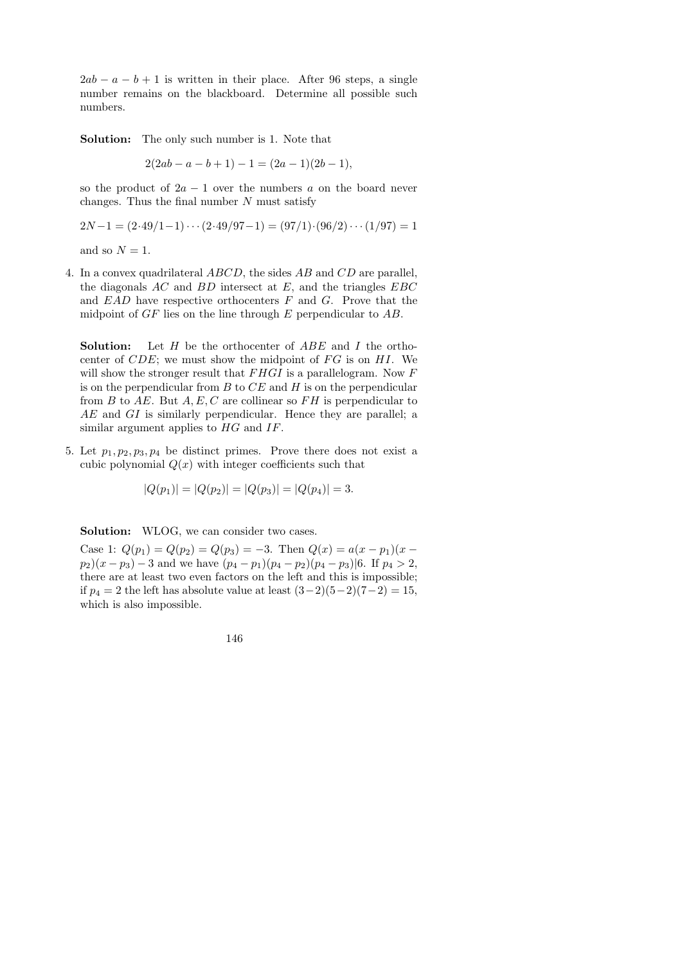$2ab - a - b + 1$  is written in their place. After 96 steps, a single number remains on the blackboard. Determine all possible such numbers.

Solution: The only such number is 1. Note that

$$
2(2ab - a - b + 1) - 1 = (2a - 1)(2b - 1),
$$

so the product of  $2a - 1$  over the numbers a on the board never changes. Thus the final number  $N$  must satisfy

$$
2N-1 = (2 \cdot 49/1 - 1) \cdots (2 \cdot 49/97 - 1) = (97/1) \cdot (96/2) \cdots (1/97) = 1
$$

and so  $N = 1$ .

4. In a convex quadrilateral *ABCD*, the sides *AB* and *CD* are parallel, the diagonals  $AC$  and  $BD$  intersect at E, and the triangles  $EBC$ and  $EAD$  have respective orthocenters  $F$  and  $G$ . Prove that the midpoint of GF lies on the line through E perpendicular to AB.

**Solution:** Let  $H$  be the orthocenter of  $ABE$  and  $I$  the orthocenter of  $CDE$ ; we must show the midpoint of  $FG$  is on  $HI$ . We will show the stronger result that  $FHGI$  is a parallelogram. Now  $F$ is on the perpendicular from  $B$  to  $CE$  and  $H$  is on the perpendicular from  $B$  to  $AE$ . But  $A, E, C$  are collinear so  $FH$  is perpendicular to AE and GI is similarly perpendicular. Hence they are parallel; a similar argument applies to  $HG$  and  $IF$ .

5. Let  $p_1, p_2, p_3, p_4$  be distinct primes. Prove there does not exist a cubic polynomial  $Q(x)$  with integer coefficients such that

$$
|Q(p_1)| = |Q(p_2)| = |Q(p_3)| = |Q(p_4)| = 3.
$$

Solution: WLOG, we can consider two cases.

Case 1:  $Q(p_1) = Q(p_2) = Q(p_3) = -3$ . Then  $Q(x) = a(x - p_1)(x$  $p_2(x-p_3)-3$  and we have  $(p_4-p_1)(p_4-p_2)(p_4-p_3)$  6. If  $p_4 > 2$ , there are at least two even factors on the left and this is impossible; if  $p_4 = 2$  the left has absolute value at least  $(3-2)(5-2)(7-2) = 15$ , which is also impossible.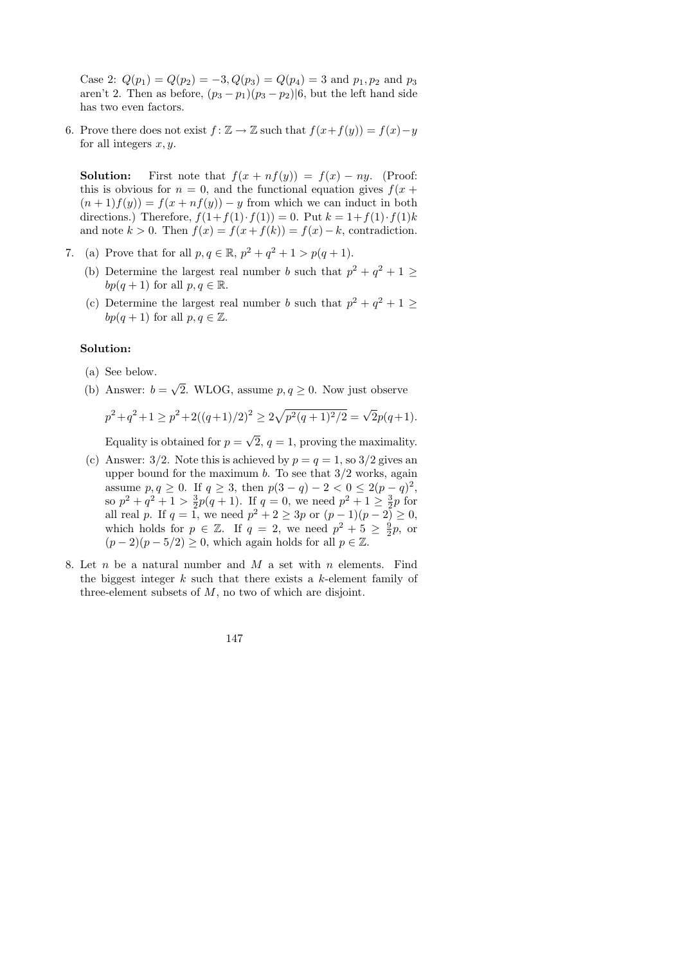Case 2:  $Q(p_1) = Q(p_2) = -3, Q(p_3) = Q(p_4) = 3$  and  $p_1, p_2$  and  $p_3$ aren't 2. Then as before,  $(p_3 - p_1)(p_3 - p_2)|6$ , but the left hand side has two even factors.

6. Prove there does not exist  $f: \mathbb{Z} \to \mathbb{Z}$  such that  $f(x+f(y)) = f(x)-y$ for all integers  $x, y$ .

**Solution:** First note that  $f(x + nf(y)) = f(x) - ny$ . (Proof: this is obvious for  $n = 0$ , and the functional equation gives  $f(x +$  $(n+1)f(y) = f(x + nf(y)) - y$  from which we can induct in both directions.) Therefore,  $f(1+f(1)\cdot f(1))=0$ . Put  $k=1+f(1)\cdot f(1)k$ and note  $k > 0$ . Then  $f(x) = f(x + f(k)) = f(x) - k$ , contradiction.

- 7. (a) Prove that for all  $p, q \in \mathbb{R}, p^2 + q^2 + 1 > p(q+1)$ .
	- (b) Determine the largest real number b such that  $p^2 + q^2 + 1 \ge$  $bp(q + 1)$  for all  $p, q \in \mathbb{R}$ .
	- (c) Determine the largest real number b such that  $p^2 + q^2 + 1 \ge$ bp(q + 1) for all  $p, q \in \mathbb{Z}$ .

#### Solution:

- (a) See below.
- (b) Answer:  $b =$ 2. WLOG, assume  $p, q \geq 0$ . Now just observe

$$
p^{2} + q^{2} + 1 \ge p^{2} + 2((q+1)/2)^{2} \ge 2\sqrt{p^{2}(q+1)^{2}/2} = \sqrt{2}p(q+1).
$$

Equality is obtained for  $p =$  $2, q = 1$ , proving the maximality.

- (c) Answer:  $3/2$ . Note this is achieved by  $p = q = 1$ , so  $3/2$  gives an upper bound for the maximum  $b$ . To see that  $3/2$  works, again assume  $p, q \ge 0$ . If  $q \ge 3$ , then  $p(3-q) - 2 < 0 \le 2(p-q)^2$ , so  $p^2 + q^2 + 1 > \frac{3}{2}p(q+1)$ . If  $q = 0$ , we need  $p^2 + 1 \ge \frac{3}{2}p$  for all real p. If  $q = 1$ , we need  $p^2 + 2 \ge 3p$  or  $(p - 1)(p - 2) \ge 0$ , which holds for  $p \in \mathbb{Z}$ . If  $q = 2$ , we need  $p^2 + 5 \geq \frac{9}{2}p$ , or  $(p-2)(p-5/2) \geq 0$ , which again holds for all  $p \in \mathbb{Z}$ .
- 8. Let n be a natural number and  $M$  a set with n elements. Find the biggest integer  $k$  such that there exists a  $k$ -element family of three-element subsets of  $M$ , no two of which are disjoint.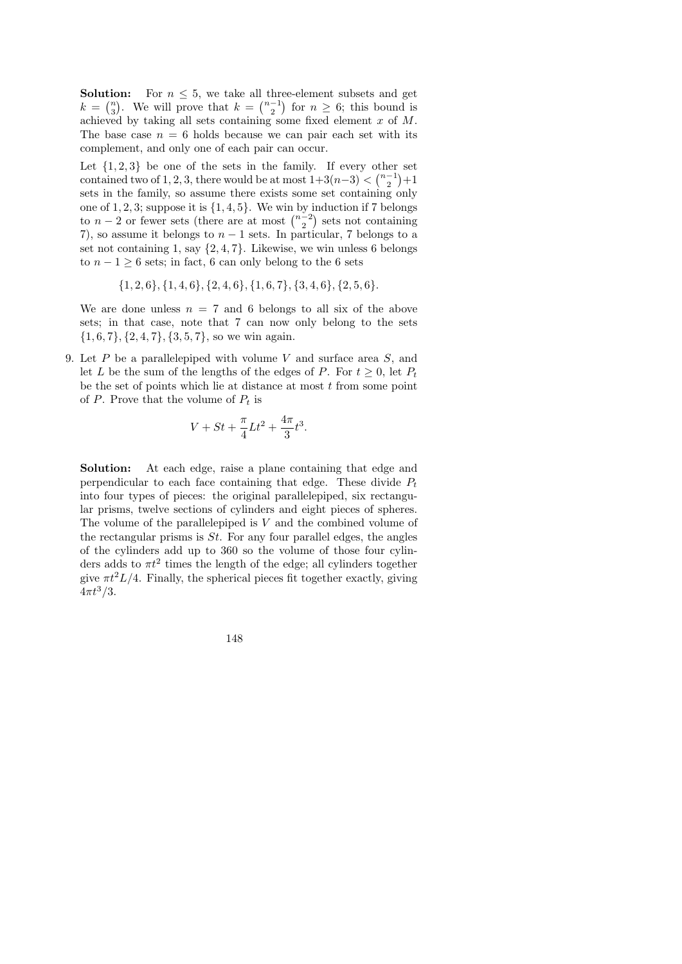**Solution:** For  $n \leq 5$ , we take all three-element subsets and get  $k = \binom{n}{3}$ . We will prove that  $k = \binom{n-1}{2}$  for  $n \geq 6$ ; this bound is achieved by taking all sets containing some fixed element  $x$  of  $M$ . The base case  $n = 6$  holds because we can pair each set with its complement, and only one of each pair can occur.

Let  $\{1, 2, 3\}$  be one of the sets in the family. If every other set contained two of 1, 2, 3, there would be at most  $1+3(n-3) < {n-1 \choose 2}+1$ sets in the family, so assume there exists some set containing only one of 1, 2, 3; suppose it is  $\{1, 4, 5\}$ . We win by induction if 7 belongs to  $n-2$  or fewer sets (there are at most  $\binom{n-2}{2}$  sets not containing 7), so assume it belongs to  $n-1$  sets. In particular, 7 belongs to a set not containing 1, say  $\{2, 4, 7\}$ . Likewise, we win unless 6 belongs to  $n - 1 \geq 6$  sets; in fact, 6 can only belong to the 6 sets

$$
\{1,2,6\},\{1,4,6\},\{2,4,6\},\{1,6,7\},\{3,4,6\},\{2,5,6\}.
$$

We are done unless  $n = 7$  and 6 belongs to all six of the above sets; in that case, note that 7 can now only belong to the sets  $\{1,6,7\}, \{2,4,7\}, \{3,5,7\},$  so we win again.

9. Let P be a parallelepiped with volume V and surface area S, and let L be the sum of the lengths of the edges of P. For  $t \geq 0$ , let  $P_t$ be the set of points which lie at distance at most  $t$  from some point of P. Prove that the volume of  $P_t$  is

$$
V+St+\frac{\pi}{4}Lt^2+\frac{4\pi}{3}t^3.
$$

Solution: At each edge, raise a plane containing that edge and perpendicular to each face containing that edge. These divide  $P_t$ into four types of pieces: the original parallelepiped, six rectangular prisms, twelve sections of cylinders and eight pieces of spheres. The volume of the parallelepiped is V and the combined volume of the rectangular prisms is  $St$ . For any four parallel edges, the angles of the cylinders add up to 360 so the volume of those four cylinders adds to  $\pi t^2$  times the length of the edge; all cylinders together give  $\pi t^2 L/4$ . Finally, the spherical pieces fit together exactly, giving  $4\pi t^3/3$ .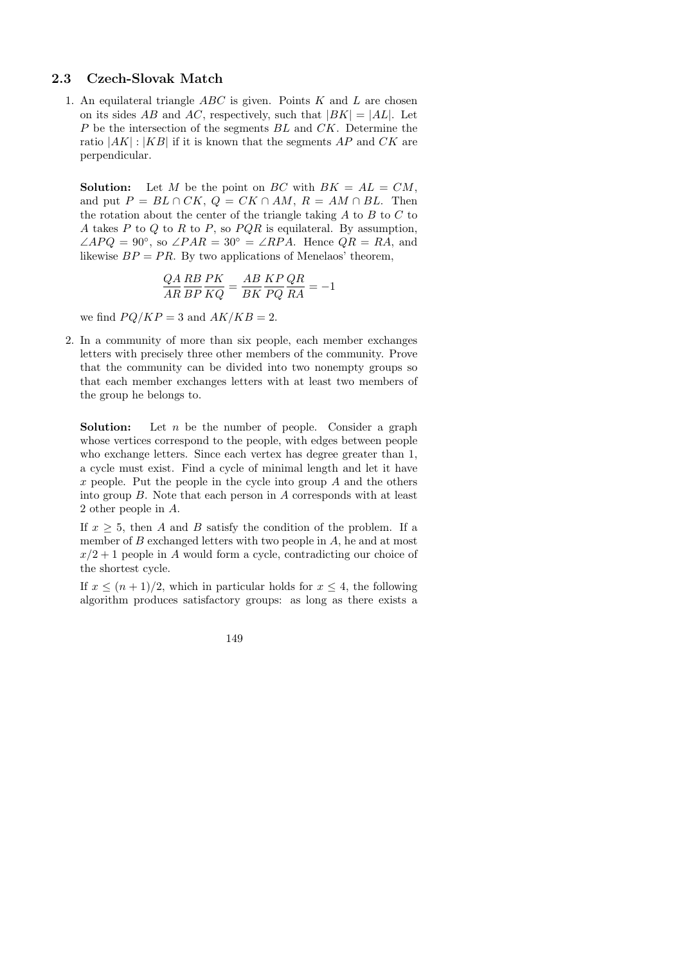## 2.3 Czech-Slovak Match

1. An equilateral triangle  $ABC$  is given. Points  $K$  and  $L$  are chosen on its sides AB and AC, respectively, such that  $|BK| = |AL|$ . Let P be the intersection of the segments BL and CK. Determine the ratio  $|AK|: |KB|$  if it is known that the segments AP and CK are perpendicular.

**Solution:** Let M be the point on BC with  $BK = AL = CM$ , and put  $P = BL \cap CK$ ,  $Q = CK \cap AM$ ,  $R = AM \cap BL$ . Then the rotation about the center of the triangle taking  $A$  to  $B$  to  $C$  to A takes P to Q to R to P, so  $PQR$  is equilateral. By assumption,  $\angle APQ = 90^{\circ}$ , so  $\angle PAR = 30^{\circ} = \angle RPA$ . Hence  $QR = RA$ , and likewise  $BP = PR$ . By two applications of Menelaos' theorem,

$$
\frac{QA}{AR}\frac{RB}{BP}\frac{PK}{KQ} = \frac{AB}{BK}\frac{KP}{PQ}\frac{QR}{RA} = -1
$$

we find  $PQ/KP = 3$  and  $AK/KB = 2$ .

2. In a community of more than six people, each member exchanges letters with precisely three other members of the community. Prove that the community can be divided into two nonempty groups so that each member exchanges letters with at least two members of the group he belongs to.

**Solution:** Let  $n$  be the number of people. Consider a graph whose vertices correspond to the people, with edges between people who exchange letters. Since each vertex has degree greater than 1, a cycle must exist. Find a cycle of minimal length and let it have x people. Put the people in the cycle into group  $A$  and the others into group B. Note that each person in A corresponds with at least 2 other people in A.

If  $x \geq 5$ , then A and B satisfy the condition of the problem. If a member of  $B$  exchanged letters with two people in  $A$ , he and at most  $x/2 + 1$  people in A would form a cycle, contradicting our choice of the shortest cycle.

If  $x \leq (n+1)/2$ , which in particular holds for  $x \leq 4$ , the following algorithm produces satisfactory groups: as long as there exists a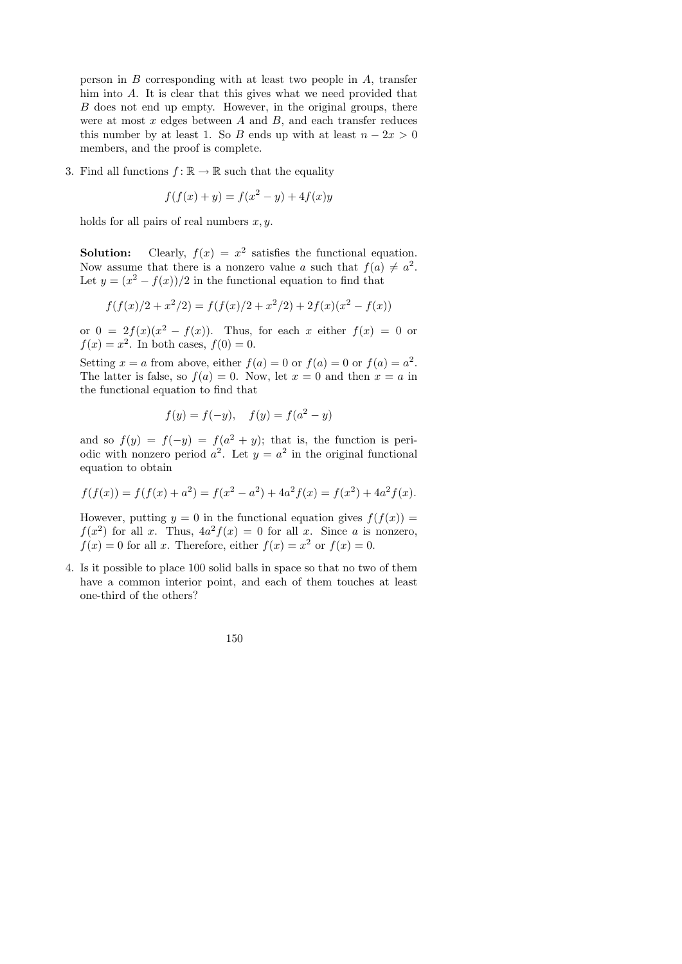person in  $B$  corresponding with at least two people in  $A$ , transfer him into A. It is clear that this gives what we need provided that B does not end up empty. However, in the original groups, there were at most  $x$  edges between  $A$  and  $B$ , and each transfer reduces this number by at least 1. So B ends up with at least  $n - 2x > 0$ members, and the proof is complete.

3. Find all functions  $f: \mathbb{R} \to \mathbb{R}$  such that the equality

$$
f(f(x) + y) = f(x^{2} - y) + 4f(x)y
$$

holds for all pairs of real numbers  $x, y$ .

**Solution:** Clearly,  $f(x) = x^2$  satisfies the functional equation. Now assume that there is a nonzero value a such that  $f(a) \neq a^2$ . Let  $y = (x^2 - f(x))/2$  in the functional equation to find that

$$
f(f(x)/2 + x^2/2) = f(f(x)/2 + x^2/2) + 2f(x)(x^2 - f(x))
$$

or  $0 = 2f(x)(x^2 - f(x))$ . Thus, for each x either  $f(x) = 0$  or  $f(x) = x^2$ . In both cases,  $f(0) = 0$ .

Setting  $x = a$  from above, either  $f(a) = 0$  or  $f(a) = 0$  or  $f(a) = a^2$ . The latter is false, so  $f(a) = 0$ . Now, let  $x = 0$  and then  $x = a$  in the functional equation to find that

$$
f(y) = f(-y), \quad f(y) = f(a^2 - y)
$$

and so  $f(y) = f(-y) = f(a^2 + y)$ ; that is, the function is periodic with nonzero period  $a^2$ . Let  $y = a^2$  in the original functional equation to obtain

$$
f(f(x)) = f(f(x) + a2) = f(x2 - a2) + 4a2 f(x) = f(x2) + 4a2 f(x).
$$

However, putting  $y = 0$  in the functional equation gives  $f(f(x)) =$  $f(x^2)$  for all x. Thus,  $4a^2 f(x) = 0$  for all x. Since a is nonzero,  $f(x) = 0$  for all x. Therefore, either  $f(x) = x^2$  or  $f(x) = 0$ .

4. Is it possible to place 100 solid balls in space so that no two of them have a common interior point, and each of them touches at least one-third of the others?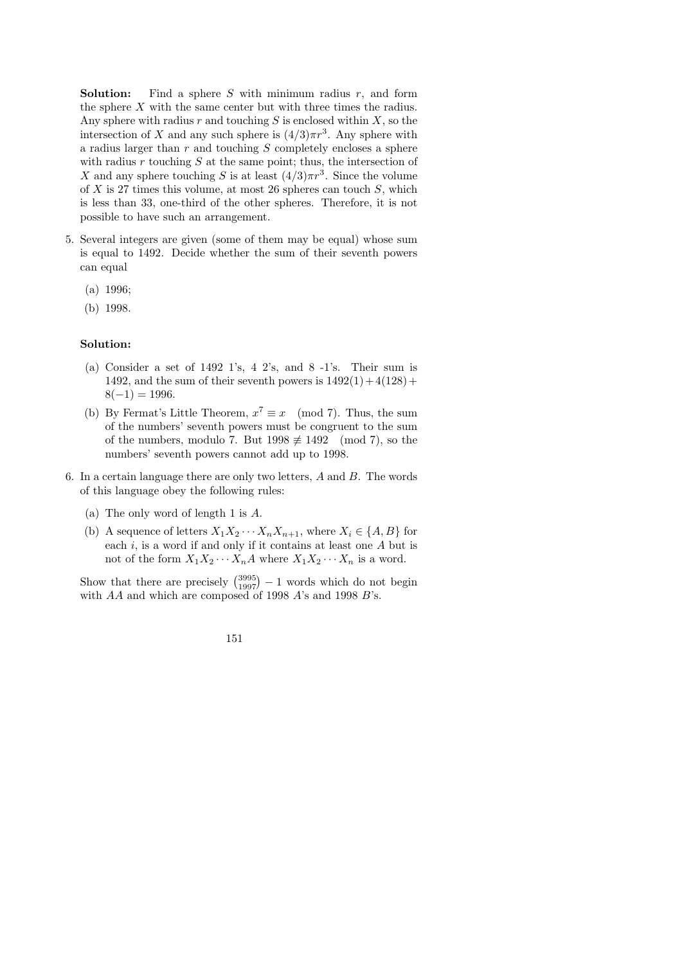**Solution:** Find a sphere S with minimum radius r, and form the sphere  $X$  with the same center but with three times the radius. Any sphere with radius  $r$  and touching  $S$  is enclosed within  $X$ , so the intersection of X and any such sphere is  $(4/3)\pi r^3$ . Any sphere with a radius larger than  $r$  and touching  $S$  completely encloses a sphere with radius  $r$  touching  $S$  at the same point; thus, the intersection of X and any sphere touching S is at least  $(4/3)\pi r^3$ . Since the volume of  $X$  is 27 times this volume, at most 26 spheres can touch  $S$ , which is less than 33, one-third of the other spheres. Therefore, it is not possible to have such an arrangement.

- 5. Several integers are given (some of them may be equal) whose sum is equal to 1492. Decide whether the sum of their seventh powers can equal
	- (a) 1996;
	- (b) 1998.

## Solution:

- (a) Consider a set of 1492 1's, 4 2's, and 8 -1's. Their sum is 1492, and the sum of their seventh powers is  $1492(1) + 4(128) +$  $8(-1) = 1996.$
- (b) By Fermat's Little Theorem,  $x^7 \equiv x \pmod{7}$ . Thus, the sum of the numbers' seventh powers must be congruent to the sum of the numbers, modulo 7. But  $1998 \not\equiv 1492 \pmod{7}$ , so the numbers' seventh powers cannot add up to 1998.
- 6. In a certain language there are only two letters, A and B. The words of this language obey the following rules:
	- (a) The only word of length 1 is A.
	- (b) A sequence of letters  $X_1X_2\cdots X_nX_{n+1}$ , where  $X_i \in \{A, B\}$  for each  $i$ , is a word if and only if it contains at least one  $A$  but is not of the form  $X_1X_2\cdots X_nA$  where  $X_1X_2\cdots X_n$  is a word.

Show that there are precisely  $\binom{3995}{1997} - 1$  words which do not begin with  $AA$  and which are composed of 1998  $A$ 's and 1998  $B$ 's.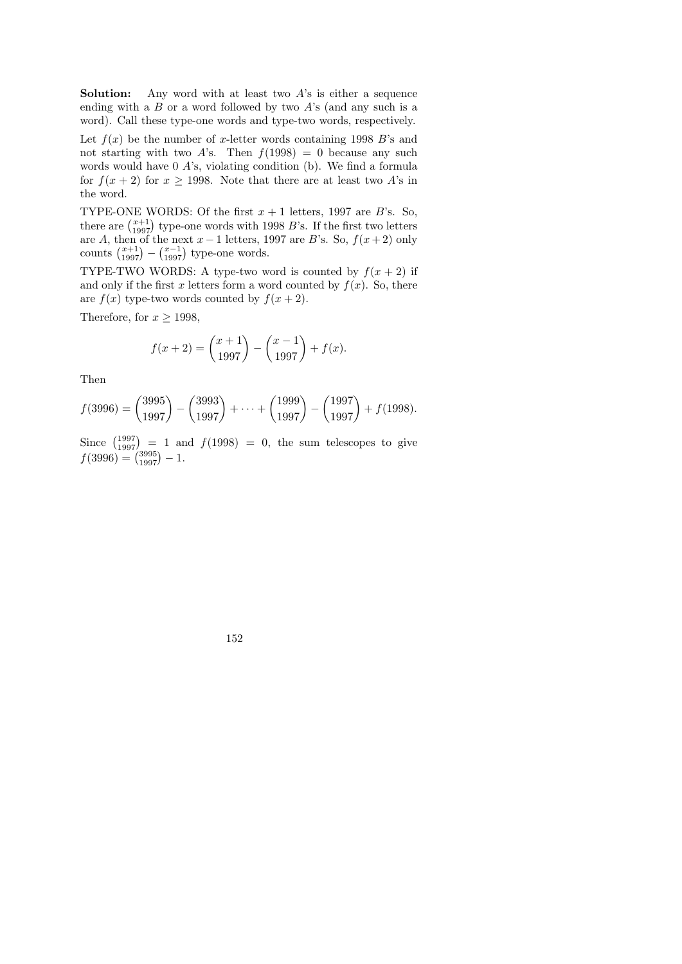Solution: Any word with at least two A's is either a sequence ending with a  $B$  or a word followed by two  $A$ 's (and any such is a word). Call these type-one words and type-two words, respectively.

Let  $f(x)$  be the number of x-letter words containing 1998 B's and not starting with two A's. Then  $f(1998) = 0$  because any such words would have 0 A's, violating condition (b). We find a formula for  $f(x+2)$  for  $x \ge 1998$ . Note that there are at least two A's in the word.

TYPE-ONE WORDS: Of the first  $x + 1$  letters, 1997 are B's. So, there are  $\binom{x+1}{1997}$  type-one words with 1998 B's. If the first two letters are A, then of the next  $x - 1$  letters, 1997 are B's. So,  $f(x + 2)$  only counts  $\binom{x+1}{1997} - \binom{x-1}{1997}$  type-one words.

TYPE-TWO WORDS: A type-two word is counted by  $f(x + 2)$  if and only if the first x letters form a word counted by  $f(x)$ . So, there are  $f(x)$  type-two words counted by  $f(x+2)$ .

Therefore, for  $x \ge 1998$ ,

$$
f(x+2) = {x+1 \choose 1997} - {x-1 \choose 1997} + f(x).
$$

Then

$$
f(3996) = {3995 \choose 1997} - {3993 \choose 1997} + \dots + {1999 \choose 1997} - {1997 \choose 1997} + f(1998).
$$

Since  $\binom{1997}{1997}$  = 1 and  $f(1998)$  = 0, the sum telescopes to give  $f(3996) = {3995 \choose 1997} - 1.$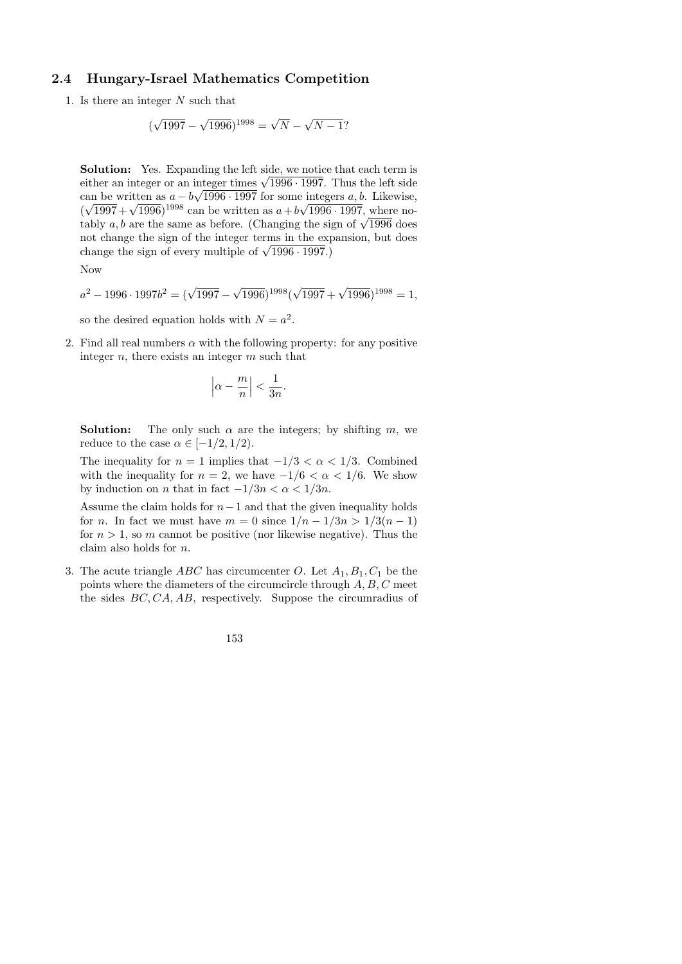## 2.4 Hungary-Israel Mathematics Competition

1. Is there an integer N such that

$$
(\sqrt{1997} - \sqrt{1996})^{1998} = \sqrt{N} - \sqrt{N - 1}
$$
?

Solution: Yes. Expanding the left side, we notice that each term is **Solution:** Yes. Expanding the left side, we notice that each term is either an integer or an integer times  $\sqrt{1996 \cdot 1997}$ . Thus the left side can be written as  $a - b\sqrt{1996 \cdot 1997}$  for some integers  $a, b$ . Likewise, can be written as  $a - b\sqrt{1996 \cdot 1997}$  for some integers  $a, b$ . Likewise,  $(\sqrt{1997} + \sqrt{1996})^{1998}$  can be written as  $a + b\sqrt{1996 \cdot 1997}$ , where no- $(\sqrt{1997} + \sqrt{1996})^{1998}$  can be written as  $a + b\sqrt{1996} \cdot 1997$ , where no-<br>tably a, b are the same as before. (Changing the sign of  $\sqrt{1996}$  does not change the sign of the integer terms in the expansion, but does not change the sign of the integer terms in the experience the sign of every multiple of  $\sqrt{1996 \cdot 1997}$ .

Now

$$
a^2 - 1996 \cdot 1997b^2 = (\sqrt{1997} - \sqrt{1996})^{1998} (\sqrt{1997} + \sqrt{1996})^{1998} = 1,
$$

so the desired equation holds with  $N = a^2$ .

2. Find all real numbers  $\alpha$  with the following property: for any positive integer  $n$ , there exists an integer  $m$  such that

$$
\left|\alpha - \frac{m}{n}\right| < \frac{1}{3n}.
$$

**Solution:** The only such  $\alpha$  are the integers; by shifting m, we reduce to the case  $\alpha \in [-1/2, 1/2)$ .

The inequality for  $n = 1$  implies that  $-1/3 < \alpha < 1/3$ . Combined with the inequality for  $n = 2$ , we have  $-1/6 < \alpha < 1/6$ . We show by induction on *n* that in fact  $-1/3n < \alpha < 1/3n$ .

Assume the claim holds for  $n-1$  and that the given inequality holds for *n*. In fact we must have  $m = 0$  since  $1/n - 1/3n > 1/3(n - 1)$ for  $n > 1$ , so m cannot be positive (nor likewise negative). Thus the claim also holds for n.

3. The acute triangle *ABC* has circumcenter *O*. Let  $A_1, B_1, C_1$  be the points where the diameters of the circumcircle through A, B, C meet the sides BC, CA, AB, respectively. Suppose the circumradius of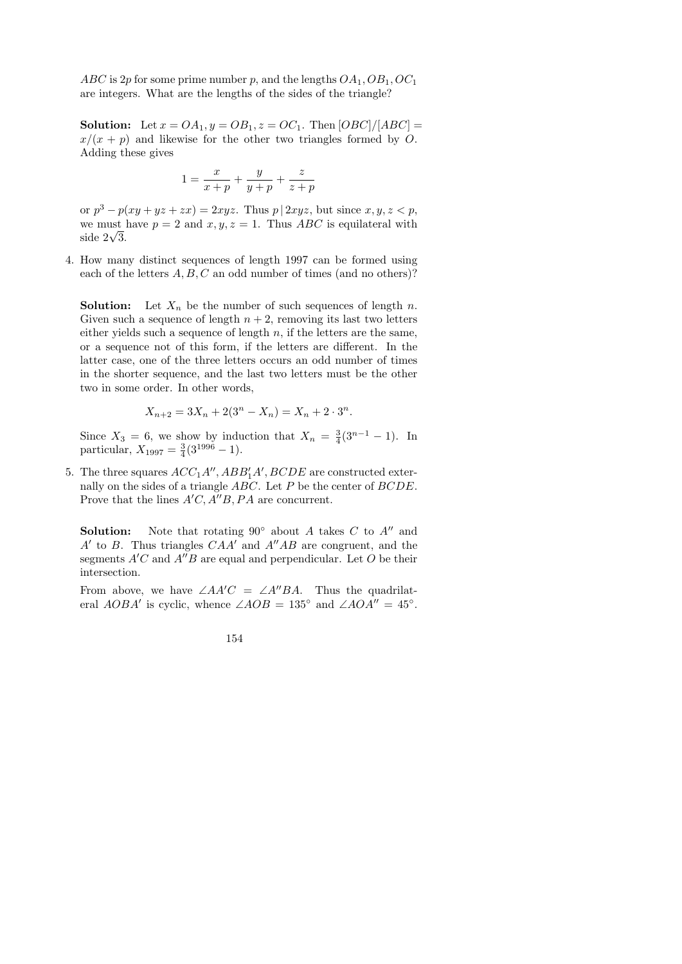ABC is 2p for some prime number p, and the lengths  $OA_1, OB_1, OC_1$ are integers. What are the lengths of the sides of the triangle?

**Solution:** Let  $x = OA_1$ ,  $y = OB_1$ ,  $z = OC_1$ . Then  $[OBC]/[ABC] =$  $x/(x + p)$  and likewise for the other two triangles formed by O. Adding these gives

$$
1 = \frac{x}{x+p} + \frac{y}{y+p} + \frac{z}{z+p}
$$

or  $p^3 - p(xy + yz + zx) = 2xyz$ . Thus  $p \mid 2xyz$ , but since  $x, y, z < p$ , we must have  $p = 2$  and  $x, y, z = 1$ . Thus ABC is equilateral with we must side  $2\sqrt{3}$ .

4. How many distinct sequences of length 1997 can be formed using each of the letters  $A, B, C$  an odd number of times (and no others)?

**Solution:** Let  $X_n$  be the number of such sequences of length n. Given such a sequence of length  $n + 2$ , removing its last two letters either yields such a sequence of length  $n$ , if the letters are the same, or a sequence not of this form, if the letters are different. In the latter case, one of the three letters occurs an odd number of times in the shorter sequence, and the last two letters must be the other two in some order. In other words,

$$
X_{n+2} = 3X_n + 2(3^n - X_n) = X_n + 2 \cdot 3^n.
$$

Since  $X_3 = 6$ , we show by induction that  $X_n = \frac{3}{4}(3^{n-1} - 1)$ . In particular,  $X_{1997} = \frac{3}{4}(3^{1996} - 1).$ 

5. The three squares  $ACC_1A''$ ,  $ABB'_1A'$ ,  $BCDE$  are constructed externally on the sides of a triangle ABC. Let P be the center of BCDE. Prove that the lines  $A'C, A''B, PA$  are concurrent.

**Solution:** Note that rotating  $90°$  about A takes C to A<sup>n</sup> and  $A'$  to B. Thus triangles  $CAA'$  and  $A''AB$  are congruent, and the segments  $A'C$  and  $A''B$  are equal and perpendicular. Let O be their intersection.

From above, we have  $\angle AA'C = \angle A''BA$ . Thus the quadrilateral  $AOBA'$  is cyclic, whence  $\angle AOB = 135^\circ$  and  $\angle AOA'' = 45^\circ$ .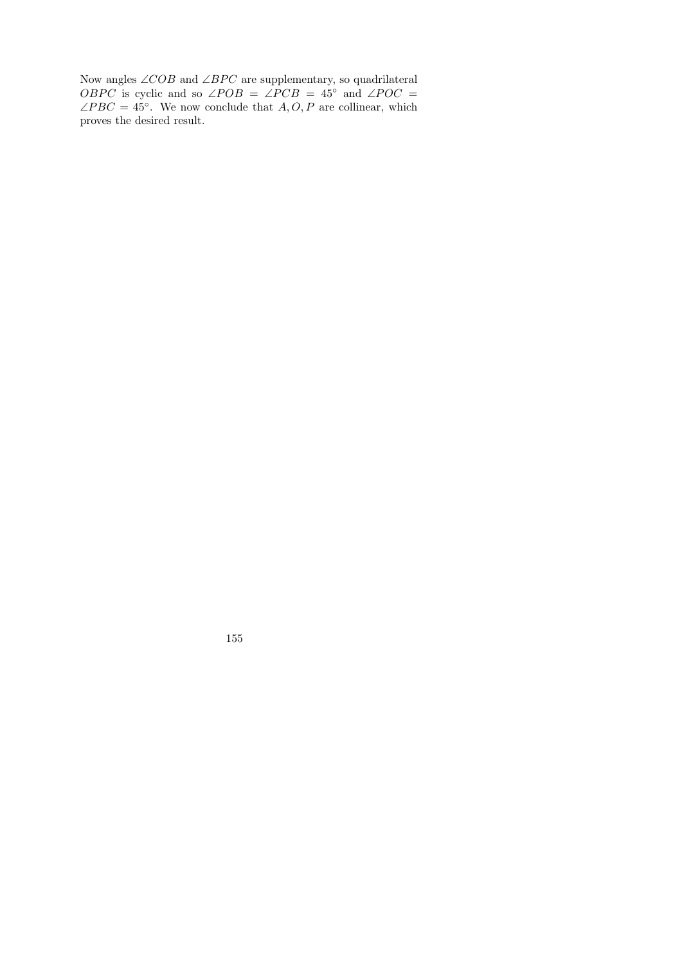Now angles  $\angle COB$  and  $\angle BPC$  are supplementary, so quadrilateral OBPC is cyclic and so  $\angle POB = \angle PCB = 45^\circ$  and  $\angle POC =$  $\angle PBC = 45^{\circ}$ . We now conclude that  $A, O, P$  are collinear, which proves the desired result.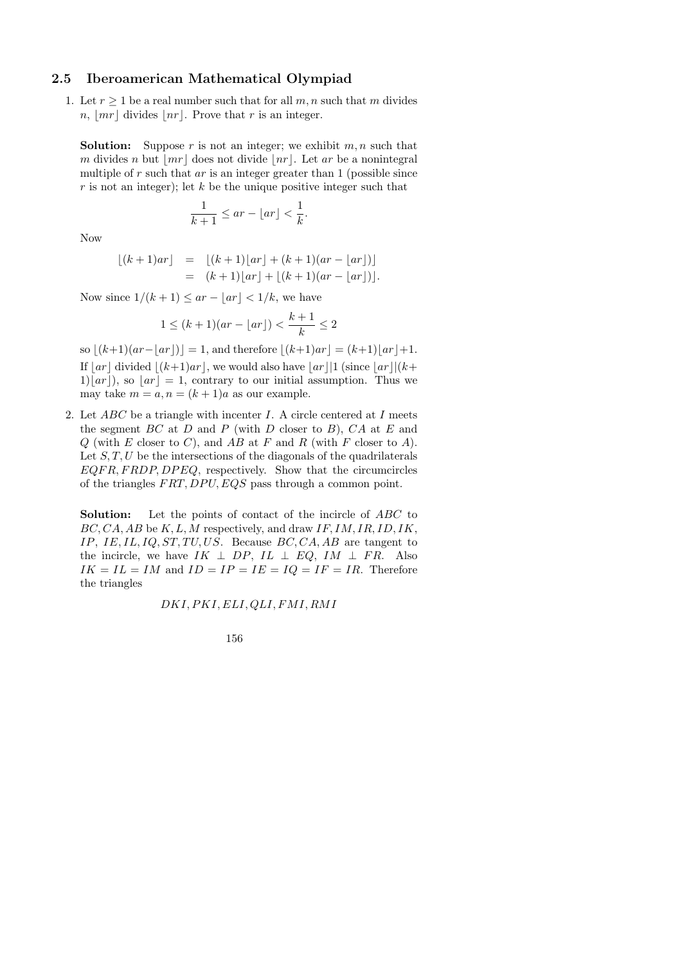## 2.5 Iberoamerican Mathematical Olympiad

1. Let  $r \geq 1$  be a real number such that for all  $m, n$  such that m divides  $n, |mr|$  divides  $|nr|$ . Prove that r is an integer.

**Solution:** Suppose r is not an integer; we exhibit  $m, n$  such that m divides n but  $\vert mr \vert$  does not divide  $\vert nr \vert$ . Let ar be a nonintegral multiple of r such that  $ar$  is an integer greater than 1 (possible since  $r$  is not an integer); let  $k$  be the unique positive integer such that

$$
\frac{1}{k+1} \le ar - \lfloor ar \rfloor < \frac{1}{k}.
$$

Now

$$
\begin{array}{rcl} \lfloor (k+1)ar \rfloor & = & \lfloor (k+1)\lfloor ar \rfloor + (k+1)(ar - \lfloor ar \rfloor) \rfloor \\ & = & (k+1)\lfloor ar \rfloor + \lfloor (k+1)(ar - \lfloor ar \rfloor) \rfloor. \end{array}
$$

Now since  $1/(k+1) \le ar - |ar| < 1/k$ , we have

$$
1 \le (k+1)(ar - \lfloor ar \rfloor) < \frac{k+1}{k} \le 2
$$

so  $|(k+1)(ar-|ar|)| = 1$ , and therefore  $|(k+1)ar| = (k+1)|ar| + 1$ . If  $|ar|$  divided  $|(k+1)ar|$ , we would also have  $|ar||1$  (since  $|ar||(k+1)$  $|1||ar|$ , so  $|ar| = 1$ , contrary to our initial assumption. Thus we may take  $m = a, n = (k + 1)a$  as our example.

2. Let  $ABC$  be a triangle with incenter  $I$ . A circle centered at  $I$  meets the segment  $BC$  at  $D$  and  $P$  (with  $D$  closer to  $B$ ),  $CA$  at  $E$  and  $Q$  (with E closer to C), and AB at F and R (with F closer to A). Let  $S, T, U$  be the intersections of the diagonals of the quadrilaterals  $EQFR, FRDP, DPEQ$ , respectively. Show that the circumcircles of the triangles  $FRT$ ,  $DPU$ ,  $EQS$  pass through a common point.

Solution: Let the points of contact of the incircle of ABC to  $BC, CA, AB$  be  $K, L, M$  respectively, and draw  $IF, IM, IR, ID, IK$ , IP, IE, IL, IQ, ST, TU, US. Because  $BC, CA, AB$  are tangent to the incircle, we have  $IK \perp DP$ ,  $IL \perp EQ$ ,  $IM \perp FR$ . Also  $IK = IL = IM$  and  $ID = IP = IE = IQ = IF = IR$ . Therefore the triangles

$$
DKI, PKI, ELI, QLI, FMI, RMI
$$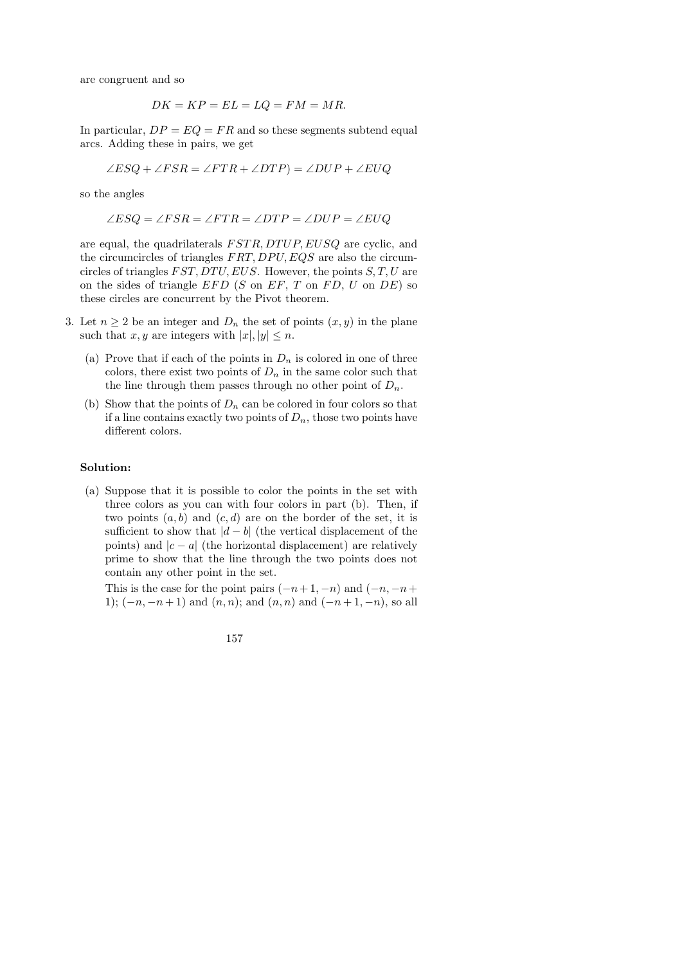are congruent and so

$$
DK = KP = EL = LQ = FM = MR.
$$

In particular,  $DP = EQ = FR$  and so these segments subtend equal arcs. Adding these in pairs, we get

$$
\angle ESQ + \angle FSR = \angle FTR + \angle DTP) = \angle DUP + \angle EUQ
$$

so the angles

$$
\angle ESQ = \angle FSR = \angle FTR = \angle DTP = \angle DUP = \angle EUQ
$$

are equal, the quadrilaterals  $FSTR, D TUP, EUSQ$  are cyclic, and the circumcircles of triangles  $FRT$ ,  $DPU$ ,  $EQS$  are also the circumcircles of triangles  $FST, DTU, EUS$ . However, the points  $S, T, U$  are on the sides of triangle  $EFD$  (S on  $EF$ , T on FD, U on  $DE$ ) so these circles are concurrent by the Pivot theorem.

- 3. Let  $n \geq 2$  be an integer and  $D_n$  the set of points  $(x, y)$  in the plane such that  $x, y$  are integers with  $|x|, |y| \leq n$ .
	- (a) Prove that if each of the points in  $D_n$  is colored in one of three colors, there exist two points of  $D_n$  in the same color such that the line through them passes through no other point of  $D_n$ .
	- (b) Show that the points of  $D_n$  can be colored in four colors so that if a line contains exactly two points of  $D_n$ , those two points have different colors.

#### Solution:

(a) Suppose that it is possible to color the points in the set with three colors as you can with four colors in part (b). Then, if two points  $(a, b)$  and  $(c, d)$  are on the border of the set, it is sufficient to show that  $|d - b|$  (the vertical displacement of the points) and  $|c - a|$  (the horizontal displacement) are relatively prime to show that the line through the two points does not contain any other point in the set.

This is the case for the point pairs  $(-n+1, -n)$  and  $(-n, -n+1)$ 1);  $(-n, -n+1)$  and  $(n, n)$ ; and  $(n, n)$  and  $(-n+1, -n)$ , so all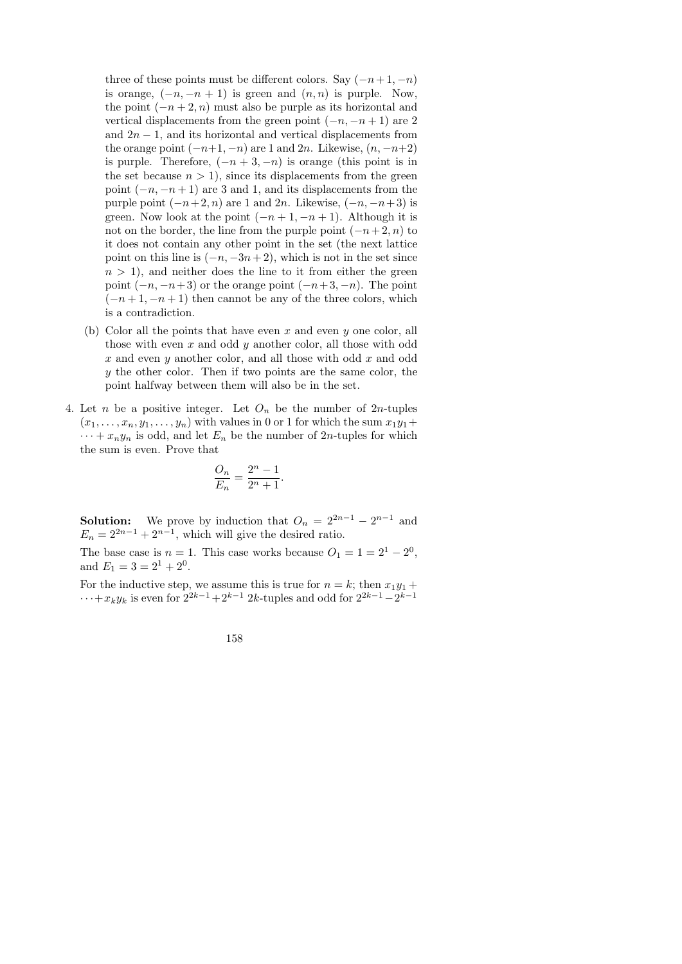three of these points must be different colors. Say  $(-n+1, -n)$ is orange,  $(-n, -n + 1)$  is green and  $(n, n)$  is purple. Now, the point  $(-n+2, n)$  must also be purple as its horizontal and vertical displacements from the green point  $(-n, -n + 1)$  are 2 and  $2n - 1$ , and its horizontal and vertical displacements from the orange point  $(-n+1, -n)$  are 1 and 2n. Likewise,  $(n, -n+2)$ is purple. Therefore,  $(-n+3,-n)$  is orange (this point is in the set because  $n > 1$ , since its displacements from the green point  $(-n, -n + 1)$  are 3 and 1, and its displacements from the purple point  $(-n+2, n)$  are 1 and 2n. Likewise,  $(-n, -n+3)$  is green. Now look at the point  $(-n+1, -n+1)$ . Although it is not on the border, the line from the purple point  $(-n+2, n)$  to it does not contain any other point in the set (the next lattice point on this line is  $(-n, -3n + 2)$ , which is not in the set since  $n > 1$ , and neither does the line to it from either the green point  $(-n, -n+3)$  or the orange point  $(-n+3, -n)$ . The point  $(-n+1,-n+1)$  then cannot be any of the three colors, which is a contradiction.

- (b) Color all the points that have even  $x$  and even  $y$  one color, all those with even  $x$  and odd  $y$  another color, all those with odd  $x$  and even  $y$  another color, and all those with odd  $x$  and odd  $y$  the other color. Then if two points are the same color, the point halfway between them will also be in the set.
- 4. Let *n* be a positive integer. Let  $O_n$  be the number of  $2n$ -tuples  $(x_1, \ldots, x_n, y_1, \ldots, y_n)$  with values in 0 or 1 for which the sum  $x_1y_1 +$  $\cdots + x_n y_n$  is odd, and let  $E_n$  be the number of 2n-tuples for which the sum is even. Prove that

$$
\frac{O_n}{E_n} = \frac{2^n - 1}{2^n + 1}.
$$

**Solution:** We prove by induction that  $O_n = 2^{2n-1} - 2^{n-1}$  and  $E_n = 2^{2n-1} + 2^{n-1}$ , which will give the desired ratio.

The base case is  $n = 1$ . This case works because  $O_1 = 1 = 2^1 - 2^0$ , and  $E_1 = 3 = 2^1 + 2^0$ .

For the inductive step, we assume this is true for  $n = k$ ; then  $x_1y_1 +$  $\cdots + x_k y_k$  is even for  $2^{2k-1}+2^{k-1}$  2k-tuples and odd for  $2^{2k-1}-2^{k-1}$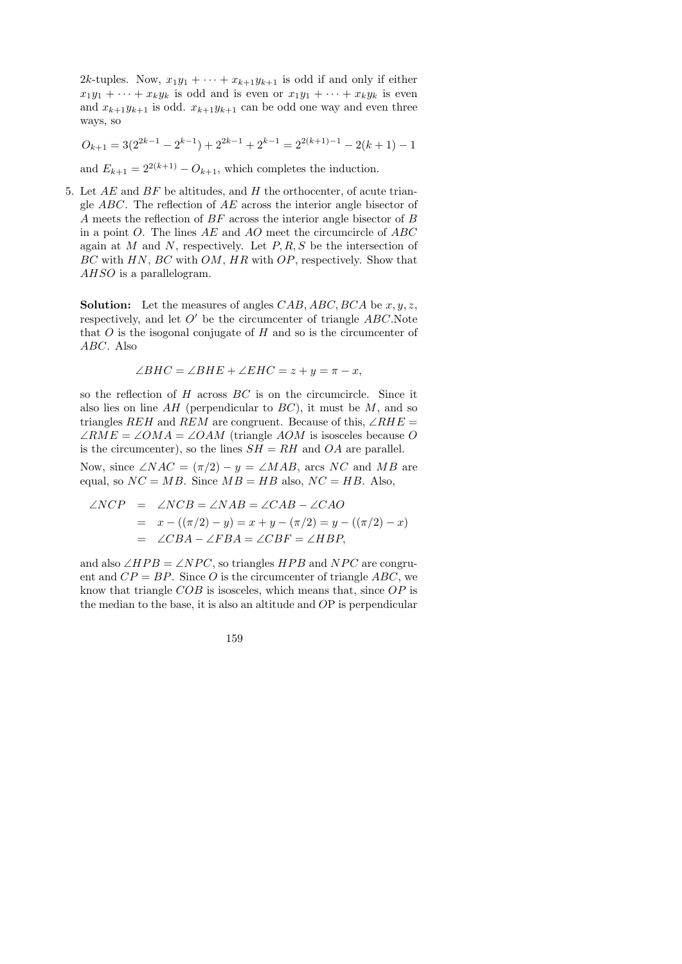2k-tuples. Now,  $x_1y_1 + \cdots + x_{k+1}y_{k+1}$  is odd if and only if either  $x_1y_1 + \cdots + x_ky_k$  is odd and is even or  $x_1y_1 + \cdots + x_ky_k$  is even and  $x_{k+1}y_{k+1}$  is odd.  $x_{k+1}y_{k+1}$  can be odd one way and even three ways, so

 $O_{k+1} = 3(2^{2k-1} - 2^{k-1}) + 2^{2k-1} + 2^{k-1} = 2^{2(k+1)-1} - 2(k+1) - 1$ 

and  $E_{k+1} = 2^{2(k+1)} - O_{k+1}$ , which completes the induction.

5. Let  $AE$  and  $BF$  be altitudes, and  $H$  the orthocenter, of acute triangle  $ABC$ . The reflection of  $AE$  across the interior angle bisector of A meets the reflection of  $BF$  across the interior angle bisector of  $B$ in a point O. The lines AE and AO meet the circumcircle of ABC again at  $M$  and  $N$ , respectively. Let  $P, R, S$  be the intersection of BC with HN, BC with OM, HR with OP, respectively. Show that AHSO is a parallelogram.

**Solution:** Let the measures of angles CAB, ABC, BCA be  $x, y, z$ , respectively, and let  $O'$  be the circumcenter of triangle  $ABC$ .Note that  $O$  is the isogonal conjugate of  $H$  and so is the circumcenter of ABC. Also

$$
\angle BHC = \angle BHE + \angle EHC = z + y = \pi - x,
$$

so the reflection of  $H$  across  $BC$  is on the circumcircle. Since it also lies on line  $AH$  (perpendicular to  $BC$ ), it must be  $M$ , and so triangles REH and REM are congruent. Because of this,  $\angle RHE =$  $\angle RME = \angle OMA = \angle OAM$  (triangle AOM is isosceles because O is the circumcenter), so the lines  $SH = RH$  and  $OA$  are parallel.

Now, since  $\angle NAC = (\pi/2) - y = \angle MAB$ , arcs NC and MB are equal, so  $NC = MB$ . Since  $MB = HB$  also,  $NC = HB$ . Also,

$$
\angle NCP = \angle NCB = \angle NAB = \angle CAB - \angle CAO
$$
  
=  $x - ((\pi/2) - y) = x + y - (\pi/2) = y - ((\pi/2) - x)$   
=  $\angle CBA - \angle FBA = \angle CBF = \angle HBP$ ,

and also ∠HPB = ∠NPC, so triangles HPB and NPC are congruent and  $CP = BP$ . Since O is the circumcenter of triangle ABC, we know that triangle  $COB$  is isosceles, which means that, since  $OP$  is the median to the base, it is also an altitude and OP is perpendicular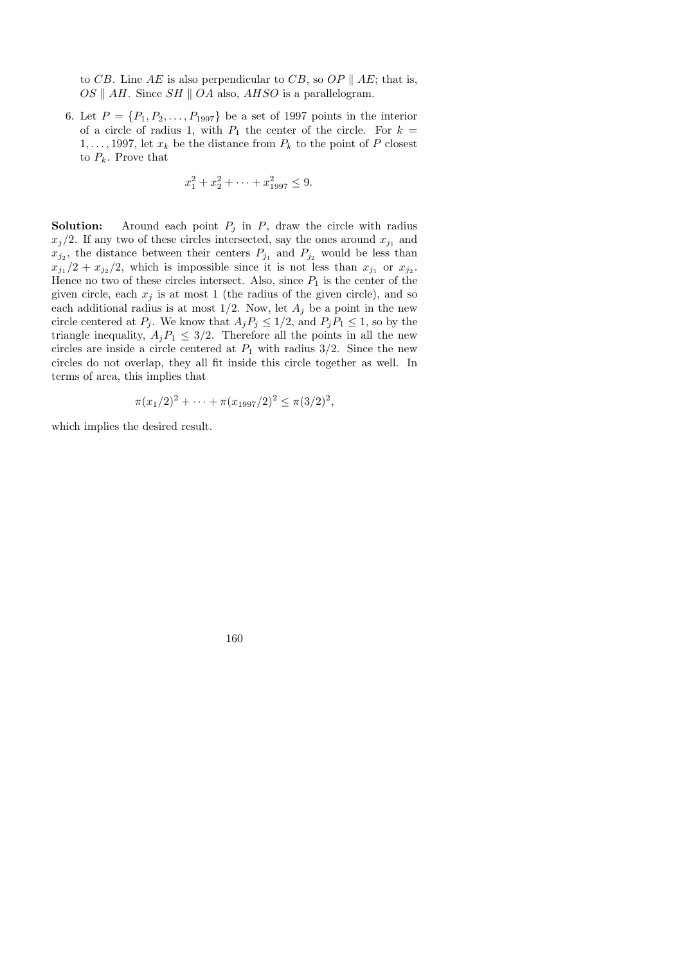to CB. Line AE is also perpendicular to CB, so OP  $\parallel$  AE; that is, OS  $\parallel AH$ . Since SH  $\parallel OA$  also, AHSO is a parallelogram.

6. Let  $P = \{P_1, P_2, \ldots, P_{1997}\}\$ be a set of 1997 points in the interior of a circle of radius 1, with  $P_1$  the center of the circle. For  $k =$  $1, \ldots, 1997$ , let  $x_k$  be the distance from  $P_k$  to the point of P closest to  $P_k$ . Prove that

$$
x_1^2 + x_2^2 + \dots + x_{1997}^2 \le 9.
$$

**Solution:** Around each point  $P_j$  in P, draw the circle with radius  $x_j/2$ . If any two of these circles intersected, say the ones around  $x_{j_1}$  and  $x_{j_2}$ , the distance between their centers  $P_{j_1}$  and  $P_{j_2}$  would be less than  $x_{j_1}/2 + x_{j_2}/2$ , which is impossible since it is not less than  $x_{j_1}$  or  $x_{j_2}$ . Hence no two of these circles intersect. Also, since  $P_1$  is the center of the given circle, each  $x_j$  is at most 1 (the radius of the given circle), and so each additional radius is at most  $1/2$ . Now, let  $A_j$  be a point in the new circle centered at  $P_j$ . We know that  $A_j P_j \leq 1/2$ , and  $P_j P_1 \leq 1$ , so by the triangle inequality,  $A_iP_1 \leq 3/2$ . Therefore all the points in all the new circles are inside a circle centered at  $P_1$  with radius 3/2. Since the new circles do not overlap, they all fit inside this circle together as well. In terms of area, this implies that

$$
\pi(x_1/2)^2 + \cdots + \pi(x_{1997}/2)^2 \le \pi(3/2)^2,
$$

which implies the desired result.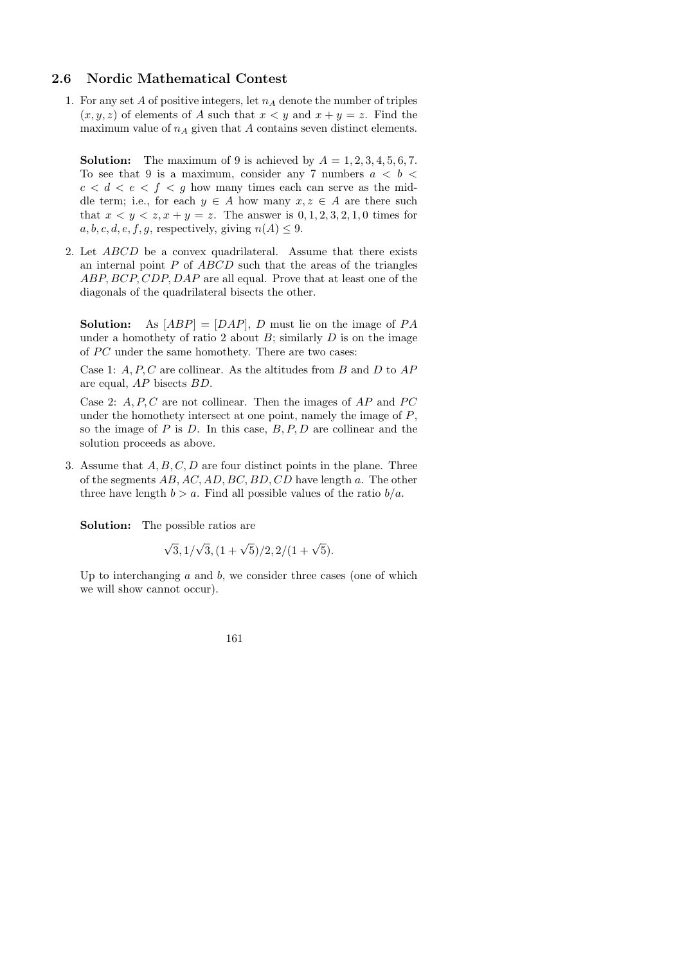## 2.6 Nordic Mathematical Contest

1. For any set  $A$  of positive integers, let  $n_A$  denote the number of triples  $(x, y, z)$  of elements of A such that  $x < y$  and  $x + y = z$ . Find the maximum value of  $n_A$  given that A contains seven distinct elements.

**Solution:** The maximum of 9 is achieved by  $A = 1, 2, 3, 4, 5, 6, 7$ . To see that 9 is a maximum, consider any 7 numbers  $a < b <$  $c < d < e < f < g$  how many times each can serve as the middle term; i.e., for each  $y \in A$  how many  $x, z \in A$  are there such that  $x < y < z, x + y = z$ . The answer is  $0, 1, 2, 3, 2, 1, 0$  times for  $a, b, c, d, e, f, g$ , respectively, giving  $n(A) \leq 9$ .

2. Let ABCD be a convex quadrilateral. Assume that there exists an internal point  $P$  of  $ABCD$  such that the areas of the triangles ABP, BCP, CDP, DAP are all equal. Prove that at least one of the diagonals of the quadrilateral bisects the other.

**Solution:** As  $[ABP] = [DAP]$ , D must lie on the image of PA under a homothety of ratio 2 about  $B$ ; similarly  $D$  is on the image of  $PC$  under the same homothety. There are two cases:

Case 1:  $A, P, C$  are collinear. As the altitudes from  $B$  and  $D$  to  $AP$ are equal, AP bisects BD.

Case 2:  $A, P, C$  are not collinear. Then the images of  $AP$  and  $PC$ under the homothety intersect at one point, namely the image of  $P$ , so the image of  $P$  is  $D$ . In this case,  $B, P, D$  are collinear and the solution proceeds as above.

3. Assume that  $A, B, C, D$  are four distinct points in the plane. Three of the segments  $AB, AC, AD, BC, BD, CD$  have length a. The other three have length  $b > a$ . Find all possible values of the ratio  $b/a$ .

Solution: The possible ratios are

$$
\sqrt{3}, 1/\sqrt{3}, (1+\sqrt{5})/2, 2/(1+\sqrt{5}).
$$

Up to interchanging  $a$  and  $b$ , we consider three cases (one of which we will show cannot occur).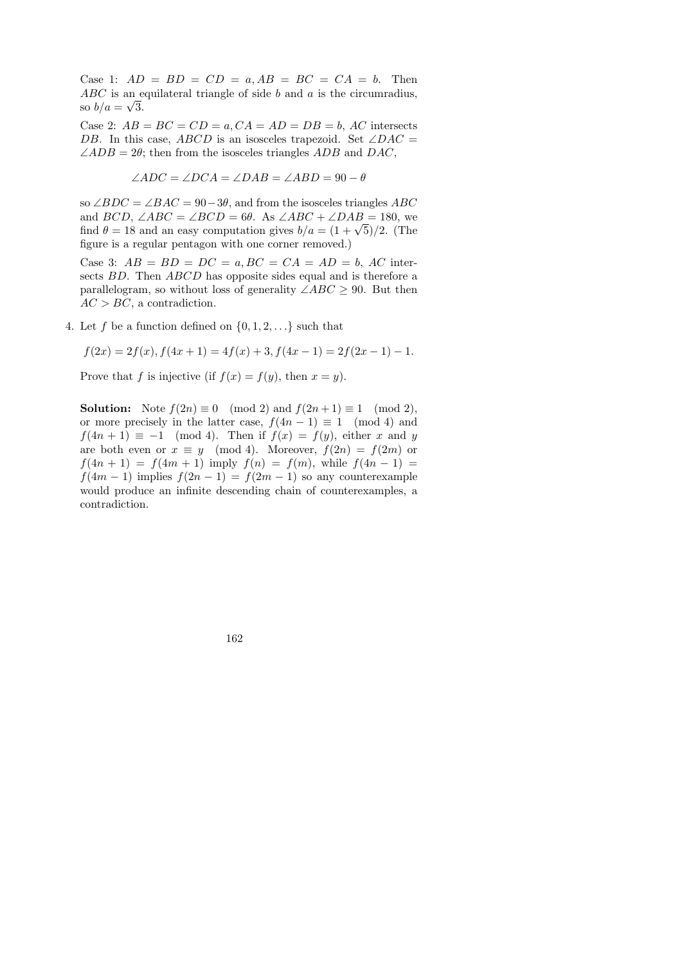Case 1:  $AD = BD = CD = a, AB = BC = CA = b$ . Then  $ABC$  is an equilateral triangle of side b and a is the circumradius, so  $b/a = \sqrt{3}$ .

Case 2:  $AB = BC = CD = a, CA = AD = DB = b, AC$  intersects DB. In this case, ABCD is an isosceles trapezoid. Set ∠DAC =  $\angle ADB = 2\theta$ ; then from the isosceles triangles ADB and DAC,

$$
\angle ADC = \angle DCA = \angle DAB = \angle ABD = 90 - \theta
$$

so  $\angle BDC = \angle BAC = 90 - 3\theta$ , and from the isosceles triangles ABC and  $BCD$ ,  $\angle ABC = \angle BCD = 6\theta$ . As  $\angle ABC + \angle DAB = 180$ , we and  $BCD$ ,  $\angle ABC = \angle BCD = 6\theta$ . As  $\angle ABC + \angle DAB = 180$ , we find  $\theta = 18$  and an easy computation gives  $b/a = (1 + \sqrt{5})/2$ . (The figure is a regular pentagon with one corner removed.)

Case 3:  $AB = BD = DC = a$ ,  $BC = CA = AD = b$ ,  $AC$  intersects BD. Then ABCD has opposite sides equal and is therefore a parallelogram, so without loss of generality  $\angle ABC \geq 90$ . But then  $AC > BC$ , a contradiction.

4. Let f be a function defined on  $\{0, 1, 2, \ldots\}$  such that

$$
f(2x) = 2f(x), f(4x + 1) = 4f(x) + 3, f(4x - 1) = 2f(2x - 1) - 1.
$$

Prove that f is injective (if  $f(x) = f(y)$ , then  $x = y$ ).

**Solution:** Note  $f(2n) \equiv 0 \pmod{2}$  and  $f(2n+1) \equiv 1 \pmod{2}$ , or more precisely in the latter case,  $f(4n-1) \equiv 1 \pmod{4}$  and  $f(4n + 1) \equiv -1 \pmod{4}$ . Then if  $f(x) = f(y)$ , either x and y are both even or  $x \equiv y \pmod{4}$ . Moreover,  $f(2n) = f(2m)$  or  $f(4n + 1) = f(4m + 1)$  imply  $f(n) = f(m)$ , while  $f(4n - 1) =$  $f(4m-1)$  implies  $f(2n-1) = f(2m-1)$  so any counterexample would produce an infinite descending chain of counterexamples, a contradiction.

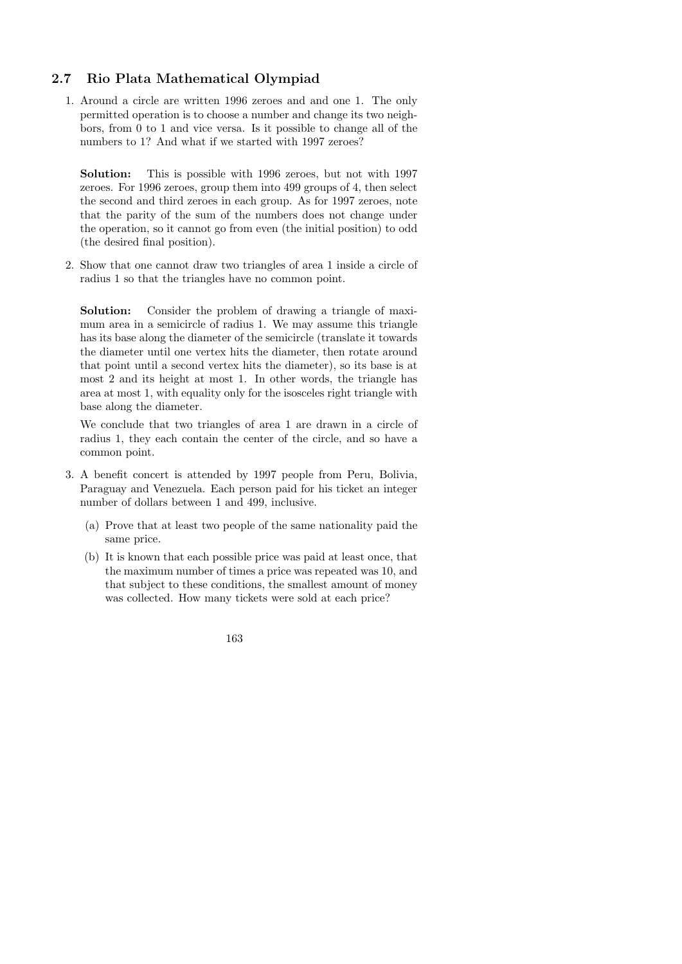## 2.7 Rio Plata Mathematical Olympiad

1. Around a circle are written 1996 zeroes and and one 1. The only permitted operation is to choose a number and change its two neighbors, from 0 to 1 and vice versa. Is it possible to change all of the numbers to 1? And what if we started with 1997 zeroes?

Solution: This is possible with 1996 zeroes, but not with 1997 zeroes. For 1996 zeroes, group them into 499 groups of 4, then select the second and third zeroes in each group. As for 1997 zeroes, note that the parity of the sum of the numbers does not change under the operation, so it cannot go from even (the initial position) to odd (the desired final position).

2. Show that one cannot draw two triangles of area 1 inside a circle of radius 1 so that the triangles have no common point.

Solution: Consider the problem of drawing a triangle of maximum area in a semicircle of radius 1. We may assume this triangle has its base along the diameter of the semicircle (translate it towards the diameter until one vertex hits the diameter, then rotate around that point until a second vertex hits the diameter), so its base is at most 2 and its height at most 1. In other words, the triangle has area at most 1, with equality only for the isosceles right triangle with base along the diameter.

We conclude that two triangles of area 1 are drawn in a circle of radius 1, they each contain the center of the circle, and so have a common point.

- 3. A benefit concert is attended by 1997 people from Peru, Bolivia, Paraguay and Venezuela. Each person paid for his ticket an integer number of dollars between 1 and 499, inclusive.
	- (a) Prove that at least two people of the same nationality paid the same price.
	- (b) It is known that each possible price was paid at least once, that the maximum number of times a price was repeated was 10, and that subject to these conditions, the smallest amount of money was collected. How many tickets were sold at each price?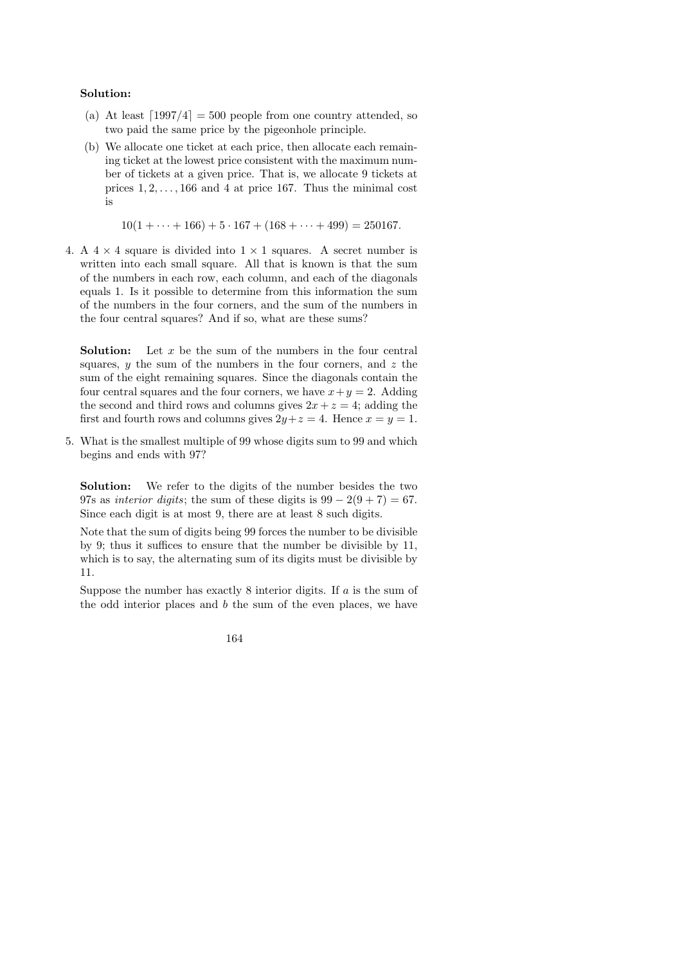## Solution:

- (a) At least  $1997/4 = 500$  people from one country attended, so two paid the same price by the pigeonhole principle.
- (b) We allocate one ticket at each price, then allocate each remaining ticket at the lowest price consistent with the maximum number of tickets at a given price. That is, we allocate 9 tickets at prices  $1, 2, \ldots, 166$  and 4 at price 167. Thus the minimal cost is

 $10(1 + \cdots + 166) + 5 \cdot 167 + (168 + \cdots + 499) = 250167.$ 

4. A  $4 \times 4$  square is divided into  $1 \times 1$  squares. A secret number is written into each small square. All that is known is that the sum of the numbers in each row, each column, and each of the diagonals equals 1. Is it possible to determine from this information the sum of the numbers in the four corners, and the sum of the numbers in the four central squares? And if so, what are these sums?

**Solution:** Let  $x$  be the sum of the numbers in the four central squares,  $y$  the sum of the numbers in the four corners, and  $z$  the sum of the eight remaining squares. Since the diagonals contain the four central squares and the four corners, we have  $x+y=2$ . Adding the second and third rows and columns gives  $2x + z = 4$ ; adding the first and fourth rows and columns gives  $2y+z=4$ . Hence  $x=y=1$ .

5. What is the smallest multiple of 99 whose digits sum to 99 and which begins and ends with 97?

Solution: We refer to the digits of the number besides the two 97s as *interior digits*; the sum of these digits is  $99 - 2(9 + 7) = 67$ . Since each digit is at most 9, there are at least 8 such digits.

Note that the sum of digits being 99 forces the number to be divisible by 9; thus it suffices to ensure that the number be divisible by 11, which is to say, the alternating sum of its digits must be divisible by 11.

Suppose the number has exactly 8 interior digits. If a is the sum of the odd interior places and b the sum of the even places, we have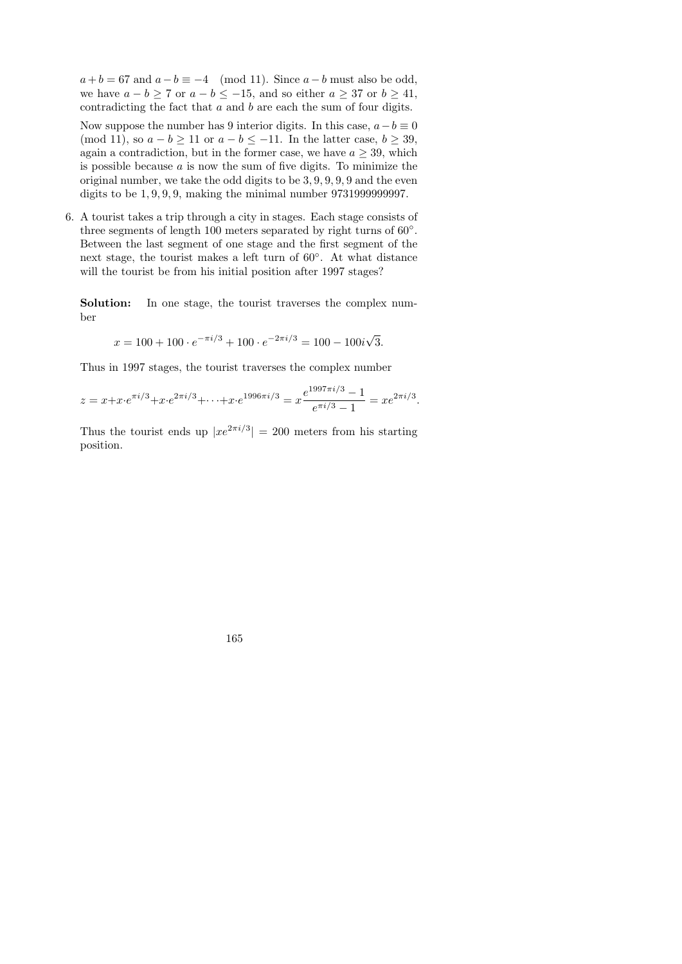$a+b=67$  and  $a-b \equiv -4 \pmod{11}$ . Since  $a-b$  must also be odd, we have  $a - b \ge 7$  or  $a - b \le -15$ , and so either  $a \ge 37$  or  $b \ge 41$ , contradicting the fact that  $a$  and  $b$  are each the sum of four digits.

Now suppose the number has 9 interior digits. In this case,  $a - b \equiv 0$ (mod 11), so  $a - b \ge 11$  or  $a - b \le -11$ . In the latter case,  $b \ge 39$ , again a contradiction, but in the former case, we have  $a \geq 39$ , which is possible because  $a$  is now the sum of five digits. To minimize the original number, we take the odd digits to be 3, 9, 9, 9, 9 and the even digits to be 1, 9, 9, 9, making the minimal number 9731999999997.

6. A tourist takes a trip through a city in stages. Each stage consists of three segments of length 100 meters separated by right turns of 60°. Between the last segment of one stage and the first segment of the next stage, the tourist makes a left turn of 60◦ . At what distance will the tourist be from his initial position after 1997 stages?

Solution: In one stage, the tourist traverses the complex number

$$
x = 100 + 100 \cdot e^{-\pi i/3} + 100 \cdot e^{-2\pi i/3} = 100 - 100i\sqrt{3}.
$$

Thus in 1997 stages, the tourist traverses the complex number

$$
z = x + x \cdot e^{\pi i/3} + x \cdot e^{2\pi i/3} + \dots + x \cdot e^{1996\pi i/3} = x \frac{e^{1997\pi i/3} - 1}{e^{\pi i/3} - 1} = x e^{2\pi i/3}.
$$

Thus the tourist ends up  $|xe^{2\pi i/3}| = 200$  meters from his starting position.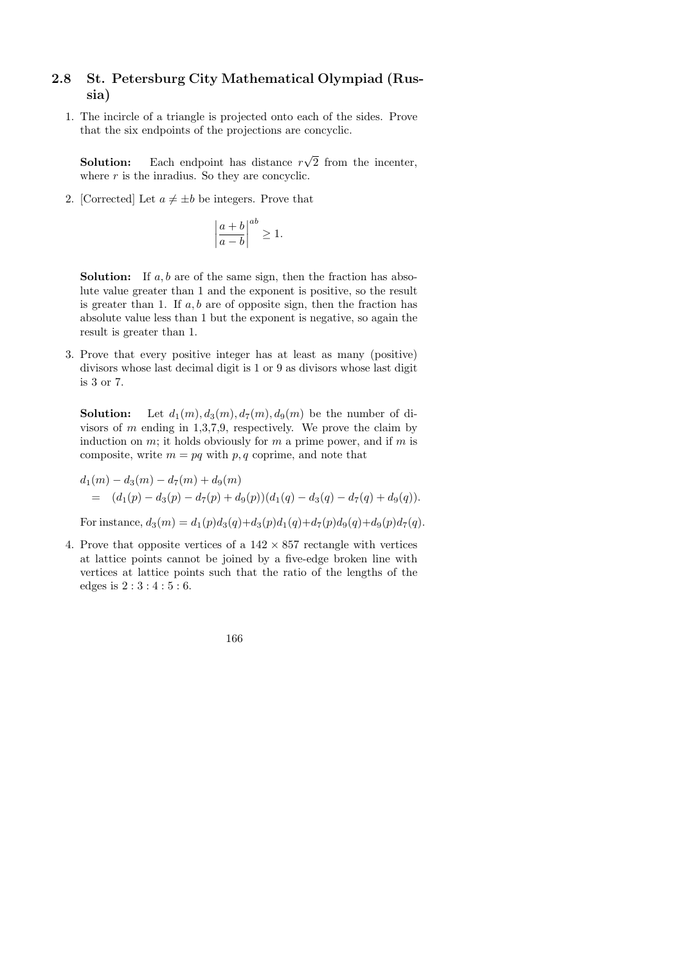# 2.8 St. Petersburg City Mathematical Olympiad (Russia)

1. The incircle of a triangle is projected onto each of the sides. Prove that the six endpoints of the projections are concyclic.

Solution: Each endpoint has distance r 2 from the incenter, where  $r$  is the inradius. So they are concyclic.

2. [Corrected] Let  $a \neq \pm b$  be integers. Prove that

$$
\left|\frac{a+b}{a-b}\right|^{ab} \ge 1.
$$

**Solution:** If  $a, b$  are of the same sign, then the fraction has absolute value greater than 1 and the exponent is positive, so the result is greater than 1. If  $a, b$  are of opposite sign, then the fraction has absolute value less than 1 but the exponent is negative, so again the result is greater than 1.

3. Prove that every positive integer has at least as many (positive) divisors whose last decimal digit is 1 or 9 as divisors whose last digit is 3 or 7.

**Solution:** Let  $d_1(m)$ ,  $d_3(m)$ ,  $d_7(m)$ ,  $d_9(m)$  be the number of divisors of  $m$  ending in 1,3,7,9, respectively. We prove the claim by induction on  $m$ ; it holds obviously for  $m$  a prime power, and if  $m$  is composite, write  $m = pq$  with p, q coprime, and note that

$$
d_1(m) - d_3(m) - d_7(m) + d_9(m)
$$
  
=  $(d_1(p) - d_3(p) - d_7(p) + d_9(p))(d_1(q) - d_3(q) - d_7(q) + d_9(q)).$ 

For instance,  $d_3(m) = d_1(p)d_3(q) + d_3(p)d_1(q) + d_7(p)d_9(q) + d_9(p)d_7(q)$ .

4. Prove that opposite vertices of a  $142 \times 857$  rectangle with vertices at lattice points cannot be joined by a five-edge broken line with vertices at lattice points such that the ratio of the lengths of the edges is 2 : 3 : 4 : 5 : 6.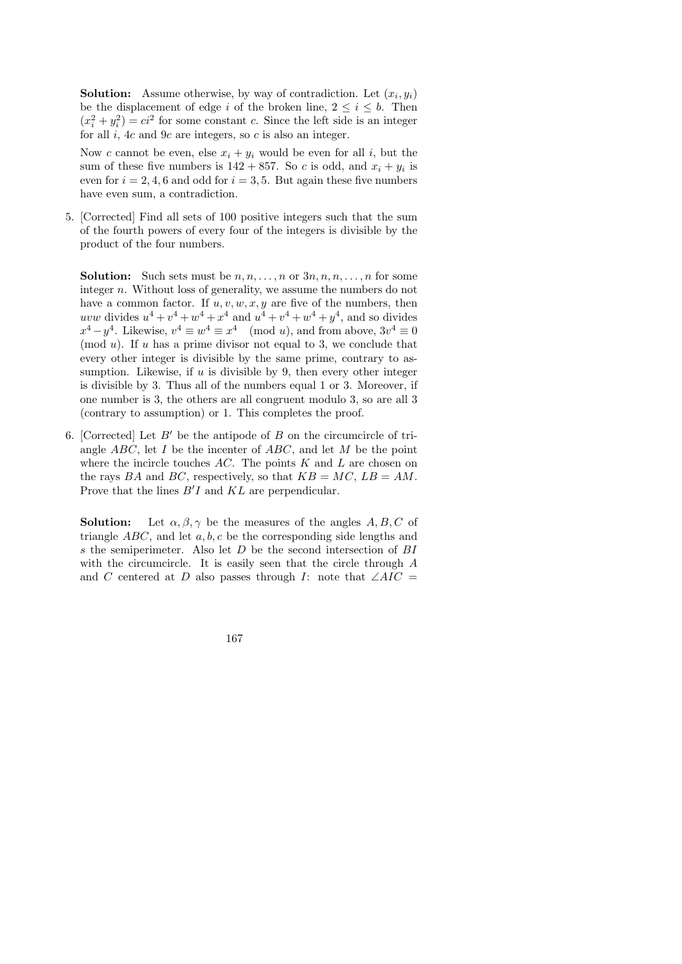**Solution:** Assume otherwise, by way of contradiction. Let  $(x_i, y_i)$ be the displacement of edge i of the broken line,  $2 \leq i \leq b$ . Then  $(x_i^2 + y_i^2) = ci^2$  for some constant c. Since the left side is an integer for all  $i$ ,  $4c$  and  $9c$  are integers, so c is also an integer.

Now c cannot be even, else  $x_i + y_i$  would be even for all i, but the sum of these five numbers is  $142 + 857$ . So c is odd, and  $x_i + y_i$  is even for  $i = 2, 4, 6$  and odd for  $i = 3, 5$ . But again these five numbers have even sum, a contradiction.

5. [Corrected] Find all sets of 100 positive integers such that the sum of the fourth powers of every four of the integers is divisible by the product of the four numbers.

**Solution:** Such sets must be  $n, n, \ldots, n$  or  $3n, n, n, \ldots, n$  for some integer n. Without loss of generality, we assume the numbers do not have a common factor. If  $u, v, w, x, y$  are five of the numbers, then uvw divides  $u^4 + v^4 + w^4 + x^4$  and  $u^4 + v^4 + w^4 + y^4$ , and so divides  $x^4 - y^4$ . Likewise,  $v^4 \equiv w^4 \equiv x^4 \pmod{u}$ , and from above,  $3v^4 \equiv 0$ (mod  $u$ ). If  $u$  has a prime divisor not equal to 3, we conclude that every other integer is divisible by the same prime, contrary to assumption. Likewise, if  $u$  is divisible by 9, then every other integer is divisible by 3. Thus all of the numbers equal 1 or 3. Moreover, if one number is 3, the others are all congruent modulo 3, so are all 3 (contrary to assumption) or 1. This completes the proof.

6. [Corrected] Let  $B'$  be the antipode of B on the circumcircle of triangle ABC, let I be the incenter of ABC, and let M be the point where the incircle touches  $AC$ . The points  $K$  and  $L$  are chosen on the rays BA and BC, respectively, so that  $KB = MC$ ,  $LB = AM$ . Prove that the lines  $B'I$  and  $KL$  are perpendicular.

**Solution:** Let  $\alpha, \beta, \gamma$  be the measures of the angles A, B, C of triangle  $ABC$ , and let  $a, b, c$  be the corresponding side lengths and s the semiperimeter. Also let D be the second intersection of BI with the circumcircle. It is easily seen that the circle through A and C centered at D also passes through I: note that  $\angle AIC =$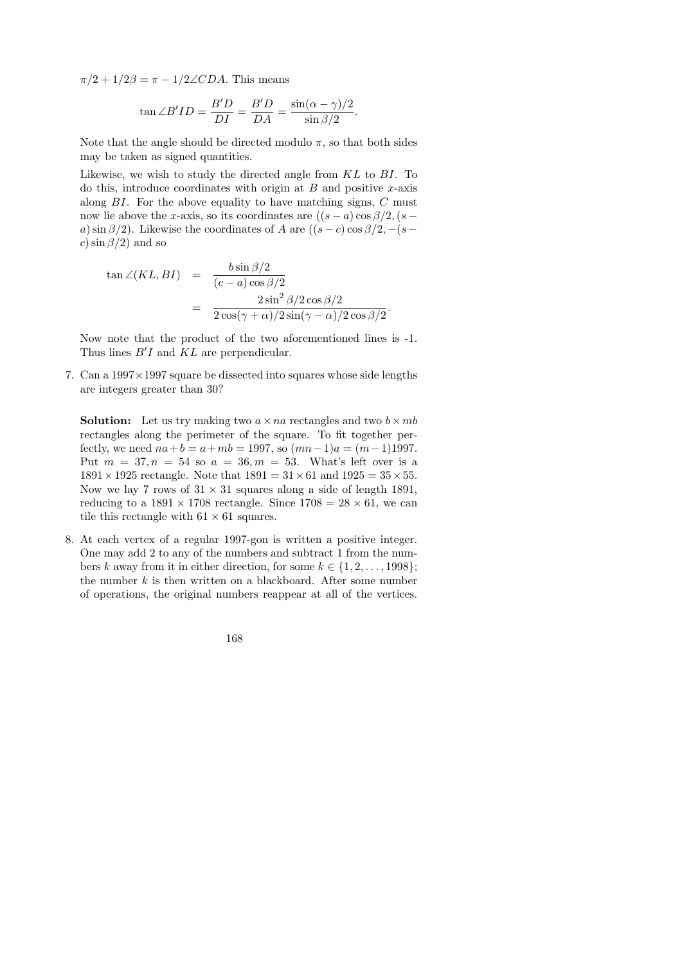$\pi/2 + 1/2\beta = \pi - 1/2\angle CDA$ . This means

$$
\tan \angle B'ID = \frac{B'D}{DI} = \frac{B'D}{DA} = \frac{\sin(\alpha - \gamma)/2}{\sin \beta/2}.
$$

Note that the angle should be directed modulo  $\pi$ , so that both sides may be taken as signed quantities.

Likewise, we wish to study the directed angle from KL to BI. To do this, introduce coordinates with origin at  $B$  and positive x-axis along  $BI$ . For the above equality to have matching signs,  $C$  must now lie above the x-axis, so its coordinates are  $((s - a)\cos\beta/2, (s - a)\cos\beta/2)$ a) sin  $\beta/2$ . Likewise the coordinates of A are  $((s-c)\cos \beta/2, -(s-c)\cos \beta/2)$ . c) sin  $\beta/2$  and so

$$
\tan \angle (KL, BI) = \frac{b \sin \beta/2}{(c-a)\cos \beta/2}
$$

$$
= \frac{2 \sin^2 \beta/2 \cos \beta/2}{2 \cos(\gamma + \alpha)/2 \sin(\gamma - \alpha)/2 \cos \beta/2}
$$

.

Now note that the product of the two aforementioned lines is -1. Thus lines  $B'I$  and  $KL$  are perpendicular.

7. Can a 1997×1997 square be dissected into squares whose side lengths are integers greater than 30?

**Solution:** Let us try making two  $a \times na$  rectangles and two  $b \times mb$ rectangles along the perimeter of the square. To fit together perfectly, we need  $na + b = a + mb = 1997$ , so  $(mn-1)a = (m-1)1997$ . Put  $m = 37, n = 54$  so  $a = 36, m = 53$ . What's left over is a  $1891 \times 1925$  rectangle. Note that  $1891 = 31 \times 61$  and  $1925 = 35 \times 55$ . Now we lay 7 rows of  $31 \times 31$  squares along a side of length 1891, reducing to a  $1891 \times 1708$  rectangle. Since  $1708 = 28 \times 61$ , we can tile this rectangle with  $61 \times 61$  squares.

8. At each vertex of a regular 1997-gon is written a positive integer. One may add 2 to any of the numbers and subtract 1 from the numbers k away from it in either direction, for some  $k \in \{1, 2, \ldots, 1998\}$ ; the number  $k$  is then written on a blackboard. After some number of operations, the original numbers reappear at all of the vertices.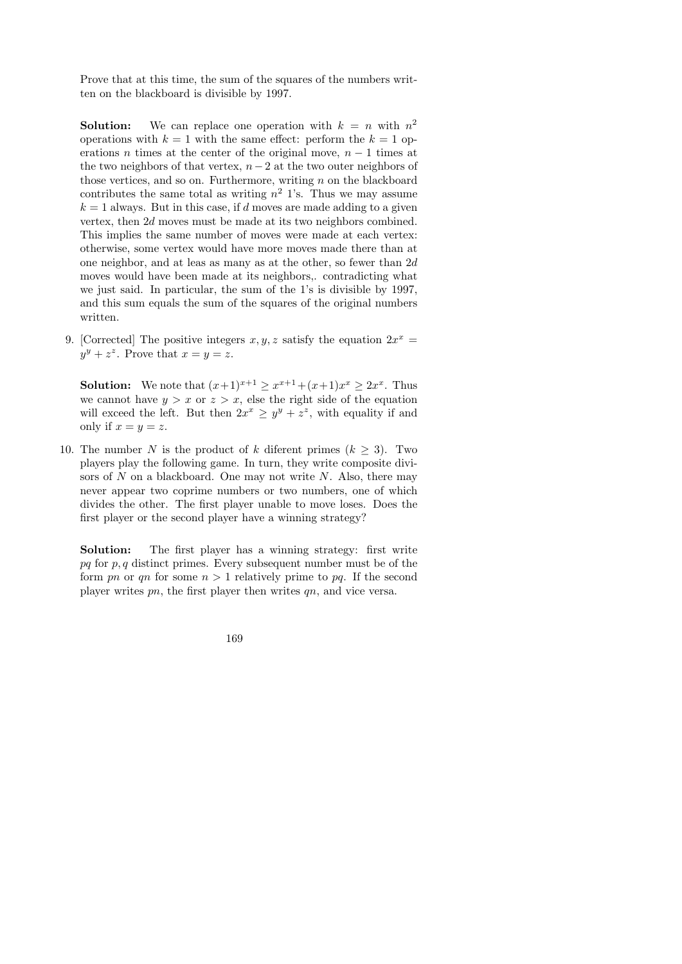Prove that at this time, the sum of the squares of the numbers written on the blackboard is divisible by 1997.

**Solution:** We can replace one operation with  $k = n$  with  $n^2$ operations with  $k = 1$  with the same effect: perform the  $k = 1$  operations *n* times at the center of the original move,  $n - 1$  times at the two neighbors of that vertex,  $n-2$  at the two outer neighbors of those vertices, and so on. Furthermore, writing  $n$  on the blackboard contributes the same total as writing  $n^2$  1's. Thus we may assume  $k = 1$  always. But in this case, if d moves are made adding to a given vertex, then 2d moves must be made at its two neighbors combined. This implies the same number of moves were made at each vertex: otherwise, some vertex would have more moves made there than at one neighbor, and at leas as many as at the other, so fewer than 2d moves would have been made at its neighbors,. contradicting what we just said. In particular, the sum of the 1's is divisible by 1997, and this sum equals the sum of the squares of the original numbers written.

9. [Corrected] The positive integers  $x, y, z$  satisfy the equation  $2x^x =$  $y^{y} + z^{z}$ . Prove that  $x = y = z$ .

**Solution:** We note that  $(x+1)^{x+1} \ge x^{x+1} + (x+1)x^x \ge 2x^x$ . Thus we cannot have  $y > x$  or  $z > x$ , else the right side of the equation will exceed the left. But then  $2x^x \geq y^y + z^z$ , with equality if and only if  $x = y = z$ .

10. The number N is the product of k diferent primes  $(k > 3)$ . Two players play the following game. In turn, they write composite divisors of  $N$  on a blackboard. One may not write  $N$ . Also, there may never appear two coprime numbers or two numbers, one of which divides the other. The first player unable to move loses. Does the first player or the second player have a winning strategy?

Solution: The first player has a winning strategy: first write pq for p, q distinct primes. Every subsequent number must be of the form pn or qn for some  $n > 1$  relatively prime to pq. If the second player writes  $pn$ , the first player then writes  $qn$ , and vice versa.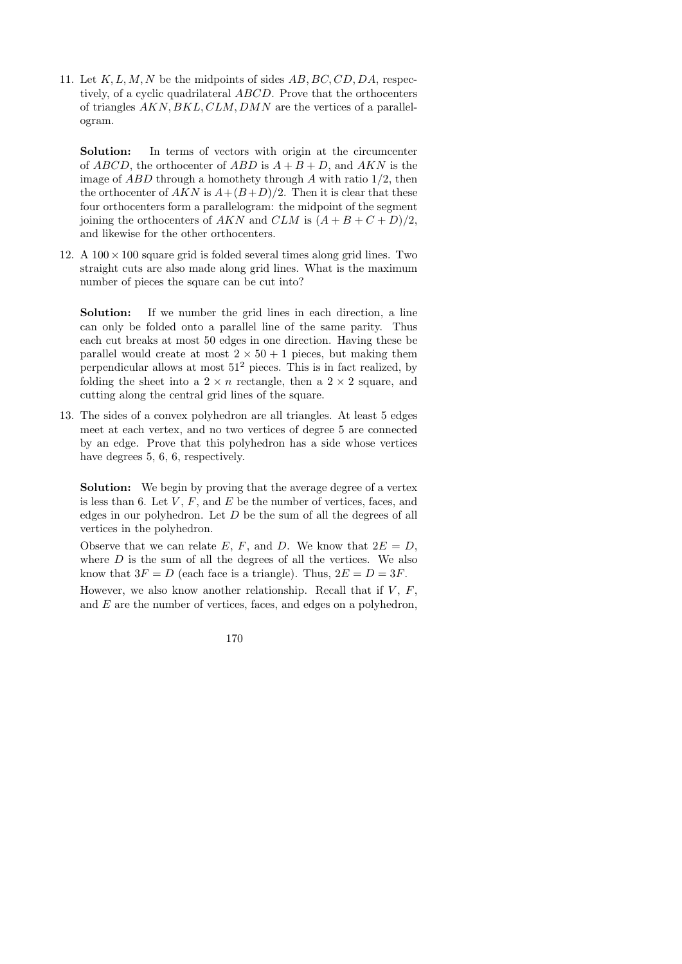11. Let  $K, L, M, N$  be the midpoints of sides  $AB, BC, CD, DA$ , respectively, of a cyclic quadrilateral ABCD. Prove that the orthocenters of triangles AKN, BKL, CLM, DMN are the vertices of a parallelogram.

Solution: In terms of vectors with origin at the circumcenter of ABCD, the orthocenter of ABD is  $A + B + D$ , and AKN is the image of  $ABD$  through a homothety through A with ratio  $1/2$ , then the orthocenter of  $AKN$  is  $A+(B+D)/2$ . Then it is clear that these four orthocenters form a parallelogram: the midpoint of the segment joining the orthocenters of AKN and CLM is  $(A + B + C + D)/2$ , and likewise for the other orthocenters.

12. A  $100 \times 100$  square grid is folded several times along grid lines. Two straight cuts are also made along grid lines. What is the maximum number of pieces the square can be cut into?

Solution: If we number the grid lines in each direction, a line can only be folded onto a parallel line of the same parity. Thus each cut breaks at most 50 edges in one direction. Having these be parallel would create at most  $2 \times 50 + 1$  pieces, but making them perpendicular allows at most  $51<sup>2</sup>$  pieces. This is in fact realized, by folding the sheet into a  $2 \times n$  rectangle, then a  $2 \times 2$  square, and cutting along the central grid lines of the square.

13. The sides of a convex polyhedron are all triangles. At least 5 edges meet at each vertex, and no two vertices of degree 5 are connected by an edge. Prove that this polyhedron has a side whose vertices have degrees 5, 6, 6, respectively.

Solution: We begin by proving that the average degree of a vertex is less than 6. Let  $V, F$ , and  $E$  be the number of vertices, faces, and edges in our polyhedron. Let D be the sum of all the degrees of all vertices in the polyhedron.

Observe that we can relate E, F, and D. We know that  $2E = D$ . where  $D$  is the sum of all the degrees of all the vertices. We also know that  $3F = D$  (each face is a triangle). Thus,  $2E = D = 3F$ .

However, we also know another relationship. Recall that if  $V, F$ , and E are the number of vertices, faces, and edges on a polyhedron,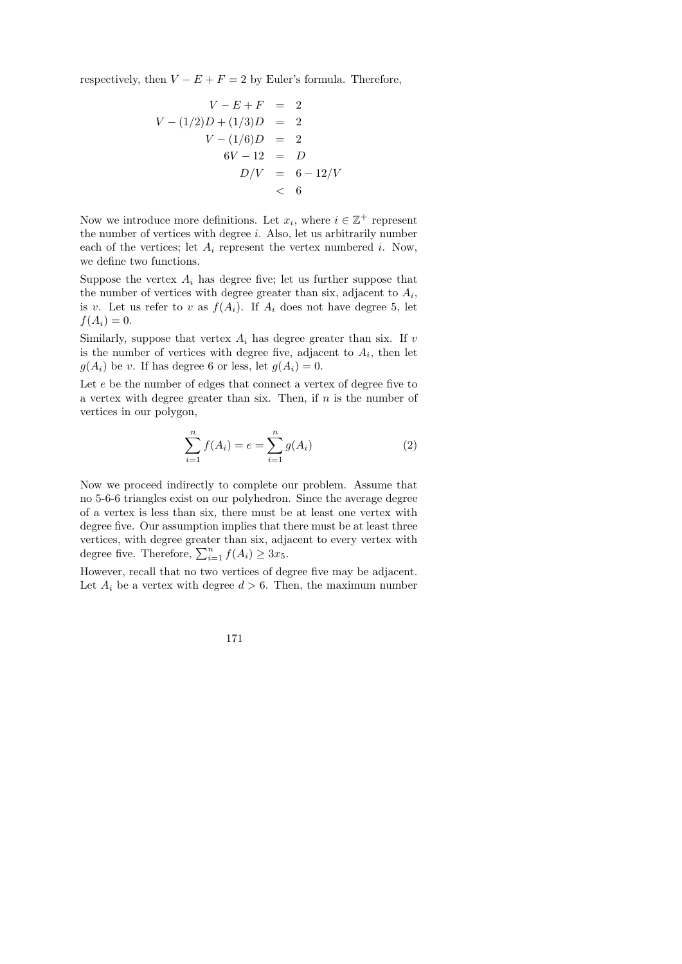respectively, then  $V - E + F = 2$  by Euler's formula. Therefore,

$$
V - E + F = 2
$$
  
\n
$$
V - (1/2)D + (1/3)D = 2
$$
  
\n
$$
V - (1/6)D = 2
$$
  
\n
$$
6V - 12 = D
$$
  
\n
$$
D/V = 6 - 12/V
$$
  
\n
$$
< 6
$$

Now we introduce more definitions. Let  $x_i$ , where  $i \in \mathbb{Z}^+$  represent the number of vertices with degree i. Also, let us arbitrarily number each of the vertices; let  $A_i$  represent the vertex numbered i. Now, we define two functions.

Suppose the vertex  $A_i$  has degree five; let us further suppose that the number of vertices with degree greater than six, adjacent to  $A_i$ , is v. Let us refer to v as  $f(A_i)$ . If  $A_i$  does not have degree 5, let  $f(A_i) = 0.$ 

Similarly, suppose that vertex  $A_i$  has degree greater than six. If v is the number of vertices with degree five, adjacent to  $A_i$ , then let  $g(A_i)$  be v. If has degree 6 or less, let  $g(A_i) = 0$ .

Let  $e$  be the number of edges that connect a vertex of degree five to a vertex with degree greater than six. Then, if  $n$  is the number of vertices in our polygon,

$$
\sum_{i=1}^{n} f(A_i) = e = \sum_{i=1}^{n} g(A_i)
$$
 (2)

Now we proceed indirectly to complete our problem. Assume that no 5-6-6 triangles exist on our polyhedron. Since the average degree of a vertex is less than six, there must be at least one vertex with degree five. Our assumption implies that there must be at least three vertices, with degree greater than six, adjacent to every vertex with degree five. Therefore,  $\sum_{i=1}^{n} f(A_i) \ge 3x_5$ .

However, recall that no two vertices of degree five may be adjacent. Let  $A_i$  be a vertex with degree  $d > 6$ . Then, the maximum number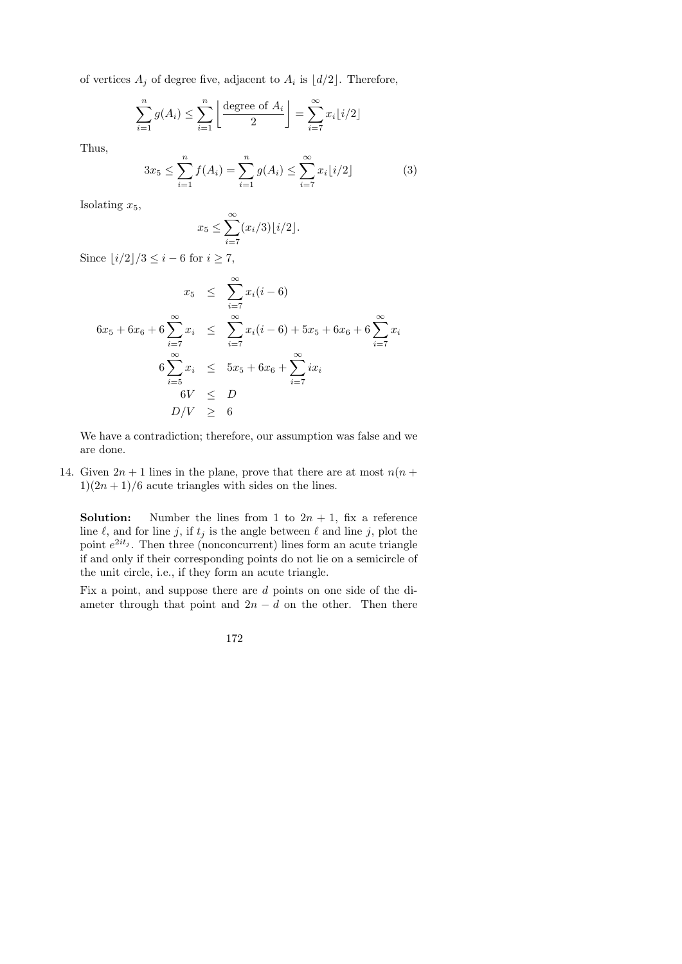of vertices  $A_j$  of degree five, adjacent to  $A_i$  is  $\lfloor d/2 \rfloor$ . Therefore,

$$
\sum_{i=1}^{n} g(A_i) \le \sum_{i=1}^{n} \left\lfloor \frac{\text{degree of } A_i}{2} \right\rfloor = \sum_{i=7}^{\infty} x_i \lfloor i/2 \rfloor
$$

Thus,

$$
3x_5 \le \sum_{i=1}^n f(A_i) = \sum_{i=1}^n g(A_i) \le \sum_{i=7}^\infty x_i \lfloor i/2 \rfloor \tag{3}
$$

Isolating  $x_5$ ,

$$
x_5 \leq \sum_{i=7}^{\infty} (x_i/3) \lfloor i/2 \rfloor.
$$

 $\sim$ 

Since  $\left| i/2\right| /3 \leq i - 6$  for  $i \geq 7$ ,

$$
x_5 \leq \sum_{i=7}^{\infty} x_i (i - 6)
$$
  

$$
6x_5 + 6x_6 + 6 \sum_{i=7}^{\infty} x_i \leq \sum_{i=7}^{\infty} x_i (i - 6) + 5x_5 + 6x_6 + 6 \sum_{i=7}^{\infty} x_i
$$
  

$$
6 \sum_{i=5}^{\infty} x_i \leq 5x_5 + 6x_6 + \sum_{i=7}^{\infty} ix_i
$$
  

$$
6V \leq D
$$
  

$$
D/V \geq 6
$$

We have a contradiction; therefore, our assumption was false and we are done.

14. Given  $2n + 1$  lines in the plane, prove that there are at most  $n(n + 1)$  $1(2n+1)/6$  acute triangles with sides on the lines.

**Solution:** Number the lines from 1 to  $2n + 1$ , fix a reference line  $\ell$ , and for line j, if  $t_j$  is the angle between  $\ell$  and line j, plot the point  $e^{2it_j}$ . Then three (nonconcurrent) lines form an acute triangle if and only if their corresponding points do not lie on a semicircle of the unit circle, i.e., if they form an acute triangle.

Fix a point, and suppose there are d points on one side of the diameter through that point and  $2n - d$  on the other. Then there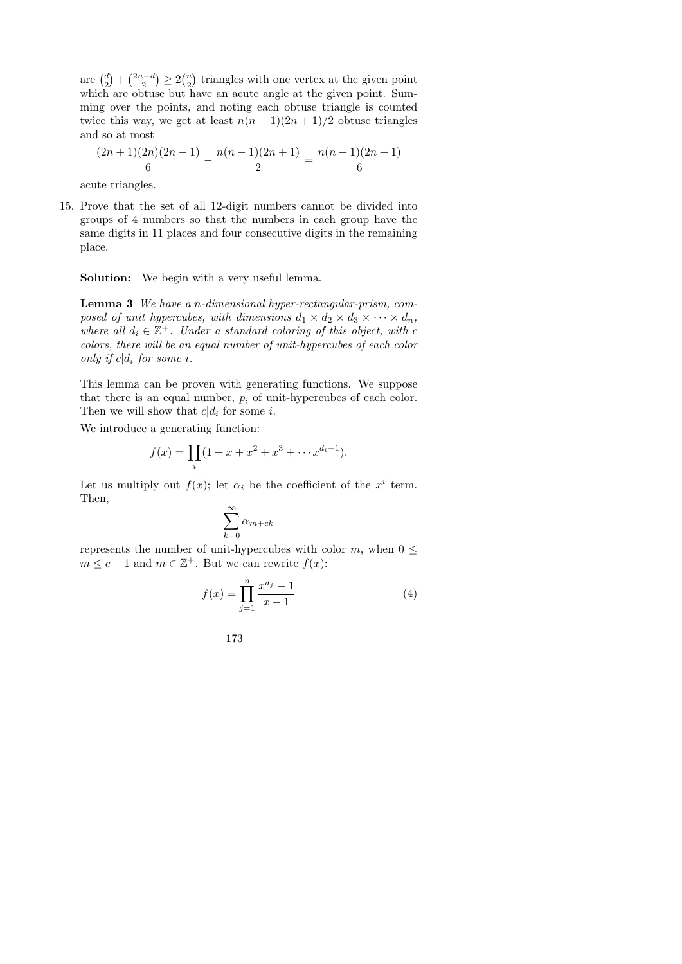are  $\binom{d}{2} + \binom{2n-d}{2} \geq 2\binom{n}{2}$  triangles with one vertex at the given point which are obtuse but have an acute angle at the given point. Summing over the points, and noting each obtuse triangle is counted twice this way, we get at least  $n(n-1)(2n+1)/2$  obtuse triangles and so at most

$$
\frac{(2n+1)(2n)(2n-1)}{6} - \frac{n(n-1)(2n+1)}{2} = \frac{n(n+1)(2n+1)}{6}
$$

acute triangles.

15. Prove that the set of all 12-digit numbers cannot be divided into groups of 4 numbers so that the numbers in each group have the same digits in 11 places and four consecutive digits in the remaining place.

Solution: We begin with a very useful lemma.

Lemma 3 We have a n-dimensional hyper-rectangular-prism, composed of unit hypercubes, with dimensions  $d_1 \times d_2 \times d_3 \times \cdots \times d_n$ , where all  $d_i \in \mathbb{Z}^+$ . Under a standard coloring of this object, with c colors, there will be an equal number of unit-hypercubes of each color only if  $c|d_i$  for some i.

This lemma can be proven with generating functions. We suppose that there is an equal number,  $p$ , of unit-hypercubes of each color. Then we will show that  $c|d_i$  for some i.

We introduce a generating function:

$$
f(x) = \prod_i (1 + x + x^2 + x^3 + \dots + x^{d_i - 1}).
$$

Let us multiply out  $f(x)$ ; let  $\alpha_i$  be the coefficient of the  $x^i$  term. Then,

$$
\sum_{k=0}^{\infty} \alpha_{m+ck}
$$

represents the number of unit-hypercubes with color  $m$ , when  $0 \leq$  $m \leq c-1$  and  $m \in \mathbb{Z}^+$ . But we can rewrite  $f(x)$ :

$$
f(x) = \prod_{j=1}^{n} \frac{x^{d_j} - 1}{x - 1}
$$
 (4)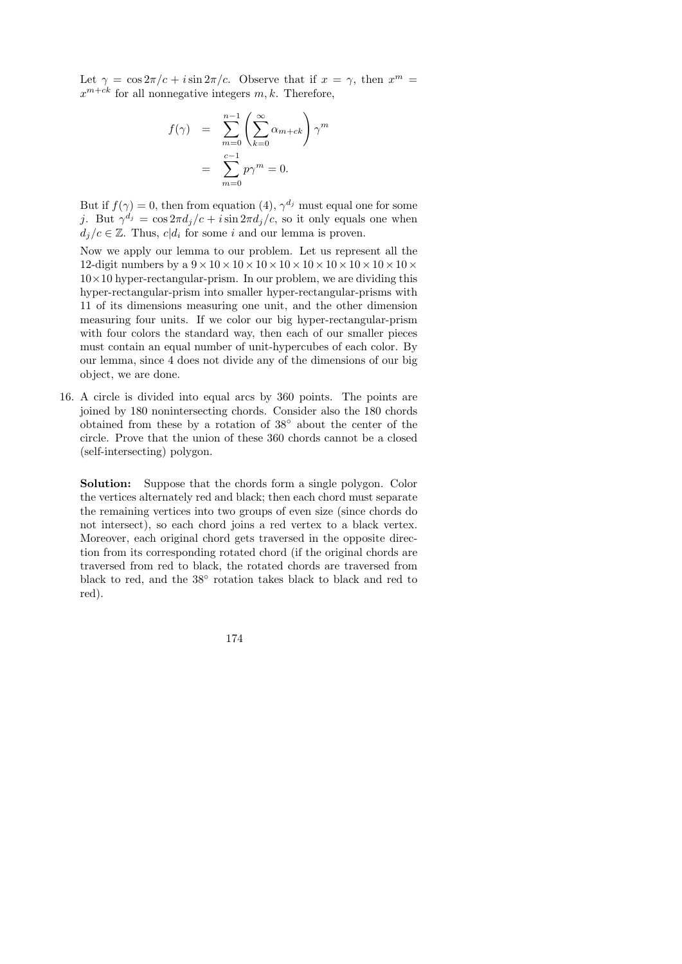Let  $\gamma = \cos 2\pi/c + i \sin 2\pi/c$ . Observe that if  $x = \gamma$ , then  $x^m =$  $x^{m+ck}$  for all nonnegative integers  $m, k$ . Therefore,

$$
f(\gamma) = \sum_{m=0}^{n-1} \left( \sum_{k=0}^{\infty} \alpha_{m+ck} \right) \gamma^m
$$
  
= 
$$
\sum_{m=0}^{c-1} p \gamma^m = 0.
$$

But if  $f(\gamma) = 0$ , then from equation (4),  $\gamma^{d_j}$  must equal one for some j. But  $\gamma^{d_j} = \cos 2\pi d_j/c + i \sin 2\pi d_j/c$ , so it only equals one when  $d_i/c \in \mathbb{Z}$ . Thus,  $c|d_i$  for some i and our lemma is proven.

Now we apply our lemma to our problem. Let us represent all the 12-digit numbers by a 9×10×10×10×10×10×10×10×10×10×  $10\times10$  hyper-rectangular-prism. In our problem, we are dividing this hyper-rectangular-prism into smaller hyper-rectangular-prisms with 11 of its dimensions measuring one unit, and the other dimension measuring four units. If we color our big hyper-rectangular-prism with four colors the standard way, then each of our smaller pieces must contain an equal number of unit-hypercubes of each color. By our lemma, since 4 does not divide any of the dimensions of our big object, we are done.

16. A circle is divided into equal arcs by 360 points. The points are joined by 180 nonintersecting chords. Consider also the 180 chords obtained from these by a rotation of 38◦ about the center of the circle. Prove that the union of these 360 chords cannot be a closed (self-intersecting) polygon.

Solution: Suppose that the chords form a single polygon. Color the vertices alternately red and black; then each chord must separate the remaining vertices into two groups of even size (since chords do not intersect), so each chord joins a red vertex to a black vertex. Moreover, each original chord gets traversed in the opposite direction from its corresponding rotated chord (if the original chords are traversed from red to black, the rotated chords are traversed from black to red, and the 38◦ rotation takes black to black and red to red).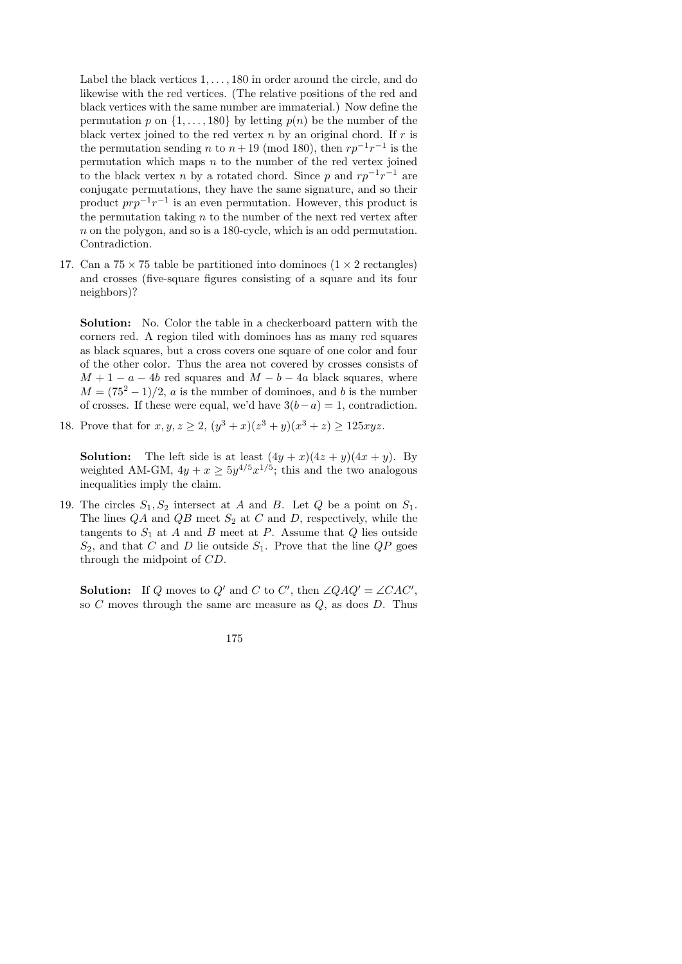Label the black vertices  $1, \ldots, 180$  in order around the circle, and do likewise with the red vertices. (The relative positions of the red and black vertices with the same number are immaterial.) Now define the permutation p on  $\{1, \ldots, 180\}$  by letting  $p(n)$  be the number of the black vertex joined to the red vertex  $n$  by an original chord. If  $r$  is the permutation sending n to  $n + 19 \pmod{180}$ , then  $rp^{-1}r^{-1}$  is the permutation which maps  $n$  to the number of the red vertex joined to the black vertex n by a rotated chord. Since p and  $rp^{-1}r^{-1}$  are conjugate permutations, they have the same signature, and so their product  $prp^{-1}r^{-1}$  is an even permutation. However, this product is the permutation taking  $n$  to the number of the next red vertex after n on the polygon, and so is a 180-cycle, which is an odd permutation. Contradiction.

17. Can a  $75 \times 75$  table be partitioned into dominoes  $(1 \times 2 \text{ rectangles})$ and crosses (five-square figures consisting of a square and its four neighbors)?

Solution: No. Color the table in a checkerboard pattern with the corners red. A region tiled with dominoes has as many red squares as black squares, but a cross covers one square of one color and four of the other color. Thus the area not covered by crosses consists of  $M + 1 - a - 4b$  red squares and  $M - b - 4a$  black squares, where  $M = (75<sup>2</sup> - 1)/2$ , *a* is the number of dominoes, and *b* is the number of crosses. If these were equal, we'd have  $3(b-a) = 1$ , contradiction.

18. Prove that for  $x, y, z \ge 2$ ,  $(y^3 + x)(z^3 + y)(x^3 + z) \ge 125xyz$ .

**Solution:** The left side is at least  $(4y + x)(4z + y)(4x + y)$ . By weighted AM-GM,  $4y + x \geq 5y^{4/5}x^{1/5}$ ; this and the two analogous inequalities imply the claim.

19. The circles  $S_1, S_2$  intersect at A and B. Let Q be a point on  $S_1$ . The lines  $QA$  and  $QB$  meet  $S_2$  at  $C$  and  $D$ , respectively, while the tangents to  $S_1$  at A and B meet at P. Assume that Q lies outside  $S_2$ , and that C and D lie outside  $S_1$ . Prove that the line QP goes through the midpoint of CD.

**Solution:** If Q moves to Q' and C to C', then  $\angle QAQ' = \angle CAC'$ , so  $C$  moves through the same arc measure as  $Q$ , as does  $D$ . Thus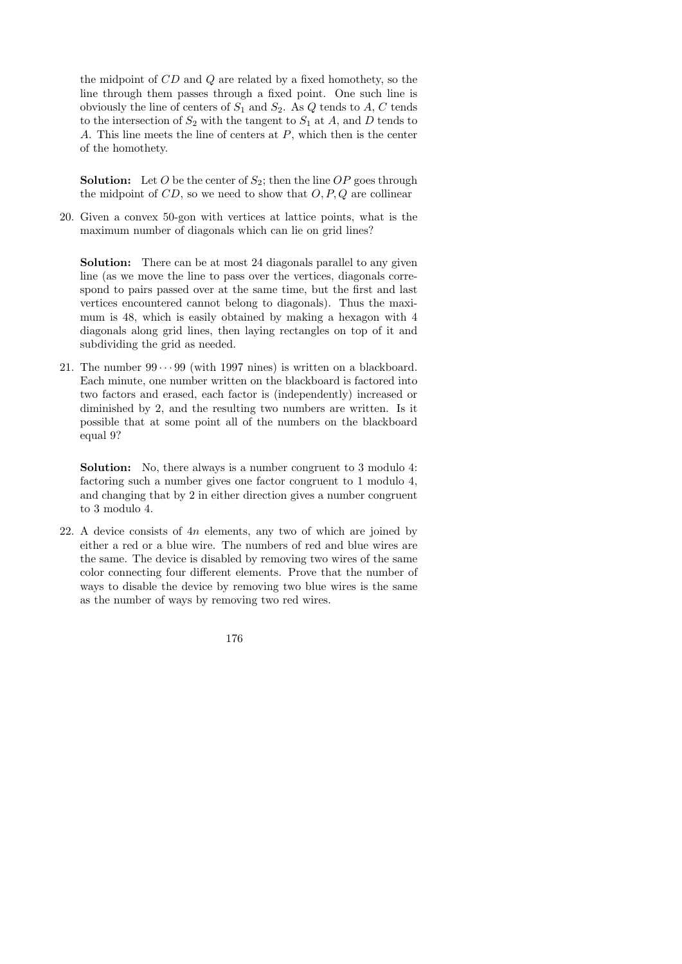the midpoint of CD and Q are related by a fixed homothety, so the line through them passes through a fixed point. One such line is obviously the line of centers of  $S_1$  and  $S_2$ . As Q tends to A, C tends to the intersection of  $S_2$  with the tangent to  $S_1$  at A, and D tends to A. This line meets the line of centers at P, which then is the center of the homothety.

**Solution:** Let O be the center of  $S_2$ ; then the line OP goes through the midpoint of  $CD$ , so we need to show that  $O, P, Q$  are collinear

20. Given a convex 50-gon with vertices at lattice points, what is the maximum number of diagonals which can lie on grid lines?

**Solution:** There can be at most 24 diagonals parallel to any given line (as we move the line to pass over the vertices, diagonals correspond to pairs passed over at the same time, but the first and last vertices encountered cannot belong to diagonals). Thus the maximum is 48, which is easily obtained by making a hexagon with 4 diagonals along grid lines, then laying rectangles on top of it and subdividing the grid as needed.

21. The number  $99 \cdots 99$  (with 1997 nines) is written on a blackboard. Each minute, one number written on the blackboard is factored into two factors and erased, each factor is (independently) increased or diminished by 2, and the resulting two numbers are written. Is it possible that at some point all of the numbers on the blackboard equal 9?

Solution: No, there always is a number congruent to 3 modulo 4: factoring such a number gives one factor congruent to 1 modulo 4, and changing that by 2 in either direction gives a number congruent to 3 modulo 4.

22. A device consists of 4n elements, any two of which are joined by either a red or a blue wire. The numbers of red and blue wires are the same. The device is disabled by removing two wires of the same color connecting four different elements. Prove that the number of ways to disable the device by removing two blue wires is the same as the number of ways by removing two red wires.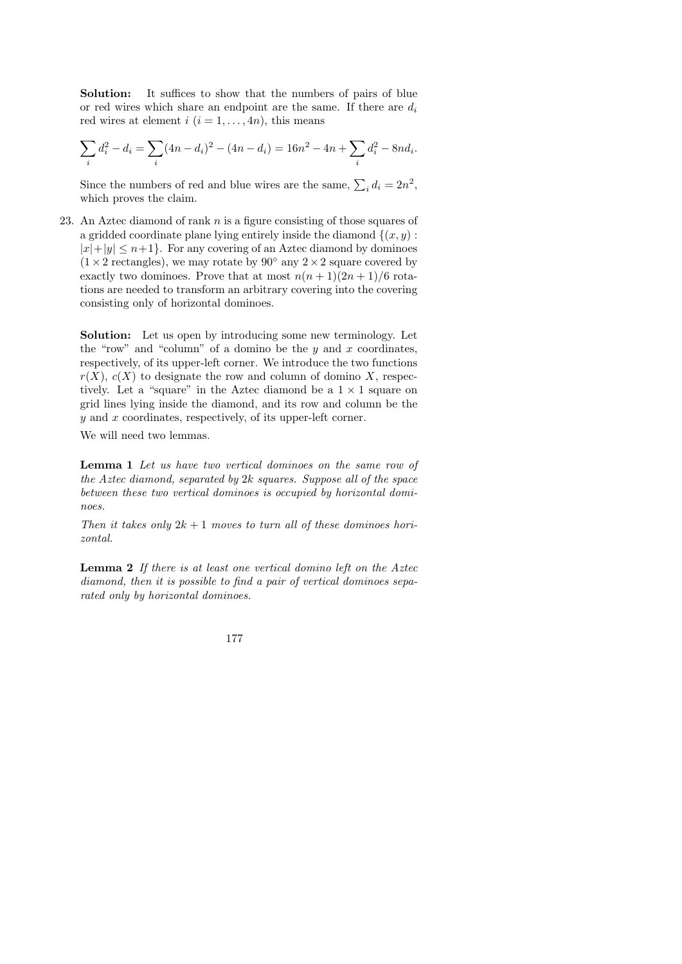Solution: It suffices to show that the numbers of pairs of blue or red wires which share an endpoint are the same. If there are  $d_i$ red wires at element  $i$   $(i = 1, \ldots, 4n)$ , this means

$$
\sum_{i} d_i^2 - d_i = \sum_{i} (4n - d_i)^2 - (4n - d_i) = 16n^2 - 4n + \sum_{i} d_i^2 - 8nd_i.
$$

Since the numbers of red and blue wires are the same,  $\sum_i d_i = 2n^2$ , which proves the claim.

23. An Aztec diamond of rank  $n$  is a figure consisting of those squares of a gridded coordinate plane lying entirely inside the diamond  $\{(x, y):$  $|x|+|y| \leq n+1$ . For any covering of an Aztec diamond by dominoes  $(1\times2 \text{ rectangles})$ , we may rotate by  $90°$  any  $2\times2$  square covered by exactly two dominoes. Prove that at most  $n(n+1)(2n+1)/6$  rotations are needed to transform an arbitrary covering into the covering consisting only of horizontal dominoes.

Solution: Let us open by introducing some new terminology. Let the "row" and "column" of a domino be the  $y$  and  $x$  coordinates, respectively, of its upper-left corner. We introduce the two functions  $r(X)$ ,  $c(X)$  to designate the row and column of domino X, respectively. Let a "square" in the Aztec diamond be a  $1 \times 1$  square on grid lines lying inside the diamond, and its row and column be the  $y$  and  $x$  coordinates, respectively, of its upper-left corner.

We will need two lemmas.

Lemma 1 Let us have two vertical dominoes on the same row of the Aztec diamond, separated by 2k squares. Suppose all of the space between these two vertical dominoes is occupied by horizontal dominoes.

Then it takes only  $2k + 1$  moves to turn all of these dominoes horizontal.

Lemma 2 If there is at least one vertical domino left on the Aztec diamond, then it is possible to find a pair of vertical dominoes separated only by horizontal dominoes.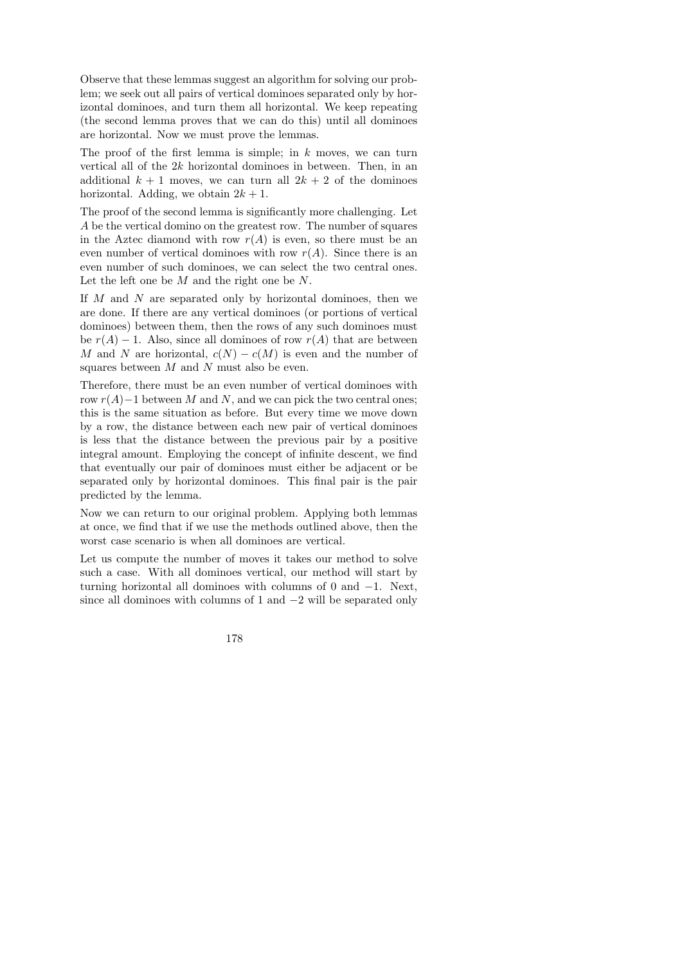Observe that these lemmas suggest an algorithm for solving our problem; we seek out all pairs of vertical dominoes separated only by horizontal dominoes, and turn them all horizontal. We keep repeating (the second lemma proves that we can do this) until all dominoes are horizontal. Now we must prove the lemmas.

The proof of the first lemma is simple; in  $k$  moves, we can turn vertical all of the 2k horizontal dominoes in between. Then, in an additional  $k + 1$  moves, we can turn all  $2k + 2$  of the dominoes horizontal. Adding, we obtain  $2k + 1$ .

The proof of the second lemma is significantly more challenging. Let A be the vertical domino on the greatest row. The number of squares in the Aztec diamond with row  $r(A)$  is even, so there must be an even number of vertical dominoes with row  $r(A)$ . Since there is an even number of such dominoes, we can select the two central ones. Let the left one be  $M$  and the right one be  $N$ .

If  $M$  and  $N$  are separated only by horizontal dominoes, then we are done. If there are any vertical dominoes (or portions of vertical dominoes) between them, then the rows of any such dominoes must be  $r(A) - 1$ . Also, since all dominoes of row  $r(A)$  that are between M and N are horizontal,  $c(N) - c(M)$  is even and the number of squares between  $M$  and  $N$  must also be even.

Therefore, there must be an even number of vertical dominoes with row  $r(A)$ −1 between M and N, and we can pick the two central ones; this is the same situation as before. But every time we move down by a row, the distance between each new pair of vertical dominoes is less that the distance between the previous pair by a positive integral amount. Employing the concept of infinite descent, we find that eventually our pair of dominoes must either be adjacent or be separated only by horizontal dominoes. This final pair is the pair predicted by the lemma.

Now we can return to our original problem. Applying both lemmas at once, we find that if we use the methods outlined above, then the worst case scenario is when all dominoes are vertical.

Let us compute the number of moves it takes our method to solve such a case. With all dominoes vertical, our method will start by turning horizontal all dominoes with columns of 0 and −1. Next, since all dominoes with columns of 1 and  $-2$  will be separated only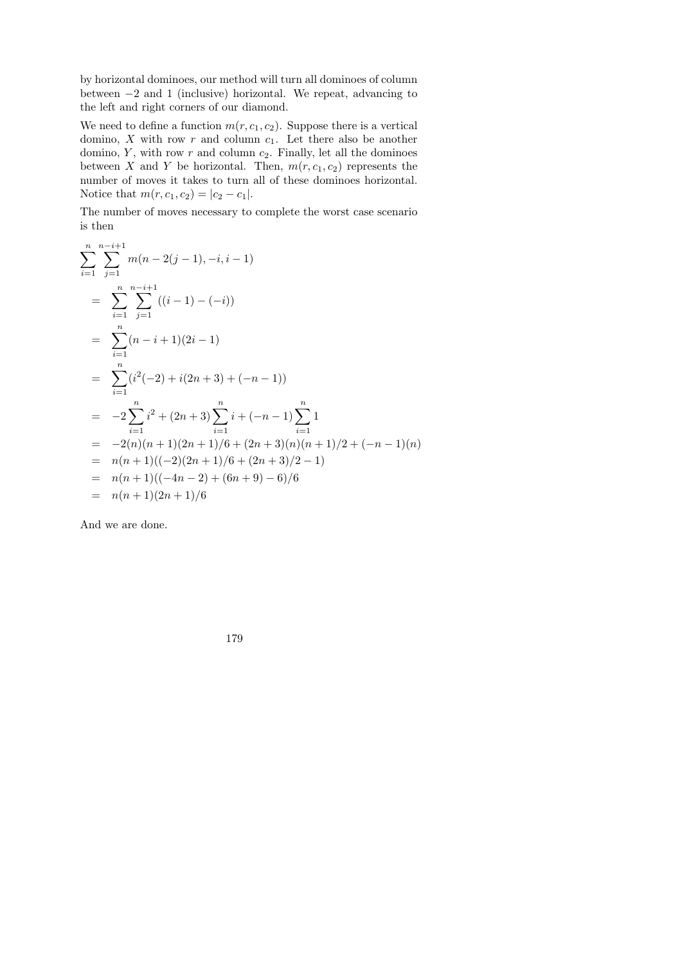by horizontal dominoes, our method will turn all dominoes of column between −2 and 1 (inclusive) horizontal. We repeat, advancing to the left and right corners of our diamond.

We need to define a function  $m(r, c_1, c_2)$ . Suppose there is a vertical domino,  $X$  with row  $r$  and column  $c_1$ . Let there also be another domino,  $Y$ , with row  $r$  and column  $c_2$ . Finally, let all the dominoes between X and Y be horizontal. Then,  $m(r, c_1, c_2)$  represents the number of moves it takes to turn all of these dominoes horizontal. Notice that  $m(r, c_1, c_2) = |c_2 - c_1|$ .

The number of moves necessary to complete the worst case scenario is then

$$
\sum_{i=1}^{n} \sum_{j=1}^{n-i+1} m(n-2(j-1), -i, i-1)
$$
  
= 
$$
\sum_{i=1}^{n} \sum_{j=1}^{n-i+1} ((i-1) - (-i))
$$
  
= 
$$
\sum_{i=1}^{n} (n-i+1)(2i-1)
$$
  
= 
$$
\sum_{i=1}^{n} (i^2(-2) + i(2n+3) + (-n-1))
$$
  
= 
$$
-2 \sum_{i=1}^{n} i^2 + (2n+3) \sum_{i=1}^{n} i + (-n-1) \sum_{i=1}^{n} 1
$$
  
= 
$$
-2(n)(n+1)(2n+1)/6 + (2n+3)(n)(n+1)/2 + (-n-1)(n)
$$
  
= 
$$
n(n+1)((-2)(2n+1)/6 + (2n+3)/2 - 1)
$$
  
= 
$$
n(n+1)((-4n-2) + (6n+9) - 6)/6
$$
  
= 
$$
n(n+1)(2n+1)/6
$$

And we are done.

$$
179\,
$$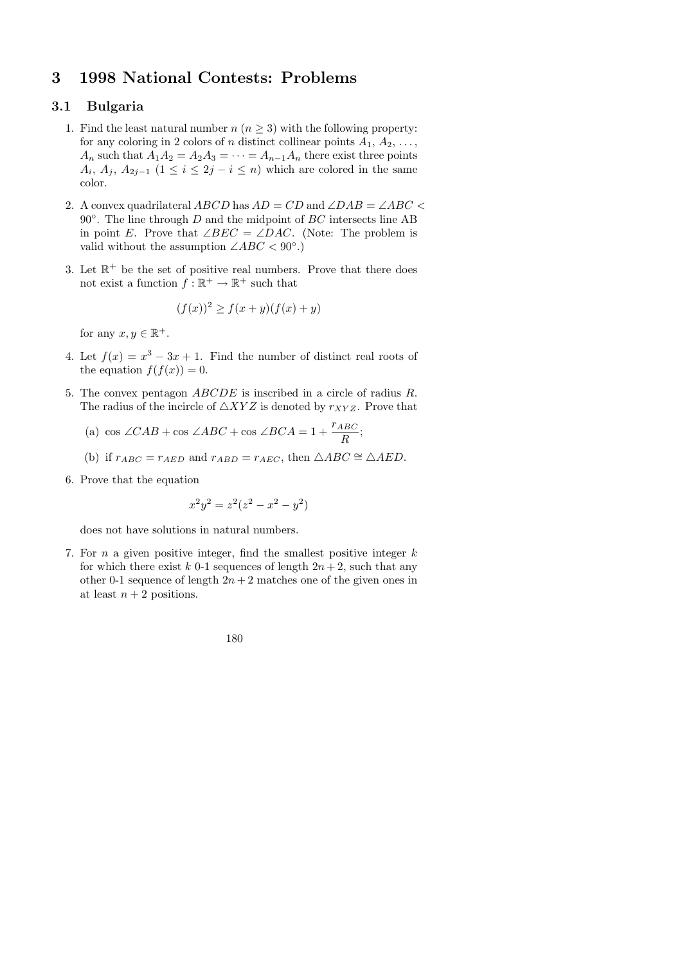## 3 1998 National Contests: Problems

## 3.1 Bulgaria

- 1. Find the least natural number  $n (n \geq 3)$  with the following property: for any coloring in 2 colors of n distinct collinear points  $A_1, A_2, \ldots$ ,  $A_n$  such that  $A_1A_2 = A_2A_3 = \cdots = A_{n-1}A_n$  there exist three points  $A_i, A_j, A_{2j-1}$   $(1 \leq i \leq 2j - i \leq n)$  which are colored in the same color.
- 2. A convex quadrilateral ABCD has  $AD = CD$  and  $\angle DAB = \angle ABC$ 90 $^{\circ}$ . The line through D and the midpoint of BC intersects line AB in point E. Prove that  $\angle BEC = \angle DAC$ . (Note: The problem is valid without the assumption  $\angle ABC < 90^{\circ}$ .)
- 3. Let  $\mathbb{R}^+$  be the set of positive real numbers. Prove that there does not exist a function  $f : \mathbb{R}^+ \to \mathbb{R}^+$  such that

$$
(f(x))^{2} \ge f(x+y)(f(x)+y)
$$

for any  $x, y \in \mathbb{R}^+$ .

- 4. Let  $f(x) = x^3 3x + 1$ . Find the number of distinct real roots of the equation  $f(f(x)) = 0$ .
- 5. The convex pentagon ABCDE is inscribed in a circle of radius R. The radius of the incircle of  $\triangle XYZ$  is denoted by  $r_{XYZ}$ . Prove that
	- (a) cos ∠CAB + cos ∠ABC + cos ∠BCA = 1 +  $\frac{r_{ABC}}{R}$  $\frac{1BC}{R}$ ;
	- (b) if  $r_{ABC} = r_{AED}$  and  $r_{ABD} = r_{AEC}$ , then  $\triangle ABC \cong \triangle AED$ .
- 6. Prove that the equation

$$
x^2y^2 = z^2(z^2 - x^2 - y^2)
$$

does not have solutions in natural numbers.

7. For *n* a given positive integer, find the smallest positive integer  $k$ for which there exist k 0-1 sequences of length  $2n + 2$ , such that any other 0-1 sequence of length  $2n + 2$  matches one of the given ones in at least  $n + 2$  positions.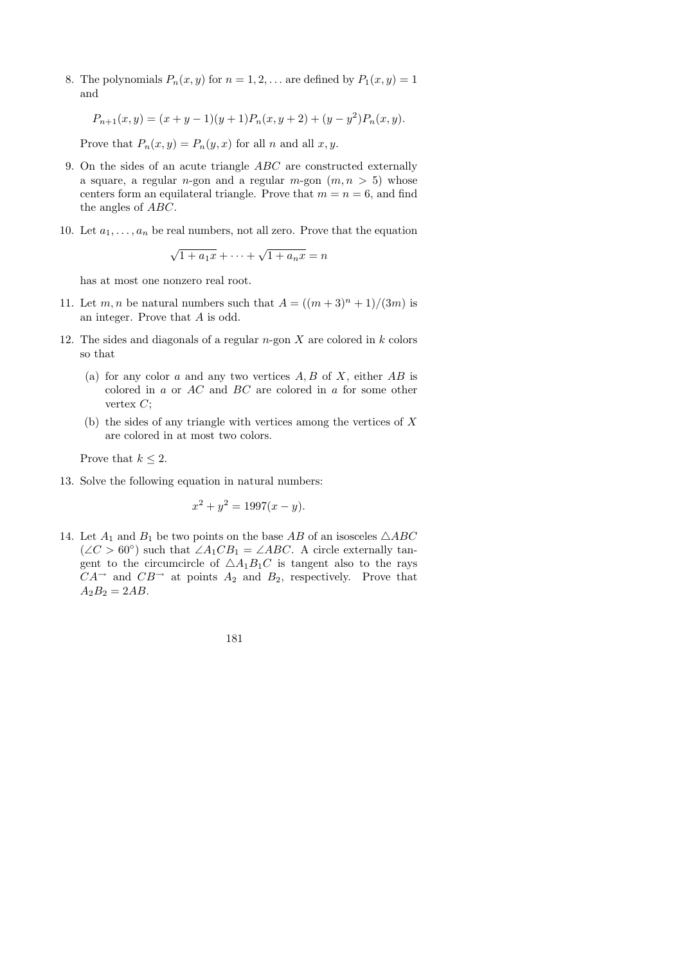8. The polynomials  $P_n(x, y)$  for  $n = 1, 2, \ldots$  are defined by  $P_1(x, y) = 1$ and

$$
P_{n+1}(x,y) = (x+y-1)(y+1)P_n(x, y+2) + (y-y^2)P_n(x,y).
$$

Prove that  $P_n(x, y) = P_n(y, x)$  for all n and all x, y.

- 9. On the sides of an acute triangle ABC are constructed externally a square, a regular *n*-gon and a regular  $m$ -gon  $(m, n > 5)$  whose centers form an equilateral triangle. Prove that  $m = n = 6$ , and find the angles of ABC.
- 10. Let  $a_1, \ldots, a_n$  be real numbers, not all zero. Prove that the equation

 $\sqrt{1+a_1x}+\cdots+\sqrt{1+a_nx}$  $1 + a_n x = n$ 

has at most one nonzero real root.

- 11. Let m, n be natural numbers such that  $A = ((m+3)^n + 1)/(3m)$  is an integer. Prove that A is odd.
- 12. The sides and diagonals of a regular  $n$ -gon  $X$  are colored in  $k$  colors so that
	- (a) for any color a and any two vertices  $A, B$  of  $X$ , either  $AB$  is colored in a or AC and BC are colored in a for some other vertex  $C$ ;
	- (b) the sides of any triangle with vertices among the vertices of  $X$ are colored in at most two colors.

Prove that  $k \leq 2$ .

13. Solve the following equation in natural numbers:

$$
x^2 + y^2 = 1997(x - y).
$$

14. Let  $A_1$  and  $B_1$  be two points on the base AB of an isosceles  $\triangle ABC$  $(\angle C > 60^{\circ})$  such that  $\angle A_1CB_1 = \angle ABC$ . A circle externally tangent to the circumcircle of  $\triangle A_1B_1C$  is tangent also to the rays  $CA^{\rightarrow}$  and  $CB^{\rightarrow}$  at points  $A_2$  and  $B_2$ , respectively. Prove that  $A_2B_2 = 2AB$ .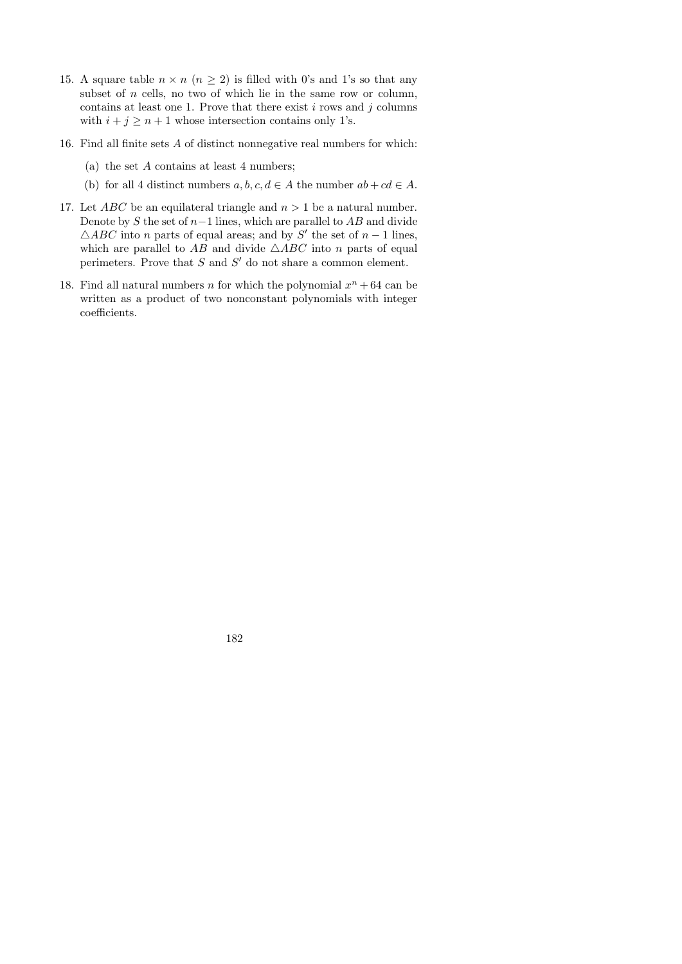- 15. A square table  $n \times n$   $(n > 2)$  is filled with 0's and 1's so that any subset of  $n$  cells, no two of which lie in the same row or column, contains at least one 1. Prove that there exist  $i$  rows and  $j$  columns with  $i + j \geq n + 1$  whose intersection contains only 1's.
- 16. Find all finite sets  $A$  of distinct nonnegative real numbers for which:
	- (a) the set  $A$  contains at least 4 numbers;
	- (b) for all 4 distinct numbers  $a, b, c, d \in A$  the number  $ab + cd \in A$ .
- 17. Let *ABC* be an equilateral triangle and  $n > 1$  be a natural number. Denote by S the set of  $n-1$  lines, which are parallel to AB and divide  $\triangle ABC$  into *n* parts of equal areas; and by S' the set of  $n-1$  lines, which are parallel to  $AB$  and divide  $\triangle ABC$  into n parts of equal perimeters. Prove that  $S$  and  $S'$  do not share a common element.
- 18. Find all natural numbers *n* for which the polynomial  $x^n + 64$  can be written as a product of two nonconstant polynomials with integer coefficients.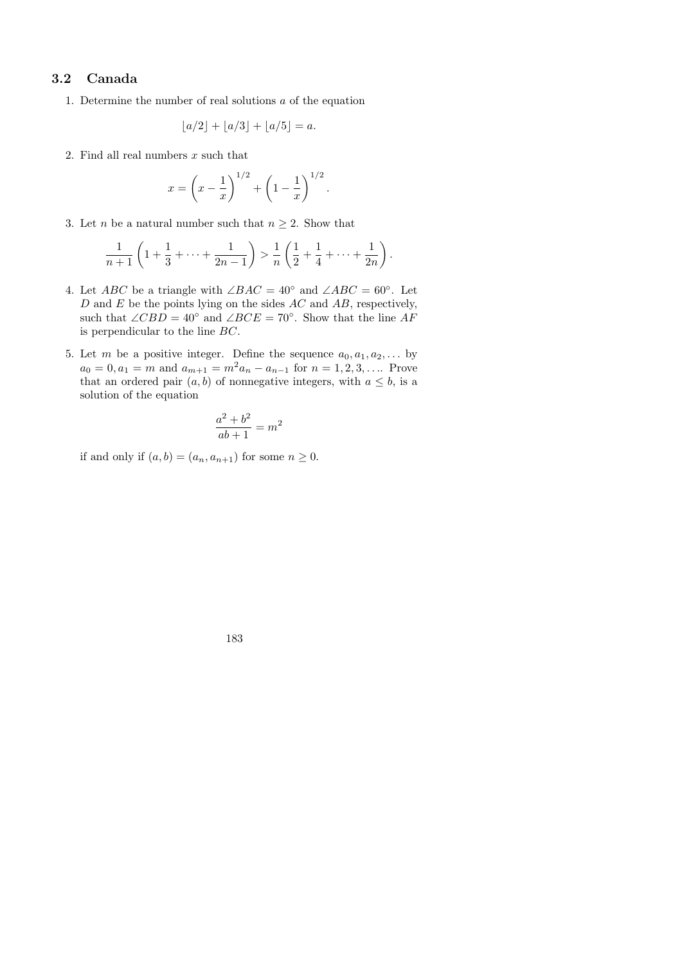## 3.2 Canada

1. Determine the number of real solutions  $a$  of the equation

$$
\lfloor a/2 \rfloor + \lfloor a/3 \rfloor + \lfloor a/5 \rfloor = a.
$$

2. Find all real numbers  $x$  such that

$$
x = \left(x - \frac{1}{x}\right)^{1/2} + \left(1 - \frac{1}{x}\right)^{1/2}.
$$

3. Let *n* be a natural number such that  $n \geq 2$ . Show that

$$
\frac{1}{n+1}\left(1+\frac{1}{3}+\cdots+\frac{1}{2n-1}\right) > \frac{1}{n}\left(\frac{1}{2}+\frac{1}{4}+\cdots+\frac{1}{2n}\right).
$$

- 4. Let  $ABC$  be a triangle with  $\angle BAC = 40^{\circ}$  and  $\angle ABC = 60^{\circ}$ . Let  $D$  and  $E$  be the points lying on the sides  $AC$  and  $AB$ , respectively, such that  $\angle CBD = 40^\circ$  and  $\angle BCE = 70^\circ$ . Show that the line AF is perpendicular to the line BC.
- 5. Let m be a positive integer. Define the sequence  $a_0, a_1, a_2, \ldots$  by  $a_0 = 0, a_1 = m$  and  $a_{m+1} = m^2 a_n - a_{n-1}$  for  $n = 1, 2, 3, \dots$  Prove that an ordered pair  $(a, b)$  of nonnegative integers, with  $a \leq b$ , is a solution of the equation

$$
\frac{a^2 + b^2}{ab + 1} = m^2
$$

if and only if  $(a, b) = (a_n, a_{n+1})$  for some  $n \geq 0$ .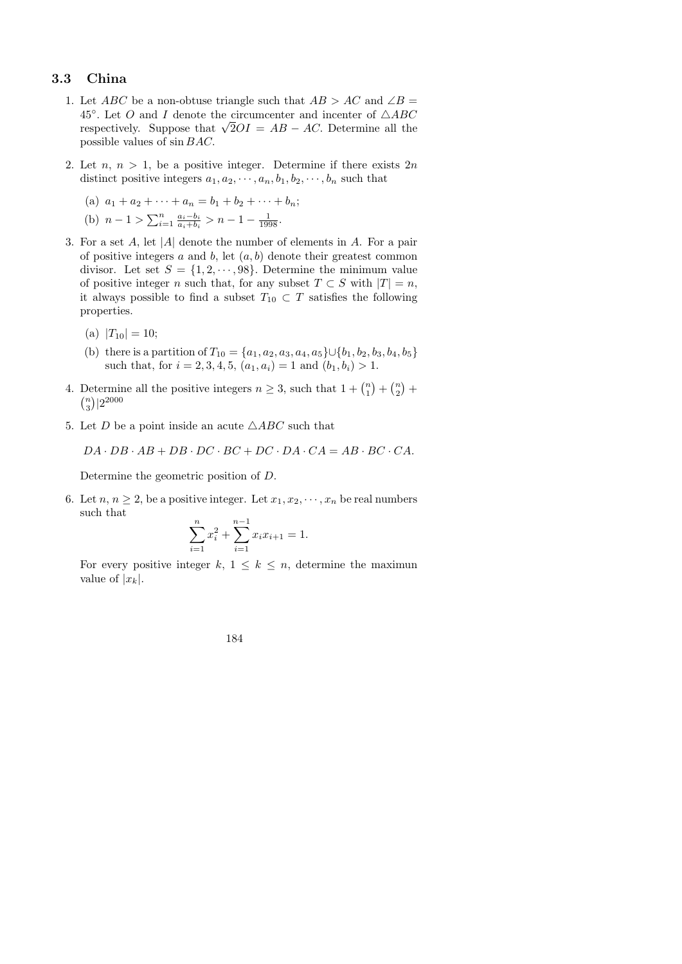#### 3.3 China

- 1. Let ABC be a non-obtuse triangle such that  $AB > AC$  and  $\angle B =$ 45°. Let O and I denote the circumcenter and incenter of  $\triangle ABC$ 45°. Let *O* and *I* denote the circumcenter and incenter of  $\triangle ABC$  respectively. Suppose that  $\sqrt{2}OI = AB - AC$ . Determine all the possible values of sin BAC.
- 2. Let  $n, n > 1$ , be a positive integer. Determine if there exists  $2n$ distinct positive integers  $a_1, a_2, \dots, a_n, b_1, b_2, \dots, b_n$  such that

(a) 
$$
a_1 + a_2 + \cdots + a_n = b_1 + b_2 + \cdots + b_n;
$$

(b) 
$$
n-1 > \sum_{i=1}^{n} \frac{a_i - b_i}{a_i + b_i} > n - 1 - \frac{1}{1998}
$$
.

- 3. For a set  $A$ , let  $|A|$  denote the number of elements in  $A$ . For a pair of positive integers  $a$  and  $b$ , let  $(a, b)$  denote their greatest common divisor. Let set  $S = \{1, 2, \dots, 98\}$ . Determine the minimum value of positive integer n such that, for any subset  $T \subset S$  with  $|T| = n$ , it always possible to find a subset  $T_{10} \subset T$  satisfies the following properties.
	- (a)  $|T_{10}| = 10;$
	- (b) there is a partition of  $T_{10} = \{a_1, a_2, a_3, a_4, a_5\} \cup \{b_1, b_2, b_3, b_4, b_5\}$ such that, for  $i = 2, 3, 4, 5, (a_1, a_i) = 1$  and  $(b_1, b_i) > 1$ .
- 4. Determine all the positive integers  $n \geq 3$ , such that  $1 + {n \choose 1} + {n \choose 2}$  $\binom{n}{3} 2^{2000}$
- 5. Let D be a point inside an acute  $\triangle ABC$  such that

 $DA \cdot DB \cdot AB + DB \cdot DC \cdot BC + DC \cdot DA \cdot CA = AB \cdot BC \cdot CA$ .

Determine the geometric position of D.

6. Let  $n, n \geq 2$ , be a positive integer. Let  $x_1, x_2, \dots, x_n$  be real numbers such that

$$
\sum_{i=1}^{n} x_i^2 + \sum_{i=1}^{n-1} x_i x_{i+1} = 1.
$$

For every positive integer k,  $1 \leq k \leq n$ , determine the maximun value of  $|x_k|$ .

$$
184 \\
$$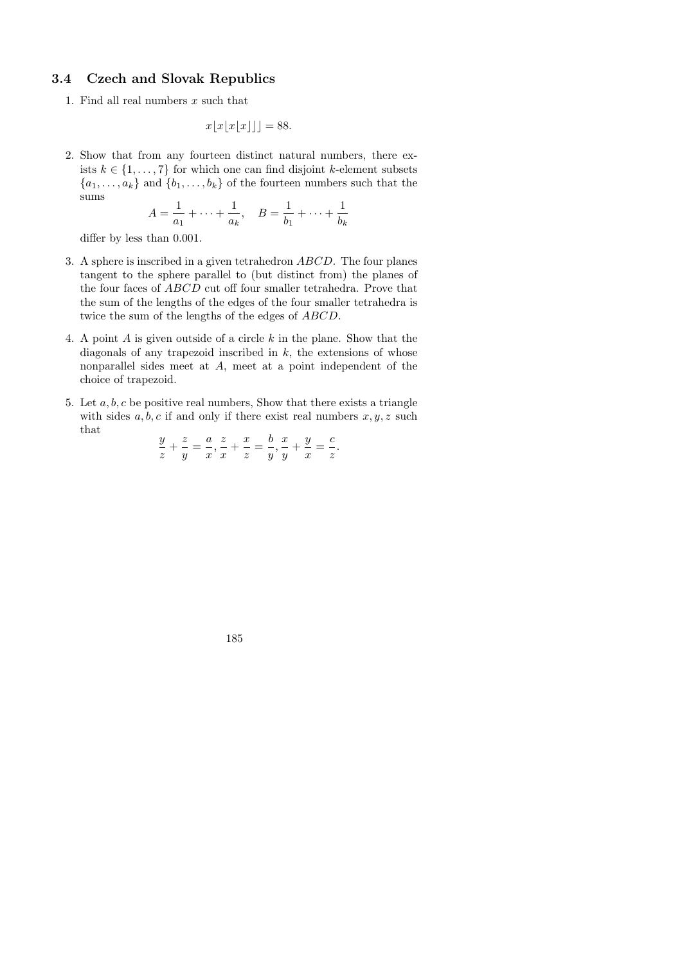## 3.4 Czech and Slovak Republics

1. Find all real numbers  $x$  such that

$$
x[x[x][x]]] = 88.
$$

2. Show that from any fourteen distinct natural numbers, there exists  $k \in \{1, \ldots, 7\}$  for which one can find disjoint k-element subsets  ${a_1, \ldots, a_k}$  and  ${b_1, \ldots, b_k}$  of the fourteen numbers such that the sums 1 1

$$
A = \frac{1}{a_1} + \dots + \frac{1}{a_k}, \quad B = \frac{1}{b_1} + \dots + \frac{1}{b_k}
$$

differ by less than 0.001.

- 3. A sphere is inscribed in a given tetrahedron ABCD. The four planes tangent to the sphere parallel to (but distinct from) the planes of the four faces of ABCD cut off four smaller tetrahedra. Prove that the sum of the lengths of the edges of the four smaller tetrahedra is twice the sum of the lengths of the edges of ABCD.
- 4. A point A is given outside of a circle k in the plane. Show that the diagonals of any trapezoid inscribed in  $k$ , the extensions of whose nonparallel sides meet at A, meet at a point independent of the choice of trapezoid.
- 5. Let  $a, b, c$  be positive real numbers, Show that there exists a triangle with sides  $a, b, c$  if and only if there exist real numbers  $x, y, z$  such that

$$
\frac{y}{z} + \frac{z}{y} = \frac{a}{x}, \frac{z}{x} + \frac{x}{z} = \frac{b}{y}, \frac{x}{y} + \frac{y}{x} = \frac{c}{z}.
$$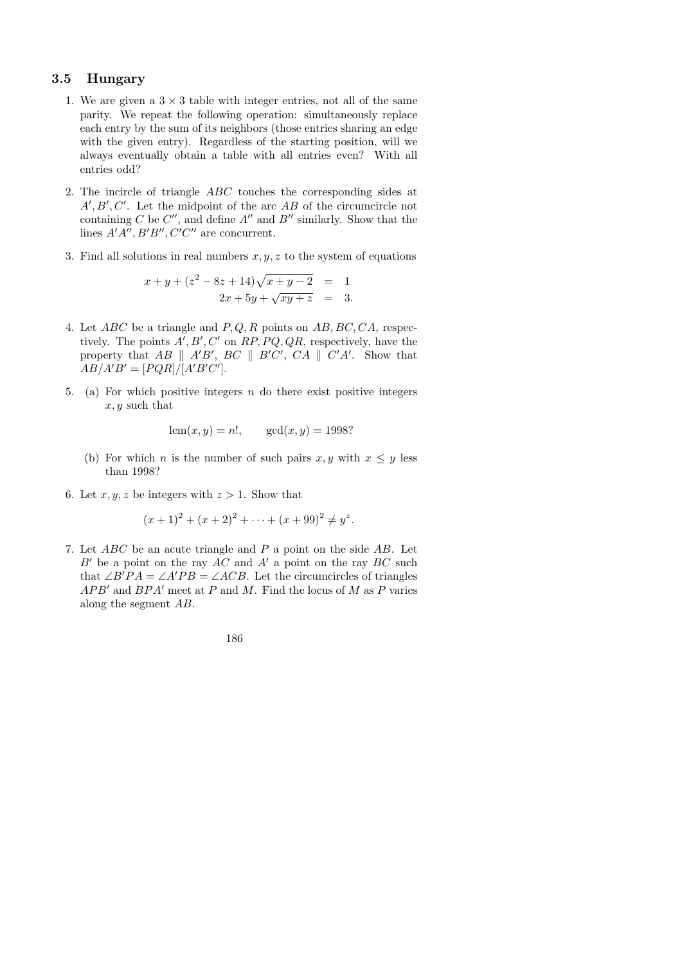#### 3.5 Hungary

- 1. We are given a  $3 \times 3$  table with integer entries, not all of the same parity. We repeat the following operation: simultaneously replace each entry by the sum of its neighbors (those entries sharing an edge with the given entry). Regardless of the starting position, will we always eventually obtain a table with all entries even? With all entries odd?
- 2. The incircle of triangle ABC touches the corresponding sides at  $A', B', C'$ . Let the midpoint of the arc  $AB$  of the circumcircle not containing C be  $C''$ , and define  $A''$  and  $B''$  similarly. Show that the lines  $A'A''$ ,  $B'B''$ ,  $C'C''$  are concurrent.
- 3. Find all solutions in real numbers  $x, y, z$  to the system of equations

$$
x + y + (z2 - 8z + 14)\sqrt{x + y - 2} = 1
$$
  

$$
2x + 5y + \sqrt{xy + z} = 3.
$$

- 4. Let  $ABC$  be a triangle and  $P, Q, R$  points on  $AB, BC, CA$ , respectively. The points  $A', B', C'$  on  $RP, PQ, QR$ , respectively, have the property that  $AB \parallel A'B'$ ,  $BC \parallel B'C'$ ,  $CA \parallel C'A'$ . Show that  $AB/A'B' = [PQR]/[A'B'C'].$
- 5. (a) For which positive integers  $n$  do there exist positive integers  $x, y$  such that

$$
lcm(x, y) = n!,
$$
  $gcd(x, y) = 1998?$ 

- (b) For which *n* is the number of such pairs  $x, y$  with  $x \leq y$  less than 1998?
- 6. Let  $x, y, z$  be integers with  $z > 1$ . Show that

$$
(x+1)^{2} + (x+2)^{2} + \cdots + (x+99)^{2} \neq y^{2}.
$$

7. Let ABC be an acute triangle and P a point on the side AB. Let  $B'$  be a point on the ray  $AC$  and  $A'$  a point on the ray  $BC$  such that  $\angle B'PA = \angle A'PB = \angle ACB$ . Let the circumcircles of triangles  $APB'$  and  $BPA'$  meet at P and M. Find the locus of M as P varies along the segment AB.

$$
186\,
$$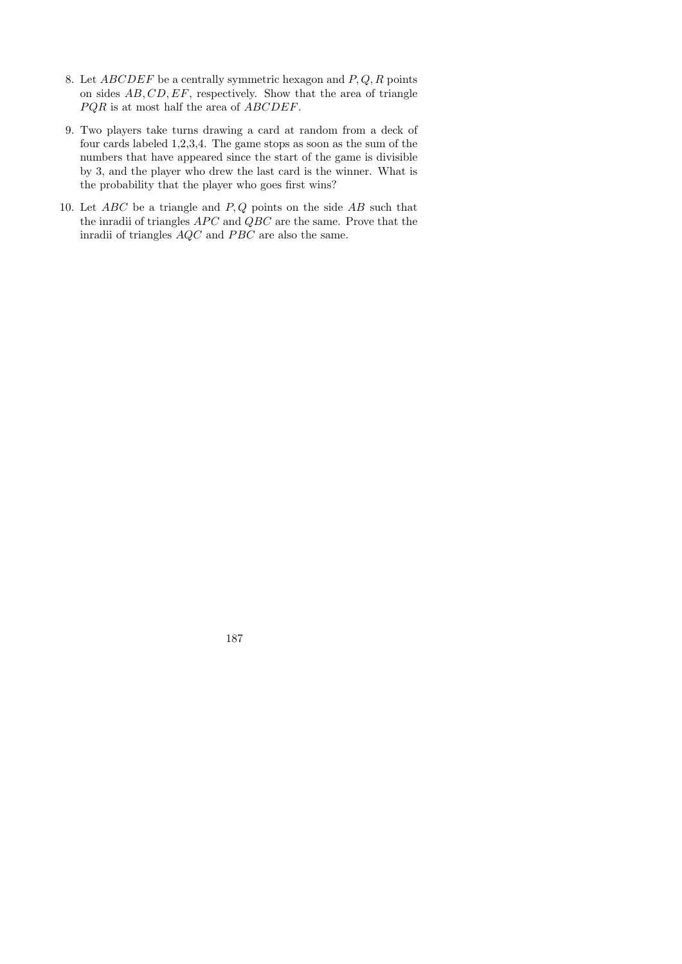- 8. Let ABCDEF be a centrally symmetric hexagon and P, Q, R points on sides  $AB, CD, EF$ , respectively. Show that the area of triangle  $PQR$  is at most half the area of  $\widehat{ABCDEF}$ .
- 9. Two players take turns drawing a card at random from a deck of four cards labeled 1,2,3,4. The game stops as soon as the sum of the numbers that have appeared since the start of the game is divisible by 3, and the player who drew the last card is the winner. What is the probability that the player who goes first wins?
- 10. Let  $ABC$  be a triangle and  $P, Q$  points on the side  $AB$  such that the inradii of triangles  $APC$  and  $QBC$  are the same. Prove that the inradii of triangles  $AQC$  and  $PBC$  are also the same.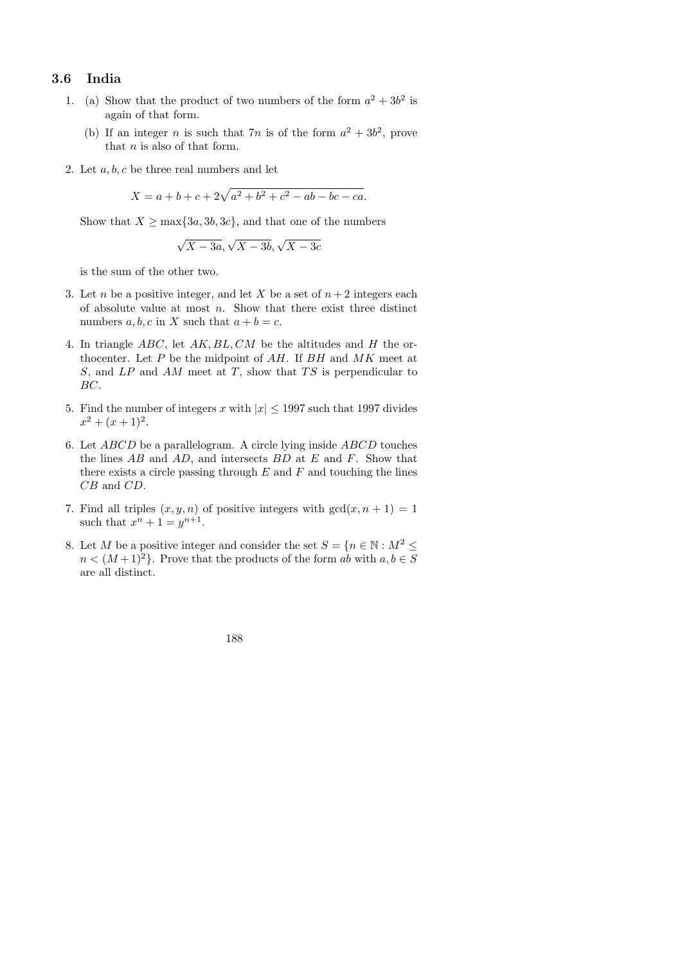#### 3.6 India

- 1. (a) Show that the product of two numbers of the form  $a^2 + 3b^2$  is again of that form.
	- (b) If an integer *n* is such that  $7n$  is of the form  $a^2 + 3b^2$ , prove that  $n$  is also of that form.
- 2. Let  $a, b, c$  be three real numbers and let

 $X = a + b + c + 2\sqrt{a^2 + b^2 + c^2 - ab - bc - ca}.$ 

Show that  $X \ge \max\{3a, 3b, 3c\}$ , and that one of the numbers

$$
\sqrt{X-3a}, \sqrt{X-3b}, \sqrt{X-3c}
$$

is the sum of the other two.

- 3. Let *n* be a positive integer, and let *X* be a set of  $n + 2$  integers each of absolute value at most  $n$ . Show that there exist three distinct numbers  $a, b, c$  in X such that  $a + b = c$ .
- 4. In triangle  $ABC$ , let  $AK, BL, CM$  be the altitudes and H the orthocenter. Let  $P$  be the midpoint of  $AH$ . If  $BH$  and  $MK$  meet at S, and  $LP$  and AM meet at T, show that TS is perpendicular to BC.
- 5. Find the number of integers x with  $|x| \leq 1997$  such that 1997 divides  $x^2 + (x+1)^2$ .
- 6. Let ABCD be a parallelogram. A circle lying inside ABCD touches the lines  $AB$  and  $AD$ , and intersects  $BD$  at  $E$  and  $F$ . Show that there exists a circle passing through  $E$  and  $F$  and touching the lines CB and CD.
- 7. Find all triples  $(x, y, n)$  of positive integers with  $gcd(x, n + 1) = 1$ such that  $x^n + 1 = y^{n+1}$ .
- 8. Let M be a positive integer and consider the set  $S = \{n \in \mathbb{N} : M^2 \leq$  $n < (M+1)^2$ . Prove that the products of the form ab with  $a, b \in S$ are all distinct.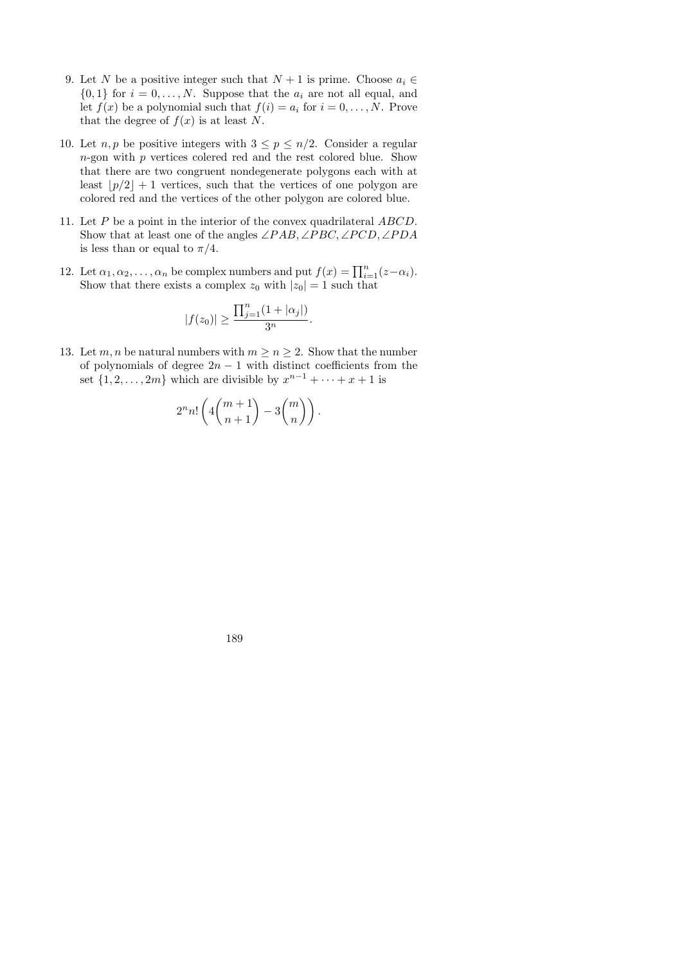- 9. Let N be a positive integer such that  $N+1$  is prime. Choose  $a_i \in$  $\{0,1\}$  for  $i=0,\ldots,N$ . Suppose that the  $a_i$  are not all equal, and let  $f(x)$  be a polynomial such that  $f(i) = a_i$  for  $i = 0, ..., N$ . Prove that the degree of  $f(x)$  is at least N.
- 10. Let  $n, p$  be positive integers with  $3 \leq p \leq n/2$ . Consider a regular  $n$ -gon with  $p$  vertices colered red and the rest colored blue. Show that there are two congruent nondegenerate polygons each with at least  $|p/2|+1$  vertices, such that the vertices of one polygon are colored red and the vertices of the other polygon are colored blue.
- 11. Let P be a point in the interior of the convex quadrilateral ABCD. Show that at least one of the angles  $\angle PAB, \angle PBC, \angle PCD, \angle PDA$ is less than or equal to  $\pi/4$ .
- 12. Let  $\alpha_1, \alpha_2, \ldots, \alpha_n$  be complex numbers and put  $f(x) = \prod_{i=1}^n (z \alpha_i)$ . Show that there exists a complex  $z_0$  with  $|z_0|=1$  such that

$$
|f(z_0)| \ge \frac{\prod_{j=1}^n (1 + |\alpha_j|)}{3^n}.
$$

13. Let m, n be natural numbers with  $m \geq n \geq 2$ . Show that the number of polynomials of degree  $2n - 1$  with distinct coefficients from the set  $\{1, 2, \ldots, 2m\}$  which are divisible by  $x^{n-1} + \cdots + x + 1$  is

$$
2^{n}n!\left(4\binom{m+1}{n+1}-3\binom{m}{n}\right).
$$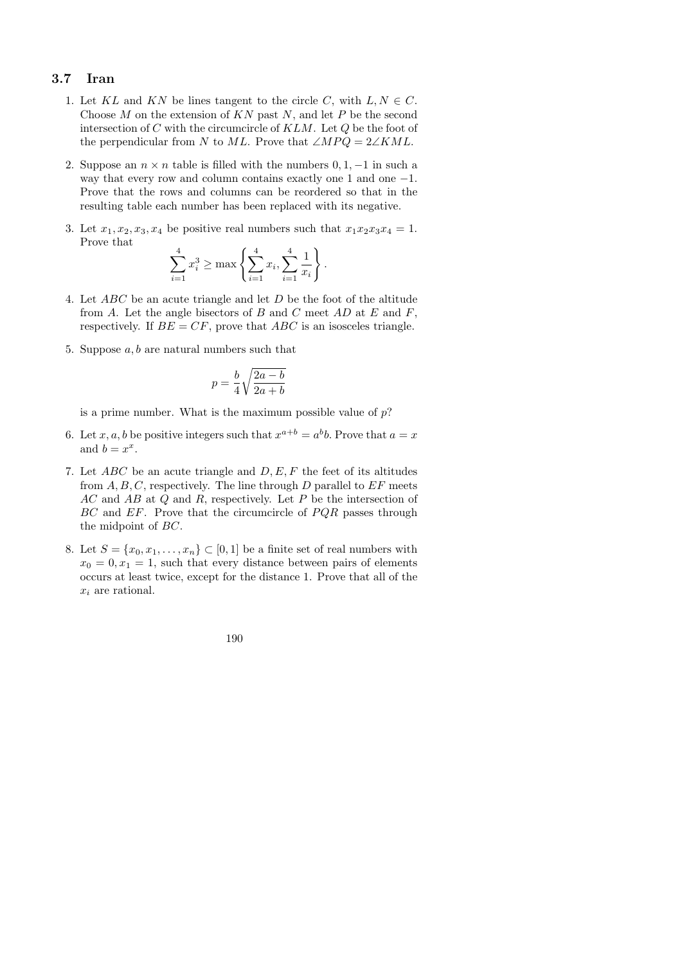#### 3.7 Iran

- 1. Let KL and KN be lines tangent to the circle C, with  $L, N \in \mathbb{C}$ . Choose  $M$  on the extension of  $KN$  past  $N$ , and let  $P$  be the second intersection of C with the circumcircle of  $KLM$ . Let  $Q$  be the foot of the perpendicular from N to ML. Prove that  $\angle MPQ = 2\angle KML$ .
- 2. Suppose an  $n \times n$  table is filled with the numbers 0, 1, -1 in such a way that every row and column contains exactly one 1 and one −1. Prove that the rows and columns can be reordered so that in the resulting table each number has been replaced with its negative.
- 3. Let  $x_1, x_2, x_3, x_4$  be positive real numbers such that  $x_1x_2x_3x_4 = 1$ . Prove that

$$
\sum_{i=1}^{4} x_i^3 \ge \max \left\{ \sum_{i=1}^{4} x_i, \sum_{i=1}^{4} \frac{1}{x_i} \right\}.
$$

- 4. Let ABC be an acute triangle and let D be the foot of the altitude from A. Let the angle bisectors of B and C meet  $AD$  at E and F, respectively. If  $BE = CF$ , prove that  $ABC$  is an isosceles triangle.
- 5. Suppose  $a, b$  are natural numbers such that

$$
p = \frac{b}{4} \sqrt{\frac{2a - b}{2a + b}}
$$

is a prime number. What is the maximum possible value of  $p$ ?

- 6. Let x, a, b be positive integers such that  $x^{a+b} = a^b b$ . Prove that  $a = x$ and  $b = x^x$ .
- 7. Let  $ABC$  be an acute triangle and  $D, E, F$  the feet of its altitudes from  $A, B, C$ , respectively. The line through D parallel to  $EF$  meets  $AC$  and  $AB$  at  $Q$  and  $R$ , respectively. Let  $P$  be the intersection of  $BC$  and  $EF$ . Prove that the circumcircle of  $PQR$  passes through the midpoint of BC.
- 8. Let  $S = \{x_0, x_1, \ldots, x_n\} \subset [0, 1]$  be a finite set of real numbers with  $x_0 = 0, x_1 = 1$ , such that every distance between pairs of elements occurs at least twice, except for the distance 1. Prove that all of the  $x_i$  are rational.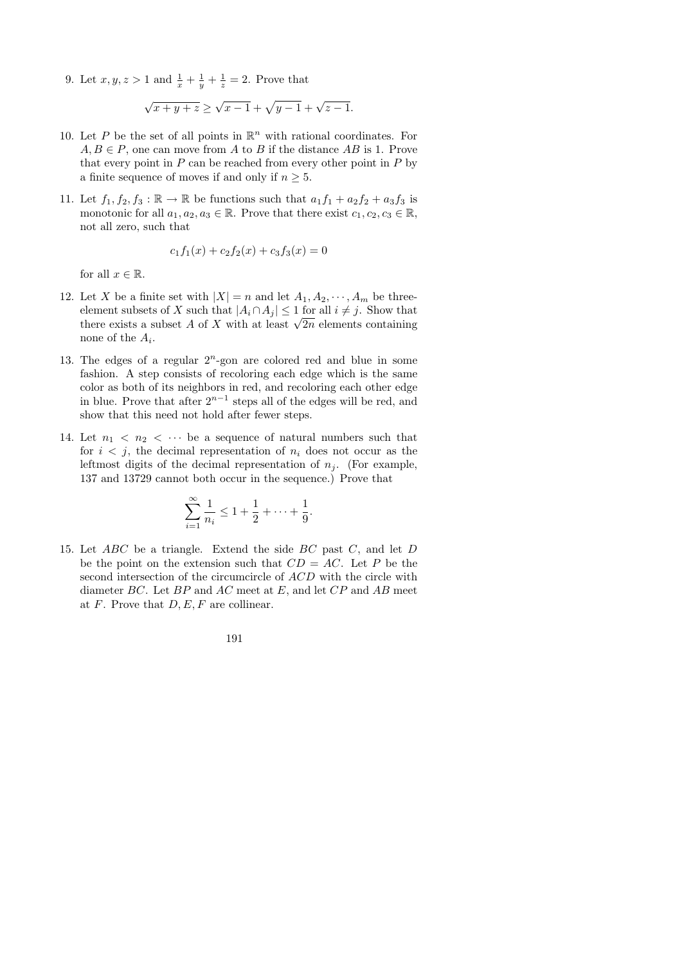9. Let  $x, y, z > 1$  and  $\frac{1}{x} + \frac{1}{y} + \frac{1}{z} = 2$ . Prove that

$$
\sqrt{x+y+z} \ge \sqrt{x-1} + \sqrt{y-1} + \sqrt{z-1}.
$$

- 10. Let P be the set of all points in  $\mathbb{R}^n$  with rational coordinates. For  $A, B \in \mathcal{P}$ , one can move from A to B if the distance AB is 1. Prove that every point in  $P$  can be reached from every other point in  $P$  by a finite sequence of moves if and only if  $n \geq 5$ .
- 11. Let  $f_1, f_2, f_3 : \mathbb{R} \to \mathbb{R}$  be functions such that  $a_1f_1 + a_2f_2 + a_3f_3$  is monotonic for all  $a_1, a_2, a_3 \in \mathbb{R}$ . Prove that there exist  $c_1, c_2, c_3 \in \mathbb{R}$ , not all zero, such that

$$
c_1 f_1(x) + c_2 f_2(x) + c_3 f_3(x) = 0
$$

for all  $x \in \mathbb{R}$ .

- 12. Let X be a finite set with  $|X| = n$  and let  $A_1, A_2, \dots, A_m$  be threeelement subsets of X such that  $|A_i \cap A_j| \leq 1$  for all  $i \neq j$ . Show that element subsets of X such that  $|A_i \cap A_j| \leq 1$  for all  $i \neq j$ . Show that there exists a subset A of X with at least  $\sqrt{2n}$  elements containing none of the  $A_i$ .
- 13. The edges of a regular  $2^n$ -gon are colored red and blue in some fashion. A step consists of recoloring each edge which is the same color as both of its neighbors in red, and recoloring each other edge in blue. Prove that after  $2^{n-1}$  steps all of the edges will be red, and show that this need not hold after fewer steps.
- 14. Let  $n_1 < n_2 < \cdots$  be a sequence of natural numbers such that for  $i < j$ , the decimal representation of  $n_i$  does not occur as the leftmost digits of the decimal representation of  $n_i$ . (For example, 137 and 13729 cannot both occur in the sequence.) Prove that

$$
\sum_{i=1}^{\infty} \frac{1}{n_i} \le 1 + \frac{1}{2} + \dots + \frac{1}{9}.
$$

15. Let ABC be a triangle. Extend the side BC past C, and let D be the point on the extension such that  $CD = AC$ . Let P be the second intersection of the circumcircle of ACD with the circle with diameter BC. Let BP and AC meet at E, and let  $CP$  and AB meet at  $F$ . Prove that  $D, E, F$  are collinear.

$$
191\,
$$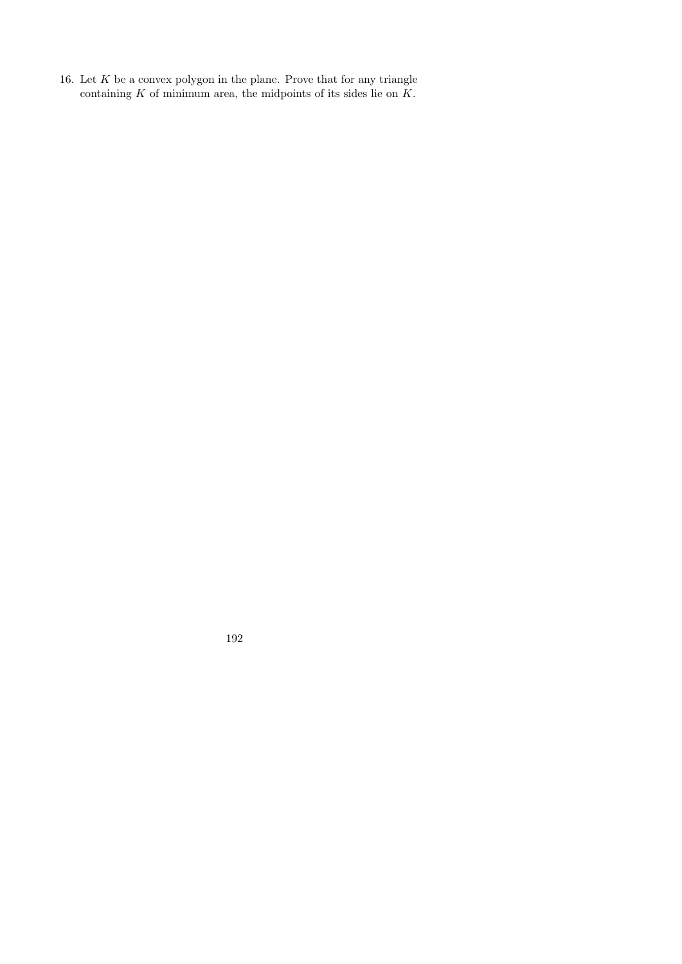16. Let  $K$  be a convex polygon in the plane. Prove that for any triangle containing  $K$  of minimum area, the midpoints of its sides lie on  $K$ .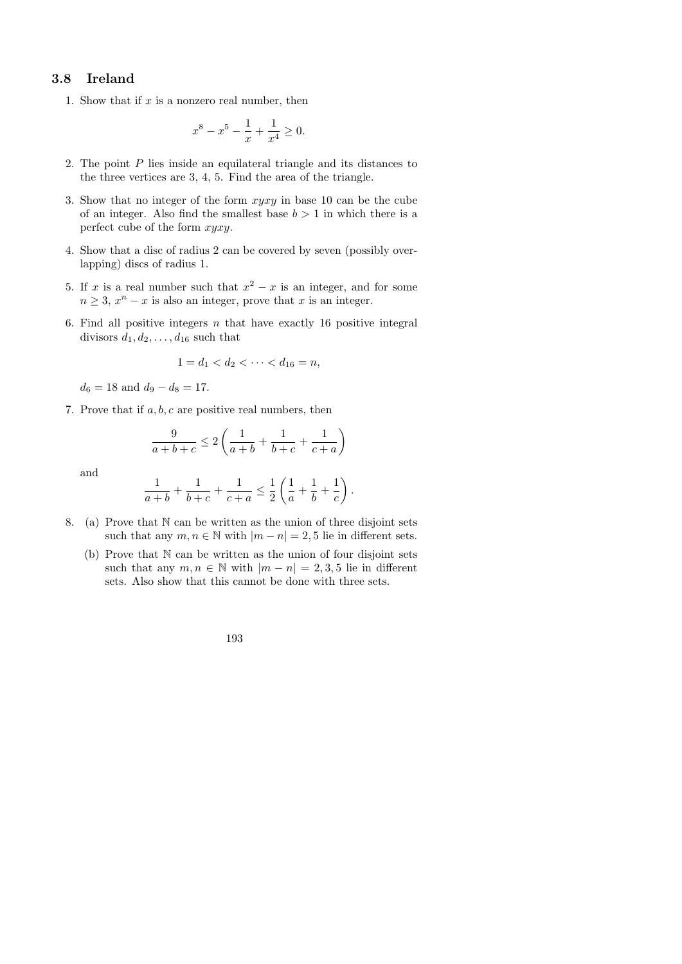## 3.8 Ireland

1. Show that if  $x$  is a nonzero real number, then

$$
x^8 - x^5 - \frac{1}{x} + \frac{1}{x^4} \ge 0.
$$

- 2. The point P lies inside an equilateral triangle and its distances to the three vertices are 3, 4, 5. Find the area of the triangle.
- 3. Show that no integer of the form  $xyxy$  in base 10 can be the cube of an integer. Also find the smallest base  $b > 1$  in which there is a perfect cube of the form xyxy.
- 4. Show that a disc of radius 2 can be covered by seven (possibly overlapping) discs of radius 1.
- 5. If x is a real number such that  $x^2 x$  is an integer, and for some  $n \geq 3$ ,  $x^n - x$  is also an integer, prove that x is an integer.
- 6. Find all positive integers  $n$  that have exactly 16 positive integral divisors  $d_1, d_2, \ldots, d_{16}$  such that

$$
1 = d_1 < d_2 < \cdots < d_{16} = n,
$$

 $d_6 = 18$  and  $d_9 - d_8 = 17$ .

7. Prove that if  $a, b, c$  are positive real numbers, then

$$
\frac{9}{a+b+c} \le 2\left(\frac{1}{a+b} + \frac{1}{b+c} + \frac{1}{c+a}\right)
$$

and

$$
\frac{1}{a+b} + \frac{1}{b+c} + \frac{1}{c+a} \le \frac{1}{2} \left( \frac{1}{a} + \frac{1}{b} + \frac{1}{c} \right).
$$

- 8. (a) Prove that  $\mathbb N$  can be written as the union of three disjoint sets such that any  $m, n \in \mathbb{N}$  with  $|m - n| = 2, 5$  lie in different sets.
	- (b) Prove that  $N$  can be written as the union of four disjoint sets such that any  $m, n \in \mathbb{N}$  with  $|m - n| = 2, 3, 5$  lie in different sets. Also show that this cannot be done with three sets.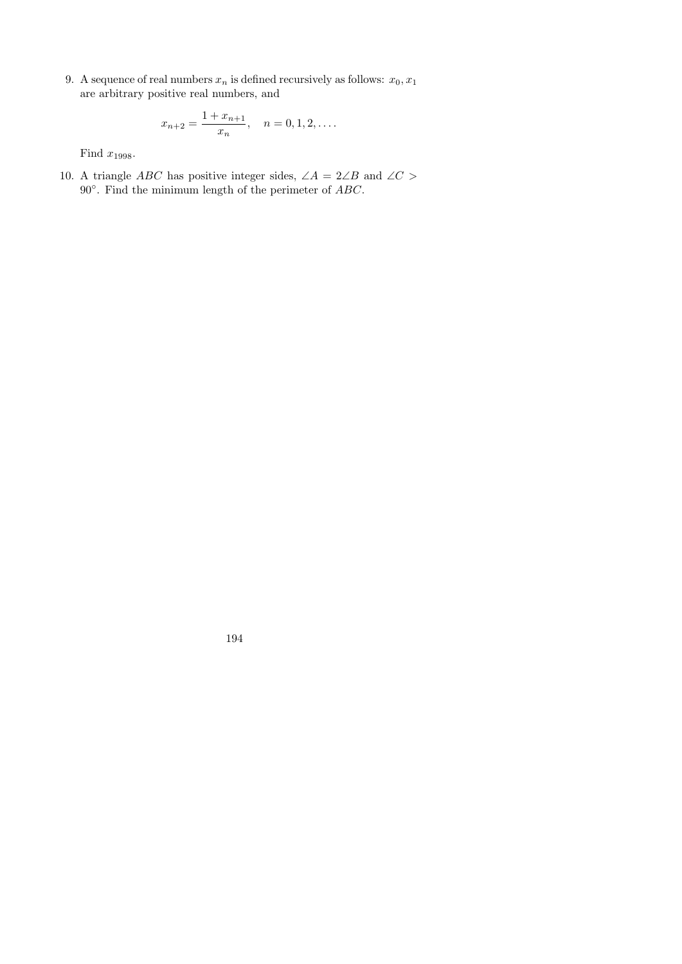9. A sequence of real numbers  $x_n$  is defined recursively as follows:  $x_0, x_1$ are arbitrary positive real numbers, and

$$
x_{n+2} = \frac{1 + x_{n+1}}{x_n}, \quad n = 0, 1, 2, \dots.
$$

Find  $x_{1998}$ .

10. A triangle  $ABC$  has positive integer sides,  $\angle A = 2\angle B$  and  $\angle C >$ 90°. Find the minimum length of the perimeter of ABC.

194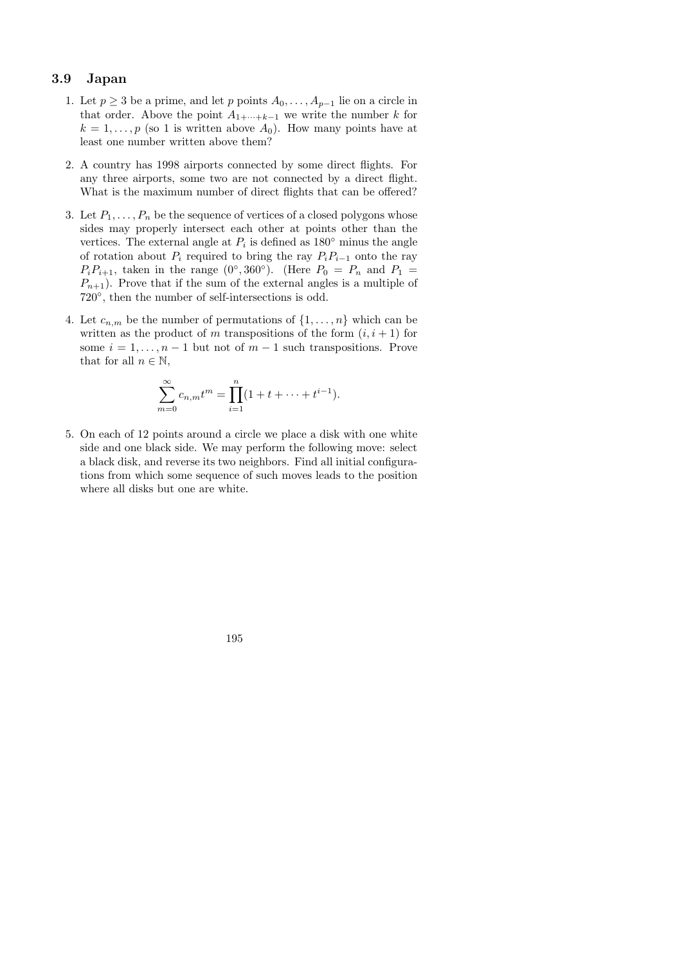### 3.9 Japan

- 1. Let  $p \geq 3$  be a prime, and let p points  $A_0, \ldots, A_{p-1}$  lie on a circle in that order. Above the point  $A_{1+\cdots+k-1}$  we write the number k for  $k = 1, \ldots, p$  (so 1 is written above  $A_0$ ). How many points have at least one number written above them?
- 2. A country has 1998 airports connected by some direct flights. For any three airports, some two are not connected by a direct flight. What is the maximum number of direct flights that can be offered?
- 3. Let  $P_1, \ldots, P_n$  be the sequence of vertices of a closed polygons whose sides may properly intersect each other at points other than the vertices. The external angle at  $P_i$  is defined as 180 $\degree$  minus the angle of rotation about  $P_i$  required to bring the ray  $P_iP_{i-1}$  onto the ray  $P_i P_{i+1}$ , taken in the range (0°, 360°). (Here  $P_0 = P_n$  and  $P_1 =$  $P_{n+1}$ ). Prove that if the sum of the external angles is a multiple of  $720^\circ$ , then the number of self-intersections is odd.
- 4. Let  $c_{n,m}$  be the number of permutations of  $\{1,\ldots,n\}$  which can be written as the product of m transpositions of the form  $(i, i + 1)$  for some  $i = 1, \ldots, n - 1$  but not of  $m - 1$  such transpositions. Prove that for all  $n \in \mathbb{N}$ ,

$$
\sum_{m=0}^{\infty} c_{n,m} t^m = \prod_{i=1}^n (1 + t + \dots + t^{i-1}).
$$

5. On each of 12 points around a circle we place a disk with one white side and one black side. We may perform the following move: select a black disk, and reverse its two neighbors. Find all initial configurations from which some sequence of such moves leads to the position where all disks but one are white.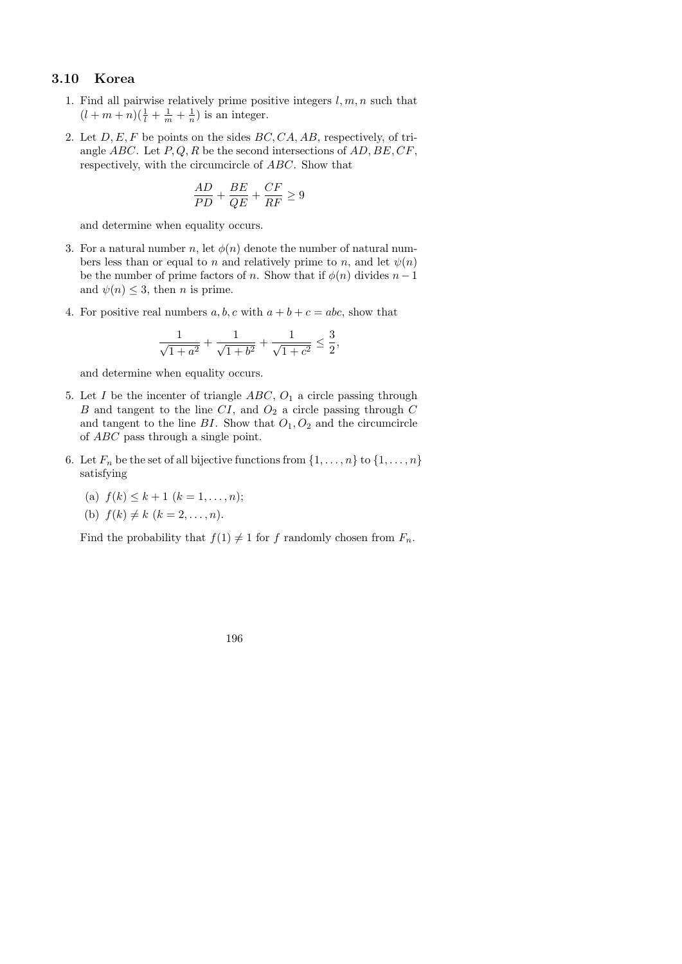#### 3.10 Korea

- 1. Find all pairwise relatively prime positive integers  $l, m, n$  such that  $(l+m+n)(\frac{1}{l}+\frac{1}{m}+\frac{1}{n})$  is an integer.
- 2. Let  $D, E, F$  be points on the sides  $BC, CA, AB$ , respectively, of triangle  $ABC$ . Let P, Q, R be the second intersections of  $AD, BE, CF$ , respectively, with the circumcircle of ABC. Show that

$$
\frac{AD}{PD} + \frac{BE}{QE} + \frac{CF}{RF} \geq 9
$$

and determine when equality occurs.

- 3. For a natural number n, let  $\phi(n)$  denote the number of natural numbers less than or equal to n and relatively prime to n, and let  $\psi(n)$ be the number of prime factors of n. Show that if  $\phi(n)$  divides  $n-1$ and  $\psi(n) \leq 3$ , then *n* is prime.
- 4. For positive real numbers  $a, b, c$  with  $a + b + c = abc$ , show that

$$
\frac{1}{\sqrt{1+a^2}} + \frac{1}{\sqrt{1+b^2}} + \frac{1}{\sqrt{1+c^2}} \le \frac{3}{2},
$$

and determine when equality occurs.

- 5. Let  $I$  be the incenter of triangle  $ABC$ ,  $O_1$  a circle passing through  $B$  and tangent to the line  $CI$ , and  $O_2$  a circle passing through  $C$ and tangent to the line  $BI$ . Show that  $O_1, O_2$  and the circumcircle of ABC pass through a single point.
- 6. Let  $F_n$  be the set of all bijective functions from  $\{1, \ldots, n\}$  to  $\{1, \ldots, n\}$ satisfying
	- (a)  $f(k) \leq k+1$   $(k = 1, \ldots, n);$
	- (b)  $f(k) \neq k$   $(k = 2, ..., n)$ .

Find the probability that  $f(1) \neq 1$  for f randomly chosen from  $F_n$ .

$$
196\,
$$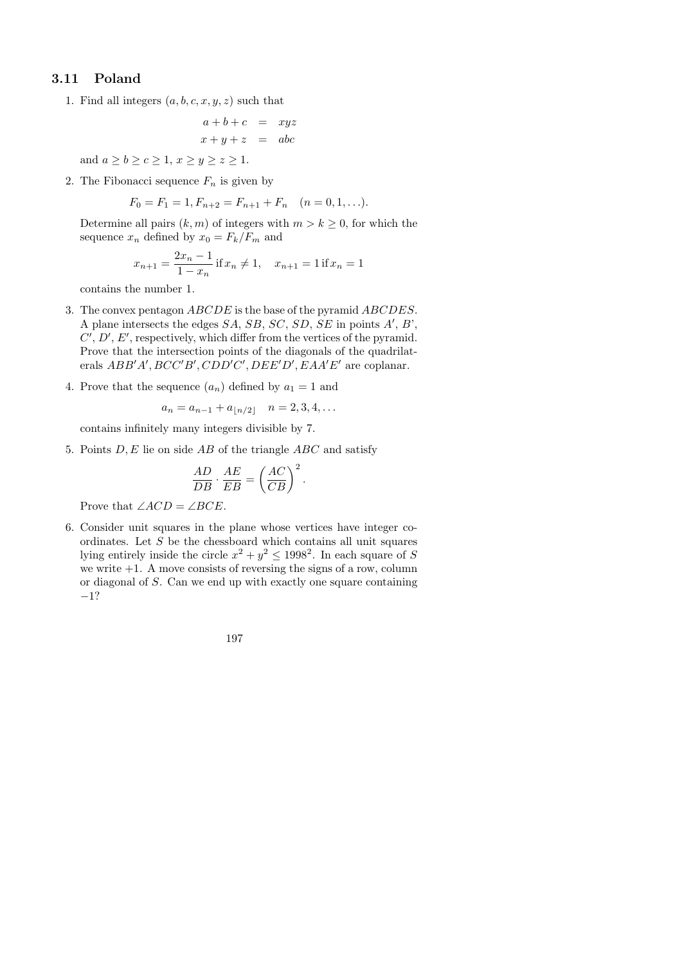#### 3.11 Poland

1. Find all integers  $(a, b, c, x, y, z)$  such that

$$
a+b+c = xyz
$$
  

$$
x+y+z = abc
$$

and  $a \ge b \ge c \ge 1$ ,  $x \ge y \ge z \ge 1$ .

2. The Fibonacci sequence  $F_n$  is given by

$$
F_0 = F_1 = 1, F_{n+2} = F_{n+1} + F_n \quad (n = 0, 1, \ldots).
$$

Determine all pairs  $(k, m)$  of integers with  $m > k \geq 0$ , for which the sequence  $x_n$  defined by  $x_0 = F_k/F_m$  and

$$
x_{n+1} = \frac{2x_n - 1}{1 - x_n}
$$
 if  $x_n \neq 1$ ,  $x_{n+1} = 1$  if  $x_n = 1$ 

contains the number 1.

- 3. The convex pentagon ABCDE is the base of the pyramid ABCDES. A plane intersects the edges  $SA, SB, SC, SD, SE$  in points  $A', B'$ ,  $C', D', E'$ , respectively, which differ from the vertices of the pyramid. Prove that the intersection points of the diagonals of the quadrilaterals  $ABB'A', BCC'B', CDD'C', DEE'D', EAA'E'$  are coplanar.
- 4. Prove that the sequence  $(a_n)$  defined by  $a_1 = 1$  and

$$
a_n = a_{n-1} + a_{\lfloor n/2 \rfloor} \quad n = 2, 3, 4, \dots
$$

contains infinitely many integers divisible by 7.

5. Points  $D, E$  lie on side AB of the triangle ABC and satisfy

$$
\frac{AD}{DB} \cdot \frac{AE}{EB} = \left(\frac{AC}{CB}\right)^2.
$$

Prove that  $\angle ACD = \angle BCE$ .

6. Consider unit squares in the plane whose vertices have integer coordinates. Let  $S$  be the chessboard which contains all unit squares lying entirely inside the circle  $x^2 + y^2 \le 1998^2$ . In each square of S we write +1. A move consists of reversing the signs of a row, column or diagonal of S. Can we end up with exactly one square containing −1?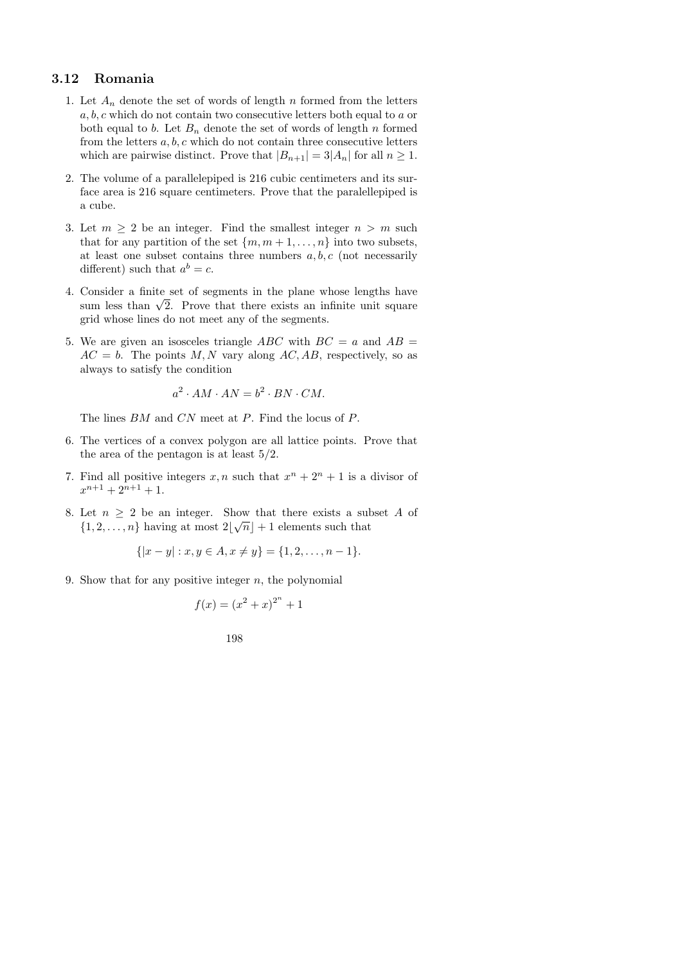#### 3.12 Romania

- 1. Let  $A_n$  denote the set of words of length n formed from the letters a, b, c which do not contain two consecutive letters both equal to a or both equal to b. Let  $B_n$  denote the set of words of length n formed from the letters  $a, b, c$  which do not contain three consecutive letters which are pairwise distinct. Prove that  $|B_{n+1}| = 3|A_n|$  for all  $n \ge 1$ .
- 2. The volume of a parallelepiped is 216 cubic centimeters and its surface area is 216 square centimeters. Prove that the paralellepiped is a cube.
- 3. Let  $m \geq 2$  be an integer. Find the smallest integer  $n > m$  such that for any partition of the set  $\{m, m+1, \ldots, n\}$  into two subsets, at least one subset contains three numbers  $a, b, c$  (not necessarily different) such that  $a^b = c$ .
- 4. Consider a finite set of segments in the plane whose lengths have Consider a finite set of segments in the plane whose lengths have sum less than  $\sqrt{2}$ . Prove that there exists an infinite unit square grid whose lines do not meet any of the segments.
- 5. We are given an isosceles triangle ABC with  $BC = a$  and  $AB =$  $AC = b$ . The points M, N vary along AC, AB, respectively, so as always to satisfy the condition

$$
a^2 \cdot AM \cdot AN = b^2 \cdot BN \cdot CM.
$$

The lines BM and CN meet at P. Find the locus of P.

- 6. The vertices of a convex polygon are all lattice points. Prove that the area of the pentagon is at least 5/2.
- 7. Find all positive integers  $x, n$  such that  $x^n + 2^n + 1$  is a divisor of  $x^{n+1} + 2^{n+1} + 1.$
- 8. Let  $n \geq 2$  be an integer. Show that there exists a subset A of  $\{1, 2, \ldots, n\}$  having at most  $2|\sqrt{n}| + 1$  elements such that

$$
\{|x-y|: x, y \in A, x \neq y\} = \{1, 2, \dots, n-1\}.
$$

9. Show that for any positive integer  $n$ , the polynomial

$$
f(x) = (x^2 + x)^{2^n} + 1
$$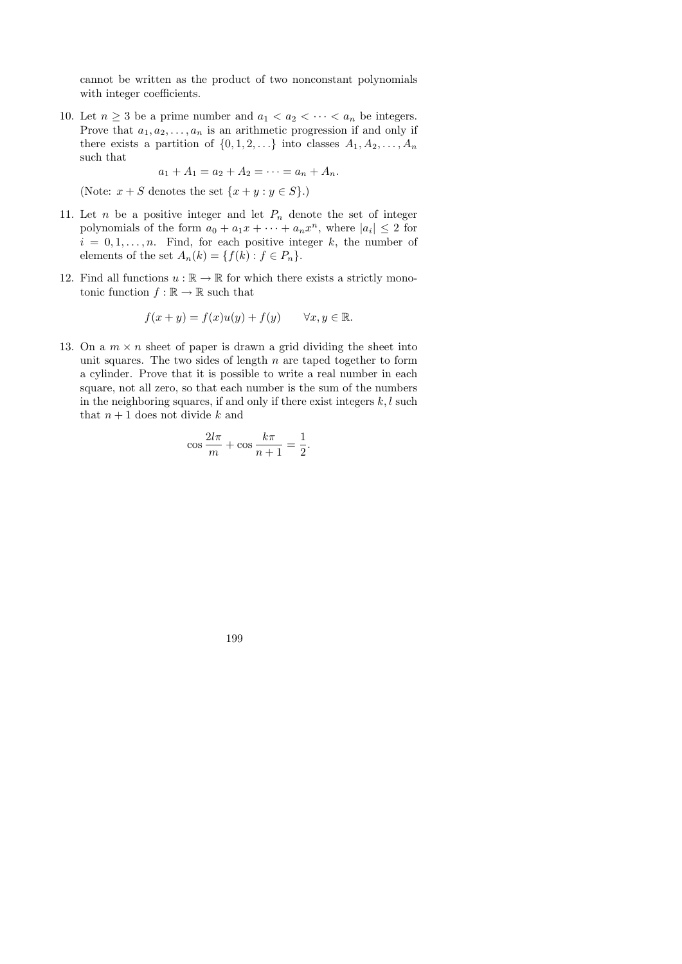cannot be written as the product of two nonconstant polynomials with integer coefficients.

10. Let  $n \geq 3$  be a prime number and  $a_1 < a_2 < \cdots < a_n$  be integers. Prove that  $a_1, a_2, \ldots, a_n$  is an arithmetic progression if and only if there exists a partition of  $\{0, 1, 2, \ldots\}$  into classes  $A_1, A_2, \ldots, A_n$ such that

$$
a_1 + A_1 = a_2 + A_2 = \cdots = a_n + A_n.
$$

(Note:  $x + S$  denotes the set  $\{x + y : y \in S\}$ .)

- 11. Let  $n$  be a positive integer and let  $P_n$  denote the set of integer polynomials of the form  $a_0 + a_1x + \cdots + a_nx^n$ , where  $|a_i| \leq 2$  for  $i = 0, 1, \ldots, n$ . Find, for each positive integer k, the number of elements of the set  $A_n(k) = \{f(k) : f \in P_n\}.$
- 12. Find all functions  $u : \mathbb{R} \to \mathbb{R}$  for which there exists a strictly monotonic function  $f : \mathbb{R} \to \mathbb{R}$  such that

$$
f(x + y) = f(x)u(y) + f(y) \quad \forall x, y \in \mathbb{R}.
$$

13. On a  $m \times n$  sheet of paper is drawn a grid dividing the sheet into unit squares. The two sides of length  $n$  are taped together to form a cylinder. Prove that it is possible to write a real number in each square, not all zero, so that each number is the sum of the numbers in the neighboring squares, if and only if there exist integers  $k, l$  such that  $n + 1$  does not divide k and

$$
\cos\frac{2l\pi}{m} + \cos\frac{k\pi}{n+1} = \frac{1}{2}.
$$

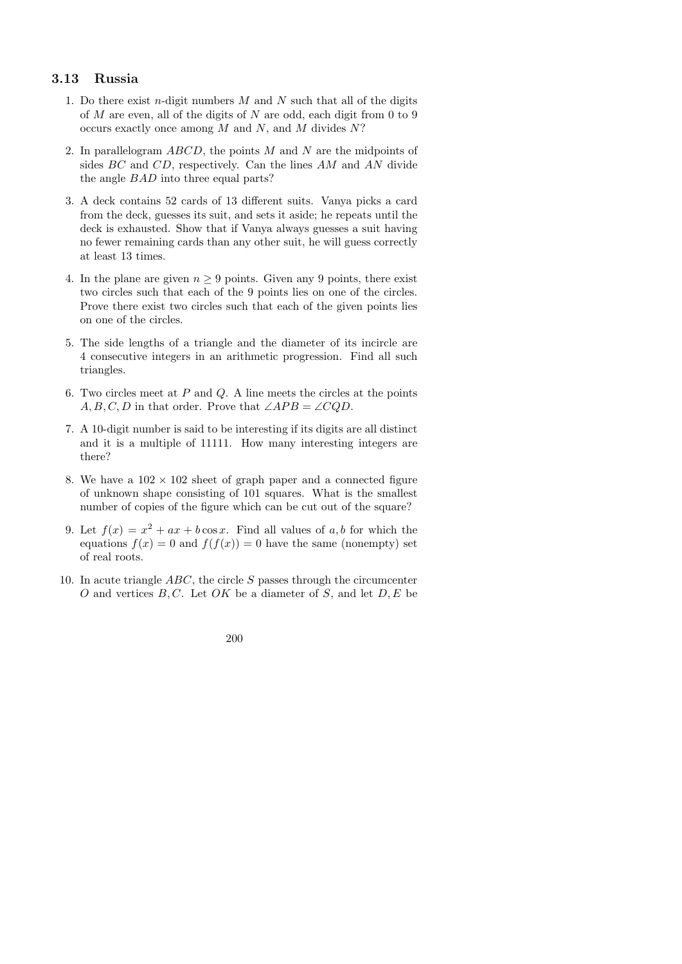#### 3.13 Russia

- 1. Do there exist *n*-digit numbers  $M$  and  $N$  such that all of the digits of  $M$  are even, all of the digits of  $N$  are odd, each digit from 0 to 9 occurs exactly once among  $M$  and  $N$ , and  $M$  divides  $N$ ?
- 2. In parallelogram ABCD, the points M and N are the midpoints of sides BC and CD, respectively. Can the lines AM and AN divide the angle BAD into three equal parts?
- 3. A deck contains 52 cards of 13 different suits. Vanya picks a card from the deck, guesses its suit, and sets it aside; he repeats until the deck is exhausted. Show that if Vanya always guesses a suit having no fewer remaining cards than any other suit, he will guess correctly at least 13 times.
- 4. In the plane are given  $n \geq 9$  points. Given any 9 points, there exist two circles such that each of the 9 points lies on one of the circles. Prove there exist two circles such that each of the given points lies on one of the circles.
- 5. The side lengths of a triangle and the diameter of its incircle are 4 consecutive integers in an arithmetic progression. Find all such triangles.
- 6. Two circles meet at  $P$  and  $Q$ . A line meets the circles at the points  $A, B, C, D$  in that order. Prove that  $\angle APB = \angle CQD$ .
- 7. A 10-digit number is said to be interesting if its digits are all distinct and it is a multiple of 11111. How many interesting integers are there?
- 8. We have a  $102 \times 102$  sheet of graph paper and a connected figure of unknown shape consisting of 101 squares. What is the smallest number of copies of the figure which can be cut out of the square?
- 9. Let  $f(x) = x^2 + ax + b \cos x$ . Find all values of a, b for which the equations  $f(x) = 0$  and  $f(f(x)) = 0$  have the same (nonempty) set of real roots.
- 10. In acute triangle  $ABC$ , the circle S passes through the circumcenter O and vertices  $B, C$ . Let  $OK$  be a diameter of S, and let  $D, E$  be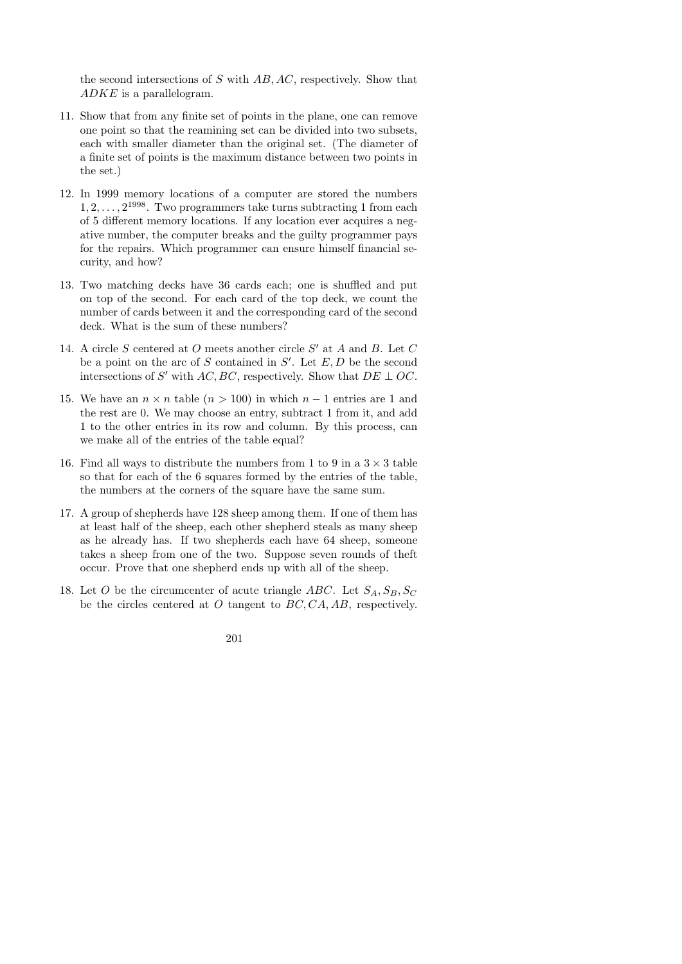the second intersections of  $S$  with  $AB, AC$ , respectively. Show that ADKE is a parallelogram.

- 11. Show that from any finite set of points in the plane, one can remove one point so that the reamining set can be divided into two subsets, each with smaller diameter than the original set. (The diameter of a finite set of points is the maximum distance between two points in the set.)
- 12. In 1999 memory locations of a computer are stored the numbers  $1, 2, \ldots, 2^{1998}$ . Two programmers take turns subtracting 1 from each of 5 different memory locations. If any location ever acquires a negative number, the computer breaks and the guilty programmer pays for the repairs. Which programmer can ensure himself financial security, and how?
- 13. Two matching decks have 36 cards each; one is shuffled and put on top of the second. For each card of the top deck, we count the number of cards between it and the corresponding card of the second deck. What is the sum of these numbers?
- 14. A circle  $S$  centered at  $O$  meets another circle  $S'$  at  $A$  and  $B$ . Let  $C$ be a point on the arc of  $S$  contained in  $S'$ . Let  $E, D$  be the second intersections of S' with AC, BC, respectively. Show that  $DE \perp OC$ .
- 15. We have an  $n \times n$  table  $(n > 100)$  in which  $n 1$  entries are 1 and the rest are 0. We may choose an entry, subtract 1 from it, and add 1 to the other entries in its row and column. By this process, can we make all of the entries of the table equal?
- 16. Find all ways to distribute the numbers from 1 to 9 in a  $3 \times 3$  table so that for each of the 6 squares formed by the entries of the table, the numbers at the corners of the square have the same sum.
- 17. A group of shepherds have 128 sheep among them. If one of them has at least half of the sheep, each other shepherd steals as many sheep as he already has. If two shepherds each have 64 sheep, someone takes a sheep from one of the two. Suppose seven rounds of theft occur. Prove that one shepherd ends up with all of the sheep.
- 18. Let O be the circumcenter of acute triangle ABC. Let  $S_A$ ,  $S_B$ ,  $S_C$ be the circles centered at  $O$  tangent to  $BC, CA, AB$ , respectively.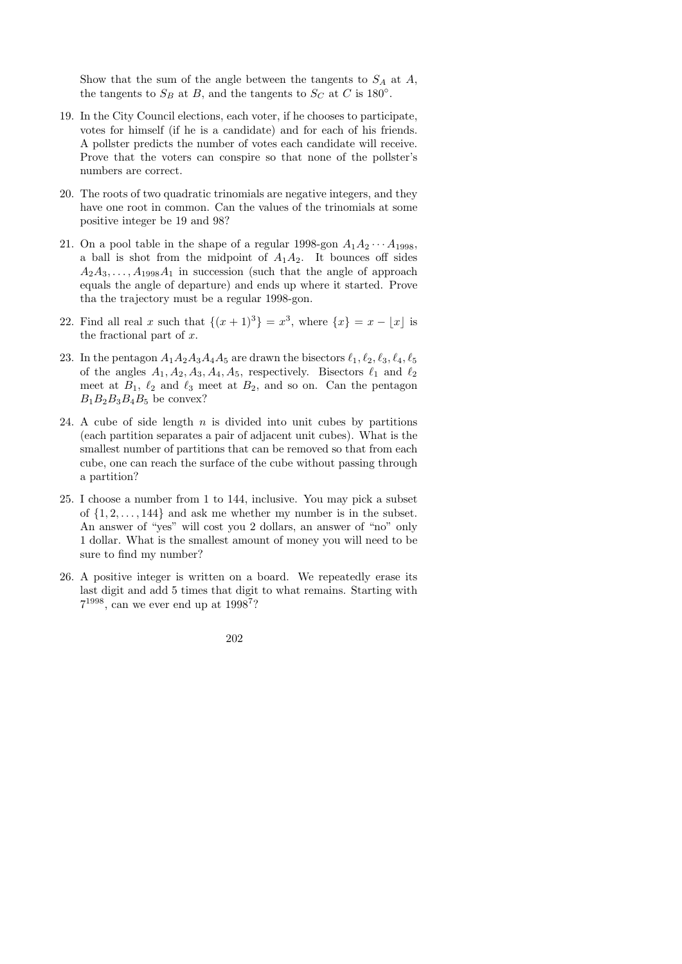Show that the sum of the angle between the tangents to  $S_A$  at A, the tangents to  $S_B$  at B, and the tangents to  $S_C$  at C is 180°.

- 19. In the City Council elections, each voter, if he chooses to participate, votes for himself (if he is a candidate) and for each of his friends. A pollster predicts the number of votes each candidate will receive. Prove that the voters can conspire so that none of the pollster's numbers are correct.
- 20. The roots of two quadratic trinomials are negative integers, and they have one root in common. Can the values of the trinomials at some positive integer be 19 and 98?
- 21. On a pool table in the shape of a regular 1998-gon  $A_1A_2 \cdots A_{1998}$ , a ball is shot from the midpoint of  $A_1A_2$ . It bounces off sides  $A_2A_3,\ldots,A_{1998}A_1$  in succession (such that the angle of approach equals the angle of departure) and ends up where it started. Prove tha the trajectory must be a regular 1998-gon.
- 22. Find all real x such that  $\{(x+1)^3\} = x^3$ , where  $\{x\} = x |x|$  is the fractional part of  $x$ .
- 23. In the pentagon  $A_1A_2A_3A_4A_5$  are drawn the bisectors  $\ell_1, \ell_2, \ell_3, \ell_4, \ell_5$ of the angles  $A_1, A_2, A_3, A_4, A_5$ , respectively. Bisectors  $\ell_1$  and  $\ell_2$ meet at  $B_1$ ,  $\ell_2$  and  $\ell_3$  meet at  $B_2$ , and so on. Can the pentagon  $B_1B_2B_3B_4B_5$  be convex?
- 24. A cube of side length  $n$  is divided into unit cubes by partitions (each partition separates a pair of adjacent unit cubes). What is the smallest number of partitions that can be removed so that from each cube, one can reach the surface of the cube without passing through a partition?
- 25. I choose a number from 1 to 144, inclusive. You may pick a subset of  $\{1, 2, \ldots, 144\}$  and ask me whether my number is in the subset. An answer of "yes" will cost you 2 dollars, an answer of "no" only 1 dollar. What is the smallest amount of money you will need to be sure to find my number?
- 26. A positive integer is written on a board. We repeatedly erase its last digit and add 5 times that digit to what remains. Starting with  $7^{1998}$ , can we ever end up at 1998<sup>7</sup>?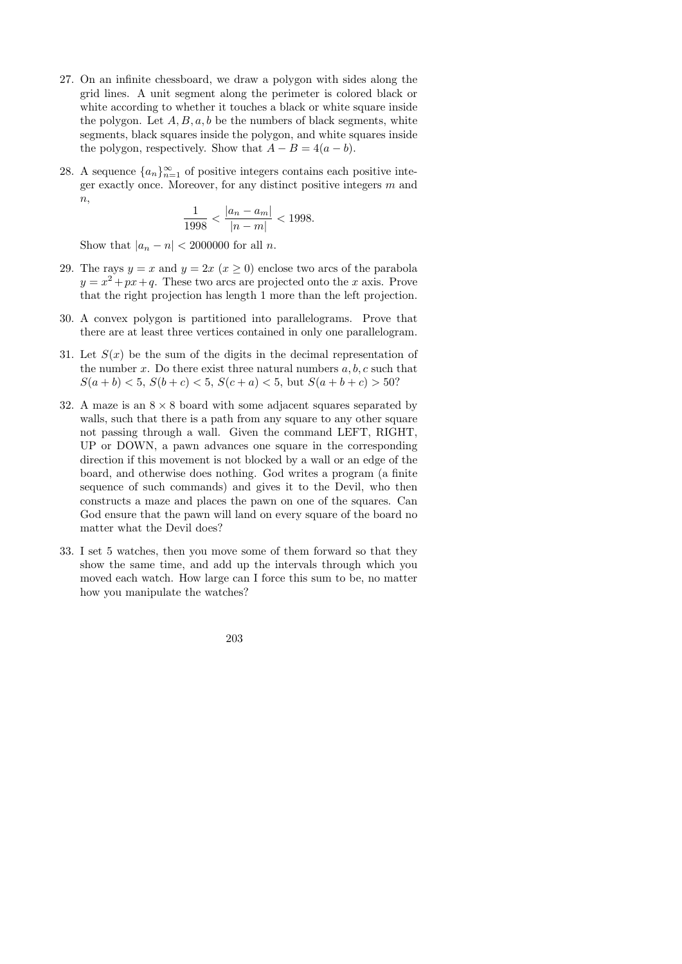- 27. On an infinite chessboard, we draw a polygon with sides along the grid lines. A unit segment along the perimeter is colored black or white according to whether it touches a black or white square inside the polygon. Let  $A, B, a, b$  be the numbers of black segments, white segments, black squares inside the polygon, and white squares inside the polygon, respectively. Show that  $A - B = 4(a - b)$ .
- 28. A sequence  ${a_n}_{n=1}^{\infty}$  of positive integers contains each positive integer exactly once. Moreover, for any distinct positive integers m and  $n,$

$$
\frac{1}{1998} < \frac{|a_n - a_m|}{|n - m|} < 1998.
$$

Show that  $|a_n - n| < 2000000$  for all n.

- 29. The rays  $y = x$  and  $y = 2x$   $(x \ge 0)$  enclose two arcs of the parabola  $y = x^2 + px + q$ . These two arcs are projected onto the x axis. Prove that the right projection has length 1 more than the left projection.
- 30. A convex polygon is partitioned into parallelograms. Prove that there are at least three vertices contained in only one parallelogram.
- 31. Let  $S(x)$  be the sum of the digits in the decimal representation of the number x. Do there exist three natural numbers  $a, b, c$  such that  $S(a + b) < 5, S(b + c) < 5, S(c + a) < 5, \text{ but } S(a + b + c) > 50$ ?
- 32. A maze is an  $8 \times 8$  board with some adjacent squares separated by walls, such that there is a path from any square to any other square not passing through a wall. Given the command LEFT, RIGHT, UP or DOWN, a pawn advances one square in the corresponding direction if this movement is not blocked by a wall or an edge of the board, and otherwise does nothing. God writes a program (a finite sequence of such commands) and gives it to the Devil, who then constructs a maze and places the pawn on one of the squares. Can God ensure that the pawn will land on every square of the board no matter what the Devil does?
- 33. I set 5 watches, then you move some of them forward so that they show the same time, and add up the intervals through which you moved each watch. How large can I force this sum to be, no matter how you manipulate the watches?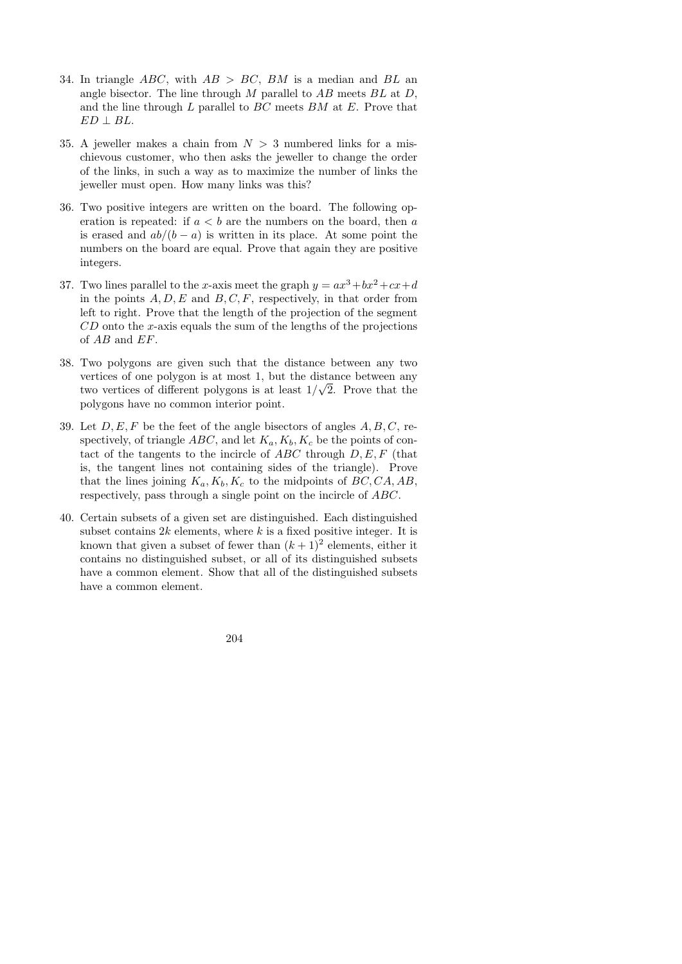- 34. In triangle ABC, with  $AB > BC$ , BM is a median and BL and angle bisector. The line through  $M$  parallel to  $AB$  meets  $BL$  at  $D$ , and the line through  $L$  parallel to  $BC$  meets  $BM$  at  $E$ . Prove that  $ED \perp BL$ .
- 35. A jeweller makes a chain from  $N > 3$  numbered links for a mischievous customer, who then asks the jeweller to change the order of the links, in such a way as to maximize the number of links the jeweller must open. How many links was this?
- 36. Two positive integers are written on the board. The following operation is repeated: if  $a < b$  are the numbers on the board, then a is erased and  $ab/(b - a)$  is written in its place. At some point the numbers on the board are equal. Prove that again they are positive integers.
- 37. Two lines parallel to the x-axis meet the graph  $y = ax^3 + bx^2 + cx + d$ in the points  $A, D, E$  and  $B, C, F$ , respectively, in that order from left to right. Prove that the length of the projection of the segment  $CD$  onto the x-axis equals the sum of the lengths of the projections of AB and EF.
- 38. Two polygons are given such that the distance between any two vertices of one polygon is at most 1, but the distance between any two vertices of different polygons is at least  $1/\sqrt{2}$ . Prove that the polygons have no common interior point.
- 39. Let  $D, E, F$  be the feet of the angle bisectors of angles  $A, B, C$ , respectively, of triangle  $ABC$ , and let  $K_a, K_b, K_c$  be the points of contact of the tangents to the incircle of  $ABC$  through  $D, E, F$  (that is, the tangent lines not containing sides of the triangle). Prove that the lines joining  $K_a, K_b, K_c$  to the midpoints of  $BC, CA, AB$ , respectively, pass through a single point on the incircle of ABC.
- 40. Certain subsets of a given set are distinguished. Each distinguished subset contains  $2k$  elements, where k is a fixed positive integer. It is known that given a subset of fewer than  $(k+1)^2$  elements, either it contains no distinguished subset, or all of its distinguished subsets have a common element. Show that all of the distinguished subsets have a common element.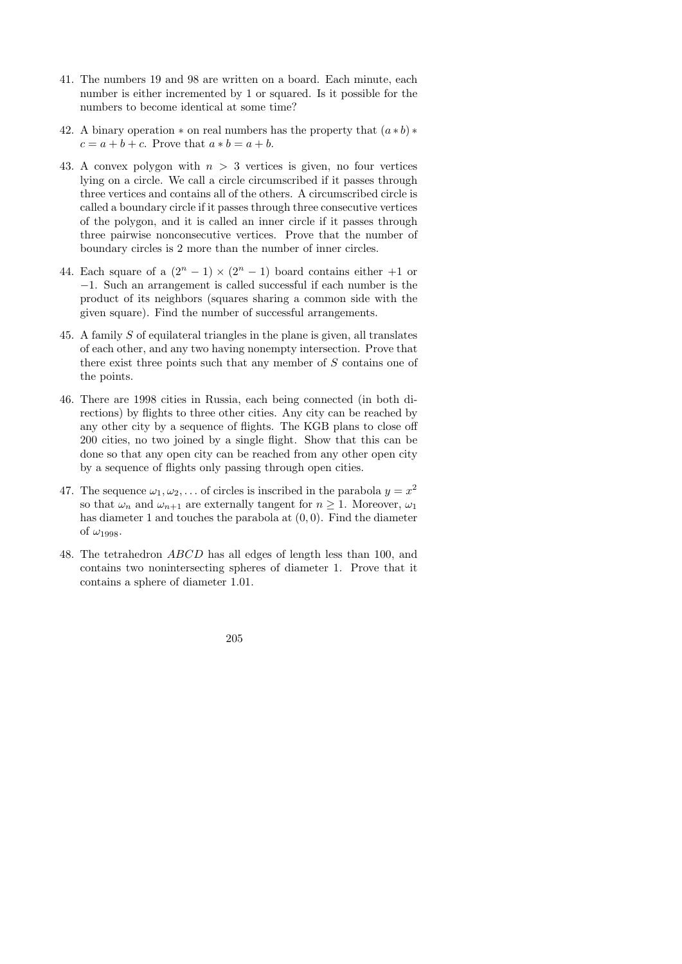- 41. The numbers 19 and 98 are written on a board. Each minute, each number is either incremented by 1 or squared. Is it possible for the numbers to become identical at some time?
- 42. A binary operation  $*$  on real numbers has the property that  $(a * b) *$  $c = a + b + c$ . Prove that  $a * b = a + b$ .
- 43. A convex polygon with  $n > 3$  vertices is given, no four vertices lying on a circle. We call a circle circumscribed if it passes through three vertices and contains all of the others. A circumscribed circle is called a boundary circle if it passes through three consecutive vertices of the polygon, and it is called an inner circle if it passes through three pairwise nonconsecutive vertices. Prove that the number of boundary circles is 2 more than the number of inner circles.
- 44. Each square of a  $(2^{n} 1) \times (2^{n} 1)$  board contains either +1 or −1. Such an arrangement is called successful if each number is the product of its neighbors (squares sharing a common side with the given square). Find the number of successful arrangements.
- 45. A family S of equilateral triangles in the plane is given, all translates of each other, and any two having nonempty intersection. Prove that there exist three points such that any member of S contains one of the points.
- 46. There are 1998 cities in Russia, each being connected (in both directions) by flights to three other cities. Any city can be reached by any other city by a sequence of flights. The KGB plans to close off 200 cities, no two joined by a single flight. Show that this can be done so that any open city can be reached from any other open city by a sequence of flights only passing through open cities.
- 47. The sequence  $\omega_1, \omega_2, \ldots$  of circles is inscribed in the parabola  $y = x^2$ so that  $\omega_n$  and  $\omega_{n+1}$  are externally tangent for  $n \geq 1$ . Moreover,  $\omega_1$ has diameter 1 and touches the parabola at  $(0, 0)$ . Find the diameter of  $\omega_{1998}$ .
- 48. The tetrahedron ABCD has all edges of length less than 100, and contains two nonintersecting spheres of diameter 1. Prove that it contains a sphere of diameter 1.01.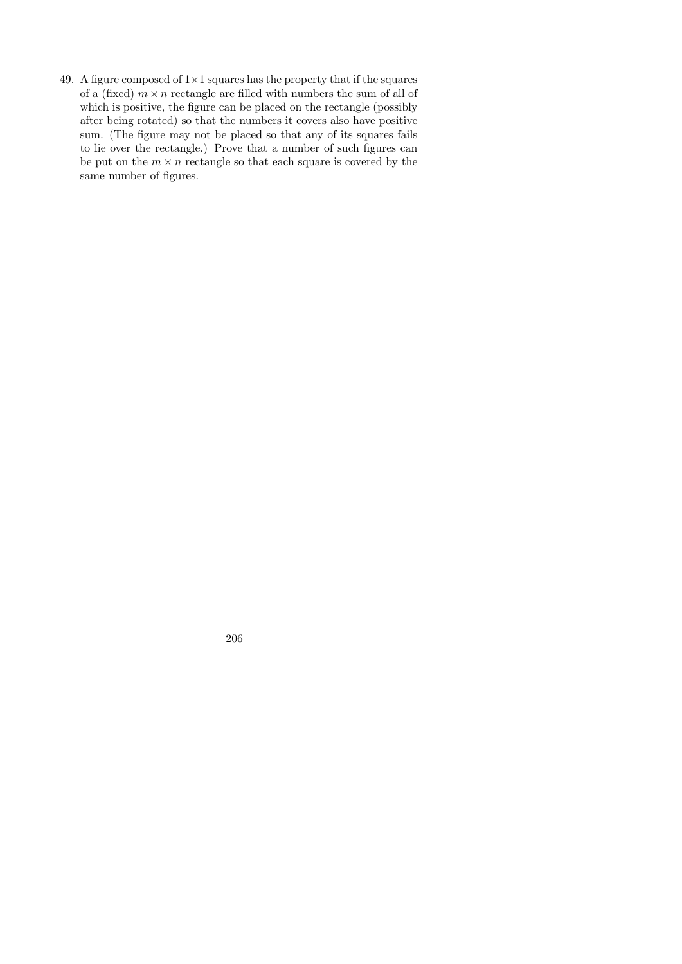49. A figure composed of  $1\times1$  squares has the property that if the squares of a (fixed)  $m \times n$  rectangle are filled with numbers the sum of all of which is positive, the figure can be placed on the rectangle (possibly after being rotated) so that the numbers it covers also have positive sum. (The figure may not be placed so that any of its squares fails to lie over the rectangle.) Prove that a number of such figures can be put on the  $m \times n$  rectangle so that each square is covered by the same number of figures.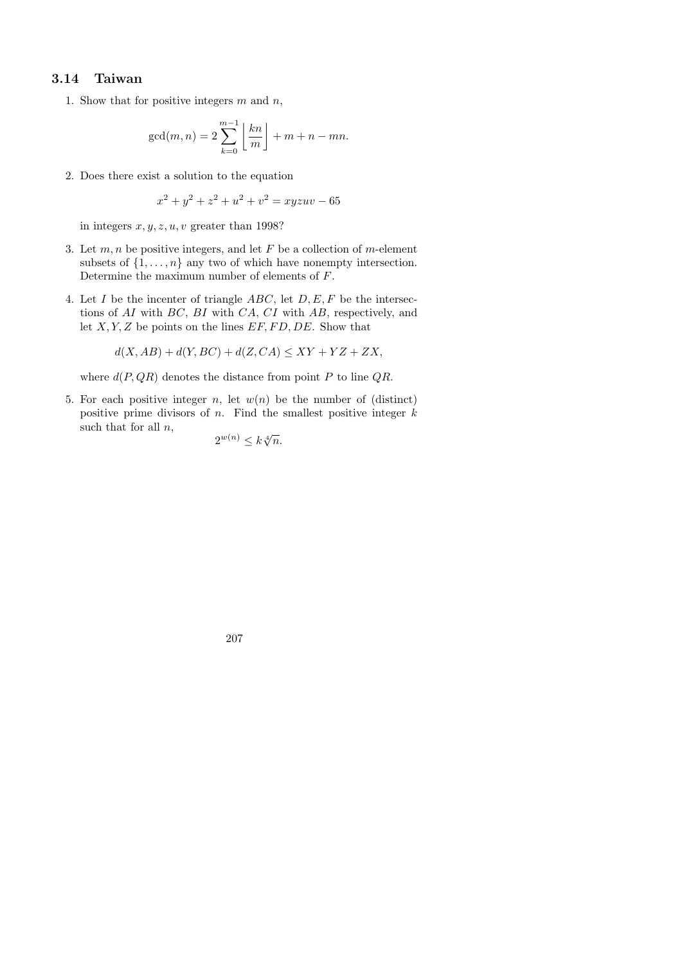## 3.14 Taiwan

1. Show that for positive integers  $m$  and  $n$ ,

$$
\gcd(m, n) = 2\sum_{k=0}^{m-1} \left\lfloor \frac{kn}{m} \right\rfloor + m + n - mn.
$$

2. Does there exist a solution to the equation

$$
x^2 + y^2 + z^2 + u^2 + v^2 = xyzuv - 65
$$

in integers  $x, y, z, u, v$  greater than 1998?

- 3. Let  $m, n$  be positive integers, and let F be a collection of m-element subsets of  $\{1, \ldots, n\}$  any two of which have nonempty intersection. Determine the maximum number of elements of F.
- 4. Let  $I$  be the incenter of triangle  $ABC$ , let  $D, E, F$  be the intersections of AI with BC, BI with CA, CI with AB, respectively, and let  $X, Y, Z$  be points on the lines  $EF, FD, DE$ . Show that

$$
d(X, AB) + d(Y, BC) + d(Z, CA) \le XY + YZ + ZX,
$$

where  $d(P, QR)$  denotes the distance from point P to line  $QR$ .

5. For each positive integer n, let  $w(n)$  be the number of (distinct) positive prime divisors of  $n$ . Find the smallest positive integer  $k$ such that for all  $n$ ,

$$
2^{w(n)} \le k \sqrt[4]{n}.
$$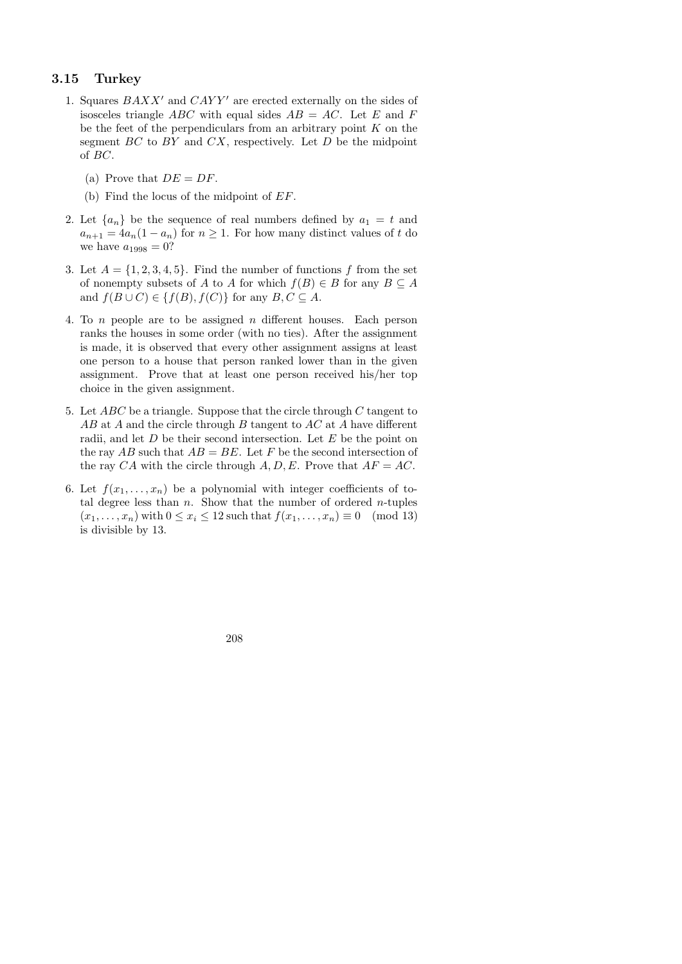#### 3.15 Turkey

- 1. Squares  $BAX X'$  and  $CAY Y'$  are erected externally on the sides of isosceles triangle *ABC* with equal sides  $AB = AC$ . Let E and F be the feet of the perpendiculars from an arbitrary point  $K$  on the segment  $BC$  to  $BY$  and  $CX$ , respectively. Let  $D$  be the midpoint of BC.
	- (a) Prove that  $DE = DF$ .
	- (b) Find the locus of the midpoint of EF.
- 2. Let  ${a_n}$  be the sequence of real numbers defined by  $a_1 = t$  and  $a_{n+1} = 4a_n(1 - a_n)$  for  $n \ge 1$ . For how many distinct values of t do we have  $a_{1998} = 0$ ?
- 3. Let  $A = \{1, 2, 3, 4, 5\}$ . Find the number of functions f from the set of nonempty subsets of A to A for which  $f(B) \in B$  for any  $B \subseteq A$ and  $f(B\cup C) \in \{f(B), f(C)\}\$ for any  $B, C \subseteq A$ .
- 4. To n people are to be assigned n different houses. Each person ranks the houses in some order (with no ties). After the assignment is made, it is observed that every other assignment assigns at least one person to a house that person ranked lower than in the given assignment. Prove that at least one person received his/her top choice in the given assignment.
- 5. Let  $ABC$  be a triangle. Suppose that the circle through C tangent to  $AB$  at A and the circle through B tangent to  $AC$  at A have different radii, and let  $D$  be their second intersection. Let  $E$  be the point on the ray AB such that  $AB = BE$ . Let F be the second intersection of the ray CA with the circle through  $A, D, E$ . Prove that  $AF = AC$ .
- 6. Let  $f(x_1, \ldots, x_n)$  be a polynomial with integer coefficients of total degree less than  $n$ . Show that the number of ordered  $n$ -tuples  $(x_1, \ldots, x_n)$  with  $0 \le x_i \le 12$  such that  $f(x_1, \ldots, x_n) \equiv 0 \pmod{13}$ is divisible by 13.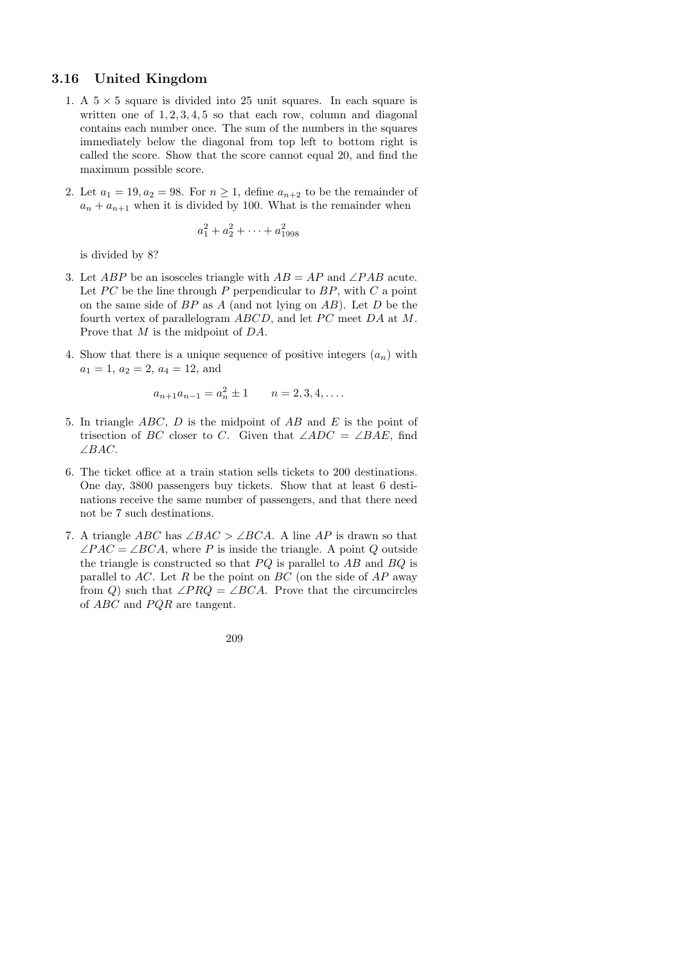#### 3.16 United Kingdom

- 1. A  $5 \times 5$  square is divided into 25 unit squares. In each square is written one of  $1, 2, 3, 4, 5$  so that each row, column and diagonal contains each number once. The sum of the numbers in the squares immediately below the diagonal from top left to bottom right is called the score. Show that the score cannot equal 20, and find the maximum possible score.
- 2. Let  $a_1 = 19, a_2 = 98$ . For  $n \ge 1$ , define  $a_{n+2}$  to be the remainder of  $a_n + a_{n+1}$  when it is divided by 100. What is the remainder when

$$
a_1^2 + a_2^2 + \dots + a_{1998}^2
$$

is divided by 8?

- 3. Let *ABP* be an isosceles triangle with  $AB = AP$  and ∠*PAB* acute. Let  $PC$  be the line through P perpendicular to  $BP$ , with  $C$  a point on the same side of  $BP$  as  $A$  (and not lying on  $AB$ ). Let  $D$  be the fourth vertex of parallelogram  $ABCD$ , and let PC meet DA at M. Prove that M is the midpoint of DA.
- 4. Show that there is a unique sequence of positive integers  $(a_n)$  with  $a_1 = 1, a_2 = 2, a_4 = 12, \text{ and}$

$$
a_{n+1}a_{n-1} = a_n^2 \pm 1 \qquad n = 2, 3, 4, \dots.
$$

- 5. In triangle ABC, D is the midpoint of AB and E is the point of trisection of BC closer to C. Given that  $\angle ADC = \angle BAE$ , find ∠BAC.
- 6. The ticket office at a train station sells tickets to 200 destinations. One day, 3800 passengers buy tickets. Show that at least 6 destinations receive the same number of passengers, and that there need not be 7 such destinations.
- 7. A triangle ABC has  $\angle BAC > \angle BCA$ . A line AP is drawn so that  $\angle PAC = \angle BCA$ , where P is inside the triangle. A point Q outside the triangle is constructed so that  $PQ$  is parallel to  $AB$  and  $BQ$  is parallel to  $AC$ . Let R be the point on  $BC$  (on the side of  $AP$  away from Q) such that  $\angle PRQ = \angle BCA$ . Prove that the circumcircles of  $ABC$  and  $PQR$  are tangent.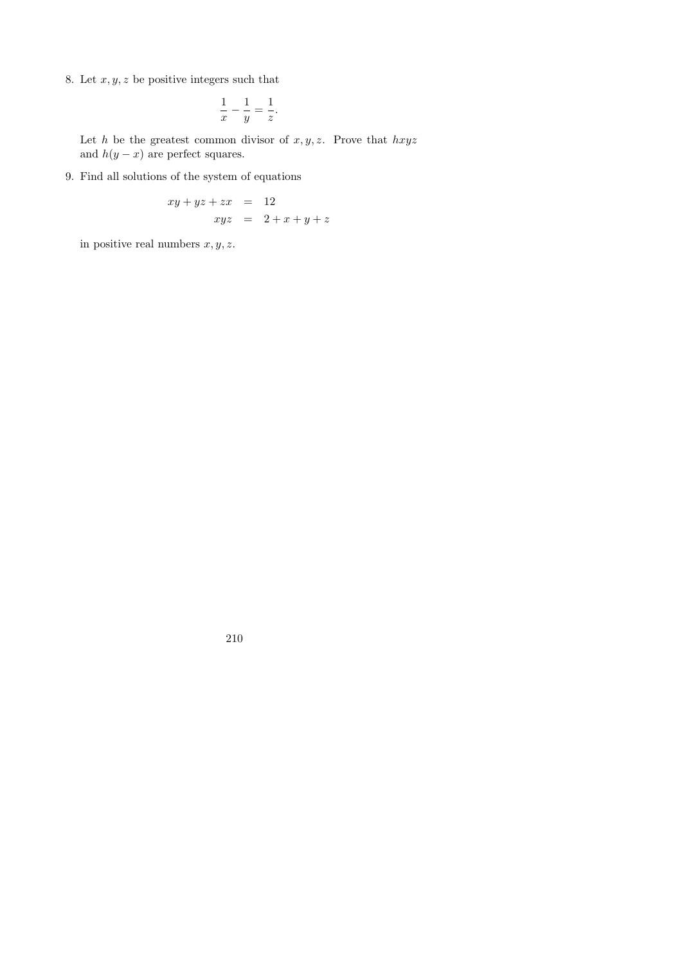8. Let  $x, y, z$  be positive integers such that

$$
\frac{1}{x} - \frac{1}{y} = \frac{1}{z}.
$$

Let  $h$  be the greatest common divisor of  $x, y, z$ . Prove that  $hxyz$ and  $h(y - x)$  are perfect squares.

9. Find all solutions of the system of equations

$$
xy + yz + zx = 12
$$
  

$$
xyz = 2 + x + y + z
$$

in positive real numbers  $x, y, z$ .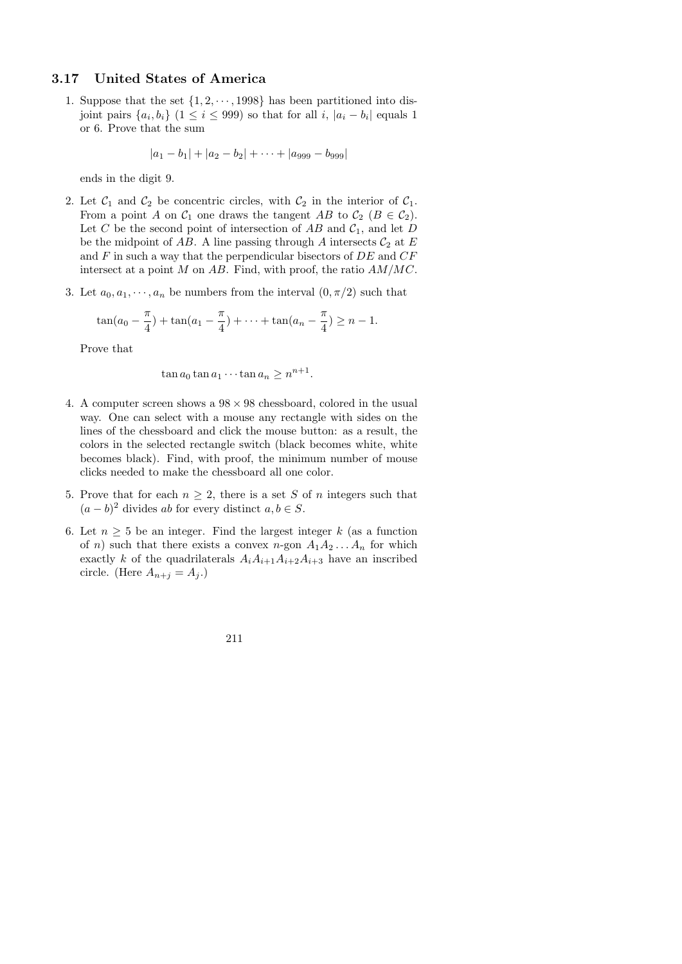### 3.17 United States of America

1. Suppose that the set  $\{1, 2, \dots, 1998\}$  has been partitioned into disjoint pairs  $\{a_i, b_i\}$  ( $1 \leq i \leq 999$ ) so that for all i,  $|a_i - b_i|$  equals 1 or 6. Prove that the sum

$$
|a_1 - b_1| + |a_2 - b_2| + \cdots + |a_{999} - b_{999}|
$$

ends in the digit 9.

- 2. Let  $C_1$  and  $C_2$  be concentric circles, with  $C_2$  in the interior of  $C_1$ . From a point A on  $C_1$  one draws the tangent AB to  $C_2$  ( $B \in C_2$ ). Let C be the second point of intersection of  $AB$  and  $C_1$ , and let D be the midpoint of AB. A line passing through A intersects  $C_2$  at E and  $F$  in such a way that the perpendicular bisectors of  $DE$  and  $CF$ intersect at a point M on AB. Find, with proof, the ratio  $AM/MC$ .
- 3. Let  $a_0, a_1, \dots, a_n$  be numbers from the interval  $(0, \pi/2)$  such that

$$
\tan(a_0 - \frac{\pi}{4}) + \tan(a_1 - \frac{\pi}{4}) + \dots + \tan(a_n - \frac{\pi}{4}) \ge n - 1.
$$

Prove that

 $\tan a_0 \tan a_1 \cdots \tan a_n \geq n^{n+1}.$ 

- 4. A computer screen shows a  $98 \times 98$  chessboard, colored in the usual way. One can select with a mouse any rectangle with sides on the lines of the chessboard and click the mouse button: as a result, the colors in the selected rectangle switch (black becomes white, white becomes black). Find, with proof, the minimum number of mouse clicks needed to make the chessboard all one color.
- 5. Prove that for each  $n \geq 2$ , there is a set S of n integers such that  $(a - b)^2$  divides ab for every distinct  $a, b \in S$ .
- 6. Let  $n \geq 5$  be an integer. Find the largest integer k (as a function of n) such that there exists a convex n-gon  $A_1A_2...A_n$  for which exactly k of the quadrilaterals  $A_iA_{i+1}A_{i+2}A_{i+3}$  have an inscribed circle. (Here  $A_{n+j} = A_j$ .)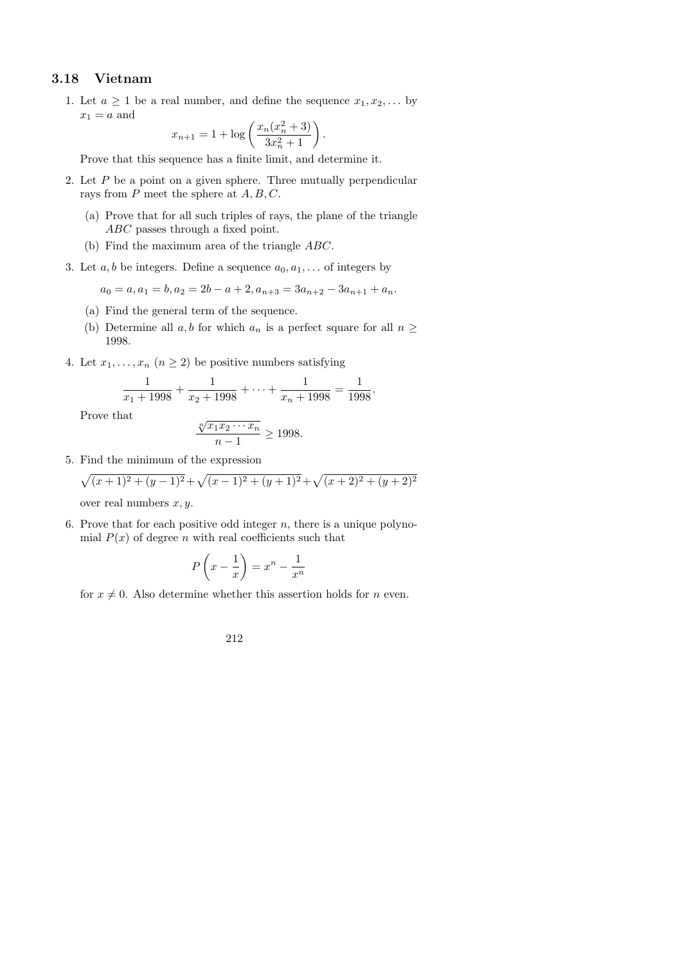#### 3.18 Vietnam

1. Let  $a \ge 1$  be a real number, and define the sequence  $x_1, x_2, \ldots$  by  $x_1 = a$  and

$$
x_{n+1} = 1 + \log\left(\frac{x_n(x_n^2 + 3)}{3x_n^2 + 1}\right).
$$

Prove that this sequence has a finite limit, and determine it.

- 2. Let  $P$  be a point on a given sphere. Three mutually perpendicular rays from  $P$  meet the sphere at  $A, B, C$ .
	- (a) Prove that for all such triples of rays, the plane of the triangle ABC passes through a fixed point.
	- (b) Find the maximum area of the triangle ABC.
- 3. Let  $a, b$  be integers. Define a sequence  $a_0, a_1, \ldots$  of integers by

$$
a_0 = a, a_1 = b, a_2 = 2b - a + 2, a_{n+3} = 3a_{n+2} - 3a_{n+1} + a_n.
$$

- (a) Find the general term of the sequence.
- (b) Determine all a, b for which  $a_n$  is a perfect square for all  $n \geq$ 1998.
- 4. Let  $x_1, \ldots, x_n$   $(n \geq 2)$  be positive numbers satisfying

$$
\frac{1}{x_1+1998}+\frac{1}{x_2+1998}+\cdots+\frac{1}{x_n+1998}=\frac{1}{1998}.
$$

Prove that

$$
\frac{\sqrt[n]{x_1 x_2 \cdots x_n}}{n-1} \ge 1998.
$$

5. Find the minimum of the expression

$$
\sqrt{(x+1)^2 + (y-1)^2} + \sqrt{(x-1)^2 + (y+1)^2} + \sqrt{(x+2)^2 + (y+2)^2}
$$

over real numbers  $x, y$ .

6. Prove that for each positive odd integer  $n$ , there is a unique polynomial  $P(x)$  of degree n with real coefficients such that

$$
P\left(x - \frac{1}{x}\right) = x^n - \frac{1}{x^n}
$$

for  $x \neq 0$ . Also determine whether this assertion holds for *n* even.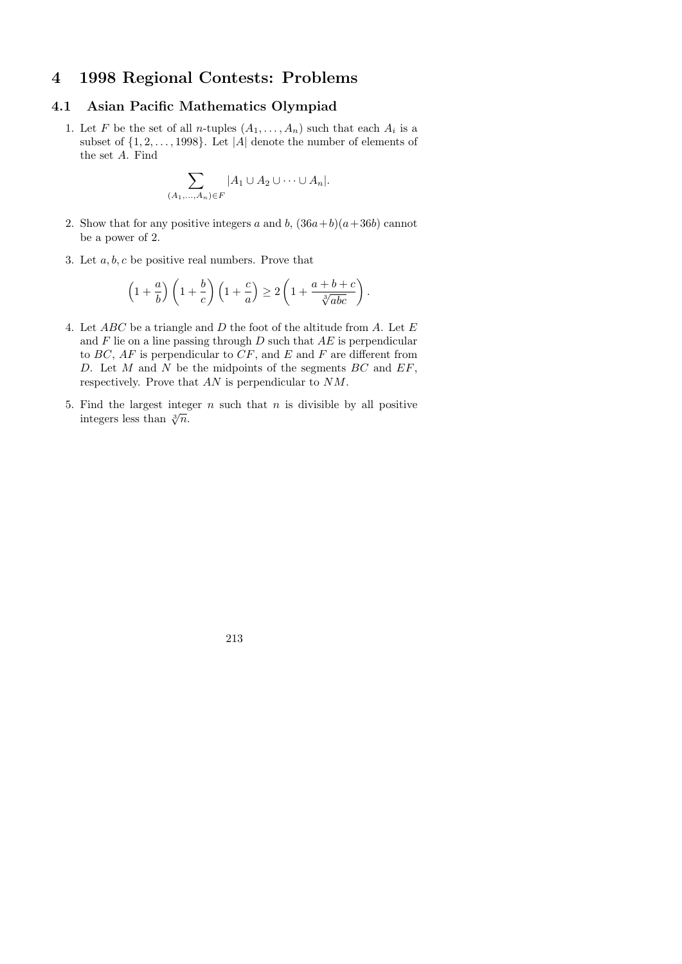# 4 1998 Regional Contests: Problems

## 4.1 Asian Pacific Mathematics Olympiad

1. Let F be the set of all *n*-tuples  $(A_1, \ldots, A_n)$  such that each  $A_i$  is a subset of  $\{1, 2, \ldots, 1998\}$ . Let |A| denote the number of elements of the set A. Find

$$
\sum_{(A_1,\ldots,A_n)\in F} |A_1\cup A_2\cup\cdots\cup A_n|.
$$

- 2. Show that for any positive integers a and b,  $(36a+b)(a+36b)$  cannot be a power of 2.
- 3. Let  $a, b, c$  be positive real numbers. Prove that

$$
\left(1+\frac{a}{b}\right)\left(1+\frac{b}{c}\right)\left(1+\frac{c}{a}\right) \ge 2\left(1+\frac{a+b+c}{\sqrt[3]{abc}}\right).
$$

- 4. Let  $ABC$  be a triangle and D the foot of the altitude from A. Let E and  $F$  lie on a line passing through  $D$  such that  $AE$  is perpendicular to  $BC$ ,  $AF$  is perpendicular to  $CF$ , and  $E$  and  $F$  are different from D. Let  $M$  and  $N$  be the midpoints of the segments  $BC$  and  $EF$ , respectively. Prove that AN is perpendicular to NM.
- 5. Find the largest integer  $n$  such that  $n$  is divisible by all positive integers less than  $\sqrt[3]{n}$ .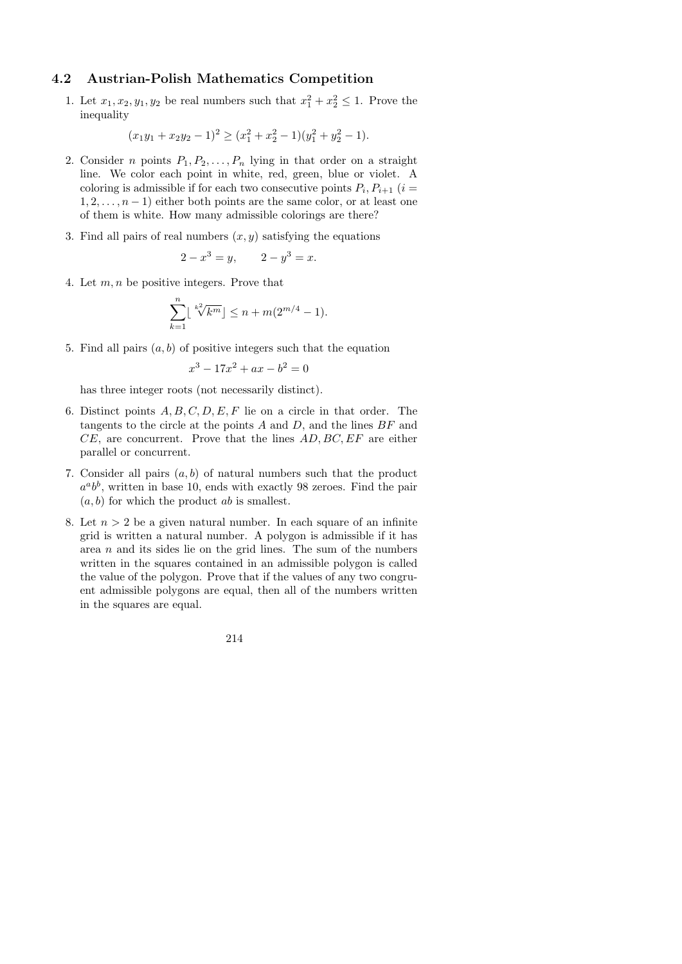#### 4.2 Austrian-Polish Mathematics Competition

1. Let  $x_1, x_2, y_1, y_2$  be real numbers such that  $x_1^2 + x_2^2 \leq 1$ . Prove the inequality

$$
(x_1y_1 + x_2y_2 - 1)^2 \ge (x_1^2 + x_2^2 - 1)(y_1^2 + y_2^2 - 1).
$$

- 2. Consider *n* points  $P_1, P_2, \ldots, P_n$  lying in that order on a straight line. We color each point in white, red, green, blue or violet. A coloring is admissible if for each two consecutive points  $P_i, P_{i+1}$  (*i* =  $1, 2, \ldots, n-1$ ) either both points are the same color, or at least one of them is white. How many admissible colorings are there?
- 3. Find all pairs of real numbers  $(x, y)$  satisfying the equations

$$
2 - x^3 = y, \qquad 2 - y^3 = x.
$$

4. Let m, n be positive integers. Prove that

$$
\sum_{k=1}^{n} \lfloor \sqrt[k]{k^m} \rfloor \le n + m(2^{m/4} - 1).
$$

5. Find all pairs  $(a, b)$  of positive integers such that the equation

$$
x^3 - 17x^2 + ax - b^2 = 0
$$

has three integer roots (not necessarily distinct).

 $\boldsymbol{v}$ 

- 6. Distinct points  $A, B, C, D, E, F$  lie on a circle in that order. The tangents to the circle at the points  $A$  and  $D$ , and the lines  $BF$  and  $CE$ , are concurrent. Prove that the lines  $AD, BC, EF$  are either parallel or concurrent.
- 7. Consider all pairs  $(a, b)$  of natural numbers such that the product  $a^a b^b$ , written in base 10, ends with exactly 98 zeroes. Find the pair  $(a, b)$  for which the product ab is smallest.
- 8. Let  $n > 2$  be a given natural number. In each square of an infinite grid is written a natural number. A polygon is admissible if it has area  $n$  and its sides lie on the grid lines. The sum of the numbers written in the squares contained in an admissible polygon is called the value of the polygon. Prove that if the values of any two congruent admissible polygons are equal, then all of the numbers written in the squares are equal.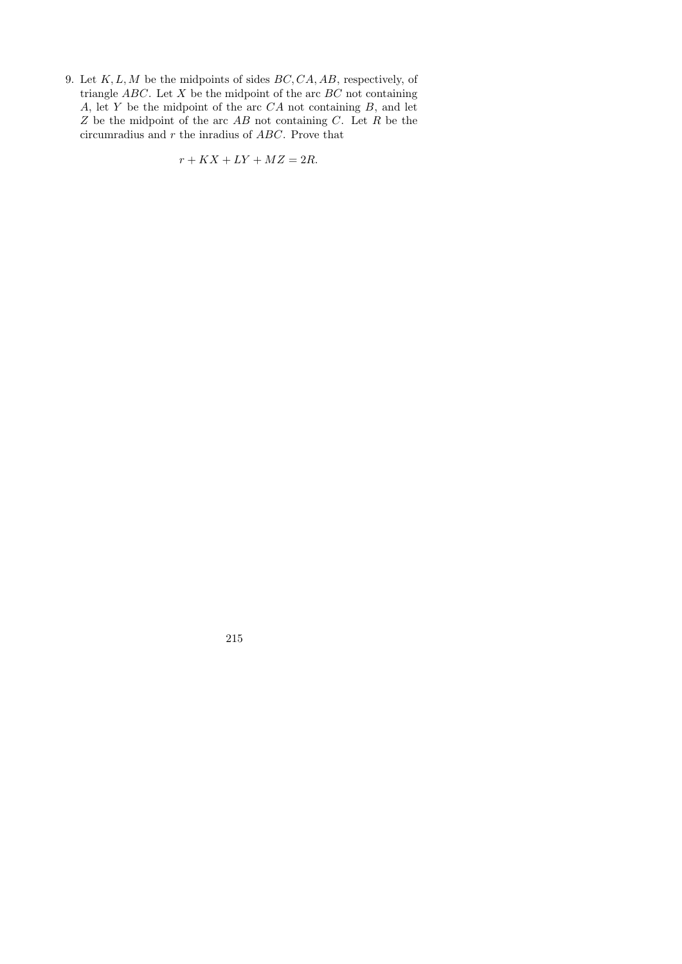9. Let  $K, L, M$  be the midpoints of sides  $BC, CA, AB$ , respectively, of triangle  $ABC$ . Let  $X$  be the midpoint of the arc  $BC$  not containing  $A$ , let  $Y$  be the midpoint of the arc  $CA$  not containing  $B$ , and let  $Z$  be the midpoint of the arc  $AB$  not containing  $C$ . Let  $R$  be the circumradius and  $r$  the inradius of  $ABC$ . Prove that

 $r + KX + LY + MZ = 2R.$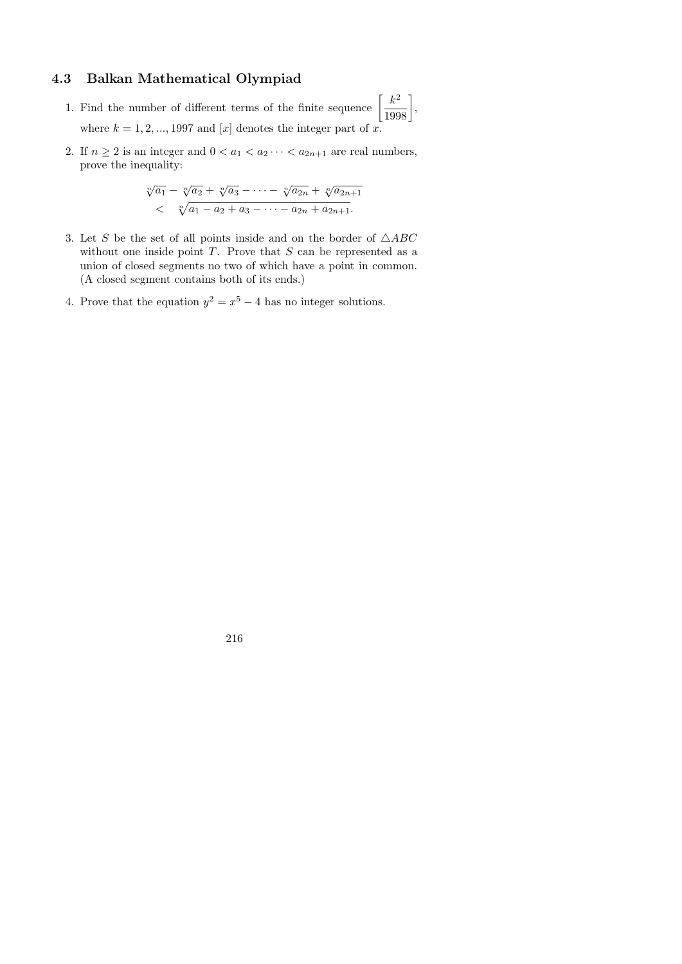# 4.3 Balkan Mathematical Olympiad

- 1. Find the number of different terms of the finite sequence  $\left[\frac{k^2}{1998}\right]$ , where  $k = 1, 2, ..., 1997$  and [x] denotes the integer part of x.
- 2. If  $n \geq 2$  is an integer and  $0 < a_1 < a_2 \cdots < a_{2n+1}$  are real numbers, prove the inequality:

$$
\sqrt[n]{a_1} - \sqrt[n]{a_2} + \sqrt[n]{a_3} - \cdots - \sqrt[n]{a_{2n}} + \sqrt[n]{a_{2n+1}}
$$
  

$$
< \sqrt[n]{a_1 - a_2 + a_3 - \cdots - a_{2n} + a_{2n+1}}.
$$

- 3. Let S be the set of all points inside and on the border of  $\triangle ABC$ without one inside point  $T$ . Prove that  $S$  can be represented as a union of closed segments no two of which have a point in common. (A closed segment contains both of its ends.)
- 4. Prove that the equation  $y^2 = x^5 4$  has no integer solutions.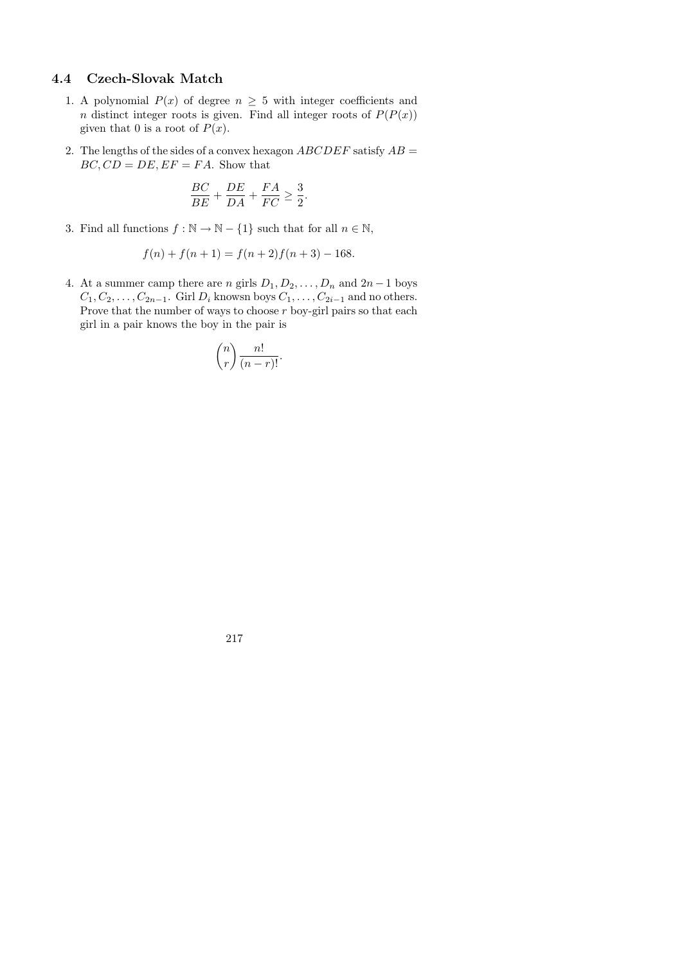## 4.4 Czech-Slovak Match

- 1. A polynomial  $P(x)$  of degree  $n \geq 5$  with integer coefficients and n distinct integer roots is given. Find all integer roots of  $P(P(x))$ given that 0 is a root of  $P(x)$ .
- 2. The lengths of the sides of a convex hexagon  $ABCDEF$  satisfy  $AB =$  $BC, CD = DE, EF = FA$ . Show that

$$
\frac{BC}{BE} + \frac{DE}{DA} + \frac{FA}{FC} \ge \frac{3}{2}.
$$

3. Find all functions  $f : \mathbb{N} \to \mathbb{N} - \{1\}$  such that for all  $n \in \mathbb{N}$ ,

$$
f(n) + f(n+1) = f(n+2)f(n+3) - 168.
$$

4. At a summer camp there are n girls  $D_1, D_2, \ldots, D_n$  and  $2n-1$  boys  $C_1, C_2, \ldots, C_{2n-1}$ . Girl  $D_i$  knowsn boys  $C_1, \ldots, C_{2i-1}$  and no others. Prove that the number of ways to choose  $r$  boy-girl pairs so that each girl in a pair knows the boy in the pair is

$$
\binom{n}{r} \frac{n!}{(n-r)!}.
$$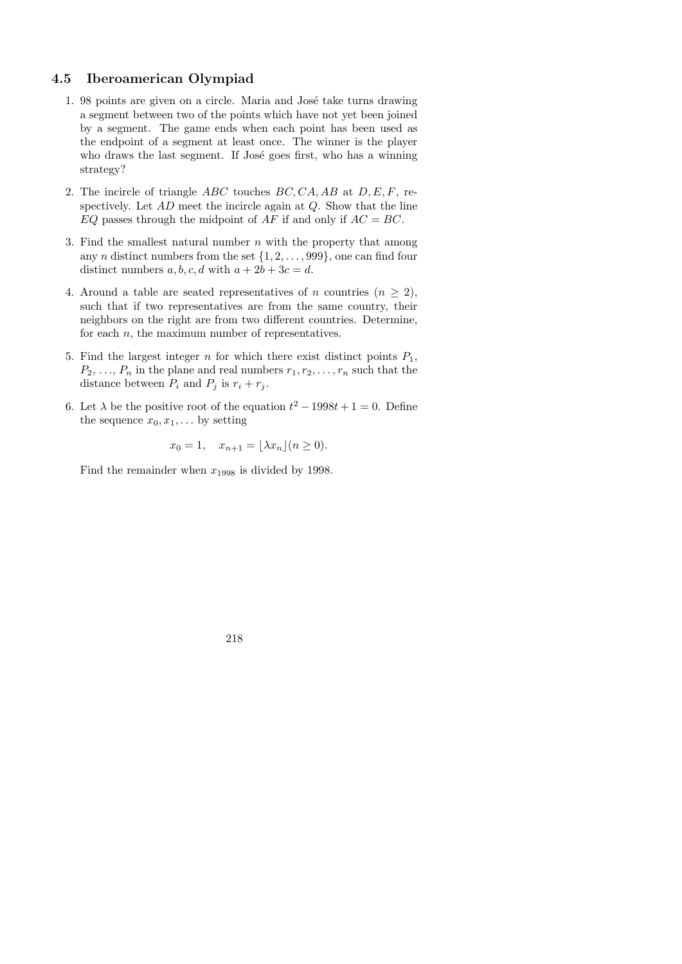## 4.5 Iberoamerican Olympiad

- 1. 98 points are given on a circle. Maria and José take turns drawing a segment between two of the points which have not yet been joined by a segment. The game ends when each point has been used as the endpoint of a segment at least once. The winner is the player who draws the last segment. If José goes first, who has a winning strategy?
- 2. The incircle of triangle  $ABC$  touches  $BC, CA, AB$  at  $D, E, F$ , respectively. Let  $AD$  meet the incircle again at  $Q$ . Show that the line  $EQ$  passes through the midpoint of AF if and only if  $AC = BC$ .
- 3. Find the smallest natural number  $n$  with the property that among any *n* distinct numbers from the set  $\{1, 2, \ldots, 999\}$ , one can find four distinct numbers  $a, b, c, d$  with  $a + 2b + 3c = d$ .
- 4. Around a table are seated representatives of n countries  $(n \geq 2)$ , such that if two representatives are from the same country, their neighbors on the right are from two different countries. Determine, for each  $n$ , the maximum number of representatives.
- 5. Find the largest integer n for which there exist distinct points  $P_1$ ,  $P_2, \ldots, P_n$  in the plane and real numbers  $r_1, r_2, \ldots, r_n$  such that the distance between  $P_i$  and  $P_j$  is  $r_i + r_j$ .
- 6. Let  $\lambda$  be the positive root of the equation  $t^2 1998t + 1 = 0$ . Define the sequence  $x_0, x_1, \ldots$  by setting

$$
x_0 = 1, \quad x_{n+1} = \lfloor \lambda x_n \rfloor (n \ge 0).
$$

Find the remainder when  $x_{1998}$  is divided by 1998.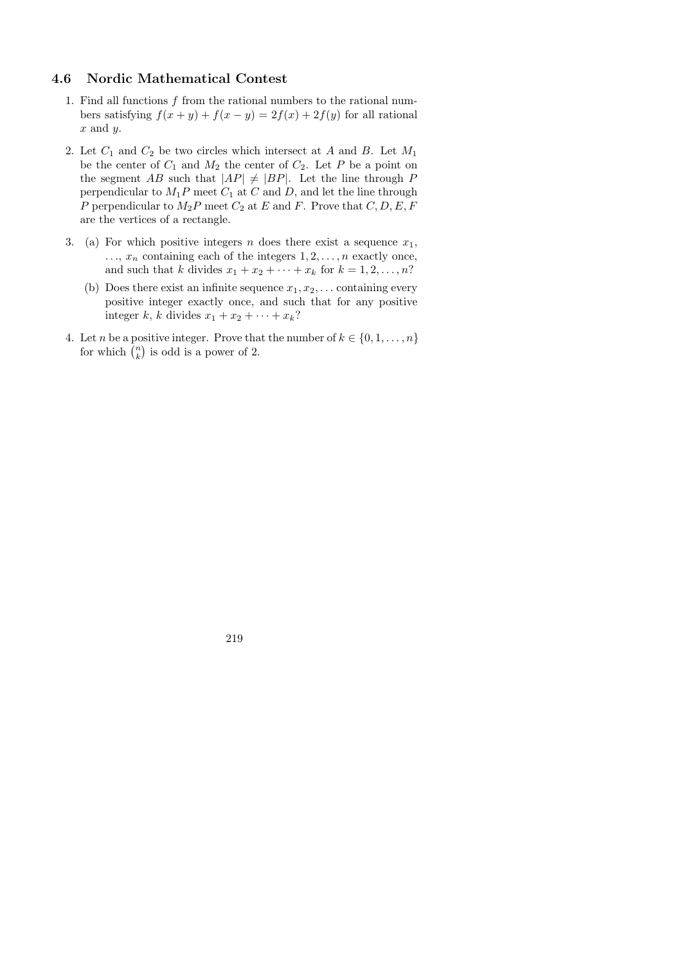## 4.6 Nordic Mathematical Contest

- 1. Find all functions f from the rational numbers to the rational numbers satisfying  $f(x + y) + f(x - y) = 2f(x) + 2f(y)$  for all rational  $x$  and  $y$ .
- 2. Let  $C_1$  and  $C_2$  be two circles which intersect at A and B. Let  $M_1$ be the center of  $C_1$  and  $M_2$  the center of  $C_2$ . Let P be a point on the segment AB such that  $|AP| \neq |BP|$ . Let the line through P perpendicular to  $M_1P$  meet  $C_1$  at  $C$  and  $D$ , and let the line through P perpendicular to  $M_2P$  meet  $C_2$  at E and F. Prove that  $C, D, E, F$ are the vertices of a rectangle.
- 3. (a) For which positive integers n does there exist a sequence  $x_1$ ,  $\ldots, x_n$  containing each of the integers  $1, 2, \ldots, n$  exactly once, and such that k divides  $x_1 + x_2 + \cdots + x_k$  for  $k = 1, 2, \ldots, n$ ?
	- (b) Does there exist an infinite sequence  $x_1, x_2, \ldots$  containing every positive integer exactly once, and such that for any positive integer k, k divides  $x_1 + x_2 + \cdots + x_k$ ?
- 4. Let *n* be a positive integer. Prove that the number of  $k \in \{0, 1, \ldots, n\}$ for which  $\binom{n}{k}$  is odd is a power of 2.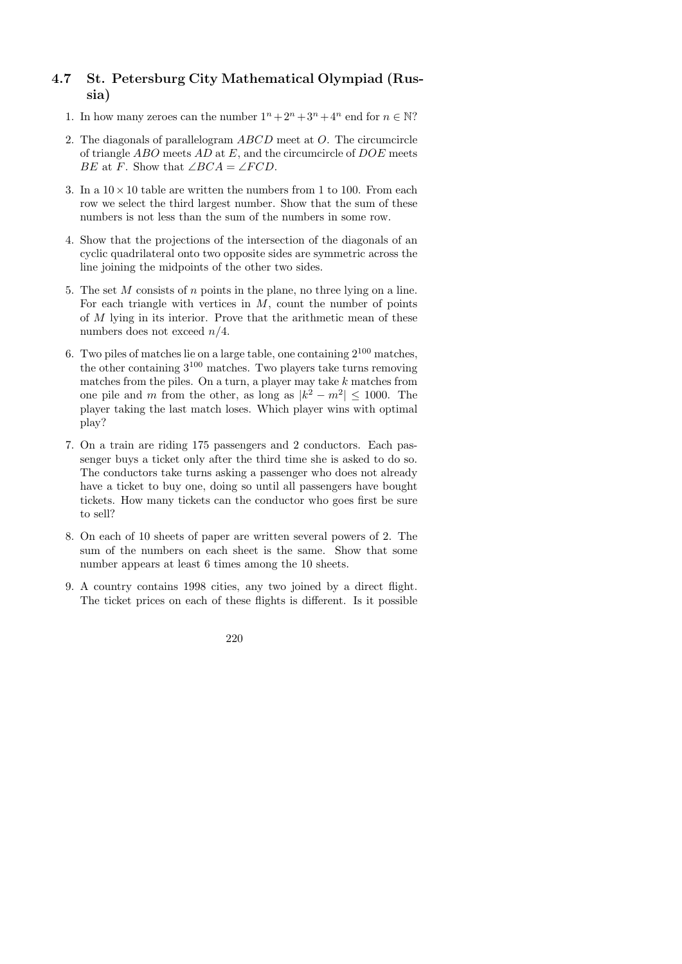# 4.7 St. Petersburg City Mathematical Olympiad (Russia)

- 1. In how many zeroes can the number  $1^n + 2^n + 3^n + 4^n$  end for  $n \in \mathbb{N}$ ?
- 2. The diagonals of parallelogram ABCD meet at O. The circumcircle of triangle  $ABO$  meets  $AD$  at E, and the circumcircle of  $DOE$  meets BE at F. Show that  $\angle BCA = \angle FCD$ .
- 3. In a  $10 \times 10$  table are written the numbers from 1 to 100. From each row we select the third largest number. Show that the sum of these numbers is not less than the sum of the numbers in some row.
- 4. Show that the projections of the intersection of the diagonals of an cyclic quadrilateral onto two opposite sides are symmetric across the line joining the midpoints of the other two sides.
- 5. The set M consists of n points in the plane, no three lying on a line. For each triangle with vertices in  $M$ , count the number of points of M lying in its interior. Prove that the arithmetic mean of these numbers does not exceed  $n/4$ .
- 6. Two piles of matches lie on a large table, one containing  $2^{100}$  matches, the other containing  $3^{100}$  matches. Two players take turns removing matches from the piles. On a turn, a player may take  $k$  matches from one pile and m from the other, as long as  $|k^2 - m^2| \le 1000$ . The player taking the last match loses. Which player wins with optimal play?
- 7. On a train are riding 175 passengers and 2 conductors. Each passenger buys a ticket only after the third time she is asked to do so. The conductors take turns asking a passenger who does not already have a ticket to buy one, doing so until all passengers have bought tickets. How many tickets can the conductor who goes first be sure to sell?
- 8. On each of 10 sheets of paper are written several powers of 2. The sum of the numbers on each sheet is the same. Show that some number appears at least 6 times among the 10 sheets.
- 9. A country contains 1998 cities, any two joined by a direct flight. The ticket prices on each of these flights is different. Is it possible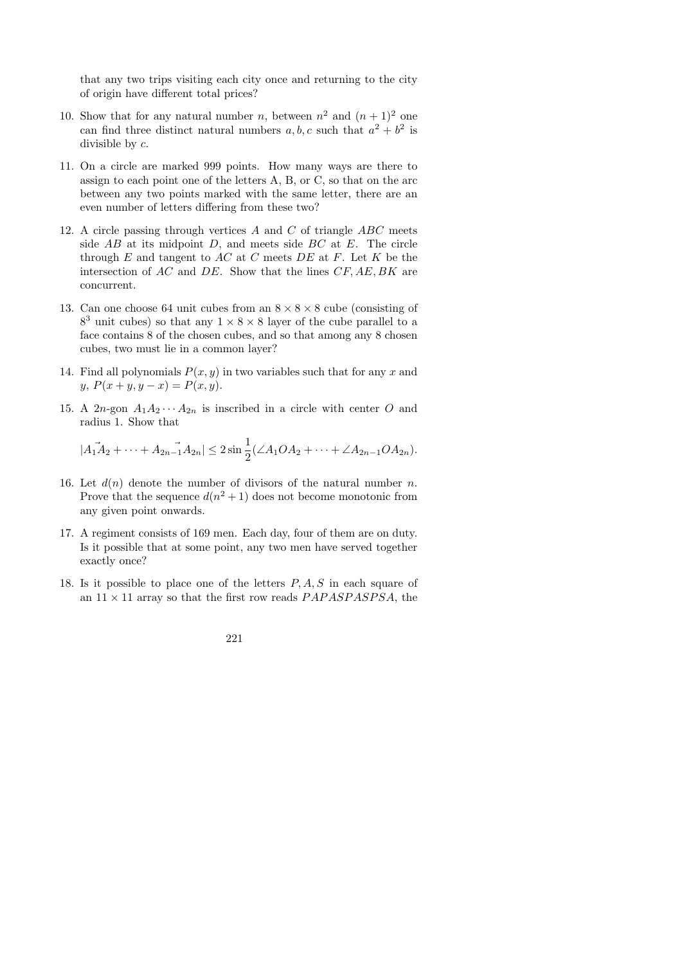that any two trips visiting each city once and returning to the city of origin have different total prices?

- 10. Show that for any natural number *n*, between  $n^2$  and  $(n+1)^2$  one can find three distinct natural numbers  $a, b, c$  such that  $a^2 + b^2$  is divisible by c.
- 11. On a circle are marked 999 points. How many ways are there to assign to each point one of the letters A, B, or C, so that on the arc between any two points marked with the same letter, there are an even number of letters differing from these two?
- 12. A circle passing through vertices  $A$  and  $C$  of triangle  $ABC$  meets side  $AB$  at its midpoint  $D$ , and meets side  $BC$  at  $E$ . The circle through  $E$  and tangent to  $AC$  at  $C$  meets  $DE$  at  $F$ . Let  $K$  be the intersection of  $AC$  and  $DE$ . Show that the lines  $CF, AE, BK$  are concurrent.
- 13. Can one choose 64 unit cubes from an  $8 \times 8 \times 8$  cube (consisting of  $8<sup>3</sup>$  unit cubes) so that any  $1 \times 8 \times 8$  layer of the cube parallel to a face contains 8 of the chosen cubes, and so that among any 8 chosen cubes, two must lie in a common layer?
- 14. Find all polynomials  $P(x, y)$  in two variables such that for any x and y,  $P(x + y, y - x) = P(x, y)$ .
- 15. A 2n-gon  $A_1A_2 \cdots A_{2n}$  is inscribed in a circle with center O and radius 1. Show that

$$
|\vec{A_1A_2} + \cdots + \vec{A_{2n-1}A_{2n}}| \leq 2 \sin \frac{1}{2} (\angle A_1OA_2 + \cdots + \angle A_{2n-1}OA_{2n}).
$$

- 16. Let  $d(n)$  denote the number of divisors of the natural number n. Prove that the sequence  $d(n^2+1)$  does not become monotonic from any given point onwards.
- 17. A regiment consists of 169 men. Each day, four of them are on duty. Is it possible that at some point, any two men have served together exactly once?
- 18. Is it possible to place one of the letters  $P, A, S$  in each square of an  $11 \times 11$  array so that the first row reads  $PAPASPASPSA$ , the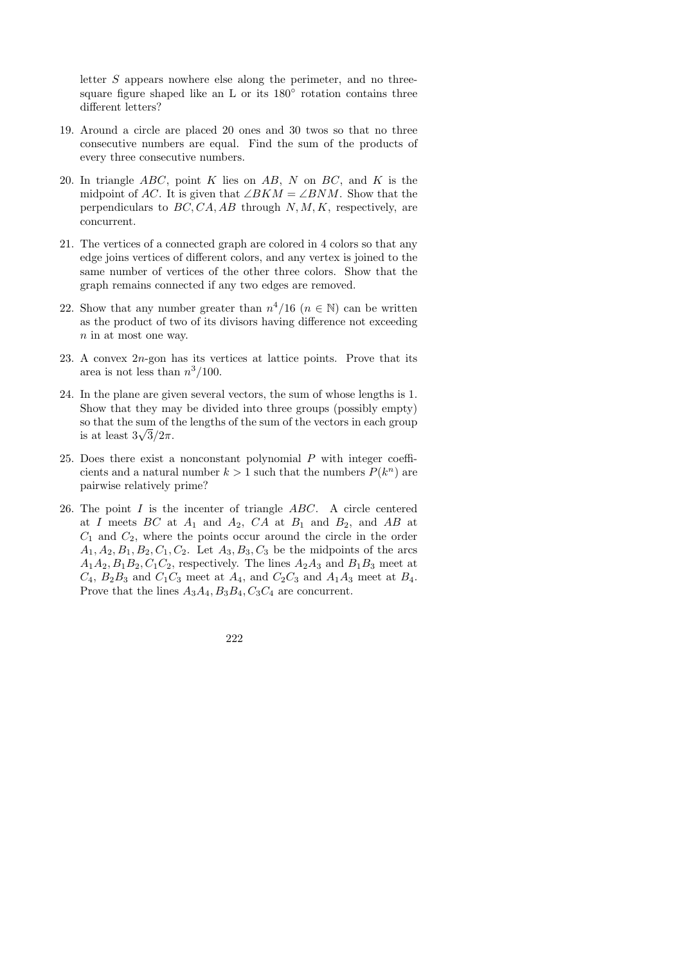letter S appears nowhere else along the perimeter, and no threesquare figure shaped like an L or its  $180^\circ$  rotation contains three different letters?

- 19. Around a circle are placed 20 ones and 30 twos so that no three consecutive numbers are equal. Find the sum of the products of every three consecutive numbers.
- 20. In triangle  $ABC$ , point K lies on  $AB$ , N on  $BC$ , and K is the midpoint of AC. It is given that  $\angle BKM = \angle BNM$ . Show that the perpendiculars to  $BC, CA, AB$  through  $N, M, K$ , respectively, are concurrent.
- 21. The vertices of a connected graph are colored in 4 colors so that any edge joins vertices of different colors, and any vertex is joined to the same number of vertices of the other three colors. Show that the graph remains connected if any two edges are removed.
- 22. Show that any number greater than  $n^4/16$   $(n \in \mathbb{N})$  can be written as the product of two of its divisors having difference not exceeding n in at most one way.
- 23. A convex  $2n$ -gon has its vertices at lattice points. Prove that its area is not less than  $n^3/100$ .
- 24. In the plane are given several vectors, the sum of whose lengths is 1. Show that they may be divided into three groups (possibly empty) so that the sum of the lengths of the sum of the vectors in each group so that the sum of t<br>is at least  $3\sqrt{3}/2\pi$ .
- 25. Does there exist a nonconstant polynomial P with integer coefficients and a natural number  $k > 1$  such that the numbers  $P(k^n)$  are pairwise relatively prime?
- 26. The point  $I$  is the incenter of triangle  $ABC$ . A circle centered at I meets BC at  $A_1$  and  $A_2$ , CA at  $B_1$  and  $B_2$ , and AB at  $C_1$  and  $C_2$ , where the points occur around the circle in the order  $A_1, A_2, B_1, B_2, C_1, C_2$ . Let  $A_3, B_3, C_3$  be the midpoints of the arcs  $A_1A_2, B_1B_2, C_1C_2$ , respectively. The lines  $A_2A_3$  and  $B_1B_3$  meet at  $C_4$ ,  $B_2B_3$  and  $C_1C_3$  meet at  $A_4$ , and  $C_2C_3$  and  $A_1A_3$  meet at  $B_4$ . Prove that the lines  $A_3A_4, B_3B_4, C_3C_4$  are concurrent.